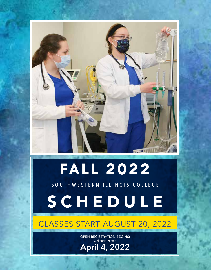

# FALL 2022

### SOUTHWESTERN ILLINOIS COLLEGE

# SCHEDULE

## CLASSES START AUGUST 20, 2022

OPEN REGISTRATION BEGINS: Online/In-Person **April 4, 2022**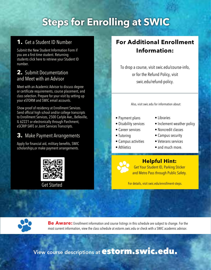# **Steps for Enrolling at SWIC**

### **1.** Get a Student ID Number

Submit the New Student Information Form if you are a first time student. Returning students click here to retrieve your Student ID number.

### **2.** Submit Documentation and Meet with an Advisor

Meet with an Academic Advisor to discuss degree or certificate requirements, course placement, and class selection. Prepare for your visit by setting up your eSTORM and SWIC email accounts.

Show proof of residency at Enrollment Services. Send official high school and/or college transcripts to Enrollment Services, 2500 Carlyle Ave., Belleville, IL 62221 or electronically through Parchment, eSCRIP-SAFE or Joint Services Transcripts.

### **3.** Make Payment Arrangements

Apply for financial aid, military benefits, SWIC scholarships,or make payment arrangements.



### **For Additional Enrollment Information:**

To drop a course, visit swic.edu/course-info, or for the Refund Policy, visit swic.edu/refund-policy.

Also, visit swic.edu for information about:

- Payment plans
- Disability services
- Career services
- Tutoring
- Campus activities
- Athletics
- Libraries
- Inclement weather policy
- Noncredit classes
- Campus security
- Veterans services
- and much more.

### **Helpful Hint:**

Get Your Student ID, Parking Sticker and Metro Pass through Public Safety.

Get Started **For details, visit swic.edu/enrollment-steps.** 

**Be Aware:** Enrollment information and course listings in this schedule are subject to change. For the most current information, view the class schedule at estorm.swic.edu or check with a SWIC academic advisor.

View course descriptions at **estorm.swic.edu.**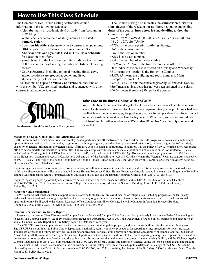### **How to Use This Class Schedule**

The Comprehensive Course Listing section lists course information in the following sequence:

- **Alphabetically** by academic field of study from Accounting to Welding.
- Within each academic field of study, courses are listed in **numeric order**.
- **Location Identifiers** designate where courses meet (Campus, Off-Campus Site or Distance Learning courses). See **Abbreviations and Symbols Used in This Class Schedule** for Location Identifiers.
- **Symbols** next to the Location Identifiers indicate key features of the course such as Evening, Saturday or Distance Learning courses.
- **Course Sections** (including optional meeting times, days, and/or locations) are grouped together and listed alphabetically by Location Identifier.

All sections of a specific **Video Conference** course, labeled with the symbol **VC**, are listed together and sequenced with other courses in alphanumeric order.

The Course Listing also indicates the **semester credits/units, time, day(s)** of the week, **room number**, beginning and ending **dates** of the course, **instructor**, **fee** and **deadline** to drop the course. Example:

- *BIOL 105 001 1894 4.0 09:00am 11:15am MT BC MC1183 08/22 - 12/12 Staff 50.00*
- *BIOL* is the course prefix signifying Biology.
- *105* is the course number.
- *001* is the section number.
- *1894* is the class number.
- 4.0 is the number of semester credits.
- *09:00am 11:15am* is the time the course is offered.
- *MW* indicates the course is offered on Monday and Wednesday.
- *BC* means the location is the Belleville Campus.
- *MC1183* means the building and room number is Main Complex Room 1183.
- *08/22 12/12* means the course begins Aug. 22 and ends Dec. 12.
- *Staff* means an instructor has not yet been assigned to the class.
- *50.00* means there is a \$50 fee for the course.



#### **Take Care of Business Online With eSTORM**

In eSTORM students can search and register for classes, check their financial-aid status, access account statements and payment deadlines, make a payment, view grades, print class schedules, see their final exam schedule, apply for graduation, request transcripts, share their student record information with others and more. To activate your eSTORM account, visit estorm.swic.edu and click New User. Activation requires your SWIC student ID number, Social Security number and date of birth.

Southwestern Total Online Records Management

#### **Statement on Equal Opportunity and Affirmative Action**

SWIC is committed to equal educational and employment opportunity and affirmative action. SWIC administers its programs, services, and employment opportunities without regard to race, color, religion, sex (including pregnancy, gender identity and sexual orientation), national origin, age (40 or older), disability or genetic information, or veteran status. Affirmative action is taken as appropriate. In addition, it is the policy of SWIC to make every reasonable effort to accommodate individuals with disabilities. The college complies with federal and state legislation which includes but is not limited to, Titles VI and VII of the Civil Rights Act of 1964, Executive Order 11246, the Equal Pay Act of 1963, the Age Discrimination in Employment Act of 1967, Title IX of the Education Amendments Act of 1972, Sections 503 and 504 of the Rehabilitation Act of 1973, the Vietnam Era Veterans' Readjustment Assistance Act of 1974, Titles VII and VIII of the Public Health Service Act, the Illinois Human Rights Act, the Americans with Disabilities Act, the University Religious Observances Act, and related state laws.

Inquiries regarding equal opportunity and affirmative action, as well as, employment issues for faculty and staff for all campuses and instructional sites within the college community district are handled by our Human Resources Office. Human Resources Office is located in the main building on the Belleville campus. An email can be sent to HumanResources@swic.edu or you can call the Human Resources Office at 618- 235-2700, ext. 5195.

Inquiries regarding equal opportunity and affirmative action in student services, academic affairs, and or Title IX Coordinator Danielle Chambers at 618-235-2700, ext. 5566, Southwestern Illinois College, Belleville Campus, Information Sciences Building, Room 1145, 2500 Carlyle Ave., Belleville, IL 62221.

#### **Notice of Nondiscrimination**

SWIC ensures that equal educational opportunities are offered to students regardless of race, color, religion, sex (including pregnancy, gender identity and sexual orientation), national origin, age (40 or older), disability or genetic information, or veteran status. Questions in reference to equal educational opportunities may be directed to the Human Resources office, Southwestern Illinois College, Belleville Campus, Information Sciences Building, Room 2080, 2500 Carlyle Ave., Belleville, IL 62221, 618-235-2700, ext. 5534.

#### **Campus Security and Fire Safety Report:**

Pursuant to the Jeanne Clery Disclosure of Campus Security Policy and Campus Crime Statistics Act, previously known as the Federal Student Rightto-Know and Campus Security Act of 1990 and Higher Education Opportunity Act of 2008, the Department of Public Safety publishes and distributes an annual Campus Security Report and Fire Safety Report by October of each year.

The CSR/FSR lists the campus crime statistics, on campus and surrounding public property, and noncampus facilities, for the previous three years. The CSR/FSR also outlines the Public Safety department's authority; security policies; procedures for reporting crime; procedures for reporting sexual assaults/sex offenses and follow-up services; counseling and treatment services; crime prevention programs; accessibility of campus facilities; Substance Abuse Policy; 2008 revisions of the Higher Education Opportunity Act with specific additions to hate crime reporting, emergency response and evacuation procedures; missing student notification; and fire safety issues for institutions that maintain an on-campus student housing facility; and the Violence Against Women Reauthorization Act of 2013 amendments to the Clery Act, specifically addressing domestic violence, dating violence, sexual assault and stalking.

The annual CSR/FSR can be accessed via the Southwestern Illinois College website at swic.edu/publicsafety/csr/, or a copy of the CSR/FSR can be obtained by contacting the Public Safety department at 618-235-2700, ext. 5221, or writing the director of Public Safety, 2500 Carlyle Ave., Main Complex Room 1240, Belleville, IL 62221.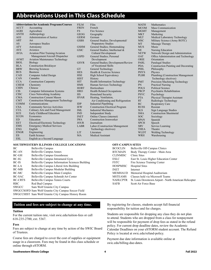### **Abbreviations Used in This Class Schedule**

|             | <b>Abbreviations for Academic Programs/Courses</b> | <b>FILM</b> | Film                                   | <b>MATH</b> | Mathematics                          |
|-------------|----------------------------------------------------|-------------|----------------------------------------|-------------|--------------------------------------|
| <b>ACCT</b> | Accounting                                         | <b>FREN</b> | French                                 | <b>MCOM</b> | <b>Mass Communication</b>            |
| <b>AGRI</b> | Agriculture                                        | <b>FS</b>   | Fire Science                           | <b>MGMT</b> | Management                           |
| <b>ANTH</b> | Anthropology                                       | <b>GEOG</b> | Geography                              | <b>MKT</b>  | Marketing                            |
| <b>AOJ</b>  | Administration of Justice                          | <b>GERM</b> | German                                 | <b>MLT</b>  | Medical Laboratory Technology        |
| <b>ART</b>  | Art                                                | <b>GSBS</b> | General Studies; Developmental/        | <b>MSC</b>  | Military Science (Army ROTC)         |
| AS          | Aerospace Studies                                  |             | <b>Preparatory Studies</b>             | <b>MT</b>   | Massage Therapy                      |
| <b>ATY</b>  | Astronomy                                          | <b>GSHM</b> | General Studies; Homemaking            | <b>MUS</b>  | Music                                |
| <b>AVE</b>  | Avionics                                           | <b>GSIC</b> | General Studies; Intellectual &        | NE          | Nursing Education                    |
| <b>AVIA</b> | <b>Aviation Pilot Training/Aviation</b>            |             | <b>Cultural Development</b>            | <b>NETW</b> | Network Design and Administration    |
|             | Management/Aircraft Dispatcher                     | <b>GSPD</b> | General Studies; Personal              | <b>OAT</b>  | Office Administration and Technology |
| <b>AVMT</b> | <b>Aviation Maintenance Technology</b>             |             | Development                            | <b>ORIE</b> | Orientation                          |
| <b>BIOL</b> | <b>Biology</b>                                     | <b>GSVR</b> | General Studies; Development/Review    | PARL        | Paralegal Studies                    |
| <b>BLA</b>  | <b>Construction Bricklayer</b>                     |             | of Vocational Skills                   | <b>PDA</b>  | Construction Painting and Decorating |
| <b>BRW</b>  | <b>Brewing Sciences</b>                            | <b>GT</b>   | General Technology                     | PHIL        | Philosophy                           |
| <b>BUS</b>  | <b>Business</b>                                    | <b>HES</b>  | Health & Exercise Science              | <b>PHYS</b> | Physics                              |
| CAD         | Computer Aided Design                              | <b>HSE</b>  | High School Equivalency                | <b>PLBR</b> | Plumbing (Construction Management    |
| CAN         | Cannabis                                           | <b>HIST</b> | <b>History</b>                         |             | Technology electives)                |
| <b>CCA</b>  | <b>Construction Carpentry</b>                      | <b>HIT</b>  | <b>Health Information Technology</b>   | <b>PMT</b>  | Precision Machining Technology       |
| <b>CHEM</b> | Chemistry                                          | <b>HMS</b>  | Human Services Technology              | <b>PN</b>   | <b>Practical Nursing</b>             |
| <b>CHIN</b> | Chinese                                            | <b>HORT</b> | Horticulture                           | <b>POLS</b> | <b>Political Science</b>             |
| <b>CIS</b>  | <b>Computer Information Systems</b>                | <b>HRO</b>  | <b>Health Related Occupations</b>      | <b>PRCP</b> | Psychiatric Rehabilitation           |
| <b>CISC</b> | Cisco Networking Academy                           | <b>HS</b>   | <b>Homeland Security</b>               | <b>PSYC</b> | Psychology                           |
| <b>CMA</b>  | <b>Construction Cement Mason</b>                   | <b>HVAR</b> | Heating, Ventilation,                  | <b>PTA</b>  | <b>Physical Therapist Assistant</b>  |
| <b>CMT</b>  | <b>Construction Management Technology</b>          |             | Air Conditioning and Refrigeration     | <b>RT</b>   | Radiologic Technology                |
| <b>COMM</b> | Communications                                     | <b>IDP</b>  | <b>Industrial Pipefitting</b>          | RC          | <b>Respiratory Care</b>              |
| <b>CSA</b>  | <b>Community Service Activities</b>                | <b>IEW</b>  | <b>Construction Electrical Program</b> | <b>RUSS</b> | Russian                              |
| <b>CUL</b>  | Culinary Arts and Food Management                  | <b>IML</b>  | <b>Industrial Mechanics</b>            | <b>SLS</b>  | Sign Language Studies                |
| <b>ECE</b>  | Early Childhood Education                          | <b>IND</b>  | <b>Independent Study</b>               | <b>SMA</b>  | <b>Construction Sheetmetal</b>       |
| <b>ECON</b> | Economics                                          | <b>INET</b> | Online Classes (internet)              | <b>SOC</b>  | Sociology                            |
| ED          | Education                                          | <b>IWA</b>  | <b>Construction Ironworker</b>         | <b>SPAN</b> | Spanish                              |
| <b>EET</b>  | Electrical/Electronic Technology                   | <b>JOUR</b> | Journalism                             | <b>SPCH</b> | Speech                               |
| <b>EMS</b>  | <b>Emergency Medical Services</b>                  | <b>LABR</b> | Labor (Construction Management         | <b>SRV</b>  | Service Learning                     |
| <b>ENG</b>  | English                                            |             | Technology electives)                  | <b>THEA</b> | Theatre                              |
| <b>ENGR</b> | Engineering                                        | <b>LIT</b>  | Literature                             | <b>WLDT</b> | <b>Welding Technology</b>            |
| <b>ES</b>   | Earth Science                                      | <b>MA</b>   | <b>Medical Assistant</b>               | <b>WRH</b>  | Warehousing                          |
| <b>ESL</b>  | English as a Second Language                       |             |                                        |             |                                      |

#### **SOUTHWESTERN ILLINOIS COLLEGE LOCATIONS**

| ВC             | Belleville Campus                                      |
|----------------|--------------------------------------------------------|
| <b>BC-AN</b>   | <b>Belleville Campus Annex</b>                         |
| BC-GH          | Belleville Campus Greenhouse                           |
| $BC-IG$        | Belleville Campus Intramural Gym                       |
| BC-IS          | <b>Belleville Campus Information Sciences Building</b> |
| <b>BC-LA</b>   | Belleville Campus Liberal Arts Building                |
| <b>BC-MB</b>   | Belleville Campus Modular Building                     |
| BC-MC          | Belleville Campus Main Complex                         |
| <b>BC-SAC</b>  | Belleville Campus Schmidt Art Center                   |
| <b>BC-CRTS</b> | Belleville Campus Tennis Courts                        |
| <b>RBC</b>     | Red Bud Campus                                         |
| <b>SWGCC</b>   | Sam Wolf Granite City Campus                           |
|                | SWGCCSOFD Sam Wolf Granite City Campus Soccer Field    |
|                | SWGCCHIST Sam Wolf Granite City Campus History Room    |

#### **OFF-CAMPUS SITES**

| <b>BCOCLIN</b>  | Belleville Off-Campus Clinics                          |
|-----------------|--------------------------------------------------------|
| <b>BTCMAIN</b>  | Body Therapy Center - Main Area                        |
| <b>CLINMISC</b> | Clinic Sites                                           |
| <b>ESLC</b>     | East St. Louis Higher Education Center                 |
| <b>FSTC</b>     | Fire Science Training Center                           |
| <b>HOSPMISC</b> | <b>Hospital Sites</b>                                  |
| <b>INET</b>     | Internet                                               |
| <b>MEMHAUD</b>  | Memorial Hospital Auditorium                           |
| <b>MSTEAMS</b>  | Classes held via Microsoft Teams                       |
| <b>NAHLCPTR</b> | St. Louis Downtown Airport - North American Helicopter |
| <b>SAFB</b>     | Scott Air Force Base                                   |
|                 |                                                        |

#### **Tuition and fees are subject to change at any time.**

#### **Tuition**

For the current tuition rate, visit swic.edu/tuition-fees or call 618-235-2700, ext. 5367.

#### **Fees**

Fees are subject to change at any time by action of the SWIC Board of Trustees.

Course fees are charged to cover the cost of supplies or equipment usage in a classroom. Fees may be found in this class schedule or online through eSTORM.

By registering for classes, students accept full financial responsibility for tuition and fee charges.

Students are responsible for dropping any class they do not plan to attend. Students who are dropped from a class for nonpayment will be responsible for payment of drop fees as stated in the refund policy. For current drop deadline dates, review the Academic Calendar Deadlines on your eSTORM student account. The Refund Policy is located at swic.edu/refund-policy.

Payment due date information is available online at swic.edu/billing-due-dates.

#### **Southwestern Illinois College 4 Fall 2022**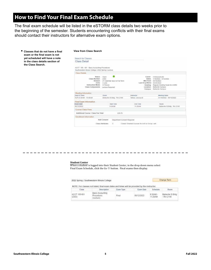### **How to Find Your Final Exam Schedule**

The final exam schedule will be listed in the eSTORM class details two weeks prior to the beginning of the semester. Students encountering conflicts with their final exams should contact their instructors for alternative exam options.

**• Classes that do not have a final exam or the final exam is not yet scheduled will have a note in the class details section of the Class Search.**

#### **View from Class Search**

| ACCT 105 - 001 Basic Accounting Procedures<br>Southwestern Illinois College   2022 Spring   Lecture |                                                                                           |                                                                                              |                                                                                                                                                 |
|-----------------------------------------------------------------------------------------------------|-------------------------------------------------------------------------------------------|----------------------------------------------------------------------------------------------|-------------------------------------------------------------------------------------------------------------------------------------------------|
| Closs Details                                                                                       |                                                                                           |                                                                                              |                                                                                                                                                 |
| Status.<br>Class Number<br>Session<br>timits.<br>Instruction Mode<br>Class Components               | Open<br>2303<br>21 Calendar days to Full Term<br>3 under<br>In Person<br>Lecture Required | Career<br>Dates.<br>Mid Point<br>Last Drop/Wdrw 84/26/2022<br>Grading<br>Location<br>Cirmous | <b>Linderpraduate</b><br>1/18/3022 - 5/12/2022<br>03/16/2022<br>Regular Grading Scale for UGRD<br><b>Balleville Campus</b><br>Delieville Campus |
| Meeting Information                                                                                 |                                                                                           |                                                                                              |                                                                                                                                                 |
| Days & Timins                                                                                       | <b>Milledwick</b>                                                                         | <b>Instituctor</b>                                                                           | Monting Dates                                                                                                                                   |
| TuTh 0:30AM - 10:45AM                                                                               | Belovile ID Bldg - Rm 2140                                                                | Talksun, Jeosica B.                                                                          | 01/18/2022 - 05/15/2022                                                                                                                         |
| Final Exam Information                                                                              |                                                                                           |                                                                                              |                                                                                                                                                 |
| <b>TAKE DIES</b>                                                                                    | Start Time                                                                                | Emil Time                                                                                    | <b>Hoods</b>                                                                                                                                    |
| IM/13/2022                                                                                          | <b>9.30AM</b>                                                                             | 11:20/MA                                                                                     | Belleville IS Bidg - Rm 2140                                                                                                                    |
| Course Class Fees                                                                                   |                                                                                           |                                                                                              |                                                                                                                                                 |
| Additional Course / Class Fee Total                                                                 | \$78.75                                                                                   |                                                                                              |                                                                                                                                                 |
| Enrolment Information                                                                               |                                                                                           |                                                                                              |                                                                                                                                                 |
|                                                                                                     | Add Consent<br>Department Consent Required                                                |                                                                                              |                                                                                                                                                 |

#### **Student Center**

-------

When a student is logged into their Student Center, in the drop down menu select Final Exam Schedule, click the Go button. Final exams then display.

| 2022 Spring   Southwestern Illinois College |                                                                                                              | Change Term |            |                       |                                   |
|---------------------------------------------|--------------------------------------------------------------------------------------------------------------|-------------|------------|-----------------------|-----------------------------------|
| Class                                       | NOTE: For classes not listed, final exam dates and times will be provided by the instructor.<br>Description. | Exam Type   | Exam Date  | Schedule              | Room                              |
| ACCT 105-001<br>(2303)                      | Basic Accounting<br>Procedures<br>(Leclure)                                                                  | Final       | 05/12/2022 | $9:30AM -$<br>11:20AM | Belleville 1S Bldg<br>$-$ Rm 2140 |

------------------------

. . .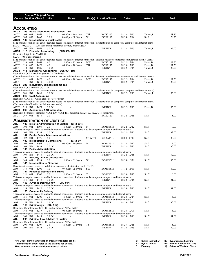|                                 |                    |              | Course Title (+IAI Code) <sup>1</sup> |                                                     |                                                                                |               |                                                                                                                                           |                                                                                                                                                |                     |                 |
|---------------------------------|--------------------|--------------|---------------------------------------|-----------------------------------------------------|--------------------------------------------------------------------------------|---------------|-------------------------------------------------------------------------------------------------------------------------------------------|------------------------------------------------------------------------------------------------------------------------------------------------|---------------------|-----------------|
|                                 |                    |              | <b>Course Section Class # Units</b>   |                                                     | Times                                                                          |               | Day(s) Location/Room                                                                                                                      | <b>Dates</b>                                                                                                                                   | Instructor          | Fe <sup>2</sup> |
|                                 |                    |              |                                       |                                                     |                                                                                |               |                                                                                                                                           |                                                                                                                                                |                     |                 |
| ACCOUNTING                      |                    |              |                                       |                                                     |                                                                                |               |                                                                                                                                           |                                                                                                                                                |                     |                 |
| АССТ                            |                    |              |                                       | 105 Basic Accounting Procedures                     | ΒN                                                                             |               |                                                                                                                                           |                                                                                                                                                |                     |                 |
| ACCT<br>ACCT                    | 105<br>105         | 001<br>002   | 1466<br>1467                          | 3.0<br>3.0 <sub>E</sub>                             | 09:30am - 10:45am<br>$06:00$ pm - $08:50$ pm                                   | TTh<br>W      | <b>BCIS2140</b><br><b>BCIS2155</b>                                                                                                        | $08/23 - 12/15$<br>08/24 - 12/14                                                                                                               | Talleur, J<br>Staff | 78.75<br>78.75  |
| АССТ                            |                    |              |                                       | 106 Introduction to QuickBooks                      |                                                                                |               |                                                                                                                                           |                                                                                                                                                |                     |                 |
|                                 |                    |              |                                       |                                                     |                                                                                |               |                                                                                                                                           | (The online section of this course requires access to a reliable Internet connection. Students must be competent computer and Internet users.) |                     |                 |
| ACCT                            | 106 IN1            |              | 1468                                  | 3.0 OI                                              | (ACCT 105, ACCT 110, or accounting experience strongly encouraged.)            |               | <b>INETN/R</b>                                                                                                                            | $08/22 - 12/15$                                                                                                                                | Talleur, J          | 35.00           |
| АССТ                            |                    |              | 110 Financial Accounting              |                                                     | (BUS 903) BN                                                                   |               |                                                                                                                                           |                                                                                                                                                |                     |                 |
| Requisite: Eligible for MATH 94 |                    |              |                                       |                                                     |                                                                                |               |                                                                                                                                           |                                                                                                                                                |                     |                 |
| (ACCT 105 is encouraged.)       |                    |              |                                       |                                                     |                                                                                |               |                                                                                                                                           | (The online section of this course requires access to a reliable Internet connection. Students must be competent computer and Internet users.) |                     |                 |
| ACCT                            | 110                | 001          | 1469                                  | 4.0                                                 | $11:00am - 12:50pm$                                                            | MW            | <b>BCIS2155</b>                                                                                                                           | $08/22 - 12/14$                                                                                                                                | Peters,D            | 107.50          |
| ACCT                            | 110                | 003          | 1470                                  | 4.0                                                 | 09:00am - 10:50am                                                              | TTh           | <b>BCIS2155</b>                                                                                                                           | $08/23 - 12/15$                                                                                                                                | Peters,D            | 107.50          |
| ACCT                            | 110                | IN 1         | 1585                                  | 4.0 OI                                              |                                                                                |               | <b>INETN/R</b>                                                                                                                            | 08/22 - 12/15                                                                                                                                  | Talleur, J          | 132.50          |
| ACCT                            |                    |              |                                       | Requisite: ACCT 110 with a grade of "C" or better   | 111 Managerial Accounting (BUS 904) BN                                         |               |                                                                                                                                           |                                                                                                                                                |                     |                 |
|                                 |                    |              |                                       |                                                     |                                                                                |               |                                                                                                                                           | (The online section of this course requires access to a reliable Internet connection. Students must be competent computer and Internet users.) |                     |                 |
| ACCT                            | 111                | 001          | 1472                                  | 4.0                                                 | 09:00am - 10:50am                                                              | MW            | <b>BCIS2155</b>                                                                                                                           | $08/22 - 12/14$                                                                                                                                | Peters,D            | 107.50          |
| ACCT<br>АССТ                    | 111                | IN1          | 1610                                  | 4.0 OI<br>206 Individual/Business Income Tax        |                                                                                |               | <b>INETN/R</b>                                                                                                                            | $08/22 - 12/15$                                                                                                                                | Talleur, J          | 132.50          |
| Requisite: ACCT 105 or ACCT 110 |                    |              |                                       |                                                     |                                                                                |               |                                                                                                                                           |                                                                                                                                                |                     |                 |
|                                 |                    |              |                                       |                                                     |                                                                                |               |                                                                                                                                           | (The online section of this course requires access to a reliable Internet connection. Students must be competent computer and Internet users.) |                     |                 |
| ACCT                            | 206 IN1            |              | 1638                                  | 3.0 OI                                              |                                                                                |               | <b>INETN/R</b>                                                                                                                            | $08/22 - 12/15$                                                                                                                                | Talleur, J          | 35.00           |
| <b>ACCT</b> 210 Cost Accounting |                    |              |                                       | Requisite: ACCT 111 with a grade of "C" or better   |                                                                                |               |                                                                                                                                           |                                                                                                                                                |                     |                 |
|                                 |                    |              |                                       |                                                     |                                                                                |               |                                                                                                                                           | (The online section of this course requires access to a reliable Internet connection. Students must be competent computer and Internet users.) |                     |                 |
|                                 |                    |              |                                       | (This course is offered in the Fall semester only.) |                                                                                |               |                                                                                                                                           |                                                                                                                                                |                     |                 |
| ACCT                            | 210 IN1            |              | 1473                                  | 3.0 OI                                              |                                                                                |               | <b>INETN/R</b>                                                                                                                            | $08/22 - 12/15$                                                                                                                                | Peters,D            | 35.00           |
| АССТ                            |                    |              |                                       | 269 Accounting AAS Internship                       |                                                                                |               | Requisite: Sophomore standing; ACCT 110, ACCT 111; minimum GPA of 3.0 in ACCT coursework.                                                 |                                                                                                                                                |                     |                 |
| ACCT                            | 269 001            |              | 1513                                  | 3.0                                                 |                                                                                |               | <b>BCIS2120</b>                                                                                                                           | $08/22 - 12/15$                                                                                                                                | Staff               | 5.00            |
|                                 |                    |              |                                       |                                                     |                                                                                |               |                                                                                                                                           |                                                                                                                                                |                     |                 |
| <b>AOJ</b>                      |                    |              |                                       | <b>ADMINISTRATION OF JUSTICE</b>                    | 100 Intro to Administration of Justice (CRJ 901)                               |               |                                                                                                                                           |                                                                                                                                                |                     |                 |
| AOJ                             | 100 001            |              | 1193                                  | 3.0                                                 | $11:00am - 01:50pm$                                                            | M             | <b>BCMC1512</b>                                                                                                                           | $08/22 - 12/12$                                                                                                                                | Staff               | 7.00            |
|                                 |                    |              |                                       |                                                     |                                                                                |               | This course requires access to a reliable internet connection. Students must be competent computer and internet users.                    |                                                                                                                                                |                     |                 |
| AOJ                             | 100 IN1            |              | 1333                                  | 3.0 OI                                              |                                                                                |               | <b>INETN/R</b>                                                                                                                            | $08/22 - 12/15$                                                                                                                                | Staff               | 32.00           |
| LOA<br>AOJ                      | 102                | 001          | 1376                                  | 102 Public Safety Telecommunications<br>5.0         |                                                                                | <b>MTWThF</b> | <b>SCCSMAIN</b>                                                                                                                           | 08/08 - 08/19                                                                                                                                  | Staff               | 30.00           |
| AOJ                             | 103                |              |                                       | <b>Introduction to Corrections</b>                  |                                                                                | (CRJ 911)     |                                                                                                                                           |                                                                                                                                                |                     |                 |
| AOJ                             | 103                | 001          | 1196                                  | 3.0                                                 | 08:00am - 10:50am                                                              | M             | <b>BCMC1512</b>                                                                                                                           | 08/22 - 12/12                                                                                                                                  | Staff               | 5.00            |
| AOJ<br>AOJ                      | 103                | IN1          | 1433<br>105 Police Administration     | 3.0 OI                                              |                                                                                |               | <b>INETN/R</b>                                                                                                                            | 08/22 - 12/15                                                                                                                                  | Staff               | 30.00           |
|                                 |                    |              |                                       |                                                     |                                                                                |               | This course requires access to a reliable internet connection. Students must be competent computer and internet users.                    |                                                                                                                                                |                     |                 |
| AOJ                             | 105 IN1            |              | 1413                                  | 3.0 OI                                              |                                                                                |               | <b>INETN/R</b>                                                                                                                            | $08/22 - 12/15$                                                                                                                                | Staff               | 32.00           |
| AOJ                             |                    |              |                                       | 144 Security Officer Certification                  |                                                                                |               |                                                                                                                                           |                                                                                                                                                |                     |                 |
| AOJ<br>AOJ                      | 144                | 001          | 1199                                  | 2.0<br>145 Introduction to Firearms                 | 11:00am - 01:50pm                                                              | W             | <b>BCMC1512</b>                                                                                                                           | 08/24 - 10/26                                                                                                                                  | Staff               | 35.00           |
|                                 |                    |              |                                       |                                                     | Department consent required. Valid firearm owner's identification card (FOID). |               |                                                                                                                                           |                                                                                                                                                |                     |                 |
| AOJ                             | 145                | 001          | 1200                                  | 1.0                                                 | $09:00$ am - $05:00$ pm                                                        | SSu           | <b>BCMC1512</b>                                                                                                                           | $11/12 - 11/13$                                                                                                                                | Staff               | 60.00           |
| AOJ<br>AOJ                      | 151<br>151         | 001          | 1202                                  | <b>Policing: Methods and Ethics</b><br>3.0          | $11:00am - 01:50pm$                                                            | T             | <b>BCMC1512</b>                                                                                                                           | $08/23 - 12/13$                                                                                                                                | Staff               | 6.00            |
|                                 |                    |              |                                       |                                                     |                                                                                |               | This course requires access to a reliable internet connection. Students must be competent computer and internet users.                    |                                                                                                                                                |                     |                 |
| AOJ                             |                    | 151 IN1 1418 |                                       | 3.0 OI                                              |                                                                                |               | <b>INETN/R</b>                                                                                                                            | $08/20 - 12/15$                                                                                                                                | Staff               | 31.00           |
| AOJ                             |                    |              |                                       | 153 Juvenile Delinquency                            | (CRJ 914)                                                                      |               |                                                                                                                                           |                                                                                                                                                |                     |                 |
| AOJ                             | 153 IN1            |              | 1422                                  | 3.0 OI                                              |                                                                                |               | This course requires access to a reliable internet connection. Students must be competent computer and internet users.<br><b>INETN/R</b>  | $08/20 - 12/15$                                                                                                                                | Staff               | 31.00           |
| <b>AOJ</b>                      |                    |              | 155 Community Policing                |                                                     |                                                                                |               |                                                                                                                                           |                                                                                                                                                |                     |                 |
|                                 |                    |              |                                       |                                                     |                                                                                |               | This course requires access to a reliable internet connection. Students must be competent computer and internet users.                    |                                                                                                                                                |                     |                 |
| AOJ                             | 155 001            |              | 1206                                  | 3.0                                                 | $11:00$ am - $01:50$ pm                                                        | - W           | <b>BCMC1512</b><br>This course requires access to a reliable internet connection. Students must be competent computer and internet users. | $08/24 - 12/14$                                                                                                                                | Staff               | 5.00            |
| AOJ                             | 155 IN1            |              | 1417                                  | 3.0 OI                                              |                                                                                |               | <b>INETN/R</b>                                                                                                                            | $08/20 - 12/15$                                                                                                                                | Staff               | 30.00           |
| AOJ                             |                    |              |                                       | 160 Criminology (CRJ 912)                           |                                                                                |               |                                                                                                                                           |                                                                                                                                                |                     |                 |
|                                 |                    |              |                                       |                                                     | Requisite: Completion of ENG 101 with a grade of "C" or better                 |               |                                                                                                                                           |                                                                                                                                                |                     |                 |
| AOJ                             | 160 001            |              | 1337                                  | 3.0                                                 | 08:00am - 10:50am                                                              | F             | <b>BCMC1512</b><br>This course requires access to a reliable internet connection. Students must be competent computer and internet users. | $08/26 - 12/09$                                                                                                                                | Staff               | 6.00            |
| AOJ                             | 160 IN1            |              | 1419                                  | 3.0 OI                                              |                                                                                |               | <b>INETN/R</b>                                                                                                                            | $08/20 - 12/15$                                                                                                                                | Staff               | 31.00           |
| LOA                             |                    |              |                                       | 203 Criminal Law & Admin of Justice                 |                                                                                |               |                                                                                                                                           |                                                                                                                                                |                     |                 |
|                                 |                    |              |                                       |                                                     | Requisite: Completion of ENG 101 with a grade of "C" or better                 |               |                                                                                                                                           |                                                                                                                                                |                     |                 |
| AOJ<br>AOJ                      | 203 001<br>203 IN1 |              | 1209<br>1434                          | 3.0<br>3.0 OI                                       | $11:00am - 01:50pm$                                                            | Th            | <b>BCMC1512</b><br><b>INETN/R</b>                                                                                                         | $08/25 - 12/15$<br>$08/22 - 12/15$                                                                                                             | Staff<br>Staff      | 5.00<br>30.00   |
|                                 |                    |              |                                       |                                                     |                                                                                |               |                                                                                                                                           |                                                                                                                                                |                     |                 |
|                                 |                    |              |                                       |                                                     |                                                                                |               |                                                                                                                                           |                                                                                                                                                |                     |                 |

| <sup>1</sup> IAI Code: Illinois Articulation Initiative transfer credit |     |               | Online Instruction SL Synchronous Learning |
|-------------------------------------------------------------------------|-----|---------------|--------------------------------------------|
| identification code, refer to the catalog for details.                  | HY. | Hvbrid course | <b>BN</b> Barnes & Noble First Dav         |
| <sup>2</sup> Fee amounts are in addition to normal tuition.             |     | Evening       | @ Saturday/Weekend Class                   |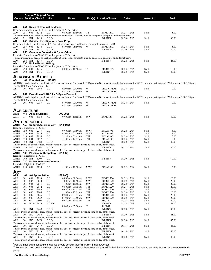|                                                 |                    |            | Course Title (+IAI Code) <sup>1</sup><br><b>Course Section Class # Units</b> |                                         | <b>Times</b>                                                                                           |            | Day(s) Location/Room                                                                                                      | <b>Dates</b>                       | Instructor     | Fee <sup>2</sup>                                                                                                                                                              |  |
|-------------------------------------------------|--------------------|------------|------------------------------------------------------------------------------|-----------------------------------------|--------------------------------------------------------------------------------------------------------|------------|---------------------------------------------------------------------------------------------------------------------------|------------------------------------|----------------|-------------------------------------------------------------------------------------------------------------------------------------------------------------------------------|--|
|                                                 |                    |            |                                                                              |                                         |                                                                                                        |            |                                                                                                                           |                                    |                |                                                                                                                                                                               |  |
| AOJ                                             |                    |            |                                                                              | 251 Rules of Criminal Evidence          | Requisite: Completion of ENG 101 with a grade of "C" or better                                         |            |                                                                                                                           |                                    |                |                                                                                                                                                                               |  |
| AOJ                                             | 251 001            |            | 1212                                                                         | 3.0                                     | 08:00am - 10:50am                                                                                      | Th         | <b>BCMC1512</b>                                                                                                           | $08/25 - 12/15$                    | Staff          | 5.00                                                                                                                                                                          |  |
|                                                 |                    |            |                                                                              |                                         |                                                                                                        |            | This course requires access to a reliable internet connection. Students must be competent computer and internet users.    |                                    |                |                                                                                                                                                                               |  |
| AOJ<br>AOJ                                      | 251 IN1            |            | 1420                                                                         | 3.0 OI                                  | 255 Criminal Investigation - Case Prep.                                                                |            | <b>INETN/R</b>                                                                                                            | $08/20 - 12/15$                    | Staff          | 30.00                                                                                                                                                                         |  |
|                                                 |                    |            |                                                                              |                                         |                                                                                                        |            | Requisite: ENG 101 with a grade of "C" or better, concurrent enrollment in or completion of AOJ 203                       |                                    |                |                                                                                                                                                                               |  |
| AOJ                                             | 255 001            |            | 1214                                                                         | 3.0 E                                   | 06:00pm - 08:50pm                                                                                      | W          | <b>BCMC1512</b>                                                                                                           | 08/24 - 12/14                      | Staff          | 5.00                                                                                                                                                                          |  |
| AOJ                                             | 255 IN1            |            | 1421                                                                         | 3.0 OI                                  |                                                                                                        |            | <b>INETN/R</b>                                                                                                            | $08/20 - 12/15$                    | Staff          | 30.00                                                                                                                                                                         |  |
| AOJ                                             |                    |            |                                                                              |                                         | 258 Computer Forensics & Cyber Crime<br>Requisite: Completion of ENG 101 with a grade of "C" or better |            |                                                                                                                           |                                    |                |                                                                                                                                                                               |  |
|                                                 |                    |            |                                                                              |                                         |                                                                                                        |            | This course requires access to a reliable internet connection. Students must be competent computer and internet users.    |                                    |                |                                                                                                                                                                               |  |
| AOJ                                             | 258 IN1            |            | 1385                                                                         | 3.0 OI                                  |                                                                                                        |            | <b>INETN/R</b>                                                                                                            | $08/22 - 12/15$                    | Staff          | 25.00                                                                                                                                                                         |  |
| LOA                                             |                    |            | 290 Police Report Writing                                                    |                                         | Requisite: Completion of ENG 101 with a grade of "C" or better                                         |            |                                                                                                                           |                                    |                |                                                                                                                                                                               |  |
| AOJ                                             | 290 001            |            | 1215                                                                         | 3.0                                     | 08:00am-10:50am                                                                                        | T          | <b>BCMC1512</b>                                                                                                           | $08/23 - 12/06$                    | Staff          | 10.00                                                                                                                                                                         |  |
| AOJ                                             | 290 IN1            |            | 1435                                                                         | 3.0 OI                                  |                                                                                                        |            | <b>INETN/R</b>                                                                                                            | $08/22 - 12/15$                    | Staff          | 35.00                                                                                                                                                                         |  |
|                                                 |                    |            | <b>AEROSPACE STUDIES</b>                                                     |                                         |                                                                                                        |            |                                                                                                                           |                                    |                |                                                                                                                                                                               |  |
| AS                                              |                    |            |                                                                              | 101 Foundations of USAF I               |                                                                                                        |            |                                                                                                                           |                                    |                |                                                                                                                                                                               |  |
|                                                 |                    |            |                                                                              |                                         |                                                                                                        |            |                                                                                                                           |                                    |                | AFROTC Leadership Lab (applies to all Aerospace Studies Air Force ROTC courses) No university credit, but required for ROTC program participation. Wednesdays, 3:00-3:50 p.m. |  |
|                                                 |                    |            | Tegeler Hall Main Auditorium, SLU.                                           |                                         |                                                                                                        |            |                                                                                                                           |                                    |                |                                                                                                                                                                               |  |
| AS                                              | 101 001            |            | 2060                                                                         | 2.0                                     | $02:00$ pm - $03:00$ pm<br>$03:30$ pm - $05:30$ pm                                                     | W<br>W     | STLUNIVRM<br><b>STLUNIVRM</b>                                                                                             | $08/24 - 12/14$                    | Staff          | 0.00                                                                                                                                                                          |  |
| AS                                              |                    |            |                                                                              |                                         | 201 Evolution of USAF Air & Space Power 1                                                              |            |                                                                                                                           |                                    |                |                                                                                                                                                                               |  |
|                                                 |                    |            |                                                                              |                                         |                                                                                                        |            |                                                                                                                           |                                    |                | AFROTC Leadership Lab (applies to all Aerospace Studies Air Force ROTC courses) No university credit, but required for ROTC program participation. Wednesdays, 3:00-3:50 p.m. |  |
|                                                 | 201 001            |            | Tegeler Hall Main Auditorium, SLU.                                           |                                         |                                                                                                        | W          | <b>STLUNIVRM</b>                                                                                                          |                                    | Staff          | 0.00                                                                                                                                                                          |  |
| AS                                              |                    |            | 2355                                                                         | 2.0                                     | $01:00$ pm - $02:00$ pm<br>$03:30$ pm - $05:30$ pm                                                     | W          | <b>STLUNIVRM</b>                                                                                                          | $08/24 - 12/14$                    |                |                                                                                                                                                                               |  |
|                                                 |                    |            |                                                                              |                                         |                                                                                                        |            |                                                                                                                           |                                    |                |                                                                                                                                                                               |  |
| <b>AGRICULTURE</b>                              |                    |            |                                                                              |                                         |                                                                                                        |            |                                                                                                                           |                                    |                |                                                                                                                                                                               |  |
| AGRI<br>AGRI                                    | 111 001            |            | 111 Animal Science<br>3154                                                   | 4.0                                     | (AG 902)<br>09:00am - 11:15am                                                                          | MW         | <b>BCMC1517</b>                                                                                                           | $08/22 - 12/15$                    | Staff          | 60.00                                                                                                                                                                         |  |
|                                                 |                    |            |                                                                              |                                         |                                                                                                        |            |                                                                                                                           |                                    |                |                                                                                                                                                                               |  |
| <b>ANTHROPOLOGY</b>                             |                    |            |                                                                              |                                         |                                                                                                        |            |                                                                                                                           |                                    |                |                                                                                                                                                                               |  |
| ANTH                                            |                    |            | 150 Cultural Anthropology                                                    |                                         | (S1 901N)                                                                                              |            |                                                                                                                           |                                    |                |                                                                                                                                                                               |  |
| Requisite: Eligible for ENG 101<br>ANTH         | 150                | - 001      | 2373                                                                         | 3.0                                     | 09:00am - 09:50am                                                                                      | <b>MWF</b> | <b>BCLA1106</b>                                                                                                           | $08/22 - 12/14$                    | Staff          | 5.00                                                                                                                                                                          |  |
| ANTH                                            | 150 002            |            | 2035                                                                         | 3.0                                     | $01:00$ pm - $01:50$ pm                                                                                | <b>MWF</b> | <b>BCLA1106</b>                                                                                                           | $08/22 - 12/14$                    | Staff          | 5.00                                                                                                                                                                          |  |
| ANTH                                            | 150                | 003        | 2036                                                                         | 3.0                                     | $12:30$ pm - 01:45pm                                                                                   | TTh        | <b>BCLA1106</b>                                                                                                           | $08/23 - 12/15$                    | Staff          | 5.00                                                                                                                                                                          |  |
| ANTH<br>ANTH                                    | 150 004<br>150 IN1 |            | 2037<br>2484                                                                 | 3.0<br>3.0 OI                           | 11:00am - 12:15pm                                                                                      | TTh        | <b>BCLA1106</b><br><b>INETN/R</b>                                                                                         | $08/23 - 12/15$<br>$08/20 - 12/15$ | Staff<br>Staff | 5.00<br>30.00                                                                                                                                                                 |  |
|                                                 |                    |            |                                                                              |                                         |                                                                                                        |            | This course is an asynchronous, online course that does not meet at a specific time or day of the week.                   |                                    |                |                                                                                                                                                                               |  |
| ANTH 150 IN2                                    |                    |            | 2568                                                                         | 3.0 OI                                  |                                                                                                        |            | <b>INETN/R</b>                                                                                                            | $09/17 - 12/15$                    | Staff          | 30.00                                                                                                                                                                         |  |
|                                                 |                    |            |                                                                              |                                         |                                                                                                        |            | This course is an asynchronous, online course that does not meet at a specific time or day of the week.                   |                                    |                |                                                                                                                                                                               |  |
| Requisite: Eligible for ENG 101                 |                    |            |                                                                              | ANTH 160 Physical Anthropology (S1 902) |                                                                                                        |            |                                                                                                                           |                                    |                |                                                                                                                                                                               |  |
| ANTH                                            | 160 IN1            |            | 3209                                                                         | 3.0                                     |                                                                                                        |            | <b>INETN/R</b>                                                                                                            | $08/20 - 12/15$                    | Staff          | 30.00                                                                                                                                                                         |  |
| ANTH                                            |                    |            |                                                                              | 210 Native American Cultures            |                                                                                                        |            |                                                                                                                           |                                    |                |                                                                                                                                                                               |  |
| Requisite: Eligible for ENG 101<br>ANTH 210 001 |                    |            | 2038                                                                         | 3.0                                     | 11:00am - 11:50am                                                                                      | <b>MWF</b> | <b>BCLA1106</b>                                                                                                           | $08/22 - 12/14$                    | Staff          | 5.00                                                                                                                                                                          |  |
|                                                 |                    |            |                                                                              |                                         |                                                                                                        |            |                                                                                                                           |                                    |                |                                                                                                                                                                               |  |
| ART                                             |                    |            |                                                                              |                                         |                                                                                                        |            |                                                                                                                           |                                    |                |                                                                                                                                                                               |  |
| ART                                             |                    |            | 101 Art Appreciation                                                         |                                         | (F2 900)                                                                                               |            |                                                                                                                           |                                    |                |                                                                                                                                                                               |  |
| ART<br>ART                                      | 101<br>101         | 001<br>002 | 2039<br>2040                                                                 | 3.0<br>3.0                              | 09:00am - 09:50am<br>10:00am - 10:50am                                                                 | MWF<br>MWF | <b>BCMC1220</b><br>BCMC1220                                                                                               | $08/22 - 12/14$<br>08/22 - 12/14   | Staff<br>Staff | 20.00<br>20.00                                                                                                                                                                |  |
| ART                                             | 101                | 003        | 2041                                                                         | 3.0                                     | 11:00am - 11:50am                                                                                      | <b>MWF</b> | <b>BCMC1220</b>                                                                                                           | 08/22 - 12/14                      | Staff          | 20.00                                                                                                                                                                         |  |
| ART                                             | 101                | 004        | 2042                                                                         | 3.0                                     | 08:00am - 09:15am                                                                                      | TTh        | BCMC1220                                                                                                                  | 08/23 - 12/15                      | Staff          | 20.00                                                                                                                                                                         |  |
| ART                                             | 101                | 005<br>006 | 2043<br>2044                                                                 | 3.0                                     | 09:30am - 10:45am<br>11:00am - 12:15pm                                                                 | TTh<br>TTh | <b>BCMC1220</b>                                                                                                           | $08/23 - 12/15$                    | Staff          | 20.00                                                                                                                                                                         |  |
| ART<br>ART                                      | 101<br>101         | 007        | 2045                                                                         | 3.0<br>3.0                              | 02:00pm - 03:15pm                                                                                      | TTh        | BCMC1220<br><b>BCMC1220</b>                                                                                               | 08/23 - 12/15<br>08/23 - 12/15     | Staff<br>Staff | 20.00<br>20.00                                                                                                                                                                |  |
| ART                                             | 101                | 008        | 2569                                                                         | 3.0                                     | $01:00$ pm - $01:50$ pm                                                                                | MWF        | <b>BCMC1220</b>                                                                                                           | 08/22 - 12/14                      | Staff          | 20.00                                                                                                                                                                         |  |
| ART                                             | 101                | 080        | 2605                                                                         | 3.0                                     | 09:30am - 10:45am                                                                                      | TTh        | RBC229                                                                                                                    | $08/23 - 12/15$                    | Staff          | 20.00                                                                                                                                                                         |  |
| ART                                             | 101                | HY1S 2639  |                                                                              | 3.0 HY                                  |                                                                                                        | T          | <b>INETN/R</b>                                                                                                            | $08/23 - 10/13$                    | Staff          | 45.00                                                                                                                                                                         |  |
| ART                                             | 101 IN1            |            | 2449                                                                         | 3.0 OI                                  | 05:00pm - 07:50pm                                                                                      |            | SAFB91<br><b>INETN/R</b>                                                                                                  | $08/20 - 12/15$                    | Staff          | 45.00                                                                                                                                                                         |  |
|                                                 |                    |            |                                                                              |                                         |                                                                                                        |            | This course is an asynchronous, online course that does not meet at a specific time or day of the week.                   |                                    |                |                                                                                                                                                                               |  |
| ART                                             | 101 IN2            |            | 2454                                                                         | 3.0 OI                                  |                                                                                                        |            | <b>INETN/R</b>                                                                                                            | $08/20 - 12/15$                    | Staff          | 45.00                                                                                                                                                                         |  |
| ART                                             | 101 IN3            |            | 2470                                                                         | 3.0 OI                                  |                                                                                                        |            | This course is an asynchronous, online course that does not meet at a specific time or day of the week.<br><b>INETN/R</b> | $08/20 - 12/15$                    | Staff          | 45.00                                                                                                                                                                         |  |
|                                                 |                    |            |                                                                              |                                         |                                                                                                        |            | This course is an asynchronous, online course that does not meet at a specific time or day of the week.                   |                                    |                |                                                                                                                                                                               |  |
| ART                                             | 101 IN4            |            | 2477                                                                         | 3.0 OI                                  |                                                                                                        |            | <b>INETN/R</b>                                                                                                            | $10/15 - 12/15$                    | Staff          | 45.00                                                                                                                                                                         |  |
|                                                 |                    |            |                                                                              |                                         |                                                                                                        |            | This course is an asynchronous, online course that does not meet at a specific time or day of the week.                   |                                    |                |                                                                                                                                                                               |  |
| ART                                             | 101 IN5            |            | 2529                                                                         | 3.0 OI                                  |                                                                                                        |            | <b>INETN/R</b><br>This course is an asynchronous, online course that does not meet at a specific time or day of the week. | $10/15 - 12/15$                    | Staff          | 45.00                                                                                                                                                                         |  |
| ART                                             | 101 IN6            |            | 2046                                                                         | 3.0 OI                                  |                                                                                                        |            | <b>INETN/R</b>                                                                                                            | $08/20 - 12/15$                    | Staff          | 45.00                                                                                                                                                                         |  |
|                                                 |                    |            |                                                                              |                                         |                                                                                                        |            | This course is an asynchronous, online course that does not meet at a specific time or day of the week.                   |                                    |                |                                                                                                                                                                               |  |

#### **Southwestern Illinois College 7 Fall 2022**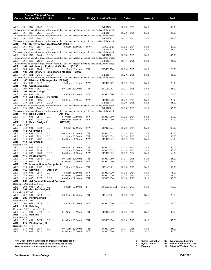|                           |            |                    | Course Title (+IAI Code) <sup>1</sup><br><b>Course Section Class # Units</b> |                                               |                                                                                                                                 |            | Day(s) Location/Room               | <b>Dates</b>                       |                | Fee <sup>2</sup> |
|---------------------------|------------|--------------------|------------------------------------------------------------------------------|-----------------------------------------------|---------------------------------------------------------------------------------------------------------------------------------|------------|------------------------------------|------------------------------------|----------------|------------------|
|                           |            |                    |                                                                              |                                               | Times                                                                                                                           |            |                                    |                                    | Instructor     |                  |
| ART                       |            | 101 IN7            | 2047                                                                         | 3.0 OI                                        |                                                                                                                                 |            | <b>INETN/R</b>                     | $08/20 - 12/15$                    | Staff          | 45.00            |
|                           |            |                    |                                                                              |                                               | This course is an asynchronous, online course that does not meet at a specific time or day of the week.                         |            |                                    |                                    |                |                  |
| ART                       |            | 101 IN8            | 2521                                                                         | 3.0 OI                                        |                                                                                                                                 |            | <b>INETN/R</b>                     | $08/20 - 12/15$                    | Staff          | 45.00            |
| ART                       |            | 101 IN9            | 2642                                                                         | 3.0 OI                                        | This course is an asynchronous, online course that does not meet at a specific time or day of the week.                         |            | <b>INETN/R</b>                     | $09/17 - 12/15$                    | Staff          | 45.00            |
|                           |            |                    |                                                                              |                                               | This course is an asynchronous, online course that does not meet at a specific time or day of the week.                         |            |                                    |                                    |                |                  |
| ART<br>ART                | 103        | 060                | 2553                                                                         | 103 Survey of Non-Western Art(F2 903N)<br>3.0 | 10:00am - 10:50am                                                                                                               | <b>MWF</b> | SWGCC520                           | $08/22 - 12/14$                    | Staff          | 20.00            |
| ART                       | 103        | IN1                | 2461                                                                         | 3.0 OI                                        |                                                                                                                                 |            | <b>INETN/R</b>                     | $08/20 - 12/15$                    | Staff          | 45.00            |
|                           |            |                    |                                                                              |                                               | This course is an asynchronous, online course that does not meet at a specific time or day of the week.                         |            |                                    |                                    |                |                  |
| ART                       |            | 103 IN2            | 2444                                                                         | 3.0 OI                                        | This course is an asynchronous, online course that does not meet at a specific time or day of the week.                         |            | <b>INETN/R</b>                     | $08/20 - 12/15$                    | Staff          | 45.00            |
| ART                       |            | 103 IN3            | 2656                                                                         | 3.0 OI                                        |                                                                                                                                 |            | <b>INETN/R</b>                     | $09/17 - 12/15$                    | Staff          | 45.00            |
| ART                       | 104        |                    |                                                                              | Art History I: Prehistoric-Gothic             | This course is an asynchronous, online course that does not meet at a specific time or day of the week.<br>(F <sub>2</sub> 901) |            |                                    |                                    |                |                  |
| ART                       | 104        | 001                | 2048                                                                         | 3.0                                           | $12:30$ pm - 01:45pm                                                                                                            | TTh        | <b>BCMC1220</b>                    | $08/23 - 12/15$                    | Staff          | 20.00            |
| ART                       | 105        | IN1                | 2456                                                                         |                                               | 105 Art History II: Renaissance-Modern (F2 902)                                                                                 |            | <b>INETN/R</b>                     |                                    |                |                  |
| ART                       |            |                    |                                                                              | 3.0 OI                                        | This course is an asynchronous, online course that does not meet at a specific time or day of the week.                         |            |                                    | $08/20 - 12/15$                    | Staff          | 45.00            |
| ART                       | 106        |                    |                                                                              | History of Photography (F2 904)               |                                                                                                                                 |            |                                    |                                    |                |                  |
| ART<br>ART                | 106<br>107 | 001                | 2417<br><b>Graphic Design I</b>                                              | 3.0                                           | $12:00 \text{pm} - 01:15 \text{pm}$                                                                                             | MW         | <b>BCMC1362</b>                    | $08/22 - 12/14$                    | Staff          | 20.00            |
| ART                       | 107        | 001                | 2631                                                                         | 3.0                                           | 09:30am - 12:20pm                                                                                                               | TTh        | <b>BCLA1200</b>                    | $08/23 - 12/15$                    | Staff          | 25.00            |
| ART<br>ART                | 108<br>108 | 001                | Printmaking I<br>2632                                                        | 3.0                                           | $10:00$ am - 12:50pm                                                                                                            | MW         | <b>BCMC1080</b>                    | $08/22 - 12/14$                    | Staff          | 25.00            |
| ART                       | 110        |                    |                                                                              | Art & Gender (F2 907D)                        |                                                                                                                                 |            |                                    |                                    |                |                  |
| ART                       | 110        | 001                | 2606                                                                         | 3.0                                           | 08:00am - 08:50am                                                                                                               | <b>MWF</b> | <b>BCMC1220</b>                    | $08/22 - 12/14$                    | Staff          | 20.00            |
| ART                       | 110        | IN1                | 2464                                                                         | 3.0 OI                                        | This course is an asynchronous, online course that does not meet at a specific time or day of the week.                         |            | <b>INETN/R</b>                     | $08/20 - 12/15$                    | Staff          | 45.00            |
| <b>ART</b>                |            | 110 IN2            | 2462                                                                         | 3.0                                           |                                                                                                                                 |            | <b>INETN/R</b>                     | $08/20 - 12/15$                    | Staff          | 45.00            |
| ART                       | 111        |                    | <b>Basic Design I</b>                                                        |                                               | This course is an asynchronous, online course that does not meet at a specific time or day of the week.<br>(ART 907)            |            |                                    |                                    |                |                  |
| ART                       | 111        | 001                | 2581                                                                         | 3.0                                           | $01:00$ pm - $03:50$ pm                                                                                                         | MW         | <b>BCMC1000</b>                    | $08/22 - 12/14$                    | Staff          | 40.00            |
| ART                       | 111        | 002                | 2049                                                                         | 3.0                                           | 09:00am - 11:50am                                                                                                               | MW         | BCMC1000                           | $08/22 - 12/14$                    | Staff          | 40.00            |
| ART<br>Requisite: ART 111 |            |                    | 112 Basic Design II                                                          |                                               | (ART 908)                                                                                                                       |            |                                    |                                    |                |                  |
| ART                       | 112        | 001                | 3122                                                                         | 3.0                                           | 10:00am - 12:50pm                                                                                                               | MW         | <b>BCMC1023</b>                    | $08/22 - 12/14$                    | Staff          | 40.00            |
| ART<br>ART                | 113        | 001                | 113 Ceramics I<br>2050                                                       | 3.0                                           | 09:30am - 12:20pm                                                                                                               | TTh        | <b>BCMC1023</b>                    | $08/23 - 12/15$                    | Staff          | 60.00            |
| ART                       | 113        | 002                | 2051                                                                         | 3.0                                           | $12:30 \text{pm} - 03:20 \text{pm}$                                                                                             | TTh        | <b>BCMC1023</b>                    | $08/23 - 12/15$                    | Staff          | 60.00            |
| ART                       | 113        | 003                | 2607                                                                         | 3.0 E                                         | $06:00 \text{pm} - 08:50 \text{pm}$                                                                                             | MW         | BCMC1023                           | $08/22 - 12/14$                    | Staff          | 60.00            |
| ART<br>Requisite: ART 113 |            |                    | 114 Ceramics II                                                              |                                               |                                                                                                                                 |            |                                    |                                    |                |                  |
| ART                       | 114        | 001                | 2052                                                                         | 3.0                                           | 09:30am - 12:20pm                                                                                                               | TTh        | <b>BCMC1023</b>                    | $08/23 - 12/15$                    | Staff          | 60.00            |
| ART<br>ART                | 114<br>114 | 002<br>003         | 2053<br>2608                                                                 | 3.0<br>3.0 E                                  | $12:30$ pm - 03:20pm<br>06:00pm - 08:50pm                                                                                       | TTh<br>MW  | <b>BCMC1023</b><br><b>BCMC1023</b> | $08/23 - 12/15$<br>$08/22 - 12/14$ | Staff<br>Staff | 60.00<br>60.00   |
| ART                       | 116        |                    | Photography I                                                                |                                               |                                                                                                                                 |            |                                    |                                    |                |                  |
| ART                       | 116        | 001                | 2054                                                                         | 3.0                                           | 09:30am - 12:20pm                                                                                                               | TTh        | <b>BCMC1080</b>                    | $08/23 - 12/15$                    | Staff          | 45.00            |
| ART<br>ART                | 116<br>120 | 002                | 2611                                                                         | 3.0<br><b>Introduction to Computer Art</b>    | $01:00$ pm - $03:50$ pm                                                                                                         | MW         | <b>BCMC1080</b>                    | $08/22 - 12/14$                    | Staff          | 45.00            |
| ART                       | 120        | 001                | 2582                                                                         | 3.0                                           | $12:30$ pm - $03:20$ pm                                                                                                         | TTh        | <b>BCLA1200</b>                    | $08/23 - 12/15$                    | Staff          | 35.00            |
| ART<br>ART                | 150<br>150 | 001                | Drawing I<br>2575                                                            | (ART 904)<br>3.0                              | $10:00$ am - 12:50pm                                                                                                            | MW         | <b>BCMC1020</b>                    | $08/22 - 12/14$                    | Staff          | 35.00            |
| ART                       | 150        | 002                | 2576                                                                         | 3.0                                           | $01:00$ pm - $03:50$ pm                                                                                                         | МW         | BCMC1020                           | $08/22 - 12/14$                    | Staff          | 35.00            |
| ART                       |            |                    | 150 003 2577                                                                 | 3.0 E<br>200 Art Presentation and Portfolio   | $06:00 \text{pm} - 08:50 \text{pm}$                                                                                             | TTh        | <b>BCMC1020</b>                    | $08/23 - 12/15$                    | Staff          | 35.00            |
| ART                       |            |                    | Requisite: One studio art class                                              |                                               |                                                                                                                                 |            |                                    |                                    |                |                  |
| ART                       |            | 200 001            | 2615                                                                         | 3.0                                           | 10:00am - 03:50pm                                                                                                               | F          | <b>BCSACSTUDI</b>                  | $08/26 - 12/09$                    | Staff          | 30.00            |
| ART<br>Requisite: ART 107 |            |                    | 207 Graphic Design II                                                        |                                               |                                                                                                                                 |            |                                    |                                    |                |                  |
| ART                       |            | 207 001            | 2633                                                                         | 3.0                                           | 09:30am-12:20pm                                                                                                                 | TTh        | <b>BCLA1200</b>                    | $08/23 - 12/15$                    | Staff          | 25.00            |
| ART                       |            |                    | 208 Printmaking II                                                           |                                               |                                                                                                                                 |            |                                    |                                    |                |                  |
| Requisite: ART 108<br>ART | 208        | - 001              | 2634                                                                         | 3.0                                           | 10:00am - 12:50pm                                                                                                               | MW         | <b>BCMC1080</b>                    | $08/22 - 12/14$                    | Staff          | 25.00            |
| ART                       |            | 211 Painting I     |                                                                              |                                               |                                                                                                                                 |            |                                    |                                    |                |                  |
| ART                       |            | 211 001            | Requisite: ART 111 or ART 150<br>2478                                        | 3.0                                           | $01:00$ pm - $03:50$ pm                                                                                                         | TTh        | <b>BCMC1020</b>                    | $08/23 - 12/15$                    | Staff          | 45.00            |
| ART                       |            | 212 Painting II    |                                                                              |                                               |                                                                                                                                 |            |                                    |                                    |                |                  |
| Requisite: ART 211        |            |                    |                                                                              |                                               |                                                                                                                                 |            |                                    |                                    |                |                  |
| ART<br>ART                |            | 212 001            | 2479<br>217 Photography II                                                   | 3.0                                           | $01:00$ pm - $03:50$ pm                                                                                                         | TTh        | <b>BCMC1020</b>                    | $08/23 - 12/15$                    | Staff          | 45.00            |
| Requisite: ART 116        |            |                    |                                                                              |                                               |                                                                                                                                 |            |                                    |                                    |                |                  |
| ART<br>ART                |            | 217 001<br>217 002 | 2055<br>2612                                                                 | 3.0<br>3.0                                    | 09:30am-12:20pm<br>$01:00$ pm - $03:50$ pm                                                                                      | TTh<br>MW  | <b>BCMC1080</b><br><b>BCMC1080</b> | $08/23 - 12/15$<br>$08/22 - 12/14$ | Staff<br>Staff | 45.00<br>45.00   |
|                           |            |                    |                                                                              |                                               |                                                                                                                                 |            |                                    |                                    |                |                  |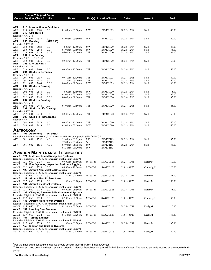| Course Title (+IAI Code) <sup>1</sup><br><b>Course Section Class # Units</b>                                 | <b>Times</b>                                                   |               | Day(s) Location/Room               | Dates                              | Instructor     | Fee <sup>2</sup> |
|--------------------------------------------------------------------------------------------------------------|----------------------------------------------------------------|---------------|------------------------------------|------------------------------------|----------------|------------------|
|                                                                                                              |                                                                |               |                                    |                                    |                |                  |
|                                                                                                              |                                                                |               |                                    |                                    |                |                  |
| ART<br>218 Introduction to Sculpture<br>2586<br>ART<br>218<br>001<br>3.0                                     | $01:00$ pm - $03:50$ pm                                        | MW            | <b>BCMC1023</b>                    | $08/22 - 12/14$                    | Staff          | 40.00            |
| ART<br>219 Sculpture II<br>Requisite: ART 218                                                                |                                                                |               |                                    |                                    |                |                  |
| 219<br>001<br>3.0<br>ART<br>2587                                                                             | $01:00$ pm - $03:50$ pm                                        | MW            | <b>BCMC1023</b>                    | $08/22 - 12/14$                    | Staff          | 40.00            |
| ART<br>250 Drawing II<br>(ART 905)                                                                           |                                                                |               |                                    |                                    |                |                  |
| Requisite: ART 150<br>250<br>001<br>3.0<br>ART<br>2583                                                       | $10:00$ am - 12:50pm                                           | MW            | <b>BCMC1020</b>                    | $08/22 - 12/14$                    | Staff          | 35.00            |
| 002<br>2584<br>ART<br>250<br>3.0                                                                             | $01:00$ pm - $03:50$ pm                                        | MW            | <b>BCMC1020</b>                    | $08/22 - 12/14$                    | Staff          | 35.00            |
| 003<br>2585<br>ART<br>250<br>3.0 E<br>ART<br>252 Life Drawing                                                | $06:00$ pm - $08:50$ pm                                        | TTh           | <b>BCMC1020</b>                    | $08/23 - 12/15$                    | Staff          | 35.00            |
| Requisite: ART 111, ART 150                                                                                  |                                                                |               |                                    |                                    |                |                  |
| 252<br>001<br>ART<br>2056<br>3.0<br>ART<br>253 Life Drawing II                                               | 09:30am - 12:20pm                                              | TTh           | <b>BCMC1020</b>                    | $08/23 - 12/15$                    | Staff          | 55.00            |
| Requisite: ART 252                                                                                           |                                                                |               |                                    |                                    |                |                  |
| 253<br>001<br>2403<br>ART<br>3.0<br>ART<br><b>Studio in Ceramics</b><br>291                                  | 09:30am - 12:20pm                                              | TTh           | <b>BCMC1020</b>                    | $08/23 - 12/15$                    | Staff          | 55.00            |
| Requisite: ART 114                                                                                           |                                                                |               |                                    |                                    |                |                  |
| 001<br>3.0<br>ART<br>291<br>2057<br>002<br>2058<br>3.0<br>ART<br>291                                         | 09:30am - 12:20pm<br>$12:30$ pm - 03:20pm                      | TTh<br>TTh    | <b>BCMC1023</b><br><b>BCMC1023</b> | $08/23 - 12/15$<br>$08/23 - 12/15$ | Staff<br>Staff | 60.00<br>60.00   |
| 003<br>291<br>2609<br>3.0 <sub>E</sub><br>ART                                                                | $06:00$ pm - $08:50$ pm                                        | MW            | <b>BCMC1023</b>                    | $08/22 - 12/14$                    | Staff          | 60.00            |
| ART<br>292 Studio in Drawing<br>Requisite: ART 250                                                           |                                                                |               |                                    |                                    |                |                  |
| 292<br>001<br>2578<br>3.0<br>ART                                                                             | $10:00$ am - 12:50pm                                           | MW            | <b>BCMC1020</b>                    | $08/22 - 12/14$                    | Staff          | 35.00            |
| 292<br>002<br>2579<br>3.0<br>ART                                                                             | $01:00$ pm - $03:50$ pm                                        | MW            | <b>BCMC1020</b>                    | $08/22 - 12/14$                    | Staff          | 35.00            |
| 003<br>2580<br>3.0 <sub>E</sub><br>ART<br>292<br>294 Studio in Painting<br>ART                               | $06:00 \text{pm} - 08:50 \text{pm}$                            | TTh           | <b>BCMC1020</b>                    | $08/23 - 12/15$                    | Staff          | 35.00            |
| Requisite: ART 212                                                                                           |                                                                |               |                                    |                                    |                |                  |
| 001<br>2480<br>ART<br>294<br>3.0<br>297 Studio in Life Drawing<br>ART                                        | $01:00$ pm - $03:50$ pm                                        | TTh           | <b>BCMC1020</b>                    | $08/23 - 12/15$                    | Staff          | 45.00            |
| Requisite: ART 253                                                                                           |                                                                |               |                                    |                                    |                |                  |
| 297<br>001<br>2410<br>ART<br>3.0<br>ART<br>298 Studio in Photography                                         | 09:30am - 12:20pm                                              | TTh           | <b>BCMC1020</b>                    | $08/23 - 12/15$                    | Staff          | 55.00            |
| Requisite: ART 217                                                                                           |                                                                |               |                                    |                                    |                |                  |
| 298<br>001<br>2059<br>3.0<br>ART<br>298<br>002<br>2613<br>3.0                                                | 09:30am - 12:20pm                                              | TTh           | <b>BCMC1080</b>                    | $08/23 - 12/15$                    | Staff          | 40.00<br>40.00   |
| ART                                                                                                          | $01:00$ pm - $03:50$ pm                                        | MW            | <b>BCMC1080</b>                    | $08/22 - 12/14$                    | Staff          |                  |
| <b>ASTRONOMY</b><br>ATY<br>101 Astronomy<br>(P1 906L)                                                        |                                                                |               |                                    |                                    |                |                  |
| Requisite: Eligible for MATH 97, MATH 107, MATH 111 or higher; Eligible for ENG 97                           |                                                                |               |                                    |                                    |                |                  |
| 001<br>1752<br>ATY<br>101<br>4.0                                                                             | $12:00 \text{pm} - 01:15 \text{pm}$                            | МF            | <b>BCMC2103</b>                    | $08/22 - 12/14$                    | Staff          | 35.00            |
| <b>ATY</b><br>101<br>002<br>1856<br>4.0 E                                                                    | $12:00 \text{pm} - 01:40 \text{pm}$<br>$07:00$ pm - $08:15$ pm | W<br>MW       | <b>BCMC2103</b><br><b>BCMC2103</b> | $08/22 - 12/14$                    | Staff          | 35.00            |
|                                                                                                              | $08:30$ pm - $09:20$ pm                                        | MW            | <b>BCMC2103</b>                    |                                    |                |                  |
| <b>AVIATION MAINTENANCE TECHNOLOGY</b>                                                                       |                                                                |               |                                    |                                    |                |                  |
| AVMT<br>121 Instruments and Navigation Systems                                                               |                                                                |               |                                    |                                    |                |                  |
| Requisite: Eligible for ENG 97 or concurrent enrollment in ENG 94<br>AVMT<br>121<br>060<br>2725<br>3.0       | 09:00am - 10:50am                                              | <b>MTWThF</b> | SWGCC526                           | $08/25 - 10/31$                    | Harter, M      | 110.00           |
| 122 Fuel Systems, Inspection & Aircraft Rigging<br>AVMT                                                      |                                                                |               |                                    |                                    |                |                  |
| 122<br>060<br>2726<br>3.0<br>AVMT<br>126 Aircraft Non-Metallic Structures<br>AVMT                            | 09:00am - 10:50am                                              | MTWThF        | SWGCC526                           | $11/01 - 01/23$                    | Connelly, K    | 120.00           |
| Requisite: Eligible for ENG 97 or concurrent enrollment in ENG 94                                            |                                                                |               |                                    |                                    |                |                  |
| 3.0<br>AVMT<br>126 060<br>2727<br>AVMT<br>127 Aircraft Metallic Structures                                   | $11:30$ am - 01:20pm                                           | <b>MTWThF</b> | SWGCC526                           | $08/25 - 10/31$                    | Harter, M      | 135.00           |
| 2728<br>060<br>3.0<br>AVMT<br>127                                                                            | 11:30am - 01:20pm                                              | <b>MTWThF</b> | SWGCC526                           | $11/01 - 01/23$                    | Harter, M      | 150.00           |
| AVMT<br>131 Aircraft Electrical Systems<br>Requisite: Eligible for ENG 97 or concurrent enrollment in ENG 94 |                                                                |               |                                    |                                    |                |                  |
| <b>AVMT</b><br>131 060<br>2729<br>3.0                                                                        | 07:00am - 08:50am                                              | <b>MTWThF</b> | SWGCC526                           | $08/25 - 10/31$                    | Harter, M      | 135.00           |
| AVMT<br>132 Charging Systems & Environmental Systems                                                         |                                                                |               |                                    |                                    |                |                  |
| Requisite: Eligible for ENG 97 or concurrent enrollment in ENG 94<br>132 060<br>AVMT<br>2730<br>3.0          | 07:00am - 08:50am                                              | MTWThF        | SWGCC526                           | $11/01 - 01/23$                    | Connelly, K    | 135.00           |
| 136 Aircraft Fluid Power Systems<br>AVMT                                                                     |                                                                |               |                                    |                                    |                |                  |
| Requisite: Eligible for ENG 97 or concurrent enrollment in ENG 94<br>136 060<br>2731<br>3.0<br>AVMT          | $01:30$ pm - $03:20$ pm                                        | MTWThF        | SWGCC526                           | $08/25 - 10/31$                    | Dealy,M        | 110.00           |
| AVMT<br>137 Landing Gear Systems                                                                             |                                                                |               |                                    |                                    |                |                  |
| Requisite: Eligible for ENG 97 or concurrent enrollment in ENG 94<br>AVMT<br>137 060<br>2732<br>3.0          | $01:30$ pm - $03:20$ pm                                        | <b>MTWThF</b> | SWGCC526                           | $11/01 - 01/23$                    | Dealy,M        | 135.00           |
| <b>AVMT</b> 157 Turbine Engines                                                                              |                                                                |               |                                    |                                    |                |                  |
| Requisite: Eligible for ENG 97 or concurrent enrollment in ENG 94<br>AVMT<br>157 060<br>2733<br>3.0          | 11:30am - 01:20pm                                              | MTWThF        | SWGCC516                           | $08/25 - 10/31$                    | Harter, M      | 135.00           |
| AVMT<br>158 Ignition and Starting Systems                                                                    |                                                                |               |                                    |                                    |                |                  |
| Requisite: Eligible for ENG 97 or concurrent enrollment in ENG 94                                            |                                                                |               |                                    |                                    |                |                  |
| AVMT 158 060<br>2734<br>3.0                                                                                  | 11:30am - 01:20pm                                              | MTWThF        | SWGCC516                           | $11/01 - 01/23$                    | Dealy,M        | 150.00           |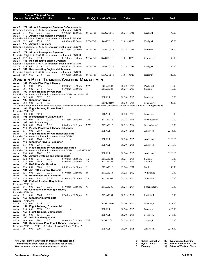|                             |                | Course Title (+IAI Code) <sup>1</sup> |                                                                      |                                                                                        |               |                      |                 |                                                                                                                                                                         |                  |  |
|-----------------------------|----------------|---------------------------------------|----------------------------------------------------------------------|----------------------------------------------------------------------------------------|---------------|----------------------|-----------------|-------------------------------------------------------------------------------------------------------------------------------------------------------------------------|------------------|--|
|                             |                | <b>Course Section Class # Units</b>   |                                                                      | <b>Times</b>                                                                           |               | Day(s) Location/Room | <b>Dates</b>    | Instructor                                                                                                                                                              | Fee <sup>2</sup> |  |
|                             |                |                                       |                                                                      |                                                                                        |               |                      |                 |                                                                                                                                                                         |                  |  |
| AVMT                        |                |                                       |                                                                      | 171 Aircraft Powerplant Systems & Components                                           |               |                      |                 |                                                                                                                                                                         |                  |  |
| AVMT                        | 171 060        | 2735                                  | 3.0                                                                  | Requisite: Eligible for ENG 97 or concurrent enrollment in ENG 94<br>09:00am - 10:50am | <b>MTWThF</b> | SWGCC516             | $08/25 - 10/31$ | Dealy, M                                                                                                                                                                | 90.00            |  |
| AVMT                        |                |                                       | 172 Aircraft Fuel Metering Systems                                   |                                                                                        |               |                      |                 |                                                                                                                                                                         |                  |  |
|                             |                |                                       |                                                                      | Requisite: Eligible for ENG 97 or concurrent enrollment in ENG 94<br>09:00am - 10:50am |               |                      |                 |                                                                                                                                                                         | 135.00           |  |
| AVMT<br>AVMT                | 172 060        | 2736<br>176 Aircraft Propellers       | 3.0                                                                  |                                                                                        | <b>MTWThF</b> | SWGCC516             | $11/01 - 01/23$ | Dealy,M                                                                                                                                                                 |                  |  |
|                             |                |                                       |                                                                      | Requisite: Eligible for ENG 97 or concurrent enrollment in ENG 94                      |               |                      |                 |                                                                                                                                                                         |                  |  |
| AVMT<br>AVMT                | 176 060        | 2737                                  | 3.0<br>177 Aircraft Powerplant Systems                               | $01:30$ pm - $03:20$ pm                                                                | <b>MTWThF</b> | SWGCC516             | $08/25 - 10/31$ | Harter, M                                                                                                                                                               | 135.00           |  |
|                             |                |                                       |                                                                      | Requisite: Eligible for ENG 97 or concurrent enrollment in ENG 94                      |               |                      |                 |                                                                                                                                                                         |                  |  |
| AVMT                        | 177 060        | 2738                                  | 3.0                                                                  | $01:30$ pm - $03:20$ pm                                                                | <b>MTWThF</b> | SWGCC516             | $11/01 - 01/23$ | Connelly, K                                                                                                                                                             | 135.00           |  |
| AVMT                        |                |                                       | 186 Reciprocating Engine Overhaul                                    | Requisite: Eligible for ENG 97 or concurrent enrollment in ENG 94                      |               |                      |                 |                                                                                                                                                                         |                  |  |
| AVMT                        | 186 060        | 2739                                  | 3.0                                                                  | 07:00am - 08:50am                                                                      | <b>MTWThF</b> | SWGCC516             | $08/25 - 10/31$ | Dealy,M                                                                                                                                                                 | 150.00           |  |
| AVMT                        |                |                                       | 187 Reciprocating Engine Maintenance                                 |                                                                                        |               |                      |                 |                                                                                                                                                                         |                  |  |
| AVMT 187 060                |                | 2740                                  | 3.0                                                                  | Requisite: Eligible for ENG 97 or concurrent enrollment in ENG 94<br>07:00am - 08:50am | <b>MTWThF</b> | SWGCC516             | $11/01 - 01/23$ | Harter, M                                                                                                                                                               | 120.00           |  |
|                             |                |                                       |                                                                      |                                                                                        |               |                      |                 |                                                                                                                                                                         |                  |  |
|                             |                |                                       | 101 Private Pilot Flight Theory                                      | AVIATION PILOT TRAINING/AVIATION MANAGEMENT                                            |               |                      |                 |                                                                                                                                                                         |                  |  |
| AVIA<br>AVIA                | 101            | 001<br>2896                           | 4.0                                                                  | $02:00$ pm - $03:50$ pm                                                                | MW            | <b>BCLA1204</b>      | 08/22 - 12/14   | Pavlisin, J                                                                                                                                                             | 10.00            |  |
| AVIA                        | 101            | 002<br>2713                           | 4.0 E                                                                | 06:00pm - 09:50pm                                                                      | T             | <b>BCLA1204</b>      | $08/23 - 12/13$ | Stake, E                                                                                                                                                                | 10.00            |  |
| AVIA                        |                |                                       | 102 Flight Training Private Part I                                   | Requisite: Concurrent enrollment in or completion of AVIA 101, AVIA 103                |               |                      |                 |                                                                                                                                                                         |                  |  |
| AVIA                        | 102 001        | 3072                                  | 2.0                                                                  |                                                                                        |               | <b>IDEAL1</b>        | 08/20 - 12/15   | Moseley, J                                                                                                                                                              | 0.00             |  |
| AVIA                        |                | 103 Simulator Private                 |                                                                      |                                                                                        |               |                      |                 |                                                                                                                                                                         |                  |  |
| AVIA                        | 103            | 001<br>2714                           | 1.0                                                                  |                                                                                        |               | <b>BCMC2160</b>      | $08/20 - 12/15$ | Mueller, K<br>All students enrolled in Flight Simulator course will be contacted during the first week of the semester to coordinate their simulator training schedule. | 425.00           |  |
| AVIA                        |                |                                       | 104 Flight Training Private Part II                                  |                                                                                        |               |                      |                 |                                                                                                                                                                         |                  |  |
| Requisite: AVIA 102         |                |                                       |                                                                      |                                                                                        |               |                      |                 |                                                                                                                                                                         |                  |  |
| AVIA<br>AVIA                | 104            | 001<br>3073                           | 3.0<br>105 Introduction to Civil Aviation                            |                                                                                        |               | <b>IDEAL1</b>        | $08/20 - 12/15$ | Moseley, J                                                                                                                                                              | 0.00             |  |
| AVIA                        | 105            | 001<br>2913                           | 3.0 E                                                                | 05:30pm - 06:45pm                                                                      | TTh           | <b>BCLA1216</b>      | $08/23 - 12/15$ | Richardson, M                                                                                                                                                           | 10.00            |  |
| AVIA                        | 108            | <b>Aviation History</b>               |                                                                      |                                                                                        |               |                      |                 |                                                                                                                                                                         |                  |  |
| AVIA<br>AVIA                | 108<br>111     | 001<br>2943                           | 3.0 E<br><b>Private Pilot Flight Theory Helicopter</b>               | $05:00$ pm - $06:15$ pm                                                                | MW            | <b>BCLA1216</b>      | 08/22 - 12/14   | Scheuchner, G                                                                                                                                                           | 10.00            |  |
| AVIA                        | 111            | 001<br>2989                           | 3.0                                                                  |                                                                                        |               | <b>IDEAL1</b>        | $08/20 - 12/15$ | Anderson, J                                                                                                                                                             | 2315.00          |  |
| AVIA                        |                |                                       | 112 Flight Training Private Helicopter Part I                        |                                                                                        |               |                      |                 |                                                                                                                                                                         |                  |  |
| AVIA                        | 112            | 001<br>2960                           | Requisite: Concurrent enrollment in or completion of AVIA 111<br>2.0 |                                                                                        |               | <b>IDEAL1</b>        | $08/20 - 12/15$ | Anderson, J                                                                                                                                                             | **** **          |  |
| AVIA                        | 113            |                                       | <b>Simulator Private Helicopter</b>                                  |                                                                                        |               |                      |                 |                                                                                                                                                                         |                  |  |
| AVIA<br>AVIA                | 113            | 001<br>2961                           | 1.0<br>114 Flight Training Private Helicopter Part II                |                                                                                        |               | <b>IDEAL1</b>        | $08/20 - 12/15$ | Anderson, J                                                                                                                                                             | 2119.50          |  |
|                             |                |                                       |                                                                      | Requisite: Concurrent enrollment in or completion of AVIA 111 and AVIA 112             |               |                      |                 |                                                                                                                                                                         |                  |  |
| AVIA                        | 114            | 001<br>2962                           | 2.0                                                                  |                                                                                        |               | <b>IDEAL1</b>        | $08/20 - 12/15$ | Anderson, J                                                                                                                                                             | **** **          |  |
| AVIA<br>AVIA                | 122            | 001<br>2715                           | 122 Aircraft Systems and Components<br>2.0 E                         | $07:00 \text{pm} - 08:50 \text{pm}$                                                    | Th            | <b>BCLA1204</b>      | $08/25 - 12/15$ | Stake, E                                                                                                                                                                | 10.00            |  |
| AVIA                        | 122            | 002<br>2946                           | 2.0 E                                                                | 05:00pm - 06:50pm                                                                      | Th            | <b>BCLA1204</b>      | $08/25 - 12/15$ | Stake, E                                                                                                                                                                | 10.00            |  |
| AVIA                        | 126            | <b>UAS Pilot Certification</b>        |                                                                      |                                                                                        |               |                      |                 |                                                                                                                                                                         |                  |  |
| AVIA<br>AVIA                | 126<br>131     | 001<br>3006                           | 1.0<br><b>Air Traffic Control Systems</b>                            | 08:00am - 04:30pm                                                                      | S             | <b>BCLA1216</b>      | $09/24 - 10/01$ | Staff                                                                                                                                                                   | 100.00           |  |
| AVIA                        | 131            | 001<br>2935                           | 3.0 E                                                                | $07:00$ pm - $09:50$ pm                                                                | М             | <b>BCLA1216</b>      | $08/22 - 12/12$ | Winston, R                                                                                                                                                              | 10.00            |  |
| AVIA                        |                |                                       | 133 Human Factors in Aviation                                        |                                                                                        |               |                      |                 |                                                                                                                                                                         |                  |  |
| AVIA<br>AVIA                | 133 001<br>141 | 2742                                  | 3.0 E<br><b>Federal Aviation Regulations</b>                         | 07:00pm - 09:50pm                                                                      | Th            | <b>BCLA1106</b>      | $08/25 - 12/15$ | Winston, R                                                                                                                                                              | 10.00            |  |
| Requisite: AVIA 101         |                |                                       |                                                                      |                                                                                        |               |                      |                 |                                                                                                                                                                         |                  |  |
| AVIA                        | 141            | 2927<br>001                           | 3.0 E<br>151 Commercial Pilot Flight Theory                          | $07:00$ pm - $09:50$ pm                                                                | W             | <b>BCLA1200</b>      | $08/24 - 12/14$ | Scheuchner, G                                                                                                                                                           | 10.00            |  |
| AVIA<br>Requisite: AVIA 101 |                |                                       |                                                                      |                                                                                        |               |                      |                 |                                                                                                                                                                         |                  |  |
| AVIA                        | 151            | 3005<br>001                           | 3.0 E                                                                | $07:00$ pm - $09:50$ pm                                                                | М             | <b>BCLA1204</b>      | $08/22 - 12/12$ | Pavlisin, J                                                                                                                                                             | 10.00            |  |
| AVIA<br>Requisite: AVIA 103 |                | 153 Simulator Intermediate            |                                                                      |                                                                                        |               |                      |                 |                                                                                                                                                                         |                  |  |
| AVIA                        | 153            | 001<br>2716                           | 1.0                                                                  |                                                                                        |               | <b>BCMC2160</b>      | $08/20 - 12/15$ | Mueller, K                                                                                                                                                              | 425.00           |  |
| AVIA                        | 154            |                                       | <b>Flight Training, Commercial I</b>                                 |                                                                                        |               |                      |                 |                                                                                                                                                                         |                  |  |
| AVIA<br>AVIA                | 154            | 001<br>3074                           | 3.0<br>155 Flight Training, Commercial II                            |                                                                                        |               | <b>IDEAL1</b>        | $08/20 - 12/15$ | Moseley, J                                                                                                                                                              | 420.00           |  |
| AVIA                        | 155            | 001<br>3075                           | 2.0                                                                  |                                                                                        |               | <b>IDEAL1</b>        | $08/20 - 12/15$ | Moseley, J                                                                                                                                                              | 315.00           |  |
| AVIA                        | 160            | <b>Aviation Management I</b>          |                                                                      |                                                                                        |               |                      |                 |                                                                                                                                                                         |                  |  |
| AVIA<br>AVIA                | 160<br>161     | 001<br>2942                           | 3.0                                                                  | 04:00pm - 05:15pm<br><b>Commercial Pilot Flight Theory Helicopter</b>                  | TTh           | <b>BCMC1003</b>      | $08/23 - 12/15$ | Stamm, J                                                                                                                                                                | 10.00            |  |
|                             |                |                                       |                                                                      | Requisite: AVIA 111, AVIA 112, AVIA 114, AVIA 211 and AVIA 212                         |               |                      |                 |                                                                                                                                                                         |                  |  |
| AVIA                        | 161 001        | 2991                                  | 3.0                                                                  |                                                                                        |               | <b>IDEAL1</b>        | $08/20 - 12/15$ | Anderson, J                                                                                                                                                             | 2315.00          |  |
|                             |                |                                       |                                                                      |                                                                                        |               |                      |                 |                                                                                                                                                                         |                  |  |

| Southwestern Illinois College | 10 | <b>Fall 2022</b> |
|-------------------------------|----|------------------|
|-------------------------------|----|------------------|

| <b>Online Instruction</b> | SL Synchronous Learning            |
|---------------------------|------------------------------------|
| HY Hybrid course          | <b>BN</b> Barnes & Noble First Day |
| Evening                   | @ Saturday/Weekend Class           |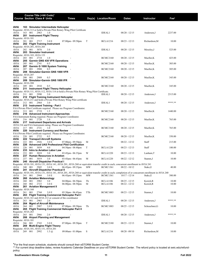| <b>Course Section Class # Units</b>   |                |     | Course Title (+IAI Code) <sup>1</sup> |                                                | <b>Times</b>                                                                                                                         |     | Day(s) Location/Room | <b>Dates</b>    | Instructor                                                                                                                                            | Fee <sup>2</sup> |  |
|---------------------------------------|----------------|-----|---------------------------------------|------------------------------------------------|--------------------------------------------------------------------------------------------------------------------------------------|-----|----------------------|-----------------|-------------------------------------------------------------------------------------------------------------------------------------------------------|------------------|--|
|                                       |                |     |                                       |                                                |                                                                                                                                      |     |                      |                 |                                                                                                                                                       |                  |  |
| AVIA                                  |                |     |                                       | 163 Simulator Intermediate Helicopter          |                                                                                                                                      |     |                      |                 |                                                                                                                                                       |                  |  |
| AVIA                                  | 163 001        |     | 2963                                  | 1.0                                            | Requisite: AVIA 113 or hold a Private Pilot Rotary Wing Pilot Certificate                                                            |     | <b>IDEAL1</b>        | $08/20 - 12/15$ | Anderson, J                                                                                                                                           | 2237.00          |  |
| AVIA                                  |                |     |                                       | 201 Instrument Flight Theory                   |                                                                                                                                      |     |                      |                 |                                                                                                                                                       |                  |  |
| Requisite: AVIA 101<br>AVIA           | 201 001        |     | 2717                                  | 3.0 E                                          | $07:00 \text{pm} - 09:50 \text{pm}$                                                                                                  | T   | <b>BCLA1216</b>      | $08/23 - 12/13$ | Richardson, M                                                                                                                                         | 10.00            |  |
| AVIA                                  |                |     |                                       | 202 Flight Training Instrument                 |                                                                                                                                      |     |                      |                 |                                                                                                                                                       |                  |  |
| Requisite: AVIA 201, AVIA 203<br>AVIA | 202 001        |     | 3076                                  | 3.0                                            |                                                                                                                                      |     | <b>IDEAL1</b>        | 08/20 - 12/15   | Moseley, J                                                                                                                                            | 525.00           |  |
| AVIA                                  |                |     | 203 Simulator Instrument              |                                                |                                                                                                                                      |     |                      |                 |                                                                                                                                                       |                  |  |
| Requisite: AVIA 103, AVIA 153<br>AVIA | 203            | 001 | 2718                                  | 1.0                                            |                                                                                                                                      |     | <b>BCMC2160</b>      | 08/20 - 12/15   | Mueller, K                                                                                                                                            | 425.00           |  |
| AVIA<br>AVIA                          | 205            | 001 | 2741                                  | 205 Garmin GNS 430 VFR Operations              |                                                                                                                                      |     | <b>BCMC2160</b>      | 08/20 - 12/15   | Mueller, K                                                                                                                                            | 305.00           |  |
| AVIA                                  |                |     |                                       | 0.5<br>207 Garmin G 1000 System Training       |                                                                                                                                      |     |                      |                 |                                                                                                                                                       |                  |  |
| AVIA<br>AVIA                          | 207            | 001 | 2908                                  | 0.5<br>208 Simulator-Garmin GNS 1000 VFR       |                                                                                                                                      |     | <b>BCMC2160</b>      | 08/20 - 12/15   | Mueller, K                                                                                                                                            | 305.00           |  |
| Requisite: AVIA 207                   |                |     |                                       |                                                |                                                                                                                                      |     |                      |                 |                                                                                                                                                       |                  |  |
| AVIA<br>AVIA                          | 208            | 001 | 2909                                  | 0.5<br>209 Simulator-Garmin GNS 1000 IFR       |                                                                                                                                      |     | <b>BCMC2160</b>      | 08/20 - 12/15   | Mueller, K                                                                                                                                            | 345.00           |  |
| Requisite: AVIA 208                   |                |     |                                       |                                                |                                                                                                                                      |     |                      |                 |                                                                                                                                                       |                  |  |
| AVIA<br>AVIA                          | 209            | 001 | 2910                                  | 0.5<br>211 Instrument Flight Theory Helicopter |                                                                                                                                      |     | <b>BCMC2160</b>      | 08/20 - 12/15   | Mueller, K                                                                                                                                            | 345.00           |  |
| AVIA                                  | 211 001        |     | 2990                                  | 3.0                                            | Requisite: AVIA 111, AVIA 112, AVIA 114 or hold a Private Pilot Rotary Wing Pilot Certificate.                                       |     | IDEAL1               | 08/20 - 12/15   | Anderson, J                                                                                                                                           | 2315.00          |  |
| AVIA                                  |                |     |                                       | 212 Flight Training Instrument Helicopter      |                                                                                                                                      |     |                      |                 |                                                                                                                                                       |                  |  |
| AVIA                                  | 212 001        |     | 2964                                  | 3.0                                            | Requisite: AVIA 211 and hold a Private Pilot Rotary Wing Pilot certificate                                                           |     | <b>IDEAL1</b>        | 08/20 - 12/15   | Anderson, J                                                                                                                                           | **** **          |  |
| AVIA                                  |                |     |                                       | 213 Instrument Training - Part I               |                                                                                                                                      |     |                      |                 |                                                                                                                                                       |                  |  |
| AVIA                                  | 213            | 001 | 2719                                  | 1.5                                            | FAA Private Pilot Certificate required. Please see Program Coordinator.                                                              |     | <b>BCMC2160</b>      | 08/20 - 12/15   | Mueller, K                                                                                                                                            | 1440.00          |  |
| AVIA                                  |                |     |                                       | 216 Advanced Instrument Approaches             |                                                                                                                                      |     |                      |                 |                                                                                                                                                       |                  |  |
| AVIA                                  | 216 001        |     | 2720                                  | 1.0                                            | FAA Instrument Rating required. Please see Program Coordinator.                                                                      |     | <b>BCMC2160</b>      | 08/20 - 12/15   | Mueller, K                                                                                                                                            | 765.00           |  |
| AVIA                                  |                |     |                                       | 217 Instrument Departures and Arrivals         | AVIA 216 and FAA Instrument rating. Please see Program Coordinator.                                                                  |     |                      |                 |                                                                                                                                                       |                  |  |
| AVIA                                  | 217 001        |     | 2721                                  | 1.0                                            |                                                                                                                                      |     | <b>BCMC2160</b>      | 08/20 - 12/15   | Mueller, K                                                                                                                                            | 765.00           |  |
| AVIA                                  |                |     |                                       | 220 Instrument Currency and Review             | FAA Private Pilot Certificate required. Please see Program Coordinator.                                                              |     |                      |                 |                                                                                                                                                       |                  |  |
| AVIA                                  | 220            | 001 | 2722                                  | 0.5                                            |                                                                                                                                      |     | <b>BCMC2160</b>      | 08/20 - 12/15   | Mueller, K                                                                                                                                            | 350.00           |  |
| AVIA<br>AVIA                          | 222            | 001 | 2926                                  | 222 Transport Aircraft Systems<br>3.0 E        | $07:00$ pm - $09:50$ pm                                                                                                              | M   |                      | $08/22 - 12/12$ | Staff                                                                                                                                                 | 215.00           |  |
| AVIA<br>AVIA                          | 226<br>226     | 001 | 3039                                  | 4.0                                            | <b>Advanced UAS Professional Pilot Certification</b><br>$04:50$ pm - $08:40$ pm                                                      | T   | <b>BCLA1220</b>      | $08/23 - 12/13$ | Staff                                                                                                                                                 | 100.00           |  |
| AVIA                                  |                |     |                                       | 233 Intro to Aviation Labor Law                |                                                                                                                                      |     |                      |                 |                                                                                                                                                       |                  |  |
| AVIA<br>AVIA                          | 233<br>237     | 001 | 3018                                  | 3.0<br><b>Human Resources in Aviation</b>      | 03:45pm - 06:35pm                                                                                                                    | W   | <b>BCLA1220</b>      | $08/23 - 12/13$ | Lanham, T                                                                                                                                             | 10.00            |  |
| AVIA                                  | 237            | 001 | 3019                                  | 3.0                                            | 03:45pm - 06:45pm                                                                                                                    | М   | <b>BCLA1220</b>      | 08/22 - 12/12   | Stamm, J                                                                                                                                              | 10.00            |  |
| AVIA                                  |                |     |                                       | 240 Aircraft Dispatcher Practical I            | Requisite: AVIA 101, AVIA 131, AVIA 141, AVIA 201, AVIA 260 or equivalent transfer credit in each; concurrent enrollment in AVIA 241 |     |                      |                 |                                                                                                                                                       |                  |  |
| AVIA                                  | 240            | 001 | 2945                                  | 3.0 E                                          | 06:45pm - 09:35pm                                                                                                                    | MW  | <b>BCMC1361</b>      | 08/22 - 10/12   | Stake, E                                                                                                                                              | 40.00            |  |
| AVIA                                  |                |     |                                       | 241 Aircraft Dispatcher Practical II           |                                                                                                                                      |     |                      |                 | Requisite: AVIA 101, AVIA 131, AVIA 141, AVIA 201, AVIA 260 or equivalent transfer credit in each; completion of or concurrent enrollment in AVIA 240 |                  |  |
| AVIA<br>AVIA                          | 241 001<br>260 |     | 2944<br><b>Aviation Meteorology</b>   | 3.0 E                                          | 06:45pm - 09:35pm                                                                                                                    | MW  | <b>BCMC1361</b>      | $10/17 - 12/14$ | Stake, E                                                                                                                                              | 380.00           |  |
| AVIA                                  | 260            | 001 | 2982                                  | 3.0                                            | $04:00$ pm - $06:50$ pm                                                                                                              | Th  | <b>BCLA1106</b>      | $08/25 - 12/15$ | Korich, R                                                                                                                                             | 10.00            |  |
| AVIA<br>AVIA                          | 260            | 002 | 2723                                  | 3.0 E<br>261 Aviation Management II            | $06:00$ pm - $08:50$ pm                                                                                                              | M   | <b>BCLA1106</b>      | 08/22 - 12/12   | Korich, R                                                                                                                                             | 10.00            |  |
| Requisite: AVIA 160                   |                |     |                                       |                                                |                                                                                                                                      |     |                      |                 |                                                                                                                                                       |                  |  |
| AVIA<br>AVIA                          | 261            | 001 | 2744                                  | 3.0 E                                          | 05:30pm - 06:45pm<br>263 Flight Training Commercial Helicopter Part I                                                                | TTh | <b>BCMC1003</b>      | $08/23 - 12/15$ | Stamm, J                                                                                                                                              | 10.00            |  |
|                                       |                |     |                                       | 2.0                                            | Requisite: AVIA 161 and AVIA 212 or consent of the coordinator                                                                       |     |                      |                 | Anderson, J                                                                                                                                           | **** **          |  |
| AVIA<br>AVIA                          | 263            | 001 | 2965                                  | 264 Mgmt of Aircraft Maintenance               |                                                                                                                                      |     | <b>IDEAL1</b>        | $08/20 - 12/15$ |                                                                                                                                                       |                  |  |
| AVIA<br>AVIA                          | 264            | 001 | 2907                                  | 3.0 E                                          | $07:00$ pm - $09:50$ pm<br>265 Flight Training Commercial Helicopter Part II                                                         | Th  | <b>BCMC1003</b>      | $08/25 - 12/15$ | Scheuchner, G                                                                                                                                         | 10.00            |  |
| Requisite: AVIA 263                   |                |     |                                       |                                                |                                                                                                                                      |     |                      |                 |                                                                                                                                                       |                  |  |
| AVIA<br>AVIA                          | 265            | 001 | 2966                                  | 2.0<br>266 Airport Planning and Management     |                                                                                                                                      |     | <b>IDEAL1</b>        | $08/20 - 12/15$ | Anderson, J                                                                                                                                           | **** **          |  |
| Requisite: AVIA 101                   |                |     |                                       |                                                |                                                                                                                                      |     |                      |                 |                                                                                                                                                       |                  |  |
| AVIA<br>AVIA                          | 266 001        |     | 2743                                  | 3.0 E<br>269 Multi-Engine Flight Theory        | $07:00$ pm - $09:50$ pm                                                                                                              | T   | <b>BCMC2180</b>      | 08/23 - 12/13   | Stamm, J                                                                                                                                              | 10.00            |  |
|                                       |                |     |                                       | Requisite: AVIA 101, AVIA 151, AVIA 201        |                                                                                                                                      |     |                      |                 |                                                                                                                                                       |                  |  |
| AVIA                                  | 269 001        |     | 2992                                  | $1.5 \; \omega$                                | 09:00am - 01:00pm                                                                                                                    | S   | <b>BCLA1216</b>      | $08/20 - 09/10$ | Richardson, M                                                                                                                                         | 10.00            |  |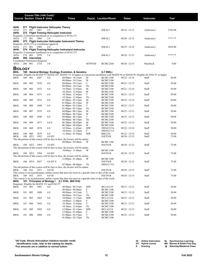|                     |            |                | Course Title (+IAI Code) <sup>1</sup> |                                                   |                                                                                                                                                           |                  |                                    |                 |                |                 |
|---------------------|------------|----------------|---------------------------------------|---------------------------------------------------|-----------------------------------------------------------------------------------------------------------------------------------------------------------|------------------|------------------------------------|-----------------|----------------|-----------------|
|                     |            |                | <b>Course Section Class # Units</b>   |                                                   | <b>Times</b>                                                                                                                                              |                  | Day(s) Location/Room               | <b>Dates</b>    | Instructor     | Fe <sup>2</sup> |
|                     |            |                |                                       |                                                   |                                                                                                                                                           |                  |                                    |                 |                |                 |
| AVIA<br>AVIA        | 271<br>271 | 001            | 2967                                  | <b>Flight Instructor Helicopter Theory</b><br>3.0 |                                                                                                                                                           |                  | <b>IDEAL1</b>                      | $08/24 - 12/15$ | Anderson, J    | 2765.00         |
| AVIA                |            |                |                                       | 272 Flight Training Helicopter Instructor         |                                                                                                                                                           |                  |                                    |                 |                |                 |
|                     |            |                |                                       |                                                   | Requisite: Concurrent enrollment in or completion of AVIA 271                                                                                             |                  |                                    |                 |                |                 |
| AVIA<br>AVIA        | 272 001    |                | 2968                                  | 2.0                                               | 273 Flight Instructor Helicopter Instrument Theory                                                                                                        |                  | <b>IDEAL1</b>                      | $08/20 - 12/15$ | Anderson, J    | **** **         |
|                     |            |                |                                       | Requisite: AVIA 272 or coordinator approval       |                                                                                                                                                           |                  |                                    |                 |                |                 |
| AVIA                | 273 001    |                | 2969                                  | 2.0                                               |                                                                                                                                                           |                  | <b>IDEAL1</b>                      | $08/25 - 12/14$ | Anderson, J    | 2024.00         |
| AVIA                |            |                |                                       |                                                   | 274 Flight Training Helicopter Instrument Instructor<br>Requisite: Concurrent enrollment in or completion of AVIA 273                                     |                  |                                    |                 |                |                 |
| AVIA                | 274        | 001            | 2970                                  | 1.0                                               |                                                                                                                                                           |                  | <b>IDEAL1</b>                      | $08/20 - 12/15$ | Anderson, J    | **** **         |
| AVIA                |            | 280 Internship | Coordinator Permission Required.      |                                                   |                                                                                                                                                           |                  |                                    |                 |                |                 |
| AVIA                | 280 001    |                | 2724                                  | 3.0                                               |                                                                                                                                                           | <b>MTWThF</b>    | <b>BCMC2160</b>                    | $08/20 - 12/15$ | Mueller, K     | 0.00            |
| <b>BIOLOGY</b>      |            |                |                                       |                                                   |                                                                                                                                                           |                  |                                    |                 |                |                 |
| BIOL                |            |                |                                       |                                                   | 100 General Biology: Ecology, Evolution, & Genetics                                                                                                       |                  | (L1 900L)                          |                 |                |                 |
|                     |            |                |                                       |                                                   | Requisite: Eligible for MATH 97, MATH 107, MATH 111 or higher or concurrent enrollment with MATH 94 or MATH 95; Eligible for ENG 97 or higher             |                  |                                    |                 |                |                 |
| BIOL                | 100 001    |                | 1887                                  | 4.0                                               | 08:00am - 10:15am                                                                                                                                         | М<br>W           | <b>BCMC1100</b>                    | $08/22 - 12/14$ | Staff          | 50.00           |
| BIOL                | 100        | 002            | 1870                                  | 4.0                                               | 08:00am - 10:15am<br>08:00am - 10:15am                                                                                                                    | $\mathbf T$      | <b>BCMC2180</b><br>BCMC1100        | $08/23 - 12/15$ | Staff          | 50.00           |
|                     |            |                |                                       |                                                   | 08:00am - 10:15am                                                                                                                                         | Th               | <b>BCMC2180</b>                    |                 |                |                 |
| BIOL                | 100        | 003            | 1872                                  | 4.0                                               | 10:30am - 12:45pm                                                                                                                                         | М<br>W           | BCMC1100                           | $08/22 - 12/14$ | Staff          | 50.00           |
| BIOL                | 100        | 004            | 1873                                  | 4.0                                               | 10:30am - 12:45pm<br>10:30am - 12:45pm                                                                                                                    | T                | <b>BCMC2180</b><br><b>BCMC1100</b> | $08/23 - 12/15$ | Staff          | 50.00           |
|                     |            |                |                                       |                                                   | 10:30am - 12:45pm                                                                                                                                         | Th               | <b>BCMC2180</b>                    |                 |                |                 |
| <b>BIOL</b>         | 100        | 005            | 1874                                  | 4.0                                               | $01:00$ pm - $03:15$ pm                                                                                                                                   | М<br>W           | <b>BCMC1100</b>                    | $08/22 - 12/14$ | Staff          | 50.00           |
| BIOL                | 100        | 006            | 1888                                  | 4.0                                               | $01:00$ pm - $03:15$ pm<br>$01:00$ pm - $03:15$ pm                                                                                                        | T                | <b>BCMC2180</b><br><b>BCMC1100</b> | $08/23 - 12/13$ | Staff          | 50.00           |
|                     |            |                |                                       |                                                   | $01:00$ pm - $03:15$ pm                                                                                                                                   | Th               | <b>BCMC2180</b>                    |                 |                |                 |
| <b>BIOL</b>         | 100        | 007            | 1876                                  | 4.0                                               | $04:00 \text{pm} - 06:15 \text{pm}$                                                                                                                       | М<br>W           | <b>BCMC1100</b>                    | $08/22 - 12/12$ | Staff          | 50.00           |
| <b>BIOL</b>         | 100        | 008            | 1890                                  | 4.0                                               | $04:00$ pm - $06:15$ pm<br>$04:00 \text{pm} - 06:15 \text{pm}$                                                                                            | T                | <b>BCMC2180</b><br><b>BCMC1100</b> | $08/23 - 12/13$ | Staff          | 50.00           |
|                     |            |                |                                       |                                                   | $04:00 \text{pm} - 06:15 \text{pm}$                                                                                                                       | Th               | <b>BCMC2180</b>                    |                 |                |                 |
| <b>BIOL</b>         | 100        | 009            | 1877                                  | 4.0 E                                             | 06:30pm - 08:45pm                                                                                                                                         | М<br>W           | <b>BCMC1100</b>                    | $08/22 - 12/14$ | Staff          | 50.00           |
| <b>BIOL</b>         | 100        | 060            | 1878                                  | 4.0                                               | 06:30pm - 08:45pm<br>10:30am - 11:45am                                                                                                                    | MW               | <b>BCMC2180</b><br>SWGCC316        | $08/22 - 12/14$ | Staff          | 50.00           |
|                     |            |                |                                       |                                                   | 10:45am - 12:25pm                                                                                                                                         | F                | SWGCC315                           |                 |                |                 |
| <b>BIOL</b><br>BIOL | 100<br>100 | 080<br>HY1     | 1879<br>1992                          | 4.0<br>4.0 HY                                     | 11:30am - 01:45pm                                                                                                                                         | MW               | <b>RBC220</b>                      | $08/22 - 12/14$ | Staff<br>Staff | 50.00           |
|                     |            |                |                                       |                                                   | The lab portion of this course will be face to face, the lecture will be online.                                                                          |                  | <b>INETN/R</b>                     | $08/20 - 12/15$ |                | 75.00           |
|                     |            |                |                                       |                                                   | 08:00am - 09:40am                                                                                                                                         | W                | <b>BCMC1100</b>                    |                 |                |                 |
| BIOL                |            | 100 HY2 1993   |                                       | 4.0 HY                                            | The lab portion of this course will be face to face, the lecture will be online.                                                                          |                  | <b>INETN/R</b>                     | $08/20 - 12/15$ | Staff          | 75.00           |
|                     |            |                |                                       |                                                   | 10:00am - 11:40am                                                                                                                                         | W                | <b>BCMC1100</b>                    |                 |                |                 |
| BIOL                |            | 100 HY3 1994   |                                       | 4.0 HY                                            |                                                                                                                                                           |                  | <b>INETN/R</b>                     | $08/20 - 12/15$ | Staff          | 75.00           |
|                     |            |                |                                       |                                                   | The lab portion of this course will be face to face, the lecture will be online.<br>12:00pm - 01:40pm                                                     | W                | <b>BCMC1100</b>                    |                 |                |                 |
| <b>BIOL</b>         |            | 100 HY4 2027   |                                       | 4.0 HY E                                          |                                                                                                                                                           |                  | <b>INETN/R</b>                     | $08/20 - 12/15$ | Staff          | 75.00           |
|                     |            |                |                                       |                                                   | 07:00pm - 08:40pm                                                                                                                                         | Th               | SWGCC315                           |                 |                |                 |
| BIOL                | 100 IN1    |                | 1871                                  | 4.0 OI                                            | The lab portion of this course will be face to face, the lecture will be online.                                                                          |                  | <b>INETN/R</b>                     | $08/20 - 12/15$ | Staff          | 75.00           |
|                     |            |                |                                       |                                                   | This course is an asynchronous, online course that does not meet at a specific time or day of the week.                                                   |                  |                                    |                 |                |                 |
| BIOL                |            | 100 IN2        | 1875                                  | 4.0 OI                                            | ٠                                                                                                                                                         |                  | <b>INETN/R</b>                     | $08/20 - 12/15$ | Staff          | 75.00           |
| <b>BIOL</b>         |            |                |                                       |                                                   | This course is an asynchronous, online course that does not meet at a specific time or day of the week.<br>101 Principles of Biology   (L1 910L, BIO 910) |                  |                                    |                 |                |                 |
|                     |            |                |                                       | Requisite: Eligible for MATH 112 and ENG 97       |                                                                                                                                                           |                  |                                    |                 |                |                 |
| BIOL                | 101 001    |                | 1881                                  | 4.0                                               | 08:00am - 09:15am                                                                                                                                         | MW               | <b>BCLA2118</b>                    | $08/22 - 12/12$ | Staff          | 50.00           |
| BIOL                | 101        | 002            | 1880                                  | 4.0                                               | 08:00am - 09:40am<br>08:00am - 10:15am                                                                                                                    | F<br>$\mathbf T$ | <b>BCMC1100</b><br><b>BCMC2180</b> | $08/23 - 12/13$ | Staff          | 50.00           |
|                     |            |                |                                       |                                                   | 08:00am-10:15am                                                                                                                                           | Th               | <b>BCMC1100</b>                    |                 |                |                 |
| <b>BIOL</b>         | 101        | 003            | 1883                                  | 4.0                                               | 10:00am - 11:15am                                                                                                                                         | MW               | <b>BCLA1216</b>                    | $08/22 - 12/12$ | Staff          | 50.00           |
| <b>BIOL</b>         | 101        | 004            | 1882                                  | 4.0                                               | 10:00am - 11:40am<br>10:30am - 12:45pm                                                                                                                    | F<br>T           | <b>BCMC1100</b><br><b>BCMC2180</b> | $08/23 - 12/13$ | Staff          | 50.00           |
|                     |            |                |                                       |                                                   | 10:30am - 12:45pm                                                                                                                                         | Th               | <b>BCMC1100</b>                    |                 |                |                 |
| BIOL                | 101        | 005            | 1892                                  | 4.0                                               | $12:00$ pm - $01:15$ pm                                                                                                                                   | MW               | <b>BCLA2118</b>                    | $08/22 - 12/12$ | Staff          | 50.00           |
| BIOL                | 101        | 006            | 1884                                  | 4.0                                               | $12:00$ pm - 01:40pm<br>$01:00$ pm - $03:15$ pm                                                                                                           | F<br>T           | <b>BCMC1100</b><br><b>BCMC2180</b> | $08/23 - 12/13$ | Staff          | 50.00           |
|                     |            |                |                                       |                                                   | $01:00$ pm - $03:15$ pm                                                                                                                                   | Th               | <b>BCMC1100</b>                    |                 |                |                 |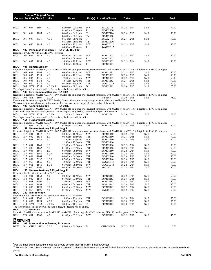|                |            |              | Course Title (+IAI Code) <sup>1</sup><br><b>Course Section Class # Units</b> |                                                                                        | <b>Times</b>                                                                                                                                  |            | Day(s) Location/Room               | <b>Dates</b>                       | Instructor     | Fee <sup>2</sup> |
|----------------|------------|--------------|------------------------------------------------------------------------------|----------------------------------------------------------------------------------------|-----------------------------------------------------------------------------------------------------------------------------------------------|------------|------------------------------------|------------------------------------|----------------|------------------|
|                |            |              |                                                                              |                                                                                        |                                                                                                                                               |            |                                    |                                    |                |                  |
| BIOL           | 101        | 007          | 1891                                                                         | 4.0                                                                                    | $02:00$ pm - $03:15$ pm<br>$02:00$ pm - $03:40$ pm                                                                                            | MW<br>F    | <b>BCLA2118</b><br><b>BCMC1100</b> | $08/22 - 12/14$                    | Staff          | 50.00            |
| BIOL           | 101        | 008          | 1885                                                                         | 4.0                                                                                    | 04:00pm - 06:15pm<br>$04:00$ pm - $06:15$ pm                                                                                                  | T<br>Th    | <b>BCMC2180</b>                    | $08/23 - 12/15$                    | Staff          | 50.00            |
| BIOL           | 101        | 009          | 3131                                                                         | 4.0 E                                                                                  | 06:30pm - 08:45pm                                                                                                                             | T          | <b>BCMC1100</b><br><b>BCLA2118</b> | $08/23 - 12/15$                    | Staff          | 50.00            |
| <b>BIOL</b>    | 101        | 060          | 1886                                                                         | 4.0                                                                                    | 06:30pm - 08:45pm<br>09:00am - 10:15am                                                                                                        | Th<br>MW   | <b>BCMC1100</b><br>SWGCC316        | $08/22 - 12/12$                    | Staff          | 50.00            |
| <b>BIOL</b>    |            |              |                                                                              |                                                                                        | 09:00am - 10:40am<br>102 Principles of Biology II (L1 910L, BIO 910)                                                                          | F          | SWGCC315                           |                                    |                |                  |
|                |            |              |                                                                              | Requisite: BIOL 101 with a grade of "C" or better                                      |                                                                                                                                               |            |                                    |                                    |                |                  |
| BIOL           | 102        | 001          | 1889                                                                         | 4.0                                                                                    | 08:00am - 09:15am<br>08:00am - 09:40am                                                                                                        | MW<br>F    | <b>BCMC1103</b><br><b>BCMC1103</b> | $08/22 - 12/12$                    | Staff          | 50.00            |
| BIOL           | 102 002    |              | 1995                                                                         | 4.0                                                                                    | 10:00am - 11:15am<br>10:00am - 11:40am                                                                                                        | MW<br>F    | <b>BCMC1103</b><br><b>BCMC1103</b> | $08/22 - 12/14$                    | Staff          | 50.00            |
| <b>BIOL</b>    |            |              | 105 Human Biology                                                            |                                                                                        |                                                                                                                                               |            |                                    |                                    |                |                  |
|                |            |              |                                                                              |                                                                                        | Requisite: Eligible for MATH 97, MATH 107, MATH 111 or higher or concurrent enrollment with MATH 94 or MATH 95; Eligible for ENG 97 or higher |            |                                    |                                    |                |                  |
| BIOL           | 105        | 001          | 1894                                                                         | 4.0                                                                                    | 09:00am - 11:15am                                                                                                                             | МW         | <b>BCMC1183</b>                    | $08/22 - 12/12$                    | Staff          | 50.00            |
| BIOL           | 105        | 002          | 1753                                                                         | 4.0                                                                                    | 08:00am - 10:15am                                                                                                                             | TTh        | <b>BCMC1183</b>                    | $08/23 - 12/15$                    | Staff          | 50.00            |
| BIOL           | 105        | 003          | 1756                                                                         | 4.0                                                                                    | 12:00pm - 02:15pm                                                                                                                             | MW         | <b>BCMC1183</b>                    | $08/22 - 12/14$                    | Staff          | 50.00            |
| BIOL<br>BIOL   | 105<br>105 | 004<br>060   | 1754<br>1757                                                                 | 4.0<br>4.0                                                                             | 10:30am - 12:45pm<br>08:45am - 11:00am                                                                                                        | TTh<br>TTh | <b>BCMC1183</b><br>SWGCC315        | $08/23 - 12/15$<br>$08/23 - 12/15$ | Staff<br>Staff | 50.00<br>50.00   |
| BIOL           |            | 105 HY1      | 1755                                                                         | 4.0 HY E                                                                               | 06:00pm - 08:15pm                                                                                                                             | W          | <b>BCMC1183</b>                    | 08/20 - 12/15                      | Staff          | 75.00            |
|                |            |              |                                                                              |                                                                                        | The lab portion of this course will be face to face, the lecture will be online.                                                              |            |                                    |                                    |                |                  |
| BIOL           |            |              |                                                                              | 106 Environmental Science (L1 905)                                                     |                                                                                                                                               |            |                                    |                                    |                |                  |
|                |            |              |                                                                              |                                                                                        | Requisite: Eligible for MATH 97, MATH 107, MATH 111 or higher or concurrent enrollment with MATH 94 or MATH 95; Eligible for ENG 97 or higher |            |                                    |                                    |                |                  |
| BIOL           | 106 IN1    |              | 1893                                                                         | 3.0 OI                                                                                 |                                                                                                                                               |            | <b>INETN/R</b>                     | $08/20 - 12/15$                    | Staff          | 75.00            |
|                |            |              |                                                                              |                                                                                        | Exams must be taken through the SWIC Testing Center. Other proctoring arrangements may be approved by the instructor.                         |            |                                    |                                    |                |                  |
|                |            |              |                                                                              |                                                                                        | This course is an asynchronous, online course that does not meet at a specific time or day of the week.                                       |            |                                    |                                    |                |                  |
| BIOL           |            |              | 108 General Ecology                                                          |                                                                                        | (L1 905L)                                                                                                                                     |            |                                    |                                    |                |                  |
|                |            |              |                                                                              |                                                                                        | Requisite: Eligible for MATH 97, MATH 107, MATH 111 or higher or concurrent enrollment with MATH 94 or MATH 95; Eligible for ENG 97 or higher |            |                                    |                                    |                |                  |
|                |            |              |                                                                              |                                                                                        | Note: Field trips to natural areas, some of which are physically taxing, are an integral part of the course.                                  |            |                                    |                                    |                |                  |
| BIOL           |            | 108 HY1 1758 |                                                                              | 4.0 HY                                                                                 | $12:30 \text{pm} - 05:00 \text{pm}$                                                                                                           | W          | <b>BCMC1361</b>                    | $08/20 - 10/14$                    | Staff          | 75.00            |
|                |            |              |                                                                              |                                                                                        | The lab portion of this course will be face to face, the lecture will be online.                                                              |            |                                    |                                    |                |                  |
| BIOL           |            |              | 151 Fundamental Botany                                                       |                                                                                        | Requisite: Eligible for MATH 97, MATH 107, MATH 111 or higher or concurrent enrollment with MATH 94 or MATH 95; Eligible for ENG 97 or higher |            |                                    |                                    |                |                  |
| BIOL           | 151        | 001          | 1759                                                                         | 4.0                                                                                    | $01:00$ pm - $03:15$ pm                                                                                                                       | TTh        | <b>BCMC1103</b>                    | $08/23 - 12/13$                    | Staff          | 50.00            |
| BIOL           |            |              |                                                                              | 157 Human Anatomy & Physiology I                                                       |                                                                                                                                               |            |                                    |                                    |                |                  |
|                |            |              |                                                                              |                                                                                        | Requisite: Eligible for MATH 97, MATH 107, MATH 111 or higher or concurrent enrollment with MATH 94 or MATH 95; Eligible for ENG 97 or higher |            |                                    |                                    |                |                  |
| BIOL           | 157        | 001          | 1857                                                                         | 5.0                                                                                    | 08:00am - 10:50am                                                                                                                             | MW         | <b>BCMC1160</b>                    | $08/22 - 12/14$                    | Staff          | 50.00            |
| BIOL           | 157        | 002          | 1858                                                                         | 5.0                                                                                    | 08:00am - 10:50am                                                                                                                             | TTh        | <b>BCMC1160</b>                    | $08/23 - 12/15$                    | Staff          | 50.00            |
| <b>BIOL</b>    | 157        | 003          | 1859                                                                         | 5.0                                                                                    | $11:00$ am - $11:50$ am                                                                                                                       | MW         | <b>BCMC1160</b>                    | $08/22 - 12/15$                    | Staff          | 50.00            |
|                |            |              |                                                                              |                                                                                        | $11:00$ am - $12:50$ pm                                                                                                                       | TTh        | <b>BCMC1160</b>                    |                                    |                |                  |
| BIOL           | 157        | 004          | 1860                                                                         | 5.0                                                                                    | $12:00$ pm - $02:50$ pm                                                                                                                       | MW         | <b>BCMC1160</b>                    | $08/22 - 12/14$                    | Staff          | 50.00            |
| BIOL           | 157        | 005          | 1862                                                                         | 5.0                                                                                    | $01:00$ pm - $03:50$ pm                                                                                                                       | TTh        | <b>BCMC1160</b>                    | $08/23 - 12/15$                    | Staff          | 50.00            |
| BIOL           | 157        | 006          | 1861                                                                         | 5.0                                                                                    | 04:00pm - 06:50pm                                                                                                                             | MW         | <b>BCMC1160</b>                    | 08/22 - 12/14                      | Staff          | 50.00            |
| BIOL           | 157        | 007          | 1863                                                                         | 5.0 E                                                                                  | $07:00$ pm - $09:50$ pm                                                                                                                       | МW         | <b>BCMC1160</b>                    | $08/22 - 12/14$                    | Staff          | 50.00            |
| BIOL           | 157        | 008          | 1864                                                                         | 5.0                                                                                    | 04:00pm - 06:50pm                                                                                                                             | TTh        | <b>BCMC1160</b>                    | $08/23 - 12/15$                    | Staff          | 50.00            |
| BIOL           | 157        | 009          | 3132                                                                         | 5.0 E                                                                                  | 07:00pm - 09:50pm                                                                                                                             | TTh        | <b>BCMC1160</b>                    | $08/23 - 12/15$                    | Staff          | 50.00            |
| BIOL           | 157        | 060          | 1865                                                                         | 5.0                                                                                    | 12:00pm - 02:50pm                                                                                                                             | TTh        | SWGCC315                           | $08/23 - 12/15$                    | Staff          | 50.00            |
| <b>BIOL</b>    | 157        | 061          | 1866                                                                         | 5.0 E                                                                                  | 06:00pm - 08:50pm                                                                                                                             | MW         | SWGCC315                           | $08/22 - 12/14$                    | Staff          | 50.00            |
| BIOL           | 157        | 080          | 1867                                                                         | 5.0                                                                                    | 08:00am - 10:50am                                                                                                                             | MW         | <b>RBC220</b>                      | $08/22 - 12/14$                    | Staff          | 50.00            |
| BIOL           |            |              |                                                                              | 158 Human Anatomy & Physiology II<br>Requisite: BIOL 157 with a grade of "C" or better |                                                                                                                                               |            |                                    |                                    |                |                  |
| BIOL.          |            |              |                                                                              | 158 001 1868 5.0                                                                       | $08:00am - 10:50am$                                                                                                                           | MW         | <b>BCMC1163</b>                    | $08/22 - 12/14$                    | Staff          | 50.00            |
| BIOL           | 158        | 002          | 1869                                                                         | 5.0                                                                                    | 01:00pm - 03:50pm                                                                                                                             | TTh        | <b>BCMC1163</b>                    | $08/23 - 12/15$                    | Staff          | 50.00            |
| <b>BIOL</b>    | 158        | 003          | 1897                                                                         | 5.0                                                                                    | 12:00pm - 02:50pm                                                                                                                             | MW         | <b>BCMC1163</b>                    | $08/22 - 12/12$                    | Staff          | 50.00            |
| <b>BIOL</b>    | 158        | 004          | 1895                                                                         | 5.0                                                                                    | $04:00$ pm - $06:50$ pm                                                                                                                       | TTh        | <b>BCMC1163</b>                    | $08/23 - 12/13$                    | Staff          | 50.00            |
| <b>BIOL</b>    | 158        | 005          | 1898                                                                         | 5.0 E                                                                                  | 06:30pm - 09:20pm                                                                                                                             | MW         | <b>BCMC1163</b>                    | $08/22 - 12/14$                    | Staff          | 50.00            |
| <b>BIOL</b>    | 158        | 060          | 1896                                                                         | 5.0                                                                                    | 01:00pm - 03:50pm                                                                                                                             | MW         | SWGCC315                           | $08/22 - 12/12$                    | Staff          | 50.00            |
| <b>BIOL</b>    | 250        |              | Microbiology                                                                 |                                                                                        |                                                                                                                                               |            |                                    |                                    |                |                  |
|                |            |              |                                                                              |                                                                                        | Requisite: BIOL 101 or BIOL 157 each with a grade of "C" or better                                                                            |            |                                    |                                    |                |                  |
| BIOL           | 250        | 001          | 1760                                                                         | 4.0                                                                                    | 10:30am - 12:45pm                                                                                                                             | TTh        | <b>BCMC1103</b>                    | $08/23 - 12/14$                    | Staff          | 55.00            |
| <b>BIOL</b>    | 250        | 002          | 1899                                                                         | 4.0 E                                                                                  | 06:30pm - 08:45pm                                                                                                                             | TTh        | <b>BCMC1103</b>                    | $08/23 - 12/15$                    | Staff          | 55.00            |
| <b>BIOL</b>    |            | 250 HY1      | 3133                                                                         | 4.0 HY                                                                                 | 08:00am - 10:15am                                                                                                                             | T          | <b>BCMC1103</b>                    | $08/20 - 12/15$                    | Staff          | 80.00            |
|                |            |              |                                                                              |                                                                                        | The lab portion of this course will be face to face, the lecture will be online.                                                              |            |                                    |                                    |                |                  |
| <b>BIOL</b>    |            | 270 Genetics |                                                                              |                                                                                        |                                                                                                                                               |            |                                    |                                    |                |                  |
|                |            |              |                                                                              |                                                                                        | Requisite: MATH placement above MATH 112 or MATH 112 with a grade of "C" or better; BIOL 101 with a grade of "C" or better                    |            |                                    |                                    |                |                  |
| BIOL           | 270 001    |              | 1900                                                                         | 4.0                                                                                    | $01:00$ pm - $03:15$ pm                                                                                                                       | MW         | <b>BCMC1103</b>                    | $08/22 - 12/12$                    | Staff          | 45.00            |
| <b>BREWING</b> |            |              |                                                                              |                                                                                        |                                                                                                                                               |            |                                    |                                    |                |                  |
| BRW            |            |              |                                                                              |                                                                                        | 101 Introduction to Brewing Processes                                                                                                         |            |                                    |                                    |                |                  |
| <b>BRW</b>     | 101        |              | OHBD 3113                                                                    | 2.0 E                                                                                  | 05:00pm - 06:50pm                                                                                                                             | М          | <b>OHBDMAIN</b>                    | $08/22 - 12/12$                    | Staff          | 0.00             |
|                |            |              |                                                                              |                                                                                        |                                                                                                                                               |            |                                    |                                    |                |                  |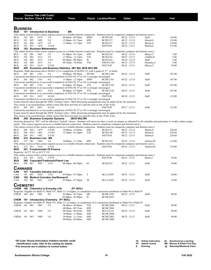|                                                                     |            |              | Course Title (+IAI Code) <sup>1</sup><br><b>Course Section Class # Units</b> |                                           | Times                                                                                                                                                         |                 | Day(s) Location/Room                                                                                                                           | <b>Dates</b>    | Instructor                                                                                                                                                                        | Fee <sup>2</sup> |  |  |
|---------------------------------------------------------------------|------------|--------------|------------------------------------------------------------------------------|-------------------------------------------|---------------------------------------------------------------------------------------------------------------------------------------------------------------|-----------------|------------------------------------------------------------------------------------------------------------------------------------------------|-----------------|-----------------------------------------------------------------------------------------------------------------------------------------------------------------------------------|------------------|--|--|
|                                                                     |            |              |                                                                              |                                           |                                                                                                                                                               |                 |                                                                                                                                                |                 |                                                                                                                                                                                   |                  |  |  |
|                                                                     |            |              |                                                                              |                                           |                                                                                                                                                               |                 |                                                                                                                                                |                 |                                                                                                                                                                                   |                  |  |  |
| <b>BUSINESS</b><br><b>BUS</b><br>101 Introduction to Business<br>BN |            |              |                                                                              |                                           |                                                                                                                                                               |                 |                                                                                                                                                |                 |                                                                                                                                                                                   |                  |  |  |
|                                                                     |            |              |                                                                              |                                           |                                                                                                                                                               |                 | (The online section of this course requires access to a reliable Internet connection. Students must be competent computer and Internet users.) |                 |                                                                                                                                                                                   |                  |  |  |
| BUS                                                                 | 101        | 001          | 1474                                                                         | 3.0                                       | 09:00am - 09:50am                                                                                                                                             | MWF             | <b>BCIS2140</b>                                                                                                                                | $08/22 - 12/14$ | Staff                                                                                                                                                                             | 110.00           |  |  |
| BUS                                                                 | 101        | 002          | 1602                                                                         | 3.0                                       | $12:00$ pm - $01:15$ pm                                                                                                                                       | MW              | <b>BCIS2157</b>                                                                                                                                | $08/22 - 12/14$ | Martin, S                                                                                                                                                                         | 110.00           |  |  |
| BUS                                                                 | 101        | 004          | 1475                                                                         | 3.0                                       | 11:00am - 12:15pm                                                                                                                                             | TTh             | <b>BCIS2157</b>                                                                                                                                | $08/23 - 12/15$ | Martin, S                                                                                                                                                                         | 110.00           |  |  |
| BUS<br>BUS                                                          | 101 IN1    |              | 1478                                                                         | 3.0 OI<br>102 Business Mathematics        |                                                                                                                                                               |                 | <b>INETN/R</b>                                                                                                                                 | $08/22 - 12/15$ | Martin, S                                                                                                                                                                         | 135.00           |  |  |
|                                                                     |            |              |                                                                              |                                           |                                                                                                                                                               |                 | (The online section of this course requires access to a reliable Internet connection. Students must be competent computer and Internet users.) |                 |                                                                                                                                                                                   |                  |  |  |
| <b>BUS</b>                                                          | 102        | 001          | 1667                                                                         | 3.0                                       | $01:00$ pm - $02:15$ pm                                                                                                                                       | MW              | <b>BCIS2142</b>                                                                                                                                | $08/22 - 12/14$ | Bilyeu,T                                                                                                                                                                          | 5.00             |  |  |
| BUS                                                                 | 102        | 002          | 1612                                                                         | 3.0                                       | $11:00$ am - $12:15$ pm                                                                                                                                       | TTh             | <b>BCIS2143</b>                                                                                                                                | $08/23 - 12/15$ | Chaffin,D                                                                                                                                                                         | 5.00             |  |  |
| <b>BUS</b>                                                          | 102        | 003          | 1613                                                                         | 3.0 E                                     | 06:00pm - 08:50pm                                                                                                                                             | W               | <b>BCIS2142</b>                                                                                                                                | $08/24 - 12/14$ | Staff                                                                                                                                                                             | 5.00             |  |  |
| BUS                                                                 | 102        | 060          | 1615                                                                         | 3.0                                       | 09:30am - 10:45am                                                                                                                                             | TTh             | SWGCC342                                                                                                                                       | $08/23 - 12/15$ | Hostetter, J                                                                                                                                                                      | 5.00             |  |  |
| BUS                                                                 | 102 IN1    |              | 1614                                                                         | 3.0 OI                                    |                                                                                                                                                               |                 | <b>INETN/R</b>                                                                                                                                 | $08/22 - 12/15$ | Bilyeu, T                                                                                                                                                                         | 30.00            |  |  |
| BUS                                                                 |            |              |                                                                              |                                           | 205 Economic and Business Statistics (M1 902, BUS 901) BN<br>Requisite: Math placement above MATH 112 or completion of MATH 112 with a grade of "C" or better |                 |                                                                                                                                                |                 |                                                                                                                                                                                   |                  |  |  |
| <b>BUS</b>                                                          | 205 001    |              | 1761                                                                         | 4.0                                       | 09:00am - 09:50am                                                                                                                                             | MTThF           | <b>BCMC2184</b>                                                                                                                                | $08/22 - 12/15$ | Staff                                                                                                                                                                             | 107.00           |  |  |
|                                                                     |            |              |                                                                              |                                           | Concurrent enrollment in or successful completion of ENG 94, 97 or 101 is strongly encouraged.                                                                |                 |                                                                                                                                                |                 |                                                                                                                                                                                   |                  |  |  |
| BUS                                                                 | 205        | 002          | 1763                                                                         | 4.0                                       | $11:00am - 12:10pm$                                                                                                                                           | <b>MWF</b>      | <b>BCMC1361</b>                                                                                                                                | $08/22 - 12/14$ | Staff                                                                                                                                                                             | 107.00           |  |  |
|                                                                     |            |              |                                                                              |                                           | Concurrent enrollment in or successful completion of ENG 94, 97 or 101 is strongly encouraged.                                                                |                 |                                                                                                                                                |                 |                                                                                                                                                                                   |                  |  |  |
| BUS                                                                 | 205 003    |              | 1762                                                                         | 4.0                                       | $01:00$ pm - $02:50$ pm                                                                                                                                       | TTh             | <b>BCMC2103</b>                                                                                                                                | $08/23 - 12/15$ | Staff                                                                                                                                                                             | 107.00           |  |  |
|                                                                     |            |              |                                                                              |                                           | Concurrent enrollment in or successful completion of ENG 94, 97 or 101 is strongly encouraged.                                                                |                 |                                                                                                                                                |                 |                                                                                                                                                                                   |                  |  |  |
| <b>BUS</b>                                                          | 205        | 004          | 2012                                                                         | 4.0 E                                     | $06:00$ pm - 07:50pm                                                                                                                                          | TTh             | <b>BCMC2182</b>                                                                                                                                | $08/23 - 12/15$ | Staff                                                                                                                                                                             | 107.00           |  |  |
| BUS                                                                 | 205 IN1    |              | 1853                                                                         | 4.0 OI                                    | Concurrent enrollment in or successful completion of ENG 94, 97 or 101 is strongly encouraged.                                                                |                 | <b>INETN/R</b>                                                                                                                                 | $08/20 - 12/15$ | Staff                                                                                                                                                                             | 132.00           |  |  |
|                                                                     |            |              |                                                                              |                                           | Concurrent enrollment in or successful completion of ENG 94, 97 or 101 is strongly encouraged.                                                                |                 |                                                                                                                                                |                 |                                                                                                                                                                                   |                  |  |  |
|                                                                     |            |              |                                                                              |                                           |                                                                                                                                                               |                 | Exams must be taken through the SWIC Testing Center. Other proctoring arrangements may be approved by the instructor.                          |                 |                                                                                                                                                                                   |                  |  |  |
|                                                                     |            |              |                                                                              |                                           | This course is an asynchronous, online course that does not meet at a specific time or day of the week.                                                       |                 |                                                                                                                                                |                 |                                                                                                                                                                                   |                  |  |  |
| BUS                                                                 | 205 IN2    |              | 2031                                                                         | 4.0 OI                                    |                                                                                                                                                               |                 | <b>INETN/R</b>                                                                                                                                 | $09/17 - 12/15$ | Staff                                                                                                                                                                             | 132.00           |  |  |
|                                                                     |            |              |                                                                              |                                           | Concurrent enrollment in or successful completion of ENG 94, 97 or 101 is strongly encouraged.                                                                |                 |                                                                                                                                                |                 |                                                                                                                                                                                   |                  |  |  |
|                                                                     |            |              |                                                                              |                                           |                                                                                                                                                               |                 | Exams must be taken through the SWIC Testing Center. Other proctoring arrangements may be approved by the instructor.                          |                 |                                                                                                                                                                                   |                  |  |  |
| <b>BUS</b>                                                          |            |              |                                                                              | 209 Business Computer Systems             | This course is an asynchronous, online course that does not meet at a specific time or day of the week.<br>(BUS 902) BN                                       |                 |                                                                                                                                                |                 |                                                                                                                                                                                   |                  |  |  |
|                                                                     |            |              |                                                                              |                                           |                                                                                                                                                               |                 |                                                                                                                                                |                 | (Sections denoted as "HY" will be offered as "hybrid" classes. Students will meet two days a week on campus as indicated by the schedule and participate in weekly online assign- |                  |  |  |
|                                                                     |            |              |                                                                              |                                           |                                                                                                                                                               |                 | ments. This course requires access to a reliable Internet connection. Students must be competent computer and Internet users.)                 |                 |                                                                                                                                                                                   |                  |  |  |
|                                                                     |            |              |                                                                              |                                           |                                                                                                                                                               |                 | (The online section of this course requires access to a reliable Internet connection. Students must be competent computer and Internet users.) |                 |                                                                                                                                                                                   |                  |  |  |
| <b>BUS</b>                                                          |            | 209 HY1 1479 |                                                                              | 3.0 HY                                    | 10:00am - 10:50am                                                                                                                                             | <b>MW</b>       | <b>BCIS2151</b>                                                                                                                                | $08/22 - 12/14$ | Martin, S                                                                                                                                                                         | 220.60           |  |  |
| BUS                                                                 | 209        | HY3          | 1481                                                                         | 3.0 HY                                    | $12:30$ pm - 01:20pm                                                                                                                                          | TTh             | <b>BCIS2140</b>                                                                                                                                | $08/23 - 12/13$ | Martin, S                                                                                                                                                                         | 220.60           |  |  |
| BUS                                                                 | 209        | IN1          | 1482                                                                         | 3.0 OI                                    |                                                                                                                                                               |                 | <b>INETN/R</b>                                                                                                                                 | $08/22 - 12/15$ | Martin, S                                                                                                                                                                         | 220.60           |  |  |
| BUS<br>BUS                                                          | 215<br>215 | 001          | <b>Business Law BN</b><br>1484                                               | 3.0                                       | 10:00am - 11:15am                                                                                                                                             | MW              | <b>BCIS2163</b>                                                                                                                                | $08/22 - 12/14$ | Schroer, M                                                                                                                                                                        | 114.00           |  |  |
|                                                                     |            |              |                                                                              |                                           |                                                                                                                                                               |                 | (The online section of this course requires access to a reliable Internet connection. Students must be competent computer and Internet users.) |                 |                                                                                                                                                                                   |                  |  |  |
| <b>BUS</b>                                                          | 215 IN1    |              | 1626                                                                         | 3.0 OI                                    |                                                                                                                                                               |                 | <b>INETN/R</b>                                                                                                                                 | $08/22 - 12/15$ | Schroer, M                                                                                                                                                                        | 139.00           |  |  |
| <b>BUS</b>                                                          |            |              |                                                                              | 241 Fundamentals Of Finance               |                                                                                                                                                               |                 |                                                                                                                                                |                 |                                                                                                                                                                                   |                  |  |  |
|                                                                     |            |              | Requisite: ACCT 105 or ACCT 110                                              |                                           |                                                                                                                                                               |                 |                                                                                                                                                |                 |                                                                                                                                                                                   |                  |  |  |
|                                                                     |            |              |                                                                              |                                           |                                                                                                                                                               |                 | (The online section of this course requires access to a reliable Internet connection. Students must be competent computer and Internet users.) |                 |                                                                                                                                                                                   |                  |  |  |
| BUS                                                                 | 241 IN1    |              | 1639                                                                         | 3.0 OI                                    |                                                                                                                                                               |                 | <b>INETN/R</b>                                                                                                                                 | $08/22 - 12/15$ | Backs, J                                                                                                                                                                          | 30.00            |  |  |
| BUS                                                                 |            |              |                                                                              | 280 Copyright/Trademark/Patent Law        |                                                                                                                                                               |                 | <b>BCIS2163</b>                                                                                                                                |                 |                                                                                                                                                                                   |                  |  |  |
| BUS                                                                 | 280        | 001          | 1485                                                                         | 3.0 E                                     | $06:00$ pm - $08:50$ pm                                                                                                                                       | M               |                                                                                                                                                | $08/22 - 12/12$ | Staff                                                                                                                                                                             | 30.00            |  |  |
| CANNABIS                                                            |            |              |                                                                              |                                           |                                                                                                                                                               |                 |                                                                                                                                                |                 |                                                                                                                                                                                   |                  |  |  |
| CAN                                                                 |            |              |                                                                              | 101 Cannabis Industry and Law             |                                                                                                                                                               |                 |                                                                                                                                                |                 |                                                                                                                                                                                   |                  |  |  |
| CAN                                                                 | 101        | 001          | 2020                                                                         | 3.0 E                                     | $05:00$ pm - $07:50$ pm                                                                                                                                       | T               | <b>BCLA3309</b>                                                                                                                                | $08/23 - 12/13$ | Staff                                                                                                                                                                             | 20.00            |  |  |
| CAN                                                                 |            |              |                                                                              | 102 Medical Cannabis Use/Research         |                                                                                                                                                               |                 |                                                                                                                                                |                 |                                                                                                                                                                                   |                  |  |  |
| CAN                                                                 | 102 001    |              | 2021                                                                         | 3.0 E                                     | 05:00pm - 07:50pm                                                                                                                                             | Th              | <b>BCLA3309</b>                                                                                                                                | $08/25 - 12/15$ | Staff                                                                                                                                                                             | 10.00            |  |  |
| <b>CHEMISTRY</b>                                                    |            |              |                                                                              |                                           |                                                                                                                                                               |                 |                                                                                                                                                |                 |                                                                                                                                                                                   |                  |  |  |
|                                                                     |            |              |                                                                              |                                           | (P1 903L)                                                                                                                                                     |                 |                                                                                                                                                |                 |                                                                                                                                                                                   |                  |  |  |
|                                                                     |            |              |                                                                              | CHEM 100 Chemistry in Everyday Life       |                                                                                                                                                               |                 | Requisite: Eligible for Math 97, Math 107, Math 111 or higher; or completion of or concurrent enrollment in Math 94 or Math 95                 |                 |                                                                                                                                                                                   |                  |  |  |
| CHEM 100 001                                                        |            |              | 1901                                                                         | 4.0                                       | 02:00pm - 03:25pm                                                                                                                                             | MF              | <b>BCMC2103</b>                                                                                                                                | $08/22 - 12/12$ | Staff                                                                                                                                                                             | 80.00            |  |  |
|                                                                     |            |              |                                                                              |                                           | 02:00pm - 03:40pm                                                                                                                                             | W               | <b>BCMC2023</b>                                                                                                                                |                 |                                                                                                                                                                                   |                  |  |  |
|                                                                     |            |              |                                                                              | CHEM 101 Introductory Chemistry (P1 902L) |                                                                                                                                                               |                 |                                                                                                                                                |                 |                                                                                                                                                                                   |                  |  |  |
|                                                                     |            |              |                                                                              |                                           |                                                                                                                                                               |                 | Requisite: Eligible for Math 97, Math 107, Math 111 or higher; or completion of or concurrent enrollment in Math 94 or Math 95                 |                 |                                                                                                                                                                                   |                  |  |  |
| CHEM 101 001                                                        |            |              | 1907                                                                         | 5.0                                       | 08:00am - 09:40am                                                                                                                                             | TTh             | <b>BCMC2080</b>                                                                                                                                | $08/22 - 12/12$ | Staff                                                                                                                                                                             | 90.00            |  |  |
|                                                                     |            |              |                                                                              |                                           | 08:00am - 09:15am                                                                                                                                             | <b>MW</b>       | <b>BCMC2002</b>                                                                                                                                |                 |                                                                                                                                                                                   |                  |  |  |
| CHEM                                                                | 101        | 002          | 1908                                                                         | 5.0                                       | 08:30am - 09:45am<br>10:00am - 11:40am                                                                                                                        | MW<br><b>MW</b> | <b>BCLA1216</b><br><b>BCMC2080</b>                                                                                                             | $08/22 - 12/12$ | Staff                                                                                                                                                                             | 90.00            |  |  |
| CHEM 101 003                                                        |            |              | 1909                                                                         | 5.0                                       | 10:00am - 11:15am                                                                                                                                             | MW              | <b>BCMC2002</b>                                                                                                                                | $08/22 - 12/12$ | Staff                                                                                                                                                                             | 90.00            |  |  |
|                                                                     |            |              |                                                                              |                                           | 08:00am - 09:40am                                                                                                                                             | MW              | <b>BCMC2080</b>                                                                                                                                |                 |                                                                                                                                                                                   |                  |  |  |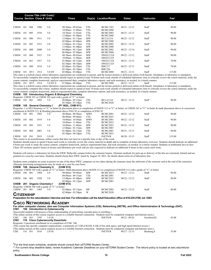|                   |     |     | Course Title (+IAI Code) <sup>1</sup><br><b>Course Section Class # Units</b> |                                                   | <b>Times</b>                                                                                                                                        |                        | Day(s) Location/Room                                  | <b>Dates</b>    | Instructor | Fee <sup>2</sup>                                                                                                                                                                           |
|-------------------|-----|-----|------------------------------------------------------------------------------|---------------------------------------------------|-----------------------------------------------------------------------------------------------------------------------------------------------------|------------------------|-------------------------------------------------------|-----------------|------------|--------------------------------------------------------------------------------------------------------------------------------------------------------------------------------------------|
|                   |     |     |                                                                              |                                                   |                                                                                                                                                     |                        |                                                       |                 |            |                                                                                                                                                                                            |
| CHEM 101          |     | 004 | 1906                                                                         | 5.0                                               | 08:30am - 09:45am<br>10:00am - 11:40am                                                                                                              | TTh<br>TTh             | <b>BCMC1363</b><br><b>BCMC2080</b>                    | $08/23 - 12/13$ | Staff      | 90.00                                                                                                                                                                                      |
| CHEM              | 101 | 005 | 1910                                                                         | 5.0                                               | 10:30am - 11:45am                                                                                                                                   | TTh                    | <b>BCMC2002</b>                                       | $08/23 - 12/13$ | Staff      | 90.00                                                                                                                                                                                      |
| CHEM 101          |     | 006 | 1911                                                                         | 5.0                                               | $12:00$ pm - $01:40$ pm<br>$12:00$ pm - $01:15$ pm<br>02:00pm - 03:40pm                                                                             | TTh<br>MW<br><b>MW</b> | <b>BCMC2080</b><br><b>BCLA1216</b><br><b>BCMC2080</b> | $08/22 - 12/12$ | Staff      | 90.00                                                                                                                                                                                      |
| CHEM 101          |     | 007 | 1913                                                                         | 5.0                                               | 12:00pm - 01:15pm<br>$12:00 \text{pm} - 01:40 \text{pm}$                                                                                            | TTh<br>MW              | <b>BCMC2002</b><br><b>BCMC2080</b>                    | $08/22 - 12/12$ | Staff      | 90.00                                                                                                                                                                                      |
| CHEM 101          |     | 008 | 2000                                                                         | 5.0                                               | $04:00$ pm - $05:15$ pm<br>06:00pm - 07:40pm                                                                                                        | <b>MW</b><br>MW        | <b>BCMC2002</b><br><b>BCMC2080</b>                    | $08/22 - 12/14$ | Staff      | 90.00                                                                                                                                                                                      |
| CHEM 101          |     | 060 | 1915                                                                         | 5.0                                               | 08:30am - 09:45am                                                                                                                                   | <b>MW</b>              | SWGCC324                                              | $08/22 - 12/12$ | Staff      | 90.00                                                                                                                                                                                      |
| CHEM 101          |     | 061 | 1917                                                                         | 5.0                                               | 10:00am - 11:40am<br>$01:00$ pm - $02:15$ pm                                                                                                        | <b>MW</b><br>MW        | SWGCC325<br>SWGCC324                                  | $08/23 - 12/15$ | Staff      | 70.00                                                                                                                                                                                      |
| CHEM 101          |     | 080 | 1918                                                                         | 5.0                                               | $02:30$ pm - $04:10$ pm<br>02:00pm-03:20pm                                                                                                          | MW<br>TTh              | SWGCC325<br><b>RBC217</b>                             | $08/23 - 12/13$ | Staff      | 70.00                                                                                                                                                                                      |
| CHEM 101 HY1      |     |     | 1912                                                                         | 5.0 HY                                            | 03:30pm - 05:10pm<br>$02:00$ pm - $03:40$ pm                                                                                                        | TTh<br>TTh             | <b>RBC226</b><br><b>BCMC2080</b>                      | $08/23 - 12/13$ | Staff      | 115.00                                                                                                                                                                                     |
|                   |     |     |                                                                              |                                                   |                                                                                                                                                     |                        |                                                       |                 |            | This class is a hybrid course where laboratory experiments are conducted in person, and the lecture portion is delivered online (web-based). Attendance in laboratory is mandatory.        |
|                   |     |     |                                                                              |                                                   | course content, complete homework, analyze experimental data, complete laboratory reports, and seek assistance, as needed, in a timely manner.      |                        |                                                       |                 |            | To successfully complete this course, students should expect to spend at least 10 hours each week outside of scheduled laboratory time to critically review the course material, study the |
| CHEM 101 HY2 1914 |     |     |                                                                              | 5.0 HY E                                          | $07:00 \text{pm} - 08:40 \text{pm}$                                                                                                                 | TTh                    | <b>BCMC2080</b>                                       | $08/23 - 12/15$ | Staff      | 115.00                                                                                                                                                                                     |
|                   |     |     |                                                                              |                                                   |                                                                                                                                                     |                        |                                                       |                 |            | This class is a hybrid course where laboratory experiments are conducted in person, and the lecture portion is delivered online (web-based). Attendance in laboratory is mandatory.        |
|                   |     |     |                                                                              |                                                   |                                                                                                                                                     |                        |                                                       |                 |            | To successfully complete this course, students should expect to spend at least 10 hours each week outside of scheduled laboratory time to critically review the course material, study the |
|                   |     |     |                                                                              |                                                   | course content, complete homework, analyze experimental data, complete laboratory reports, and seek assistance, as needed, in a timely manner.      |                        |                                                       |                 |            |                                                                                                                                                                                            |
|                   |     |     |                                                                              |                                                   | CHEM 103 Introductory Organic & Biological Chemistry                                                                                                |                        |                                                       |                 |            |                                                                                                                                                                                            |
|                   |     |     |                                                                              |                                                   | Requisite: CHEM 101 or CHEM 105 each with a grade of "C" or better                                                                                  |                        |                                                       |                 |            |                                                                                                                                                                                            |
| CHEM 103 001      |     |     | 1902                                                                         | 5.0                                               | $04:00 \text{pm} - 05:15 \text{pm}$                                                                                                                 | TTh                    | <b>BCLA1216</b>                                       | $08/23 - 12/13$ | Staff      | 90.00                                                                                                                                                                                      |
|                   |     |     | CHEM 105 General Chemistry I                                                 |                                                   | 05:30pm - 07:10pm<br>(P1 902L, CHM 911)                                                                                                             | TTh                    | BCMC2020                                              |                 |            |                                                                                                                                                                                            |
|                   |     |     |                                                                              |                                                   |                                                                                                                                                     |                        |                                                       |                 |            | Requisite: 1 yr HS Chemistry w/"C" or better & placement above or completion of MATH 112 w/"C" or better; or CHEM 101 w/"C" or better & math placement above or concurrent                 |
|                   |     |     |                                                                              |                                                   | enrollment in MATH 112; $\&$ Reading placement above ENG 92 or completion of ENG 92                                                                 |                        |                                                       |                 |            |                                                                                                                                                                                            |
| CHEM 105 001      |     |     | 1903                                                                         | 5.0                                               | 08:00am - 08:50am                                                                                                                                   | <b>MWF</b>             | <b>BCMC2001</b>                                       | $08/22 - 12/12$ | Staff      | 90.00                                                                                                                                                                                      |
|                   |     |     |                                                                              |                                                   | 08:00am - 09:40am                                                                                                                                   | TTh                    | <b>BCMC2023</b>                                       |                 |            |                                                                                                                                                                                            |
| CHEM 105          |     | 002 | 1919                                                                         | 5.0                                               | 10:00am - 10:50am<br>10:00am - 11:40am                                                                                                              | <b>MWF</b><br>TTh      | <b>BCMC2001</b><br><b>BCMC2023</b>                    | $08/22 - 12/12$ | Staff      | 90.00                                                                                                                                                                                      |
| CHEM 105          |     | 003 | 1921                                                                         | 5.0                                               | 10:00am - 11:40am<br>$12:00 \text{pm} - 01:15 \text{pm}$                                                                                            | <b>MW</b><br><b>MW</b> | <b>BCMC2023</b><br><b>BCMC2001</b>                    | $08/22 - 12/12$ | Staff      | 90.00                                                                                                                                                                                      |
| CHEM 105          |     | 004 | 2001                                                                         | 5.0                                               | $01:00$ pm - $02:15$ pm<br>$02:30$ pm - $04:10$ pm                                                                                                  | TTh<br>TTh             | <b>BCMC2001</b><br><b>BCMC2023</b>                    | $08/23 - 12/13$ | Staff      | 90.00                                                                                                                                                                                      |
| CHEM 105 IN1      |     |     | 2019                                                                         | 5.0 OI                                            |                                                                                                                                                     |                        | <b>INETN/R</b>                                        | $08/20 - 12/15$ | Staff      | 115.00                                                                                                                                                                                     |
|                   |     |     |                                                                              |                                                   | This course is an asynchronous, online course that does not meet at a specific time or day of the week.                                             |                        |                                                       |                 |            |                                                                                                                                                                                            |
|                   |     |     |                                                                              |                                                   |                                                                                                                                                     |                        |                                                       |                 |            | Students should expect to spend 6 hours each week to critically review the course material in depth and to complete at-home laboratory exercises. Students should dedicate an additional   |
|                   |     |     |                                                                              |                                                   | Chem 105 sections spend 6 hours in lecture and laboratory per week and are also expected to dedicate an additional 8 hours to the course each week. |                        |                                                       |                 |            | 8 hours per week to study the course content, complete homework, analyze experimental data, and seek assistance, as needed, in a timely manner. Students in traditional face-to-face       |
|                   |     |     |                                                                              |                                                   |                                                                                                                                                     |                        |                                                       |                 |            |                                                                                                                                                                                            |
|                   |     |     |                                                                              |                                                   | granted on a case-by-case basis. Students should check their SWIC email by August 18, 2021, for details about retrieval of laboratory kits.         |                        |                                                       |                 |            | Students will retrieve a laboratory kit from the SWIC Belleville campus before the semester begins. Alternate methods for pick-up or delivery of the kits are extremely limited and are    |
|                   |     |     |                                                                              |                                                   |                                                                                                                                                     |                        |                                                       |                 |            | Students must complete an exam in person on one of the three SWIC campuses on two dates during the semester (near the mid-term of the semester and at the end of the semester).            |
|                   |     |     |                                                                              |                                                   | Alternate proctoring arrangements may be made on a case-by-case basis.                                                                              |                        |                                                       |                 |            |                                                                                                                                                                                            |
|                   |     |     | CHEM 106 General Chemistry II                                                |                                                   | (CHM 912)                                                                                                                                           |                        |                                                       |                 |            |                                                                                                                                                                                            |
|                   |     |     |                                                                              |                                                   | Requisite: CHEM 105 with a grade of "C" or better; Math placement above MATH 112 or completion of MATH 112 with a grade of "C" or better            |                        |                                                       |                 |            |                                                                                                                                                                                            |
| CHEM 106          |     | 001 | 1904                                                                         | 5.0                                               | 08:00am - 09:40am<br>08:00am - 09:15am                                                                                                              | MW<br>TTh              | <b>BCMC2023</b><br><b>BCMC2001</b>                    | $08/22 - 12/12$ | Staff      | 90.00                                                                                                                                                                                      |
| CHEM              | 106 | 002 | 1920                                                                         | 5.0                                               | $12:00$ pm - 01:40pm                                                                                                                                | MW                     | <b>BCMC2023</b>                                       | $08/22 - 12/12$ | Staff      | 90.00                                                                                                                                                                                      |
|                   |     |     |                                                                              |                                                   | 02:00pm - 03:15pm                                                                                                                                   | MW                     | <b>BCMC2001</b>                                       |                 |            |                                                                                                                                                                                            |
|                   |     |     | CHEM 201 Organic Chemistry I                                                 |                                                   | (CHM 913)                                                                                                                                           |                        |                                                       |                 |            |                                                                                                                                                                                            |
|                   |     |     |                                                                              | Requisite: CHEM 106 with a grade of "C" or better |                                                                                                                                                     |                        |                                                       |                 |            | 80.00                                                                                                                                                                                      |
| CHEM 201 001      |     |     | 1905                                                                         | 5.0                                               | 02:00pm-03:15pm<br>0.5.2                                                                                                                            | MF<br><b>TTT</b>       | <b>BCMC2002</b>                                       | $08/22 - 12/12$ | Staff      |                                                                                                                                                                                            |

02:00pm - 05:20pm W BCMC2020<br>Preparation for the naturalization interview and test. For information call the Adult Education office at 618-235-2700, ext. 5363.

CISCO NETWORKING ACADEMY<br>For other computer classes, also see Computer Information Systems (CIS), Networking (NETW), and Office Administration & Technology (OAT).<br>CISC 106 Introduction to Cybersecurity<br>(Successful students

|             |              |        |                                         | (Successful students will possess a basic understanding of networking concepts prior to enrolling.) |                                                                                                                                                |                 |            |       |
|-------------|--------------|--------|-----------------------------------------|-----------------------------------------------------------------------------------------------------|------------------------------------------------------------------------------------------------------------------------------------------------|-----------------|------------|-------|
|             |              |        |                                         |                                                                                                     | (The online section of this course requires access to a reliable Internet connection. Students must be competent computer and Internet users.) |                 |            |       |
| <b>CISC</b> | 106 IN1 1595 |        | 1.0 OI                                  |                                                                                                     | <b>INETN/R</b>                                                                                                                                 | $08/22 - 09/26$ | Swinford M | 45.00 |
|             |              |        | CISC 116 Cisco Cybersecurity Essentials |                                                                                                     |                                                                                                                                                |                 |            |       |
|             |              |        |                                         | Requisite: Concurrent enrollment in or completion of CISC 106                                       |                                                                                                                                                |                 |            |       |
|             |              |        |                                         |                                                                                                     | (This course has specific computer requirements: a minimum of 2 GB of RAM, 8 GB of free disk space, and high speed Internet access.)           |                 |            |       |
|             |              |        |                                         |                                                                                                     | (The online section of this course requires access to a reliable Internet connection. Students must be competent computer and Internet users.) |                 |            |       |
| CISC.       | 116 IN1      | - 1616 | 2.0 OI                                  |                                                                                                     | <b>INETN/R</b>                                                                                                                                 | $09/27 - 12/15$ | Bushong S  | 55.00 |
|             |              |        |                                         |                                                                                                     |                                                                                                                                                |                 |            |       |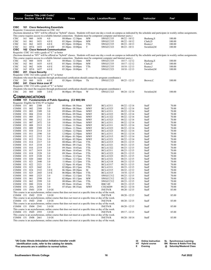|                                          |     |              | Course Title (+IAI Code) <sup>1</sup><br><b>Course Section Class # Units</b> |                                                   | <b>Times</b>                                                                                                                                 |                          | Day(s) Location/Room               | <b>Dates</b>                       | Instructor     | Fee <sup>2</sup>                                                                                                                                                                      |
|------------------------------------------|-----|--------------|------------------------------------------------------------------------------|---------------------------------------------------|----------------------------------------------------------------------------------------------------------------------------------------------|--------------------------|------------------------------------|------------------------------------|----------------|---------------------------------------------------------------------------------------------------------------------------------------------------------------------------------------|
|                                          |     |              |                                                                              |                                                   |                                                                                                                                              |                          |                                    |                                    |                |                                                                                                                                                                                       |
| <b>CISC</b>                              |     |              |                                                                              | 161 Cisco Networking Essentials                   |                                                                                                                                              |                          |                                    |                                    |                |                                                                                                                                                                                       |
|                                          |     |              |                                                                              | Requisite: Concurrent enrollment in CISC 162      |                                                                                                                                              |                          |                                    |                                    |                |                                                                                                                                                                                       |
|                                          |     |              |                                                                              |                                                   |                                                                                                                                              |                          |                                    |                                    |                | (Sections denoted as "HY" will be offered as "hybrid" classes. Students will meet one day a week on campus as indicated by the schedule and participate in weekly online assignments. |
| CISC                                     |     | 161 060      | 1650                                                                         | 4.0                                               | This course requires access to a reliable Internet connection. Students must be competent computer and Internet users.)<br>08:00am - 12:30pm | MW                       | SWGCC335                           | $08/22 - 10/12$                    | Bushong, S     | 100.00                                                                                                                                                                                |
| <b>CISC</b>                              | 161 | 061          | 1651                                                                         | 4.0 E                                             | 05:30pm-10:00pm                                                                                                                              | MW                       | SWGCC335                           | $08/22 - 10/12$                    | Clark, D       | 100.00                                                                                                                                                                                |
| <b>CISC</b>                              | 161 | 062          | 1652                                                                         | 4.0 E                                             | $05:30$ pm - $10:00$ pm                                                                                                                      | TTh                      | SWGCC335                           | $08/23 - 10/13$                    | Reuter, J      | 100.00                                                                                                                                                                                |
| <b>CISC</b><br><b>CISC</b>               |     | 161 HY6 1653 |                                                                              | 4.0 HY<br>162 Cisco Network Communication         | 05:30pm - 10:00pm                                                                                                                            | T                        | SWGCC323                           | $08/23 - 10/11$                    | Swinford, M    | 100.00                                                                                                                                                                                |
|                                          |     |              |                                                                              | Requisite: CISC 161 with a grade of "C" or better |                                                                                                                                              |                          |                                    |                                    |                |                                                                                                                                                                                       |
|                                          |     |              |                                                                              |                                                   |                                                                                                                                              |                          |                                    |                                    |                | (Sections denoted as "HY" will be offered as "hybrid" classes. Students will meet one day a week on campus as indicated by the schedule and participate in weekly online assignments. |
| CISC                                     |     | 162 060      | 1654                                                                         | 4.0                                               | This course requires access to a reliable Internet connection. Students must be competent computer and Internet users.)<br>08:00am - 12:30pm | MW                       | SWGCC335                           |                                    | Bushong, S     | 100.00                                                                                                                                                                                |
| <b>CISC</b>                              | 162 | 061          | 1655                                                                         | 4.0 E                                             | 05:30pm - 10:00pm                                                                                                                            | MW                       | SWGCC335                           | $10/17 - 12/12$<br>$10/17 - 12/12$ | Clark, D       | 100.00                                                                                                                                                                                |
| CISC                                     |     | 162 062      | 1656                                                                         | 4.0 E                                             | $05:30$ pm - $10:00$ pm                                                                                                                      | TTh                      | SWGCC335                           | $10/18 - 12/13$                    | Reuter, J      | 100.00                                                                                                                                                                                |
| <b>CISC</b>                              |     | 162 HY6      | 1657                                                                         | 4.0 E                                             | 05:30pm - 10:00pm                                                                                                                            | T                        | SWGCC323                           | $10/18 - 12/13$                    | Swinford, M    | 100.00                                                                                                                                                                                |
| <b>CISC</b>                              |     |              | 201 Cisco Security                                                           | Requisite: CISC 162 with a grade of "C" or better |                                                                                                                                              |                          |                                    |                                    |                |                                                                                                                                                                                       |
|                                          |     |              |                                                                              |                                                   | (Students who meet the requisite through professional certification should contact the program coordinator.)                                 |                          |                                    |                                    |                |                                                                                                                                                                                       |
| <b>CISC</b>                              |     | 201 060      | 1618                                                                         | 4.0 E                                             | 05:30pm - 10:00pm                                                                                                                            | Th                       | SWGCC323                           | $08/25 - 12/15$                    | Brewer, C      | 100.00                                                                                                                                                                                |
| <b>CISC</b>                              |     |              | 241 Cisco Voice over IP                                                      |                                                   |                                                                                                                                              |                          |                                    |                                    |                |                                                                                                                                                                                       |
|                                          |     |              |                                                                              | Requisite: CISC 152 with a grade of "C" or better | (Students who meet the requisite through professional certification should contact the program coordinator.)                                 |                          |                                    |                                    |                |                                                                                                                                                                                       |
| CISC                                     |     | 241 060      | 1600                                                                         | 3.0 E                                             | 06:00pm - 09:50pm                                                                                                                            | W                        | SWGCC323                           | $08/24 - 12/14$                    | Swinford, M    | 100.00                                                                                                                                                                                |
| <b>COMMUNICATIONS</b>                    |     |              |                                                                              |                                                   |                                                                                                                                              |                          |                                    |                                    |                |                                                                                                                                                                                       |
|                                          |     |              |                                                                              |                                                   | COMM 151 Fundamentals of Public Speaking (C2 900) BN                                                                                         |                          |                                    |                                    |                |                                                                                                                                                                                       |
| Requisite: Eligible for ENG 97 or higher |     |              |                                                                              |                                                   |                                                                                                                                              |                          |                                    |                                    |                |                                                                                                                                                                                       |
| COMM 151                                 |     | 001          | 2308                                                                         | 3.0                                               | 08:00am - 08:50am                                                                                                                            | MWF                      | <b>BCLA3311</b>                    | $08/22 - 12/14$                    | Staff          | 70.00                                                                                                                                                                                 |
| COMM 151                                 |     | 002          | 2588                                                                         | 3.0                                               | 08:00am - 08:50am                                                                                                                            | <b>MWF</b>               | <b>BCLA3323</b>                    | $08/22 - 12/14$                    | Staff          | 70.00                                                                                                                                                                                 |
| COMM 151<br>COMM 151                     |     | 003<br>004   | 2309<br>2310                                                                 | 3.0<br>3.0                                        | 09:00am - 09:50am<br>09:00am - 09:50am                                                                                                       | <b>MWF</b><br><b>MWF</b> | <b>BCLA3311</b><br><b>BCLA3323</b> | $08/22 - 12/14$<br>$08/22 - 12/14$ | Staff<br>Staff | 70.00<br>70.00                                                                                                                                                                        |
| COMM 151                                 |     | 005          | 2311                                                                         | 3.0                                               | 10:00am - 10:50am                                                                                                                            | <b>MWF</b>               | <b>BCLA1322</b>                    | $08/22 - 12/14$                    | Staff          | 70.00                                                                                                                                                                                 |
| COMM 151                                 |     | 006          | 2312                                                                         | 3.0                                               | 10:00am - 10:50am                                                                                                                            | MWF                      | <b>BCLA3323</b>                    | $08/22 - 12/14$                    | Staff          | 70.00                                                                                                                                                                                 |
| COMM 151                                 |     | 007          | 2472<br>2313                                                                 | 3.0                                               | 10:00am - 10:50am                                                                                                                            | <b>MWF</b>               | <b>BCLA3311</b>                    | $08/22 - 12/14$                    | Staff          | 70.00                                                                                                                                                                                 |
| COMM 151<br>COMM 151                     |     | 008<br>009   | 2589                                                                         | 3.0<br>3.0                                        | 11:00am - 11:50am<br>11:00am - 11:50am                                                                                                       | MWF<br>MWF               | <b>BCLA3311</b><br><b>BCLA3323</b> | $08/22 - 12/14$<br>$08/22 - 12/14$ | Staff<br>Staff | 70.00<br>70.00                                                                                                                                                                        |
| COMM 151                                 |     | 010          | 2314                                                                         | 3.0                                               | $12:00 \text{pm} - 12:50 \text{pm}$                                                                                                          | <b>MWF</b>               | <b>BCLA3323</b>                    | $08/22 - 12/14$                    | Staff          | 70.00                                                                                                                                                                                 |
| COMM 151                                 |     | 011          | 2590                                                                         | 3.0                                               | $12:00$ pm - $12:50$ pm                                                                                                                      | MWF                      | <b>BCLA3311</b>                    | $08/22 - 12/14$                    | Staff          | 70.00                                                                                                                                                                                 |
| COMM 151<br>COMM 151                     |     | 012<br>013   | 2315<br>2316                                                                 | 3.0<br>3.0                                        | $01:00$ pm - $01:50$ pm                                                                                                                      | <b>MWF</b><br>MWF        | <b>BCLA3315</b><br><b>BCLA3321</b> | $08/22 - 12/14$<br>$08/22 - 12/14$ | Staff<br>Staff | 70.00<br>70.00                                                                                                                                                                        |
| COMM 151                                 |     | 014          | 2317                                                                         | 3.0                                               | $02:00$ pm - $02:50$ pm<br>08:00am - 09:15am                                                                                                 | TTh                      | <b>BCLA3315</b>                    | $08/23 - 12/15$                    | Staff          | 70.00                                                                                                                                                                                 |
| COMM 151                                 |     | 015          | 2318                                                                         | 3.0                                               | 08:00am - 09:15am                                                                                                                            | TTh                      | <b>BCLA3321</b>                    | $08/23 - 12/15$                    | Staff          | 70.00                                                                                                                                                                                 |
| COMM 151                                 |     | 016          | 2319                                                                         | 3.0                                               | 09:30am - 10:45am                                                                                                                            | TTh                      | <b>BCLA1322</b>                    | $08/23 - 12/15$                    | Staff          | 70.00                                                                                                                                                                                 |
| COMM 151<br>COMM 151                     |     | 017<br>018   | 2419<br>2528                                                                 | 3.0<br>3.0                                        | 09:30am - 10:45am<br>09:30am - 10:45am                                                                                                       | TTh<br>TTh               | <b>BCLA3311</b><br><b>BCLA3323</b> | $08/23 - 12/15$<br>$08/23 - 12/15$ | Staff<br>Staff | 70.00<br>70.00                                                                                                                                                                        |
| COMM 151                                 |     | 019          | 2320                                                                         | 3.0                                               | $11:00$ am - $12:15$ pm                                                                                                                      | TTh                      | <b>BCLA3323</b>                    | $08/23 - 12/15$                    | Staff          | 70.00                                                                                                                                                                                 |
| COMM 151                                 |     | 020          | 2460                                                                         | 3.0                                               | $11:00$ am - $12:15$ pm                                                                                                                      | TTh                      | <b>BCLA3321</b>                    | $08/23 - 12/15$                    | Staff          | 70.00                                                                                                                                                                                 |
| COMM 151                                 |     | 021          | 2440                                                                         | 3.0                                               | $11:00$ am - $12:15$ pm                                                                                                                      | TTh                      | <b>BCLA2118</b>                    | $08/23 - 12/15$                    | Staff          | 70.00                                                                                                                                                                                 |
| COMM 151<br>COMM 151                     |     | 022<br>023   | 2321<br>2442                                                                 | 3.0<br>3.0                                        | $12:30$ pm - 01:45pm<br>$02:00 \text{pm} - 03:15 \text{pm}$                                                                                  | TTh<br>TTh               | <b>BCLA3317</b><br>BCLA3311        | $08/23 - 12/15$<br>$08/23 - 12/15$ | Staff<br>Staff | 70.00<br>70.00                                                                                                                                                                        |
| COMM 151                                 |     | 024          | 2322                                                                         | 3.0 E                                             | $06:30$ pm - $09:20$ pm                                                                                                                      | М                        | <b>BCLA3315</b>                    | 08/22 - 12/12                      | Staff          | 70.00                                                                                                                                                                                 |
| COMM 151                                 |     | 025          | 2443                                                                         | 3.0 E                                             | $06:00$ pm - $08:50$ pm                                                                                                                      | TTh                      | <b>BCLA3315</b>                    | $10/18 - 12/15$                    | Staff          | 70.00                                                                                                                                                                                 |
| COMM 151                                 |     | 060<br>061   | 2323                                                                         | 3.0                                               | 11:00am - 12:15pm<br>02:00pm - 03:15pm                                                                                                       | TTh                      | SWGCC312                           | 08/23 - 12/15                      | Staff          | 70.00                                                                                                                                                                                 |
| COMM 151<br>COMM 151                     |     | 062          | 2598<br>2599                                                                 | 3.0<br>3.0                                        | 08:00am - 09:15am                                                                                                                            | MW<br>TTh                | SWGCC312<br>SWGCC312               | $08/22 - 12/14$<br>$08/23 - 12/15$ | Staff<br>Staff | 70.00<br>70.00                                                                                                                                                                        |
| COMM 151                                 |     | 080          | 2324                                                                         | 3.0                                               | 09:30am - 10:45am                                                                                                                            | TTh                      | <b>RBC149</b>                      | $08/23 - 12/15$                    | Staff          | 70.00                                                                                                                                                                                 |
| COMM 151                                 |     | 20A          | 2430                                                                         | 3.0                                               | 07:45am - 08:35am                                                                                                                            | MWF                      | COLM209                            | $08/22 - 12/14$                    | Staff          | 70.00                                                                                                                                                                                 |
| COMM 151 IN01 2538                       |     |              |                                                                              | 3.0 OI                                            | This course is an asynchronous, online course that does not meet at a specific time or day of the week.                                      |                          | <b>INETN/R</b>                     | $08/20 - 12/15$                    | Staff          | 85.00                                                                                                                                                                                 |
| COMM 151 IN02 2539                       |     |              |                                                                              | 3.0 OI                                            |                                                                                                                                              |                          | <b>INETN/R</b>                     | $08/20 - 12/15$                    | Staff          | 85.00                                                                                                                                                                                 |
|                                          |     |              |                                                                              |                                                   | This course is an asynchronous, online course that does not meet at a specific time or day of the week.                                      |                          |                                    |                                    |                |                                                                                                                                                                                       |
| COMM 151 IN03 2540                       |     |              |                                                                              | 3.0 OI                                            |                                                                                                                                              |                          | <b>INETN/R</b>                     | $08/20 - 12/15$                    | Staff          | 85.00                                                                                                                                                                                 |
| COMM 151 IN04 2541                       |     |              |                                                                              | 3.0 OI                                            | This course is an asynchronous, online course that does not meet at a specific time or day of the week.                                      |                          | <b>INETN/R</b>                     | $08/20 - 12/15$                    | Staff          | 85.00                                                                                                                                                                                 |
|                                          |     |              |                                                                              |                                                   | This course is an asynchronous, online course that does not meet at a specific time or day of the week.                                      |                          |                                    |                                    |                |                                                                                                                                                                                       |
| COMM 151 IN05 2593                       |     |              |                                                                              | 3.0 OI                                            |                                                                                                                                              |                          | <b>INETN/R</b>                     | $09/17 - 12/15$                    | Staff          | 85.00                                                                                                                                                                                 |
|                                          |     |              |                                                                              | 3.0 OI                                            | This course is an asynchronous, online course that does not meet at a specific time or day of the week.                                      |                          | <b>INETN/R</b>                     |                                    | Staff          | 85.00                                                                                                                                                                                 |
| COMM 151 IN06 2661                       |     |              |                                                                              |                                                   | This course is an asynchronous, online course that does not meet at a specific time or day of the week.                                      |                          |                                    | $08/20 - 10/14$                    |                |                                                                                                                                                                                       |
|                                          |     |              |                                                                              |                                                   |                                                                                                                                              |                          |                                    |                                    |                |                                                                                                                                                                                       |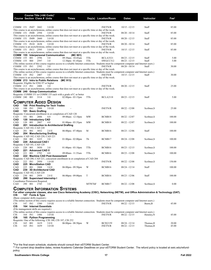|                    |            | Course Title (+IAI Code) <sup>1</sup>        |                                                                     |                                                                                                                                                |               |                                   |                                    |                   |                  |
|--------------------|------------|----------------------------------------------|---------------------------------------------------------------------|------------------------------------------------------------------------------------------------------------------------------------------------|---------------|-----------------------------------|------------------------------------|-------------------|------------------|
|                    |            | <b>Course Section Class # Units</b>          |                                                                     | <b>Times</b>                                                                                                                                   |               | Day(s) Location/Room              | <b>Dates</b>                       | <b>Instructor</b> | Fee <sup>2</sup> |
|                    |            |                                              |                                                                     |                                                                                                                                                |               |                                   |                                    |                   |                  |
| COMM 151 IN07 2682 |            |                                              | 3.0 OI                                                              |                                                                                                                                                |               | <b>INETN/R</b>                    | $10/15 - 12/15$                    | Staff             | 85.00            |
| COMM 151 IN08 2594 |            |                                              | 3.0 OI                                                              | This course is an asynchronous, online course that does not meet at a specific time or day of the week.                                        |               | <b>INETN/R</b>                    | $08/20 - 10/14$                    | Staff             | 85.00            |
|                    |            |                                              |                                                                     | This course is an asynchronous, online course that does not meet at a specific time or day of the week.                                        |               |                                   |                                    |                   |                  |
| COMM 151 IN09 2660 |            |                                              | 3.0 OI                                                              |                                                                                                                                                |               | <b>INETN/R</b>                    | $08/20 - 12/15$                    | Staff             | 85.00            |
| COMM 151 IN10 2638 |            |                                              | 3.0 OI                                                              | This course is an asynchronous, online course that does not meet at a specific time or day of the week.                                        |               | <b>INETN/R</b>                    | $08/20 - 10/14$                    | Staff             | 85.00            |
|                    |            |                                              |                                                                     | This course is an asynchronous, online course that does not meet at a specific time or day of the week.                                        |               |                                   |                                    |                   |                  |
| COMM 151 IN11 2595 |            |                                              | 3.0 OI                                                              |                                                                                                                                                |               | <b>INETN/R</b>                    | $10/15 - 12/15$                    | Staff             | 85.00            |
|                    |            |                                              | <b>COMM 155 Interpersonal Communication</b>                         | This course is an asynchronous, online course that does not meet at a specific time or day of the week.<br>(MC 901)                            |               |                                   |                                    |                   |                  |
| COMM 155           | 001        | 2596                                         | 3.0                                                                 | 09:30am - 10:45am                                                                                                                              | TTh           | <b>BCLA3321</b>                   | $08/23 - 12/15$                    | Staff             | 5.00             |
| COMM 155           | 060        | 2597                                         | 3.0                                                                 | $12:30$ pm - 01:45pm                                                                                                                           | TTh           | SWGCC312                          | $08/23 - 12/15$                    | Staff             | 5.00             |
| COMM 155 IN1       |            | 2392                                         | 3.0                                                                 | (The online section of this course requires access to a reliable Internet connection. Students must be competent computer and Internet users.) |               | <b>INETN/R</b>                    | $08/20 - 10/14$                    | Staff             | 30.00            |
|                    |            |                                              |                                                                     | This course is an asynchronous, online course that does not meet at a specific time or day of the week.                                        |               |                                   |                                    |                   |                  |
|                    |            |                                              |                                                                     | (The online section of this course requires access to a reliable Internet connection. Students must be competent computer and Internet users.) |               |                                   |                                    |                   |                  |
| COMM 155 IN2       |            | 2407                                         | 3.0                                                                 | This course is an asynchronous, online course that does not meet at a specific time or day of the week.                                        |               | <b>INETN/R</b>                    | $10/15 - 12/15$                    | Staff             | 30.00            |
|                    |            |                                              | COMM 213 Intro to Public Relations (MC 913)                         |                                                                                                                                                |               |                                   |                                    |                   |                  |
|                    |            | Requisite: Eligible for ENG 97 or higher     |                                                                     |                                                                                                                                                |               |                                   |                                    |                   |                  |
| COMM 213 IN1       |            | 2408                                         | 3.0                                                                 | This course is an asynchronous, online course that does not meet at a specific time or day of the week.                                        |               | <b>INETN/R</b>                    | $08/20 - 12/15$                    | Staff             | 25.00            |
|                    |            | <b>COMM 240 Group Communication</b>          |                                                                     |                                                                                                                                                |               |                                   |                                    |                   |                  |
|                    |            |                                              |                                                                     | Requisite: COMM 151 or COMM 155 each with a grade of C or better                                                                               |               |                                   |                                    |                   |                  |
| COMM 240 001       |            | 3114                                         | 3.0                                                                 | 02:00pm - 03:15pm                                                                                                                              | TTh           | <b>BCLA2118</b>                   | $08/23 - 12/15$                    | Staff             | 5.00             |
|                    |            |                                              | <b>COMPUTER AIDED DESIGN</b>                                        |                                                                                                                                                |               |                                   |                                    |                   |                  |
| CAD                |            |                                              | 100 Print Reading for Tech Trades                                   |                                                                                                                                                |               |                                   |                                    |                   |                  |
| CAD                | 100 IN1    | 2988                                         | 3.0 OI                                                              |                                                                                                                                                |               | <b>INETN/R</b>                    | $08/22 - 12/08$                    | Scribner, S       | 25.00            |
| CAD                |            | 101 Basic Drafting                           |                                                                     | Requisite: Concurrent enrollment in or completion of CAD 120                                                                                   |               |                                   |                                    |                   |                  |
| CAD                | 101 001    | 2806                                         | 4.0                                                                 | 09:00am - $12:10$ pm                                                                                                                           | MW            | BCMB18                            | $08/22 - 12/07$                    | Scribner, S       | 100.00           |
| CAD                |            | 120 Introductory CAD                         |                                                                     |                                                                                                                                                |               |                                   |                                    |                   |                  |
| CAD                | 120<br>001 | 2807                                         | 4.0                                                                 | $01:00$ pm - $03:35$ pm                                                                                                                        | MW            | BCMB18                            | $08/22 - 12/07$                    | Scribner, S       | 100.00           |
| CAD                |            | Requisite: CAD 102, CAD 220                  | 201 Introduction to Architectural Drafting                          |                                                                                                                                                |               |                                   |                                    |                   |                  |
| CAD                | 201 001    | 3032                                         | 2.0 E                                                               | $06:00 \text{pm} - 07:40 \text{pm}$                                                                                                            | М             | BCMB16                            | $08/23 - 12/06$                    | Staff             | 100.00           |
| CAD                |            | 204 Manufacturing Drafting                   |                                                                     |                                                                                                                                                |               |                                   |                                    |                   |                  |
| CAD                | 204 001    | Requisite: CAD 102, CAD 220, CAD 221<br>3225 | 3.0                                                                 | $01:00$ pm - $02:00$ pm                                                                                                                        | Th            | BCMB17                            | $08/24 - 12/08$                    | Scribner, S       | 100.00           |
| CAD                |            | 220 Advanced CAD I                           |                                                                     |                                                                                                                                                |               |                                   |                                    |                   |                  |
|                    |            | Requisite: CAD 101, CAD 120                  |                                                                     |                                                                                                                                                |               |                                   |                                    |                   |                  |
| CAD<br>CAD         | 220<br>001 | 3030<br>221 Advanced CAD II                  | 3.0                                                                 | $01:00$ pm - $03:10$ pm                                                                                                                        | TTh           | BCMB16                            | $08/23 - 12/15$                    | Scribner, S       | 100.00           |
| CAD                | 221<br>001 | 2792                                         | 4.0                                                                 | 09:00am - 11:35am                                                                                                                              | TTh           | BCMB16                            | $08/23 - 12/08$                    | Scribner, S       | 100.00           |
| CAD                |            |                                              | 222 Machine CAD Post Assessment                                     |                                                                                                                                                |               |                                   |                                    |                   |                  |
|                    | 222 IN1    | 2950                                         | 1.0 OI                                                              | Requisite: CAD 200, CAD 221, concurrent enrollment in or completion of CAD 204                                                                 |               |                                   |                                    |                   | 150.00           |
| CAD<br>CAD         |            | 225 MicroStation CAD                         |                                                                     |                                                                                                                                                |               | <b>INETN/R</b>                    | $08/22 - 12/08$                    | Scribner, S       |                  |
| CAD                | 225<br>001 | 2808                                         | 3.0 E                                                               | $06:00$ pm - $09:50$ pm                                                                                                                        | W             | BCMB16                            | $08/24 - 12/14$                    | Staff             | 100.00           |
| CAD                |            | 230 3D Architectural CAD                     |                                                                     |                                                                                                                                                |               |                                   |                                    |                   |                  |
| CAD                | 230 001    | Requisite: CAD 102, CAD 220<br>2959          | 2.0 E                                                               | $06:00 \text{pm} - 09:00 \text{pm}$                                                                                                            | T             | BCMB16                            | $08/23 - 12/06$                    | Staff             | 100.00           |
| CAD                |            | 290 Supervised Internship I                  |                                                                     |                                                                                                                                                |               |                                   |                                    |                   |                  |
|                    |            | Coordinator Permission Required.             |                                                                     |                                                                                                                                                |               |                                   |                                    |                   |                  |
| CAD                | 290<br>001 | 2745                                         | 3.0                                                                 |                                                                                                                                                | <b>MTWThF</b> | BCMB17                            | $08/22 - 12/08$                    | Scribner, S       | 0.00             |
|                    |            |                                              |                                                                     | <b>COMPUTER INFORMATION SYSTEMS</b>                                                                                                            |               |                                   |                                    |                   |                  |
|                    |            |                                              |                                                                     | For other computer classes, also see Cisco Networking Academy (CISC), Networking (NETW), and Office Administration & Technology (OAT).         |               |                                   |                                    |                   |                  |
| CIS                |            | 147 Fonts & Type                             |                                                                     |                                                                                                                                                |               |                                   |                                    |                   |                  |
|                    |            | (Basic computer skills required.)            |                                                                     | (The online section of this course requires access to a reliable Internet connection. Students must be competent computer and Internet users.) |               |                                   |                                    |                   |                  |
| <b>CIS</b>         | 147 IN1    | 1580                                         | 3.0 OI                                                              |                                                                                                                                                |               | <b>INETN/R</b>                    | $08/22 - 12/15$                    | Burns, B          | 45.00            |
| CIS                |            | <b>164 Internet Essentials</b>               |                                                                     |                                                                                                                                                |               |                                   |                                    |                   |                  |
|                    |            | (File management skills are required.)       |                                                                     | (The online section of this course requires access to a reliable Internet connection. Students must be competent computer and Internet users.) |               |                                   |                                    |                   |                  |
| CIS                | 164 IN1    | 1486                                         | 3.0 OI                                                              |                                                                                                                                                |               | <b>INETN/R</b>                    | $08/22 - 12/15$                    | Hensley, N        | 45.00            |
| CIS                |            | 165 Python Programming                       |                                                                     |                                                                                                                                                |               |                                   |                                    |                   |                  |
| CIS                | 165 001    | 1619                                         | Requisite: One of the following: CIS 180, CIS 187, CIS 252<br>3.0 E |                                                                                                                                                | W             |                                   |                                    | Thomas, H         | 20.00            |
| <b>CIS</b>         | 165 IN1    | 1659                                         | 3.0 OI                                                              | 06:00pm - 08:50pm                                                                                                                              |               | <b>BCIS2159</b><br><b>INETN/R</b> | $08/24 - 12/14$<br>$08/22 - 12/15$ | Thomas, H         | 45.00            |
|                    |            |                                              |                                                                     |                                                                                                                                                |               |                                   |                                    |                   |                  |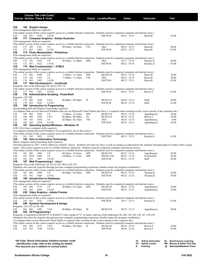|                               |                    |              | Course Title (+IAI Code) <sup>1</sup><br><b>Course Section Class # Units</b> |                                                                                          | <b>Times</b>                                                                                                                                                                                                                                                         |     | Day(s) Location/Room  | <b>Dates</b>                       | Instructor                                                                                                                                                                       | Fee <sup>2</sup>                                                                                                                                                                  |
|-------------------------------|--------------------|--------------|------------------------------------------------------------------------------|------------------------------------------------------------------------------------------|----------------------------------------------------------------------------------------------------------------------------------------------------------------------------------------------------------------------------------------------------------------------|-----|-----------------------|------------------------------------|----------------------------------------------------------------------------------------------------------------------------------------------------------------------------------|-----------------------------------------------------------------------------------------------------------------------------------------------------------------------------------|
| CIS                           |                    |              | 168 Graphic Design                                                           |                                                                                          |                                                                                                                                                                                                                                                                      |     |                       |                                    |                                                                                                                                                                                  |                                                                                                                                                                                   |
|                               |                    |              | (File management skills are required.)                                       |                                                                                          |                                                                                                                                                                                                                                                                      |     |                       |                                    |                                                                                                                                                                                  |                                                                                                                                                                                   |
|                               |                    |              |                                                                              |                                                                                          | (The online section of this course requires access to a reliable Internet connection. Students must be competent computer and Internet users.)                                                                                                                       |     |                       |                                    |                                                                                                                                                                                  |                                                                                                                                                                                   |
| CIS<br>CIS                    | 168 IN1            |              | 1598                                                                         | 3.0 OI                                                                                   | 171 Computer Graphics - Adobe Illustrator                                                                                                                                                                                                                            |     | <b>INETN/R</b>        | $08/22 - 12/15$                    | Burns, B                                                                                                                                                                         | 45.00                                                                                                                                                                             |
|                               |                    |              | (File management skills are required.)                                       |                                                                                          |                                                                                                                                                                                                                                                                      |     |                       |                                    |                                                                                                                                                                                  |                                                                                                                                                                                   |
|                               |                    |              |                                                                              |                                                                                          | (The online section of this course requires access to a reliable Internet connection. Students must be competent computer and Internet users.)                                                                                                                       |     |                       |                                    |                                                                                                                                                                                  |                                                                                                                                                                                   |
| CIS<br><b>CIS</b>             | 171 101<br>171 IN1 |              | 3181<br>1488                                                                 | 3.0<br>3.0 OI                                                                            | 09:30am - 10:45am                                                                                                                                                                                                                                                    | TTh | TBA<br><b>INETN/R</b> | $08/23 - 12/15$<br>$08/22 - 12/15$ | Burns, B<br>Burns, B                                                                                                                                                             | 40.00<br>65.00                                                                                                                                                                    |
| <b>CIS</b>                    |                    |              |                                                                              | 172 Photo Manipulation - Photoshop                                                       |                                                                                                                                                                                                                                                                      |     |                       |                                    |                                                                                                                                                                                  |                                                                                                                                                                                   |
|                               |                    |              | (File management skills are required.)                                       |                                                                                          |                                                                                                                                                                                                                                                                      |     |                       |                                    |                                                                                                                                                                                  |                                                                                                                                                                                   |
|                               |                    |              |                                                                              |                                                                                          | (The online section of this course requires access to a reliable Internet connection. Students must be competent computer and Internet users.)<br>09:30am - 12:20pm                                                                                                  |     |                       |                                    |                                                                                                                                                                                  |                                                                                                                                                                                   |
| CIS<br><b>CIS</b>             | 172 101<br>172 IN1 |              | 3182<br>1632                                                                 | 3.0<br>3.0 OI                                                                            |                                                                                                                                                                                                                                                                      | MW  | TBA<br><b>INETN/R</b> | $10/17 - 12/14$<br>$08/22 - 10/14$ | Hensley, N<br>Hensley, N                                                                                                                                                         | 40.00<br>65.00                                                                                                                                                                    |
| CIS                           |                    |              |                                                                              | 174 Web Fundamentals I - HTML5                                                           |                                                                                                                                                                                                                                                                      |     |                       |                                    |                                                                                                                                                                                  |                                                                                                                                                                                   |
|                               |                    |              | (File management skills are required.)                                       |                                                                                          |                                                                                                                                                                                                                                                                      |     |                       |                                    |                                                                                                                                                                                  |                                                                                                                                                                                   |
| <b>CIS</b>                    | 174                | 001          | 1490                                                                         | 3.0                                                                                      | (The online section of this course requires access to a reliable Internet connection. Students must be competent computer and Internet users.)<br>$11:00$ am - $12:15$ pm                                                                                            | MW  | <b>BCIS2158</b>       | $08/22 - 12/14$                    | Burns, B                                                                                                                                                                         | 20.00                                                                                                                                                                             |
| CIS                           | 174                | 101          | 3185                                                                         | 3.0                                                                                      | $11:00am - 12:15pm$                                                                                                                                                                                                                                                  | TTh | <b>TBA</b>            | $08/23 - 12/15$                    | Burns, B                                                                                                                                                                         | 20.00                                                                                                                                                                             |
| <b>CIS</b>                    | 174                | IN1          | 1492                                                                         | 3.0 OI                                                                                   |                                                                                                                                                                                                                                                                      |     | <b>INETN/R</b>        | $08/22 - 12/15$                    | Burns, B                                                                                                                                                                         | 45.00                                                                                                                                                                             |
| CIS                           |                    |              |                                                                              | 177 Web Development I - JavaScript                                                       |                                                                                                                                                                                                                                                                      |     |                       |                                    |                                                                                                                                                                                  |                                                                                                                                                                                   |
|                               |                    |              |                                                                              | Requisite: One of the following CIS 180 or CIS 174                                       | (The online section of this course requires access to a reliable Internet connection. Students must be competent computer and Internet users.)                                                                                                                       |     |                       |                                    |                                                                                                                                                                                  |                                                                                                                                                                                   |
| CIS                           | 177 IN1            |              | 1582                                                                         | 3.0 OI                                                                                   |                                                                                                                                                                                                                                                                      |     | <b>INETN/R</b>        | $08/22 - 12/15$                    | Brown, T                                                                                                                                                                         | 65.00                                                                                                                                                                             |
| CIS                           |                    |              |                                                                              |                                                                                          | 178 Administrative Scripting - PowerShell                                                                                                                                                                                                                            |     |                       |                                    |                                                                                                                                                                                  |                                                                                                                                                                                   |
| Requisite: CIS 180            | 178                | - 001        |                                                                              |                                                                                          |                                                                                                                                                                                                                                                                      | W   | <b>BCIS2157</b>       |                                    |                                                                                                                                                                                  |                                                                                                                                                                                   |
| CIS<br><b>CIS</b>             | 178                | IN1          | 1620<br>1658                                                                 | 3.0 E<br>3.0 OI                                                                          | $06:00$ pm - $08:50$ pm                                                                                                                                                                                                                                              |     | <b>INETN/R</b>        | $08/24 - 12/14$<br>$08/24 - 12/14$ | Staff<br>Staff                                                                                                                                                                   | 40.00<br>63.00                                                                                                                                                                    |
| CIS                           |                    |              |                                                                              | 180 Introduction to Programming                                                          |                                                                                                                                                                                                                                                                      |     |                       |                                    |                                                                                                                                                                                  |                                                                                                                                                                                   |
|                               |                    |              |                                                                              | (Keyboarding skill and Windows knowledge required.)                                      |                                                                                                                                                                                                                                                                      |     |                       |                                    |                                                                                                                                                                                  |                                                                                                                                                                                   |
| CIS                           | 180 001            |              | 1566                                                                         | 3.0                                                                                      | $11:00am - 12:15pm$                                                                                                                                                                                                                                                  | MW  | <b>BCIS2159</b>       | $08/22 - 12/14$                    | (A computer than can run Microsoft Windows that can run Microsoft Visual Studio and Alice 2 is required when working on this course outside of the computer lab.)<br>Appelbaum,L | 20.00                                                                                                                                                                             |
| <b>CIS</b>                    | 180                | 003          | 1568                                                                         | 3.0 E                                                                                    | $06:00$ pm - $08:50$ pm                                                                                                                                                                                                                                              | Th  | <b>BCIS2154</b>       | $08/25 - 12/15$                    | Brown, T                                                                                                                                                                         | 20.00                                                                                                                                                                             |
| <b>CIS</b>                    | 180                | 101          | 3184                                                                         | 3.0                                                                                      | 02:00pm - 03:15pm                                                                                                                                                                                                                                                    | TTh | TBA                   | $08/23 - 12/15$                    | Appelbaum,L                                                                                                                                                                      | 0.00                                                                                                                                                                              |
| <b>CIS</b>                    | 180 IN1            |              | 1569                                                                         | 3.0 OI                                                                                   |                                                                                                                                                                                                                                                                      |     | <b>INETN/R</b>        | $08/22 - 12/15$                    | Appelbaum,L                                                                                                                                                                      | 45.00                                                                                                                                                                             |
| CIS                           |                    |              |                                                                              | (CIS 120 or basic computer skills required.)                                             | 181 Operating System/Windows - Windows 10                                                                                                                                                                                                                            |     |                       |                                    |                                                                                                                                                                                  |                                                                                                                                                                                   |
|                               |                    |              |                                                                              |                                                                                          | (A computer running Microsoft Windows 10 is required for use in this course.)                                                                                                                                                                                        |     |                       |                                    |                                                                                                                                                                                  |                                                                                                                                                                                   |
|                               |                    |              |                                                                              |                                                                                          | (The online section of this course requires access to a reliable Internet connection. Students must be competent computer and Internet users.)                                                                                                                       |     |                       |                                    |                                                                                                                                                                                  |                                                                                                                                                                                   |
| <b>CIS</b>                    | 181 IN1            |              | 1493                                                                         | 3.0 OI                                                                                   |                                                                                                                                                                                                                                                                      |     | <b>INETN/R</b>        | $08/22 - 12/15$                    | Hensley, N                                                                                                                                                                       | 45.00                                                                                                                                                                             |
| <b>CIS</b>                    |                    |              |                                                                              | 185 Intro to Information Technology<br>(Basic computer and keyboarding skills required.) |                                                                                                                                                                                                                                                                      |     |                       |                                    |                                                                                                                                                                                  |                                                                                                                                                                                   |
|                               |                    |              |                                                                              |                                                                                          |                                                                                                                                                                                                                                                                      |     |                       |                                    |                                                                                                                                                                                  | (Sections denoted as "HY" will be offered as "hybrid" classes. Students will meet two days a week on campus as indicated by the schedule and participate in weekly online assign- |
|                               |                    |              |                                                                              |                                                                                          | ments. This course requires access to a reliable Internet connection. Students must be competent computer and Internet users.)                                                                                                                                       |     |                       |                                    |                                                                                                                                                                                  |                                                                                                                                                                                   |
| CIS                           | 185 001            |              | 1494                                                                         | 3.0                                                                                      | (The online section of this course requires access to a reliable Internet connection. Students must be competent computer and Internet users.)<br>09:30am - 10:45am                                                                                                  | MW  | <b>BCIS2159</b>       | $08/22 - 12/14$                    | Appelbaum, L                                                                                                                                                                     | 20.00                                                                                                                                                                             |
| <b>CIS</b>                    |                    | 185 HY6 1496 |                                                                              | 3.0                                                                                      | 10:00am - 11:15am                                                                                                                                                                                                                                                    | MW  | SWGCC343              | $08/22 - 12/14$                    | Swinford, M                                                                                                                                                                      | 45.00                                                                                                                                                                             |
| <b>CIS</b>                    | 185                | IN1          | 1497                                                                         | 3.0 OI                                                                                   |                                                                                                                                                                                                                                                                      |     | <b>INETN/R</b>        | $08/22 - 12/15$                    | Staff                                                                                                                                                                            | 45.00                                                                                                                                                                             |
| CIS                           |                    |              |                                                                              | 187 Web Programming I - Java I                                                           |                                                                                                                                                                                                                                                                      |     |                       |                                    |                                                                                                                                                                                  |                                                                                                                                                                                   |
|                               |                    |              |                                                                              |                                                                                          | Requisite: One of the following CIS 165 or CIS 180 or CIS 252<br>(Students who meet the requisite through previous computer programming experience should contact the program coordinator.)                                                                          |     |                       |                                    |                                                                                                                                                                                  |                                                                                                                                                                                   |
|                               |                    |              |                                                                              |                                                                                          | (The online section of this course requires access to a reliable Internet connection. Students must be competent computer and Internet users.)                                                                                                                       |     |                       |                                    |                                                                                                                                                                                  |                                                                                                                                                                                   |
| <b>CIS</b>                    | 187 001            |              | 1498                                                                         | 3.0                                                                                      | 04:30pm - 05:45pm                                                                                                                                                                                                                                                    | MW  | <b>BCIS2159</b>       | $08/22 - 12/14$                    | Thomas, H                                                                                                                                                                        | 20.00                                                                                                                                                                             |
| <b>CIS</b><br>CIS             | 187 IN1            |              | 1660                                                                         | 3.0 OI<br>195 Introduction to Databases                                                  | $\sim$                                                                                                                                                                                                                                                               |     | <b>INETN/R</b>        | $08/22 - 12/14$                    | Thomas, H                                                                                                                                                                        | 45.00                                                                                                                                                                             |
|                               |                    |              | (File management skills are required.)                                       |                                                                                          |                                                                                                                                                                                                                                                                      |     |                       |                                    |                                                                                                                                                                                  |                                                                                                                                                                                   |
|                               |                    |              |                                                                              |                                                                                          | (The online section of this course requires access to a reliable Internet connection. Students must be competent computer and Internet users.)                                                                                                                       |     |                       |                                    |                                                                                                                                                                                  |                                                                                                                                                                                   |
| CIS                           | 195 001            |              | 1574                                                                         | 3.0                                                                                      | $02:00$ pm - $03:15$ pm                                                                                                                                                                                                                                              | MW  | <b>BCIS2159</b>       | $08/22 - 12/14$                    | Appelbaum,L                                                                                                                                                                      | 20.00                                                                                                                                                                             |
| CIS<br><b>CIS</b>             | 195 IN1            |              | 1606                                                                         | 3.0 OI<br>230 Video Graphics - Adobe Premier                                             |                                                                                                                                                                                                                                                                      |     | <b>INETN/R</b>        | $08/22 - 12/15$                    | Appelbaum,L                                                                                                                                                                      | 45.00                                                                                                                                                                             |
|                               |                    |              | (File management skills are required.)                                       |                                                                                          |                                                                                                                                                                                                                                                                      |     |                       |                                    |                                                                                                                                                                                  |                                                                                                                                                                                   |
|                               |                    |              |                                                                              |                                                                                          | (The online section of this course requires access to a reliable Internet connection. Students must be competent computer and Internet users.)                                                                                                                       |     |                       |                                    |                                                                                                                                                                                  |                                                                                                                                                                                   |
| CIS<br>CIS                    | 230 IN1            |              | 1633                                                                         | 3.0 OI<br>246 Systems Development & Design                                               |                                                                                                                                                                                                                                                                      |     | <b>INETN/R</b>        | $10/17 - 12/15$                    | Hensley, N                                                                                                                                                                       | 65.00                                                                                                                                                                             |
| Requisite: CIS 185 or CIS 180 |                    |              |                                                                              |                                                                                          |                                                                                                                                                                                                                                                                      |     |                       |                                    |                                                                                                                                                                                  |                                                                                                                                                                                   |
| CIS                           | 246 001            |              | 1499                                                                         | 3.0 E                                                                                    | $06:00$ pm - $08:50$ pm                                                                                                                                                                                                                                              | М   | <b>BCIS2159</b>       | $08/22 - 12/12$                    | Appelbaum,L                                                                                                                                                                      | 20.00                                                                                                                                                                             |
| <b>CIS</b>                    |                    |              | 252 C# Programming I                                                         |                                                                                          |                                                                                                                                                                                                                                                                      |     |                       |                                    |                                                                                                                                                                                  |                                                                                                                                                                                   |
|                               |                    |              |                                                                              |                                                                                          | Requisite: Completion of MATH 95 or MATH 97 with a grade of "C" or better; and one of the following CIS 180, CIS 184, CIS 187, CIS 250<br>(Students who meet the requisite through previous computer programming experience should contact the program coordinator.) |     |                       |                                    |                                                                                                                                                                                  |                                                                                                                                                                                   |
|                               |                    |              |                                                                              |                                                                                          | (A computer than can run Microsoft Visual Studio is required when working on this course outside of the computer lab.)                                                                                                                                               |     |                       |                                    |                                                                                                                                                                                  |                                                                                                                                                                                   |
|                               |                    |              |                                                                              |                                                                                          | (The online section of this course requires access to a reliable Internet connection. Students must be competent computer and Internet users.)                                                                                                                       |     |                       |                                    |                                                                                                                                                                                  |                                                                                                                                                                                   |
| CIS                           | 252 001            |              | 1575                                                                         | 3.0 E                                                                                    | $06:00 \text{pm} - 08:50 \text{pm}$                                                                                                                                                                                                                                  | W   | <b>BCIS2154</b>       | $08/22 - 12/14$                    | Brown,T                                                                                                                                                                          | 20.00                                                                                                                                                                             |
| <b>CIS</b>                    | 252 IN1            |              | 1749                                                                         | 3.0 OI                                                                                   |                                                                                                                                                                                                                                                                      |     | <b>INETN/R</b>        | $08/24 - 12/14$                    | Brown, T                                                                                                                                                                         | 45.00                                                                                                                                                                             |
|                               |                    |              |                                                                              |                                                                                          |                                                                                                                                                                                                                                                                      |     |                       |                                    |                                                                                                                                                                                  |                                                                                                                                                                                   |

| <sup>1</sup> IAI Code: Illinois Articulation Initiative transfer credit |                         | Online Instruction SL Synchronous Learning |
|-------------------------------------------------------------------------|-------------------------|--------------------------------------------|
| identification code, refer to the catalog for details.                  | <b>HY</b> Hybrid course | <b>BN</b> Barnes & Noble First Day         |
| <sup>2</sup> Fee amounts are in addition to normal tuition.             | Evenina                 | @ Saturday/Weekend Class                   |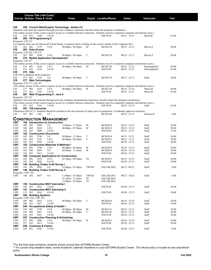|                                        |                |            | Course Title (+IAI Code) <sup>1</sup> |                                                 |                                               |       |                                                                                                                            |                                                                                                                                                                   |                                  |                  |
|----------------------------------------|----------------|------------|---------------------------------------|-------------------------------------------------|-----------------------------------------------|-------|----------------------------------------------------------------------------------------------------------------------------|-------------------------------------------------------------------------------------------------------------------------------------------------------------------|----------------------------------|------------------|
|                                        |                |            | <b>Course Section Class # Units</b>   |                                                 | <b>Times</b>                                  |       | Day(s) Location/Room                                                                                                       | <b>Dates</b>                                                                                                                                                      | Instructor                       | Fee <sup>2</sup> |
|                                        |                |            |                                       |                                                 |                                               |       |                                                                                                                            |                                                                                                                                                                   |                                  |                  |
| CIS                                    |                |            |                                       |                                                 | 259 Current Web/Graphic Technology - Adobe CC |       |                                                                                                                            |                                                                                                                                                                   |                                  |                  |
|                                        |                |            |                                       |                                                 |                                               |       | (Students who meet the requisite through previous computer experience should contact the program coordinator.)             | (The online section of this course requires access to a reliable Internet connection. Students must be competent computer and Internet users.)                    |                                  |                  |
| CIS                                    | 259 IN1        |            | 1500                                  | 3.0 OI                                          |                                               |       | <b>INETN/R</b>                                                                                                             | $08/22 - 12/15$                                                                                                                                                   | Burns, B                         | 65.00            |
| CIS                                    |                |            | 262 C# Programming II                 |                                                 |                                               |       |                                                                                                                            |                                                                                                                                                                   |                                  |                  |
| Requisite: CIS 252                     |                |            |                                       |                                                 |                                               |       | (A computer than can run Microsoft Visual Studio is required when working on this course outside of the computer lab.)     |                                                                                                                                                                   |                                  |                  |
| CIS                                    | 262            | 001        | 1579                                  | 3.0 E                                           | $06:00$ pm - $08:50$ pm                       | M     | <b>BCIS2154</b>                                                                                                            | $08/22 - 12/12$                                                                                                                                                   | Brown, T                         | 40.00            |
| CIS                                    |                |            | 263 Data Access                       |                                                 |                                               |       |                                                                                                                            |                                                                                                                                                                   |                                  |                  |
| Requisite: CIS 262, CIS 275<br>CIS     | 263            | 001        | 3180                                  | 3.0 E                                           | 06:00pm - 08:50pm                             | T     | <b>BCIS2154</b>                                                                                                            | $08/23 - 12/13$                                                                                                                                                   | Brown,T                          | 20.00            |
| CIS                                    |                |            |                                       | 274 Mobile Application Development              |                                               |       |                                                                                                                            |                                                                                                                                                                   |                                  |                  |
| Requisite: CIS 187                     |                |            |                                       |                                                 |                                               |       |                                                                                                                            |                                                                                                                                                                   |                                  |                  |
|                                        | 274            |            |                                       |                                                 |                                               |       |                                                                                                                            | (The online section of this course requires access to a reliable Internet connection. Students must be competent computer and Internet users.)                    |                                  |                  |
| CIS<br>CIS                             | 274 IN1        | 001        | 1628<br>1634                          | 3.0 E<br>3.0 OI                                 | 06:00pm - 08:50pm                             | M     | <b>BCIS2158</b><br><b>INETN/R</b>                                                                                          | $08/22 - 12/12$<br>$08/22 - 12/12$                                                                                                                                | Henningfeld, C<br>Henningfeld, C | 40.00<br>65.00   |
| CIS                                    |                | 275 SQL    |                                       |                                                 |                                               |       |                                                                                                                            |                                                                                                                                                                   |                                  |                  |
| (CIS 195 or database skills required.) |                |            |                                       |                                                 |                                               |       |                                                                                                                            |                                                                                                                                                                   |                                  |                  |
| <b>CIS</b><br>CIS                      | 275            | 001        | 1559<br>277 Web Technologies          | 3.0                                             | $06:00$ pm - $08:50$ pm                       | T     | <b>BCIS2159</b>                                                                                                            | $08/23 - 12/13$                                                                                                                                                   | Staff                            | 20.00            |
| Requisite: CIS 177, CIS 187            |                |            |                                       |                                                 |                                               |       |                                                                                                                            |                                                                                                                                                                   |                                  |                  |
|                                        |                |            |                                       |                                                 |                                               |       |                                                                                                                            | (The online section of this course requires access to a reliable Internet connection. Students must be competent computer and Internet users.)                    |                                  |                  |
| CIS<br><b>CIS</b>                      | 277<br>277     | 001<br>IN1 | 1629<br>1635                          | 3.0 E<br>3.0 OI                                 | $06:00 \text{pm} - 08:50 \text{pm}$           | W     | <b>BCIS2158</b><br><b>INETN/R</b>                                                                                          | $08/24 - 12/14$<br>$08/25 - 12/15$                                                                                                                                | Misra,M<br>Misra,M               | 40.00<br>65.00   |
| CIS                                    |                |            |                                       | 287 Web Programming II - Java II                |                                               |       |                                                                                                                            |                                                                                                                                                                   |                                  |                  |
| Requisite: CIS 187                     |                |            |                                       |                                                 |                                               |       |                                                                                                                            |                                                                                                                                                                   |                                  |                  |
|                                        |                |            |                                       |                                                 |                                               |       | (Students who meet the requisite through previous computer programming experience should contact the program coordinator.) |                                                                                                                                                                   |                                  |                  |
| CIS                                    | 287 IN1        |            | 1501                                  | 3.0 OI                                          |                                               |       | <b>INETN/R</b>                                                                                                             | (The online section of this course requires access to a reliable Internet connection. Students must be competent computer and Internet users.)<br>$08/22 - 12/14$ | Staff                            | 65.00            |
| <b>CIS</b>                             |                |            | 297 CIS Internship                    |                                                 |                                               |       |                                                                                                                            |                                                                                                                                                                   |                                  |                  |
|                                        |                |            |                                       |                                                 |                                               |       |                                                                                                                            | (Minimum GPA of 2.5. Students should be enrolled in the last semester of study prior to graduation. Coordinator approval required.)                               |                                  |                  |
| CIS                                    | 297 001        |            | 1502                                  | 3.0                                             |                                               |       | <b>BCIS2108</b>                                                                                                            | $08/22 - 12/15$                                                                                                                                                   | Hensley, N                       | 0.00             |
|                                        |                |            |                                       | Construction Management                         |                                               |       |                                                                                                                            |                                                                                                                                                                   |                                  |                  |
| <b>CMT</b>                             |                |            |                                       | 100 Introduction to Construction                |                                               |       |                                                                                                                            |                                                                                                                                                                   |                                  |                  |
| CMT                                    | 100            | 001        | 3008                                  | 2.0                                             | 10:00am - 11:50am                             | М     | <b>BCIS2014</b>                                                                                                            | $08/22 - 12/12$                                                                                                                                                   | Staff                            | 50.00            |
| CMT                                    | 100            | 002        | 3010                                  | 2.0 E                                           | 06:00pm - 07:50pm                             | M     | <b>BCIS2014</b>                                                                                                            | $08/22 - 12/12$                                                                                                                                                   | Staff                            | 50.00            |
| CMT<br>CMT                             | 100 IN1        |            | 3009                                  | 2.0 OI<br><b>102 Construction Documents</b>     |                                               |       | <b>INETN/R</b>                                                                                                             | $08/22 - 12/12$                                                                                                                                                   | Staff                            | 75.00            |
| <b>CMT</b>                             | 102            | 001        | 2746                                  | 3.0                                             | 09:00am - 11:50am                             | T     | <b>BCIS2014</b>                                                                                                            | $08/23 - 12/13$                                                                                                                                                   | Staff                            | 50.00            |
| <b>CMT</b>                             | 102            | 002        | 2747                                  | 3.0 E                                           | 06:00pm - 08:50pm                             | T     | <b>BCIS2015</b>                                                                                                            | $08/23 - 12/13$                                                                                                                                                   | Staff                            | 50.00            |
| CMT                                    | 102 IN1        |            | 2993                                  | 3.0 OI                                          |                                               |       | <b>INETN/R</b>                                                                                                             | $08/20 - 12/15$                                                                                                                                                   | Staff                            | 50.00            |
| CMT<br>CMT                             | 103            | 001        | 2748                                  | 103 Construction Materials & Methods I<br>3.0 E | $06:00 \text{pm} - 08:50 \text{pm}$           | W     | <b>BCIS2014</b>                                                                                                            | $08/24 - 12/14$                                                                                                                                                   | Staff                            | 50.00            |
| CMT                                    | 103            | 002        | 2869                                  | 3.0                                             | 09:00am - 11:50am                             | W     | <b>BCIS2014</b>                                                                                                            | 08/24 - 12/14                                                                                                                                                     | Staff                            | 50.00            |
| CMT                                    | 103            | IN1        | 3011                                  | 3.0 OI                                          |                                               |       | <b>INETN/R</b>                                                                                                             | $08/20 - 12/15$                                                                                                                                                   | Staff                            | 50.00            |
| CMT                                    | 105            |            |                                       |                                                 | 105 Computer Applications for Construction    |       |                                                                                                                            | $08/25 - 12/15$                                                                                                                                                   |                                  |                  |
| CMT<br>CMT                             | 105            | 001<br>IN1 | 2929<br>3020                          | 4.0 E<br>4.0 OI                                 | $05:30$ pm - $09:20$ pm                       | Th    | <b>BCIS2015</b><br><b>INETN/R</b>                                                                                          | $08/20 - 12/15$                                                                                                                                                   | Staff<br>Staff                   | 50.00<br>50.00   |
| СМТ                                    |                |            |                                       | 145 Building Trades Craft Survey I              |                                               |       |                                                                                                                            |                                                                                                                                                                   |                                  |                  |
| <b>CMT</b>                             | 145            | 201        | 3056                                  | 4.0                                             | $12:00$ pm - $03:50$ pm                       | TWThF | <b>ESLCBLDGC</b>                                                                                                           | $08/23 - 09/23$                                                                                                                                                   | Staff                            | 0.00             |
| смт<br>Requisite: CMT 145              |                |            |                                       | 146 Building Trades Craft Survey II             |                                               |       |                                                                                                                            |                                                                                                                                                                   |                                  |                  |
| CMT                                    | 146 201        |            | 3057                                  | 4.0                                             | $12:00 \text{pm} - 03:50 \text{pm}$           | TWThF | <b>ESLCBLDGC</b>                                                                                                           | $09/27 - 10/26$                                                                                                                                                   | Staff                            | 0.00             |
|                                        |                |            |                                       |                                                 | 07:30am - 11:20am                             | TF    | <b>ESLCBLDGC</b>                                                                                                           |                                                                                                                                                                   |                                  |                  |
|                                        |                |            |                                       |                                                 | $12:00$ pm - $03:50$ pm                       | TF    | <b>ESLCBLDGC</b>                                                                                                           |                                                                                                                                                                   |                                  |                  |
| <b>CMT</b><br>CMT                      | 150 IN1        |            | 3015                                  | 150 Construction MGT Internship I<br>3.0 OI     |                                               |       | <b>INETN/R</b>                                                                                                             | $08/20 - 12/15$                                                                                                                                                   | Staff                            | 50.00            |
| CMT                                    |                |            |                                       | 151 Construction MGT Internship II              |                                               |       |                                                                                                                            |                                                                                                                                                                   |                                  |                  |
| CMT                                    | 151 IN1        |            | 3016                                  | 4.0 OI                                          |                                               |       | <b>INETN/R</b>                                                                                                             | $08/20 - 12/15$                                                                                                                                                   | Staff                            | 50.00            |
| <b>CMT</b>                             |                |            | 206 Building Systems                  |                                                 |                                               |       |                                                                                                                            |                                                                                                                                                                   |                                  |                  |
| Requisite: CMT 102, CMT 103<br>CMT     | 206            | 001        | 2947                                  | 3.0 E                                           | $06:00$ pm - $08:50$ pm                       | T     | <b>BCIS2014</b>                                                                                                            | $08/24 - 12/14$                                                                                                                                                   | Staff                            | 50.00            |
| <b>CMT</b>                             | 206 IN1        |            | 3017                                  | 3.0 OI                                          |                                               |       | <b>INETN/R</b>                                                                                                             | $08/20 - 12/15$                                                                                                                                                   | Staff                            | 50.00            |
| CMT                                    |                |            |                                       | 244 Occupational Safety & Health I              |                                               |       |                                                                                                                            |                                                                                                                                                                   |                                  |                  |
| <b>CMT</b>                             | 244            | 001        | 2749                                  | 3.0 E                                           | 06:00pm - 08:50pm                             | М     | <b>BCIS2141</b>                                                                                                            | $08/22 - 12/12$                                                                                                                                                   | Staff                            | 50.00            |
| <b>CMT</b><br>CMT                      | 244<br>244 IN1 | 002        | 3021<br>3012                          | 3.0 E<br>3.0 OI                                 | 06:00pm - 08:50pm                             | T     | <b>BCIS2142</b><br><b>INETN/R</b>                                                                                          | $08/23 - 12/13$<br>$08/20 - 12/15$                                                                                                                                | Staff<br>Staff                   | 50.00<br>50.00   |
| CMT                                    |                |            |                                       | 257 Construction Planning & Scheduling          |                                               |       |                                                                                                                            |                                                                                                                                                                   |                                  |                  |
| CMT                                    | 257            | 002        | 2906                                  | 3.0 E                                           | 06:00pm - 08:50pm                             | W     | <b>BCIS2015</b>                                                                                                            | $08/24 - 12/14$                                                                                                                                                   | Staff                            | 50.00            |
| CMT                                    | 257 IN1        |            | 3013                                  | 3.0 OI                                          |                                               |       | <b>INETN/R</b>                                                                                                             | $08/20 - 12/15$                                                                                                                                                   | Staff                            | 50.00            |
| CMT<br>CMT                             | 258 IN1        |            | 258 Contracts & Claims<br>2930        | 3.0 OI                                          | $\blacksquare$                                |       | <b>INETN/R</b>                                                                                                             | $08/20 - 12/15$                                                                                                                                                   | Staff                            | 75.00            |
|                                        |                |            |                                       |                                                 |                                               |       |                                                                                                                            |                                                                                                                                                                   |                                  |                  |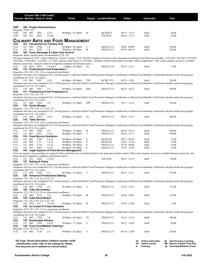|                             |                |              | Course Title (+IAI Code) <sup>1</sup><br><b>Course Section Class # Units</b> |                                                                         | <b>Times</b>                                                                  |             | Day(s) Location/Room              | <b>Dates</b>                       | Instructor                                                                                                                                                                          |         | $\mathsf{Fe}^2$                                                                                                                                                                          |
|-----------------------------|----------------|--------------|------------------------------------------------------------------------------|-------------------------------------------------------------------------|-------------------------------------------------------------------------------|-------------|-----------------------------------|------------------------------------|-------------------------------------------------------------------------------------------------------------------------------------------------------------------------------------|---------|------------------------------------------------------------------------------------------------------------------------------------------------------------------------------------------|
| CMT<br>Requisite: CMT 153   |                |              | 268 Project Administration                                                   |                                                                         |                                                                               |             |                                   |                                    |                                                                                                                                                                                     |         |                                                                                                                                                                                          |
| <b>CMT</b><br><b>CMT</b>    | 268 001<br>268 | IN1          | 3041<br>3014                                                                 | 2.0 E<br>2.0 OI                                                         | $06:00$ pm - 07:30pm                                                          | M           | <b>BCIS2015</b><br><b>INETN/R</b> | $08/23 - 12/13$<br>$08/20 - 12/15$ | Staff<br>Staff                                                                                                                                                                      |         | 50.00<br>25.00                                                                                                                                                                           |
|                             |                |              |                                                                              |                                                                         | <b>CULINARY ARTS AND FOOD MANAGEMENT</b>                                      |             |                                   |                                    |                                                                                                                                                                                     |         |                                                                                                                                                                                          |
| <b>CUL</b>                  |                |              |                                                                              | 101 Introduction to Culinary Arts                                       |                                                                               |             |                                   |                                    |                                                                                                                                                                                     |         |                                                                                                                                                                                          |
| CUL                         | 101            | 060          | 2700<br>2699                                                                 | 1.0                                                                     | 09:00am - 04:50pm                                                             | T           | SWGCC212                          | 08/02 - 08/09                      | Staff                                                                                                                                                                               |         | 250.00                                                                                                                                                                                   |
| CUL<br>CUL                  | 101            | 061          |                                                                              | 1.0<br>105 Food, Beverage & Labor Cost Control                          | 09:00am - 04:50pm                                                             | W           | SWGCC212                          | $08/03 - 08/10$                    | Staff                                                                                                                                                                               |         | 250.00                                                                                                                                                                                   |
|                             |                |              |                                                                              | Requisite: Basic Algebra skills recommended, CUL 101                    |                                                                               |             |                                   |                                    |                                                                                                                                                                                     |         |                                                                                                                                                                                          |
|                             |                |              |                                                                              |                                                                         | Internet connection. Students must be competent computer and Internet users.) |             |                                   |                                    | 10/6/2021, 10/20/2021, 11/3/2021, 11/7/2021 and the Final Exam on 12/9/2021. Students will also participate in weekly online assignments. This course requires access to a reliable |         | (Sections denoted as "HY" will be offered as "hybrid" classes. CUL 105-HY6 students will meet in the classroom according to the following schedule: 8/25/2021, 9/8/2021, 9/22/2021,      |
| CUL                         |                | 105 HY6 2691 |                                                                              | 3.0 HY E                                                                | $1:00 \text{pm} - 03:50 \text{pm}$                                            | Th          | SWGCC316                          | $08/25 - 12/15$                    | Staff                                                                                                                                                                               |         | 15.00                                                                                                                                                                                    |
| <b>CUL</b>                  |                |              |                                                                              | 110 Professional Food Preparation I                                     |                                                                               |             |                                   |                                    |                                                                                                                                                                                     |         |                                                                                                                                                                                          |
|                             |                |              |                                                                              | Requisite: CUL 101, CUL 116 or concurrent enrollment                    |                                                                               |             |                                   |                                    | (Students who have not completed CUL 116 but possess a valid ServSafe® Food Protection Manager Certification or Illinois Food Handler Certification should contact the program      |         |                                                                                                                                                                                          |
|                             |                |              | coordinator for CUL 116 credit.)                                             |                                                                         |                                                                               |             |                                   |                                    |                                                                                                                                                                                     |         |                                                                                                                                                                                          |
| CUL                         | 110 001        |              | 2692                                                                         | 5.0 E                                                                   | 06:00pm - 09:50pm                                                             | TTh         | <b>BCMC1322</b>                   | $08/23 - 12/01$                    | Staff                                                                                                                                                                               |         | 250.00                                                                                                                                                                                   |
|                             |                |              | coordinator for CUL 116 credit.)                                             |                                                                         |                                                                               |             |                                   |                                    | (Students who have not completed CUL 116 but possess a valid ServSafe® Food Protection Manager Certification or Illinois Food Handler Certification should contact the program      |         |                                                                                                                                                                                          |
| CUL                         | 110 060        |              | 2693                                                                         | 5.0                                                                     | 08:00am - 03:30pm                                                             | MW          | SWGCC212                          | $08/22 - 10/12$                    | Staff                                                                                                                                                                               |         | 250.00                                                                                                                                                                                   |
| <b>CUL</b>                  |                |              |                                                                              | 111 Professional Food Preparation II                                    |                                                                               |             |                                   |                                    |                                                                                                                                                                                     |         |                                                                                                                                                                                          |
| Requisite: CUL 110, CUL 116 |                |              |                                                                              |                                                                         |                                                                               |             |                                   |                                    | (Students who have not completed CUL 116 but possess a valid ServSafe® Food Protection Manager Certification or Illinois Food Handler Certification should contact the program      |         |                                                                                                                                                                                          |
|                             |                |              | coordinator for CUL 116 credit.)                                             |                                                                         |                                                                               |             |                                   |                                    |                                                                                                                                                                                     |         |                                                                                                                                                                                          |
| CUL<br>CUL                  | 111 060        |              | 2694<br>114 Garde Manger                                                     | 5.0                                                                     | 08:00am - 03:30pm                                                             | MW          | SWGCC212                          | $10/17 - 12/12$                    | Staff                                                                                                                                                                               |         | 250.00                                                                                                                                                                                   |
|                             |                |              | Requisite: CUL 110, CUL 111, CUL 116                                         |                                                                         |                                                                               |             |                                   |                                    |                                                                                                                                                                                     |         |                                                                                                                                                                                          |
|                             |                |              |                                                                              |                                                                         |                                                                               |             |                                   |                                    | (Students who have not completed CUL 116 but possess a valid ServSafe® Food Protection Manager Certification or Illinois Food Handler Certification should contact the program      |         |                                                                                                                                                                                          |
| CUL                         | 114 060        |              | coordinator for CUL 116 credit.)<br>2695                                     | 3.0 E                                                                   | 09:00am - 01:50pm                                                             | Th          | SWGCC212                          | $08/25 - 12/15$                    | Staff                                                                                                                                                                               |         | 200.00                                                                                                                                                                                   |
| <b>CUL</b>                  |                |              | 115 Table Service                                                            |                                                                         |                                                                               |             |                                   |                                    |                                                                                                                                                                                     |         |                                                                                                                                                                                          |
|                             |                |              |                                                                              | Requisite: CUL 101, CUL 116 or concurrent enrollment                    |                                                                               |             |                                   |                                    |                                                                                                                                                                                     |         |                                                                                                                                                                                          |
|                             |                |              | coordinator for CUL 116 credit.)                                             |                                                                         |                                                                               |             |                                   |                                    | (Students who have not completed CUL 116 but possess a valid ServSafe® Food Protection Manager Certification or Illinois Food Handler Certification should contact the program      |         |                                                                                                                                                                                          |
| CUL                         | 115 060        |              | 2698                                                                         | 2.0                                                                     | 09:00am - 12:50pm                                                             | W           | SWGCC213                          | $08/24 - 10/12$                    | Staff                                                                                                                                                                               |         | 100.00                                                                                                                                                                                   |
| CUL                         | 115 061        |              | 2697                                                                         | 2.0 E                                                                   | 06:00pm - 09:50pm                                                             | T           | SWGCC213                          | $10/18 - 12/13$                    | Staff                                                                                                                                                                               |         | 100.00                                                                                                                                                                                   |
| <b>CUL</b><br><b>CUL</b>    | 116            | 001          | 2709                                                                         | 116 Food Service Sanitation<br>$1.0\ (\hat{a})$                         | 09:00am - 04:50pm                                                             | S           | <b>BCIS2163</b>                   | 09/17 - 09/24                      | Staff                                                                                                                                                                               |         | 15.00                                                                                                                                                                                    |
| CUL                         | 116            | 002          | 2711                                                                         | $1.0\ (\hat{a})$                                                        | 09:00am - 04:50pm                                                             | S           | <b>BCIS2163</b>                   | $12/03 - 12/10$                    | Staff                                                                                                                                                                               |         | 15.00                                                                                                                                                                                    |
| <b>CUL</b>                  | 116            | 060          | 2710                                                                         | $1.0\ (\hat{a})$                                                        | 09:00am - 04:50pm                                                             | S           | SWGCC213                          | $07/30 - 08/06$                    | Staff                                                                                                                                                                               |         | 15.00                                                                                                                                                                                    |
| <b>CUL</b><br><b>CUL</b>    | 116            | 061          | 2683                                                                         | $1.0\ (\hat{a})$                                                        | 09:00am - 04:50pm<br>123 Legal Aspects of Food Service Management             | S           | SWGCC213                          | $10/22 - 10/29$                    | Staff                                                                                                                                                                               |         | 15.00                                                                                                                                                                                    |
|                             |                |              |                                                                              |                                                                         |                                                                               |             |                                   |                                    |                                                                                                                                                                                     |         | (Four on-campus class meetings are required. Dates and times are to be determined by the instructor and the student. This course requires access to a reliable Internet connection. Stu- |
| CUL                         | 123 IN1        |              | 2684                                                                         | dents must be competent computer and Internet users.)<br>3.0 OI         |                                                                               |             | <b>INETN/R</b>                    | $08/22 - 12/15$                    | Staff                                                                                                                                                                               |         | 40.00                                                                                                                                                                                    |
| <b>CUL</b>                  |                |              | 127 Baking & Pastry                                                          |                                                                         |                                                                               |             |                                   |                                    |                                                                                                                                                                                     |         |                                                                                                                                                                                          |
|                             |                |              |                                                                              | Requisite: CUL 101, CUL 116 or concurrent enrollment                    |                                                                               |             |                                   |                                    |                                                                                                                                                                                     |         |                                                                                                                                                                                          |
|                             |                |              | coordinator for CUL 116 credit.)                                             |                                                                         |                                                                               |             |                                   |                                    | (Students who have not completed CUL 116 but possess a valid ServSafe® Food Protection Manager Certification or Illinois Food Handler Certification should contact the program      |         |                                                                                                                                                                                          |
| CUL                         | 127 060        |              | 2696                                                                         | 2.0                                                                     | 08:30am - 01:50pm                                                             | T           | SWGCC212                          | $08/23 - 10/11$                    | Staff                                                                                                                                                                               |         | 125.00                                                                                                                                                                                   |
| CUL                         |                |              |                                                                              | 128 Advanced Professional Baking                                        |                                                                               |             |                                   |                                    |                                                                                                                                                                                     |         |                                                                                                                                                                                          |
|                             |                |              | Requisite: CUL 101, CUL 116, CUL 127                                         |                                                                         |                                                                               |             |                                   |                                    | (Students who have not completed CUL 116 but possess a valid ServSafe® Food Protection Manager Certification or Illinois Food Handler Certification should contact the program      |         |                                                                                                                                                                                          |
|                             |                |              | coordinator for CUL 116 credit.)                                             |                                                                         |                                                                               |             |                                   |                                    |                                                                                                                                                                                     |         |                                                                                                                                                                                          |
| CUL                         | 128 060        |              | 2704                                                                         | 2.0                                                                     | 08:30am - 01:50pm                                                             | T           | SWGCC212                          | $10/18 - 12/13$                    | Staff                                                                                                                                                                               |         | 125.00                                                                                                                                                                                   |
| <b>CUL</b>                  |                |              | 129 Cake Decorating I                                                        | Requisite: CUL 101, CUL 116 or concurrent enrollment                    |                                                                               |             |                                   |                                    |                                                                                                                                                                                     |         |                                                                                                                                                                                          |
| CUL                         | 129 060        |              | 3116                                                                         | 2.0                                                                     | 04:00pm - 09:20pm                                                             | W           | SWGCC212                          | $08/24 - 10/07$                    | Staff                                                                                                                                                                               |         | 125.00                                                                                                                                                                                   |
| <b>CUL</b>                  |                |              | 130 Cake Decorating II<br>Requisite: CUL 101, CUL 116, CUL 129               |                                                                         |                                                                               |             |                                   |                                    |                                                                                                                                                                                     |         |                                                                                                                                                                                          |
| CUL                         |                | 130 HY6 3117 |                                                                              | 2.0 HY                                                                  | 04:00pm - 09:20pm                                                             | W           | SWGCC212                          | $10/19 - 12/08$                    | Staff                                                                                                                                                                               |         | 0.00                                                                                                                                                                                     |
| <b>CUL</b>                  |                |              |                                                                              | 132 Ice Cream & Frozen Desserts                                         |                                                                               |             |                                   |                                    |                                                                                                                                                                                     |         |                                                                                                                                                                                          |
|                             |                |              |                                                                              | Requisite: CUL 101, CUL 116 or concurrent enrollment                    |                                                                               |             |                                   |                                    | (Students who have not completed CUL 116 but possess a valid ServSafe® Food Protection Manager Certification or Illinois Food Handler Certification should contact the program      |         |                                                                                                                                                                                          |
|                             |                |              | coordinator for CUL 116 credit.)                                             |                                                                         |                                                                               |             |                                   |                                    |                                                                                                                                                                                     |         |                                                                                                                                                                                          |
| CUL                         | 132 060        |              | 2708                                                                         | 2.0                                                                     | 09:00am - 02:20pm                                                             | Th          | SWGCC212                          | $10/21 - 12/16$                    | Staff                                                                                                                                                                               |         | 100.00                                                                                                                                                                                   |
| <b>CUL</b><br>CUL           | 133 060        |              | 133 Sustainable Kitchen<br>2705                                              | $2.0 \, \omega$                                                         | 09:00am - 12:15pm                                                             | $\mathbf S$ | SWGCC212                          | $08/27 - 12/03$                    | Staff                                                                                                                                                                               |         | 50.00                                                                                                                                                                                    |
| CUL                         |                |              |                                                                              | 135 Food Truck/Mobile Catering I                                        |                                                                               |             |                                   |                                    |                                                                                                                                                                                     |         |                                                                                                                                                                                          |
| Requisite: CUL 101, CUL 116 |                |              |                                                                              |                                                                         |                                                                               |             |                                   |                                    |                                                                                                                                                                                     |         |                                                                                                                                                                                          |
| CUL                         | 135 060        |              | 3120                                                                         | 2.0                                                                     | 09:00am - 02:50pm                                                             | F           | SWGCC213                          | 08/19 - 12/09                      | Staff                                                                                                                                                                               |         | 150.00                                                                                                                                                                                   |
|                             |                |              |                                                                              |                                                                         |                                                                               |             |                                   |                                    |                                                                                                                                                                                     |         |                                                                                                                                                                                          |
|                             |                |              |                                                                              | <sup>1</sup> IAI Code: Illinois Articulation Initiative transfer credit |                                                                               |             |                                   |                                    | <b>Online Instruction</b><br>ΟI                                                                                                                                                     |         | SL Synchronous Learning                                                                                                                                                                  |
|                             |                |              |                                                                              | identification code, refer to the catalog for details.                  |                                                                               |             |                                   |                                    | <b>Hybrid course</b><br>HΥ<br>E<br>Evening                                                                                                                                          | BN<br>@ | <b>Barnes &amp; Noble First Day</b><br><b>Saturday/Weekend Class</b>                                                                                                                     |
|                             |                |              |                                                                              | <sup>2</sup> Fee amounts are in addition to normal tuition.             |                                                                               |             |                                   |                                    |                                                                                                                                                                                     |         |                                                                                                                                                                                          |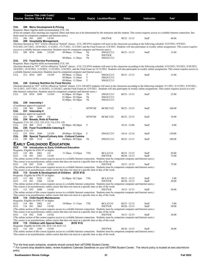|                                                 |                    |                  | Course Title (+IAI Code) <sup>1</sup> |                                                                                        |                                                                                                                                                                                                                                                           |               |                                   |                                    |                |                                                                                                                                                                                                                                                                                                                                                              |
|-------------------------------------------------|--------------------|------------------|---------------------------------------|----------------------------------------------------------------------------------------|-----------------------------------------------------------------------------------------------------------------------------------------------------------------------------------------------------------------------------------------------------------|---------------|-----------------------------------|------------------------------------|----------------|--------------------------------------------------------------------------------------------------------------------------------------------------------------------------------------------------------------------------------------------------------------------------------------------------------------------------------------------------------------|
| <b>Course Section Class # Units</b>             |                    |                  |                                       |                                                                                        | Times                                                                                                                                                                                                                                                     |               | Day(s) Location/Room              | <b>Dates</b>                       | Instructor     | Fee <sup>2</sup>                                                                                                                                                                                                                                                                                                                                             |
|                                                 |                    |                  |                                       |                                                                                        |                                                                                                                                                                                                                                                           |               |                                   |                                    |                |                                                                                                                                                                                                                                                                                                                                                              |
| CUL                                             |                    |                  |                                       | 206 Menu Development & Pricing<br>Requisite: Basic Algebra skills recommended, CUL 101 |                                                                                                                                                                                                                                                           |               |                                   |                                    |                |                                                                                                                                                                                                                                                                                                                                                              |
|                                                 |                    |                  |                                       |                                                                                        |                                                                                                                                                                                                                                                           |               |                                   |                                    |                | (Four on-campus class meetings are required. Dates and times are to be determined by the instructor and the student. This course requires access to a reliable Internet connection. Stu-                                                                                                                                                                     |
|                                                 |                    |                  |                                       | dents must be competent computer and Internet users.)                                  |                                                                                                                                                                                                                                                           |               |                                   |                                    |                |                                                                                                                                                                                                                                                                                                                                                              |
| CUL<br>CUL                                      | 206 IN1            |                  | 2685                                  | 3.0 OI<br>209 Hospitality Management                                                   |                                                                                                                                                                                                                                                           |               | <b>INETN/R</b>                    | $08/22 - 12/15$                    | Staff          | 40.00                                                                                                                                                                                                                                                                                                                                                        |
|                                                 |                    |                  |                                       |                                                                                        |                                                                                                                                                                                                                                                           |               |                                   |                                    |                | (Sections denoted as "HY" will be offered as "hybrid" classes. CUL 209-HY6 students will meet in the classroom according to the following schedule: 8/25/2021, 9/9/2021,<br>9/22/2021,10/7/2021,10/20/2021,11/4/2021,11/17/2021,12/2/2021 and the Final Exam on 12/8/2021. Students will also participate in weekly online assignments. This course requires |
| CUL                                             |                    | 209 HY6 2686     |                                       | 3.0 HY                                                                                 | access to a reliable Internet connection. Students must be competent computer and Internet users.)<br>09:00am - 11:50am                                                                                                                                   | Th            | SWGCC213                          | $08/25 - 12/15$                    | Staff          | 15.00                                                                                                                                                                                                                                                                                                                                                        |
|                                                 |                    |                  |                                       |                                                                                        |                                                                                                                                                                                                                                                           | Th            | <b>INETN/R</b>                    |                                    |                |                                                                                                                                                                                                                                                                                                                                                              |
| CUL                                             |                    |                  |                                       | 212 Food Service Purchasing                                                            | 09:00am - 11:50am                                                                                                                                                                                                                                         | Th            | SWGCC213                          |                                    |                |                                                                                                                                                                                                                                                                                                                                                              |
|                                                 |                    |                  |                                       | Requisite: Basic Algebra skills recommended, CUL 101                                   |                                                                                                                                                                                                                                                           |               |                                   |                                    |                |                                                                                                                                                                                                                                                                                                                                                              |
|                                                 |                    |                  |                                       |                                                                                        |                                                                                                                                                                                                                                                           |               |                                   |                                    |                | (Sections denoted as "HY" will be offered as "hybrid" classes. CUL 212-HY6 students will meet in the classroom according to the following schedule: 8/23/2021, 9/6/2021, 9/20/2021,                                                                                                                                                                          |
|                                                 |                    |                  |                                       |                                                                                        | a reliable Internet connection. Students must be competent computer and Internet users.)                                                                                                                                                                  |               |                                   |                                    |                | 10/4/2021, 10/18/2021, 11/8/2021, 11/22/2021, 12/6/2021, and the Final Exam on 12/13/2021. Students will also participate in weekly online assignments. This course requires access to                                                                                                                                                                       |
| CUL                                             |                    | 212 HY6 2687     |                                       | 3.0 HY                                                                                 | 09:00am - 11:50am                                                                                                                                                                                                                                         | T             | SWGCC213                          | $08/23 - 12/13$                    | Staff          | 15.00                                                                                                                                                                                                                                                                                                                                                        |
|                                                 |                    |                  |                                       |                                                                                        | 09:00am - 11:50am                                                                                                                                                                                                                                         | $\mathbf T$   | SWGCC213                          |                                    |                |                                                                                                                                                                                                                                                                                                                                                              |
| CUL                                             |                    |                  |                                       | 228 Culinary Nutrition for Food Service                                                | 09:00am - 11:50am                                                                                                                                                                                                                                         | $\mathbf T$   | SWGCC213                          |                                    |                |                                                                                                                                                                                                                                                                                                                                                              |
|                                                 |                    |                  |                                       |                                                                                        |                                                                                                                                                                                                                                                           |               |                                   |                                    |                | (Sections denoted as "HY" will be offered as "hybrid" classes. CUL 228-HY6 students will meet in the classroom according to the following schedule: 9/1/2021, 9/15/2021, 9/29/2021,                                                                                                                                                                          |
|                                                 |                    |                  |                                       |                                                                                        |                                                                                                                                                                                                                                                           |               |                                   |                                    |                | 10/13/2021, 10/27/2021, 11/10/2021, 11/24/2021, and the Final Exam on 12/9/2021. Students will also participate in weekly online assignments. This course requires access to a reli-                                                                                                                                                                         |
| CUL                                             |                    | 228 HY6 2688     |                                       | 3.0 HY                                                                                 | able Internet connection. Students must be competent computer and Internet users.)<br>$01:00$ pm - $03:50$ pm                                                                                                                                             | Th            | SWGCC213                          | $08/25 - 12/15$                    | Staff          | 25.00                                                                                                                                                                                                                                                                                                                                                        |
|                                                 |                    |                  |                                       |                                                                                        | $01:00$ pm - $03:50$ pm                                                                                                                                                                                                                                   | Th            | SWGCC213                          |                                    |                |                                                                                                                                                                                                                                                                                                                                                              |
|                                                 |                    |                  |                                       |                                                                                        | $01:00$ pm - $03:50$ pm                                                                                                                                                                                                                                   | Th            | SWGCC213                          |                                    |                |                                                                                                                                                                                                                                                                                                                                                              |
| CUL<br>(Coordinator approval required)          |                    | 230 Internship I |                                       |                                                                                        |                                                                                                                                                                                                                                                           |               |                                   |                                    |                |                                                                                                                                                                                                                                                                                                                                                              |
| CUL                                             | 230 001            |                  | 2689                                  | 3.0                                                                                    |                                                                                                                                                                                                                                                           | <b>MTWThF</b> | <b>BCMC1322</b>                   | $08/22 - 12/15$                    | Staff          | 160.00                                                                                                                                                                                                                                                                                                                                                       |
| CUL                                             |                    |                  | 231 Internship II                     |                                                                                        |                                                                                                                                                                                                                                                           |               |                                   |                                    |                |                                                                                                                                                                                                                                                                                                                                                              |
| (Coordinator approval required)<br>CUL          | 231 001            |                  | 2690                                  | 3.0                                                                                    |                                                                                                                                                                                                                                                           | <b>MTWThF</b> | <b>BCMC1322</b>                   | $08/22 - 12/15$                    | Staff          | 10.00                                                                                                                                                                                                                                                                                                                                                        |
| CUL                                             |                    |                  |                                       | 234 Breads, Rolls & Pastries                                                           |                                                                                                                                                                                                                                                           |               |                                   |                                    |                |                                                                                                                                                                                                                                                                                                                                                              |
|                                                 |                    |                  |                                       | Requisite: CUL 101, CUL 110, CUL 116, CUL 128                                          |                                                                                                                                                                                                                                                           | T             |                                   |                                    |                |                                                                                                                                                                                                                                                                                                                                                              |
| CUL<br>CUL                                      | 234 060            |                  | 3115                                  | 2.0<br>235 Food Truck/Mobile Catering II                                               | $03:00$ pm - $08:20$ pm                                                                                                                                                                                                                                   |               |                                   | $10/18 - 12/06$                    | Staff          | 0.00                                                                                                                                                                                                                                                                                                                                                         |
| Requisite: CUL 135                              |                    |                  |                                       |                                                                                        |                                                                                                                                                                                                                                                           |               |                                   |                                    |                |                                                                                                                                                                                                                                                                                                                                                              |
| CUL<br>CUL                                      |                    | 235 HY6 3044     |                                       | 2.0 HY                                                                                 | 09:00am - 02:50pm                                                                                                                                                                                                                                         | F             | SWGCC215                          | $10/14 - 12/16$                    | Staff          | 150.00                                                                                                                                                                                                                                                                                                                                                       |
| CUL                                             | 299                | 060              | 3118                                  | 4.0                                                                                    | 299 Special Topics/Culinary Arts - Cultural Cuisine<br>$04:00$ pm - $09:50$ pm                                                                                                                                                                            | Th            | SWGCC212                          | $08/25 - 12/15$                    | Staff          | 100.00                                                                                                                                                                                                                                                                                                                                                       |
|                                                 |                    |                  |                                       |                                                                                        |                                                                                                                                                                                                                                                           |               |                                   |                                    |                |                                                                                                                                                                                                                                                                                                                                                              |
| ECE                                             |                    |                  |                                       | <b>EARLY CHILDHOOD EDUCATION</b>                                                       | 110 Introduction to Early Childhood Education                                                                                                                                                                                                             |               |                                   |                                    |                |                                                                                                                                                                                                                                                                                                                                                              |
| Requisite: Eligible for ENG 97 or higher        |                    |                  |                                       |                                                                                        |                                                                                                                                                                                                                                                           |               |                                   |                                    |                |                                                                                                                                                                                                                                                                                                                                                              |
| ECE                                             | 110 001            |                  | 2061                                  | 3.0                                                                                    | 11:30am - 12:45pm                                                                                                                                                                                                                                         | TTh           | <b>BCLA2116</b>                   | $08/23 - 12/15$                    | Staff          | 50.00                                                                                                                                                                                                                                                                                                                                                        |
| ECE                                             | 110 IN1            |                  | 2367                                  | 3.0 OI                                                                                 | (The online section of this course requires access to a reliable Internet connection. Students must be competent computer and Internet users.)                                                                                                            |               | <b>INETN/R</b>                    | $08/20 - 12/15$                    | Staff          | 75.00                                                                                                                                                                                                                                                                                                                                                        |
|                                                 |                    |                  |                                       |                                                                                        | This course is an asynchronous, online course that does not meet at a specific time or day of the week.                                                                                                                                                   |               |                                   |                                    |                |                                                                                                                                                                                                                                                                                                                                                              |
| ECE                                             | 110 IN2            |                  | 2534                                  | 3.0 OI                                                                                 |                                                                                                                                                                                                                                                           |               | <b>INETN/R</b>                    | $10/15 - 12/15$                    | Staff          | 75.00                                                                                                                                                                                                                                                                                                                                                        |
|                                                 |                    |                  |                                       |                                                                                        | (The online section of this course requires access to a reliable Internet connection. Students must be competent computer and Internet users.)<br>This course is an asynchronous, online course that does not meet at a specific time or day of the week. |               |                                   |                                    |                |                                                                                                                                                                                                                                                                                                                                                              |
| ECE                                             |                    |                  |                                       |                                                                                        | 112 Growth & Development of Children (ECE 912)                                                                                                                                                                                                            |               |                                   |                                    |                |                                                                                                                                                                                                                                                                                                                                                              |
| Requisite: Eligible for ENG 97 or higher        |                    |                  |                                       |                                                                                        |                                                                                                                                                                                                                                                           |               |                                   |                                    |                |                                                                                                                                                                                                                                                                                                                                                              |
| ECE<br>ECE                                      | 112 001<br>112 IN1 |                  | 2535<br>2368                          | 3.0<br>3.0 OI                                                                          | $01:00$ pm - $02:15$ pm                                                                                                                                                                                                                                   | TTh           | <b>BCLA2116</b><br><b>INETN/R</b> | $08/23 - 12/15$<br>$08/20 - 12/15$ | Staff<br>Staff | 5.00<br>30.00                                                                                                                                                                                                                                                                                                                                                |
|                                                 |                    |                  |                                       |                                                                                        | (The online section of this course requires access to a reliable Internet connection. Students must be competent computer and Internet users.)                                                                                                            |               |                                   |                                    |                |                                                                                                                                                                                                                                                                                                                                                              |
|                                                 |                    |                  |                                       |                                                                                        | This course is an asynchronous, online course that does not meet at a specific time or day of the week.                                                                                                                                                   |               |                                   |                                    |                |                                                                                                                                                                                                                                                                                                                                                              |
| ECE                                             | 112 IN2            |                  | 2600                                  | 3.0 OI                                                                                 | (The online section of this course requires access to a reliable Internet connection. Students must be competent computer and Internet users.)                                                                                                            |               | <b>INETN/R</b>                    | $10/15 - 12/15$                    | Staff          | 30.00                                                                                                                                                                                                                                                                                                                                                        |
|                                                 |                    |                  |                                       |                                                                                        | This course is an asynchronous, online course that does not meet at a specific time or day of the week.                                                                                                                                                   |               |                                   |                                    |                |                                                                                                                                                                                                                                                                                                                                                              |
| ECE                                             |                    |                  |                                       | 114 Child Health Maintenance                                                           |                                                                                                                                                                                                                                                           |               |                                   |                                    |                |                                                                                                                                                                                                                                                                                                                                                              |
| Requisite: Eligible for ENG 97 or higher<br>ECE | 114 001            |                  | 2062                                  | 3.0                                                                                    | 10:00am - 11:15am                                                                                                                                                                                                                                         | TTh           | <b>BCLA2116</b>                   | $08/23 - 12/15$                    | Staff          | 5.00                                                                                                                                                                                                                                                                                                                                                         |
| ECE                                             | 114 IN1            |                  | 2063                                  | 3.0 OI                                                                                 |                                                                                                                                                                                                                                                           |               | <b>INETN/R</b>                    | $08/20 - 12/15$                    | Staff          | 30.00                                                                                                                                                                                                                                                                                                                                                        |
|                                                 |                    |                  |                                       |                                                                                        | (The online section of this course requires access to a reliable Internet connection. Students must be competent computer and Internet users.)                                                                                                            |               |                                   |                                    |                |                                                                                                                                                                                                                                                                                                                                                              |
| ECE                                             | 114 IN2            |                  | 3168                                  | 3.0 OI                                                                                 | This course is an asynchronous, online course that does not meet at a specific time or day of the week.                                                                                                                                                   |               | <b>INETN/R</b>                    | $10/15 - 12/15$                    | Staff          | 30.00                                                                                                                                                                                                                                                                                                                                                        |
|                                                 |                    |                  |                                       |                                                                                        | (The online section of this course requires access to a reliable Internet connection. Students must be competent computer and Internet users.)                                                                                                            |               |                                   |                                    |                |                                                                                                                                                                                                                                                                                                                                                              |
|                                                 |                    |                  |                                       |                                                                                        | This course is an asynchronous, online course that does not meet at a specific time or day of the week.                                                                                                                                                   |               |                                   |                                    |                |                                                                                                                                                                                                                                                                                                                                                              |
| ECE                                             |                    |                  |                                       | 116 Children with Special Needs                                                        | (ECE 913)                                                                                                                                                                                                                                                 |               |                                   |                                    |                |                                                                                                                                                                                                                                                                                                                                                              |
| ECE                                             | 116 IN1            |                  | 3169                                  | Requisite: Eligible for ENG 101; ECE 110, ECE 112<br>3.0 OI                            |                                                                                                                                                                                                                                                           |               | <b>INETN/R</b>                    | $08/20 - 12/15$                    | Staff          | 30.00                                                                                                                                                                                                                                                                                                                                                        |
|                                                 |                    |                  |                                       |                                                                                        | (The online section of this course requires access to a reliable Internet connection. Students must be competent computer and Internet users.)                                                                                                            |               |                                   |                                    |                |                                                                                                                                                                                                                                                                                                                                                              |
|                                                 |                    |                  |                                       |                                                                                        | This course is an asynchronous, online course that does not meet at a specific time or day of the week.                                                                                                                                                   |               |                                   |                                    |                |                                                                                                                                                                                                                                                                                                                                                              |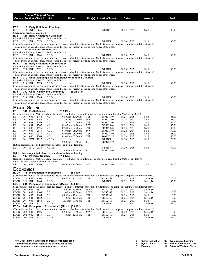|                      |            |              | Course Title (+IAI Code) <sup>1</sup><br><b>Course Section Class # Units</b> |                                                             | Times                                                                                                                |            | Day(s) Location/Room                                                                                                                                             | Dates                              | Instructor     | $\mathsf{Fe}^2$ |
|----------------------|------------|--------------|------------------------------------------------------------------------------|-------------------------------------------------------------|----------------------------------------------------------------------------------------------------------------------|------------|------------------------------------------------------------------------------------------------------------------------------------------------------------------|------------------------------------|----------------|-----------------|
| ECE                  |            |              |                                                                              | 118 Early Childhood Practicum I                             |                                                                                                                      |            |                                                                                                                                                                  |                                    |                |                 |
| ECE                  | 118 IN1    |              | 2065                                                                         | 3.0 OI                                                      |                                                                                                                      |            | <b>INETN/R</b>                                                                                                                                                   | $08/24 - 12/14$                    | Staff          | 30.00           |
|                      |            |              | Coordinator permission required.                                             |                                                             |                                                                                                                      |            |                                                                                                                                                                  |                                    |                |                 |
| ECE                  |            |              |                                                                              | 121 Early Childhood Curriculum                              |                                                                                                                      |            |                                                                                                                                                                  |                                    |                |                 |
|                      |            |              |                                                                              | Requisite: Eligible for ENG 101; ECE 110, ECE 112           |                                                                                                                      |            |                                                                                                                                                                  |                                    |                |                 |
| ECE                  |            | 121 IN1      | 3170                                                                         | 3.0 OI                                                      |                                                                                                                      |            | <b>INETN/R</b><br>(The online section of this course requires access to a reliable Internet connection. Students must be competent computer and Internet users.) | $08/20 - 12/15$                    | Staff          | 30.00           |
|                      |            |              |                                                                              |                                                             | This course is an asynchronous, online course that does not meet at a specific time or day of the week.              |            |                                                                                                                                                                  |                                    |                |                 |
| ECE                  |            |              |                                                                              | 122 Infant and Toddler Care                                 |                                                                                                                      |            |                                                                                                                                                                  |                                    |                |                 |
|                      |            |              |                                                                              | Requisite: Eligible for ENG 101; ECE 110, ECE 112           |                                                                                                                      |            |                                                                                                                                                                  |                                    |                |                 |
| ECE                  |            | 122 IN1      | 2066                                                                         | 3.0 OI                                                      |                                                                                                                      |            | <b>INETN/R</b>                                                                                                                                                   | $08/20 - 12/15$                    | Staff          | 30.00           |
|                      |            |              |                                                                              |                                                             |                                                                                                                      |            | (The online section of this course requires access to a reliable Internet connection. Students must be competent computer and Internet users.)                   |                                    |                |                 |
| ECE                  |            |              |                                                                              | 125 Early Childhood Administration                          | This course is an asynchronous, online course that does not meet at a specific time or day of the week.              |            |                                                                                                                                                                  |                                    |                |                 |
|                      |            |              |                                                                              | Requisite: Eligible for ENG 101; ECE 110, ECE 112           |                                                                                                                      |            |                                                                                                                                                                  |                                    |                |                 |
| ECE                  |            | 125 IN1      | 3171                                                                         | 3.0 OI                                                      |                                                                                                                      |            | <b>INETN/R</b>                                                                                                                                                   | $08/20 - 12/15$                    | Staff          | 30.00           |
|                      |            |              |                                                                              |                                                             |                                                                                                                      |            | (The online section of this course requires access to a reliable Internet connection. Students must be competent computer and Internet users.)                   |                                    |                |                 |
|                      |            |              |                                                                              |                                                             | This course is an asynchronous, online course that does not meet at a specific time or day of the week.              |            |                                                                                                                                                                  |                                    |                |                 |
| ECE                  |            |              |                                                                              |                                                             | 210 Understanding & Guiding Behavior of Young Children                                                               |            |                                                                                                                                                                  |                                    |                |                 |
| ECE                  |            | 210 IN1      | 2379                                                                         | Requisite: Eligible for ENG 101; ECE 110, ECE 112<br>3.0 OI |                                                                                                                      |            | <b>INETN/R</b>                                                                                                                                                   | $08/20 - 12/15$                    | Staff          | 30.00           |
|                      |            |              |                                                                              |                                                             |                                                                                                                      |            | (The online section of this course requires access to a reliable Internet connection. Students must be competent computer and Internet users.)                   |                                    |                |                 |
| ECE                  |            |              |                                                                              | 250 Child, Family and Community                             | This course is an asynchronous, online course that does not meet at a specific time or day of the week.<br>(ECE 915) |            |                                                                                                                                                                  |                                    |                |                 |
|                      |            |              |                                                                              | Requisite: Eligible for ENG 101; ECE 110, ECE 112           |                                                                                                                      |            |                                                                                                                                                                  |                                    |                |                 |
| ECE                  |            | 250 IN1      | 2348                                                                         | 3.0 OI                                                      |                                                                                                                      |            | <b>INETN/R</b>                                                                                                                                                   | $08/20 - 12/15$                    | Staff          | 30.00           |
|                      |            |              |                                                                              |                                                             | This course is an asynchronous, online course that does not meet at a specific time or day of the week.              |            | (The online section of this course requires access to a reliable Internet connection. Students must be competent computer and Internet users.)                   |                                    |                |                 |
|                      |            |              |                                                                              |                                                             |                                                                                                                      |            |                                                                                                                                                                  |                                    |                |                 |
| <b>EARTH SCIENCE</b> |            |              |                                                                              |                                                             |                                                                                                                      |            |                                                                                                                                                                  |                                    |                |                 |
| ES                   |            |              | 101 Earth Science                                                            |                                                             | (P1 905L)                                                                                                            |            |                                                                                                                                                                  |                                    |                |                 |
|                      |            |              |                                                                              |                                                             |                                                                                                                      |            | Requisite: Eligible for Math 97, Math 107, Math 111 or higher; or completion of or concurrent enrollment in Math 94 or Math 95                                   |                                    |                |                 |
| ES                   | 101        | 001          | 1764                                                                         | 4.0                                                         | 08:00am - 10:20am                                                                                                    | TTh        | <b>BCMC1440</b>                                                                                                                                                  | $08/23 - 12/15$                    | Staff          | 45.00           |
| ES                   | 101        | 002          | 1765                                                                         | 4.0                                                         | 11:00am - $01:20$ pm                                                                                                 | MW         | <b>BCMC1440</b>                                                                                                                                                  | $08/22 - 12/14$                    | Staff          | 45.00           |
| ES<br>ES             | 101<br>101 | 003<br>004   | 1766<br>1767                                                                 | 4.0<br>4.0                                                  | $11:00am - 01:20pm$<br>$02:00$ pm - $04:20$ pm                                                                       | TTh<br>MW  | <b>BCMC1440</b><br><b>BCMC1440</b>                                                                                                                               | $08/23 - 12/13$<br>$08/22 - 12/14$ | Staff<br>Staff | 45.00<br>45.00  |
| ES                   | 101        | 005          | 1926                                                                         | 4.0                                                         | $02:00 \text{pm} - 04:20 \text{pm}$                                                                                  | TTh        | <b>BCMC1440</b>                                                                                                                                                  | $08/23 - 12/13$                    | Staff          | 45.00           |
| ES                   | 101        | 006          | 2016                                                                         | 4.0 E                                                       | $06:00 \text{pm} - 08:20 \text{pm}$                                                                                  | MW         | <b>BCMC1440</b>                                                                                                                                                  | $08/22 - 12/14$                    | Staff          | 30.00           |
| ES                   | 101        | 007          | 2017                                                                         | 4.0 E                                                       | $06:00$ pm - $08:20$ pm                                                                                              | TTh        | <b>BCMC1440</b>                                                                                                                                                  | $08/23 - 12/15$                    | Staff          | 45.00           |
| ES                   | 101        | 060          | 1768                                                                         | 4.0                                                         | $01:00$ pm - $03:20$ pm                                                                                              | TTh        | SWGCC313                                                                                                                                                         | $08/23 - 12/13$                    | Staff          | 45.00           |
| ES                   | 101        | HY1          | 1927                                                                         | 4.0 HY                                                      |                                                                                                                      |            | <b>INETN/R</b>                                                                                                                                                   | $08/20 - 12/15$                    | Staff          | 70.00           |
|                      |            |              |                                                                              |                                                             | 08:00am - 09:40am                                                                                                    | F          | <b>BCMC1440</b>                                                                                                                                                  |                                    |                |                 |
| ES                   |            | 101 HY2 2034 |                                                                              | 4.0 HY                                                      | Hybrid classes require both classroom attendance and online learning.                                                |            | <b>INETN/R</b>                                                                                                                                                   | $08/20 - 12/15$                    | Staff          | 70.00           |
|                      |            |              |                                                                              |                                                             | 10:00am - 11:40am                                                                                                    | F          | <b>BCMC1440</b>                                                                                                                                                  |                                    |                |                 |
|                      |            |              |                                                                              |                                                             | Hybrid classes require both classroom attendance and online learning.                                                |            |                                                                                                                                                                  |                                    |                |                 |
| ES                   |            |              | 102 Physical Geology                                                         |                                                             | (P1 907L)                                                                                                            |            |                                                                                                                                                                  |                                    |                |                 |
|                      |            |              |                                                                              |                                                             |                                                                                                                      |            | Requisite: Eligible for Math 97, Math 107, Math 111 or higher; or completion of or concurrent enrollment in Math 94 or Math 95                                   |                                    |                |                 |
|                      |            |              |                                                                              | ES 101 is NOT a prerequisite for this course.               |                                                                                                                      |            |                                                                                                                                                                  |                                    |                |                 |
| ES                   |            | 102 001      | 1769                                                                         | 4.0                                                         | 08:00am - 10:20am                                                                                                    | MW         | <b>BCMC1440</b>                                                                                                                                                  | $08/22 - 12/14$                    | Staff          | 45.00           |
| <b>ECONOMICS</b>     |            |              |                                                                              |                                                             |                                                                                                                      |            |                                                                                                                                                                  |                                    |                |                 |
|                      |            |              |                                                                              | <b>ECON</b> 115 Introduction to Economics                   | (S3 900)                                                                                                             |            |                                                                                                                                                                  |                                    |                |                 |
|                      |            |              |                                                                              |                                                             |                                                                                                                      |            | (The online section of this course requires access to a reliable Internet connection. Students must be competent computer and Internet users.)                   |                                    |                |                 |
| ECON                 | 115 001    |              | 1503                                                                         | 3.0                                                         | 09:30am - 10:45am                                                                                                    | TTh        | <b>BCIS2165</b>                                                                                                                                                  | $08/23 - 12/13$                    | Sweet, D       | 10.00           |
| ECON                 |            | 115 IN1      | 1663                                                                         | 3.0 OI                                                      |                                                                                                                      |            | <b>INETN/R</b>                                                                                                                                                   | $08/22 - 12/15$                    | Sweet,D        | 35.00           |
| <b>ECON</b>          |            |              |                                                                              |                                                             | 201 Principles of Economics I (Macro) (S3 901)                                                                       |            | (The online section of this course requires access to a reliable Internet connection. Students must be competent computer and Internet users.)                   |                                    |                |                 |
| ECON                 | 201        | 001          | 1631                                                                         | 3.0                                                         | 10:00am - 10:50am                                                                                                    | MWF        | <b>BCIS2165</b>                                                                                                                                                  | $08/22 - 12/14$                    | Sweet,D        | 10.00           |
| <b>ECON</b>          | 201        | 002          | 1504                                                                         | 3.0                                                         | $11:00$ pm - $11:50$ pm                                                                                              | <b>MWF</b> | <b>BCIS2165</b>                                                                                                                                                  | $08/22 - 12/12$                    | Sweet,D        | 10.00           |
| ECON                 | 201        | 003          | 1505                                                                         | 3.0                                                         | 09:30am - 10:45am                                                                                                    | TTh        | <b>BCIS2160</b>                                                                                                                                                  | $08/23 - 12/15$                    | Staff          | 10.00           |
| ECON                 | 201        | 004          | 1662                                                                         | 3.0                                                         | $11:00am - 12:15pm$                                                                                                  | TTh        | <b>BCIS2165</b>                                                                                                                                                  | $08/23 - 12/15$                    | Sweet,D        | 10.00           |
| ECON                 | 201        | 005          | 1584                                                                         | 3.0                                                         | $12:30$ pm - 01:45pm                                                                                                 | TTh        | <b>BCIS2160</b>                                                                                                                                                  | $08/23 - 12/13$                    | Staff          | 10.00           |
| <b>ECON</b>          | 201        | IN1          | 1577                                                                         | 3.0 OI                                                      |                                                                                                                      |            | <b>INETN/R</b>                                                                                                                                                   | $08/22 - 12/15$                    | Sweet,D        | 35.00           |
| ECON                 |            |              |                                                                              |                                                             | 202 Principles of Economics II (Micro) (S3 902)                                                                      |            | (The online section of this course requires access to a reliable Internet connection. Students must be competent computer and Internet users.)                   |                                    |                |                 |
| <b>ECON</b>          | 202        | 001          | 1506                                                                         | 3.0                                                         | 09:00am - 09:50am                                                                                                    | <b>MWF</b> | <b>BCIS2165</b>                                                                                                                                                  | $08/22 - 12/14$                    | Sweet,D        | 10.00           |
| ECON                 | 202        | 002          | 1563                                                                         | 3.0                                                         | $11:00am - 12:15pm$                                                                                                  | TTh        | <b>BCIS2160</b>                                                                                                                                                  | $08/23 - 12/15$                    | Staff          | 10.00           |
| ECON                 | 202        | IN1          | 1578                                                                         | 3.0 OI                                                      |                                                                                                                      |            | <b>INETN/R</b>                                                                                                                                                   | $08/22 - 12/15$                    | Sweet,D        | 35.00           |
|                      |            |              |                                                                              |                                                             |                                                                                                                      |            |                                                                                                                                                                  |                                    |                |                 |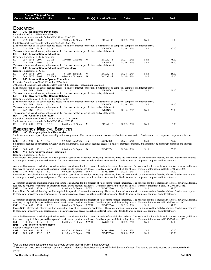|                      | <b>Course Section Class # Units</b>                       | Course Title (+IAI Code) <sup>1</sup> |                                                                                                                                     | <b>Times</b>                                                                                                                                                                                                                                     |            | Day(s) Location/Room               | <b>Dates</b>                       | Instructor                                                                                                                                                                                  | Fee <sup>2</sup>                                                                                                                                                                                    |
|----------------------|-----------------------------------------------------------|---------------------------------------|-------------------------------------------------------------------------------------------------------------------------------------|--------------------------------------------------------------------------------------------------------------------------------------------------------------------------------------------------------------------------------------------------|------------|------------------------------------|------------------------------------|---------------------------------------------------------------------------------------------------------------------------------------------------------------------------------------------|-----------------------------------------------------------------------------------------------------------------------------------------------------------------------------------------------------|
| <b>EDUCATION</b>     |                                                           |                                       |                                                                                                                                     |                                                                                                                                                                                                                                                  |            |                                    |                                    |                                                                                                                                                                                             |                                                                                                                                                                                                     |
| ED                   | Requisite: PSYC 151; Eligible for ENG 101                 |                                       | 252 Educational Psychology                                                                                                          |                                                                                                                                                                                                                                                  |            |                                    |                                    |                                                                                                                                                                                             |                                                                                                                                                                                                     |
| ED                   | 252 001                                                   | 2068                                  | Students cannot receive credit for both ED 252 and PSYC 252.<br>3.0<br>Students cannot receive credit for both ED 252 and PSYC 252. | 12:00pm - 12:50pm                                                                                                                                                                                                                                | <b>MWF</b> | <b>BCLA2106</b>                    | $08/22 - 12/14$                    | Staff                                                                                                                                                                                       | 5.00                                                                                                                                                                                                |
| ED                   | 252 IN1                                                   | 2376                                  | 3.0 OI                                                                                                                              | (The online section of this course requires access to a reliable Internet connection. Students must be competent computer and Internet users.)                                                                                                   |            | <b>INETN/R</b>                     | $08/20 - 12/15$                    | Staff                                                                                                                                                                                       | 30.00                                                                                                                                                                                               |
| ED                   |                                                           |                                       | 255 Introduction to Education                                                                                                       | This course is an asynchronous, online course that does not meet at a specific time or day of the week.                                                                                                                                          |            |                                    |                                    |                                                                                                                                                                                             |                                                                                                                                                                                                     |
| ED                   | Requisite: Eligible for ENG 97 or higher<br>255 HY1 2601  |                                       | 3.0 HY                                                                                                                              | 12:00pm - 01:15pm                                                                                                                                                                                                                                | W          | <b>BCLA2116</b>                    | $08/23 - 12/13$                    | Staff                                                                                                                                                                                       | 75.00                                                                                                                                                                                               |
| ED                   | 255 IN1                                                   | 2602                                  | 3.0 OI                                                                                                                              | This course is an asynchronous, online course that does not meet at a specific time or day of the week.                                                                                                                                          |            | <b>INETN/R</b>                     | $08/20 - 12/15$                    | Staff                                                                                                                                                                                       | 75.00                                                                                                                                                                                               |
| ED                   | Requisite: Eligible for ENG 101                           |                                       | 260 Introduction to Educational Technology                                                                                          |                                                                                                                                                                                                                                                  |            |                                    |                                    |                                                                                                                                                                                             |                                                                                                                                                                                                     |
| ED<br>ED             | 260 HY1 2603<br>260 HY2 2604                              |                                       | 3.0 HY<br>3.0 HY E                                                                                                                  | 10:30am - 11:45am<br>$06:00$ pm - $08:50$ pm                                                                                                                                                                                                     | W<br>W     | <b>BCLA2116</b><br><b>BCLA3328</b> | $08/24 - 12/14$<br>$08/24 - 12/14$ | Staff<br>Staff                                                                                                                                                                              | 25.00<br>25.00                                                                                                                                                                                      |
| ED                   |                                                           |                                       | 265 Introduction to Special Education<br>Requisite: Completion of ENG 101 with a "C" or better                                      |                                                                                                                                                                                                                                                  |            |                                    |                                    |                                                                                                                                                                                             |                                                                                                                                                                                                     |
|                      |                                                           |                                       |                                                                                                                                     | 30 hours of field experience outside of class time will be required. Fingerpriinting required.<br>(The online section of this course requires access to a reliable Internet connection. Students must be competent computer and Internet users.) |            |                                    |                                    |                                                                                                                                                                                             |                                                                                                                                                                                                     |
| ED                   | 265 IN1                                                   | 2069                                  | 3.0 OI                                                                                                                              | This course is an asynchronous, online course that does not meet at a specific time or day of the week.                                                                                                                                          |            | <b>INETN/R</b>                     | $08/20 - 12/15$                    | Staff                                                                                                                                                                                       | 75.00                                                                                                                                                                                               |
| ED                   |                                                           |                                       | 267 Diversity in 21st Century Schools<br>Requisite: Completion of ENG 101 with a "C" or better                                      |                                                                                                                                                                                                                                                  |            |                                    |                                    |                                                                                                                                                                                             |                                                                                                                                                                                                     |
| ED                   | 267 IN1                                                   | 2343                                  | 3.0 OI                                                                                                                              | (The online section of this course requires access to a reliable Internet connection. Students must be competent computer and Internet users.)                                                                                                   |            | <b>INETN/R</b>                     | $08/20 - 12/15$                    | Staff                                                                                                                                                                                       | 25.00                                                                                                                                                                                               |
| ED                   | 267 IN2                                                   | 2551                                  | 3.0 OI                                                                                                                              | This course is an asynchronous, online course that does not meet at a specific time or day of the week.                                                                                                                                          |            | <b>INETN/R</b>                     | $10/15 - 12/15$                    | Staff                                                                                                                                                                                       | 25.00                                                                                                                                                                                               |
| ED                   | 293 Children's Literature                                 |                                       |                                                                                                                                     | This course is an asynchronous, online course that does not meet at a specific time or day of the week.                                                                                                                                          |            |                                    |                                    |                                                                                                                                                                                             |                                                                                                                                                                                                     |
|                      |                                                           |                                       | Students cannot receive credit for both ED 293 and LIT 293.                                                                         | Requisite: Completion of ENG 101 with a grade of "C" or better                                                                                                                                                                                   |            |                                    |                                    |                                                                                                                                                                                             |                                                                                                                                                                                                     |
| ED                   | 293 001                                                   | 2394                                  | 3.0 E                                                                                                                               | $06:00$ pm - $08:50$ pm                                                                                                                                                                                                                          | M          | <b>BCLA2116</b>                    | $08/22 - 12/12$                    | Staff                                                                                                                                                                                       | 5.00                                                                                                                                                                                                |
| EMS                  |                                                           |                                       | <b>EMERGENCY MEDICAL SERVICES</b><br>105 Emergency Medical Responder                                                                |                                                                                                                                                                                                                                                  |            |                                    |                                    |                                                                                                                                                                                             |                                                                                                                                                                                                     |
| users.               |                                                           |                                       |                                                                                                                                     |                                                                                                                                                                                                                                                  |            |                                    |                                    | Students are required to participate in weekly online assignments. This course requires access to a reliable internet connection. Students must be competent computer and internet          |                                                                                                                                                                                                     |
| EMS                  | 105 001                                                   | 1349                                  | 4.0                                                                                                                                 | 09:00am - 02:00pm                                                                                                                                                                                                                                | Th         | <b>BCMC2361</b>                    | $08/25 - 12/15$                    | Staff<br>Students are required to participate in weekly online assignments. This course requires access to a reliable internet connection. Students must be competent computer and internet | 75.00                                                                                                                                                                                               |
| users.<br>EMS<br>EMS | 105 003                                                   | 1351                                  | 4.0 E<br>110 Emergency Medical Technician                                                                                           | $05:00$ pm - $06:00$ pm                                                                                                                                                                                                                          | W          | <b>BCMC2361</b>                    | $08/24 - 12/14$                    | Staff                                                                                                                                                                                       | 75.00                                                                                                                                                                                               |
|                      | Requisite: Eligible for ENG 101                           |                                       |                                                                                                                                     |                                                                                                                                                                                                                                                  |            |                                    |                                    |                                                                                                                                                                                             | Please Note: Occasional Saturdays will be required for specialized instruction and testing. The dates, times and location will be announced the first day of class. Students are required           |
|                      |                                                           |                                       |                                                                                                                                     |                                                                                                                                                                                                                                                  |            |                                    |                                    | to participate in weekly online assignments. This course requires access to a reliable internet connection. Students must be competent computer and internet users.                         |                                                                                                                                                                                                     |
|                      |                                                           |                                       |                                                                                                                                     |                                                                                                                                                                                                                                                  |            |                                    |                                    | fees may be required for expanded background checks due to previous residences. Details are provided the first day of class. For more information, call 235-2700, ext. 5355.                | A criminal background check along with drug testing is conducted for this program of study before clinical experience. The basic fee for this is included in lab fees, however, additional          |
| EMS                  | 110 001 1352                                              |                                       | 8.0                                                                                                                                 | 09:00am - 12:30pm                                                                                                                                                                                                                                | MWF        | <b>BCMC2360</b>                    | $08/22 - 12/14$                    | Staff                                                                                                                                                                                       | 187.00<br>Please Note: Occasional Saturdays will be required for specialized instruction and testing. The dates, times and location will be announced the first day of class. Students are required |
|                      |                                                           |                                       |                                                                                                                                     |                                                                                                                                                                                                                                                  |            |                                    |                                    | to participate in weekly online assignments. This course requires access to a reliable internet connection. Students must be competent computer and internet users.                         |                                                                                                                                                                                                     |
|                      |                                                           |                                       |                                                                                                                                     |                                                                                                                                                                                                                                                  |            |                                    |                                    | fees may be required for expanded background checks due to previous residences. Details are provided the first day of class. For more information, call 235-2700, ext. 5355.                | A criminal background check along with drug testing is conducted for this program of study before clinical experience. The basic fee for this is included in lab fees, however, additional          |
| EMS                  | 110 002                                                   | 1353                                  | 8.0                                                                                                                                 | $01:00$ pm - $04:30$ pm                                                                                                                                                                                                                          | <b>MWF</b> | <b>BCMC2360</b>                    | $08/22 - 12/14$                    | Staff                                                                                                                                                                                       | 187.00<br>Please Note: Occasional Saturdays will be required for specialized instruction and testing. The dates, times and location will be announced the first day of class. Students are required |
|                      |                                                           |                                       |                                                                                                                                     |                                                                                                                                                                                                                                                  |            |                                    |                                    | to participate in weekly online assignments. This course requires access to a reliable internet connection. Students must be competent computer and internet users.                         |                                                                                                                                                                                                     |
|                      |                                                           |                                       |                                                                                                                                     |                                                                                                                                                                                                                                                  |            |                                    |                                    | fees may be required for expanded background checks due to previous residences. Details are provided the first day of class. For more information, call 235-2700, ext. 5355.                | A criminal background check along with drug testing is conducted for this program of study before clinical experience. The basic fee for this is included in lab fees, however, additional          |
| EMS                  | 110 003                                                   | 1354                                  | 8.0 E                                                                                                                               | $06:00$ pm - $09:30$ pm                                                                                                                                                                                                                          | MWTh       | <b>BCMC2360</b>                    | $08/22 - 12/14$                    | Staff                                                                                                                                                                                       | 187.00                                                                                                                                                                                              |
|                      |                                                           |                                       |                                                                                                                                     |                                                                                                                                                                                                                                                  |            |                                    |                                    | to participate in weekly online assignments. This course requires access to a reliable internet connection. Students must be competent computer and internet users.                         | Please Note: Occasional Saturdays will be required for specialized instruction and testing. The dates, times and location will be announced the first day of class. Students are required           |
|                      |                                                           |                                       |                                                                                                                                     |                                                                                                                                                                                                                                                  |            |                                    |                                    |                                                                                                                                                                                             | A criminal background check along with drug testing is conducted for this program of study before clinical experience. The basic fee for this is included in lab fees, however, additional          |
| EMS                  | 110 060                                                   | 1355                                  | 8.0 E                                                                                                                               | 06:00pm - 09:30pm                                                                                                                                                                                                                                | MWTh       | SWGCC536                           | $08/22 - 12/14$                    | fees may be required for expanded background checks due to previous residences. Details are provided the first day of class. For more information, call 235-2700, ext. 5355.<br>Staff       | 187.00                                                                                                                                                                                              |
| <b>EMS</b>           | 205 Intro to Paramedicine<br>Requisite: Program Admission |                                       |                                                                                                                                     |                                                                                                                                                                                                                                                  |            |                                    |                                    |                                                                                                                                                                                             |                                                                                                                                                                                                     |
| EMS<br>EMS           | 205 001<br>205 002                                        | 1356<br>1392                          | 8.5<br>8.5                                                                                                                          | 08:30am - 12:30pm<br>01:30pm - 05:30pm                                                                                                                                                                                                           | TTh<br>TTh | <b>BCMC2360</b><br><b>BCMC2360</b> | $08/09 - 12/15$<br>$08/09 - 12/15$ | Staff<br>Staff                                                                                                                                                                              | 100.00<br>100.00                                                                                                                                                                                    |
|                      |                                                           |                                       |                                                                                                                                     |                                                                                                                                                                                                                                                  |            |                                    |                                    |                                                                                                                                                                                             |                                                                                                                                                                                                     |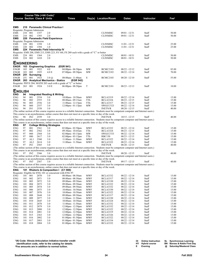|                                     |            |                  |                                     | Course Title (+IAI Code) <sup>1</sup>                     |                                                                                                         |                          |                                                                                                                                                |                                    |                |                  |
|-------------------------------------|------------|------------------|-------------------------------------|-----------------------------------------------------------|---------------------------------------------------------------------------------------------------------|--------------------------|------------------------------------------------------------------------------------------------------------------------------------------------|------------------------------------|----------------|------------------|
|                                     |            |                  | <b>Course Section Class # Units</b> |                                                           | <b>Times</b>                                                                                            |                          | Day(s) Location/Room                                                                                                                           | <b>Dates</b>                       | Instructor     | Fee <sup>2</sup> |
|                                     |            |                  |                                     | 210 Paramedic Clinical Practice I                         |                                                                                                         |                          |                                                                                                                                                |                                    |                |                  |
| EMS<br>Requisite: Program Admission |            |                  |                                     |                                                           |                                                                                                         |                          |                                                                                                                                                |                                    |                |                  |
| EMS                                 | 210 001    |                  | 1357                                | 2.0                                                       |                                                                                                         |                          | <b>CLINMISC</b>                                                                                                                                | 09/01 - 12/31                      | Staff          | 50.00            |
| EMS                                 | 210        | 002              | 1393                                | 2.0                                                       |                                                                                                         |                          | <b>CLINMISC</b>                                                                                                                                | $09/01 - 12/31$                    | Staff          | 50.00            |
| <b>EMS</b>                          |            |                  |                                     | 220 Paramedic Field Experience                            |                                                                                                         |                          |                                                                                                                                                |                                    |                |                  |
| Requisite: Program Admission        |            |                  |                                     |                                                           |                                                                                                         |                          |                                                                                                                                                |                                    |                |                  |
| EMS                                 | 220        | 001              | 1358                                | 1.0                                                       |                                                                                                         |                          | <b>CLINMISC</b>                                                                                                                                | $11/01 - 12/31$                    | Staff          | 25.00            |
| EMS                                 | 220        | 002              | 1394                                | 1.0<br>224 Paramedic Field Internship IV                  |                                                                                                         |                          | <b>CLINMISC</b>                                                                                                                                | $11/01 - 12/31$                    | Staff          | 25.00            |
| EMS                                 |            |                  |                                     |                                                           | Requisite: EMS 208, EMS 213, EMS 223, FS 160, FS 280 each with a grade of "C" or better                 |                          |                                                                                                                                                |                                    |                |                  |
| EMS                                 | 224        | - 001            | 1364                                | 2.0                                                       |                                                                                                         |                          | CLINMISC                                                                                                                                       | 08/01 - 10/31                      | Staff          | 50.00            |
| EMS                                 | 224 002    |                  | 1410                                | 2.0                                                       |                                                                                                         |                          | <b>CLINMISC</b>                                                                                                                                | 08/01 - 10/31                      | Staff          | 50.00            |
|                                     |            |                  |                                     |                                                           |                                                                                                         |                          |                                                                                                                                                |                                    |                |                  |
| <b>ENGINEERING</b>                  |            |                  |                                     |                                                           |                                                                                                         |                          |                                                                                                                                                |                                    |                |                  |
| <b>ENGR</b>                         | 103        |                  |                                     | <b>Engineering Graphics</b>                               | (EGR 941)                                                                                               |                          |                                                                                                                                                |                                    |                |                  |
| ENGR                                | 103        | 001              | 1922                                | 4.0                                                       | $04:00$ pm - $06:50$ pm                                                                                 | MW                       | BCMC2183                                                                                                                                       | 08/22 - 12/12                      | Staff          | 85.00            |
| ENGR                                | 103        | 002              | 1925                                | 4.0 E                                                     | $07:00$ pm - $09:50$ pm                                                                                 | MW                       | <b>BCMC2183</b>                                                                                                                                | $08/22 - 12/14$                    | Staff          | 70.00            |
| <b>ENGR</b><br>ENGR                 | 251<br>251 | Surveying<br>001 | 1923                                | $3.0 \, \omega$                                           | 08:00am - 11:40am                                                                                       | S                        | BCMC2103                                                                                                                                       | 08/20 - 12/10                      | Staff          | 55.00            |
| ENGR                                |            |                  |                                     | 263 Analytical Mechanics - Statics                        | (EGR 942)                                                                                               |                          |                                                                                                                                                |                                    |                |                  |
|                                     |            |                  |                                     |                                                           | Requisite: PHYS 204, MATH 203 each with a grade of "C" or better                                        |                          |                                                                                                                                                |                                    |                |                  |
| ENGR                                | 263 001    |                  | 1924                                | 3.0 E                                                     | $06:00$ pm - $08:50$ pm                                                                                 | T                        | <b>BCMC2181</b>                                                                                                                                | 08/23 - 12/13                      | Staff          | 10.00            |
|                                     |            |                  |                                     |                                                           |                                                                                                         |                          |                                                                                                                                                |                                    |                |                  |
| <b>ENGLISH</b>                      |            |                  |                                     |                                                           |                                                                                                         |                          |                                                                                                                                                |                                    |                |                  |
| ENG                                 | 94         |                  |                                     | Integrated Reading & Writing                              |                                                                                                         |                          |                                                                                                                                                |                                    |                |                  |
| ENG                                 | 94         | 001              | 2554                                | 3.0                                                       | 10:00am - 10:50am                                                                                       | MWF                      | <b>BCLA3319</b>                                                                                                                                | $08/22 - 12/14$                    | Staff          | 15.00            |
| ENG                                 | 94<br>94   | 002              | 2555                                | 3.0                                                       | 08:00am- 09:15am                                                                                        | TTh                      | <b>BCLA3324</b><br><b>BCLA3317</b>                                                                                                             | 08/23 - 12/15                      | Staff          | 15.00            |
| ENG<br>ENG                          | 94         | 003<br>060       | 2556<br>2557                        | 3.0<br>3.0                                                | 11:00am - 12:15pm                                                                                       | TTh<br>MW                |                                                                                                                                                | 08/23 - 12/15                      | Staff          | 15.00            |
| <b>ENG</b>                          | 94         | IN1              | 2558                                | 3.0                                                       | $12:00 \text{pm} - 01:15 \text{pm}$                                                                     |                          | SWGCC523<br><b>INETN/R</b>                                                                                                                     | 08/22 - 12/14<br>$08/20 - 12/15$   | Staff<br>Staff | 15.00<br>40.00   |
|                                     |            |                  |                                     |                                                           |                                                                                                         |                          | (The online section of this course requires access to a reliable Internet connection. Students must be competent computer and Internet users.) |                                    |                |                  |
|                                     |            |                  |                                     |                                                           | This course is an asynchronous, online course that does not meet at a specific time or day of the week. |                          |                                                                                                                                                |                                    |                |                  |
| ENG                                 | 94         | IN2              | 2559                                | 3.0                                                       |                                                                                                         |                          | INETN/R                                                                                                                                        | $10/15 - 12/15$                    | Staff          | 40.00            |
|                                     |            |                  |                                     |                                                           |                                                                                                         |                          | (The online section of this course requires access to a reliable Internet connection. Students must be competent computer and Internet users.) |                                    |                |                  |
|                                     |            |                  |                                     |                                                           | This course is an asynchronous, online course that does not meet at a specific time or day of the week. |                          |                                                                                                                                                |                                    |                |                  |
| <b>ENG</b>                          | 97<br>97   |                  |                                     | <b>College Writing Strategies</b>                         |                                                                                                         |                          |                                                                                                                                                |                                    |                |                  |
| ENG<br>ENG                          | 97         | 001<br>002       | 2561<br>2562                        | 3.0<br>3.0                                                | $02:00$ pm - $02:50$ pm<br>09:30am - 10:45am                                                            | MWF<br>TTh               | BCLA3332<br><b>BCLA3324</b>                                                                                                                    | 08/22 - 12/14<br>08/23 - 12/15     | Staff<br>Staff | 15.00<br>15.00   |
| ENG                                 | 97         | 060              | 2564                                | 3.0                                                       | $02:00$ pm - $03:15$ pm                                                                                 | MW                       | SWGCC533                                                                                                                                       | 08/22 - 12/14                      | Staff          | 15.00            |
| ENG                                 | 97         | 080              | 2617                                | 3.0                                                       | $02:00$ pm - $03:15$ pm                                                                                 | TTh                      | <b>RBC150</b>                                                                                                                                  | 08/23 - 12/15                      | Staff          | 15.00            |
| <b>ENG</b>                          | 97         | AL1              | 2560                                | 3.0                                                       | 11:00am - 11:50am                                                                                       | MWF                      | <b>BCLA3322</b>                                                                                                                                | 08/22 - 12/14                      | Staff          | 15.00            |
| ENG                                 | 97         | AL <sub>2</sub>  | 2614                                | 3.0                                                       | 11:00am - 11:50am                                                                                       | <b>MWF</b>               | <b>BCLA3322</b>                                                                                                                                | 08/22 - 12/14                      | Staff          | 15.00            |
| ENG                                 | 97         | IN1              | 2565                                | 3.0                                                       |                                                                                                         |                          | <b>INETN/R</b>                                                                                                                                 | 08/20 - 12/15                      | Staff          | 40.00            |
|                                     |            |                  |                                     |                                                           |                                                                                                         |                          | (The online section of this course requires access to a reliable Internet connection. Students must be competent computer and Internet users.) |                                    |                |                  |
|                                     |            |                  |                                     |                                                           | This course is an asynchronous, online course that does not meet at a specific time or day of the week. |                          |                                                                                                                                                |                                    |                |                  |
| ENG                                 | 97         | IN <sub>2</sub>  | 2566                                | 3.0                                                       |                                                                                                         |                          | <b>INETN/R</b>                                                                                                                                 | 08/20 - 12/15                      | Staff          | 40.00            |
|                                     |            |                  |                                     |                                                           |                                                                                                         |                          | (The online section of this course requires access to a reliable Internet connection. Students must be competent computer and Internet users.) |                                    |                |                  |
| ENG                                 | 97         | IN3              | 2567                                | 3.0                                                       | This course is an asynchronous, online course that does not meet at a specific time or day of the week. |                          | <b>INETN/R</b>                                                                                                                                 | $09/17 - 12/15$                    | Staff          | 40.00            |
|                                     |            |                  |                                     |                                                           |                                                                                                         |                          | (The online section of this course requires access to a reliable Internet connection. Students must be competent computer and Internet users.) |                                    |                |                  |
|                                     |            |                  |                                     |                                                           | This course is an asynchronous, online course that does not meet at a specific time or day of the week. |                          |                                                                                                                                                |                                    |                |                  |
| <b>ENG</b>                          |            |                  |                                     | 101 Rhetoric & Composition I (C1 900)                     |                                                                                                         |                          |                                                                                                                                                |                                    |                |                  |
|                                     |            |                  |                                     | Requisite: Eligible for ENG 101 or concurrent with ENG 97 |                                                                                                         |                          |                                                                                                                                                |                                    |                |                  |
| ENG                                 | 101 001    |                  | 2070                                | 3.0                                                       | 08:00am - 08:50am                                                                                       | <b>MWF</b>               | <b>BCLA3332</b>                                                                                                                                | $08/22 - 12/14$                    | Staff          | 15.00            |
| <b>ENG</b>                          | 101        | 002              | 2071                                | 3.0                                                       | 08:00am - 08:50am                                                                                       | <b>MWF</b>               | <b>BCLA3317</b>                                                                                                                                | $08/22 - 12/14$                    | Staff          | 15.00            |
| <b>ENG</b>                          | 101        | 003              | 2072                                | 3.0                                                       | 09:00am - 09:50am                                                                                       | <b>MWF</b>               | <b>BCLA3330</b>                                                                                                                                | $08/22 - 12/14$                    | Staff          | 15.00            |
| <b>ENG</b><br><b>ENG</b>            | 101<br>101 | 004<br>005       | 2073<br>2074                        | 3.0<br>3.0                                                | 09:00am - 09:50am<br>09:00am - 09:50am                                                                  | <b>MWF</b><br><b>MWF</b> | <b>BCLA3322</b><br><b>BCLA3332</b>                                                                                                             | $08/22 - 12/14$<br>$08/22 - 12/14$ | Staff<br>Staff | 15.00<br>15.00   |
| <b>ENG</b>                          | 101        | 006              | 2075                                | 3.0                                                       | 10:00am - 10:50am                                                                                       | <b>MWF</b>               | <b>BCLA3330</b>                                                                                                                                | $08/22 - 12/14$                    | Staff          | 15.00            |
| ENG                                 | 101        | 007              | 2076                                | 3.0                                                       | 10:00am - 10:50am                                                                                       | <b>MWF</b>               | <b>BCLA3322</b>                                                                                                                                | $08/22 - 12/14$                    | Staff          | 15.00            |
| <b>ENG</b>                          | 101        | 008              | 2644                                | 3.0                                                       | 09:00am - 09:50am                                                                                       | <b>MWF</b>               | <b>BCLA3317</b>                                                                                                                                | $08/22 - 12/14$                    | Staff          | 15.00            |
| <b>ENG</b>                          | 101        | 009              | 2077                                | 3.0                                                       | 11:00am - 11:50am                                                                                       | <b>MWF</b>               | <b>BCLA3330</b>                                                                                                                                | $08/22 - 12/14$                    | Staff          | 15.00            |
| <b>ENG</b>                          | 101        | 010              | 2645                                | 3.0                                                       | 10:00am - 10:50am                                                                                       | MWF                      | <b>BCLA3324</b>                                                                                                                                | $08/22 - 12/14$                    | Staff          | 15.00            |
| <b>ENG</b>                          | 101        | 011              | 2078                                | 3.0                                                       | 11:00am-11:50am                                                                                         | <b>MWF</b>               | <b>BCLA3332</b>                                                                                                                                | 08/22 - 12/14                      | Staff          | 15.00            |
| <b>ENG</b>                          | 101        | 012              | 2079                                | 3.0                                                       | $12:00 \text{pm} - 12:50 \text{pm}$                                                                     | <b>MWF</b>               | <b>BCLA3332</b>                                                                                                                                | $08/22 - 12/14$                    | Staff          | 15.00            |
| <b>ENG</b>                          | 101        | 013              | 2080                                | 3.0                                                       | $12:00$ pm - $12:50$ pm                                                                                 | <b>MWF</b>               | <b>BCLA3322</b>                                                                                                                                | $08/22 - 12/14$                    | Staff          | 15.00            |
| ENG                                 | 101        | 014              | 2081                                | 3.0                                                       | $12:00 \text{pm} - 12:50 \text{pm}$                                                                     | <b>MWF</b>               | <b>BCLA3319</b>                                                                                                                                | 08/22 - 12/14                      | Staff          | 15.00            |
| <b>ENG</b>                          | 101        | 015              | 2363                                | 3.0                                                       | $12:00$ pm - $12:50$ pm                                                                                 | <b>MWF</b>               | <b>BCLA3326</b>                                                                                                                                | 08/22 - 12/14                      | Staff          | 15.00            |
| ENG                                 | 101        | 016              | 2082                                | 3.0                                                       | $01:00$ pm - $01:50$ pm<br>01:00pm - 01:50pm                                                            | <b>MWF</b>               | <b>BCLA3322</b>                                                                                                                                | $08/22 - 12/14$                    | Staff          | 15.00            |
| ENG<br>ENG                          | 101<br>101 | 017<br>018       | 2083<br>2084                        | 3.0<br>3.0                                                | $01:00$ pm - $01:50$ pm                                                                                 | <b>MWF</b><br><b>MWF</b> | <b>BCLA3334</b><br><b>BCLA3332</b>                                                                                                             | $08/22 - 12/14$<br>08/22 - 12/14   | Staff<br>Staff | 15.00<br>15.00   |
|                                     |            |                  |                                     |                                                           |                                                                                                         |                          |                                                                                                                                                |                                    |                |                  |
|                                     |            |                  |                                     |                                                           |                                                                                                         |                          |                                                                                                                                                |                                    |                |                  |

| <b>Online Instruction</b> | SL Synchronous Learning            |
|---------------------------|------------------------------------|
| HY Hybrid course          | <b>BN</b> Barnes & Noble First Day |
| Evening                   | @ Saturday/Weekend Class           |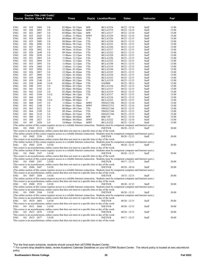|            | Course Title (+IAI Code) <sup>1</sup> |            |                                     |              |                                                                                                                                                |                   |                                    |                                    |                |                  |  |  |
|------------|---------------------------------------|------------|-------------------------------------|--------------|------------------------------------------------------------------------------------------------------------------------------------------------|-------------------|------------------------------------|------------------------------------|----------------|------------------|--|--|
|            |                                       |            | <b>Course Section Class # Units</b> |              | Times                                                                                                                                          |                   | Day(s) Location/Room               | <b>Dates</b>                       | Instructor     | Fee <sup>2</sup> |  |  |
|            |                                       |            |                                     |              |                                                                                                                                                |                   |                                    |                                    |                |                  |  |  |
|            |                                       |            |                                     |              |                                                                                                                                                |                   |                                    |                                    |                |                  |  |  |
| ENG<br>ENG | 101<br>101                            | 019<br>020 | 2404<br>2085                        | 3.0<br>3.0   | $02:00 \text{pm} - 03:15 \text{pm}$<br>$02:00$ pm - $02:50$ pm                                                                                 | MW<br><b>MWF</b>  | <b>BCLA3324</b><br><b>BCLA3319</b> | $08/22 - 12/14$<br>$08/22 - 12/14$ | Staff<br>Staff | 15.00<br>15.00   |  |  |
| ENG        | 101                                   | 022        | 2087                                | 3.0          | $03:00 \text{pm} - 04:15 \text{pm}$                                                                                                            | <b>MW</b>         | <b>BCLA3317</b>                    | $08/22 - 12/14$                    | Staff          | 15.00            |  |  |
| ENG        | 101                                   | 023        | 2643                                | 3.0          | 11:00am - 11:50am                                                                                                                              | MWF               | <b>BCLA3328</b>                    | $08/22 - 12/14$                    | Staff          | 15.00            |  |  |
| ENG        | 101                                   | 024        | 2088                                | 3.0          | 08:00am - 09:15am                                                                                                                              | TTh               | <b>BCLA3326</b>                    | $08/23 - 12/15$                    | Staff          | 15.00            |  |  |
| ENG        | 101                                   | 025        | 2089                                | 3.0          | 08:00am - 09:15am                                                                                                                              | TTh               | <b>BCLA3330</b>                    | $08/23 - 12/15$                    | Staff          | 15.00            |  |  |
| ENG        | 101                                   | 026        | 2090                                | 3.0          | 08:00am - 09:15am                                                                                                                              | TTh               | <b>BCLA3332</b>                    | $08/23 - 12/15$                    | Staff          | 15.00            |  |  |
| ENG        | 101<br>101                            | 027<br>028 | 2091<br>2092                        | 3.0<br>3.0   | 09:30am - 10:45am<br>09:30am - 10:45am                                                                                                         | TTh               | <b>BCLA3326</b><br><b>BCLA3317</b> | $08/23 - 12/15$                    | Staff          | 15.00<br>15.00   |  |  |
| ENG<br>ENG | 101                                   | 029        | 2649                                | 3.0          | 09:30am - 10:45am                                                                                                                              | TTh<br>TTh        | <b>BCLA3332</b>                    | $08/23 - 12/15$<br>$08/23 - 12/15$ | Staff<br>Staff | 15.00            |  |  |
| ENG        | 101                                   | 030        | 2650                                | 3.0          | $11:00$ am - $12:15$ pm                                                                                                                        | TTh               | <b>BCLA3328</b>                    | $08/23 - 12/15$                    | Staff          | 15.00            |  |  |
| ENG        | 101                                   | 031        | 2093                                | 3.0          | $11:00$ am - $12:15$ pm                                                                                                                        | TTh               | <b>BCLA3326</b>                    | $08/23 - 12/15$                    | Staff          | 15.00            |  |  |
| ENG        | 101                                   | 032        | 2094                                | 3.0          | $11:00am - 12:15pm$                                                                                                                            | TTh               | <b>BCLA3332</b>                    | $08/23 - 12/15$                    | Staff          | 15.00            |  |  |
| ENG        | 101                                   | 033        | 2095                                | 3.0          | $11:00am - 12:15pm$                                                                                                                            | TTh               | <b>BCLA3330</b>                    | $08/23 - 12/15$                    | Staff          | 15.00            |  |  |
| ENG        | 101                                   | 034        | 2468                                | 3.0          | $11:00$ am - $12:15$ pm                                                                                                                        | TTh               | <b>BCLA3319</b>                    | $08/23 - 12/15$                    | Staff          | 15.00            |  |  |
| ENG        | 101                                   | 035        | 2096                                | 3.0          | $12:30$ pm - 01:45pm                                                                                                                           | TTh               | <b>BCLA3330</b>                    | $08/23 - 12/15$                    | Staff          | 15.00            |  |  |
| ENG<br>ENG | 101<br>101                            | 036<br>037 | 2097<br>2098                        | 3.0<br>3.0   | 12:30pm - 01:45pm<br>12:30pm - 01:45pm                                                                                                         | TTh<br>TTh        | <b>BCLA3332</b><br><b>BCLA3334</b> | $08/23 - 12/15$<br>$08/23 - 12/15$ | Staff<br>Staff | 15.00<br>15.00   |  |  |
| ENG        | 101                                   | 038        | 2099                                | 3.0          | $12:30$ pm - 01:45pm                                                                                                                           | TTh               | <b>BCLA3322</b>                    | $08/23 - 12/15$                    | Staff          | 15.00            |  |  |
| ENG        | 101                                   | 039        | 2100                                | 3.0          | $02:00$ pm - $03:15$ pm                                                                                                                        | TTh               | <b>BCLA3319</b>                    | $08/23 - 12/15$                    | Staff          | 15.00            |  |  |
| ENG        | 101                                   | 03S        | 2648                                | 3.0 E        | $05:00 \text{pm} - 07:50 \text{pm}$                                                                                                            | TTh               | SAFB89                             | $08/23 - 10/13$                    | Staff          | 15.00            |  |  |
| <b>ENG</b> | 101                                   | 040        | 2101                                | 3.0          | $02:00$ pm - $03:15$ pm                                                                                                                        | TTh               | <b>BCLA3334</b>                    | $08/23 - 12/15$                    | Staff          | 15.00            |  |  |
| ENG        | 101                                   | 041        | 2102                                | 3.0          | $03:30$ pm - $04:45$ pm                                                                                                                        | TTh               | <b>BCLA3317</b>                    | $08/23 - 12/15$                    | Staff          | 15.00            |  |  |
| ENG        | 101                                   | 042        | 2103                                | 3.0          | $03:30$ pm - $04:45$ pm                                                                                                                        | TTh               | <b>BCLA3319</b>                    | $08/23 - 12/15$                    | Staff          | 15.00            |  |  |
| ENG        | 101                                   | 043<br>044 | 2104<br>2105                        | 3.0 E        | $05:00 \text{pm} - 06:15 \text{pm}$                                                                                                            | TTh               | <b>BCLA3317</b><br><b>BCLA3334</b> | $08/23 - 12/15$                    | Staff          | 15.00            |  |  |
| ENG<br>ENG | 101<br>101                            | 045        | 2106                                | 3.0<br>3.0 E | $03:00 \text{pm} - 05:50 \text{pm}$<br>$07:00$ pm - $09:50$ pm                                                                                 | M<br>T            | <b>BCLA3322</b>                    | $08/22 - 12/12$<br>$08/23 - 12/13$ | Staff<br>Staff | 15.00<br>15.00   |  |  |
| ENG        | 101                                   | 060        | 2107                                | 3.0          | $11:00am - 11:50am$                                                                                                                            | MWF               | SWGCC344                           | $08/22 - 12/14$                    | Staff          | 15.00            |  |  |
| ENG        | 101                                   | 062        | 2108                                | 3.0          | $01:00$ pm - $01:50$ pm                                                                                                                        | <b>MWF</b>        | SWGCC512                           | $08/22 - 12/14$                    | Staff          | 15.00            |  |  |
| ENG        | 101                                   | 063        | 2622                                | 3.0          | 08:00am - 09:15am                                                                                                                              | TTh               | SWGCC344                           | $08/23 - 12/15$                    | Staff          | 15.00            |  |  |
| ENG        | 101                                   | 064        | 2109                                | 3.0          | 09:30am - 10:45am                                                                                                                              | TTh               | SWGCC344                           | $08/23 - 12/15$                    | Staff          | 15.00            |  |  |
| ENG        | 101                                   | 066        | 2110                                | 3.0          | $02:00 \text{pm} - 03:15 \text{pm}$                                                                                                            | TTh               | SWGCC344                           | $08/23 - 12/15$                    | Staff          | 15.00            |  |  |
| ENG        | 101                                   | 080        | 2112                                | 3.0          | $03:30$ pm - $04:45$ pm                                                                                                                        | MW                | <b>RBC150</b>                      | $08/22 - 12/14$                    | Staff          | 15.00            |  |  |
| ENG<br>ENG | 101<br>101                            | 304<br>307 | 2427<br>2428                        | 3.0<br>3.0   | 09:00am - 09:50am<br>10:00am - 10:50am                                                                                                         | MWF<br><b>MWF</b> | <b>BCLA3322</b><br><b>BCLA3322</b> | $08/22 - 12/14$<br>$08/22 - 12/14$ | Staff<br>Staff | 15.00<br>15.00   |  |  |
|            |                                       |            |                                     |              | (The online section of this course requires access to a reliable Internet connection. Students must be competent computer and Internet users.) |                   |                                    |                                    |                |                  |  |  |
| ENG        |                                       |            | 101 IN01 2113                       | 3.0 OI       |                                                                                                                                                |                   | <b>INETN/R</b>                     | $08/20 - 12/15$                    | Staff          | 30.00            |  |  |
|            |                                       |            |                                     |              | This course is an asynchronous, online course that does not meet at a specific time or day of the week.                                        |                   |                                    |                                    |                |                  |  |  |
|            |                                       |            |                                     |              | (The online section of this course requires access to a reliable Internet connection. Students must be competent computer and Internet users.) |                   |                                    |                                    |                |                  |  |  |
| ENG        |                                       |            | 101 IN02 2330                       | 3.0 OI       |                                                                                                                                                |                   | <b>INETN/R</b>                     | $08/20 - 12/15$                    | Staff          | 30.00            |  |  |
|            |                                       |            |                                     |              | This course is an asynchronous, online course that does not meet at a specific time or day of the week.                                        |                   |                                    |                                    |                |                  |  |  |
| ENG        |                                       |            | 101 IN03 2339                       | 3.0 OI       | (The online section of this course requires access to a reliable Internet connection. Students must be competent computer and Internet users.) |                   | <b>INETN/R</b>                     | $08/20 - 12/15$                    | Staff          | 30.00            |  |  |
|            |                                       |            |                                     |              | This course is an asynchronous, online course that does not meet at a specific time or day of the week.                                        |                   |                                    |                                    |                |                  |  |  |
|            |                                       |            |                                     |              | (The online section of this course requires access to a reliable Internet connection. Students must be competent computer and Internet users.) |                   |                                    |                                    |                |                  |  |  |
| ENG        |                                       |            | 101 IN04 2347                       | 3.0 OI       |                                                                                                                                                |                   | <b>INETN/R</b>                     | $08/20 - 12/15$                    | Staff          | 30.00            |  |  |
|            |                                       |            |                                     |              | This course is an asynchronous, online course that does not meet at a specific time or day of the week.                                        |                   |                                    |                                    |                |                  |  |  |
|            |                                       |            |                                     |              | (The online section of this course requires access to a reliable Internet connection. Students must be competent computer and Internet users.) |                   |                                    |                                    |                |                  |  |  |
| ENG        |                                       |            | 101 IN05 2387                       | 3.0 OI       | This course is an asynchronous, online course that does not meet at a specific time or day of the week.                                        |                   | <b>INETN/R</b>                     | $09/17 - 12/15$                    | Staff          | 30.00            |  |  |
| ENG        |                                       |            | 101 IN06 2447                       | 3.0 OI       |                                                                                                                                                |                   | <b>INETN/R</b>                     | $08/20 - 10/14$                    | Staff          | 30.00            |  |  |
|            |                                       |            |                                     |              | (The online section of this course requires access to a reliable Internet connection. Students must be competent computer and Internet users.) |                   |                                    |                                    |                |                  |  |  |
|            |                                       |            |                                     |              | This course is an asynchronous, online course that does not meet at a specific time or day of the week.                                        |                   |                                    |                                    |                |                  |  |  |
| ENG        |                                       |            | 101 IN07 2458                       | 3.0 OI       |                                                                                                                                                |                   | <b>INETN/R</b>                     | $10/15 - 12/15$                    | Staff          | 30.00            |  |  |
|            |                                       |            |                                     |              | (The online section of this course requires access to a reliable Internet connection. Students must be competent computer and Internet users.) |                   |                                    |                                    |                |                  |  |  |
|            |                                       |            |                                     |              | This course is an asynchronous, online course that does not meet at a specific time or day of the week.                                        |                   |                                    |                                    |                |                  |  |  |
| ENG        |                                       |            | 101 IN08 2532                       | 3.0 OI       | (The online section of this course requires access to a reliable Internet connection. Students must be competent computer and Internet users.) |                   | <b>INETN/R</b>                     | $08/20 - 12/15$                    | Staff          | 30.00            |  |  |
|            |                                       |            |                                     |              | This course is an asynchronous, online course that does not meet at a specific time or day of the week.                                        |                   |                                    |                                    |                |                  |  |  |
| ENG        |                                       |            | 101 IN09 2544                       | 3.0 OI       |                                                                                                                                                |                   | <b>INETN/R</b>                     | $08/20 - 12/15$                    | Staff          | 30.00            |  |  |
|            |                                       |            |                                     |              | (The online section of this course requires access to a reliable Internet connection. Students must be competent computer and Internet users.) |                   |                                    |                                    |                |                  |  |  |
|            |                                       |            |                                     |              | This course is an asynchronous, online course that does not meet at a specific time or day of the week.                                        |                   |                                    |                                    |                |                  |  |  |
| ENG        |                                       |            | 101 IN10 2665                       | 3.0 OI       |                                                                                                                                                |                   | <b>INETN/R</b>                     | $08/20 - 12/15$                    | Staff          | 30.00            |  |  |
|            |                                       |            |                                     |              | This course is an asynchronous, online course that does not meet at a specific time or day of the week.                                        |                   |                                    |                                    |                |                  |  |  |
| ENG        |                                       |            | 101 IN11 2666                       | 3.0 OI       | This course is an asynchronous, online course that does not meet at a specific time or day of the week.                                        |                   | <b>INETN/R</b>                     | $08/20 - 12/15$                    | Staff          | 30.00            |  |  |
| ENG        |                                       |            | 101 IN12 2676                       | 3.0 OI       |                                                                                                                                                |                   | <b>INETN/R</b>                     | $08/20 - 12/15$                    | Staff          | 30.00            |  |  |
|            |                                       |            |                                     |              | This course is an asynchronous, online course that does not meet at a specific time or day of the week.                                        |                   |                                    |                                    |                |                  |  |  |
| ENG        |                                       |            | 101 IN13 2677                       | 3.0 OI       |                                                                                                                                                |                   | <b>INETN/R</b>                     | $09/17 - 12/15$                    | Staff          | 30.00            |  |  |
|            |                                       |            |                                     |              | This course is an asynchronous, online course that does not meet at a specific time or day of the week.                                        |                   |                                    |                                    |                |                  |  |  |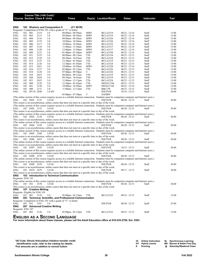| <b>Course Section Class # Units</b> |            |               |                      | Course Title (+IAI Code) <sup>1</sup> | <b>Times</b>                                                                                                                                                                                                                                              |                          |                                    |                                    |                | Fee <sup>2</sup> |
|-------------------------------------|------------|---------------|----------------------|---------------------------------------|-----------------------------------------------------------------------------------------------------------------------------------------------------------------------------------------------------------------------------------------------------------|--------------------------|------------------------------------|------------------------------------|----------------|------------------|
|                                     |            |               |                      |                                       |                                                                                                                                                                                                                                                           |                          | Day(s) Location/Room               | <b>Dates</b>                       | Instructor     |                  |
| ENG                                 |            |               |                      | 102 Rhetoric and Composition II       | (C1 901R)                                                                                                                                                                                                                                                 |                          |                                    |                                    |                |                  |
|                                     |            |               |                      |                                       | Requisite: Completion of ENG 101 with a grade of "C" or better                                                                                                                                                                                            |                          |                                    |                                    |                |                  |
| ENG                                 | 102        | 001           | 2114                 | 3.0                                   | 08:00am - 08:50am                                                                                                                                                                                                                                         | <b>MWF</b>               | <b>BCLA3319</b>                    | $08/22 - 12/14$                    | Staff          | 15.00            |
| <b>ENG</b>                          | 102        | 003           | 2115                 | 3.0                                   | 09:00am - 09:50am                                                                                                                                                                                                                                         | <b>MWF</b>               | <b>BCLA3319</b>                    | $08/22 - 12/14$                    | Staff          | 15.00            |
| ENG                                 | 102        | 004           | 2116                 | 3.0                                   | 09:00am - 09:50am                                                                                                                                                                                                                                         | <b>MWF</b>               | <b>BCLA3326</b>                    | $08/22 - 12/14$                    | Staff          | 15.00            |
| ENG<br>ENG                          | 102<br>102 | 005<br>006    | 2119<br>2117         | 3.0<br>3.0                            | 10:00am - 10:50am<br>10:00am - 10:50am                                                                                                                                                                                                                    | <b>MWF</b><br><b>MWF</b> | <b>BCLA3326</b><br><b>BCLA3332</b> | $08/22 - 12/14$<br>$08/22 - 12/14$ | Staff<br>Staff | 15.00<br>15.00   |
| ENG                                 | 102        | 007           | 2118                 | 3.0                                   | $11:00$ am - $11:50$ am                                                                                                                                                                                                                                   | <b>MWF</b>               | <b>BCLA3317</b>                    | $08/22 - 12/14$                    | Staff          | 15.00            |
| ENG                                 | 102        | 008           | 2120                 | 3.0                                   | $12:00 \text{pm} - 12:50 \text{pm}$                                                                                                                                                                                                                       | <b>MWF</b>               | <b>BCLA3317</b>                    | $08/22 - 12/14$                    | Staff          | 15.00            |
| ENG                                 | 102        | 009           | 2121                 | 3.0                                   | $01:00$ pm - $01:50$ pm                                                                                                                                                                                                                                   | <b>MWF</b>               | <b>BCLA3330</b>                    | $08/22 - 12/14$                    | Staff          | 15.00            |
| ENG                                 | 102        | 011           | 2123                 | 3.0                                   | 08:00am - 09:15am                                                                                                                                                                                                                                         | TTh                      | <b>BCLA3334</b>                    | $08/23 - 12/15$                    | Staff          | 15.00            |
| ENG                                 | 102        | 012           | 2124                 | 3.0                                   | 09:30am - 10:45am                                                                                                                                                                                                                                         | TTh                      | <b>BCLA3334</b>                    | $08/23 - 12/15$                    | Staff          | 15.00            |
| <b>ENG</b>                          | 102        | 013           | 2125                 | 3.0                                   | $12:30$ pm - 01:45pm                                                                                                                                                                                                                                      | TTh                      | <b>BCLA3319</b>                    | $08/23 - 12/15$                    | Staff          | 15.00            |
| <b>ENG</b>                          | 102        | 014           | 2126                 | 3.0                                   | $12:30$ pm - 01:45pm                                                                                                                                                                                                                                      | TTh                      | <b>BCLA3324</b>                    | $08/23 - 12/15$                    | Staff          | 15.00            |
| ENG                                 | 102        | 015           | 2651                 | 3.0                                   | 10:00am - 10:50am                                                                                                                                                                                                                                         | <b>MWF</b>               | <b>BCLA3328</b>                    | $08/22 - 12/14$                    | Staff          | 15.00            |
| ENG                                 | 102        | 016           | 2127                 | 3.0                                   | $02:00$ pm - $03:15$ pm                                                                                                                                                                                                                                   | TTh                      | <b>BCLA3326</b>                    | $08/23 - 12/15$                    | Staff          | 15.00            |
| ENG                                 | 102        | 018           | 2128                 | 3.0                                   | $07:00$ pm - $09:50$ pm                                                                                                                                                                                                                                   | T                        | <b>BCLA3326</b>                    | $08/23 - 12/13$                    | Staff          | 15.00            |
| ENG                                 | 102        | 019           | 2653                 | 3.0                                   | 08:00am - 09:15am                                                                                                                                                                                                                                         | TTh                      | <b>BCLA3319</b>                    | $08/23 - 12/15$                    | Staff          | 15.00            |
| ENG<br>ENG                          | 102<br>102 | 020<br>021    | 2654<br>2655         | 3.0<br>3.0                            | 09:30am - 10:45am                                                                                                                                                                                                                                         | TTh<br>TTh               | <b>BCLA3319</b><br><b>BCLA3324</b> | $08/23 - 12/15$<br>$08/23 - 12/15$ | Staff<br>Staff | 15.00<br>15.00   |
| ENG                                 | 102        | 060           | 2129                 | 3.0                                   | $11:00$ am - $12:15$ pm<br>$12:30$ pm - 01:45pm                                                                                                                                                                                                           | TTh                      | SWGCC344                           | $08/23 - 12/15$                    | Staff          | 15.00            |
| ENG                                 | 102        | 061           | 2130                 | 3.0                                   | 10:00am - 10:50am                                                                                                                                                                                                                                         | <b>MWF</b>               | SWGCC344                           | $08/22 - 12/14$                    | Staff          | 15.00            |
| ENG                                 | 102        | 080           | 2131                 | 3.0                                   | 11:00am - 12:15pm                                                                                                                                                                                                                                         | TTh                      | <b>RBC150</b>                      | $08/23 - 12/15$                    | Staff          | 15.00            |
| ENG                                 | 102        | HY1S 2640     |                      | 3.0 HY                                |                                                                                                                                                                                                                                                           |                          | <b>INETN/R</b>                     | $10/18 - 12/15$                    | Staff          | 30.00            |
|                                     |            |               |                      |                                       | 05:00pm - 07:50pm                                                                                                                                                                                                                                         | T                        | SAFB89                             |                                    |                |                  |
|                                     |            |               |                      |                                       | (The online section of this course requires access to a reliable Internet connection. Students must be competent computer and Internet users.)                                                                                                            |                          |                                    |                                    |                |                  |
| ENG                                 |            | 102 IN01 2132 |                      | 3.0 OI                                |                                                                                                                                                                                                                                                           |                          | <b>INETN/R</b>                     | $08/20 - 12/15$                    | Staff          | 30.00            |
|                                     |            |               |                      |                                       | This course is an asynchronous, online course that does not meet at a specific time or day of the week.                                                                                                                                                   |                          |                                    |                                    |                |                  |
|                                     |            |               |                      |                                       | (The online section of this course requires access to a reliable Internet connection. Students must be competent computer and Internet users.)                                                                                                            |                          |                                    |                                    |                |                  |
| <b>ENG</b>                          |            | 102 IN02 2133 |                      | 3.0 OI                                |                                                                                                                                                                                                                                                           |                          | <b>INETN/R</b>                     | $08/20 - 12/15$                    | Staff          | 30.00            |
|                                     |            |               |                      |                                       | This course is an asynchronous, online course that does not meet at a specific time or day of the week.                                                                                                                                                   |                          |                                    |                                    |                |                  |
|                                     |            |               |                      |                                       | (The online section of this course requires access to a reliable Internet connection. Students must be competent computer and Internet users.)                                                                                                            |                          |                                    |                                    |                |                  |
| ENG                                 |            | 102 IN03 2134 |                      | 3.0 OI                                |                                                                                                                                                                                                                                                           |                          | <b>INETN/R</b>                     | $08/20 - 12/15$                    | Staff          | 30.00            |
|                                     |            |               |                      |                                       | This course is an asynchronous, online course that does not meet at a specific time or day of the week.<br>(The online section of this course requires access to a reliable Internet connection. Students must be competent computer and Internet users.) |                          |                                    |                                    |                |                  |
| ENG                                 |            | 102 IN04 2338 |                      | 3.0 OI                                |                                                                                                                                                                                                                                                           |                          | <b>INETN/R</b>                     | $08/20 - 12/15$                    | Staff          | 30.00            |
|                                     |            |               |                      |                                       | This course is an asynchronous, online course that does not meet at a specific time or day of the week.                                                                                                                                                   |                          |                                    |                                    |                |                  |
|                                     |            |               |                      |                                       | (The online section of this course requires access to a reliable Internet connection. Students must be competent computer and Internet users.)                                                                                                            |                          |                                    |                                    |                |                  |
| ENG                                 |            | 102 IN05 2388 |                      | 3.0 OI                                |                                                                                                                                                                                                                                                           |                          | <b>INETN/R</b>                     | $08/20 - 12/15$                    | Staff          | 30.00            |
|                                     |            |               |                      |                                       | This course is an asynchronous, online course that does not meet at a specific time or day of the week.                                                                                                                                                   |                          |                                    |                                    |                |                  |
| ENG                                 |            | 102 IN06 2453 |                      | 3.0 OI                                |                                                                                                                                                                                                                                                           |                          | <b>INETN/R</b>                     | $08/20 - 12/15$                    | Staff          | 30.00            |
|                                     |            |               |                      |                                       | (The online section of this course requires access to a reliable Internet connection. Students must be competent computer and Internet users.)                                                                                                            |                          |                                    |                                    |                |                  |
|                                     |            |               |                      |                                       | This course is an asynchronous, online course that does not meet at a specific time or day of the week.                                                                                                                                                   |                          |                                    |                                    |                |                  |
| <b>ENG</b>                          |            | 102 IN07 2545 |                      | 3.0 OI                                |                                                                                                                                                                                                                                                           |                          | <b>INETN/R</b>                     | $10/15 - 12/15$                    | Staff          | 30.00            |
|                                     |            |               |                      |                                       | (The online section of this course requires access to a reliable Internet connection. Students must be competent computer and Internet users.)                                                                                                            |                          |                                    |                                    |                |                  |
|                                     |            |               |                      |                                       | This course is an asynchronous, online course that does not meet at a specific time or day of the week.                                                                                                                                                   |                          |                                    |                                    |                |                  |
| ENG                                 |            | 102 IN08 2570 |                      | 3.0 OI                                |                                                                                                                                                                                                                                                           |                          | <b>INETN/R</b>                     | $08/20 - 12/15$                    | Staff          | 30.00            |
|                                     |            |               |                      |                                       | (The online section of this course requires access to a reliable Internet connection. Students must be competent computer and Internet users.)<br>This course is an asynchronous, online course that does not meet at a specific time or day of the week. |                          |                                    |                                    |                |                  |
| ENG                                 |            | 102 IN09 2678 |                      | 3.0 OI                                |                                                                                                                                                                                                                                                           |                          | <b>INETN/R</b>                     | $08/20 - 12/15$                    | Staff          | 30.00            |
|                                     |            |               |                      |                                       | This course is an asynchronous, online course that does not meet at a specific time or day of the week.                                                                                                                                                   |                          |                                    |                                    |                |                  |
| ENG                                 |            | 102 IN10 2679 |                      | 3.0 OI                                |                                                                                                                                                                                                                                                           |                          | <b>INETN/R</b>                     | $09/17 - 12/15$                    | Staff          | 30.00            |
|                                     |            |               |                      |                                       | This course is an asynchronous, online course that does not meet at a specific time or day of the week.                                                                                                                                                   |                          |                                    |                                    |                |                  |
| ENG                                 |            |               |                      |                                       | 103 Introduction to Technical Communication                                                                                                                                                                                                               |                          |                                    |                                    |                |                  |
| Requisite: ENG 101                  |            |               |                      |                                       |                                                                                                                                                                                                                                                           |                          |                                    |                                    |                |                  |
|                                     |            |               |                      |                                       | (The online section of this course requires access to a reliable Internet connection. Students must be competent computer and Internet users.)                                                                                                            |                          |                                    |                                    |                |                  |
| <b>ENG</b>                          | 103 IN1    |               | 2370                 | 3.0 OI                                |                                                                                                                                                                                                                                                           |                          | <b>INETN/R</b>                     | $08/20 - 12/15$                    | Staff          | 30.00            |
|                                     |            |               |                      |                                       | This course is an asynchronous, online course that does not meet at a specific time or day of the week.                                                                                                                                                   |                          |                                    |                                    |                |                  |
| ENG                                 |            |               | 107 Creative Writing |                                       |                                                                                                                                                                                                                                                           |                          |                                    |                                    |                |                  |
| Requisite: Eligible for ENG 101     |            |               |                      |                                       |                                                                                                                                                                                                                                                           |                          |                                    |                                    |                |                  |
| ENG                                 | 107 001    |               | 2135                 | 3.0                                   | $02:00$ pm - $03:15$ pm                                                                                                                                                                                                                                   | TTh                      | <b>BCLA3322</b>                    | $08/23 - 12/15$                    | Staff          | 15.00            |
| ENG                                 |            |               |                      |                                       | 203 Technical, Scientific, and Professional Communication                                                                                                                                                                                                 |                          |                                    |                                    |                |                  |
|                                     |            |               |                      |                                       | Requisite: Completion of ENG 101 with a grade of "C" or better                                                                                                                                                                                            |                          |                                    |                                    |                |                  |
| ENG<br>ENG                          | 203 IN1    |               | 3187                 | 3.0<br>207 Advanced Creative Writing  |                                                                                                                                                                                                                                                           |                          | <b>INETN/R</b>                     | $08/20 - 12/15$                    | Staff          | 25.00            |
| Requisite: ENG 107                  |            |               |                      |                                       |                                                                                                                                                                                                                                                           |                          |                                    |                                    |                |                  |
| ENG                                 | 207 001    |               | 2136                 | 3.0                                   | $02:00$ pm - $03:15$ pm                                                                                                                                                                                                                                   | TTh                      | <b>BCLA3322</b>                    | $08/23 - 12/15$                    | Staff          | 15.00            |
|                                     |            |               |                      |                                       | $E_{\text{MOL}}$                                                                                                                                                                                                                                          |                          |                                    |                                    |                |                  |
|                                     |            |               |                      |                                       |                                                                                                                                                                                                                                                           |                          |                                    |                                    |                |                  |

**English as a Second Language For more information about these classes, please call the Adult Education office at 618-235-2700, Ext. 5363.**

| <sup>1</sup> IAI Code: Illinois Articulation Initiative transfer credit |                         | OI Online Instruction SL Synchronous Learning |
|-------------------------------------------------------------------------|-------------------------|-----------------------------------------------|
| identification code, refer to the catalog for details.                  | <b>HY</b> Hybrid course | <b>BN</b> Barnes & Noble First Day            |
| <sup>2</sup> Fee amounts are in addition to normal tuition.             | E Evenina               | @ Saturday/Weekend Class                      |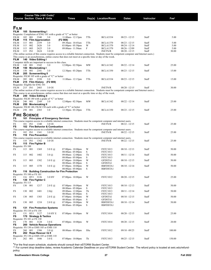|                                   |            |            | Course Title (+IAI Code) <sup>1</sup> |                                                            |                                                                                                                                                                                                                                                           |           |                                    |                                  |                |                 |
|-----------------------------------|------------|------------|---------------------------------------|------------------------------------------------------------|-----------------------------------------------------------------------------------------------------------------------------------------------------------------------------------------------------------------------------------------------------------|-----------|------------------------------------|----------------------------------|----------------|-----------------|
|                                   |            |            | <b>Course Section Class # Units</b>   |                                                            | Times                                                                                                                                                                                                                                                     |           | Day(s) Location/Room               | Dates                            | Instructor     | Fe <sup>2</sup> |
|                                   |            |            |                                       |                                                            |                                                                                                                                                                                                                                                           |           |                                    |                                  |                |                 |
| FILM                              |            |            |                                       |                                                            |                                                                                                                                                                                                                                                           |           |                                    |                                  |                |                 |
| <b>FILM</b>                       |            |            | 105 Screenwriting I                   |                                                            | Requisite: Completion of ENG 101 with a grade of "C" or better                                                                                                                                                                                            |           |                                    |                                  |                |                 |
| FILM                              | 105        | 001        | 2340                                  | 3.0                                                        | $11:00$ am - $12:15$ pm                                                                                                                                                                                                                                   | TTh       | <b>BCLA3334</b>                    | $08/23 - 12/15$                  | Staff          | 5.00            |
| FILM                              |            |            | 115 Film Appreciation                 |                                                            | (F2 908)                                                                                                                                                                                                                                                  |           |                                    |                                  |                |                 |
| FILM                              | 115        | 001        | 2359                                  | 3.0                                                        | 09:30am - 10:45am                                                                                                                                                                                                                                         | TTh       | <b>BCLA1370</b>                    | $08/23 - 12/15$                  | Staff          | 5.00            |
| FILM<br>FILM                      | 115<br>115 | 002<br>003 | 2626<br>2625                          | 3.0<br>3.0                                                 | $03:00$ pm - $05:50$ pm<br>09:00am - 11:50am                                                                                                                                                                                                              | W<br>F    | <b>BCLA1370</b><br><b>BCLA1370</b> | 08/24 - 12/14<br>$08/26 - 12/09$ | Staff<br>Staff | 5.00<br>5.00    |
| FILM                              | 115 IN1    |            | 2624                                  | 3.0 OI                                                     |                                                                                                                                                                                                                                                           |           | <b>INETN/R</b>                     | $08/20 - 12/15$                  | Staff          | 30.00           |
|                                   |            |            |                                       |                                                            | (The online section of this course requires access to a reliable Internet connection. Students must be competent computer and Internet users.)                                                                                                            |           |                                    |                                  |                |                 |
|                                   |            |            |                                       |                                                            | This course is an asynchronous, online course that does not meet at a specific time or day of the week.                                                                                                                                                   |           |                                    |                                  |                |                 |
| <b>FILM</b>                       |            |            | 140 Video Editing I                   | Computer skills are important to success in this class.    |                                                                                                                                                                                                                                                           |           |                                    |                                  |                |                 |
| FILM                              | 140        | 001        | 2342                                  | 3.0                                                        | $12:00 \text{pm} - 02:50 \text{pm}$                                                                                                                                                                                                                       | <b>MW</b> | <b>BCLA1342</b>                    | $08/22 - 12/14$                  | Staff          | 25.00           |
| FILM                              |            |            | 150 Moviemaking I                     |                                                            |                                                                                                                                                                                                                                                           |           |                                    |                                  |                |                 |
| FILM                              | 150        | 001        | 2341                                  | 3.0                                                        | $12:30$ pm - $03:20$ pm                                                                                                                                                                                                                                   | TTh       | <b>BCLA1350</b>                    | $08/23 - 12/15$                  | Staff          | 15.00           |
| FILM                              |            |            | 205 Screenwriting II                  |                                                            |                                                                                                                                                                                                                                                           |           |                                    |                                  |                |                 |
| FILM                              | 205        | 001        | 2350                                  | Requisite: FILM 105 with a grade of "C" or better<br>3.0   | $11:00am - 12:15pm$                                                                                                                                                                                                                                       | TTh       | <b>BCLA3334</b>                    | $08/23 - 12/15$                  | Staff          | 15.00           |
| FILM                              |            |            | 215 Film History                      | (F <sub>2</sub> 909)                                       |                                                                                                                                                                                                                                                           |           |                                    |                                  |                |                 |
|                                   |            |            | Requisite: Eligible for ENG 101       |                                                            |                                                                                                                                                                                                                                                           |           |                                    |                                  |                |                 |
| <b>FILM</b>                       | 215 IN1    |            | 2483                                  | 3.0 OI                                                     |                                                                                                                                                                                                                                                           |           | <b>INETN/R</b>                     | $08/20 - 12/15$                  | Staff          | 30.00           |
|                                   |            |            |                                       |                                                            | (The online section of this course requires access to a reliable Internet connection. Students must be competent computer and Internet users.)<br>This course is an asynchronous, online course that does not meet at a specific time or day of the week. |           |                                    |                                  |                |                 |
| FILM                              |            |            | 240 Video Editing II                  |                                                            |                                                                                                                                                                                                                                                           |           |                                    |                                  |                |                 |
|                                   |            |            |                                       | Requisite: FILM 140 with a grade of "C" or better          |                                                                                                                                                                                                                                                           |           |                                    |                                  |                |                 |
| FILM                              | 240        | 001        | 2349                                  | 3.0                                                        | $12:00 \text{pm} - 02:50 \text{pm}$                                                                                                                                                                                                                       | <b>MW</b> | <b>BCLA1342</b>                    | $08/22 - 12/14$                  | Staff          | 25.00           |
| <b>FILM</b>                       |            |            | 250 Moviemaking II                    |                                                            | Requisite: FILM 140, FILM 150 each with a grade of "C" or better                                                                                                                                                                                          |           |                                    |                                  |                |                 |
| FILM                              | 250 001    |            | 2383                                  | 3.0                                                        | $12:30$ pm - 03:20pm                                                                                                                                                                                                                                      | TTh       | <b>BCLA1350</b>                    | $08/23 - 12/15$                  | Staff          | 25.00           |
|                                   |            |            |                                       |                                                            |                                                                                                                                                                                                                                                           |           |                                    |                                  |                |                 |
| <b>FIRE SCIENCE</b>               |            |            |                                       |                                                            |                                                                                                                                                                                                                                                           |           |                                    |                                  |                |                 |
| FS                                |            |            |                                       | 101 Principles of Emergency Services                       |                                                                                                                                                                                                                                                           |           |                                    |                                  |                |                 |
| FS                                | 101 IN1    |            | 1340                                  | 3.0 OI                                                     | This course requires access to a reliable internet connection. Students must be competent computer and internet users.                                                                                                                                    |           | <b>INETN/R</b>                     | $08/22 - 12/15$                  | Staff          | 25.00           |
| FS                                |            |            |                                       | 102 Fire Behavior & Combustion                             |                                                                                                                                                                                                                                                           |           |                                    |                                  |                |                 |
|                                   |            |            |                                       |                                                            | This course requires access to a reliable internet connection. Students must be competent computer and internet users.                                                                                                                                    |           |                                    |                                  |                |                 |
| FS<br>FS                          | 102 IN1    |            | 1341<br>110 Fire Prevention           | 3.0 OI                                                     |                                                                                                                                                                                                                                                           |           | <b>INETN/R</b>                     | $08/22 - 12/15$                  | Staff          | 25.00           |
|                                   |            |            |                                       |                                                            | This course requires access to a reliable internet connection. Students must be competent computer and internet users.                                                                                                                                    |           |                                    |                                  |                |                 |
| FS                                | 110 IN1    |            | 1342                                  | 3.0 OI                                                     |                                                                                                                                                                                                                                                           |           | <b>INETN/R</b>                     | $08/22 - 12/15$                  | Staff          | 25.00           |
| FS                                |            |            | 115 Fire Fighter B                    |                                                            |                                                                                                                                                                                                                                                           |           |                                    |                                  |                |                 |
| Requisite: FS 100                 |            |            |                                       |                                                            |                                                                                                                                                                                                                                                           |           |                                    |                                  |                |                 |
| FS                                | 115        | 001        | 1369                                  | $3.0 \text{ E } \textcircled{a}$                           | $07:00$ pm - $10:00$ pm<br>08:00am - 05:00pm                                                                                                                                                                                                              | W<br>S    | <b>FSTC1013</b><br><b>FSTC1013</b> | $08/10 - 12/13$                  | Staff          | 50.00           |
| FS                                | 115        | 002        | 1402                                  | $3.0 \, \omega$                                            | 09:00am - 12:00pm                                                                                                                                                                                                                                         | Th        | <b>FSTC1013</b>                    | $08/11 - 12/14$                  | Staff          | 50.00           |
|                                   |            |            |                                       |                                                            | 08:00am - 05:00pm                                                                                                                                                                                                                                         | S         | <b>FSTC1013</b>                    |                                  |                |                 |
| FS                                | 115        | 003        | 1382                                  | $3.0 \text{ E } \textcircled{a}$                           | $07:00$ pm - $10:00$ pm                                                                                                                                                                                                                                   | W         | GFDSTA1                            | $08/10 - 12/15$                  | Staff          | 50.00           |
| FS                                | 115        | 005        | 1370                                  |                                                            | 08:00am - 05:00pm<br>$07:00$ pm - $10:00$ pm                                                                                                                                                                                                              | S<br>W    | GFDSTA1                            | $08/10 - 12/14$                  | Staff          | 50.00           |
|                                   |            |            |                                       | $3.0 \text{ E } (\alpha)$                                  | 08:00am - 05:00pm                                                                                                                                                                                                                                         | S         | RBFDSTA1<br><b>RBFDSTA1</b>        |                                  |                |                 |
| FS                                |            |            |                                       |                                                            | 116 Building Construction for Fire Protection                                                                                                                                                                                                             |           |                                    |                                  |                |                 |
| Requisite: FS 100 or FS 101       |            |            |                                       |                                                            |                                                                                                                                                                                                                                                           |           |                                    |                                  |                |                 |
| FS<br>FS                          |            |            | 116 HY1 3126                          | 3.0 HY                                                     | 07:00pm - 10:00pm                                                                                                                                                                                                                                         | W         | <b>FSTC1012</b>                    | $08/20 - 12/15$                  | Staff          | 25.00           |
| Requisite: FS 115                 |            |            | 130 Fire Fighter C                    |                                                            |                                                                                                                                                                                                                                                           |           |                                    |                                  |                |                 |
| FS                                | 130        | 001        | 1217                                  | 2.0 E @                                                    | $07:00$ pm - $10:00$ pm                                                                                                                                                                                                                                   | W         | <b>FSTC1013</b>                    | $08/10 - 12/13$                  | Staff          | 50.00           |
|                                   |            |            |                                       |                                                            | 08:00am - 05:00pm                                                                                                                                                                                                                                         | S         | <b>FSTC1013</b>                    |                                  |                |                 |
| FS                                | 130        | 002        | 1401                                  | 2.0@                                                       | 09:00am - 12:00pm                                                                                                                                                                                                                                         | Th        | <b>FSTC1013</b>                    | $08/11 - 12/14$                  | Staff          | 50.00           |
|                                   | 130        |            |                                       |                                                            | 08:00am - 05:00pm<br>07:00pm - 10:00pm                                                                                                                                                                                                                    | S<br>W    | <b>FSTC1013</b><br><b>GFDSTA1</b>  |                                  |                |                 |
| FS                                |            | 003        | 1383                                  | 2.0 E @                                                    | 08:00am - 05:00pm                                                                                                                                                                                                                                         | S         | <b>GFDSTA1</b>                     | $08/10 - 12/15$                  | Staff          | 50.00           |
| FS                                | 130        | 005        | 1218                                  | 2.0 E @                                                    | $07:00$ pm - $10:00$ pm                                                                                                                                                                                                                                   | W         | <b>RBFDSTA1</b>                    | $08/10 - 12/14$                  | Staff          | 50.00           |
|                                   |            |            |                                       |                                                            | 08:00am - 05:00pm                                                                                                                                                                                                                                         | S         | <b>RBFDSTA1</b>                    |                                  |                |                 |
| FS                                |            |            |                                       | 131 Fire Protection Systems                                |                                                                                                                                                                                                                                                           |           |                                    |                                  |                |                 |
| Requisite: FS 110 or FS 130<br>FS |            |            | 131 HY1 3127                          | 3.0 HY E                                                   | $07:00$ pm - $10:00$ pm                                                                                                                                                                                                                                   | W         | <b>FSTC1014</b>                    | $08/20 - 12/15$                  | Staff          | 25.00           |
| FS                                |            |            | 170 Strategy & Tactics                |                                                            |                                                                                                                                                                                                                                                           |           |                                    |                                  |                |                 |
| Requisite: FS 101 or FS 130       |            |            |                                       |                                                            |                                                                                                                                                                                                                                                           |           |                                    |                                  |                |                 |
| FS                                | 170        | 001        | 3128                                  | 3.0 E                                                      | $07:00$ pm - $10:00$ pm                                                                                                                                                                                                                                   | W         | <b>FSTC1014</b>                    | $08/20 - 12/15$                  | Staff          | 20.00           |
| FS                                |            |            |                                       | 260 Vehicle Rescue Operations                              |                                                                                                                                                                                                                                                           |           |                                    |                                  |                |                 |
| FS                                | 260        | 001        | 1386                                  | Requisite: FS 130 or EMS 105 or EMS 110<br>$3.0 \, \omega$ | 08:00am - 05:00pm                                                                                                                                                                                                                                         | SSu       | <b>FSTC1012</b>                    | 09/10 - 09/25                    | Staff          | 100.00          |
| FS                                |            |            | 262 Rope Rescue   & II                |                                                            |                                                                                                                                                                                                                                                           |           |                                    |                                  |                |                 |
|                                   |            |            |                                       | Requisite: FS 130 or EMS 105 or EMS 110                    |                                                                                                                                                                                                                                                           |           |                                    |                                  |                |                 |
| FS                                | 262 001    |            | 1446                                  | 3.0 E                                                      | $07:00$ pm - $10:00$ pm                                                                                                                                                                                                                                   | Th        | <b>FSTC1013</b>                    | $08/25 - 12/15$                  | Staff          | 150.00          |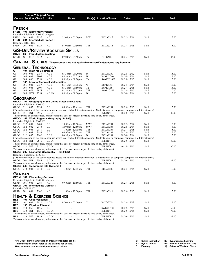|                                                                        |            |            | Course Title (+IAI Code) <sup>1</sup><br><b>Course Section Class # Units</b> |                                            | Times                                                                                                                                          |                   | Day(s) Location/Room               | <b>Dates</b>                       | Instructor     | $\mathsf{Fe}^2$ |
|------------------------------------------------------------------------|------------|------------|------------------------------------------------------------------------------|--------------------------------------------|------------------------------------------------------------------------------------------------------------------------------------------------|-------------------|------------------------------------|------------------------------------|----------------|-----------------|
| <b>FRENCH</b><br>FREN                                                  |            |            | 101 Elementary French I                                                      |                                            |                                                                                                                                                |                   |                                    |                                    |                |                 |
| Requisite: Eligible for ENG 97 or higher<br><b>FREN</b><br><b>FREN</b> | 101        | 001        | 2137<br>201 Intermediate French I                                            | 4.0                                        | $12:00$ pm - $01:50$ pm                                                                                                                        | MW                | <b>BCLA3313</b>                    | $08/22 - 12/14$                    | Staff          | 5.00            |
| Requisite: FREN 102<br><b>FREN</b>                                     | 201        | 001        | 3125                                                                         | 4.0                                        | $01:00$ pm - $02:50$ pm                                                                                                                        | TTh               | <b>BCLA3313</b>                    | $08/23 - 12/15$                    | Staff          | 5.00            |
| GSVR                                                                   | 66         |            | <b>Foundry/Sandcasting</b>                                                   |                                            | <b>GS-Dev/Review Vocation Skills</b>                                                                                                           |                   |                                    |                                    |                |                 |
| GSVR                                                                   | 66         | 01D        | 2712                                                                         | 2.0                                        | $07:00$ pm - $09:50$ pm                                                                                                                        | Th                | FRBGN10                            | $08/25 - 12/15$                    | Staff          | 32.00           |
|                                                                        |            |            |                                                                              |                                            | <b>GENERAL STUDIES</b> (These courses are not applicable for certificate/degree requirements)                                                  |                   |                                    |                                    |                |                 |
| <b>GENERAL TECHNOLOGY</b><br>GТ                                        |            |            | 104 Math for Electronics                                                     |                                            |                                                                                                                                                |                   |                                    |                                    |                |                 |
| GT                                                                     | 104        | 001        | 2755                                                                         | 4.0 E                                      | $05:30$ pm - $09:20$ pm                                                                                                                        | М                 | BCLA1200                           | $08/22 - 12/12$                    | Staff          | 15.00           |
| GТ<br>GT                                                               | 104<br>104 | 002<br>060 | 2904<br>2756                                                                 | 4.0 E<br>4.0 E                             | 05:30pm - 07:25pm<br>05:30pm - 09:20pm                                                                                                         | W<br>Th           | <b>BCMC1040</b><br>SWGCC1602       | $08/24 - 12/14$<br>$08/25 - 12/15$ | Staff<br>Staff | 15.00<br>15.00  |
| GТ                                                                     |            |            |                                                                              | 105 Intro to Technical Mathematics         |                                                                                                                                                | W                 |                                    |                                    |                |                 |
| GT<br>GТ                                                               | 105<br>105 | 001<br>003 | 2757<br>2905                                                                 | 4.0 E<br>4.0 E                             | 05:15pm - 09:35pm<br>05:30pm - 09:50pm                                                                                                         | Th                | <b>BCMC1411</b><br><b>BCMC1361</b> | $08/24 - 12/14$<br>$08/25 - 12/15$ | Staff<br>Staff | 15.00<br>15.00  |
| GТ                                                                     | 105        | 071        | 2976                                                                         | 4.0                                        | $01:30$ pm - $03:55$ pm                                                                                                                        | TTh               | SWGCC545                           | $08/23 - 12/15$                    | Staff          | 0.00            |
| GT                                                                     |            | 105 HY1    | 2758                                                                         | 4.0 HY                                     | $05:30$ pm - $08:00$ pm                                                                                                                        | W                 |                                    | 08/24 - 12/14                      | Staff          | 15.00           |
| <b>GEOGRAPHY</b>                                                       |            |            |                                                                              |                                            |                                                                                                                                                |                   |                                    |                                    |                |                 |
| Requisite: Eligible for ENG 101                                        |            |            |                                                                              |                                            | GEOG 151 Geography of the United States and Canada                                                                                             |                   |                                    |                                    |                |                 |
| GEOG                                                                   | 151 002    |            | 2139                                                                         | 3.0                                        | 09:30am - 10:45am                                                                                                                              | TTh               | <b>BCLA1204</b>                    | $08/23 - 12/15$                    | Staff          | 5.00            |
| GEOG                                                                   | 151 IN1    |            | 2536                                                                         | 3.0 OI                                     | (The online section of this course requires access to a reliable Internet connection. Students must be competent computer and Internet users.) |                   | <b>INETN/R</b>                     | $08/20 - 12/15$                    | Staff          | 30.00           |
|                                                                        |            |            |                                                                              |                                            | This course is an asynchronous, online course that does not meet at a specific time or day of the week.                                        |                   |                                    |                                    |                |                 |
| Requisite: Eligible for ENG 101                                        |            |            |                                                                              | GEOG 152 World Regional Geography (S4 906) |                                                                                                                                                |                   |                                    |                                    |                |                 |
| GEOG                                                                   | 152 001    |            | 2405                                                                         | 3.0                                        | 10:00am - 10:50am                                                                                                                              | <b>MWF</b>        | <b>BCLA1204</b>                    | $08/22 - 12/14$                    | Staff          | 5.00            |
| GEOG<br>GEOG                                                           | 152<br>152 | 002<br>003 | 2140<br>2141                                                                 | 3.0<br>3.0                                 | $12:00$ pm - $12:50$ pm<br>$11:00$ am - $12:15$ pm                                                                                             | <b>MWF</b><br>TTh | <b>BCLA1204</b><br><b>BCLA1204</b> | $08/22 - 12/14$<br>$08/23 - 12/15$ | Staff<br>Staff | 5.00<br>5.00    |
| GEOG                                                                   | 152        | 004        | 3188                                                                         | 3.0                                        | 08:00am - 09:15am                                                                                                                              | TTh               | <b>BCLA1204</b>                    | $08/23 - 12/15$                    | Staff          | 5.00            |
| GEOG                                                                   | 152        | 005        | 2142                                                                         | 3.0 E                                      | 06:30pm - 09:20pm                                                                                                                              | W                 | <b>BCLA1204</b>                    | 08/24 - 12/14                      | Staff          | 5.00            |
| GEOG                                                                   | 152 IN1    |            | 2546                                                                         | 3.0 OI                                     | (The online section of this course requires access to a reliable Internet connection. Students must be competent computer and Internet users.) |                   | <b>INETN/R</b>                     | $08/20 - 12/15$                    | Staff          | 30.00           |
|                                                                        |            |            |                                                                              |                                            | This course is an asynchronous, online course that does not meet at a specific time or day of the week.                                        |                   |                                    |                                    |                |                 |
| GEOG                                                                   |            | 152 IN2    | 2571                                                                         | 3.0 OI                                     | This course is an asynchronous, online course that does not meet at a specific time or day of the week.                                        |                   | <b>INETN/R</b>                     | $10/15 - 12/15$                    | Staff          | 30.00           |
| GEOG 202 Economic Geography                                            |            |            |                                                                              |                                            | (S4 903N)                                                                                                                                      |                   |                                    |                                    |                |                 |
| Requisite: Eligible for ENG 101                                        |            |            |                                                                              |                                            | (The online section of this course requires access to a reliable Internet connection. Students must be competent computer and Internet users.) |                   |                                    |                                    |                |                 |
| GEOG 202 IN1                                                           |            |            | 2345                                                                         | 3.0 OI                                     |                                                                                                                                                |                   | <b>INETN/R</b>                     | $08/20 - 12/15$                    | Staff          | 25.00           |
|                                                                        |            |            |                                                                              | GEOG 240 Geographic Info Systems I         | This course is an asynchronous, online course that does not meet at a specific time or day of the week.                                        |                   |                                    |                                    |                |                 |
| GEOG 240 001                                                           |            |            | 2143                                                                         | 3.0                                        | $11:00am - 12:15pm$                                                                                                                            | TTh               | <b>BCLA1200</b>                    | $08/23 - 12/15$                    | Staff          | 10.00           |
| GERMAN                                                                 |            |            |                                                                              |                                            |                                                                                                                                                |                   |                                    |                                    |                |                 |
| GERM 101 Elementary German I                                           |            |            |                                                                              |                                            |                                                                                                                                                |                   |                                    |                                    |                |                 |
| Requisite: Eligible for ENG 97 or higher<br>GERM 101 001               |            |            | 2385                                                                         | 4.0                                        | 09:00am - 10:50am                                                                                                                              | TTh               | <b>BCLA3328</b>                    | $08/23 - 12/15$                    | Staff          | 5.00            |
| GERM 201 Intermediate German I                                         |            |            |                                                                              |                                            |                                                                                                                                                |                   |                                    |                                    |                |                 |
| Requisite: GERM 102<br>GERM 201 001                                    |            |            | 2542                                                                         | 4.0                                        | $11:00$ am - $12:50$ pm                                                                                                                        | TTh               | <b>BCLA3311</b>                    | $08/23 - 12/15$                    | Staff          | 5.00            |
|                                                                        |            |            |                                                                              | & EXERCISE SCIENCE                         |                                                                                                                                                |                   |                                    |                                    |                |                 |
| <b>HEALTH</b><br>HES                                                   |            |            | 101 Coed Volleyball                                                          |                                            |                                                                                                                                                |                   |                                    |                                    |                |                 |
| HES                                                                    | 101        | 001        | 2022                                                                         | 1.0 E                                      | $07:00$ pm - $07:50$ pm                                                                                                                        | T                 | <b>BCIGGYM</b>                     | $08/23 - 12/13$                    | Staff          | 5.00            |
| HES<br>HES                                                             | 130        | 060        | 130 Physical Fitness I<br>1835                                               | 1.0                                        |                                                                                                                                                |                   | SWGCC330                           | $08/22 - 12/15$                    | Staff          | 50.00           |
| HES                                                                    | 130        | IN1        | 1935                                                                         | 1.0 OI                                     |                                                                                                                                                |                   | <b>INETN/R</b>                     | $08/20 - 12/15$                    | Staff          | 75.00           |
| HES                                                                    | 130 IN2    |            | 1939                                                                         | 1.0 OI                                     | This course is an asynchronous, online course that does not meet at a specific time or day of the week.                                        |                   | <b>INETN/R</b>                     | $08/20 - 12/15$                    | Staff          | 25.00           |
|                                                                        |            |            |                                                                              |                                            | This course is an asynchronous, online course that does not meet at a specific time or day of the week.                                        |                   |                                    |                                    |                |                 |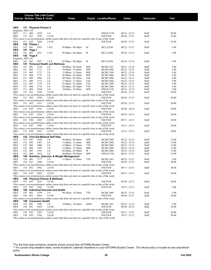|                    |            |                                  | Course Title (+IAI Code) <sup>1</sup> |                                            |                                                                                                         |            |                                    |                                |                |                |
|--------------------|------------|----------------------------------|---------------------------------------|--------------------------------------------|---------------------------------------------------------------------------------------------------------|------------|------------------------------------|--------------------------------|----------------|----------------|
|                    |            |                                  | <b>Course Section Class # Units</b>   |                                            | <b>Times</b>                                                                                            |            | Day(s) Location/Room               | <b>Dates</b>                   | Instructor     | $\text{Fe}^2$  |
|                    |            |                                  |                                       |                                            |                                                                                                         |            |                                    |                                |                |                |
| <b>HES</b>         |            |                                  | 131 Physical Fitness II               |                                            |                                                                                                         |            |                                    |                                |                |                |
| Requisite: HES 130 |            |                                  |                                       |                                            |                                                                                                         |            |                                    |                                |                |                |
| HES                | 131        | 060                              | 1838                                  | 1.0                                        |                                                                                                         |            | SWGCC330                           | $08/22 - 12/15$                | Staff          | 50.00          |
| HES                | 131        | IN1                              | 1938                                  | 1.0 OI                                     |                                                                                                         |            | <b>INETN/R</b>                     | 08/20 - 12/15                  | Staff          | 25.00          |
|                    | 131        |                                  | 3204                                  | 1.0 OI                                     | This course is an asynchronous, online course that does not meet at a specific time or day of the week. |            |                                    |                                | Staff          | 25.00          |
| HES<br>HES         |            | IN <sub>2</sub><br>132 Pilates I |                                       |                                            |                                                                                                         |            | <b>INETN/R</b>                     | 08/20 - 12/15                  |                |                |
| HES                | 132        | 001                              | 3205                                  | 1.0 E                                      | $05:00 \text{pm} - 06:50 \text{pm}$                                                                     | M          | <b>BCLA2396</b>                    | 08/22 - 12/12                  | Staff          | 5.00           |
| HES                | 141        | Yoga I                           |                                       |                                            |                                                                                                         |            |                                    |                                |                |                |
| HES                | 141        | 001                              | 1831                                  | 1.0 E                                      | $05:00 \text{pm} - 06:50 \text{pm}$                                                                     | W          | <b>BCLA2396</b>                    | 08/24 - 12/14                  | Staff          | 5.00           |
| HES                |            | 142 Yoga II                      |                                       |                                            |                                                                                                         |            |                                    |                                |                |                |
| Requisite: HES 141 |            |                                  |                                       |                                            |                                                                                                         |            |                                    |                                |                |                |
| HES                | 142        | 001                              | 1937                                  | 1.0 E                                      | $05:00 \text{pm} - 06:50 \text{pm}$                                                                     | W          | BCLA2396                           | 08/24 - 12/14                  | Staff          | 5.00           |
| HES                | 151<br>151 | 001                              | 1770                                  | <b>Personal Health and Wellness</b><br>2.0 |                                                                                                         |            |                                    |                                |                | 5.00           |
| HES<br>HES         | 151        | 002                              | 1771                                  | 2.0                                        | 09:00am - 09:50am<br>10:00am - 10:50am                                                                  | MW<br>MW   | <b>BCMC1361</b><br><b>BCMC1060</b> | 08/22 - 12/14<br>08/22 - 12/14 | Staff<br>Staff | 5.00           |
| HES                | 151        | 003                              | 1773                                  | 2.0                                        | 11:00am - 11:50am                                                                                       | MW         | <b>BCMC1360</b>                    | 08/22 - 12/14                  | Staff          | 5.00           |
| <b>HES</b>         | 151        | 004                              | 1775                                  | 2.0                                        | $01:00$ pm - $01:50$ pm                                                                                 | MW         | <b>BCMC1060</b>                    | 08/22 - 12/14                  | Staff          | 5.00           |
| <b>HES</b>         | 151        | 005                              | 1986                                  | 2.0                                        | 08:30am - 09:20am                                                                                       | TTh        | <b>BCMC1060</b>                    | 08/23 - 12/13                  | Staff          | 5.00           |
| HES                | 151        | 006                              | 1772                                  | 2.0                                        | 11:00am - 11:50am                                                                                       | TTh        | <b>BCMC1060</b>                    | 08/23 - 12/13                  | Staff          | 5.00           |
| HES                | 151        | 007                              | 1774                                  | 2.0                                        | $01:00$ pm - $01:50$ pm                                                                                 | TTh        | BCMC1060                           | $08/23 - 12/15$                | Staff          | 5.00           |
| HES                | 151        | 008                              | 1776                                  | 2.0                                        | $02:00 \text{pm} - 02:50 \text{pm}$                                                                     | TTh        | <b>BCMC1060</b>                    | 08/23 - 12/13                  | Staff          | 5.00           |
| HES                | 151        | 060                              | 1944                                  | 2.0                                        | 10:00am - 10:50am                                                                                       | MW         | SWGCC342                           | 08/22 - 12/12                  | Staff          | 5.00           |
| HES                | 151        | IN1                              | 1928                                  | 2.0 OI                                     | This course is an asynchronous, online course that does not meet at a specific time or day of the week. |            | <b>INETN/R</b>                     | 08/20 - 12/15                  | Staff          | 30.00          |
| HES                |            | 151 IN2                          | 1930                                  | 2.0 OI                                     |                                                                                                         |            | <b>INETN/R</b>                     | $08/20 - 12/15$                | Staff          | 30.00          |
|                    |            |                                  |                                       |                                            | This course is an asynchronous, online course that does not meet at a specific time or day of the week. |            |                                    |                                |                |                |
| HES                | 151        | IN3                              | 1931                                  | 2.0 OI                                     |                                                                                                         |            | <b>INETN/R</b>                     | 08/20 - 12/15                  | Staff          | 30.00          |
|                    |            |                                  |                                       |                                            | This course is an asynchronous, online course that does not meet at a specific time or day of the week. |            |                                    |                                |                |                |
| HES                | 151        | IN4                              | 1933                                  | 2.0 OI                                     |                                                                                                         |            | <b>INETN/R</b>                     | $08/20 - 10/14$                | Staff          | 30.00          |
|                    |            |                                  |                                       |                                            | This course is an asynchronous, online course that does not meet at a specific time or day of the week. |            |                                    |                                |                |                |
| HES                |            | 151 IN5                          | 1934                                  | 2.0 OI                                     |                                                                                                         |            | <b>INETN/R</b>                     | $08/20 - 10/14$                | Staff          | 30.00          |
| HES                |            | 151 IN6                          | 1945                                  | 2.0 OI                                     | This course is an asynchronous, online course that does not meet at a specific time or day of the week. |            | <b>INETN/R</b>                     |                                | Staff          | 30.00          |
|                    |            |                                  |                                       |                                            | This course is an asynchronous, online course that does not meet at a specific time or day of the week. |            |                                    | 09/17 - 12/15                  |                |                |
| HES                |            | 151 IN7                          | 1946                                  | 2.0 OI                                     |                                                                                                         |            | <b>INETN/R</b>                     | $10/15 - 12/15$                | Staff          | 30.00          |
|                    |            |                                  |                                       |                                            | This course is an asynchronous, online course that does not meet at a specific time or day of the week. |            |                                    |                                |                |                |
| HES                |            | 151 IN8                          | 1947                                  | 2.0 OI                                     |                                                                                                         |            | <b>INETN/R</b>                     | $10/15 - 12/15$                | Staff          | 30.00          |
|                    |            |                                  |                                       |                                            | This course is an asynchronous, online course that does not meet at a specific time or day of the week. |            |                                    |                                |                |                |
| HES                |            |                                  |                                       | 152 First Aid-Medical Self Help            |                                                                                                         |            |                                    |                                |                |                |
| HES                | 152        | 001                              | 1848                                  | 2.0                                        | 09:00am - 09:50am                                                                                       | MW         | <b>BCMC1060</b>                    | 08/22 - 12/14                  | Staff          | 15.00          |
| HES<br>HES         | 152<br>152 | 002<br>003                       | 1987<br>1988                          | 2.0<br>2.0                                 | $11:00$ am - $11:50$ am<br>$12:00 \text{pm} - 12:50 \text{pm}$                                          | MW<br>TTh  | BCMC1060<br><b>BCMC1060</b>        | 08/22 - 12/14<br>08/23 - 12/13 | Staff<br>Staff | 15.00<br>15.00 |
| HES                | 152        | 004                              | 1929                                  | 2.0                                        | $12:00 \text{pm} - 12:50 \text{pm}$                                                                     | MW         | <b>BCMC1060</b>                    | 08/22 - 12/14                  | Staff          | 15.00          |
| HES                | 152        | 005                              | 1932                                  | 2.0                                        | $02:00$ pm - $03:50$ pm                                                                                 | W          | <b>BCMC1060</b>                    | 08/24 - 12/14                  | Staff          | 15.00          |
| HES                | 152        | 060                              | 1943                                  | 2.0                                        | 09:00am - 09:50am                                                                                       | MW         | SWGCC536                           | 08/22 - 12/12                  | Staff          | 15.00          |
| HES                | 154        |                                  |                                       |                                            | Nutrition, Exercise, & Weight Management                                                                |            |                                    |                                |                |                |
| HES                | 154        | 001                              | 1777                                  | 2.0                                        | 11:00am - 11:50am                                                                                       | TTh        | <b>BCMC1363</b>                    | $08/23 - 12/15$                | Staff          | 5.00           |
| HES                | 154        | IN1                              | 1940                                  | 2.0 OI                                     |                                                                                                         |            | <b>INETN/R</b>                     | 08/20 - 12/15                  | Staff          | 30.00          |
|                    |            |                                  |                                       |                                            | This course is an asynchronous, online course that does not meet at a specific time or day of the week. |            |                                    |                                |                |                |
| HES                |            | 154 IN2                          | 1942                                  | 2.0 OI                                     |                                                                                                         |            | <b>INETN/R</b>                     | 09/17 - 12/15                  | Staff          | 30.00          |
|                    |            |                                  |                                       | 2.0 OI                                     | This course is an asynchronous, online course that does not meet at a specific time or day of the week. |            | <b>INETN/R</b>                     | $09/17 - 12/15$                |                | 30.00          |
| HES                |            | 154 IN3                          | 2028                                  |                                            | This course is an asynchronous, online course that does not meet at a specific time or day of the week. |            |                                    |                                | Staff          |                |
| HES                |            |                                  |                                       | 155 Physical Fitness & Wellness            |                                                                                                         |            |                                    |                                |                |                |
| HES                |            | 155 IN1                          | 1832                                  | 2.0 OI                                     |                                                                                                         |            | <b>INETN/R</b>                     | $08/20 - 12/15$                | Staff          | 30.00          |
|                    |            |                                  |                                       |                                            | This course is an asynchronous, online course that does not meet at a specific time or day of the week. |            |                                    |                                |                |                |
| HES                | 155        | IN <sub>2</sub>                  | 3202                                  | 2.0 OI                                     |                                                                                                         |            | <b>INETN/R</b>                     | $10/15 - 12/15$                | Staff          | 5.00           |
| HES                |            |                                  |                                       | 156 Individual Exercise and Health         |                                                                                                         |            |                                    |                                |                |                |
| HES                | 156        | 001                              | 3199                                  | 2.0                                        | 09:30am - 10:20am                                                                                       | TTh        | <b>BCMC1060</b>                    | $08/23 - 12/15$                | Staff          | 5.00           |
| HES                | 156 IN1    |                                  | 2024                                  | 2.0 OI                                     |                                                                                                         |            | <b>INETN/R</b>                     | $08/20 - 12/15$                | Staff          | 30.00          |
|                    |            |                                  | 158 Consumer Health                   |                                            | This course is an asynchronous, online course that does not meet at a specific time or day of the week. |            |                                    |                                |                |                |
| HES<br>HES         | 158 001    |                                  | 1990                                  | 3.0                                        | 10:00am - 10:50am                                                                                       | <b>MWF</b> | <b>BCMC1361</b>                    | 08/22 - 12/14                  | Staff          | 5.00           |
| HES                | 158 IN1    |                                  | 1854                                  | 3.0 OI                                     |                                                                                                         |            | <b>INETN/R</b>                     | $08/20 - 10/14$                | Staff          | 30.00          |
|                    |            |                                  |                                       |                                            | This course is an asynchronous, online course that does not meet at a specific time or day of the week. |            |                                    |                                |                |                |
| HES                |            | 158 IN2                          | 3203                                  | 3.0 OI                                     |                                                                                                         |            | <b>INETN/R</b>                     | $09/17 - 12/15$                | Staff          | 30.00          |
| HES                |            | 158 IN3                          | 1936                                  | 3.0 OI                                     |                                                                                                         |            | <b>INETN/R</b>                     | $10/15 - 12/13$                | Staff          | 30.00          |
|                    |            |                                  |                                       |                                            | This course is an asynchronous, online course that does not meet at a specific time or day of the week. |            |                                    |                                |                |                |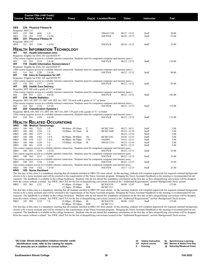|                           |            |            | Course Title (+IAI Code) <sup>1</sup> |                                                  |                                                                                            |          |                                                                                                                                            |                                    |                   |                                                                                                                                                                                         |  |
|---------------------------|------------|------------|---------------------------------------|--------------------------------------------------|--------------------------------------------------------------------------------------------|----------|--------------------------------------------------------------------------------------------------------------------------------------------|------------------------------------|-------------------|-----------------------------------------------------------------------------------------------------------------------------------------------------------------------------------------|--|
|                           |            |            | <b>Course Section Class # Units</b>   |                                                  | <b>Times</b>                                                                               |          | Day(s) Location/Room                                                                                                                       | <b>Dates</b>                       | <b>Instructor</b> | Fee <sup>2</sup>                                                                                                                                                                        |  |
|                           |            |            |                                       |                                                  |                                                                                            |          |                                                                                                                                            |                                    |                   |                                                                                                                                                                                         |  |
| <b>HES</b>                |            |            | 230 Physical Fitness III              |                                                  |                                                                                            |          |                                                                                                                                            |                                    |                   |                                                                                                                                                                                         |  |
| Requisite: HES 131        |            |            |                                       |                                                  |                                                                                            |          |                                                                                                                                            |                                    |                   |                                                                                                                                                                                         |  |
| <b>HES</b>                | 230 060    |            | 1841                                  | 1.0                                              |                                                                                            |          | SWGCC330                                                                                                                                   | $08/22 - 12/15$                    | Staff             | 50.00                                                                                                                                                                                   |  |
| <b>HES</b>                | 230 IN1    |            | 3197                                  | $1.0$ OI                                         |                                                                                            |          | <b>INETN/R</b>                                                                                                                             | $08/20 - 12/15$                    | Staff             | 25.00                                                                                                                                                                                   |  |
| HES                       |            |            | 231 Physical Fitness IV               |                                                  |                                                                                            |          |                                                                                                                                            |                                    |                   |                                                                                                                                                                                         |  |
| Requisite: HES 230<br>HES | 231 IN1    |            | 3198                                  | $1.0$ OI                                         |                                                                                            |          | <b>INETN/R</b>                                                                                                                             | $08/20 - 12/15$                    | Staff             | 25.00                                                                                                                                                                                   |  |
|                           |            |            |                                       |                                                  |                                                                                            |          |                                                                                                                                            |                                    |                   |                                                                                                                                                                                         |  |
|                           |            |            |                                       |                                                  | <b>HEALTH INFORMATION TECHNOLOGY</b>                                                       |          |                                                                                                                                            |                                    |                   |                                                                                                                                                                                         |  |
| HIT                       |            |            |                                       | 101 Health Information Intro                     |                                                                                            |          |                                                                                                                                            |                                    |                   |                                                                                                                                                                                         |  |
|                           |            |            |                                       | Requisite: Eligible for ENG 101 and MATH 97      |                                                                                            |          |                                                                                                                                            |                                    |                   |                                                                                                                                                                                         |  |
|                           |            |            |                                       |                                                  |                                                                                            |          | (This course requires access to a reliable internet connection. Students must be competent computer and internet users.)                   |                                    |                   |                                                                                                                                                                                         |  |
| HIT                       | 101 IN1    |            | 1219                                  | 2.0 OI                                           |                                                                                            |          | <b>INETN/R</b>                                                                                                                             | $08/22 - 12/12$                    | Staff             | 135.00                                                                                                                                                                                  |  |
| HIT                       |            |            |                                       | 110 Health Information Nomenclature I            |                                                                                            |          |                                                                                                                                            |                                    |                   |                                                                                                                                                                                         |  |
|                           |            |            |                                       | Requisite: Eligible for ENG 101 and MATH 97      |                                                                                            |          | (This course requires access to a reliable internet connection. Students must be competent computer and internet users.)                   |                                    |                   |                                                                                                                                                                                         |  |
| HIT                       | 110 IN1    |            | 1220                                  | 2.0 OI                                           |                                                                                            |          | <b>INETN/R</b>                                                                                                                             | $08/22 - 12/12$                    | Staff             | 90.00                                                                                                                                                                                   |  |
| HIT                       |            |            |                                       | 130 Intro to Computers for HIT                   |                                                                                            |          |                                                                                                                                            |                                    |                   |                                                                                                                                                                                         |  |
|                           |            |            |                                       | Requisite: Eligible for ENG 101 and MATH 97      |                                                                                            |          |                                                                                                                                            |                                    |                   |                                                                                                                                                                                         |  |
|                           |            |            |                                       |                                                  |                                                                                            |          | (This course requires access to a reliable internet connection. Students must be competent computer and internet users.)                   |                                    |                   |                                                                                                                                                                                         |  |
| HIT                       | 130 IN1    |            | 1377                                  | 3.0 OI                                           |                                                                                            |          | <b>INETN/R</b>                                                                                                                             | $08/22 - 12/12$                    | Staff             | 95.00                                                                                                                                                                                   |  |
| HІT                       |            |            | 200 Health Care Delivery              |                                                  |                                                                                            |          |                                                                                                                                            |                                    |                   |                                                                                                                                                                                         |  |
|                           |            |            |                                       | Requisite: HIT 160 with a grade of "C" or better |                                                                                            |          | (This course requires access to a reliable internet connection. Students must be competent computer and internet users.)                   |                                    |                   |                                                                                                                                                                                         |  |
| HIT                       | 200 IN1    |            | 1221                                  | 4.0 OI                                           | ÷.                                                                                         |          | <b>INETN/R</b>                                                                                                                             | $08/22 - 12/12$                    | Staff             | 185.00                                                                                                                                                                                  |  |
| HIT                       |            |            | 210 Health Statistics                 |                                                  |                                                                                            |          |                                                                                                                                            |                                    |                   |                                                                                                                                                                                         |  |
|                           |            |            |                                       |                                                  | Requisite: HIT 130, HIT 151, HIT 160, HIT 161, HIT 170 each with a grade of "C" or better  |          |                                                                                                                                            |                                    |                   |                                                                                                                                                                                         |  |
|                           |            |            |                                       |                                                  |                                                                                            |          | (This course requires access to a reliable internet connection. Students must be competent computer and internet users.)                   |                                    |                   |                                                                                                                                                                                         |  |
| HIT                       | 210 IN1    |            | 1222                                  | 3.0 OI                                           |                                                                                            |          | <b>INETN/R</b>                                                                                                                             | $08/22 - 12/12$                    | Staff             | 115.00                                                                                                                                                                                  |  |
| HIT                       |            |            |                                       | 220 Classification Systems I                     |                                                                                            |          |                                                                                                                                            |                                    |                   |                                                                                                                                                                                         |  |
|                           |            |            |                                       |                                                  | Requisite: BIOL 105, HIT 151, HIT 160, HIT 161, HIT 170 each with a grade of "C" or better |          |                                                                                                                                            |                                    |                   |                                                                                                                                                                                         |  |
| HIT                       | 220 IN1    |            | 1359                                  | 4.0 OI                                           |                                                                                            |          | (This course requires access to a reliable internet connection. Students must be competent computer and internet users.)<br><b>INETN/R</b> | $08/22 - 12/12$                    | Staff             | 175.00                                                                                                                                                                                  |  |
|                           |            |            |                                       |                                                  |                                                                                            |          |                                                                                                                                            |                                    |                   |                                                                                                                                                                                         |  |
|                           |            |            |                                       | <b>HEALTH RELATED OCCUPATIONS</b>                |                                                                                            |          |                                                                                                                                            |                                    |                   |                                                                                                                                                                                         |  |
| HRO                       |            |            | 100 Medical Terminology               |                                                  |                                                                                            |          |                                                                                                                                            |                                    |                   |                                                                                                                                                                                         |  |
| HRO                       | 100        | 001        | 1223                                  | 1.0                                              | 08:00am - 09:50am                                                                          | T        | <b>BCMC2364</b>                                                                                                                            | $08/23 - 10/11$                    | Staff             | 5.00                                                                                                                                                                                    |  |
| HRO                       | 100        | 002        | 1224                                  | 1.0                                              | 10:00am - 10:50am                                                                          | W        | <b>BCMC1040</b>                                                                                                                            | $08/24 - 12/14$                    | Staff             | 5.00                                                                                                                                                                                    |  |
| HRO                       | 100        | 005        | 1227                                  | 1.0                                              |                                                                                            |          |                                                                                                                                            | $08/24 - 12/14$                    | Staff             | 5.00                                                                                                                                                                                    |  |
| HRO                       | 100        | 006        | 1362                                  | 1.0 E                                            | $06:00$ pm - $08:00$ pm                                                                    | Th       | <b>BCMC2361</b>                                                                                                                            | $10/20 - 12/15$                    | Staff             | 5.00                                                                                                                                                                                    |  |
| HRO<br>HRO                | 100<br>100 | 01S<br>060 | 1327<br>1228                          | 1.0 E<br>1.0                                     | $06:00$ pm - $06:50$ pm<br>10:00am - 10:50am                                               | TTh<br>W | SAFB91<br>SWGCC332                                                                                                                         | $10/18 - 12/13$<br>$08/24 - 12/14$ | Staff<br>Staff    | 5.00<br>5.00                                                                                                                                                                            |  |
| HRO                       | 100        | 061        | 1229                                  | 1.0                                              |                                                                                            |          |                                                                                                                                            | $08/25 - 12/15$                    | Staff             | 5.00                                                                                                                                                                                    |  |
|                           |            |            |                                       |                                                  |                                                                                            |          | This course requires access to a reliable internet connection. Students must be competent computer and internet users.                     |                                    |                   |                                                                                                                                                                                         |  |
| <b>HRO</b>                | 100 IN1    |            | 1230                                  | 1.0 OI                                           |                                                                                            |          | <b>INETN/R</b>                                                                                                                             | $08/22 - 12/15$                    | Staff             | 25.00                                                                                                                                                                                   |  |
|                           |            |            |                                       |                                                  |                                                                                            |          | This course requires access to a reliable internet connection. Students must be competent computer and internet users.                     |                                    |                   |                                                                                                                                                                                         |  |
| HRO                       | 100 IN2    |            | 1231                                  | 1.0 OI                                           |                                                                                            |          | <b>INETN/R</b>                                                                                                                             | $08/22 - 12/15$                    | Staff             | 25.00                                                                                                                                                                                   |  |
|                           |            |            |                                       |                                                  |                                                                                            |          | This course requires access to a reliable internet connection. Students must be competent computer and internet users.                     |                                    |                   |                                                                                                                                                                                         |  |
| HRO                       | 100 IN3    |            | 1334                                  | 1.0 OI                                           |                                                                                            |          | <b>INETN/R</b>                                                                                                                             | $08/22 - 12/15$                    | Staff             | 25.00                                                                                                                                                                                   |  |
| HRO                       | 100 IN4    |            | 1363                                  | 1.0 OI                                           |                                                                                            |          | This course requires access to a reliable internet connection. Students must be competent computer and internet users.<br><b>INETN/R</b>   | $10/17 - 12/15$                    | Staff             | 25.00                                                                                                                                                                                   |  |
| HRO                       |            |            | 105 Nurse Assistant                   |                                                  |                                                                                            |          |                                                                                                                                            |                                    |                   |                                                                                                                                                                                         |  |
|                           |            |            |                                       |                                                  |                                                                                            |          |                                                                                                                                            |                                    |                   | The first day of this class is a mandatory meeting that all students enrolled in HRO 105 must attend. At the meeting, students will complete paperwork for required criminal background |  |
|                           |            |            |                                       | . 11                                             | and and the commission of the Mission And                                                  |          |                                                                                                                                            |                                    |                   |                                                                                                                                                                                         |  |

checks to be a nurse assistant and will be oriented to the requirements of the Nurse Assistant program. Bringing the Nurse Assistant Handbook to the meeting is recommended but not required. The handbook is available in the college bookstore. Students who do not attend this mandatory orientation on the first day or have disqualifying convictions will be dropped from the course without a refund. See SWIC.edu/CNA for the list of disqualifying convictions located in the "Additional Requirements" section>Background Check section.<br>HRO 105 001 1232 7.0 01:00pm - 03:00pm M BCIGGYM 08/08 01:00pm- 03:00pm M BCIGGYM<br>12:30pm- 05:00pm MW BCMC1511  $12:30$ pm - 05:00pm

The first day of this class is a mandatory meeting that all students enrolled in HRO 105 must attend. At the meeting, students will complete paperwork for required criminal background checks to be a nurse assistant and will be oriented to the requirements of the Nurse Assistant program. Bringing the Nurse Assistant Handbook to the meeting is recommended but not required. The handbook is available in the college bookstore. Students who do not attend this mandatory orientation on the first day or have disqualifying convictions will be dropped from the course without a refund. See SWIC.edu/CNA for the list of disqualifying convictions located in the "Additional Requirements" section.<br>HRO 105 002 1233 70 01:00pm - 03:00m M BCIGGYM 08/08 - 12/07 Staff 125 00 01:00pm- 03:00pm M BCIGGYM<br>05:00pm- 09:30pm MW BCMC1511 05:00pm - 09:30pm

The first day of this class is a mandatory meeting that all students enrolled in HRO 105 must attend. At the meeting, students will complete paperwork for required criminal background checks to be a nurse assistant and will be oriented to the requirements of the Nurse Assistant program. Bringing the Nurse Assistant Handbook to the meeting is recommended but not required. The handbook is available in the college bookstore. Students who do not attend this mandatory orientation on the first day or have disqualifying convictions will be dropped from the course without a refund. See SWIC.edu/CNA for the list of disqualifying convictions located in the "Additional Requirements" section>Background Check section.

**1 IAI Code: Illinois Articulation Initiative transfer credit identification code, refer to the catalog for details.**

**2 Fee amounts are in addition to normal tuition.**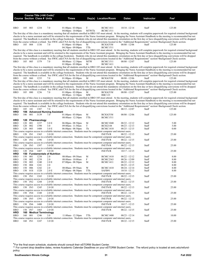|            |            |            | Course Title (+IAI Code) <sup>1</sup> |                                         |                                                                                                                                             |              |                                    |                                    |                |                                                                                                                                                                                                                                                                                                                                                                                |
|------------|------------|------------|---------------------------------------|-----------------------------------------|---------------------------------------------------------------------------------------------------------------------------------------------|--------------|------------------------------------|------------------------------------|----------------|--------------------------------------------------------------------------------------------------------------------------------------------------------------------------------------------------------------------------------------------------------------------------------------------------------------------------------------------------------------------------------|
|            |            |            | <b>Course Section Class # Units</b>   |                                         | <b>Times</b>                                                                                                                                |              | Day(s) Location/Room               | Dates                              | Instructor     | Fee <sup>2</sup>                                                                                                                                                                                                                                                                                                                                                               |
|            |            |            |                                       |                                         |                                                                                                                                             |              |                                    |                                    |                |                                                                                                                                                                                                                                                                                                                                                                                |
| HRO        | 105        | 003        | 1234                                  | 7.0                                     | $01:00$ pm - $03:00$ pm                                                                                                                     | T            | <b>BCMC1411</b>                    | $10/18 - 12/14$                    | Staff          | 125.00                                                                                                                                                                                                                                                                                                                                                                         |
|            |            |            |                                       |                                         | $04:00$ pm - $10:00$ pm                                                                                                                     | <b>MTWTh</b> | <b>BCMC1511</b>                    |                                    |                | The first day of this class is a mandatory meeting that all students enrolled in HRO 105 must attend. At the meeting, students will complete paperwork for required criminal background                                                                                                                                                                                        |
|            |            |            |                                       |                                         |                                                                                                                                             |              |                                    |                                    |                | checks to be a nurse assistant and will be oriented to the requirements of the Nurse Assistant program. Bringing the Nurse Assistant Handbook to the meeting is recommended but not                                                                                                                                                                                            |
|            |            |            |                                       |                                         |                                                                                                                                             |              |                                    |                                    |                | required. The handbook is available in the college bookstore. Students who do not attend this mandatory orientation on the first day or have disqualifying convictions will be dropped<br>from the course without a refund. See SWIC.edu/CNA for the list of disqualifying convictions located in the "Additional Requirements" section>Background Check section.              |
| HRO        |            | 105 004    | 1336                                  | 7.0                                     | $01:00$ pm - $03:00$ pm                                                                                                                     | М            | <b>BCIGGYM</b>                     | $08/08 - 12/06$                    | Staff          | 125.00                                                                                                                                                                                                                                                                                                                                                                         |
|            |            |            |                                       |                                         | $04:30$ pm - $09:00$ pm                                                                                                                     | TTh          | <b>BCMC1511</b>                    |                                    |                | The first day of this class is a mandatory meeting that all students enrolled in HRO 105 must attend. At the meeting, students will complete paperwork for required criminal background                                                                                                                                                                                        |
|            |            |            |                                       |                                         |                                                                                                                                             |              |                                    |                                    |                | checks to be a nurse assistant and will be oriented to the requirements of the Nurse Assistant program. Bringing the Nurse Assistant Handbook to the meeting is recommended but not                                                                                                                                                                                            |
|            |            |            |                                       |                                         |                                                                                                                                             |              |                                    |                                    |                | required. The handbook is available in the college bookstore. Students who do not attend this mandatory orientation on the first day or have disqualifying convictions will be dropped<br>from the course without a refund. See SWIC.edu/CNA for the list of disqualifying convictions located in the "Additional Requirements" section>Background Check section.              |
| HRO        |            | 105 005    | 1379                                  | 7.0                                     | 08:00am - 12:30pm                                                                                                                           | <b>MTW</b>   | <b>BCMC1511</b>                    | $08/08 - 12/07$                    | Staff          | 125.00                                                                                                                                                                                                                                                                                                                                                                         |
|            |            |            |                                       |                                         | $01:00$ pm - $03:00$ pm                                                                                                                     | М            | <b>BCMC1411</b>                    |                                    |                | The first day of this class is a mandatory meeting that all students enrolled in HRO 105 must attend. At the meeting, students will complete paperwork for required criminal background                                                                                                                                                                                        |
|            |            |            |                                       |                                         |                                                                                                                                             |              |                                    |                                    |                | checks to be a nurse assistant and will be oriented to the requirements of the Nurse Assistant program. Bringing the Nurse Assistant Handbook to the meeting is recommended but not                                                                                                                                                                                            |
|            |            |            |                                       |                                         |                                                                                                                                             |              |                                    |                                    |                | required. The handbook is available in the college bookstore. Students who do not attend this mandatory orientation on the first day or have disqualifying convictions will be dropped<br>from the course without a refund. See SWIC edu/CNA for the list of disqualifying convictions located in the "Additional Requirements" section>Background Check section.              |
| HRO        |            | 105 060    | 1235                                  | 7.0                                     | $01:00$ pm - $03:00$ pm                                                                                                                     | M            | <b>BCIGGYM</b>                     | $08/08 - 12/06$                    | Staff          | 125.00                                                                                                                                                                                                                                                                                                                                                                         |
|            |            |            |                                       |                                         |                                                                                                                                             |              |                                    |                                    |                | The first day of this class is a mandatory meeting that all students enrolled in HRO 105 must attend. At the meeting, students will complete paperwork for required criminal background<br>checks to be a nurse assistant and will be oriented to the requirements of the Nurse Assistant program. Bringing the Nurse Assistant Handbook to the meeting is recommended but not |
|            |            |            |                                       |                                         |                                                                                                                                             |              |                                    |                                    |                | required. The handbook is available in the college bookstore. Students who do not attend this mandatory orientation on the first day or have disqualifying convictions will be dropped                                                                                                                                                                                         |
|            |            |            |                                       |                                         |                                                                                                                                             |              |                                    |                                    |                | from the course without a refund. See SWIC.edu/CNA for the list of disqualifying convictions located in the "Additional Requirements" section>Background Check section.                                                                                                                                                                                                        |
| HRO        |            | 105 080    | 1236                                  | 7.0                                     | $01:00$ pm - $03:00$ pm<br>08:00am - 12:30pm                                                                                                | М<br>MW      | <b>BCIGGYM</b><br><b>RBC123</b>    | $08/08 - 12/07$                    | Staff          | 125.00                                                                                                                                                                                                                                                                                                                                                                         |
|            |            |            |                                       |                                         |                                                                                                                                             |              |                                    |                                    |                | The first day of this class is a mandatory meeting that all students enrolled in HRO 105 must attend. At the meeting, students will complete paperwork for required criminal background                                                                                                                                                                                        |
|            |            |            |                                       |                                         |                                                                                                                                             |              |                                    |                                    |                | checks to be a nurse assistant and will be oriented to the requirements of the Nurse Assistant program. Bringing the Nurse Assistant Handbook to the meeting is recommended but not<br>required. The handbook is available in the college bookstore. Students who do not attend this mandatory orientation on the first day or have disqualifying convictions will be dropped  |
|            |            |            |                                       |                                         |                                                                                                                                             |              |                                    |                                    |                | from the course without a refund. See SWIC edu/CNA for the list of disqualifying convictions located in the "Additional Requirements" section>Background Check section.                                                                                                                                                                                                        |
| HRO<br>HRO | 105        | - 101      | 1387                                  | 7.0<br>106 Advanced Nursing Assistant   |                                                                                                                                             |              |                                    | $08/15 - 12/07$                    | Staff          | 125.00                                                                                                                                                                                                                                                                                                                                                                         |
| HRO        | 106        | 001        | 3139                                  | 7.0                                     | $01:00$ pm - $03:00$ pm                                                                                                                     | M<br>TTh     | <b>BCIGGYM</b>                     | $08/08 - 12/06$                    | Staff          | 125.00                                                                                                                                                                                                                                                                                                                                                                         |
| HRO        |            |            | 120 Pharmacology                      |                                         | 08:00am - 12:30pm                                                                                                                           |              | <b>BCMC1511</b>                    |                                    |                |                                                                                                                                                                                                                                                                                                                                                                                |
| HRO        | 120<br>120 | 001<br>002 | 1237<br>1398                          | 3.0 <sub>E</sub><br>3.0                 | $06:00$ pm - $08:50$ pm<br>09:00am - 11:50am                                                                                                | M<br>T       | <b>BCMC1040</b><br><b>BCIS2144</b> | $08/22 - 12/12$<br>$08/23 - 12/13$ | Staff<br>Staff | 5.00<br>5.00                                                                                                                                                                                                                                                                                                                                                                   |
| HRO<br>HRO | 120        | 003        | 1408                                  | 3.0 E                                   | $06:00$ pm - $08:50$ pm                                                                                                                     | Th           | <b>BCMC1410</b>                    | $08/25 - 12/15$                    | Staff          | 0.00                                                                                                                                                                                                                                                                                                                                                                           |
|            |            |            |                                       |                                         | This course requires access to a reliable internet connection. Students must be competent computer and internet users.                      |              |                                    |                                    |                |                                                                                                                                                                                                                                                                                                                                                                                |
| HRO        |            | 120 IN1    | 1365                                  | 3.0 OI                                  | This course requires access to a reliable internet connection. Students must be competent computer and internet users.                      |              | <b>INETN/R</b>                     | $08/22 - 12/15$                    | Staff          | 25.00                                                                                                                                                                                                                                                                                                                                                                          |
| HRO        |            | 120 IN2    | 1396                                  | 3.0 OI                                  |                                                                                                                                             |              | <b>INETN/R</b>                     | $08/22 - 12/15$                    | Staff          | 25.00                                                                                                                                                                                                                                                                                                                                                                          |
| HRO        |            | 120 IN3    | 1397                                  | 3.0 OI                                  | This course requires access to a reliable internet connection. Students must be competent computer and internet users.                      |              | <b>INETN/R</b>                     | $08/22 - 12/15$                    | Staff          | 25.00                                                                                                                                                                                                                                                                                                                                                                          |
|            |            |            |                                       |                                         | This course requires access to a reliable internet connection. Students must be competent computer and internet users.                      |              |                                    |                                    |                |                                                                                                                                                                                                                                                                                                                                                                                |
| HRO<br>HRO |            | 120 IN4    | 1407                                  | 3.0 OI<br>150 Fundamentals of Nutrition |                                                                                                                                             |              | <b>INETN/R</b>                     | $10/17 - 12/15$                    | Staff          | 25.00                                                                                                                                                                                                                                                                                                                                                                          |
| HRO        | 150        | 001        | 1238                                  | 2.0                                     | 08:00am - 09:50am                                                                                                                           | M            | <b>BCMC1410</b>                    | $08/22 - 12/12$                    | Staff          | 8.00                                                                                                                                                                                                                                                                                                                                                                           |
| HRO<br>HRO | 150<br>150 | 002<br>003 | 1239<br>1240                          | 2.0<br>2.0 E                            | 08:00am - 10:00am<br>07:00pm - 08:50pm                                                                                                      | F<br>M       | <b>BCMC2363</b><br><b>BCMC1411</b> | $08/26 - 12/09$<br>$08/22 - 12/12$ | Staff<br>Staff | 8.00<br>8.00                                                                                                                                                                                                                                                                                                                                                                   |
| HRO        | 150        | 004        | 1241                                  | 2.0                                     |                                                                                                                                             |              |                                    | $08/25 - 12/15$                    | Staff          | 8.00                                                                                                                                                                                                                                                                                                                                                                           |
| HRO<br>HRO | 150<br>150 | 006<br>01S | 1242<br>1328                          | 2.0<br>2.0 E                            | 08:00am - 09:50am<br>07:00pm - 08:50pm                                                                                                      | W<br>TTh     | <b>BCMC1410</b><br>SAFB91          | $08/24 - 12/14$<br>$10/18 - 12/13$ | Staff<br>Staff | 8.00<br>8.00                                                                                                                                                                                                                                                                                                                                                                   |
|            |            |            |                                       |                                         | This course requires access to a reliable internet connection. Students must be competent computer and internet users.                      |              |                                    |                                    |                |                                                                                                                                                                                                                                                                                                                                                                                |
| HRO        |            | 150 IN1    | 1243                                  | 2.0 OI                                  | This course requires access to a reliable internet connection. Students must be competent computer and internet users.                      |              | <b>INETN/R</b>                     | $08/22 - 12/15$                    | Staff          | 25.00                                                                                                                                                                                                                                                                                                                                                                          |
| HRO        |            | 150 IN2    | 1244                                  | 2.0 OI                                  |                                                                                                                                             |              | <b>INETN/R</b>                     | $08/22 - 12/15$                    | Staff          | 25.00                                                                                                                                                                                                                                                                                                                                                                          |
| HRO        |            | 150 IN3    | 1245                                  | 2.0 OI                                  | This course requires access to a reliable internet connection. Students must be competent computer and internet users.                      |              | <b>INETN/R</b>                     | $08/22 - 12/15$                    | Staff          | 25.00                                                                                                                                                                                                                                                                                                                                                                          |
|            |            |            |                                       |                                         | This course requires access to a reliable internet connection. Students must be competent computer and internet users.                      |              |                                    |                                    |                |                                                                                                                                                                                                                                                                                                                                                                                |
| HRO        |            | 150 IN4    | 1348                                  | 2.0 OI                                  | This course requires access to a reliable internet connection. Students must be competent computer and internet users.                      |              | <b>INETN/R</b>                     | $08/22 - 12/15$                    | Staff          | 25.00                                                                                                                                                                                                                                                                                                                                                                          |
| HRO        |            | 150 IN5    | 1391                                  | 2.0 OI                                  |                                                                                                                                             |              | <b>INETN/R</b>                     | $08/22 - 12/15$                    | Staff          |                                                                                                                                                                                                                                                                                                                                                                                |
|            |            |            |                                       |                                         |                                                                                                                                             |              |                                    |                                    |                | 25.00                                                                                                                                                                                                                                                                                                                                                                          |
|            |            |            |                                       |                                         | This course requires access to a reliable internet connection. Students must be competent computer and internet users.                      |              |                                    |                                    |                |                                                                                                                                                                                                                                                                                                                                                                                |
| HRO        |            | 150 IN6    | 1400                                  | 2.0 OI                                  | This course requires access to a reliable internet connection. Students must be competent computer and internet users.                      |              | <b>INETN/R</b>                     | $10/17 - 12/15$                    | Staff          | 25.00                                                                                                                                                                                                                                                                                                                                                                          |
| HRO        |            | 150 IN7    | 1465                                  | 2.0 OI                                  |                                                                                                                                             |              | <b>INETN/R</b>                     | $08/22 - 12/15$                    | Staff          | 25.00                                                                                                                                                                                                                                                                                                                                                                          |
| HRO<br>HRO | 160        | 001        | 160 Medical Terminology<br>1246       | 3.0                                     | 11:00am - 12:30pm<br>This course requires access to a reliable internet connection. Students must be competent computer and internet users. | TTh          | <b>BCMC1400</b>                    | $08/23 - 12/14$                    | Staff          | 10.00                                                                                                                                                                                                                                                                                                                                                                          |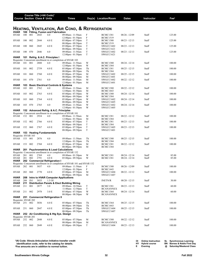|                                    |            |     | Course Title (+IAI Code) <sup>1</sup> |                                                       |                                                                                                 |                          |                                    |                 |                   |                  |
|------------------------------------|------------|-----|---------------------------------------|-------------------------------------------------------|-------------------------------------------------------------------------------------------------|--------------------------|------------------------------------|-----------------|-------------------|------------------|
|                                    |            |     | <b>Course Section Class # Units</b>   |                                                       | <b>Times</b>                                                                                    |                          | Day(s) Location/Room               | <b>Dates</b>    | <b>Instructor</b> | Fee <sup>2</sup> |
|                                    |            |     |                                       |                                                       |                                                                                                 |                          |                                    |                 |                   |                  |
|                                    |            |     |                                       |                                                       | <b>HEATING, VENTILATION, AIR COND, &amp; REFRIGERATION</b>                                      |                          |                                    |                 |                   |                  |
| <b>HVAR</b>                        |            |     |                                       | 100 Fitting, Fusion and Fabrication                   | 09:00am - 11:50am                                                                               |                          |                                    |                 |                   |                  |
| <b>HVAR</b>                        | 100        | 001 | 2843                                  | 4.0                                                   | $12:00$ pm - $01:50$ pm                                                                         | F<br>F                   | <b>BCMC1381</b><br><b>BCMC1519</b> | $08/26 - 12/09$ | Staff             | 125.00           |
| <b>HVAR</b>                        | 100        | 002 | 2844                                  | 4.0 E                                                 | $05:00$ pm - $07:50$ pm                                                                         | $\mathbf T$              | <b>BCMC1380</b>                    | $08/23 - 12/13$ | Staff             | 125.00           |
|                                    |            |     |                                       |                                                       | 08:00pm - 09:50pm                                                                               | T                        | <b>BCMC1519</b>                    |                 |                   |                  |
| <b>HVAR</b>                        | 100        | 060 | 2845                                  | 4.0 E                                                 | $05:00$ pm - $07:50$ pm                                                                         | $\mathbf T$              | SWGCC1602                          | $08/23 - 12/13$ | Staff             | 125.00           |
| <b>HVAR</b>                        | 100        | 070 | 2846                                  | 4.0                                                   | 08:00pm - 09:50pm<br>09:00am - 11:50am                                                          | $\mathbf T$<br>${\bf T}$ | SWGCC1621<br>SWGCC1602             | $08/23 - 12/13$ | Staff             | 125.00           |
|                                    |            |     |                                       |                                                       | $12:00 \text{pm} - 01:50 \text{pm}$                                                             | T                        | SWGCC1621                          |                 |                   |                  |
| HVAR                               |            |     |                                       | 101 Refrig. & A.C. Principles I                       |                                                                                                 |                          |                                    |                 |                   |                  |
|                                    |            |     |                                       |                                                       | Requisite: Concurrent enrollment in or completion of HVAR 103                                   |                          |                                    |                 |                   |                  |
| <b>HVAR</b>                        | 101        | 001 | 2888                                  | 4.0                                                   | 09:00am - 11:50am                                                                               | W                        | <b>BCMC1380</b>                    | $08/24 - 12/14$ | Staff             | 100.00           |
|                                    | 101        | 002 | 2759                                  | 4.0 E                                                 | $12:00$ pm - $01:50$ pm<br>$05:00$ pm - $07:50$ pm                                              | W<br>Th                  | <b>BCMC1384</b><br><b>BCMC1381</b> |                 | Staff             | 100.00           |
| HVAR                               |            |     |                                       |                                                       | $08:00$ pm - $09:50$ pm                                                                         | Th                       | <b>BCMC1384</b>                    | $08/25 - 12/15$ |                   |                  |
| HVAR                               | 101        | 060 | 2760                                  | 4.0 E                                                 | $05:00$ pm - $07:50$ pm                                                                         | М                        | SWGCC1602                          | $08/25 - 12/15$ | Staff             | 100.00           |
|                                    |            |     |                                       |                                                       | $08:00$ pm - $09:50$ pm                                                                         | М                        | SWGCC1601                          |                 |                   |                  |
| HVAR                               | 101        | 070 | 2761                                  | 4.0                                                   | 09:00am - 11:50am                                                                               | M                        | SWGCC1602                          | $08/22 - 12/12$ | Staff             | 100.00           |
|                                    | 103        |     |                                       |                                                       | $12:00$ pm - $01:50$ pm                                                                         | М                        | SWGCC1601                          |                 |                   |                  |
| <b>HVAR</b><br><b>HVAR</b>         | 103        | 001 | 2762                                  | <b>Basic Electrical Controls &amp; Systems</b><br>4.0 | 09:00am - 11:50am                                                                               | М                        | <b>BCMC1380</b>                    | $08/22 - 12/12$ | Staff             | 100.00           |
|                                    |            |     |                                       |                                                       | $12:00 \text{pm} - 01:50 \text{pm}$                                                             | М                        | <b>BCMC1443</b>                    |                 |                   |                  |
| <b>HVAR</b>                        | 103        | 002 | 2763                                  | 4.0 E                                                 | $05:00$ pm - $07:50$ pm                                                                         | W                        | <b>BCMC1380</b>                    | $08/24 - 12/14$ | Staff             | 100.00           |
|                                    |            |     |                                       |                                                       | 08:00pm - 09:50pm                                                                               | W                        | <b>BCMC1384</b>                    |                 |                   |                  |
| HVAR                               | 103        | 060 | 2764                                  | 4.0 E                                                 | $05:00$ pm - $07:50$ pm                                                                         | W<br>W                   | SWGCC1602                          | $08/24 - 12/14$ | Staff             | 100.00           |
| <b>HVAR</b>                        | 103        | 070 | 2765                                  | 4.0                                                   | $08:00$ pm - $09:50$ pm<br>09:00am - 11:50am                                                    | W                        | SWGCC1605<br>SWGCC1602             | $08/24 - 12/14$ | Staff             | 100.00           |
|                                    |            |     |                                       |                                                       | $12:00$ pm - $01:50$ pm                                                                         | W                        | SWGCC1605                          |                 |                   |                  |
| HVAR                               |            |     |                                       | 152 Advanced Refrig. & A.C. Principles                |                                                                                                 |                          |                                    |                 |                   |                  |
|                                    |            |     |                                       |                                                       | Requisite: Concurrent enrollment in or completion of HVAR 101                                   |                          |                                    |                 |                   |                  |
| <b>HVAR</b>                        | 152 001    |     | 2934                                  | 4.0                                                   | 09:00am - 11:50am                                                                               | М                        | <b>BCMC1381</b>                    | $08/22 - 12/12$ | Staff             | 100.00           |
| <b>HVAR</b>                        | 152        | 002 | 2766                                  | 4.0 E                                                 | $12:00$ pm - $01:50$ pm<br>$05:00$ pm - $07:50$ pm                                              | M<br>T                   | <b>BCMC1384</b><br><b>BCMC1381</b> | $08/23 - 12/13$ | Staff             | 100.00           |
|                                    |            |     |                                       |                                                       | $08:00$ pm - $09:50$ pm                                                                         | $\mathbf T$              | <b>BCMC1384</b>                    |                 |                   |                  |
| <b>HVAR</b>                        | 152        | 060 | 2767                                  | 4.0 E                                                 | $05:00$ pm - $07:50$ pm                                                                         | $\mathbf T$              | SWGCC1605                          | $08/23 - 12/13$ | Staff             | 100.00           |
|                                    |            |     |                                       |                                                       | $08:00$ pm - $09:50$ pm                                                                         | T                        | SWGCC1601                          |                 |                   |                  |
| <b>HVAR</b><br>Requisite: HVAR 103 |            |     |                                       | 153 Heating Fundamentals                              |                                                                                                 |                          |                                    |                 |                   |                  |
| <b>HVAR</b>                        | 153        | 001 | 2876                                  | 4.0                                                   | 09:00am - 11:50am                                                                               | Th                       | <b>BCMC1380</b>                    | $08/25 - 12/15$ | Staff             | 100.00           |
|                                    |            |     |                                       |                                                       | $12:00$ pm - $01:50$ pm                                                                         | Th                       | <b>BCMC1384</b>                    |                 |                   |                  |
| <b>HVAR</b>                        | 153        | 002 | 2768                                  | 4.0 E                                                 | $05:00$ pm - $07:50$ pm                                                                         | М                        | <b>BCMC1381</b>                    | $08/22 - 12/12$ | Staff             | 100.00           |
|                                    |            |     |                                       |                                                       | $08:00$ pm - $09:50$ pm                                                                         | М                        | <b>BCMC1384</b>                    |                 |                   |                  |
| <b>HVAR</b>                        | 201        |     |                                       | <b>Psychrometrics &amp; Load Calculations</b>         | Requisite: Concurrent enrollment in or completion of HVAR 152                                   |                          |                                    |                 |                   |                  |
| HVAR                               | 201        | 001 | 2769                                  | 4.0                                                   | 09:00am - 01:50pm                                                                               | W                        | <b>BCMC1381</b>                    | 08/24 - 12/14   | Staff             | 85.00            |
| <b>HVAR</b>                        | 201        | 002 | 2791                                  | 4.0 E                                                 | $05:00 \text{pm} - 09:50 \text{pm}$                                                             | W                        | <b>BCMC1381</b>                    | $08/24 - 12/14$ | Staff             | 85.00            |
| HVAR                               |            |     |                                       | 202 Commercial Refrigeration I                        |                                                                                                 |                          |                                    |                 |                   |                  |
|                                    | 202        | 001 |                                       | 4.0                                                   | Requisite: Concurrent enrollment in or completion of HVAR 101 and HVAR 152<br>09:00am - 11:50am | F                        | <b>BCMC1380</b>                    |                 |                   |                  |
| <b>HVAR</b>                        |            |     | 3037                                  |                                                       | $12:00 \text{pm} - 01:50 \text{pm}$                                                             | F                        | <b>BCMC1443</b>                    | $08/26 - 12/09$ | Staff             | 100.00           |
| HVAR                               | 202 060    |     | 2770                                  | 4.0 E                                                 | 05:00pm - 07:50pm                                                                               | M                        | SWGCC1604                          | $08/22 - 12/12$ | Staff             | 100.00           |
|                                    |            |     |                                       |                                                       | $08:00$ pm - $09:50$ pm                                                                         | М                        | SWGCC1607                          |                 |                   |                  |
| HVAR                               | 208        |     |                                       | Intro to HVAR Computer Applications                   |                                                                                                 |                          |                                    |                 |                   |                  |
| <b>HVAR</b><br><b>HVAR</b>         | 208<br>211 | IN1 | 3033                                  | 1.5 OI                                                | Distribution Panels & Elect Building Wiring                                                     |                          | <b>INETN/R</b>                     | $08/20 - 12/15$ | Staff             | 30.00            |
| HVAR                               | 211        | 001 | 2877                                  | 3.0                                                   | 09:00am - 10:50am                                                                               | T                        | <b>BCMC1381</b>                    | $08/23 - 12/13$ | Staff             | 60.00            |
|                                    |            |     |                                       |                                                       | $11:00am - 12:50pm$                                                                             | $\mathbf T$              | BCANANNEX                          |                 |                   |                  |
| HVAR                               | 211        | 002 | 2978                                  | 3.0 E                                                 | 05:00pm - 07:50pm                                                                               | W                        | <b>BCMC1364</b>                    | $08/24 - 12/14$ | Staff             | 60.00            |
|                                    |            |     |                                       |                                                       | $08:00$ pm - $08:50$ pm                                                                         | W                        | <b>BCANANNEX</b>                   |                 |                   |                  |
| Requisite: HVAR 202                |            |     |                                       | HVAR 251 Commercial Refrigeration II                  |                                                                                                 |                          |                                    |                 |                   |                  |
| HVAR                               | 251        | 002 | 3036                                  | 4.0 E                                                 | $05:00$ pm - $07:50$ pm                                                                         | Th                       | <b>BCMC1364</b>                    | $08/25 - 12/15$ | Staff             | 100.00           |
|                                    |            |     |                                       |                                                       | $08:00$ pm - $09:50$ pm                                                                         | Th                       | <b>BCMC1443</b>                    |                 |                   |                  |
| HVAR                               | 251        | 060 | 2847                                  | 4.0 E                                                 | $05:00$ pm - $07:50$ pm                                                                         | Th                       | SWGCC1604                          | $08/25 - 12/15$ | Staff             | 100.00           |
|                                    |            |     |                                       |                                                       | $08:00$ pm - $09:50$ pm                                                                         | Th                       | SWGCC1607                          |                 |                   |                  |
| HVAR<br>Requisite: HVAR 201        |            |     |                                       | 252 Air Conditioning & Htg Sys. Design                |                                                                                                 |                          |                                    |                 |                   |                  |
| HVAR                               | 252 002    |     | 2848                                  | 4.0 E                                                 | $05:00$ pm - $07:50$ pm                                                                         | M                        | <b>BCMC1380</b>                    | $08/22 - 12/12$ | Staff             | 100.00           |
|                                    |            |     |                                       |                                                       | 08:00pm - 09:50pm                                                                               | M                        | <b>BCANANNEX</b>                   |                 |                   |                  |
| HVAR                               | 252        | 060 | 2849                                  | 4.0 E                                                 | $05:00$ pm - $09:50$ pm                                                                         | T                        | SWGCC1604                          | $08/23 - 12/13$ | Staff             | 100.00           |
|                                    |            |     |                                       |                                                       |                                                                                                 |                          |                                    |                 |                   |                  |

| <b>Online Instruction</b> | SL Synchronous Learning            |
|---------------------------|------------------------------------|
| HY Hybrid course          | <b>BN</b> Barnes & Noble First Day |
| Evening                   | @ Saturday/Weekend Class           |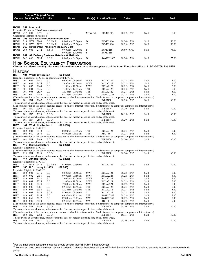|                                 |                    |                | Course Title (+IAI Code) <sup>1</sup>    |                                               |                                                                                                                                                                           |               |                                    |                                    |                |                  |
|---------------------------------|--------------------|----------------|------------------------------------------|-----------------------------------------------|---------------------------------------------------------------------------------------------------------------------------------------------------------------------------|---------------|------------------------------------|------------------------------------|----------------|------------------|
|                                 |                    |                | <b>Course Section Class # Units</b>      |                                               | <b>Times</b>                                                                                                                                                              |               | Day(s) Location/Room               | <b>Dates</b>                       | Instructor     | Fee <sup>2</sup> |
|                                 |                    |                |                                          |                                               |                                                                                                                                                                           |               |                                    |                                    |                |                  |
| HVAR                            |                    | 257 Internship |                                          |                                               |                                                                                                                                                                           |               |                                    |                                    |                |                  |
|                                 |                    |                |                                          | Requisite: 12 hours of HVAR courses completed |                                                                                                                                                                           |               |                                    |                                    |                |                  |
| <b>HVAR</b>                     | 257 001            |                | 2771<br>Coordinator Permission Required. | 4.0                                           |                                                                                                                                                                           | <b>MTWThF</b> | <b>BCMC1383</b>                    | $08/22 - 12/15$                    | Staff          | 0.00             |
| HVAR                            |                    |                |                                          | 258 Natl Electrical Code Interpretation       |                                                                                                                                                                           |               |                                    |                                    |                |                  |
| HVAR                            | 258                | HY 1           | 3040                                     | 3.0 HY E                                      | $05:00 \text{pm} - 07:50 \text{pm}$                                                                                                                                       | W             | <b>BCMC1410</b>                    | $08/24 - 12/14$                    | Staff          | 50.00            |
| HVAR                            |                    | 258 HY6 2872   |                                          | 3.0 HY E                                      | $05:00$ pm - $07:50$ pm                                                                                                                                                   | T             | <b>BCMC1410</b>                    | $08/23 - 12/13$                    | Staff          | 50.00            |
| <b>HVAR</b><br><b>HVAR</b>      | 260<br>260         | 001            | 2772                                     | $0.5 \, \omega$                               | <b>Refrigerant Transition/Recovery Cert</b><br>$09:00am - 02:00pm$                                                                                                        | F             | <b>BCMC2181</b>                    | $09/09 - 09/10$                    | Staff          | 75.00            |
|                                 |                    |                |                                          |                                               | 09:00am - 12:00pm                                                                                                                                                         | S             | <b>BCMC2181</b>                    |                                    |                |                  |
| <b>HVAR</b>                     | 262                |                |                                          |                                               | Air Delivery Systems Materials & Methods                                                                                                                                  |               |                                    |                                    |                |                  |
| HVAR                            | 262                | 060            | 3035                                     | 1.0 E                                         | $05:00$ pm - $06:50$ pm                                                                                                                                                   | W             | SWGCC1605                          | $08/24 - 12/14$                    | Staff          | 75.00            |
|                                 |                    |                |                                          |                                               | <b>HIGH SCHOOL EQUIVALENCY PREPARATION</b>                                                                                                                                |               |                                    |                                    |                |                  |
|                                 |                    |                |                                          |                                               | Classes are offered monthly. For more information about these classes, please call the Adult Education office at 618-235-2700, Ext. 5525.                                 |               |                                    |                                    |                |                  |
|                                 |                    |                |                                          |                                               |                                                                                                                                                                           |               |                                    |                                    |                |                  |
| <b>HISTORY</b>                  |                    |                |                                          |                                               |                                                                                                                                                                           |               |                                    |                                    |                |                  |
| HIST                            |                    |                | 101 World Civilization I                 |                                               | (S2 912N)<br>Requisite: Eligible for ENG 101 or concurrent with ENG 97                                                                                                    |               |                                    |                                    |                |                  |
| HIST                            | 101                | 001            | 2441                                     | 3.0                                           | 09:00am - 09:50am                                                                                                                                                         | <b>MWF</b>    | <b>BCLA2122</b>                    | $08/22 - 12/14$                    | Staff          | 5.00             |
| HIST                            | 101                | 002            | 2476                                     | 3.0                                           | 10:00am - 10:50am                                                                                                                                                         | MWF           | <b>BCLA2122</b>                    | $08/22 - 12/14$                    | Staff          | 5.00             |
| HIST                            | 101                | 003            | 2144                                     | 3.0                                           | 11:00am - 11:50am                                                                                                                                                         | <b>MWF</b>    | <b>BCLA2122</b>                    | $08/22 - 12/14$                    | Staff          | 5.00             |
| HIST                            | 101                | 004            | 2145                                     | 3.0                                           | $11:00$ am - $12:15$ pm                                                                                                                                                   | TTh           | <b>BCLA2122</b>                    | $08/23 - 12/15$                    | Staff          | 5.00             |
| HIST                            | 101                | 005            | 2629                                     | 3.0                                           | $12:30$ pm - 01:45pm                                                                                                                                                      | TTh           | <b>BCLA2122</b>                    | $08/23 - 12/15$                    | Staff          | 5.00             |
| <b>HIST</b>                     | 101 060            |                | 2146                                     | 3.0                                           | $03:30$ pm - $04:45$ pm<br>(The online section of this course requires access to a reliable Internet connection. Students must be competent computer and Internet users.) | TTh           | SWGCC345                           | $08/23 - 12/15$                    | Staff          | 5.00             |
| HIST                            | 101 IN1            |                | 2147                                     | 3.0 OI                                        |                                                                                                                                                                           |               | <b>INETN/R</b>                     | $08/20 - 12/15$                    | Staff          | 30.00            |
|                                 |                    |                |                                          |                                               | This course is an asynchronous, online course that does not meet at a specific time or day of the week.                                                                   |               |                                    |                                    |                |                  |
|                                 |                    |                |                                          |                                               | (The online section of this course requires access to a reliable Internet connection. Students must be competent computer and Internet users.)                            |               |                                    |                                    |                |                  |
| HIST                            | 101 IN2            |                | 2364                                     | 3.0 OI                                        |                                                                                                                                                                           |               | <b>INETN/R</b>                     | $08/20 - 12/15$                    | Staff          | 30.00            |
|                                 |                    |                |                                          |                                               | This course is an asynchronous, online course that does not meet at a specific time or day of the week.                                                                   |               |                                    |                                    |                |                  |
| HIST                            | 101 IN3            |                | 2530                                     | 3.0 OI                                        |                                                                                                                                                                           |               | <b>INETN/R</b>                     | $10/15 - 12/15$                    | Staff          | 30.00            |
| HIST                            | 101 IN4            |                | 2680                                     | 3.0 OI                                        | This course is an asynchronous, online course that does not meet at a specific time or day of the week.                                                                   |               | <b>INETN/R</b>                     | $08/20 - 12/15$                    | Staff          | 30.00            |
|                                 |                    |                |                                          |                                               | This course is an asynchronous, online course that does not meet at a specific time or day of the week.                                                                   |               |                                    |                                    |                |                  |
| HIST                            |                    |                | 102 World Civilization II                |                                               | (S2913N)                                                                                                                                                                  |               |                                    |                                    |                |                  |
| Requisite: Eligible for ENG 101 |                    |                |                                          |                                               |                                                                                                                                                                           |               |                                    |                                    |                |                  |
| <b>HIST</b>                     | 102                | 001            | 2148                                     | 3.0                                           | $02:00$ pm - $03:15$ pm                                                                                                                                                   | TTh           | <b>BCLA2124</b>                    | $08/23 - 12/15$                    | Staff          | 5.00             |
| HIST                            | 102 080            |                | 2616                                     | 3.0                                           | 08:00am - 09:15am                                                                                                                                                         | TTh           | <b>RBC148</b>                      | $08/23 - 12/15$                    | Staff          | 5.00             |
| HIST                            | 102                | IN 1           | 2149                                     | 3.0 OI                                        | (The online section of this course requires access to a reliable Internet connection. Students must be competent computer and Internet users.)                            |               | <b>INETN/R</b>                     | $08/20 - 12/15$                    | Staff          | 30.00            |
|                                 |                    |                |                                          |                                               | This course is an asynchronous, online course that does not meet at a specific time or day of the week.                                                                   |               |                                    |                                    |                |                  |
| HIST                            |                    |                | 115 Mid-East History                     |                                               | (S2 920N)                                                                                                                                                                 |               |                                    |                                    |                |                  |
| Requisite: Eligible for ENG 101 |                    |                |                                          |                                               |                                                                                                                                                                           |               |                                    |                                    |                |                  |
|                                 |                    |                |                                          |                                               | (The online section of this course requires access to a reliable Internet connection. Students must be competent computer and Internet users.)                            |               |                                    |                                    |                |                  |
| HIST                            | 115 IN1            |                | 2150                                     | 3.0 OI                                        | This course is an asynchronous, online course that does not meet at a specific time or day of the week.                                                                   |               | <b>INETN/R</b>                     | $08/20 - 12/15$                    | Staff          | 30.00            |
| HIST                            |                    |                | 117 African History                      |                                               | (S2 920N)                                                                                                                                                                 |               |                                    |                                    |                |                  |
| Requisite: Eligible for ENG 101 |                    |                |                                          |                                               |                                                                                                                                                                           |               |                                    |                                    |                |                  |
| HIST                            |                    | 117 HY1 2416   |                                          | 3.0 HY E                                      | $07:00$ pm - $07:50$ pm                                                                                                                                                   | Th            | <b>BCLA2122</b>                    | $08/25 - 12/15$                    | Staff          | 30.00            |
| HIST                            |                    |                | 180 U.S. History to 1865                 |                                               | (S2 900)                                                                                                                                                                  |               |                                    |                                    |                |                  |
| Requisite: Eligible for ENG 101 |                    |                |                                          |                                               |                                                                                                                                                                           |               |                                    |                                    |                |                  |
| HIST<br><b>HIST</b>             | 180 001<br>180 002 |                | 2346<br>2151                             | 3.0<br>3.0                                    | 08:00am - 08:50am<br>09:00am - 09:50am                                                                                                                                    | MWF<br>MWF    | <b>BCLA2124</b><br><b>BCLA2224</b> | $08/22 - 12/14$<br>$08/22 - 12/14$ | Staff<br>Staff | 5.00<br>5.00     |
| HIST                            | 180                | 003            | 2152                                     | 3.0                                           | 10:00am - 10:50am                                                                                                                                                         | MWF           | <b>BCLA2124</b>                    | $08/22 - 12/14$                    | Staff          | 5.00             |
| HIST                            | 180                | 004            | 2325                                     | 3.0                                           | 11:00am - 11:50am                                                                                                                                                         | MWF           | <b>BCLA2124</b>                    | $08/22 - 12/14$                    | Staff          | 5.00             |
| <b>HIST</b>                     | 180                | 005            | 2153                                     | 3.0                                           | $12:00$ pm - $12:50$ pm                                                                                                                                                   | <b>MWF</b>    | <b>BCLA2224</b>                    | $08/22 - 12/14$                    | Staff          | 5.00             |
| HIST                            | 180                | 006            | 2381                                     | 3.0                                           | 09:30am - 10:45am                                                                                                                                                         | TTh           | <b>BCLA2122</b>                    | $08/23 - 12/15$                    | Staff          | 5.00             |
| HIST                            | 180                | 007            | 2154                                     | 3.0                                           | $12:30$ pm - 01:45pm                                                                                                                                                      | TTh           | <b>BCLA2216</b>                    | $08/23 - 12/15$                    | Staff          | 5.00             |
| HIST                            | 180                | 008            | 2155                                     | 3.0 E                                         | $07:00$ pm - $09:50$ pm                                                                                                                                                   | T             | <b>BCLA2122</b>                    | $08/23 - 12/13$                    | Staff          | 5.00             |
| HIST                            | 180                | 060            | 2156                                     | 3.0<br>3.0                                    | 09:30am - 10:45am<br>02:00pm - 03:15pm                                                                                                                                    | TTh           | SWGCC345                           | $08/23 - 12/15$                    | Staff          | 5.00             |
| HIST<br>HIST                    | 180<br>180         | 061<br>080     | 2157<br>2158                             | 3.0                                           | 09:30am - 10:45am                                                                                                                                                         | MW<br>MW      | SWGCC345<br><b>RBC148</b>          | $08/22 - 12/14$<br>$08/22 - 12/14$ | Staff<br>Staff | 5.00<br>5.00     |
|                                 |                    |                |                                          |                                               | (The online section of this course requires access to a reliable Internet connection. Students must be competent computer and Internet users.)                            |               |                                    |                                    |                |                  |
| HIST                            | 180 IN1            |                | 2159                                     | 3.0 OI                                        |                                                                                                                                                                           |               | <b>INETN/R</b>                     | $08/20 - 12/15$                    | Staff          | 30.00            |
|                                 |                    |                |                                          |                                               | This course is an asynchronous, online course that does not meet at a specific time or day of the week.                                                                   |               |                                    |                                    |                |                  |
|                                 |                    |                |                                          |                                               | (The online section of this course requires access to a reliable Internet connection. Students must be competent computer and Internet users.)                            |               |                                    |                                    |                |                  |
| HIST                            | 180 IN2            |                | 2382                                     | 3.0 OI                                        |                                                                                                                                                                           |               | <b>INETN/R</b>                     | $10/15 - 12/15$                    | Staff          | 30.00            |
| <b>HIST</b>                     | 180 IN3            |                | 2681                                     | 3.0 OI                                        | This course is an asynchronous, online course that does not meet at a specific time or day of the week.                                                                   |               | <b>INETN/R</b>                     | $08/20 - 12/15$                    | Staff          | 30.00            |
|                                 |                    |                |                                          |                                               | This course is an asynchronous, online course that does not meet at a specific time or day of the week.                                                                   |               |                                    |                                    |                |                  |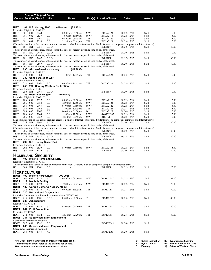|                     |            |            | Course Title (+IAI Code) <sup>1</sup><br><b>Course Section Class # Units</b> |                                                             | <b>Times</b>                                                                                                                                                           |                 | Day(s) Location/Room        | Dates                              | Instructor                      |          | Fe <sup>2</sup>                     |
|---------------------|------------|------------|------------------------------------------------------------------------------|-------------------------------------------------------------|------------------------------------------------------------------------------------------------------------------------------------------------------------------------|-----------------|-----------------------------|------------------------------------|---------------------------------|----------|-------------------------------------|
| HIST                |            |            |                                                                              | 181 U.S. History, 1865 to the Present                       | (S2 901)                                                                                                                                                               |                 |                             |                                    |                                 |          |                                     |
|                     |            |            | Requisite: Eligible for ENG 101                                              |                                                             |                                                                                                                                                                        |                 |                             |                                    |                                 |          |                                     |
| HIST                | 181 001    |            | 2160                                                                         | 3.0                                                         | 09:00am - 09:50am                                                                                                                                                      | <b>MWF</b>      | <b>BCLA2124</b>             | $08/22 - 12/14$                    | Staff                           |          | 5.00                                |
| HIST                | 181        | 002        | 2537                                                                         | 3.0                                                         | 10:00am - 10:50am                                                                                                                                                      | <b>MWF</b>      | <b>BCLA2118</b>             | $08/22 - 12/14$                    | Staff                           |          | 5.00                                |
| HIST                | 181        | 003        | 2161                                                                         | 3.0                                                         | 08:00am - 09:15am                                                                                                                                                      | TTh             | <b>BCLA2122</b>             | $08/23 - 12/15$                    | Staff                           |          | 5.00                                |
| HIST                | 181        | 004        | 2396                                                                         | 3.0                                                         | $12:30$ pm - 01:45pm<br>(The online section of this course requires access to a reliable Internet connection. Students must be competent computer and Internet users.) | TTh             | <b>BCLA2124</b>             | $08/23 - 12/15$                    | Staff                           |          | 5.00                                |
| HIST                | 181 IN1    |            | 2351                                                                         | 3.0 OI                                                      |                                                                                                                                                                        |                 | <b>INETN/R</b>              | $08/20 - 12/15$                    | Staff                           |          | 30.00                               |
|                     |            |            |                                                                              |                                                             | This course is an asynchronous, online course that does not meet at a specific time or day of the week.                                                                |                 |                             |                                    |                                 |          |                                     |
| HIST                | 181 IN2    |            | 2446                                                                         | 3.0 OI                                                      |                                                                                                                                                                        |                 | <b>INETN/R</b>              | $08/20 - 12/15$                    | Staff                           |          | 30.00                               |
|                     |            |            |                                                                              |                                                             | This course is an asynchronous, online course that does not meet at a specific time or day of the week.                                                                |                 |                             |                                    |                                 |          |                                     |
| HIST                | 181 IN3    |            | 2647                                                                         | 3.0 OI                                                      |                                                                                                                                                                        |                 | <b>INETN/R</b>              | $09/17 - 12/15$                    | Staff                           |          | 30.00                               |
|                     | 181 IN4    |            | 2669                                                                         |                                                             | This course is an asynchronous, online course that does not meet at a specific time or day of the week.                                                                |                 |                             |                                    |                                 |          | 30.00                               |
| HIST                |            |            |                                                                              | 3.0 OI                                                      | This course is an asynchronous, online course that does not meet at a specific time or day of the week.                                                                |                 | <b>INETN/R</b>              | $08/20 - 12/15$                    | Staff                           |          |                                     |
| HIST                |            |            |                                                                              | 230 African-American History                                | (H <sub>2</sub> 909D)                                                                                                                                                  |                 |                             |                                    |                                 |          |                                     |
|                     |            |            | Requisite: Eligible for ENG 101                                              |                                                             |                                                                                                                                                                        |                 |                             |                                    |                                 |          |                                     |
| HIST                | 230 001    |            | 2380                                                                         | 3.0                                                         | $11:00$ am - $12:15$ pm                                                                                                                                                | TTh             | <b>BCLA2224</b>             | $08/23 - 12/15$                    | Staff                           |          | 5.00                                |
| HIST                |            |            | 232 United States at War                                                     |                                                             |                                                                                                                                                                        |                 |                             |                                    |                                 |          |                                     |
|                     |            |            | Requisite: Eligible for ENG 101                                              |                                                             |                                                                                                                                                                        |                 |                             |                                    |                                 |          |                                     |
| HIST                | 232 001    |            | 2162                                                                         | 3.0                                                         | 09:30am - 10:45am                                                                                                                                                      | TTh             | <b>BCLA2124</b>             | $08/23 - 12/15$                    | Staff                           |          | 5.00                                |
| HIST                |            |            | Requisite: Eligible for ENG 101                                              |                                                             | 250 20th Century Western Civilization                                                                                                                                  |                 |                             |                                    |                                 |          |                                     |
| HIST                | 250 IN1    |            | 2163                                                                         | 3.0 OI                                                      |                                                                                                                                                                        |                 | <b>INETN/R</b>              | $08/20 - 12/15$                    | Staff                           |          | 30.00                               |
| HIST                |            |            | 286 History of Religion                                                      |                                                             | (H5 904N)                                                                                                                                                              |                 |                             |                                    |                                 |          |                                     |
|                     |            |            | Requisite: Eligible for ENG 101                                              |                                                             |                                                                                                                                                                        |                 |                             |                                    |                                 |          |                                     |
| HIST                | 286        | 001        | 2397                                                                         | 3.0                                                         | 08:00am - 08:50am                                                                                                                                                      | <b>MWF</b>      | <b>BCLA2122</b>             | $08/22 - 12/14$                    | Staff                           |          | 5.00                                |
| HIST                | 286        | 002        | 2164                                                                         | 3.0                                                         | $12:00$ pm - $12:50$ pm                                                                                                                                                | <b>MWF</b>      | <b>BCLA2124</b>             | $08/22 - 12/14$                    | Staff                           |          | 5.00                                |
| HIST                | 286        | 003        | 2165                                                                         | 3.0                                                         | $01:00$ pm - $01:50$ pm                                                                                                                                                | <b>MWF</b>      | <b>BCLA2122</b>             | $08/22 - 12/14$                    | Staff                           |          | 5.00                                |
| HIST                | 286        | 004        | 2166                                                                         | 3.0                                                         | $11:00$ am - $12:15$ pm                                                                                                                                                | TTh             | <b>BCLA2124</b>             | $08/23 - 12/15$                    | Staff                           |          | 5.00                                |
| HIST<br>HIST        | 286<br>286 | 005<br>060 | 2167<br>2168                                                                 | 3.0<br>3.0                                                  | $04:00$ pm - $06:50$ pm<br>11:00am - 11:50am                                                                                                                           | W<br><b>MWF</b> | <b>BCLA2122</b><br>SWGCC345 | $08/24 - 12/13$<br>$08/22 - 12/14$ | Staff<br>Staff                  |          | 5.00<br>5.00                        |
| HIST                | 286        | 080        | 2169                                                                         | 3.0                                                         | 12:30pm - 01:45pm                                                                                                                                                      | MW              | <b>RBC161</b>               | $08/22 - 12/14$                    | Staff                           |          | 5.00                                |
|                     |            |            |                                                                              |                                                             | (The online section of this course requires access to a reliable Internet connection. Students must be competent computer and Internet users.)                         |                 |                             |                                    |                                 |          |                                     |
| HIST                | 286 IN1    |            | 2398                                                                         | 3.0 OI                                                      |                                                                                                                                                                        |                 | <b>INETN/R</b>              | $08/20 - 12/15$                    | Staff                           |          | 30.00                               |
|                     |            |            |                                                                              |                                                             | This course is an asynchronous, online course that does not meet at a specific time or day of the week.                                                                |                 |                             |                                    |                                 |          |                                     |
|                     |            |            |                                                                              |                                                             | (The online section of this course requires access to a reliable Internet connection. Students must be competent computer and Internet users.)                         |                 |                             |                                    |                                 |          |                                     |
| HIST                | 286 IN2    |            | 2409                                                                         | 3.0 OI                                                      |                                                                                                                                                                        |                 | <b>INETN/R</b>              | $08/20 - 12/15$                    | Staff                           |          | 30.00                               |
|                     |            |            |                                                                              |                                                             | This course is an asynchronous, online course that does not meet at a specific time or day of the week.                                                                |                 |                             |                                    |                                 |          |                                     |
| HIST                | 286 IN3    |            | 2527                                                                         | 3.0 OI                                                      | This course is an asynchronous, online course that does not meet at a specific time or day of the week.                                                                |                 | <b>INETN/R</b>              | $10/15 - 12/15$                    | Staff                           |          | 30.00                               |
| HIST                |            |            |                                                                              | 292 U.S. History Since 1945                                 |                                                                                                                                                                        |                 |                             |                                    |                                 |          |                                     |
|                     |            |            | Requisite: Eligible for ENG 101                                              |                                                             |                                                                                                                                                                        |                 |                             |                                    |                                 |          |                                     |
| HIST                | 292 001    |            | 2630                                                                         | 3.0                                                         | $01:00$ pm - $01:50$ pm                                                                                                                                                | MWF             | <b>BCLA2124</b>             | $08/22 - 12/14$                    | Staff                           |          | 5.00                                |
| HIST                | 292 IN1    |            | 3189                                                                         | 3.0                                                         |                                                                                                                                                                        |                 | <b>INETN/R</b>              | $08/20 - 12/15$                    | Staff                           |          | 30.00                               |
|                     |            |            | <b>HOMELAND SECURITY</b>                                                     |                                                             |                                                                                                                                                                        |                 |                             |                                    |                                 |          |                                     |
|                     |            |            |                                                                              | 100 Intro to Homeland Security                              |                                                                                                                                                                        |                 |                             |                                    |                                 |          |                                     |
| НS                  |            |            | Requisite: Eligible for ENG 101                                              |                                                             |                                                                                                                                                                        |                 |                             |                                    |                                 |          |                                     |
|                     |            |            |                                                                              |                                                             | This course requires access to a reliable internet connection. Students must be competent computer and internet users.                                                 |                 |                             |                                    |                                 |          |                                     |
| НS                  | 100 IN1    |            | 1361                                                                         | 3.0                                                         |                                                                                                                                                                        |                 | <b>INETN/R</b>              | $08/22 - 12/15$                    | Staff                           |          | 25.00                               |
|                     |            |            |                                                                              |                                                             |                                                                                                                                                                        |                 |                             |                                    |                                 |          |                                     |
| <b>HORTICULTURE</b> |            |            |                                                                              |                                                             |                                                                                                                                                                        |                 |                             |                                    |                                 |          |                                     |
|                     |            |            | HORT 102 Intro to Horticulture                                               |                                                             | (AG 905)                                                                                                                                                               |                 |                             |                                    |                                 |          |                                     |
| HORT                | 102        | 001        | 1778                                                                         | 3.0                                                         | 08:00am - 08:50am                                                                                                                                                      | MW              | <b>BCMC1517</b>             | $08/22 - 12/12$                    | Staff                           |          | 35.00                               |
| HORT<br><b>HORT</b> | 112        | 001        | 112 Media & Fertility<br>1779                                                | 4.0                                                         |                                                                                                                                                                        | MW              | <b>BCMC1517</b>             |                                    |                                 |          |                                     |
| HORT                | 132        |            |                                                                              | <b>Garden Center &amp; Nursery Mgmt</b>                     | $12:00 \text{pm} - 02:25 \text{pm}$                                                                                                                                    |                 |                             | $08/22 - 12/12$                    | Staff                           |          | 75.00                               |
| HORT                | 132        | 001        | 1780                                                                         | 4.0                                                         | 09:00am - 11:25am                                                                                                                                                      | TTh             | <b>BCMC1517</b>             | $08/23 - 12/15$                    | Staff                           |          | 50.00                               |
| HORT                |            |            |                                                                              | 215 Horticultural Diagnostics                               |                                                                                                                                                                        |                 |                             |                                    |                                 |          |                                     |
|                     |            |            |                                                                              |                                                             | Requisite: Concurrent enrollment in or completion of HORT 102                                                                                                          |                 |                             |                                    |                                 |          |                                     |
| <b>HORT</b>         | 215        | 001        | 1781                                                                         | 3.0 E                                                       | $05:00$ pm - $08:50$ pm                                                                                                                                                | T               | <b>BCMC1517</b>             | $08/23 - 12/13$                    | Staff                           |          | 40.00                               |
| HORT                |            |            | 237 Arboriculture                                                            |                                                             |                                                                                                                                                                        |                 |                             |                                    |                                 |          |                                     |
| Requisite: HORT 132 |            |            |                                                                              |                                                             |                                                                                                                                                                        |                 |                             |                                    |                                 |          |                                     |
| HORT                | 237 001    |            | 3153<br>HORT 242 Fruit Production                                            | 3.0                                                         | $03:00$ pm - $04:20$ pm                                                                                                                                                | TTh             | <b>BCMC1517</b>             | $08/23 - 12/15$                    | Staff                           |          | 30.00                               |
| Requisite: HORT 102 |            |            |                                                                              |                                                             |                                                                                                                                                                        |                 |                             |                                    |                                 |          |                                     |
| HORT                | 242 001    |            | 3152                                                                         | 3.0                                                         | 12:30pm - 02:20pm                                                                                                                                                      | TTh             | <b>BCMC1517</b>             | $08/23 - 12/15$                    | Staff                           |          | 30.00                               |
|                     |            |            |                                                                              | HORT 287 Supervised Intern Employment                       |                                                                                                                                                                        |                 |                             |                                    |                                 |          |                                     |
|                     |            |            | Coordinator Permission Required.                                             |                                                             |                                                                                                                                                                        |                 |                             |                                    |                                 |          |                                     |
| <b>HORT</b>         | 287 001    |            | 1782                                                                         | 2.0                                                         |                                                                                                                                                                        |                 | <b>BCMC2065</b>             | $08/20 - 12/15$                    | Staff                           |          |                                     |
| HORT                |            |            |                                                                              | 288 Supervised Intern Employment                            |                                                                                                                                                                        |                 |                             |                                    |                                 |          |                                     |
|                     |            |            | Coordinator Permission Required.                                             |                                                             |                                                                                                                                                                        |                 |                             |                                    |                                 |          |                                     |
| <b>HORT</b>         | 288 001    |            | 1783                                                                         | 4.0                                                         |                                                                                                                                                                        |                 | <b>BCMC2065</b>             | $08/20 - 12/15$                    | Staff                           |          |                                     |
|                     |            |            |                                                                              |                                                             |                                                                                                                                                                        |                 |                             |                                    |                                 |          |                                     |
|                     |            |            |                                                                              |                                                             | <sup>1</sup> IAI Code: Illinois Articulation Initiative transfer credit                                                                                                |                 |                             |                                    | <b>Online Instruction</b><br>ΟI | SL       | <b>Synchronous Learning</b>         |
|                     |            |            |                                                                              |                                                             | identification code, refer to the catalog for details.                                                                                                                 |                 |                             |                                    | НY<br><b>Hybrid course</b>      | BN       | <b>Barnes &amp; Noble First Day</b> |
|                     |            |            |                                                                              | <sup>2</sup> Fee amounts are in addition to normal tuition. |                                                                                                                                                                        |                 |                             |                                    | Evening<br>E.                   | $\omega$ | Saturday/Weekend Class              |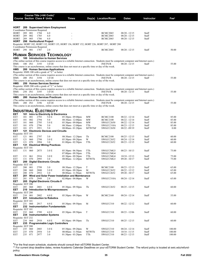|                           |            |            | Course Title (+IAI Code) <sup>1</sup> |                                                  |                                                                                                                                                |               |                              |                                    |                   |                   |
|---------------------------|------------|------------|---------------------------------------|--------------------------------------------------|------------------------------------------------------------------------------------------------------------------------------------------------|---------------|------------------------------|------------------------------------|-------------------|-------------------|
|                           |            |            | <b>Course Section Class # Units</b>   |                                                  | <b>Times</b>                                                                                                                                   |               | Day(s) Location/Room         | <b>Dates</b>                       | <b>Instructor</b> | $\mathsf{Fe}^{2}$ |
|                           |            |            |                                       |                                                  |                                                                                                                                                |               |                              |                                    |                   |                   |
| HORT                      | 289        |            | Coordinator Permission Required.      | <b>Supervised Intern Employment</b>              |                                                                                                                                                |               |                              |                                    |                   |                   |
| HORT                      | 289        | 001        | 1784                                  | 6.0                                              |                                                                                                                                                |               | <b>BCMC2065</b>              | $08/20 - 12/15$                    | Staff             |                   |
| HORT                      | 289        | 002        | 1785                                  | 6.0                                              |                                                                                                                                                |               | <b>BCMC2065</b>              | $08/20 - 12/15$                    | Staff             |                   |
| HORT                      | 289        | 003        | 1786                                  | 6.0                                              |                                                                                                                                                |               | <b>BCMC2065</b>              | $08/20 - 12/15$                    | Staff             |                   |
| HORT                      |            |            | 298 Horticultural Project             |                                                  | Requisite: HORT 102, HORT 132, HORT 135, HORT 136, HORT 152, HORT 226, HORT 287, HORT 288                                                      |               |                              |                                    |                   |                   |
|                           |            |            | Coordinator Permission Required.      |                                                  |                                                                                                                                                |               |                              |                                    |                   |                   |
| HORT                      | 298 001    |            | 1787                                  | 2.0                                              |                                                                                                                                                |               | <b>BCMC2065</b>              | $08/20 - 12/15$                    | Staff             | 50.00             |
|                           |            |            |                                       | <b>HUMAN SERVICES TECHNOLOGY</b>                 |                                                                                                                                                |               |                              |                                    |                   |                   |
| HMS                       |            |            |                                       | 100 Introduction to Human Services               |                                                                                                                                                |               |                              |                                    |                   |                   |
| HMS                       | 100 IN1    |            | 3193                                  | 3.0 OI                                           | (The online section of this course requires access to a reliable Internet connection. Students must be competent computer and Internet users.) |               | <b>INETN/R</b>               | $08/20 - 12/15$                    | Staff             | 55.00             |
|                           |            |            |                                       |                                                  | This course is an asynchronous, online course that does not meet at a specific time or day of the week.                                        |               |                              |                                    |                   |                   |
| HMS                       |            |            |                                       | 200 Human Services Applications                  |                                                                                                                                                |               |                              |                                    |                   |                   |
|                           |            |            |                                       | Requisite: HMS 100 with a grade of "C" or better |                                                                                                                                                |               |                              |                                    |                   |                   |
| HMS                       | 200 IN1    |            | 3194                                  | 3.0 OI                                           | (The online section of this course requires access to a reliable Internet connection. Students must be competent computer and Internet users.) |               | <b>INETN/R</b>               | $08/20 - 12/15$                    | Staff             | 55.00             |
|                           |            |            |                                       |                                                  | This course is an asynchronous, online course that does not meet at a specific time or day of the week.                                        |               |                              |                                    |                   |                   |
| HMS                       |            |            |                                       | 250 Human Services Seminar                       |                                                                                                                                                |               |                              |                                    |                   |                   |
|                           |            |            |                                       | Requisite: HMS 200 with a grade of "C" or better | (The online section of this course requires access to a reliable Internet connection. Students must be competent computer and Internet users.) |               |                              |                                    |                   |                   |
| HMS                       | 250 IN1    |            | 3195                                  | 3.0 OI                                           |                                                                                                                                                |               | <b>INETN/R</b>               | $08/20 - 12/15$                    | Staff             | 55.00             |
|                           |            |            |                                       |                                                  | This course is an asynchronous, online course that does not meet at a specific time or day of the week.                                        |               |                              |                                    |                   |                   |
| HMS                       |            |            |                                       | 280 Human Services Practicum                     | (The online section of this course requires access to a reliable Internet connection. Students must be competent computer and Internet users.) |               |                              |                                    |                   |                   |
| HMS                       | 280 IN1    |            | 3196                                  | 4.0 OI                                           |                                                                                                                                                |               | <b>INETN/R</b>               | $08/20 - 12/15$                    | Staff             | 55.00             |
|                           |            |            |                                       |                                                  | This course is an asynchronous, online course that does not meet at a specific time or day of the week.                                        |               |                              |                                    |                   |                   |
|                           |            |            |                                       | <b>INDUSTRIAL ELECTRICITY</b>                    |                                                                                                                                                |               |                              |                                    |                   |                   |
| EET                       |            |            |                                       | 101 Intro to Electricity & Electronics           |                                                                                                                                                |               |                              |                                    |                   |                   |
| EET                       | 101        | 001        | 2793                                  | 5.0 E                                            | 05:30pm - 09:00pm                                                                                                                              | MW            | <b>BCMC2100</b>              | $08/22 - 12/14$                    | Staff             | 85.00             |
| <b>EET</b>                | 101        | 002        | 2794                                  | 5.0                                              | 08:30am - 12:00pm                                                                                                                              | MW            | <b>BCMC2100</b>              | $08/22 - 12/14$                    | Staff             | 85.00             |
| EET<br>EET                | 101<br>101 | 060<br>070 | 2795<br>2796                          | 5.0 E<br>5.0                                     | 05:30pm - 09:00pm<br>08:30am - 12:00pm                                                                                                         | MW<br>TTh     | SWGCC2650<br>SWGCC310A       | $08/22 - 12/14$<br>$08/23 - 12/15$ | Staff<br>Staff    | 85.00<br>85.00    |
| EET                       | 101        | 071        | 2951                                  | 5.0                                              | 08:00am - 01:20pm                                                                                                                              | <b>MTWThF</b> | SWGCC2650                    | $08/22 - 09/19$                    | Staff             | 0.00              |
| EET                       | 121        |            |                                       | <b>Electronic Devices and Circuits</b>           |                                                                                                                                                |               |                              |                                    |                   |                   |
| Requisite: EET 101        |            |            |                                       |                                                  |                                                                                                                                                |               |                              |                                    |                   |                   |
| EET<br>EET                | 121<br>121 | 001<br>060 | 2797<br>2798                          | 3.0<br>3.0 E                                     | 08:30am - 12:20pm<br>05:30pm - 09:20pm                                                                                                         | Th<br>W       | <b>BCMC2100</b><br>SWGCC2652 | $08/25 - 12/15$<br>$08/24 - 12/14$ | Staff<br>Staff    | 60.00<br>60.00    |
| EET                       | 121        | 070        | 2994                                  | 3.0                                              | $01:00$ pm - $02:50$ pm                                                                                                                        | TTh           | SWGCC2652                    | $08/23 - 12/15$                    | Staff             | 60.00             |
| EET                       | 131        |            |                                       | <b>Electrical Wiring Practices</b>               |                                                                                                                                                |               |                              |                                    |                   |                   |
| Requisite: EET 101<br>EET | 131        | 060        | 2875                                  | 3.0 E                                            | $05:30$ pm - $06:50$ pm                                                                                                                        | TTh           | SWGCCMG3                     | $08/23 - 10/13$                    | Staff             | 75.00             |
|                           |            |            |                                       |                                                  | 07:00pm - 09:50pm                                                                                                                              | TTh           | SWGCCMG4                     |                                    |                   |                   |
| EET                       | 131        | 061        | 2916                                  | $3.0 E$                                          | 05:30pm - 09:50pm                                                                                                                              | TTh           | SWGCCMG4                     | $10/18 - 12/13$                    | Staff             | 75.00             |
| EET                       | 131<br>200 | 070        | 2995                                  | 3.0<br><b>Digital Electronic Circuits</b>        | 08:00am - 12:20pm                                                                                                                              | MTWTh         | SWGCCMG3                     | $09/20 - 10/17$                    | Staff             | 75.00             |
| EET<br>Requisite: EET 101 |            |            |                                       |                                                  |                                                                                                                                                |               |                              |                                    |                   |                   |
| EET                       | 200        | 001        | 2799                                  | 3.0                                              | 08:30am - 12:20pm                                                                                                                              | T             | <b>BCMC2100</b>              | $08/23 - 12/13$                    | Staff             | 65.00             |
| EET                       | 200        | 060        | 2800                                  | 3.0 E                                            | 05:30pm - 09:20pm                                                                                                                              | М             | SWGCC2652                    | $08/22 - 12/12$                    | Staff             | 65.00             |
| EET<br>EET                | 200<br>201 | 070        | 2952                                  | 3.0                                              | 08:00am - 11:50am<br>Wind and Solar Power Installation and Maintenance                                                                         | MTWTh         | SWGCC2652                    | $09/20 - 10/17$                    | Staff             | 65.00             |
| EET                       | 201        | 070        | 2949                                  | 2.0                                              | $02:00$ pm - $04:00$ pm                                                                                                                        | W             | SWGCC310A                    | $08/24 - 12/14$                    | Staff             | 65.00             |
| EET                       |            |            |                                       | 205 Digital Electronic Circuits II               |                                                                                                                                                |               |                              |                                    |                   |                   |
| Requisite: EET 200<br>EET | 205        | 060        | 2801                                  | 4.0 E                                            | 05:30pm - 09:50pm                                                                                                                              | Th            | SWGCC2652                    | $08/25 - 12/15$                    | Staff             | 60.00             |
| EET                       |            |            |                                       | 210 Introduction to Microprocessors              |                                                                                                                                                |               |                              |                                    |                   |                   |
| Requisite: EET 200        |            |            |                                       |                                                  |                                                                                                                                                |               |                              |                                    |                   |                   |
| EET                       | 210        | 001        | 2802                                  | 4.0 E                                            | 05:30pm - 09:50pm                                                                                                                              | W             | <b>BCMC2160</b>              | $08/24 - 12/14$                    | Staff             | 55.00             |
| EET<br>Requisite: EET 101 |            |            |                                       | 231 Introduction to Robotics                     |                                                                                                                                                |               |                              |                                    |                   |                   |
| EET                       | 231        | 060        | 2917                                  | 4.0 E                                            | 05:30pm - 09:50pm                                                                                                                              | M             | SWGCC310                     | $08/22 - 12/12$                    | Staff             | 60.00             |
| EET                       |            |            |                                       | 232 Instrumentation Fundamentals                 |                                                                                                                                                |               |                              |                                    |                   |                   |
| Requisite: EET 101        |            |            |                                       |                                                  |                                                                                                                                                |               |                              |                                    |                   |                   |
| EET<br>EET                | 232        | 060        | 2789                                  | 4.0 E<br>234 Instrumentation Systems             | 05:30pm - 09:50pm                                                                                                                              | T             | SWGCC310                     | $08/23 - 12/06$                    | Staff             | 60.00             |
| Requisite: EET 232        |            |            |                                       |                                                  |                                                                                                                                                |               |                              |                                    |                   |                   |
| EET                       | 234        | 060        | 2918                                  | 4.0 E                                            | 05:30pm - 09:50pm                                                                                                                              | Th            | SWGCC310                     | $08/25 - 12/15$                    | Staff             | 60.00             |
| EET<br>Requisite: EET 200 |            |            |                                       | 235 Programmable Logic Controllers               |                                                                                                                                                |               |                              |                                    |                   |                   |
| EET                       | 235        | 060        | 2803                                  | 3.0 E                                            | $05:30$ pm - $09:20$ pm                                                                                                                        | W             | SWGCC310                     | $08/24 - 12/14$                    | Staff             | 100.00            |
| EET                       | 235        | 070        | 2954                                  | 3.0                                              | 08:00am - 11:50am                                                                                                                              | <b>MTWTh</b>  | SWGCC310                     | $10/18 - 11/15$                    | Staff             | 100.00            |
| EET                       | 235        | 071        | 2977                                  | 3.0                                              | $01:30$ pm - $03:20$ pm                                                                                                                        | TTh           | SWGCC310                     | $08/23 - 12/15$                    | Staff             | 100.00            |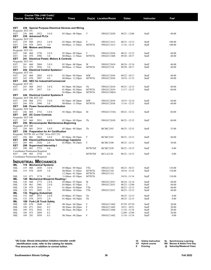|                             |            |            | Course Title (+IAI Code) <sup>1</sup>                    |                                                       |                                                                              |               |                      |                                    |                |                  |
|-----------------------------|------------|------------|----------------------------------------------------------|-------------------------------------------------------|------------------------------------------------------------------------------|---------------|----------------------|------------------------------------|----------------|------------------|
|                             |            |            | <b>Course Section Class # Units</b>                      |                                                       | <b>Times</b>                                                                 |               | Day(s) Location/Room | <b>Dates</b>                       | Instructor     | Fee <sup>2</sup> |
|                             |            |            |                                                          |                                                       |                                                                              |               |                      |                                    |                |                  |
| EET                         | 238        |            |                                                          |                                                       | <b>Special Purpose Electrical Devices and Wiring</b>                         |               |                      |                                    |                |                  |
| Requisite: EET 101          | 238        | 060        | 2932                                                     |                                                       |                                                                              | T             |                      |                                    |                |                  |
| EET<br>EET                  | 239        |            | <b>Advanced PLCs</b>                                     | 3.0 E                                                 | $05:30$ pm - $08:50$ pm                                                      |               | SWGCC2650            | 08/23 - 12/06                      | Staff          | 60.00            |
| Requisite: EET 235          |            |            |                                                          |                                                       |                                                                              |               |                      |                                    |                |                  |
| EET                         | 239<br>239 | 060        | 2912<br>2955                                             | 3.0 E<br>3.0                                          | $05:30$ pm - $09:20$ pm                                                      | T             | SWGCC1613            | $08/23 - 12/13$                    | Staff          | 100.00           |
| EET<br>EET                  | 240        | 070        | <b>Motors and Drives</b>                                 |                                                       | 08:00am - 11:50am                                                            | MTWTh         | SWGCC1613            | $11/16 - 12/15$                    | Staff          | 100.00           |
| Requisite: EET 101          |            |            |                                                          |                                                       |                                                                              |               |                      |                                    |                |                  |
| EET                         | 240        | 060        | 2750                                                     | 3.0 E                                                 | $05:30$ pm - $09:20$ pm                                                      | T             | SWGCC2656            | $08/23 - 12/13$                    | Staff          | 60.00            |
| EET<br>EET                  | 240<br>241 | 070        | 2996                                                     | 3.0<br><b>Electrical Power, Motors &amp; Controls</b> | 08:00am - 11:50am                                                            | MTWTh         | SWGCC1608            | $09/20 - 10/17$                    | Staff          | 60.00            |
| Requisite: EET 101          |            |            |                                                          |                                                       |                                                                              |               |                      |                                    |                |                  |
| EET                         | 241        | 060        | 2804                                                     | 3.0 E                                                 | $05:30$ pm - $08:50$ pm                                                      | W             | SWGCC2654            | 08/24 - 12/14                      | Staff          | 60.00            |
| EET<br>EET                  | 241<br>242 | 070        | 2956                                                     | 3.0<br><b>Electrical Control Systems I</b>            | 08:00am - 11:50am                                                            | MTWTh         | SWGCC310             | $09/20 - 10/17$                    | Staff          | 60.00            |
| Requisite: EET 101          |            |            |                                                          |                                                       |                                                                              |               |                      |                                    |                |                  |
| EET                         | 242        | 060        | 2805                                                     | 4.0 E                                                 | 05:30pm - 09:50pm                                                            | MW            | SWGCC2656            | $08/22 - 10/17$                    | Staff          | 60.00            |
| EET<br>EET                  | 242        | 070        | 2997                                                     | 4.0<br>243 NEC for Industrial/Commercial              | 08:00am - 12:20pm                                                            | MTWTh         | SWGCC2656            | $10/18 - 11/15$                    | Staff          | 60.00            |
| Requisite: EET 101          |            |            |                                                          |                                                       |                                                                              |               |                      |                                    |                |                  |
| EET                         | 243        | 060        | 2933                                                     | 3.0 E                                                 | $05:30$ pm - $08:20$ pm                                                      | Th            | SWGCC2654            | $08/25 - 12/15$                    | Staff          | 60.00            |
| EET                         | 243        | 070        | 2957                                                     | 3.0                                                   | $01:00$ pm - $02:50$ pm                                                      | MTWTh         | SWGCC2654            | $11/17 - 12/15$                    | Staff          | 60.00            |
| EET                         |            |            |                                                          | 244 Electrical Control Systems II                     | $03:00$ pm - $04:20$ pm                                                      | MTWTh         | SWGCCMG4             |                                    |                |                  |
| Requisite: EET 240, EET 242 |            |            |                                                          |                                                       |                                                                              |               |                      |                                    |                |                  |
| EET                         | 244        | 060        | 2751                                                     | 3.0 <sub>E</sub>                                      | 05:30pm - 09:20pm                                                            | MW            | SWGCC2656            | $10/19 - 12/14$                    | Staff          | 60.00            |
| EET<br>EET                  | 244        | 070        | 2998                                                     | 3.0<br>246 Power Generation/Distribution              | 08:00am - 11:50am                                                            | <b>MTWTh</b>  | SWGCC2656            | $11/16 - 12/15$                    | Staff          | 60.00            |
| Requisite: EET 244          |            |            |                                                          |                                                       |                                                                              |               |                      |                                    |                |                  |
| EET                         | 246        | 060        | 2752                                                     | 3.0 E                                                 | 05:30pm - 09:20pm                                                            | M             | SWGCC310A            | $08/22 - 12/12$                    | Staff          | 60.00            |
| EET<br>Requisite: EET 240   | 247        |            | <b>DC Crane Controls</b>                                 |                                                       |                                                                              |               |                      |                                    |                |                  |
| EET                         | 247        | 060        | 2931                                                     | 4.0 E                                                 | 05:30pm - 09:50pm                                                            | Th            | SWGCC2650            | $08/25 - 12/15$                    | Staff          | 60.00            |
| EET                         | 250        |            |                                                          |                                                       | Microcomputer Maintenance-Beginning                                          |               |                      |                                    |                |                  |
| Requisite: EET 200          |            |            |                                                          |                                                       |                                                                              |               |                      |                                    |                |                  |
| EET<br>EET                  | 250<br>256 | 001        | 2919                                                     | 3.0 E<br><b>Preparation for A+ Certification</b>      | $05:30$ pm - $09:20$ pm                                                      | Th            | <b>BCMC2103</b>      | $08/25 - 12/15$                    | Staff          | 55.00            |
|                             |            |            |                                                          | Requisite: NETW 101 or CISC 161 or EET 255            |                                                                              |               |                      |                                    |                |                  |
| EET                         | 256        | 001        | 2863                                                     | 3.0 E                                                 | 05:30pm - 09:20pm                                                            | T             | <b>BCMC2103</b>      | $08/23 - 12/13$                    | Staff          | 60.00            |
| EET<br>EET                  | 269<br>269 | 001        | 2920                                                     | 2.0                                                   | <b>Electrical/Electronics Technology Capstone</b><br>$02:00$ pm - $04:20$ pm | T             | <b>BCMC2100</b>      | $08/23 - 12/13$                    | Staff          | 30.00            |
| EET                         | 290        |            |                                                          | Supervised Internship I                               |                                                                              |               |                      |                                    |                |                  |
| EET                         | 290        | 001        | 2753                                                     | 4.0                                                   |                                                                              | <b>MTWThF</b> | <b>BCMC2220</b>      | $08/22 - 12/15$                    | Staff          | 0.00             |
| EET                         | 290        | 002        | Coordinator Permission Required.<br>2754                 | 4.0                                                   |                                                                              | <b>MTWThF</b> | <b>BCLA2120</b>      | $08/22 - 12/15$                    | Staff          | 0.00             |
|                             |            |            | Coordinator Permission Required.                         |                                                       |                                                                              |               |                      |                                    |                |                  |
|                             |            |            |                                                          |                                                       |                                                                              |               |                      |                                    |                |                  |
| IML                         | 119        |            | <b>INDUSTRIAL MECHANICS</b><br><b>Mechanical Systems</b> |                                                       |                                                                              |               |                      |                                    |                |                  |
| IML                         | 119        | 060        | 2858                                                     | 3.0 E                                                 | $05:00 \text{pm} - 09:50 \text{pm}$                                          | TTh           | SWGCC341             | $08/23 - 10/13$                    | Staff          | 110.00           |
| IML                         | 119        | 070        | 2859                                                     | 3.0                                                   | 08:00am - 11:50am                                                            | MTWTh         | SWGCC341             | $10/18 - 11/14$                    | Staff          | 110.00           |
|                             |            |            |                                                          |                                                       | $12:30$ pm - 01:30pm                                                         | MTWTh         | SWGCC321             |                                    |                |                  |
| IML<br>IML                  | 119<br>120 | 071        | 3174                                                     | 3.0<br><b>Mechanical Blueprint Reading I</b>          | 11:00am - $03:50$ pm                                                         | MTWTh         |                      | $10/18 - 11/14$                    | Staff          | 110.00           |
| IML                         | 120        | 060        | 2773                                                     | 2.0 E                                                 | $05:00$ pm - $07:50$ pm                                                      | W             | SWGCC2651            | $08/24 - 12/14$                    | Staff          | 60.00            |
| IML                         | 120        | 061        | 2901                                                     | 2.0 E                                                 | 05:00pm - 07:50pm                                                            | T             | SWGCC2651            | $08/23 - 12/06$                    | Staff          | 60.00            |
| IML<br>IML                  | 120<br>120 | 070<br>071 | 2810<br>2892                                             | 2.0<br>2.0                                            | $01:40$ pm - $03:00$ pm<br>09:00am - 10:20am                                 | TTh<br>TTh    | SWGCC2651            | $08/23 - 12/13$<br>$08/23 - 12/13$ | Staff<br>Staff | 60.00<br>60.00   |
| IML                         | 133        |            | <b>Rigging (Industrial)</b>                              |                                                       |                                                                              |               |                      |                                    |                |                  |
| IML                         | 133        | 060        | 2915                                                     | 2.0 E                                                 | $05:00$ pm - $07:50$ pm                                                      | Th            |                      | $08/25 - 12/15$                    | Staff          | 0.00             |
| IML                         | 133        | 070        | 2975                                                     | 2.0                                                   | $01:40$ pm - 04:30pm                                                         | Th            |                      | $08/25 - 12/15$                    | Staff          | 0.00             |
| IML<br>IML                  | 189<br>189 | 070        | <b>Fork Lift Truck Safety</b><br>2840                    | 0.5                                                   | 08:30am - 04:20pm                                                            | $\mathbf F$   | SWGCC1602            | $07/29 - 07/29$                    | Staff          | 20.00            |
| IML                         | 189        | 071        | 2841                                                     | 0.5                                                   | 08:30am - 04:20pm                                                            | F             | SWGCC1602            | $10/21 - 10/21$                    | Staff          | 20.00            |
| IML                         | 189        | 072        | 2842                                                     | 0.5                                                   | 08:30am - 04:20pm                                                            | F             | SWGCC1604            | $11/18 - 11/18$                    | Staff          | 20.00            |
| IML<br>IML                  | 189<br>189 | 073<br>201 | 2889<br>3058                                             | 0.5<br>0.5                                            | 08:30am - 04:20pm                                                            | F             | SWGCC1602            | 12/09 - 12/09<br>$11/18 - 11/18$   | Staff<br>Staff | 20.00<br>0.00    |
|                             |            |            |                                                          |                                                       |                                                                              |               |                      |                                    |                |                  |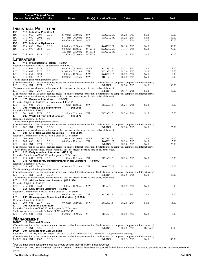|                                         |            |            | Course Title (+IAI Code) <sup>1</sup> |                                                                      |                                                                                                                                                |                  |                       |                                    |                |                  |
|-----------------------------------------|------------|------------|---------------------------------------|----------------------------------------------------------------------|------------------------------------------------------------------------------------------------------------------------------------------------|------------------|-----------------------|------------------------------------|----------------|------------------|
|                                         |            |            | <b>Course Section Class # Units</b>   |                                                                      | <b>Times</b>                                                                                                                                   |                  | Day(s) Location/Room  | Dates                              | Instructor     | Fee <sup>2</sup> |
|                                         |            |            |                                       |                                                                      |                                                                                                                                                |                  |                       |                                    |                |                  |
|                                         |            |            |                                       |                                                                      |                                                                                                                                                |                  |                       |                                    |                |                  |
|                                         |            |            |                                       | <b>INDUSTRIAL PIPEFITTING</b>                                        |                                                                                                                                                |                  |                       |                                    |                |                  |
| IDP<br>IDP                              | 116        | 060        | 116 Industrial Pipefitter A<br>2903   | 3.0 E                                                                | 05:00pm - 09:50pm                                                                                                                              | MW               | SWGCC2657             | $08/22 - 10/17$                    | Staff          | 160.00           |
| IDP                                     | 116        | 070        | 2902                                  | 3.0                                                                  | $01:40$ pm - $04:00$ pm                                                                                                                        | MW               | SWGCC2657             | $08/22 - 12/14$                    | Staff          | 160.00           |
| IDP                                     | 116        | 071        | 3172                                  | 3.0                                                                  | 08:00am - 10:20am                                                                                                                              | MW               |                       | $08/22 - 12/14$                    | Staff          | 160.00           |
| IDP                                     |            |            | 276 Industrial Hydraulics I           |                                                                      |                                                                                                                                                |                  |                       |                                    |                |                  |
| IDP<br>IDP                              | 276<br>276 | 060<br>070 | 2861<br>2860                          | 3.0 <sub>E</sub><br>3.0                                              | $05:00 \text{pm} - 09:50 \text{pm}$<br>08:00am - 11:50am                                                                                       | TTh<br>MTWTh     | SWGCC321<br>SWGCC2657 | $10/18 - 12/13$<br>$11/15 - 12/15$ | Staff<br>Staff | 90.00<br>90.00   |
|                                         |            |            |                                       |                                                                      | $12:30$ pm - 01:30pm                                                                                                                           | MTWTh            | SWGCC2657             |                                    |                |                  |
| <b>IDP</b>                              | 276 071    |            | 3173                                  | 3.0                                                                  | $11:00$ am - 03:50pm                                                                                                                           | MTWTh            |                       | $11/15 - 12/15$                    | Staff          | 90.00            |
| <b>LITERATURE</b>                       |            |            |                                       |                                                                      |                                                                                                                                                |                  |                       |                                    |                |                  |
| LIТ                                     |            |            |                                       | 113 Introduction to Fiction                                          | (H3 901)                                                                                                                                       |                  |                       |                                    |                |                  |
|                                         |            |            |                                       | Requisite: Eligible for ENG 101 or concurrent with ENG 97            |                                                                                                                                                |                  |                       |                                    |                |                  |
| LIT                                     | 113        | 001        | 2173                                  | 3.0                                                                  | 08:00am - 08:50am                                                                                                                              | <b>MWF</b>       | <b>BCLA3315</b>       | $08/22 - 12/14$                    | Staff          | 15.00            |
| LIT                                     | 113        | 002        | 2572                                  | 3.0                                                                  | $02:00$ pm - $03:15$ pm                                                                                                                        | TTh              | <b>BCLA3315</b>       | $08/23 - 12/15$                    | Staff          | 15.00            |
| LIT<br>LIT                              | 113<br>113 | 061        | 2620<br>2547                          | 3.0                                                                  | 10:00am - 10:50am                                                                                                                              | <b>MWF</b><br>MW | SWGCC512              | $08/22 - 12/14$                    | Staff<br>Staff | 5.00             |
|                                         |            | 080        |                                       | 3.0<br>This is a reading and writing intensive course.               | $02:00 \text{pm} - 03:15 \text{pm}$                                                                                                            |                  | <b>RBC150</b>         | $08/22 - 12/14$                    |                | 15.00            |
|                                         |            |            |                                       |                                                                      | (The online section of this course requires access to a reliable Internet connection. Students must be competent computer and Internet users.) |                  |                       |                                    |                |                  |
| LIT                                     | 113 IN1    |            | 2175                                  | 3.0 OI                                                               |                                                                                                                                                |                  | <b>INETN/R</b>        | $08/20 - 12/15$                    | Staff          | 30.00            |
|                                         |            |            |                                       |                                                                      | This course is an asynchronous, online course that does not meet at a specific time or day of the week.                                        |                  |                       |                                    |                |                  |
| LIT                                     | 113 IN2    |            | 2457                                  | 3.0 OI                                                               | (The online section of this course requires access to a reliable Internet connection. Students must be competent computer and Internet users.) |                  | <b>INETN/R</b>        | $09/17 - 12/15$                    | Staff          | 30.00            |
|                                         |            |            |                                       |                                                                      | This course is an asynchronous, online course that does not meet at a specific time or day of the week.                                        |                  |                       |                                    |                |                  |
| LIТ                                     |            |            | 125 Drama as Literature               |                                                                      | (H3 902)                                                                                                                                       |                  |                       |                                    |                |                  |
|                                         |            |            |                                       | Requisite: Eligible for ENG 101 or concurrent with ENG 97            |                                                                                                                                                |                  |                       |                                    |                |                  |
| LIT<br>LIТ                              | 125 001    |            | 2451                                  | 3.0<br>201 World Lit to Enlightenment                                | 11:00am - 11:50am<br>(H3 906)                                                                                                                  | <b>MWF</b>       | <b>BCLA3315</b>       | $08/23 - 12/15$                    | Staff          | 15.00            |
| Requisite: Eligible for ENG 101         |            |            |                                       |                                                                      |                                                                                                                                                |                  |                       |                                    |                |                  |
| LIT                                     | 201 001    |            | 2176                                  | 3.0                                                                  | $12:30$ pm - 01:45pm                                                                                                                           | TTh              | <b>BCLA3315</b>       | $08/23 - 12/14$                    | Staff          | 15.00            |
| LIТ                                     |            |            |                                       | 202 World Lit from Enlightenment                                     | (H3 907)                                                                                                                                       |                  |                       |                                    |                |                  |
| Requisite: Eligible for ENG 101         |            |            |                                       |                                                                      |                                                                                                                                                |                  |                       |                                    |                |                  |
|                                         |            |            |                                       | This is a reading and writing intensive course.                      | (The online section of this course requires access to a reliable Internet connection. Students must be competent computer and Internet users.) |                  |                       |                                    |                |                  |
| LIT                                     | 202 IN1    |            | 2378                                  | 3.0 OI                                                               |                                                                                                                                                |                  | <b>INETN/R</b>        | $08/20 - 12/15$                    | Staff          | 25.00            |
|                                         |            |            |                                       |                                                                      | This course is an asynchronous, online course that does not meet at a specific time or day of the week.                                        |                  |                       |                                    |                |                  |
| LIТ                                     |            |            |                                       | 205 Lit of Non-Western Countries                                     | (H3 908N)                                                                                                                                      |                  |                       |                                    |                |                  |
| LIT                                     | 205        | 001        | 2177                                  | 3.0                                                                  | Requisite: Completion of ENG 101 with a grade of "C" or better<br>$12:00 \text{pm} - 12:50 \text{pm}$                                          | <b>MWF</b>       | <b>BCLA3315</b>       | $08/22 - 12/14$                    | Staff          | 15.00            |
| LIT                                     | 205        | 060        | 2621                                  | 3.0                                                                  | 09:30am - 10:45am                                                                                                                              | TTh              | SWGCC523              | $08/23 - 12/15$                    | Staff          | 15.00            |
| LIT                                     | 205 IN1    |            | 2393                                  | 3.0 OI                                                               |                                                                                                                                                |                  | <b>INETN/R</b>        | $08/20 - 12/15$                    | Staff          | 25.00            |
|                                         |            |            |                                       |                                                                      | (The online section of this course requires access to a reliable Internet connection. Students must be competent computer and Internet users.) |                  |                       |                                    |                |                  |
| LIТ                                     |            |            |                                       | 213 Early American Literature (H3 914)                               | This course is an asynchronous, online course that does not meet at a specific time or day of the week.                                        |                  |                       |                                    |                |                  |
|                                         |            |            |                                       |                                                                      | Requisite: Completion of ENG 101 with a grade of "C" or better                                                                                 |                  |                       |                                    |                |                  |
| LIT                                     | 213 001    |            | 2178                                  | 3.0                                                                  | 11:00am - 12:15pm                                                                                                                              | TTh              | <b>BCLA3315</b>       | $08/23 - 12/15$                    | Staff          | 15.00            |
| LIТ                                     |            |            |                                       |                                                                      | 215 Contemporary Multicultural American Literature (H3 910D)                                                                                   |                  |                       |                                    |                |                  |
| Requisite: Eligible for ENG 101         |            |            |                                       |                                                                      |                                                                                                                                                |                  |                       |                                    |                |                  |
| LIT                                     | 215 060    |            | 2623                                  | 3.0<br>This is a reading and writing intensive course.               | $02:00 \text{pm} - 03:15 \text{pm}$                                                                                                            | TTh              | SWGCC512              | $08/23 - 12/15$                    | Staff          | 15.00            |
|                                         |            |            |                                       |                                                                      | (The online section of this course requires access to a reliable Internet connection. Students must be competent computer and Internet users.) |                  |                       |                                    |                |                  |
| LIT                                     | 215 IN1    |            | 2362                                  | 3.0 OI                                                               |                                                                                                                                                |                  | <b>INETN/R</b>        | $08/20 - 12/15$                    | Staff          | 30.00            |
|                                         |            |            |                                       |                                                                      | This course is an asynchronous, online course that does not meet at a specific time or day of the week.                                        |                  |                       |                                    |                |                  |
| LIT.<br>Requisite: Eligible for ENG 101 |            |            |                                       | 216 African American Literature (H3 910D)                            |                                                                                                                                                |                  |                       |                                    |                |                  |
| LIT                                     | 216 001    |            | 2463                                  | 3.0                                                                  | 10:00am - 10:50am                                                                                                                              | <b>MWF</b>       | <b>BCLA3315</b>       | $08/22 - 12/14$                    | Staff          | 15.00            |
| LIТ                                     |            |            |                                       | 251 Early British Literature (H3 912)                                |                                                                                                                                                |                  |                       |                                    |                |                  |
|                                         |            |            |                                       |                                                                      | Requisite: Completion of ENG 101 with a grade of "C" or better                                                                                 |                  |                       |                                    |                |                  |
| LIT<br>LIT                              |            | 251 001    | 2179                                  | 3.0                                                                  | 09:30am - 10:45am<br>290 Shakespeare - Comedies & Histories (H3 905)                                                                           | TTh              | <b>BCLA3315</b>       | $08/22 - 12/14$                    | Staff          | 15.00            |
| Requisite: Eligible for ENG 101         |            |            |                                       |                                                                      |                                                                                                                                                |                  |                       |                                    |                |                  |
| LIT                                     | 290 001    |            | 2337                                  | 3.0                                                                  | 09:00am - 09:50am                                                                                                                              | <b>MWF</b>       | <b>BCLA3315</b>       | $08/22 - 12/14$                    | Staff          | 15.00            |
| LIТ                                     |            |            | 293 Children's Literature             |                                                                      |                                                                                                                                                |                  |                       |                                    |                |                  |
|                                         |            |            |                                       |                                                                      | Requisite: Completion of ENG 101 with a grade of "C" or better                                                                                 |                  |                       |                                    |                |                  |
| LIT                                     | 293 001    |            | 2180                                  | Students cannot receive credit for both LIT 293 and ED 293.<br>3.0 E | 06:00pm - 08:50pm                                                                                                                              | M                | <b>BCLA2116</b>       | $08/22 - 12/12$                    | Staff          | 5.00             |
|                                         |            |            |                                       |                                                                      |                                                                                                                                                |                  |                       |                                    |                |                  |
| <b>MANAGEMENT</b>                       |            |            |                                       |                                                                      |                                                                                                                                                |                  |                       |                                    |                |                  |
| MGMT 117 Personal Finance               |            |            |                                       |                                                                      |                                                                                                                                                |                  |                       |                                    |                |                  |
|                                         |            |            |                                       |                                                                      | (The online section of this course requires access to a reliable Internet connection. Students must be competent computer and Internet users.) |                  |                       |                                    |                |                  |
| MGMT 117 IN1                            |            |            | 3121                                  | 3.0 OI<br><b>MGMT</b> 204 Entrepreneur Case Analysis                 |                                                                                                                                                |                  | <b>INETN/R</b>        | $08/22 - 12/15$                    | Bilyeu,T       | 30.00            |
|                                         |            |            |                                       |                                                                      | Requisite: COMM 151, ENG 101; MGMT 219 or (MGMT 201 and MGMT 202 and MGMT 203); sophomore standing                                             |                  |                       |                                    |                |                  |
|                                         |            |            |                                       |                                                                      | (The online section of this course requires access to a reliable Internet connection. Students must be competent computer and Internet users.) |                  |                       |                                    |                |                  |
| MGMT 204 IN1                            |            |            | 1507                                  | 3.0 OI                                                               |                                                                                                                                                |                  | <b>INETN/R</b>        | $08/22 - 12/15$                    | Staff          | 45.00            |
|                                         |            |            |                                       |                                                                      | *For the final exam schedule, students should consult their eSTORM Student Center.                                                             |                  |                       |                                    |                |                  |
|                                         |            |            |                                       |                                                                      |                                                                                                                                                |                  |                       |                                    |                |                  |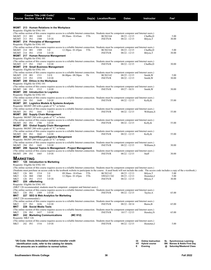| Course Section Class # Units    |         |                | Course Title (+IAI Code) <sup>1</sup> |                                                                                        | <b>Times</b>            |                                                                                | Day(s) Location/Room | <b>Dates</b>                                                                                                                                                                                               | <b>Instructor</b> | $\text{Fe}^2$ |  |
|---------------------------------|---------|----------------|---------------------------------------|----------------------------------------------------------------------------------------|-------------------------|--------------------------------------------------------------------------------|----------------------|------------------------------------------------------------------------------------------------------------------------------------------------------------------------------------------------------------|-------------------|---------------|--|
|                                 |         |                |                                       | MGMT 213 Human Relations in the Workplace                                              |                         |                                                                                |                      |                                                                                                                                                                                                            |                   |               |  |
| Requisite: Eligible for ENG 101 |         |                |                                       |                                                                                        |                         |                                                                                |                      | (The online section of this course requires access to a reliable Internet connection. Students must be competent computer and Internet users.)                                                             |                   |               |  |
| MGMT 213 001                    |         |                | 1648                                  | 3.0                                                                                    | 09:30am - 10:45am       | TTh                                                                            | <b>BCIS2164</b>      | $08/23 - 12/15$                                                                                                                                                                                            | Chaffin,D         | 5.00          |  |
| MGMT 213 IN1                    |         |                | 1508                                  | 3.0 OI                                                                                 |                         |                                                                                | <b>INETN/R</b>       | $08/22 - 12/15$                                                                                                                                                                                            | Bilyeu, T         | 30.00         |  |
| Requisite: Eligible for ENG 101 |         |                |                                       | <b>MGMT</b> 214 Principles of Management                                               |                         |                                                                                |                      |                                                                                                                                                                                                            |                   |               |  |
|                                 |         |                |                                       |                                                                                        |                         |                                                                                |                      | (The online section of this course requires access to a reliable Internet connection. Students must be competent computer and Internet users.)                                                             |                   |               |  |
| MGMT 214 001                    |         |                | 1509                                  | 3.0                                                                                    | $12:30$ pm - 01:45pm    | TTh                                                                            | <b>BCIS2164</b>      | $08/23 - 12/15$                                                                                                                                                                                            | Chaffin,D         | 5.00          |  |
| MGMT 214 IN1                    |         |                | 1510                                  | 3.0 OI                                                                                 |                         |                                                                                | <b>INETN/R</b>       | $08/22 - 12/15$                                                                                                                                                                                            | Bilyeu, T         | 30.00         |  |
|                                 |         |                |                                       | MGMT 217 Human Resource Management                                                     |                         |                                                                                |                      |                                                                                                                                                                                                            |                   |               |  |
| Requisite: Eligible for ENG 101 |         |                |                                       |                                                                                        |                         |                                                                                |                      | (The online section of this course requires access to a reliable Internet connection. Students must be competent computer and Internet users.)                                                             |                   |               |  |
| MGMT 217 IN1                    |         |                | 1565                                  | 3.0 OI                                                                                 |                         |                                                                                | <b>INETN/R</b>       | $08/22 - 12/15$                                                                                                                                                                                            | Chaffin,D         | 30.00         |  |
|                                 |         |                |                                       | <b>MGMT</b> 219 Small Business Management                                              |                         |                                                                                |                      |                                                                                                                                                                                                            |                   |               |  |
| Requisite: Eligible for ENG 101 |         |                |                                       |                                                                                        |                         |                                                                                |                      |                                                                                                                                                                                                            |                   |               |  |
| MGMT 219 001                    |         |                | 1511                                  | 3.0 E                                                                                  | $06:00$ pm - $08:50$ pm | Th                                                                             | <b>BCIS2142</b>      | (The online section of this course requires access to a reliable Internet connection. Students must be competent computer and Internet users.)<br>$08/25 - 12/15$                                          | Smith, W          | 5.00          |  |
| MGMT 219 IN1                    |         |                | 1558                                  | 3.0 OI                                                                                 |                         |                                                                                | <b>INETN/R</b>       | $08/22 - 12/15$                                                                                                                                                                                            | Smith, W          | 30.00         |  |
|                                 |         |                |                                       | MGMT 240 Ethics in the Workplace                                                       |                         |                                                                                |                      |                                                                                                                                                                                                            |                   |               |  |
| Requisite: Eligible for ENG 101 |         |                |                                       |                                                                                        |                         |                                                                                |                      |                                                                                                                                                                                                            |                   |               |  |
| MGMT 240 IN1                    |         |                | 1512                                  | 1.0 OI                                                                                 |                         |                                                                                | <b>INETN/R</b>       | (The online section of this course requires access to a reliable Internet connection. Students must be competent computer and Internet users.)<br>$09/27 - 10/31$                                          | Smith, W          | 30.00         |  |
|                                 |         |                |                                       | <b>MGMT</b> 280 Introduction to Logistics                                              |                         |                                                                                |                      |                                                                                                                                                                                                            |                   |               |  |
| Requisite: Eligible for ENG 101 |         |                |                                       |                                                                                        |                         |                                                                                |                      |                                                                                                                                                                                                            |                   |               |  |
|                                 |         |                |                                       |                                                                                        |                         |                                                                                |                      | (The online section of this course requires access to a reliable Internet connection. Students must be competent computer and Internet users.)                                                             |                   |               |  |
| MGMT 280 IN1                    |         |                | 1640                                  | 3.0 OI<br><b>MGMT</b> 281 Logistics Models & Systems Analysis                          |                         |                                                                                | <b>INETN/R</b>       | $08/22 - 12/15$                                                                                                                                                                                            | Kelly, K          | 55.00         |  |
|                                 |         |                |                                       | Requisite: MGMT 280 with a grade of "C" or better.                                     |                         |                                                                                |                      |                                                                                                                                                                                                            |                   |               |  |
|                                 |         |                |                                       |                                                                                        |                         |                                                                                |                      | (The online section of this course requires access to a reliable Internet connection. Students must be competent computer and Internet users.)                                                             |                   |               |  |
| MGMT 281 IN1                    |         |                | 1641                                  | 3.0 OI                                                                                 |                         |                                                                                | <b>INETN/R</b>       | $08/22 - 12/15$                                                                                                                                                                                            | Williams, S       | 55.00         |  |
|                                 |         |                |                                       | MGMT 282 Supply Chain Management<br>Requisite: MGMT 280 with a grade of "C" or better. |                         |                                                                                |                      |                                                                                                                                                                                                            |                   |               |  |
|                                 |         |                |                                       |                                                                                        |                         |                                                                                |                      | (The online section of this course requires access to a reliable Internet connection. Students must be competent computer and Internet users.)                                                             |                   |               |  |
| MGMT 282 IN1                    |         |                | 1706                                  | 3.0 OI                                                                                 |                         |                                                                                | <b>INETN/R</b>       | $08/22 - 12/15$                                                                                                                                                                                            | Kelly, K          | 55.00         |  |
|                                 |         |                |                                       | MGMT 283 Global Supply Chain Management                                                |                         |                                                                                |                      |                                                                                                                                                                                                            |                   |               |  |
|                                 |         |                |                                       | Requisite: MGMT 280 with a grade of "C" or better.                                     |                         |                                                                                |                      | (The online section of this course requires access to a reliable Internet connection. Students must be competent computer and Internet users.)                                                             |                   |               |  |
| MGMT 283 IN1                    |         |                | 1642                                  | 3.0 OI                                                                                 |                         |                                                                                | <b>INETN/R</b>       | $08/22 - 12/15$                                                                                                                                                                                            | Kelly, K          | 55.00         |  |
|                                 |         |                |                                       | MGMT 284 Import/Export Logistics Mangement                                             |                         |                                                                                |                      |                                                                                                                                                                                                            |                   |               |  |
|                                 |         |                |                                       | Requisite: MGMT 280 with a grade of "C" or better.                                     |                         |                                                                                |                      |                                                                                                                                                                                                            |                   |               |  |
| MGMT 284 IN1                    |         |                | 1643                                  | 3.0 OI                                                                                 |                         |                                                                                | <b>INETN/R</b>       | (The online section of this course requires access to a reliable Internet connection. Students must be competent computer and Internet users.)<br>$08/22 - 12/15$                                          | Williams, S       | 30.00         |  |
|                                 |         |                |                                       |                                                                                        |                         | MGMT 299 Special Topics In Management - Project Management                     |                      |                                                                                                                                                                                                            |                   |               |  |
|                                 |         |                |                                       |                                                                                        |                         |                                                                                |                      | (The online section of this course requires access to a reliable Internet connection. Students must be competent computer and Internet users.)                                                             |                   |               |  |
| MGMT 299 IN1                    |         |                | 1665                                  | 3.0 OI                                                                                 |                         |                                                                                | <b>INETN/R</b>       | $08/22 - 12/15$                                                                                                                                                                                            | Staff             | 30.00         |  |
| <b>MARKETING</b>                |         |                |                                       |                                                                                        |                         |                                                                                |                      |                                                                                                                                                                                                            |                   |               |  |
| мкт                             |         |                |                                       | 126 Introduction to Marketing                                                          |                         |                                                                                |                      |                                                                                                                                                                                                            |                   |               |  |
| Requisite: Eligible for ENG 101 |         |                |                                       |                                                                                        |                         |                                                                                |                      |                                                                                                                                                                                                            |                   |               |  |
|                                 |         |                |                                       |                                                                                        |                         |                                                                                |                      | (The online section of this course requires access to a reliable Internet connection. Students must be competent computer and Internet users.)                                                             |                   |               |  |
| MKT                             | 126 001 |                | 1514                                  | 3.0                                                                                    | 09:30am - 10:45am       | TTh                                                                            | <b>BCIS2142</b>      | (Students must purchase an access code to the textbook website to participate in the course. A used book will not include the code. The access code includes a copy of the e-textbook.)<br>$08/23 - 12/13$ | Bilyeu,T          | 5.00          |  |
| MKT                             | 126 060 |                | 1560                                  | 3.0                                                                                    | $12:30$ pm - 01:45pm    | TTh                                                                            | SWGCC342             | $08/23 - 12/13$                                                                                                                                                                                            | Hostetter, J      | 5.00          |  |
| MKT                             | 126 IN1 |                | 1515                                  | 3.0 OI                                                                                 |                         |                                                                                | <b>INETN/R</b>       | $08/22 - 12/15$                                                                                                                                                                                            | Bilyeu, T         | 30.00         |  |
| MKT                             |         | 226 eMarketing |                                       |                                                                                        |                         |                                                                                |                      |                                                                                                                                                                                                            |                   |               |  |
| Requisite: Eligible for ENG 101 |         |                |                                       |                                                                                        |                         | (MKT 126 recommended; students must be competent computer and Internet users.) |                      |                                                                                                                                                                                                            |                   |               |  |
|                                 |         |                |                                       |                                                                                        |                         |                                                                                |                      | (The online section of this course requires access to a reliable Internet connection. Students must be competent computer and Internet users.)                                                             |                   |               |  |
| MKT                             | 226 IN1 |                | 1589                                  | 3.0 OI                                                                                 |                         |                                                                                | <b>INETN/R</b>       | $08/22 - 12/15$                                                                                                                                                                                            | Taylor, A         | 65.00         |  |
| MKT                             |         |                |                                       | 227 SEO & Web Analytics for Marketing                                                  |                         |                                                                                |                      |                                                                                                                                                                                                            |                   |               |  |
| (MKT 226 recommended.)          |         |                |                                       |                                                                                        |                         |                                                                                |                      | (The online section of this course requires access to a reliable Internet connection. Students must be competent computer and Internet users.)                                                             |                   |               |  |
| MKT                             | 227 IN1 |                | 1636                                  | 3.0 OI                                                                                 |                         |                                                                                | <b>INETN/R</b>       | $08/22 - 10/14$                                                                                                                                                                                            | Burns, B          | 65.00         |  |
| MKT                             |         |                | 228 Social Media Tools                |                                                                                        |                         |                                                                                |                      |                                                                                                                                                                                                            |                   |               |  |
|                                 |         |                |                                       |                                                                                        |                         |                                                                                |                      | (The online section of this course requires access to a reliable Internet connection. Students must be competent computer and Internet users.)                                                             |                   |               |  |
| MKT                             | 228 IN1 |                | 1637                                  | 3.0 OI                                                                                 |                         |                                                                                | <b>INETN/R</b>       | $10/17 - 12/15$                                                                                                                                                                                            | Hensley, N        | 65.00         |  |
| мкт<br>Requisite: MKT 126       |         |                |                                       | 242 Marketing Communications                                                           | (MC 912)                |                                                                                |                      |                                                                                                                                                                                                            |                   |               |  |
|                                 |         |                |                                       |                                                                                        |                         |                                                                                |                      | (The online section of this course requires access to a reliable Internet connection. Students must be competent computer and Internet users.)                                                             |                   |               |  |
| MKT                             | 242 IN1 |                | 1516                                  | 3.0 OI                                                                                 |                         |                                                                                | <b>INETN/R</b>       | $08/22 - 12/15$                                                                                                                                                                                            | Hostetter, J      | 5.00          |  |
|                                 |         |                |                                       |                                                                                        |                         |                                                                                |                      |                                                                                                                                                                                                            |                   |               |  |
|                                 |         |                |                                       |                                                                                        |                         |                                                                                |                      |                                                                                                                                                                                                            |                   |               |  |

| <sup>1</sup> IAI Code: Illinois Articulation Initiative transfer credit |                  | OI Online Instruction SL Synchronous Learning |
|-------------------------------------------------------------------------|------------------|-----------------------------------------------|
| identification code, refer to the catalog for details.                  | HY Hybrid course | <b>BN</b> Barnes & Noble First Day            |
| <sup>2</sup> Fee amounts are in addition to normal tuition.             | Evenina          | @ Saturday/Weekend Class                      |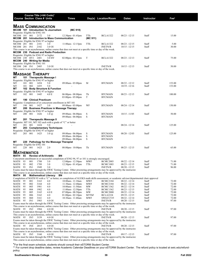|                           |          |            | Course Title (+IAI Code) <sup>1</sup><br><b>Course Section Class # Units</b> |                                                                                            | Times                                                                                                                                                                                                                            |                 | Day(s) Location/Room               | Dates                              | Instructor     | Fee <sup>2</sup> |
|---------------------------|----------|------------|------------------------------------------------------------------------------|--------------------------------------------------------------------------------------------|----------------------------------------------------------------------------------------------------------------------------------------------------------------------------------------------------------------------------------|-----------------|------------------------------------|------------------------------------|----------------|------------------|
| <b>MASS COMMUNICATION</b> |          |            |                                                                              | <b>MCOM</b> 101 Introduction To Journalism                                                 | (MC 919)                                                                                                                                                                                                                         |                 |                                    |                                    |                |                  |
|                           |          |            | Requisite: Eligible for ENG 101                                              |                                                                                            |                                                                                                                                                                                                                                  |                 |                                    |                                    |                |                  |
| MCOM 101 001              |          |            | 2172                                                                         | 3.0<br><b>MCOM</b> 201 Introduction to Mass Communication                                  | 12:30pm - 01:45pm                                                                                                                                                                                                                | TTh<br>(MC 911) | <b>BCLA1322</b>                    | $08/23 - 12/15$                    | Staff          | 15.00            |
| MCOM 201 001              |          |            | Requisite: Eligible for ENG 97 or higher<br>2181                             | 3.0                                                                                        | $11:00$ am - $12:15$ pm                                                                                                                                                                                                          | TTh             | <b>BCLA1322</b>                    | $08/23 - 12/15$                    | Staff          | 5.00             |
| MCOM 201 IN1              |          |            | 2182                                                                         | 3.0 OI                                                                                     |                                                                                                                                                                                                                                  |                 | <b>INETN/R</b>                     | $10/15 - 12/15$                    | Staff          | 30.00            |
|                           |          |            | Requisite: Eligible for ENG 97 or higher                                     | <b>MCOM</b> 230 Podcast and Radio Production                                               | This course is an asynchronous, online course that does not meet at a specific time or day of the week.                                                                                                                          |                 |                                    |                                    |                |                  |
| MCOM 230 HY1 2481         |          |            |                                                                              | 3.0 HY                                                                                     | $02:00 \text{pm} - 03:15 \text{pm}$                                                                                                                                                                                              | T               | <b>BCLA1322</b>                    | $08/23 - 12/13$                    | Staff          | 75.00            |
|                           |          |            | MCOM 240 Writing for Media                                                   |                                                                                            |                                                                                                                                                                                                                                  |                 |                                    |                                    |                |                  |
| MCOM 240 IN1              |          |            | Requisite: Eligible for ENG 101<br>2485                                      | 3.0 OI                                                                                     |                                                                                                                                                                                                                                  |                 | <b>INETN/R</b>                     | $10/15 - 12/15$                    | Staff          | 50.00            |
|                           |          |            |                                                                              |                                                                                            | This course is an asynchronous, online course that does not meet at a specific time or day of the week.                                                                                                                          |                 |                                    |                                    |                |                  |
|                           |          |            | <b>MASSAGE THERAPY</b>                                                       |                                                                                            |                                                                                                                                                                                                                                  |                 |                                    |                                    |                |                  |
| MΤ                        |          |            |                                                                              | 101 Therapeutic Massage I                                                                  |                                                                                                                                                                                                                                  |                 |                                    |                                    |                |                  |
|                           |          |            | Requisite: Eligible for ENG 97 or higher                                     |                                                                                            |                                                                                                                                                                                                                                  |                 |                                    |                                    |                |                  |
| МT                        | 101 001  |            | 1454                                                                         | 5.0                                                                                        | $09:00$ am - $03:00$ pm                                                                                                                                                                                                          | M               | <b>BTCMAIN</b>                     | $08/22 - 12/12$                    | Staff          | 153.00           |
| МT<br>МT                  | 101      | 002        | 1455                                                                         | 5.0<br>102 Body Structure & Function                                                       |                                                                                                                                                                                                                                  |                 |                                    | $10/19 - 12/16$                    | Staff          | 153.00           |
|                           |          |            | Requisite: Eligible for ENG 97 or higher                                     |                                                                                            |                                                                                                                                                                                                                                  |                 |                                    |                                    |                |                  |
| МT                        | 102 001  |            | 1445                                                                         | 4.0 E                                                                                      | $06:00 \text{pm} - 08:00 \text{pm}$                                                                                                                                                                                              | Th              | <b>BTCMAIN</b>                     | $08/23 - 12/15$                    | Staff          | 100.00           |
| МT                        |          |            | 190 Clinical Practicum                                                       |                                                                                            | $03:00 \text{pm} - 05:00 \text{pm}$                                                                                                                                                                                              | T               | <b>BTCMAIN</b>                     |                                    |                |                  |
|                           |          |            |                                                                              | Requisite: Completion of or concurrent enrollment in MT 101                                |                                                                                                                                                                                                                                  |                 |                                    |                                    |                |                  |
| МT                        | 190 001  |            | 1427                                                                         | 3.0                                                                                        | 09:00am - 03:00pm                                                                                                                                                                                                                | WF              | <b>BTCMAIN</b>                     | $08/24 - 12/14$                    | Staff          | 150.00           |
| МT                        |          |            | Requisite: Eligible for ENG 97 or higher                                     |                                                                                            | 200 Business Practices in Massage Therapy                                                                                                                                                                                        |                 |                                    |                                    |                |                  |
| МT                        | 200 001  |            | 1426                                                                         | 1.0(a)                                                                                     | 09:00am - 06:00pm                                                                                                                                                                                                                | S               | <b>BTCMAIN</b>                     | $10/15 - 11/05$                    | Staff          | 50.00            |
|                           |          |            |                                                                              |                                                                                            | $09:00$ am - $06:00$ pm                                                                                                                                                                                                          | S               | <b>BTCMAIN</b>                     |                                    |                |                  |
| МT                        |          |            |                                                                              | 201 Therapeutic Massage II<br>Requisite: MT 101, MT 102 each with a grade of "C" or better |                                                                                                                                                                                                                                  |                 |                                    |                                    |                |                  |
| МT                        | 201 001  |            | 1424                                                                         | 5.0                                                                                        |                                                                                                                                                                                                                                  |                 |                                    | $08/24 - 12/14$                    | Staff          | 125.00           |
| МT                        |          |            |                                                                              | 203 Complementary Techniques                                                               |                                                                                                                                                                                                                                  |                 |                                    |                                    |                |                  |
| МT                        | 203 001  |            | Requisite: Eligible for ENG 97 or higher<br>1425                             |                                                                                            |                                                                                                                                                                                                                                  | S               | <b>BTCMAIN</b>                     | $08/20 - 12/03$                    | Staff          | 125.00           |
|                           |          |            |                                                                              | $3.0 \, \omega$                                                                            | $09:00$ am - $06:00$ pm<br>$09:00$ am - $06:00$ pm                                                                                                                                                                               | S               | <b>BTCMAIN</b>                     |                                    |                |                  |
|                           |          |            |                                                                              |                                                                                            | $09:00$ am - $06:00$ pm                                                                                                                                                                                                          | S               | <b>BTCMAIN</b>                     |                                    |                |                  |
| МT                        |          |            |                                                                              | 220 Pathology for the Massage Therapist                                                    |                                                                                                                                                                                                                                  |                 |                                    |                                    |                |                  |
| МT                        | 220 001  |            | Requisite: Eligible for ENG 101<br>1423                                      | 2.0                                                                                        | $08:00$ pm - $10:00$ pm                                                                                                                                                                                                          | Th              | <b>BTCMAIN</b>                     | $08/25 - 12/15$                    | Staff          | 65.00            |
|                           |          |            |                                                                              |                                                                                            |                                                                                                                                                                                                                                  |                 |                                    |                                    |                |                  |
| <b>MATHEMATICS</b>        |          |            |                                                                              |                                                                                            |                                                                                                                                                                                                                                  |                 |                                    |                                    |                |                  |
| MATH                      | 93       |            | <b>Review of Arithmetic</b>                                                  | ΒN                                                                                         | Concurrent enrollment in or successful completion of ENG 94, 97 or 101 is strongly encouraged.                                                                                                                                   |                 |                                    |                                    |                |                  |
| MATH                      | -93      | 001        | 1788                                                                         | 3.0                                                                                        | $12:00 \text{pm} - 12:50 \text{pm}$                                                                                                                                                                                              | <b>MWF</b>      | <b>BCMC2003</b>                    | $08/22 - 12/14$                    | Staff          | 71.00            |
| MATH                      | 93       | 002        | 1789                                                                         | 3.0                                                                                        | $12:30$ pm - 01:45pm                                                                                                                                                                                                             | TTh             | <b>BCMC1003</b>                    | $08/23 - 12/15$                    | Staff          | 71.00            |
| MATH                      | 93       | IN1        | 1949                                                                         | 3.0                                                                                        | Exams must be taken through the SWIC Testing Center. Other proctoring arrangements may be approved by the instructor.                                                                                                            |                 | <b>INETN/R</b>                     | $08/20 - 12/15$                    | Staff          | 96.00            |
|                           |          |            |                                                                              |                                                                                            | This course is an asynchronous, online course that does not meet at a specific time or day of the week.                                                                                                                          |                 |                                    |                                    |                |                  |
| MATH 95                   |          |            |                                                                              | <b>Mathematical Literacy BN</b>                                                            |                                                                                                                                                                                                                                  |                 |                                    |                                    |                |                  |
| MATH 95                   |          | 001        | Completion of MATH 93 with a<br>3163                                         | 4.0                                                                                        | "C" or better, or completion of ALEKS math skills assessment; or academic advisor/departmental chair approval<br>$10:00$ am - 11:10am                                                                                            | MWF             | <b>BCMC2184</b>                    | $08/22 - 12/14$                    | Staff          | 72.00            |
| MATH                      | 95       | 002        | 3164                                                                         | 4.0                                                                                        | 11:30am - 12:40pm                                                                                                                                                                                                                | <b>MWF</b>      | <b>BCMC2184</b>                    | $08/22 - 12/14$                    | Staff          | 72.00            |
| MATH                      | 95       | 003        | 1981                                                                         | 4.0                                                                                        | 10:00am - 11:50am                                                                                                                                                                                                                | MW              | <b>BCMC1362</b>                    | $08/22 - 12/14$                    | Staff          | 72.00            |
| MATH<br>MATH              | 95<br>95 | 004<br>005 | 1982                                                                         | 4.0<br>4.0 E                                                                               | 11:00am - 12:50pm                                                                                                                                                                                                                | TTh<br>MW       | <b>BCMC1362</b>                    | $08/23 - 12/15$                    | Staff          | 72.00            |
| MATH                      | 95       | 006        | 3165<br>3162                                                                 | 4.0                                                                                        | $07:00$ pm - $08:50$ pm<br>$01:00$ pm - $02:10$ pm                                                                                                                                                                               | MTThF           | <b>BCMC2000</b><br><b>BCLA2224</b> | $08/22 - 12/14$<br>$09/19 - 12/15$ | Staff<br>Staff | 72.00<br>72.00   |
| MATH                      | 95       | 060        | 3161                                                                         | 4.0                                                                                        | 10:30am - 11:40am                                                                                                                                                                                                                | <b>MWF</b>      | SWGCC535                           | $08/22 - 12/14$                    | Staff          | 72.00            |
| MATH                      | - 95     | IN1        | 1983                                                                         | 4.0 OI                                                                                     |                                                                                                                                                                                                                                  |                 | <b>INETN/R</b>                     | $08/20 - 12/15$                    | Staff          | 97.00            |
|                           |          |            |                                                                              |                                                                                            | Exams must be taken through the SWIC Testing Center. Other proctoring arrangements may be approved by the instructor.<br>This course is an asynchronous, online course that does not meet at a specific time or day of the week. |                 |                                    |                                    |                |                  |
| MATH 95                   |          | IN2        | 1984                                                                         | 4.0 OI                                                                                     |                                                                                                                                                                                                                                  |                 | <b>INETN/R</b>                     | $08/20 - 12/15$                    | Staff          | 97.00            |
|                           |          |            |                                                                              |                                                                                            | Exams must be taken through the SWIC Testing Center. Other proctoring arrangements may be approved by the instructor.                                                                                                            |                 |                                    |                                    |                |                  |
|                           |          |            |                                                                              | 4.0 OI                                                                                     | This course is an asynchronous, online course that does not meet at a specific time or day of the week.                                                                                                                          |                 | <b>INETN/R</b>                     | $08/20 - 12/15$                    |                | 97.00            |
| MATH 95                   |          | IN3        | 3159                                                                         |                                                                                            | Exams must be taken through the SWIC Testing Center. Other proctoring arrangements may be approved by the instructor.                                                                                                            |                 |                                    |                                    | Staff          |                  |
|                           |          |            |                                                                              |                                                                                            | This course is an asynchronous, online course that does not meet at a specific time or day of the week.                                                                                                                          |                 |                                    |                                    |                |                  |
| MATH 95                   |          | IN4        | 2015                                                                         | 4.0 OI                                                                                     |                                                                                                                                                                                                                                  |                 | <b>INETN/R</b>                     | $08/20 - 12/15$                    | Staff          | 97.00            |
|                           |          |            |                                                                              |                                                                                            | Exams must be taken through the SWIC Testing Center. Other proctoring arrangements may be approved by the instructor.<br>This course is an asynchronous, online course that does not meet at a specific time or day of the week. |                 |                                    |                                    |                |                  |
| MATH 95                   |          | IN5        | 3160                                                                         | 4.0 OI                                                                                     |                                                                                                                                                                                                                                  |                 | <b>INETN/R</b>                     | $09/17 - 12/15$                    | Staff          | 97.00            |
|                           |          |            |                                                                              |                                                                                            | Exams must be taken through the SWIC Testing Center. Other proctoring arrangements may be approved by the instructor.                                                                                                            |                 |                                    |                                    |                |                  |
|                           |          |            |                                                                              |                                                                                            | This course is an asynchronous, online course that does not meet at a specific time or day of the week.                                                                                                                          |                 |                                    |                                    |                |                  |

#### **Southwestern Illinois College 39 Fall 2022**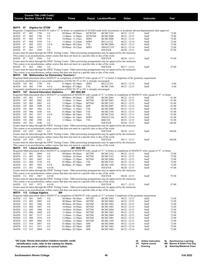|                   |                    |            |                                     | Course Title (+IAI Code) <sup>1</sup> |                                                                                                                                                                                                                                  |                   |                                    |                                    |                |                 |
|-------------------|--------------------|------------|-------------------------------------|---------------------------------------|----------------------------------------------------------------------------------------------------------------------------------------------------------------------------------------------------------------------------------|-------------------|------------------------------------|------------------------------------|----------------|-----------------|
|                   |                    |            | <b>Course Section Class # Units</b> |                                       | Times                                                                                                                                                                                                                            |                   | Day(s) Location/Room               | <b>Dates</b>                       | Instructor     | $\mathsf{Fe}^2$ |
|                   |                    |            |                                     |                                       |                                                                                                                                                                                                                                  |                   |                                    |                                    |                |                 |
| MATH              | 97                 |            | <b>Algebra for STEM</b>             |                                       | ΒN<br>Requisite: Completion of MATH 93 with a "C" or better, or completion of ALEKS math skills assessment; or academic advisor/departmental chair approval                                                                      |                   |                                    |                                    |                |                 |
| MATH              | 97                 | 001        | 1794                                | 5.0                                   | 09:00am - 09:50am                                                                                                                                                                                                                | <b>MTWThF</b>     | <b>BCMC2103</b>                    | $08/22 - 12/15$                    | Staff          | 72.00           |
| MATH              | 97                 | 002        | 1796                                | 5.0                                   | $12:00 \text{pm} - 12:50 \text{pm}$                                                                                                                                                                                              | <b>MTWThF</b>     | <b>BCMC2000</b>                    | $08/22 - 12/15$                    | Staff          | 72.00           |
| MATH<br>MATH      | 97<br>97           | 003<br>004 | 1795<br>1959                        | 5.0<br>5.0                            | 10:00am - 11:25am<br>11:00am - 12:25pm                                                                                                                                                                                           | <b>MWF</b><br>MWF | <b>BCMC2000</b><br><b>BCLA1322</b> | $08/22 - 12/14$<br>$08/22 - 12/14$ | Staff<br>Staff | 72.00<br>72.00  |
| MATH              | 97                 | 005        | 1952                                | 5.0 E                                 | $06:00$ pm - $08:25$ pm                                                                                                                                                                                                          | TTh               | BCMC <sub>2000</sub>               | $08/23 - 12/15$                    | Staff          | 72.00           |
| MATH              | 97                 | 060        | 1797                                | 5.0                                   | 09:00am - 10:25am                                                                                                                                                                                                                | MWF               | SWGCC535                           | $08/22 - 12/14$                    | Staff          | 72.00           |
| MATH 97           |                    | IN1        | 1950                                | 5.0                                   |                                                                                                                                                                                                                                  |                   | <b>INETN/R</b>                     | $08/20 - 12/15$                    | Staff          | 97.00           |
|                   |                    |            |                                     |                                       | Exams must be taken through the SWIC Testing Center. Other proctoring arrangements may be approved by the instructor.                                                                                                            |                   |                                    |                                    |                |                 |
| MATH 97           |                    | IN2        | 1956                                | 5.0                                   | This course is an asynchronous, online course that does not meet at a specific time or day of the week.                                                                                                                          |                   | <b>INETN/R</b>                     | $08/20 - 12/15$                    | Staff          | 97.00           |
|                   |                    |            |                                     |                                       | Exams must be taken through the SWIC Testing Center. Other proctoring arrangements may be approved by the instructor.                                                                                                            |                   |                                    |                                    |                |                 |
|                   |                    |            |                                     |                                       | This course is an asynchronous, online course that does not meet at a specific time or day of the week.                                                                                                                          |                   |                                    |                                    |                |                 |
| MATH 97           |                    | IN3        | 1966                                | 5.0                                   | Exams must be taken through the SWIC Testing Center. Other proctoring arrangements may be approved by the instructor.                                                                                                            |                   | <b>INETN/R</b>                     | $09/17 - 12/15$                    | Staff          | 97.00           |
|                   |                    |            |                                     |                                       | This course is an asynchronous, online course that does not meet at a specific time or day of the week.                                                                                                                          |                   |                                    |                                    |                |                 |
|                   |                    |            |                                     |                                       | <b>MATH</b> 105 Mathematics for Elementary Teachers I                                                                                                                                                                            |                   |                                    |                                    |                |                 |
|                   |                    |            |                                     |                                       | Requisite: Math placement above MATH 97 or completion of MATH 97 with a grade of "C" or better; Completion of the geometry requirement                                                                                           |                   |                                    |                                    |                |                 |
|                   |                    |            |                                     |                                       | Concurrent enrollment in or successful completion of ENG 94, 97 or 101 is strongly encouraged.                                                                                                                                   |                   |                                    |                                    |                |                 |
| MATH<br>MATH      | 105 001<br>105 002 |            | 1798<br>1799                        | 4.0<br>4.0 E                          | $01:00$ pm - $02:10$ pm<br>$06:00$ pm - 07:50pm                                                                                                                                                                                  | <b>MWF</b><br>TTh | <b>BCLA1322</b><br><b>BCMC1360</b> | $08/22 - 12/14$<br>$08/23 - 12/15$ | Staff<br>Staff | 6.00<br>6.00    |
|                   |                    |            |                                     |                                       | Concurrent enrollment in or successful completion of ENG 94, 97 or 101 is strongly encouraged.                                                                                                                                   |                   |                                    |                                    |                |                 |
| MATH              |                    |            |                                     | 107 General Education Statistics      | (M1 902) BN                                                                                                                                                                                                                      |                   |                                    |                                    |                |                 |
|                   |                    |            |                                     |                                       | Requisite:Math placement above MATH 97 or completion of MATH 95 with a grade of "C" or better or completion of MATH 97 with a grade of "C" or better                                                                             |                   |                                    |                                    |                |                 |
| MATH              | 107                | 001        | 3155                                | 4.0                                   | 09:00am - 09:50am                                                                                                                                                                                                                | MTThF             | <b>BCMC2003</b>                    | $08/22 - 12/15$                    | Staff          | 81.00           |
| MATH<br>MATH      | 107<br>107         | 002<br>003 | 2002<br>2003                        | 4.0<br>4.0                            | $11:00am - 11:50am$<br>$12:00$ pm - $12:50$ pm                                                                                                                                                                                   | MTThF<br>MTThF    | <b>BCMC2003</b><br><b>BCMC2182</b> | $08/22 - 12/15$<br>$08/22 - 12/15$ | Staff<br>Staff | 81.00<br>81.00  |
| MATH              | 107                | 004        | 1800                                | 4.0                                   | $01:00$ pm - $02:50$ pm                                                                                                                                                                                                          | ΜW                | <b>BCMC2083</b>                    | $08/22 - 12/14$                    | Staff          | 81.00           |
| MATH              | 107                | 005        | 1964                                | 4.0                                   | 10:00am - 11:50am                                                                                                                                                                                                                | TTh               | BCMC2000                           | $08/23 - 12/15$                    | Staff          | 81.00           |
| MATH              | 107                | 006        | 1850                                | 4.0                                   | $01:00$ pm - $02:50$ pm                                                                                                                                                                                                          | TTh               | <b>BCMC2184</b>                    | $08/23 - 12/15$                    | Staff          | 81.00           |
| MATH              | 107                | 007        | 1957                                | 4.0 E                                 | $07:00$ pm - $08:50$ pm                                                                                                                                                                                                          | TTh               | <b>BCMC2184</b>                    | $08/23 - 12/15$                    | Staff          | 81.00           |
| MATH<br>MATH      | 107<br>107         | 060<br>080 | 1851<br>1998                        | 4.0<br>4.0                            | 12:00pm - 01:10pm<br>$11:00am - 12:50pm$                                                                                                                                                                                         | MWF<br>TTh        | SWGCC524<br>RBC228                 | $08/22 - 12/14$<br>$08/23 - 12/15$ | Staff<br>Staff | 81.00<br>81.00  |
| MATH              | 107 IN1            |            | 1849                                | 4.0                                   |                                                                                                                                                                                                                                  |                   | <b>INETN/R</b>                     | $08/20 - 12/15$                    | Staff          | 106.00          |
|                   |                    |            |                                     |                                       | Exams must be taken through the SWIC Testing Center. Other proctoring arrangements may be approved by the instructor.                                                                                                            |                   |                                    |                                    |                |                 |
|                   |                    |            |                                     |                                       | This course is an asynchronous, online course that does not meet at a specific time or day of the week.                                                                                                                          |                   |                                    |                                    |                |                 |
| MATH 107 IN2      |                    |            | 1962                                | 4.0                                   | Exams must be taken through the SWIC Testing Center. Other proctoring arrangements may be approved by the instructor.                                                                                                            |                   | <b>INETN/R</b>                     | $08/20 - 12/15$                    | Staff          | 106.00          |
|                   |                    |            |                                     |                                       | This course is an asynchronous, online course that does not meet at a specific time or day of the week.                                                                                                                          |                   |                                    |                                    |                |                 |
| MATH 107 IN3      |                    |            | 1972                                | 4.0                                   |                                                                                                                                                                                                                                  |                   | <b>INETN/R</b>                     | $09/17 - 12/15$                    | Staff          | 106.00          |
|                   |                    |            |                                     |                                       | Exams must be taken through the SWIC Testing Center. Other proctoring arrangements may be approved by the instructor.                                                                                                            |                   |                                    |                                    |                |                 |
|                   |                    |            |                                     |                                       | This course is an asynchronous, online course that does not meet at a specific time or day of the week.                                                                                                                          |                   |                                    |                                    |                |                 |
| MATH              |                    |            |                                     | 111 Liberal Arts Mathematics          | (M1 904) BN<br>Requisite: Math placement above MATH 97 or completion of MATH 95 with a grade of "C" or better or completion of MATH 97 with a grade of "C" or better                                                             |                   |                                    |                                    |                |                 |
| MATH              | - 111              | 001        | 2004                                | 4.0                                   | 09:00am - 09:50am                                                                                                                                                                                                                | MTThF             | <b>BCMC2182</b>                    | $08/22 - 12/15$                    | Staff          | 72.00           |
| MATH              | 111                | 002        | 1801                                | 4.0                                   | 10:00am - 10:50am                                                                                                                                                                                                                | MTThF             | <b>BCMC2182</b>                    | $08/22 - 12/15$                    | Staff          | 72.00           |
| MATH              | 111                | 003        | 1802                                | 4.0                                   | $12:00$ pm - $12:50$ pm                                                                                                                                                                                                          | MTThF             | <b>BCMC2004</b>                    | $08/22 - 12/15$                    | Staff          | 72.00           |
| MATH<br>MATH      | 111<br>111         | 004<br>005 | 3156<br>1803                        | 4.0<br>4.0 E                          | $01:00$ pm - $02:50$ pm<br>06:00pm - 07:50pm                                                                                                                                                                                     | TTh<br>MW         | <b>BCMC2182</b><br><b>BCMC1360</b> | $08/23 - 12/15$<br>$08/22 - 12/14$ | Staff<br>Staff | 72.00<br>72.00  |
| MATH 111 IN1      |                    |            | 1804                                | 4.0 OI                                |                                                                                                                                                                                                                                  |                   | <b>INETN/R</b>                     | $08/20 - 12/15$                    | Staff          | 97.00           |
|                   |                    |            |                                     |                                       | Exams must be taken through the SWIC Testing Center. Other proctoring arrangements may be approved by the instructor.                                                                                                            |                   |                                    |                                    |                |                 |
|                   |                    |            |                                     |                                       | This course is an asynchronous, online course that does not meet at a specific time or day of the week.                                                                                                                          |                   |                                    |                                    |                |                 |
| MATH 111 IN2 1967 |                    |            |                                     | 4.0 OI                                | 이 사이에 대한 사이트 - Contract Andrew March 2014 - Contract Andrew March 2014                                                                                                                                                           |                   | <b>INETN/R</b>                     | $08/20 - 12/15$                    | Staff          | 97.00           |
|                   |                    |            |                                     |                                       | Exams must be taken through the SWIC Testing Center. Other proctoring arrangements may be approved by the instructor.<br>This course is an asynchronous, online course that does not meet at a specific time or day of the week. |                   |                                    |                                    |                |                 |
| MATH 111 IN3      |                    |            | 1973                                | 4.0 OI                                |                                                                                                                                                                                                                                  |                   | <b>INETN/R</b>                     | $09/17 - 12/15$                    | Staff          | 97.00           |
|                   |                    |            |                                     |                                       | Exams must be taken through the SWIC Testing Center. Other proctoring arrangements may be approved by the instructor.                                                                                                            |                   |                                    |                                    |                |                 |
|                   |                    |            |                                     |                                       | This course is an asynchronous, online course that does not meet at a specific time or day of the week.                                                                                                                          |                   |                                    |                                    |                |                 |
| MATH              |                    |            | 112 College Algebra                 |                                       | BN<br>Requisite: Math placement above MATH 97 or completion of MATH 97 with a grade of "C" or better; Completion of the geometry requirement                                                                                     |                   |                                    |                                    |                |                 |
| MATH              | 112                | - 001      | 1805                                | 4.0                                   | 08:00am - 08:50am                                                                                                                                                                                                                | MTThF             | <b>BCMC1002</b>                    | $08/22 - 12/15$                    | Staff          | 72.00           |
| MATH              | 112                | 002        | 2005                                | 4.0                                   | 08:00am - 08:50am                                                                                                                                                                                                                | MTThF             | BCMC2004                           | $08/22 - 12/15$                    | Staff          | 72.00           |
| MATH              | 112                | 003        | 1806                                | 4.0                                   | 09:00am - 09:50am                                                                                                                                                                                                                | MTThF             | <b>BCMC1002</b>                    | $08/22 - 12/15$                    | Staff          | 72.00           |
| MATH              | 112                | 004        | 1807                                | 4.0                                   | 10:00am - 10:50am                                                                                                                                                                                                                | MTThF             | <b>BCMC1002</b>                    | $08/22 - 12/15$                    | Staff          | 72.00           |
| MATH<br>MATH      | 112<br>112         | 005<br>006 | 1808<br>1809                        | 4.0<br>4.0                            | 10:00am - 10:50am<br>11:00am - 11:50am                                                                                                                                                                                           | MTThF<br>MTThF    | <b>BCMC2004</b><br><b>BCMC1002</b> | $08/22 - 12/15$<br>$08/22 - 12/15$ | Staff<br>Staff | 72.00<br>72.00  |
| MATH              | 112                | 007        | 3157                                | 4.0                                   | 11:00am - 11:50am                                                                                                                                                                                                                | MTThF             | <b>BCMC2004</b>                    | $08/22 - 12/15$                    | Staff          | 72.00           |
| MATH              | 112                | 008        | 1810                                | 4.0                                   | $12:00 \text{pm} - 12:50 \text{pm}$                                                                                                                                                                                              | MTThF             | <b>BCMC1002</b>                    | $08/22 - 12/15$                    | Staff          | 72.00           |
| MATH              | 112                | 009        | 2006                                | 4.0                                   | 12:00pm - 12:50pm                                                                                                                                                                                                                | MTThF             | <b>BCMC1360</b>                    | $08/22 - 12/15$                    | Staff          | 72.00           |
| MATH              | 112                | 010        | 2007                                | 4.0                                   | 01:00pm - 02:50pm                                                                                                                                                                                                                | MW                | BCMC2000                           | $08/22 - 12/14$                    | Staff          | 72.00           |
| MATH<br>MATH      | 112<br>112         | 011<br>012 | 1811<br>2008                        | 4.0<br>4.0                            | $01:00$ pm - $02:50$ pm<br>04:00pm - 05:50pm                                                                                                                                                                                     | MW<br>MW          | <b>BCMC1002</b><br><b>BCMC1002</b> | $08/22 - 12/14$<br>$08/22 - 12/14$ | Staff<br>Staff | 72.00<br>72.00  |
|                   |                    |            |                                     |                                       |                                                                                                                                                                                                                                  |                   |                                    |                                    |                |                 |
|                   |                    |            |                                     |                                       |                                                                                                                                                                                                                                  |                   |                                    |                                    |                |                 |

|  | <sup>1</sup> IAI Code: Illinois Articulation Initiative transfer credit |  |  |  |  |  |
|--|-------------------------------------------------------------------------|--|--|--|--|--|
|  |                                                                         |  |  |  |  |  |

 **identification code, refer to the catalog for details. 2 Fee amounts are in addition to normal tuition.**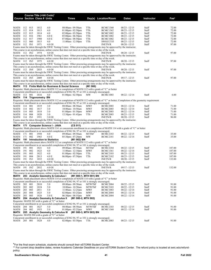|                                     | Course Title (+IAI Code) <sup>1</sup> |              |                                                   |                                                                                                                                                                                                                                  |               |                                    |                                    |                |                  |
|-------------------------------------|---------------------------------------|--------------|---------------------------------------------------|----------------------------------------------------------------------------------------------------------------------------------------------------------------------------------------------------------------------------------|---------------|------------------------------------|------------------------------------|----------------|------------------|
| <b>Course Section Class # Units</b> |                                       |              |                                                   | Times                                                                                                                                                                                                                            |               | Day(s) Location/Room               | Dates                              | Instructor     | Fee <sup>2</sup> |
|                                     |                                       |              |                                                   |                                                                                                                                                                                                                                  |               |                                    |                                    |                |                  |
|                                     |                                       |              |                                                   |                                                                                                                                                                                                                                  |               |                                    |                                    |                |                  |
| MATH<br>112                         | 013                                   | 1812         | 4.0                                               | 08:00am - 09:50am                                                                                                                                                                                                                | TTh           | <b>BCMC1360</b>                    | $08/23 - 12/15$                    | Staff          | 72.00            |
| 112<br>MATH<br>MATH                 | 014<br>015                            | 1813<br>1814 | 4.0<br>4.0                                        | $01:00$ pm - $02:50$ pm<br>$02:00$ pm - $03:50$ pm                                                                                                                                                                               | TTh<br>TTh    | <b>BCMC1362</b><br><b>BCMC1002</b> | $08/23 - 12/15$                    | Staff<br>Staff | 72.00<br>72.00   |
| 112<br>112                          | 016                                   | 1961         | 4.0 E                                             | $05:00$ pm - $06:50$ pm                                                                                                                                                                                                          | TTh           |                                    | $08/23 - 12/15$<br>$08/23 - 12/15$ | Staff          | 72.00            |
| MATH<br>112<br>MATH                 | 017                                   | 1980         | 4.0 E                                             | $07:00$ pm - $08:50$ pm                                                                                                                                                                                                          | TTh           | <b>BCMC1002</b><br><b>BCMC1002</b> | $08/23 - 12/15$                    | Staff          | 72.00            |
| MATH<br>112                         | 060                                   | 1815         | 4.0                                               | 11:00am - 12:50pm                                                                                                                                                                                                                | TTh           | SWGCC535                           | $08/23 - 12/15$                    | Staff          | 72.00            |
| MATH 112 IN1                        |                                       | 1971         | 4.0 OI                                            |                                                                                                                                                                                                                                  |               | <b>INETN/R</b>                     | $08/20 - 12/15$                    | Staff          | 97.00            |
|                                     |                                       |              |                                                   | Exams must be taken through the SWIC Testing Center. Other proctoring arrangements may be approved by the instructor.                                                                                                            |               |                                    |                                    |                |                  |
|                                     |                                       |              |                                                   | This course is an asynchronous, online course that does not meet at a specific time or day of the week.                                                                                                                          |               |                                    |                                    |                |                  |
| MATH 112 IN2                        |                                       | 1974         | 4.0 OI                                            |                                                                                                                                                                                                                                  |               | <b>INETN/R</b>                     | $08/20 - 12/15$                    | Staff          | 97.00            |
|                                     |                                       |              |                                                   | Exams must be taken through the SWIC Testing Center. Other proctoring arrangements may be approved by the instructor.                                                                                                            |               |                                    |                                    |                |                  |
|                                     |                                       |              |                                                   | This course is an asynchronous, online course that does not meet at a specific time or day of the week.                                                                                                                          |               |                                    |                                    |                |                  |
| MATH 112 IN3                        |                                       | 1975         | 4.0 OI                                            |                                                                                                                                                                                                                                  |               | <b>INETN/R</b>                     | $08/20 - 12/15$                    | Staff          | 97.00            |
|                                     |                                       |              |                                                   | Exams must be taken through the SWIC Testing Center. Other proctoring arrangements may be approved by the instructor.                                                                                                            |               |                                    |                                    |                |                  |
|                                     |                                       |              |                                                   | This course is an asynchronous, online course that does not meet at a specific time or day of the week.                                                                                                                          |               |                                    |                                    |                |                  |
| MATH 112 IN4                        |                                       | 2033         | 4.0 OI                                            |                                                                                                                                                                                                                                  |               | <b>INETN/R</b>                     | $08/20 - 12/15$                    | Staff          | 97.00            |
|                                     |                                       |              |                                                   | Exams must be taken through the SWIC Testing Center. Other proctoring arrangements may be approved by the instructor.                                                                                                            |               |                                    |                                    |                |                  |
| MATH 112 IN5                        |                                       | 2009         | 4.0 OI                                            | This course is an asynchronous, online course that does not meet at a specific time or day of the week.                                                                                                                          |               |                                    | $09/17 - 12/15$                    |                |                  |
|                                     |                                       |              |                                                   | Exams must be taken through the SWIC Testing Center. Other proctoring arrangements may be approved by the instructor.                                                                                                            |               | <b>INETN/R</b>                     |                                    | Staff          | 97.00            |
|                                     |                                       |              |                                                   | This course is an asynchronous, online course that does not meet at a specific time or day of the week.                                                                                                                          |               |                                    |                                    |                |                  |
|                                     |                                       |              |                                                   | <b>MATH</b> 113 Finite Math for Business & Social Science                                                                                                                                                                        | (M1 906)      |                                    |                                    |                |                  |
|                                     |                                       |              |                                                   | Requisite: Math placement above MATH 112 or completion of MATH 112 with a grade of "C" or better                                                                                                                                 |               |                                    |                                    |                |                  |
|                                     |                                       |              |                                                   | Concurrent enrollment in or successful completion of ENG 94, 97 or 101 is strongly encouraged.                                                                                                                                   |               |                                    |                                    |                |                  |
| MATH 113                            | 001                                   | 1816         | 4.0                                               | $01:00$ pm - $02:50$ pm                                                                                                                                                                                                          | MW            | <b>BCMC1003</b>                    | $08/22 - 12/14$                    | Staff          | 6.00             |
| MATH 114 Trigonometry BN            |                                       |              |                                                   |                                                                                                                                                                                                                                  |               |                                    |                                    |                |                  |
|                                     |                                       |              |                                                   | Requisite: Math placement above MATH 112 or completion of MATH 112 with a grade of "C" or better; Completion of the geometry requirement                                                                                         |               |                                    |                                    |                |                  |
|                                     |                                       |              |                                                   | Concurrent enrollment in or successful completion of ENG 94, 97 or 101 is strongly encouraged.                                                                                                                                   |               |                                    |                                    |                |                  |
| MATH 114                            | 001                                   | 1819         | 3.0                                               | 08:00am - 08:50am                                                                                                                                                                                                                | <b>MWF</b>    | <b>BCMC2003</b>                    | $08/22 - 12/14$                    | Staff          | 71.00            |
| MATH 114                            | 002                                   | 1817         | 3.0                                               | 10:00am - 10:50am                                                                                                                                                                                                                | MWF           | <b>BCMC2003</b>                    | $08/22 - 12/14$                    | Staff          | 71.00            |
| MATH<br>114                         | 003                                   | 1818         | 3.0                                               | $01:00$ pm - $01:50$ pm                                                                                                                                                                                                          | MWF           | BCMC2003                           | $08/22 - 12/14$                    | Staff          | 71.00            |
| MATH<br>114                         | 004                                   | 1820         | 3.0                                               | 12:30pm - 01:45pm                                                                                                                                                                                                                | TTh           | <b>BCMC2003</b>                    | $08/23 - 12/15$                    | Staff          | 71.00            |
| <b>MATH</b> 114 <b>IN1</b>          |                                       | 1951         | 3.0 OI                                            |                                                                                                                                                                                                                                  |               | <b>INETN/R</b>                     | $08/20 - 12/15$                    | Staff          | 96.00            |
|                                     |                                       |              |                                                   | Exams must be taken through the SWIC Testing Center. Other proctoring arrangements may be approved by the instructor.<br>This course is an asynchronous, online course that does not meet at a specific time or day of the week. |               |                                    |                                    |                |                  |
|                                     |                                       |              | MATH 171 Computer Science I - JAVA                | (CS 911)                                                                                                                                                                                                                         |               |                                    |                                    |                |                  |
|                                     |                                       |              |                                                   | Requisite: Math placement above MATH 114 or concurrent enrollment in or completion of MATH 114 with a grade of "C" or better                                                                                                     |               |                                    |                                    |                |                  |
|                                     |                                       |              |                                                   | Concurrent enrollment in or successful completion of ENG 94, 97 or 101 is strongly encouraged.                                                                                                                                   |               |                                    |                                    |                |                  |
| MATH 171 001                        |                                       | 1958         | 4.0                                               | 09:00am - 09:50am                                                                                                                                                                                                                | MTThF         | <b>BCMC2183</b>                    | $08/22 - 12/15$                    | Staff          | 35.00            |
| MATH                                | 171 002                               | 1963         | 4.0 E                                             | 05:30pm - 07:20pm                                                                                                                                                                                                                | MW            | <b>BCMC2181</b>                    | $08/22 - 12/14$                    | Staff          | 35.00            |
|                                     |                                       |              | <b>MATH</b> 191 Introduction to Statistics        | (M1 902) BN                                                                                                                                                                                                                      |               |                                    |                                    |                |                  |
|                                     |                                       |              |                                                   | Requisite: Math placement above MATH 112 or completion of MATH 112 with a grade of "C" or better                                                                                                                                 |               |                                    |                                    |                |                  |
|                                     |                                       |              |                                                   | Concurrent enrollment in or successful completion of ENG 94, 97 or 101 is strongly encouraged.                                                                                                                                   |               |                                    |                                    |                |                  |
| 191<br>MATH                         | 001                                   | 1821         | 4.0                                               | 09:00am - 09:50am                                                                                                                                                                                                                | MTThF         | <b>BCMC2184</b>                    | $08/22 - 12/15$                    | Staff          | 107.00           |
| MATH<br>191                         | 002                                   | 1823         | 4.0                                               | $11:00am - 12:10pm$                                                                                                                                                                                                              | MWF           | <b>BCMC1361</b>                    | $08/22 - 12/14$                    | Staff          | 107.00           |
| 191<br>MATH                         | 003                                   | 1822         | 4.0                                               | $01:00 \text{pm} - 02:50 \text{pm}$                                                                                                                                                                                              | TTh           | <b>BCMC2103</b>                    | $08/23 - 12/15$                    | Staff          | 107.00           |
| MATH<br>191                         | 004                                   | 2013         | 4.0 E                                             | $06:00$ pm - 07:50pm                                                                                                                                                                                                             | TTh           | <b>BCMC2182</b>                    | $08/23 - 12/15$                    | Staff          | 107.00           |
| MATH 191 IN1                        |                                       | 1852         | 4.0 OI                                            | Exams must be taken through the SWIC Testing Center. Other proctoring arrangements may be approved by the instructor.                                                                                                            |               | <b>INETN/R</b>                     | $08/20 - 12/15$                    | Staff          | 132.00           |
|                                     |                                       |              |                                                   | This course is an asynchronous, online course that does not meet at a specific time or day of the week.                                                                                                                          |               |                                    |                                    |                |                  |
| MATH 191 IN2                        |                                       | 2032         | 4.0 OI                                            |                                                                                                                                                                                                                                  |               | <b>INETN/R</b>                     | $09/17 - 12/15$                    | Staff          | 132.00           |
|                                     |                                       |              |                                                   | Exams must be taken through the SWIC Testing Center. Other proctoring arrangements may be approved by the instructor.                                                                                                            |               |                                    |                                    |                |                  |
|                                     |                                       |              |                                                   | This course is an asynchronous, online course that does not meet at a specific time or day of the week.                                                                                                                          |               |                                    |                                    |                |                  |
|                                     |                                       |              | MATH 203 Analytic Geometry & Calculus I           | (M1 900-1, MTH 901) BN                                                                                                                                                                                                           |               |                                    |                                    |                |                  |
|                                     |                                       |              |                                                   | Requisite: Math placement above MATH 114 or completion of MATH 114 with a grade of "C" or better                                                                                                                                 |               |                                    |                                    |                |                  |
|                                     |                                       |              |                                                   | Concurrent enrollment in or successful completion of ENG 94, 97 or 101 is strongly encouraged.                                                                                                                                   |               |                                    |                                    |                |                  |
| 203<br>MATH                         | 001                                   | 2010         | 5.0                                               | 09:00am - 09:50am                                                                                                                                                                                                                | <b>MTWThF</b> | <b>BCMC2004</b>                    | $08/22 - 12/15$                    | Staff          | 91.00            |
| MATH<br>203                         | 002                                   | 1824         | 5.0                                               | 10:00am - 10:50am                                                                                                                                                                                                                | <b>MTWThF</b> | <b>BCMC2103</b>                    | $08/22 - 12/15$                    | Staff          | 91.00            |
| MATH<br>203                         | 003                                   | 2011         | 5.0                                               | 11:00am - 12:25pm                                                                                                                                                                                                                | MWF           | <b>BCMC1003</b>                    | $08/22 - 12/14$                    | Staff          | 91.00            |
| MATH<br>203                         | 004                                   | 1825         | 5.0                                               | $02:00$ pm - $03:25$ pm                                                                                                                                                                                                          | <b>MWF</b>    | BCMC2004                           | $08/22 - 12/14$                    | Staff          | 91.00            |
| MATH<br>203                         | 005                                   | 1826         | 5.0 E                                             | 06:30pm - 08:55pm                                                                                                                                                                                                                | MW            | BCMC2004                           | $08/22 - 12/14$                    | Staff          | 91.00            |
| <b>MATH</b>                         |                                       |              | 204 Analytic Geometry & Calculus II               | (M1 900-2, MTH 902)                                                                                                                                                                                                              |               |                                    |                                    |                |                  |
|                                     |                                       |              | Requisite: MATH 203 with a grade of "C" or better |                                                                                                                                                                                                                                  |               |                                    |                                    |                |                  |
| MATH                                | 204 001                               | 1827         | 5.0                                               | Concurrent enrollment in or successful completion of ENG 94, 97 or 101 is strongly encouraged.<br>08:00am - 08:50am                                                                                                              | <b>MTWThF</b> | <b>BCMC2103</b>                    | $08/22 - 12/15$                    | Staff          | 91.00            |
| MATH 204 002                        |                                       | 1953         | 5.0                                               | $01:00$ pm - $02:25$ pm                                                                                                                                                                                                          | MWF           | <b>BCMC1360</b>                    | $08/22 - 12/14$                    | Staff          | 91.00            |
| MATH                                |                                       |              |                                                   | 205 Analytic Geometry & Calculus III (M1 900-3, MTH 903) BN                                                                                                                                                                      |               |                                    |                                    |                |                  |
|                                     |                                       |              | Requisite: MATH 204 with a grade of "C" or better |                                                                                                                                                                                                                                  |               |                                    |                                    |                |                  |
|                                     |                                       |              |                                                   | Concurrent enrollment in or successful completion of ENG 94, 97 or 101 is strongly encouraged.                                                                                                                                   |               |                                    |                                    |                |                  |
| MATH 205 001                        |                                       | 1828         | 4.0                                               | $02:00$ pm - $03:50$ pm                                                                                                                                                                                                          | TTh           | <b>BCMC2003</b>                    | $08/23 - 12/15$                    | Staff          | 91.00            |
|                                     |                                       |              |                                                   |                                                                                                                                                                                                                                  |               |                                    |                                    |                |                  |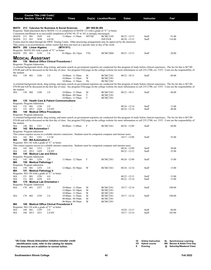|                                    |         |              | Course Title (+IAI Code) <sup>1</sup> |                                                                                                |                                        |        |               |                                                                                                                        |                                    |                   |                                                                                                                                                                                                                                                                                                                                                                                |
|------------------------------------|---------|--------------|---------------------------------------|------------------------------------------------------------------------------------------------|----------------------------------------|--------|---------------|------------------------------------------------------------------------------------------------------------------------|------------------------------------|-------------------|--------------------------------------------------------------------------------------------------------------------------------------------------------------------------------------------------------------------------------------------------------------------------------------------------------------------------------------------------------------------------------|
|                                    |         |              | <b>Course Section Class # Units</b>   |                                                                                                | <b>Times</b>                           |        |               | Day(s) Location/Room                                                                                                   | <b>Dates</b>                       | <b>Instructor</b> | Fee <sup>2</sup>                                                                                                                                                                                                                                                                                                                                                               |
|                                    |         |              |                                       |                                                                                                |                                        |        |               |                                                                                                                        |                                    |                   |                                                                                                                                                                                                                                                                                                                                                                                |
|                                    |         |              |                                       | MATH 213 Calculus for Business & Social Sciences                                               |                                        |        | (M1 900-B) BN |                                                                                                                        |                                    |                   |                                                                                                                                                                                                                                                                                                                                                                                |
|                                    |         |              |                                       |                                                                                                |                                        |        |               | Requisite: Math placement above MATH 112 or completion of MATH 112 with a grade of "C" or better                       |                                    |                   |                                                                                                                                                                                                                                                                                                                                                                                |
|                                    |         |              |                                       | Concurrent enrollment in or successful completion of ENG 94, 97 or 101 is strongly encouraged. |                                        |        |               |                                                                                                                        |                                    |                   |                                                                                                                                                                                                                                                                                                                                                                                |
| MATH 213 001<br>MATH 213 IN1       |         |              | 1829<br>1830                          | 4.0<br>4.0 OI                                                                                  | 11:00am - 11:50am                      |        | MTThF         | <b>BCMC2103</b><br><b>INETN/R</b>                                                                                      | $08/22 - 12/15$<br>$08/20 - 12/15$ | Staff<br>Staff    | 91.00<br>116.00                                                                                                                                                                                                                                                                                                                                                                |
|                                    |         |              |                                       |                                                                                                |                                        |        |               | Exams must be taken through the SWIC Testing Center. Other proctoring arrangements may be approved by the instructor.  |                                    |                   |                                                                                                                                                                                                                                                                                                                                                                                |
|                                    |         |              |                                       |                                                                                                |                                        |        |               | This course is an asynchronous, online course that does not meet at a specific time or day of the week.                |                                    |                   |                                                                                                                                                                                                                                                                                                                                                                                |
|                                    |         |              | MATH 292 Linear Algebra               |                                                                                                | (MTH 911)                              |        |               |                                                                                                                        |                                    |                   |                                                                                                                                                                                                                                                                                                                                                                                |
|                                    |         |              |                                       | Requisite: MATH 203 with a grade of "C" or better                                              |                                        |        |               |                                                                                                                        |                                    |                   |                                                                                                                                                                                                                                                                                                                                                                                |
| MATH 292 001                       |         |              | 3158                                  | 3.0                                                                                            | $01:00$ pm - $02:15$ pm                |        | TTh           | BCMC2004                                                                                                               | $08/23 - 12/15$                    | Staff             | 20.00                                                                                                                                                                                                                                                                                                                                                                          |
|                                    |         |              | <b>MEDICAL ASSISTANT</b>              |                                                                                                |                                        |        |               |                                                                                                                        |                                    |                   |                                                                                                                                                                                                                                                                                                                                                                                |
| МA                                 |         |              |                                       | 130 Medical Office Clinical Procedures I                                                       |                                        |        |               |                                                                                                                        |                                    |                   |                                                                                                                                                                                                                                                                                                                                                                                |
| Requisite: Program Admission       |         |              |                                       |                                                                                                |                                        |        |               |                                                                                                                        |                                    |                   |                                                                                                                                                                                                                                                                                                                                                                                |
|                                    |         |              |                                       |                                                                                                |                                        |        |               |                                                                                                                        |                                    |                   | A criminal background check, drug testing, and name search on government registries are conducted for this program of study before clinical experience. The fee for this is \$67.00-                                                                                                                                                                                           |
|                                    |         |              |                                       |                                                                                                |                                        |        |               |                                                                                                                        |                                    |                   | \$70.00 and will be discussed on the first day of class. See program FAQ page on the college website for more information or call 235-2700, ext. 5355. Costs are the responsibility of                                                                                                                                                                                         |
| the student.                       |         |              |                                       |                                                                                                |                                        |        |               |                                                                                                                        |                                    |                   |                                                                                                                                                                                                                                                                                                                                                                                |
| MA                                 | 130 001 |              | 1248                                  | 2.0                                                                                            | 10:00am - 11:50am<br>10:00am - 11:50am |        | M<br>W        | <b>BCMC2361</b><br><b>BCMC2381</b>                                                                                     | $08/22 - 10/13$                    | Staff             | 60.00                                                                                                                                                                                                                                                                                                                                                                          |
|                                    |         |              |                                       |                                                                                                | 10:00am - 11:50am                      |        | Th            | <b>BCMC2381</b>                                                                                                        |                                    |                   |                                                                                                                                                                                                                                                                                                                                                                                |
|                                    |         |              |                                       |                                                                                                |                                        |        |               |                                                                                                                        |                                    |                   | A criminal background check, drug testing, and name search on government registries are conducted for this program of study before clinical experience. The fee for this is \$67.00-                                                                                                                                                                                           |
|                                    |         |              |                                       |                                                                                                |                                        |        |               |                                                                                                                        |                                    |                   | \$70.00 and will be discussed on the first day of class. See program FAQ page on the college website for more information or call 235-2700, ext. 5355. Costs are the responsibility of                                                                                                                                                                                         |
| the student.                       |         |              |                                       |                                                                                                |                                        |        |               |                                                                                                                        |                                    |                   |                                                                                                                                                                                                                                                                                                                                                                                |
| МA                                 | 130 002 |              | 1249                                  | 2.0                                                                                            | 10:00am - 11:50am                      |        | M             | <b>BCMC2361</b>                                                                                                        | $08/22 - 10/11$                    | Staff             | 60.00                                                                                                                                                                                                                                                                                                                                                                          |
|                                    |         |              |                                       |                                                                                                | 08:00am - 09:50am                      | T<br>T |               | <b>BCMC2381</b><br><b>BCMC2381</b>                                                                                     |                                    |                   |                                                                                                                                                                                                                                                                                                                                                                                |
| MА                                 |         |              |                                       | 135 Health Care & Patient Communications                                                       | 10:00am - 11:50am                      |        |               |                                                                                                                        |                                    |                   |                                                                                                                                                                                                                                                                                                                                                                                |
| Requisite: Program Admission       |         |              |                                       |                                                                                                |                                        |        |               |                                                                                                                        |                                    |                   |                                                                                                                                                                                                                                                                                                                                                                                |
| МA                                 | 135 001 |              | 1250                                  | 2.0                                                                                            |                                        |        |               |                                                                                                                        | $08/24 - 12/14$                    | Staff             | 15.00                                                                                                                                                                                                                                                                                                                                                                          |
| МA                                 |         | 135 HY3 1428 |                                       | 2.0 HY                                                                                         |                                        |        |               |                                                                                                                        | $08/24 - 12/14$                    | Staff             | 40.00                                                                                                                                                                                                                                                                                                                                                                          |
| MА                                 |         |              |                                       | 140 Medical Office Procedures                                                                  |                                        |        |               |                                                                                                                        |                                    |                   |                                                                                                                                                                                                                                                                                                                                                                                |
| Requisite: Program admission       |         |              |                                       |                                                                                                |                                        |        |               |                                                                                                                        |                                    |                   |                                                                                                                                                                                                                                                                                                                                                                                |
|                                    |         |              |                                       |                                                                                                |                                        |        |               |                                                                                                                        |                                    |                   | A criminal background check, drug testing, and name search on government registries are conducted for this program of study before clinical experience. The fee for this is \$67.00-<br>\$70.00 and will be discussed on the first day of class. See program FAQ page on the college website for more information or call 235-2700, ext. 5355. Costs are the responsibility of |
| the student.                       |         |              |                                       |                                                                                                |                                        |        |               |                                                                                                                        |                                    |                   |                                                                                                                                                                                                                                                                                                                                                                                |
| МA                                 | 140 001 |              | 1251                                  | 3.5                                                                                            | 08:00am - 11:00am                      | F      |               | <b>BCMC2361</b>                                                                                                        | 08/26 - 12/09                      | Staff             | 60.00                                                                                                                                                                                                                                                                                                                                                                          |
| MА                                 |         |              | 142 MA Automation I                   |                                                                                                |                                        |        |               |                                                                                                                        |                                    |                   |                                                                                                                                                                                                                                                                                                                                                                                |
| Requisite: Program admission       |         |              |                                       |                                                                                                |                                        |        |               |                                                                                                                        |                                    |                   |                                                                                                                                                                                                                                                                                                                                                                                |
|                                    |         |              |                                       |                                                                                                |                                        |        |               | This course requires access to a reliable internet connection. Students must be competent computer and internet users. |                                    |                   |                                                                                                                                                                                                                                                                                                                                                                                |
| MA<br>MА                           | 142 IN1 |              | 1252<br>143 MA Automation II          | 1.5 OI                                                                                         |                                        |        |               |                                                                                                                        | $10/17 - 12/09$                    | Staff             | 55.00                                                                                                                                                                                                                                                                                                                                                                          |
|                                    |         |              |                                       | Requisite: MA 142 with a grade of "C" or better                                                |                                        |        |               |                                                                                                                        |                                    |                   |                                                                                                                                                                                                                                                                                                                                                                                |
|                                    |         |              |                                       |                                                                                                |                                        |        |               | This course requires access to a reliable internet connection. Students must be competent computer and internet users. |                                    |                   |                                                                                                                                                                                                                                                                                                                                                                                |
| МA                                 | 143 001 |              | 1253                                  | 2.0                                                                                            |                                        |        |               |                                                                                                                        | $08/26 - 12/09$                    | Staff             | 30.00                                                                                                                                                                                                                                                                                                                                                                          |
| MA                                 |         | 143 HY3 1429 |                                       | 2.0 HY                                                                                         |                                        |        |               |                                                                                                                        | $08/22 - 12/12$                    | Staff             | 55.00                                                                                                                                                                                                                                                                                                                                                                          |
| MА                                 |         |              |                                       | 145 Medical Law and Ethics                                                                     |                                        |        |               |                                                                                                                        |                                    |                   |                                                                                                                                                                                                                                                                                                                                                                                |
| Requisite: Program Admission<br>MA | 145 001 |              | 1254                                  | 2.0                                                                                            | $11:00$ am - $12:50$ pm                | F      |               | <b>BCMC2361</b>                                                                                                        | $08/26 - 12/09$                    | Staff             | 15.00                                                                                                                                                                                                                                                                                                                                                                          |
| MА                                 |         |              | 150 Medical Pathology I               |                                                                                                |                                        |        |               |                                                                                                                        |                                    |                   |                                                                                                                                                                                                                                                                                                                                                                                |
| Requisite: Program admission       |         |              |                                       |                                                                                                |                                        |        |               |                                                                                                                        |                                    |                   |                                                                                                                                                                                                                                                                                                                                                                                |
| МA                                 | 150 001 |              | 1255                                  | 3.0                                                                                            | $12:00$ pm - $02:50$ pm                |        | W             | <b>BCMC2361</b>                                                                                                        | $08/24 - 12/14$                    | Staff             | 15.00                                                                                                                                                                                                                                                                                                                                                                          |
| MΑ                                 |         |              | 151 Medical Pathology II              |                                                                                                |                                        |        |               |                                                                                                                        |                                    |                   |                                                                                                                                                                                                                                                                                                                                                                                |
|                                    |         |              |                                       | Requisite: MA 150 with a grade of "C" or better                                                |                                        |        |               |                                                                                                                        |                                    |                   |                                                                                                                                                                                                                                                                                                                                                                                |
| MA                                 |         |              | 151 001 1256 4.0                      |                                                                                                |                                        |        |               |                                                                                                                        | $08/23 - 12/13$                    | Staff             | 15.00                                                                                                                                                                                                                                                                                                                                                                          |
| MA<br>MA                           |         | 151 003 1430 |                                       | 4.0<br>170 Medical Lab Orientation I                                                           |                                        |        |               |                                                                                                                        | $08/22 - 12/14$                    | Staff             | 15.00                                                                                                                                                                                                                                                                                                                                                                          |
| Requisite: Program Admission       |         |              |                                       |                                                                                                |                                        |        |               |                                                                                                                        |                                    |                   |                                                                                                                                                                                                                                                                                                                                                                                |
| MA                                 | 170 001 |              | 1257                                  | 2.0                                                                                            | 10:00am - 11:50am                      |        | M             | <b>BCMC2361</b>                                                                                                        | $10/17 - 12/14$                    | Staff             | 100.00                                                                                                                                                                                                                                                                                                                                                                         |
|                                    |         |              |                                       |                                                                                                | $12:00 \text{pm} - 01:50 \text{pm}$    |        | M             | <b>BCMC2381</b>                                                                                                        |                                    |                   |                                                                                                                                                                                                                                                                                                                                                                                |
|                                    |         |              |                                       |                                                                                                | 10:00am - 11:50am                      |        | W             | <b>BCMC2381</b>                                                                                                        |                                    |                   |                                                                                                                                                                                                                                                                                                                                                                                |
| MA                                 | 170 002 |              | 1258                                  | 2.0                                                                                            | 10:00am - 11:50am                      |        | M             | <b>BCMC2361</b>                                                                                                        | $10/17 - 12/14$                    | Staff             | 100.00                                                                                                                                                                                                                                                                                                                                                                         |
|                                    |         |              |                                       |                                                                                                | 08:00am-09:50am                        | M      |               | <b>BCMC2381</b>                                                                                                        |                                    |                   |                                                                                                                                                                                                                                                                                                                                                                                |
| ΜA                                 |         |              |                                       | 180 Medical Office Clinical Procedures II                                                      | 08:00am - 09:50am                      |        | W             | <b>BCMC2381</b>                                                                                                        |                                    |                   |                                                                                                                                                                                                                                                                                                                                                                                |
|                                    |         |              |                                       | Requisite: MA 130 with a grade of "C" or better                                                |                                        |        |               |                                                                                                                        |                                    |                   |                                                                                                                                                                                                                                                                                                                                                                                |
| MA                                 | 180 001 |              | 1259                                  | 2.0                                                                                            |                                        |        |               |                                                                                                                        | $10/20 - 12/15$                    | Staff             | 80.00                                                                                                                                                                                                                                                                                                                                                                          |
| MA                                 |         | 180 HY3 1431 |                                       | 2.0 HY                                                                                         |                                        |        |               |                                                                                                                        | $10/17 - 12/14$                    | Staff             | 105.00                                                                                                                                                                                                                                                                                                                                                                         |
|                                    |         |              |                                       |                                                                                                |                                        |        |               |                                                                                                                        |                                    |                   |                                                                                                                                                                                                                                                                                                                                                                                |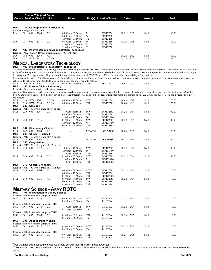| <b>Course Section Class # Units</b> |     |     |      | Course Title (+IAI Code) <sup>1</sup> | Times                                                        |    | Day(s) Location/Room | <b>Dates</b>    | <b>Instructor</b> | $\mathsf{Fe}^2$ |  |
|-------------------------------------|-----|-----|------|---------------------------------------|--------------------------------------------------------------|----|----------------------|-----------------|-------------------|-----------------|--|
|                                     |     |     |      |                                       |                                                              |    |                      |                 |                   |                 |  |
| МA                                  | 181 |     |      | <b>Cardiopulmonary Procedures</b>     |                                                              |    |                      |                 |                   |                 |  |
| Requisite: Program Admission        |     |     |      |                                       |                                                              |    |                      |                 |                   |                 |  |
| MA                                  | 181 | 001 | 1344 | 20                                    | $08:00am - 09:50am$                                          | M  | <b>BCMC2361</b>      | $08/22 - 10/13$ | Staff             | 60.00           |  |
|                                     |     |     |      |                                       | 08:00am - 09:50am                                            | W  | <b>BCMC2381</b>      |                 |                   |                 |  |
|                                     |     |     |      |                                       | $12:00 \text{pm} - 01:50 \text{pm}$                          | Th | <b>BCMC2381</b>      |                 |                   |                 |  |
| MA                                  | 181 | 002 | 1343 | 2.0                                   | 08:00am - 09:50am                                            | M  | <b>BCMC2361</b>      | $08/22 - 10/11$ | Staff             | 60.00           |  |
|                                     |     |     |      |                                       | $12:00 \text{pm} - 01:50 \text{pm}$                          | M  | <b>BCMC2381</b>      |                 |                   |                 |  |
|                                     |     |     |      |                                       | $12:00$ pm - $01:50$ pm                                      |    | <b>BCMC2381</b>      |                 |                   |                 |  |
| МA                                  |     |     |      |                                       | 182 Pharmacology and Administration Techniques               |    |                      |                 |                   |                 |  |
|                                     |     |     |      |                                       | Requisite: MA 130, MA 150 each with a grade of "C" or better |    |                      |                 |                   |                 |  |
| MA                                  | 182 | 001 | 1260 | 4.0                                   |                                                              |    |                      | $08/22 - 12/12$ | Staff             | 60.00           |  |
| MA                                  | 182 | HY3 | 1432 | $4.0$ HY                              |                                                              |    |                      | $08/23 - 12/07$ | Staff             | 85.00           |  |
|                                     |     |     |      |                                       | M------ L ----------- T--------------                        |    |                      |                 |                   |                 |  |

### **MEDICAL LABORATORY TECHNOLOGY**<br>MLT 100 Introduction to Phlebotomy Procedures

**MLT 100 Introduction to Phlebotomy Procedures**

A criminal background check, drug testing, and name search on government registries are conducted for this program of study before clinical experience. The fee for this is \$87.00 paid<br>to Certified Background with an additi See program FAQ page on the college website for more information or call 235-2700, ext. 5355. Costs are the responsibility of the student.

Sections denoted as "HY" will be offered as "hybrid" classes. Students will meet in the classroom and will participate in weekly online assignments. This course requires access to a reliable internet connection. Students must be competent computer and internet users.<br>MLT 100 HY1 1261 2.0 HY 08:00am - 09:50am TTh

MLT 100 HY1 1261 2.0 HY 08:00am - 09:50am TTh ESLC173 10/04 - 11/10 Staff 146.00<br>MLT 150 Intro to Clinical Laboratory **150** Intro to Clinical Laboratory

Requisite: Program admission or department consent

A criminal background check, drug testing, and name search on government registries are conducted for this program of study before clinical experience. The fee for this is \$67.00-<br>\$70.00 and will be discussed on the first

| uit suutuit. |         |              |                         |                                                                                     |                                     |               |                 |                 |       |        |
|--------------|---------|--------------|-------------------------|-------------------------------------------------------------------------------------|-------------------------------------|---------------|-----------------|-----------------|-------|--------|
| MLT          |         | 150 HY1      | 1262                    | 2.0 HY                                                                              | 09:00am - 11:30am                   | MW            | <b>BCMC2362</b> | $10/03 - 11/09$ | Staff | 176.00 |
| MLT          |         | 150 HY2      | 3134                    | 2.0 HY                                                                              | 09:00am - 11:30am                   | TTh           | <b>BCMC2383</b> | $10/04 - 11/10$ | Staff | 176.00 |
| MLT          |         | 220 Serology |                         |                                                                                     |                                     |               |                 |                 |       |        |
|              |         |              |                         | Requisite: MLT 150 with a grade of "C" or better                                    |                                     |               |                 |                 |       |        |
| MLT          | 220 001 |              | 1263                    | 3.0                                                                                 | 11:00am - 11:50am                   | <b>MWF</b>    | <b>BCMC2383</b> | $08/22 - 10/14$ | Staff | 100.00 |
|              |         |              |                         |                                                                                     | 08:00am - 08:50am                   | TTh           | <b>BCMC2362</b> |                 |       |        |
|              |         |              |                         |                                                                                     | $12:00$ pm - $12:50$ pm             | W             | <b>BCMC1400</b> |                 |       |        |
| MLT          | 220     | 002          | 3135                    | 3.0                                                                                 | $01:00$ pm - $01:50$ pm             | <b>MWF</b>    | <b>BCMC2383</b> | $08/22 - 10/14$ | Staff | 100.00 |
|              |         |              |                         |                                                                                     | $12:00$ pm - $12:50$ pm             | W             | <b>BCMC1400</b> |                 |       |        |
|              |         |              |                         |                                                                                     | 08:00am - 08:50am                   | TTh           | <b>BCMC2362</b> |                 |       |        |
| MLT          |         |              | 242 Phlebotomy Clinical |                                                                                     |                                     |               |                 |                 |       |        |
| MLT          | 242     | 001          | 1380                    | 2.0                                                                                 |                                     | <b>MTWThF</b> | HOSPMISC        | $10/03 - 12/16$ | Staff | 20.00  |
| MLT          |         |              | 245 Clinical Practice I |                                                                                     |                                     |               |                 |                 |       |        |
|              |         |              |                         | Requisite: MLT 150 with a grade of "C" or better                                    |                                     |               |                 |                 |       |        |
| MLT          | 245     | 001          | 1264                    | 3.0                                                                                 |                                     | <b>MTWThF</b> | <b>HOSPMISC</b> | $10/17 - 12/16$ | Staff | 100.00 |
| MLT          |         |              | 250 Coagulation         |                                                                                     |                                     |               |                 |                 |       |        |
|              |         |              |                         | Requisite: MLT 150 with a grade of "C" or better                                    |                                     |               |                 |                 |       |        |
| MLT          | 250     | 001          | 3137                    | 2.0                                                                                 | 10:00am - 10:50am                   | MWF           | <b>BCMC2383</b> | $08/22 - 10/14$ | Staff | 80.00  |
|              |         |              |                         |                                                                                     | $12:00$ pm - $12:50$ pm             | M             | <b>BCMC1400</b> |                 |       |        |
|              |         |              |                         |                                                                                     |                                     | TTh           |                 |                 |       |        |
| MLT          | 250     | 002          | 3138                    | 2.0                                                                                 | 11:00am - 11:50am                   | <b>MWF</b>    | <b>BCMC2362</b> | $08/22 - 10/14$ | Staff | 80.00  |
|              |         |              |                         |                                                                                     | $02:00$ pm - $02:50$ pm             |               | <b>BCMC2383</b> |                 |       |        |
|              |         |              |                         |                                                                                     | $12:00$ pm - $12:50$ pm             | М             | <b>BCMC1400</b> |                 |       |        |
| MLT          |         |              |                         |                                                                                     | 11:00am - 11:50am                   | TTh           | <b>BCMC2362</b> |                 |       |        |
|              |         |              | 270 Clinical Chemistry  | Requisite: MLT 150 with a grade of "C" or better                                    |                                     |               |                 |                 |       |        |
| MLT          | 270 001 |              | 1265                    | 4.0                                                                                 | 08:00am - 09:50am                   | <b>MWF</b>    | <b>BCMC2383</b> | $08/22 - 10/14$ | Staff | 110.00 |
|              |         |              |                         |                                                                                     |                                     |               |                 |                 |       |        |
|              |         |              |                         |                                                                                     | 09:00am - 10:50am                   | TTh           | <b>BCMC2362</b> |                 |       |        |
|              |         |              |                         |                                                                                     | $01:00$ pm - $01:50$ pm             | TTh           | <b>BCMC2362</b> |                 |       |        |
| MLT          | 270     | 002          | 3136                    | 4.0                                                                                 | $03:00$ pm - $04:50$ pm             | <b>MWF</b>    | <b>BCMC2383</b> | $08/22 - 10/14$ | Staff | 110.00 |
|              |         |              |                         |                                                                                     | 09:00am - 10:50am                   | TTh           | <b>BCMC2362</b> |                 |       |        |
|              |         |              |                         |                                                                                     | $01:00$ pm - $01:50$ pm             | TTh           | <b>BCMC2362</b> |                 |       |        |
|              |         |              |                         |                                                                                     | <b>MILITARY SCIENCE - ARMY ROTC</b> |               |                 |                 |       |        |
| MSC          |         |              |                         |                                                                                     |                                     |               |                 |                 |       |        |
|              |         |              |                         | 101 Introduction to Military Science<br>Courses will be held on the campus of SIUE. |                                     |               |                 |                 |       |        |
| MSC          | 101 001 |              | 2183                    | 2.0                                                                                 | 08:00am - 09:15am                   | MW            | <b>SIUETBA</b>  | $08/22 - 12/14$ | Staff | 0.00   |
|              |         |              |                         |                                                                                     |                                     |               |                 |                 |       |        |
|              |         |              |                         |                                                                                     | 03:30pm - 05:30pm                   | Th            | <b>SIUETBA</b>  |                 |       |        |
|              |         |              |                         | Courses will be held on the campus of SIUE.                                         |                                     |               |                 |                 |       |        |
| MSC          | 101     | 002          | 2184                    | 2.0                                                                                 | $11:00$ am - $11:50$ am             | <b>MWF</b>    | <b>SIUETBA</b>  | $08/22 - 12/14$ | Staff | 0.00   |
|              |         |              |                         |                                                                                     | $03:30$ pm - $05:30$ pm             | Th            | <b>SIUETBA</b>  |                 |       |        |
|              |         |              |                         | Courses will be held on the campus of SIUE.                                         |                                     |               |                 |                 |       |        |
| MSC          | 101 003 |              | 2185                    | 2.0                                                                                 | $02:00$ pm - $03:15$ pm             | TTh           | <b>SIUETBA</b>  | $08/23 - 12/15$ | Staff | 0.00   |
|              |         |              |                         |                                                                                     | $03:30$ pm - $05:30$ pm             | Th            | <b>SIUETBA</b>  |                 |       |        |
| MSC          |         |              |                         | 201 Applied Military Skills                                                         |                                     |               |                 |                 |       |        |
|              |         |              |                         | Courses will be held on the campus of SIUE.                                         |                                     |               |                 |                 |       |        |
| MSC          | 201 001 |              | 2187                    | 3.0                                                                                 | $01:00$ pm - $01:50$ pm             | <b>MWF</b>    | <b>SIUETBA</b>  | $08/22 - 12/14$ | Staff | 0.00   |
|              |         |              |                         |                                                                                     | $03:30$ pm - $05:30$ pm             | Th            | <b>SIUETBA</b>  |                 |       |        |
|              |         |              |                         | Courses will be held on the campus of SIUE.                                         |                                     |               |                 |                 |       |        |
| MSC          | 201 002 |              | 2186                    | 3.0                                                                                 | 09:30am - 10:45am                   | TTh           | <b>SIUETBA</b>  | $08/23 - 12/15$ | Staff | 0.00   |
|              |         |              |                         |                                                                                     | $03:30$ pm - $05:30$ pm             | TTh           | <b>SIUETBA</b>  |                 |       |        |

\*For the final exam schedule, students should consult their eSTORM Student Center.

\*\* For current drop deadline dates, review Academic Calendar Deadlines on your eSTORM Student Center. The refund policy is located at swic.edu/refundpolicy.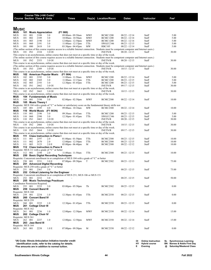|                           |                |            | Course Title (+IAI Code) <sup>1</sup><br><b>Course Section Class # Units</b> |                                                  | <b>Times</b>                                                                               |                   | Day(s) Location/Room                                                                                                                                             | <b>Dates</b>                       | <b>Instructor</b> | Fee <sup>2</sup> |
|---------------------------|----------------|------------|------------------------------------------------------------------------------|--------------------------------------------------|--------------------------------------------------------------------------------------------|-------------------|------------------------------------------------------------------------------------------------------------------------------------------------------------------|------------------------------------|-------------------|------------------|
|                           |                |            |                                                                              |                                                  |                                                                                            |                   |                                                                                                                                                                  |                                    |                   |                  |
| <b>Music</b>              |                |            |                                                                              |                                                  |                                                                                            |                   |                                                                                                                                                                  |                                    |                   |                  |
| MUS                       |                |            | 101 Music Appreciation                                                       |                                                  | (F1 900)                                                                                   |                   |                                                                                                                                                                  |                                    |                   |                  |
| MUS                       | 101            | 001        | 2188                                                                         | 3.0                                              | 09:00am - 09:50am                                                                          | <b>MWF</b>        | <b>BCMC1200</b>                                                                                                                                                  | $08/22 - 12/14$                    | Staff             | 5.00             |
| MUS                       | 101            | 002        | 2189                                                                         | 3.0                                              | 10:00am - 10:50am                                                                          | <b>MWF</b>        | <b>BCMC1200</b>                                                                                                                                                  | $08/22 - 12/14$                    | Staff             | 5.00             |
| <b>MUS</b><br>MUS         | 101<br>101     | 003<br>060 | 2190<br>2191                                                                 | 3.0<br>3.0                                       | $12:00$ pm - $12:50$ pm<br>$11:00$ am - $12:15$ pm                                         | <b>MWF</b><br>TTh | <b>BCMC1200</b><br>SWGCC346                                                                                                                                      | $08/22 - 12/14$<br>$08/23 - 12/15$ | Staff<br>Staff    | 5.00<br>5.00     |
| MUS                       | 101            | 080        | 2618                                                                         | 3.0                                              | $03:30$ pm - $04:45$ pm                                                                    | MW                | <b>RBC105</b>                                                                                                                                                    | $08/22 - 12/14$                    | Staff             | 5.00             |
|                           |                |            |                                                                              |                                                  |                                                                                            |                   | (The online section of this course requires access to a reliable Internet connection. Students must be competent computer and Internet users.)                   |                                    |                   |                  |
| MUS                       | 101 IN1        |            | 2334                                                                         | 3.0 OI                                           |                                                                                            |                   | <b>INETN/R</b>                                                                                                                                                   | $08/20 - 12/15$                    | Staff             | 30.00            |
|                           |                |            |                                                                              |                                                  |                                                                                            |                   | This course is an asynchronous, online course that does not meet at a specific time or day of the week.                                                          |                                    |                   |                  |
| MUS                       | 101 IN2        |            | 2353                                                                         | 3.0 OI                                           |                                                                                            |                   | (The online section of this course requires access to a reliable Internet connection. Students must be competent computer and Internet users.)<br><b>INETN/R</b> | $08/20 - 12/15$                    | Staff             | 30.00            |
|                           |                |            |                                                                              |                                                  |                                                                                            |                   | This course is an asynchronous, online course that does not meet at a specific time or day of the week.                                                          |                                    |                   |                  |
|                           |                |            |                                                                              |                                                  |                                                                                            |                   | (The online section of this course requires access to a reliable Internet connection. Students must be competent computer and Internet users.)                   |                                    |                   |                  |
| <b>MUS</b>                | 101 IN3        |            | 2389                                                                         | 3.0 OI                                           |                                                                                            |                   | <b>INETN/R</b>                                                                                                                                                   | $10/15 - 12/15$                    | Staff             | 30.00            |
|                           |                |            |                                                                              |                                                  |                                                                                            |                   | This course is an asynchronous, online course that does not meet at a specific time or day of the week.                                                          |                                    |                   |                  |
| MUS                       |                |            |                                                                              | 102 American Popular Music                       | (F1 904)                                                                                   |                   |                                                                                                                                                                  |                                    |                   |                  |
| MUS<br>MUS                | 102 001<br>102 | 002        | 2192<br>2369                                                                 | 3.0<br>3.0                                       | 11:00am - 11:50am<br>11:00am - 12:15pm                                                     | MWF<br>TTh        | <b>BCMC1200</b><br><b>BCMC1200</b>                                                                                                                               | $08/22 - 12/14$<br>$08/23 - 12/15$ | Staff<br>Staff    | 5.00<br>5.00     |
| MUS                       | 102 003        |            | 2193                                                                         | 3.0                                              | $12:30$ pm - 01:45pm                                                                       | TTh               | <b>BCMC1200</b>                                                                                                                                                  | $08/23 - 12/15$                    | Staff             | 5.00             |
| MUS                       | 102 IN1        |            | 2662                                                                         | 3.0 OI                                           |                                                                                            |                   | <b>INETN/R</b>                                                                                                                                                   | $09/17 - 12/15$                    | Staff             | 30.00            |
|                           |                |            |                                                                              |                                                  |                                                                                            |                   | This course is an asynchronous, online course that does not meet at a specific time or day of the week.                                                          |                                    |                   |                  |
| <b>MUS</b>                | 102 IN2        |            | 2663                                                                         | 3.0 OI                                           |                                                                                            |                   | <b>INETN/R</b>                                                                                                                                                   | $10/15 - 12/15$                    | Staff             | 30.00            |
|                           |                |            |                                                                              |                                                  |                                                                                            |                   | This course is an asynchronous, online course that does not meet at a specific time or day of the week.                                                          |                                    |                   |                  |
| MUS<br><b>MUS</b>         | 104 001        |            | 2194                                                                         | 104 Fundamentals of Music<br>3.0                 | $02:00$ pm - $02:50$ pm                                                                    | <b>MWF</b>        | <b>BCMC2300</b>                                                                                                                                                  | $08/22 - 12/14$                    | Staff             | 10.00            |
| MUS                       |                |            | 105 Music Theory I                                                           |                                                  |                                                                                            |                   |                                                                                                                                                                  |                                    |                   |                  |
|                           |                |            |                                                                              |                                                  |                                                                                            |                   | Requisite: MUS 104 with a grade of "C" or better or satisfactory score on the fundamental theory skills test                                                     |                                    |                   |                  |
| <b>MUS</b>                | 105 001        |            | 2195                                                                         | 4.0                                              | 09:00am - 10:10am                                                                          | MW                | <b>BCMC2300</b>                                                                                                                                                  | $08/22 - 12/14$                    | Staff             | 10.00            |
| MUS                       |                |            | 110 World Music                                                              | (F1 903N)                                        |                                                                                            |                   |                                                                                                                                                                  |                                    |                   |                  |
| MUS                       | 110            | 001        | 2196<br>2390                                                                 | 3.0<br>3.0                                       | 09:30am - 10:45am                                                                          | TTh<br>TTh        | <b>BCMC1200</b><br>SWGCC346                                                                                                                                      | $08/23 - 12/15$                    | Staff<br>Staff    | 5.00<br>5.00     |
| MUS<br><b>MUS</b>         | 110 060<br>110 | IN1        | 2465                                                                         | 3.0 OI                                           | $12:30$ pm - 01:45pm                                                                       |                   | <b>INETN/R</b>                                                                                                                                                   | $08/23 - 12/15$<br>$08/20 - 12/15$ | Staff             | 30.00            |
|                           |                |            |                                                                              |                                                  |                                                                                            |                   | This course is an asynchronous, online course that does not meet at a specific time or day of the week.                                                          |                                    |                   |                  |
| MUS                       | 110 IN2        |            | 2466                                                                         | 3.0 OI                                           |                                                                                            |                   | <b>INETN/R</b>                                                                                                                                                   | $10/15 - 12/15$                    | Staff             | 30.00            |
|                           |                |            |                                                                              |                                                  |                                                                                            |                   | This course is an asynchronous, online course that does not meet at a specific time or day of the week.                                                          |                                    |                   |                  |
| MUS                       | 110 IN3        |            | 2664                                                                         | 3.0 OI                                           |                                                                                            |                   | <b>INETN/R</b>                                                                                                                                                   | $09/17 - 12/15$                    | Staff             | 30.00            |
| MUS                       |                |            |                                                                              | 111 Class Instruction in Piano I                 |                                                                                            |                   | This course is an asynchronous, online course that does not meet at a specific time or day of the week.                                                          |                                    |                   |                  |
| MUS                       | 111            | 001        | 2197                                                                         | 2.0                                              | $01:00$ pm - $01:50$ pm                                                                    | TTh               | <b>BCMC2300</b>                                                                                                                                                  | $08/23 - 12/15$                    | Staff             | 10.00            |
| MUS                       | 111            | 002        | 2670                                                                         | 2.0                                              | $12:00$ pm - $12:50$ pm                                                                    | TTh               | BCMC2300                                                                                                                                                         | $08/23 - 12/15$                    | Staff             | 10.00            |
| MUS                       | 111            | 003        | 3123                                                                         | 2.0 E                                            | $05:00$ pm - $06:40$ pm                                                                    | M                 | BCMC2300                                                                                                                                                         | $08/22 - 12/12$                    | Staff             | 10.00            |
| MUS                       |                |            |                                                                              | 112 Class Instruction in Piano II                |                                                                                            |                   |                                                                                                                                                                  |                                    |                   |                  |
|                           |                |            |                                                                              | Requisite: MUS 111 with a grade of "C" or better |                                                                                            |                   |                                                                                                                                                                  |                                    |                   |                  |
| MUS<br>MUS                | 112 001        |            | 2198                                                                         | 2.0                                              | 11:00am - 11:50am<br>250 Basic Digital Recording Techniques                                | TTh               | BCMC2300                                                                                                                                                         | $08/23 - 12/15$                    | Staff             | 10.00            |
|                           |                |            |                                                                              |                                                  | Requisite: Concurrent enrollment in or completion of MUS 104 with a grade of "C" or better |                   |                                                                                                                                                                  |                                    |                   |                  |
| <b>MUS</b>                | 250 001        |            | 2231                                                                         | 3.0 E                                            | 07:00pm - 09:50pm                                                                          | T                 | <b>BCMC2302</b>                                                                                                                                                  | $08/23 - 12/13$                    | Staff             | 75.00            |
| MUS                       |                |            |                                                                              | 251 Advanced Digital Recording                   |                                                                                            |                   |                                                                                                                                                                  |                                    |                   |                  |
|                           |                |            |                                                                              | Requisite: MUS 250 with a grade of "C" or better |                                                                                            |                   |                                                                                                                                                                  |                                    |                   |                  |
| MUS<br>MUS                | 251 001        |            | 2361                                                                         | 3.0<br>252 Critical Listening for the Engineer   |                                                                                            |                   |                                                                                                                                                                  | $08/25 - 12/15$                    | Staff             | 75.00            |
|                           |                |            |                                                                              |                                                  | Requisite: Concurrent enrollment in or completion of MUS 251; MUS 106 or MUS 151           |                   |                                                                                                                                                                  |                                    |                   |                  |
| MUS                       |                |            | 252 001 2232 3.0                                                             |                                                  | the contract of the contract of the con-                                                   |                   |                                                                                                                                                                  | $08/25 - 12/15$                    | Staff             | 50.00            |
| MUS                       |                |            |                                                                              | 255 Music Technology Practicum                   |                                                                                            |                   |                                                                                                                                                                  |                                    |                   |                  |
|                           |                |            | Coordinator Permission Required.                                             |                                                  |                                                                                            |                   |                                                                                                                                                                  |                                    |                   |                  |
| MUS                       | 255            | 001        | 2233                                                                         | 3.0                                              | 03:00pm - 05:50pm                                                                          | Th                | <b>BCMC2302</b>                                                                                                                                                  | $08/25 - 12/15$                    | Staff             | 0.00             |
| MUS<br>Requisite: MUS 160 |                |            | 259 Concert Band III                                                         |                                                  |                                                                                            |                   |                                                                                                                                                                  |                                    |                   |                  |
| <b>MUS</b>                | 259            | 001        | 2234                                                                         | 1.0                                              | 12:30pm - 01:45pm                                                                          | TTh               | <b>BCMC2350</b>                                                                                                                                                  | $08/23 - 12/15$                    | Staff             | 0.00             |
| MUS                       |                |            | 260 Concert Band IV                                                          |                                                  |                                                                                            |                   |                                                                                                                                                                  |                                    |                   |                  |
| Requisite: MUS 259        |                |            |                                                                              |                                                  |                                                                                            |                   |                                                                                                                                                                  |                                    |                   |                  |
| MUS                       | 260            | 001        | 2235                                                                         | 1.0                                              | 12:30pm - 01:45pm                                                                          | TTh               | <b>BCMC2350</b>                                                                                                                                                  | $08/23 - 12/15$                    | Staff             | 0.00             |
| MUS                       |                |            | 261 College Choir III                                                        |                                                  |                                                                                            |                   |                                                                                                                                                                  |                                    |                   |                  |
| Requisite: MUS 162        |                |            |                                                                              |                                                  |                                                                                            |                   |                                                                                                                                                                  |                                    |                   |                  |
| MUS<br>MUS                | 261 001        |            | 2236<br>262 College Choir IV                                                 | 1.0                                              | 12:00pm - 12:50pm                                                                          | <b>MWF</b>        | <b>BCMC2350</b>                                                                                                                                                  | $08/22 - 12/14$                    | Staff             | 15.00            |
| Requisite: MUS 261        |                |            |                                                                              |                                                  |                                                                                            |                   |                                                                                                                                                                  |                                    |                   |                  |
| MUS                       | 262 001        |            | 2237                                                                         | 1.0                                              | $12:00$ pm - $12:50$ pm                                                                    | <b>MWF</b>        | <b>BCMC2350</b>                                                                                                                                                  | $08/22 - 12/14$                    | Staff             | 15.00            |
| MUS                       |                |            | 263 Jazz Band III                                                            |                                                  |                                                                                            |                   |                                                                                                                                                                  |                                    |                   |                  |
| Requisite: MUS 164        |                |            |                                                                              |                                                  |                                                                                            |                   |                                                                                                                                                                  |                                    |                   |                  |
| MUS                       | 263 001        |            | 2238                                                                         | 1.0 E                                            | $07:00$ pm - $09:50$ pm                                                                    | M                 | <b>BCMC2350</b>                                                                                                                                                  | $08/22 - 12/12$                    | Staff             | 0.00             |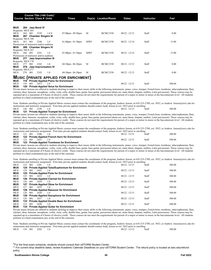|                                           |         |       | Course Title (+IAI Code) <sup>1</sup><br><b>Course Section Class # Units</b> |                                             | Times                                         |            | Day(s) Location/Room | <b>Dates</b>    | Instructor | $\mathsf{Fe}^{2}$ |  |
|-------------------------------------------|---------|-------|------------------------------------------------------------------------------|---------------------------------------------|-----------------------------------------------|------------|----------------------|-----------------|------------|-------------------|--|
|                                           |         |       |                                                                              |                                             |                                               |            |                      |                 |            |                   |  |
| MUS                                       |         |       | 264 Jazz Band IV                                                             |                                             |                                               |            |                      |                 |            |                   |  |
| Requisite: MUS 263                        |         |       |                                                                              |                                             |                                               |            |                      |                 |            |                   |  |
| <b>MUS</b>                                | 264     | 001   | 2239                                                                         | 1.0 E                                       | $07:00$ pm - $09:50$ pm                       | M          | <b>BCMC2350</b>      | $08/22 - 12/12$ | Staff      | 0.00              |  |
| MUS                                       |         |       | 267 Chamber Singers III                                                      |                                             |                                               |            |                      |                 |            |                   |  |
| Requisite: MUS 168                        |         |       |                                                                              |                                             |                                               |            |                      |                 |            |                   |  |
| <b>MUS</b>                                | 267     | - 001 | 2240                                                                         | 1.0                                         | $01:00$ pm - $01:50$ pm                       | <b>MWF</b> | <b>BCMC2350</b>      | $08/22 - 12/14$ | Staff      | 15.00             |  |
| Permission of instructor and/or audition. |         |       |                                                                              |                                             |                                               |            |                      |                 |            |                   |  |
| MUS                                       |         |       | 268 Chamber Singers IV                                                       |                                             |                                               |            |                      |                 |            |                   |  |
| Requisite: MUS 267                        |         |       |                                                                              |                                             |                                               |            |                      |                 |            |                   |  |
| <b>MUS</b>                                | 268     | - 001 | 2241                                                                         | 1.0                                         | $01:00$ pm - $01:50$ pm                       | <b>MWF</b> | <b>BCMC2350</b>      | $08/22 - 12/14$ | Staff      | 15.00             |  |
| Permission of instructor and/or audition. |         |       |                                                                              |                                             |                                               |            |                      |                 |            |                   |  |
| MUS                                       |         |       | 277 Jazz Improvisation III                                                   |                                             |                                               |            |                      |                 |            |                   |  |
| Requisite: MUS 178<br><b>MUS</b>          | 277     | 001   | 2242                                                                         | 1.0                                         | $04:30$ pm - $06:20$ pm                       | M          | <b>BCMC2350</b>      | $08/22 - 12/12$ | Staff      | 0.00              |  |
| MUS                                       |         |       | 278 Jazz Improvisation IV                                                    |                                             |                                               |            |                      |                 |            |                   |  |
| Requisite: MUS 277                        |         |       |                                                                              |                                             |                                               |            |                      |                 |            |                   |  |
| <b>MUS</b>                                | 278 001 |       | 2243                                                                         | 1.0                                         | $04:30$ pm - $06:20$ pm                       | M          | <b>BCMC2350</b>      | $08/22 - 12/12$ | Staff      | 0.00              |  |
|                                           |         |       |                                                                              |                                             |                                               |            |                      |                 |            |                   |  |
|                                           |         |       |                                                                              |                                             | <b>MUSIC (PRIVATE APPLIED FOR ENRICHMENT)</b> |            |                      |                 |            |                   |  |
| <b>MUS</b>                                | 119     |       |                                                                              | <b>Private Applied Piano for Enrichment</b> |                                               |            |                      |                 |            |                   |  |
| <b>MUS</b>                                | 119     | 001   | 2413                                                                         | 1.0                                         |                                               |            |                      | $08/22 - 12/15$ | Staff      | 300.00            |  |
| MUS                                       | 120     |       |                                                                              | <b>Private Applied Voice for Enrichment</b> |                                               |            |                      |                 |            |                   |  |

**MUS** 120 Private Applied Voice for Enrichment<br>Private music lessons are offered to students desiring to improve their music skills in the following instruments: piano, voice, trumpet, French horn, trombone, tuba/euphonium clarinet, oboe, bassoon, saxophone, violin, viola, cello, double bass, guitar, bass guitar, percussion (drum set, snare drum, timpani, mallets, Latin percussion). These courses may be repeated up to a maximum of 4 hours of elective credit. These courses do not meet the requirements for pursuit of a major or minor in music at the baccalaureate level. All students perform in a final examination jury at the end of the semester.

Note: Students enrolling in Private Applied Music courses must contact the coordinator of the program, Andrew Jensen, at 618-235-2700, ext. 5032, or Andrew. Jensen@swic.edu for instructions and instructor assignment. First-time private applied students should contact Andy Jensen at ext. 5032 prior to enrolling.<br>MUS 120 001 2199 1.0

#### MUS 120 001 2199 1.0 - 1.0 - 1.0 08/22 - 12/15 Staff 300.00 **MUS 121 Private Applied Trumpet for Enrichment**

Private music lessons are offered to students desiring to improve their music skills in the following instruments: piano, voice, trumpet, French horn, trombone, tuba/euphonium, flute, clarinet, oboe, bassoon, saxophone, violin, viola, cello, double bass, guitar, bass guitar, percussion (drum set, snare drum, timpani, mallets, Latin percussion). These courses may be repeated up to a maximum of 4 hours of elective credit. These courses do not meet the requirements for pursuit of a major or minor in music at the baccalaureate level. All students perform in a final examination jury at the end of the semester.

Note: Students enrolling in Private Applied Music courses must contact the coordinator of the program, Andrew Jensen, at 618-235-2700, ext. 5032, or Andrew. Jensen@swic.edu for instructions and instructor assignment. First-time private applied students should contact Andy Jensen at ext. 5032 prior to enrolling.

| MUS          | 121 001 |              | 2200 |                                                | $08/22 - 12/15$ | Staff | 300.00 |
|--------------|---------|--------------|------|------------------------------------------------|-----------------|-------|--------|
| MUS          |         |              |      | 122 Private Applied French Horn for Enrichment |                 |       |        |
| MUS<br>----- |         | 122 001 2431 |      |                                                | $08/22 - 12/15$ | Staff | 300.00 |

**MUS 123 Private Applied Trombone for Enrichment**

Private music lessons are offered to students desiring to improve their music skills in the following instruments: piano, voice, trumpet, French horn, trombone, tuba/euphonium, flute, clarinet, oboe, bassoon, saxophone, violin, viola, cello, double bass, guitar, bass guitar, percussion (drum set, snare drum, timpani, mallets, Latin percussion). These courses may be repeated up to a maximum of 4 hours of elective credit. These courses do not meet the requirements for pursuit of a major or minor in music at the baccalaureate level. All students perform in a final examination jury at the end of the semester.

Note: Students enrolling in Private Applied Music courses must contact the coordinator of the program, Andrew Jensen, at 618-235-2700, ext. 5032, or Andrew. Jensen@swic.edu for instructions and instructor assignment. First-time private applied students should contact Andy Jensen at ext. 5032 prior to enrolling.

| <b>MUS</b> | 123  | 2201<br>001  | 1.0                                               | $08/22 - 12/15$ | Staff | 300.00 |
|------------|------|--------------|---------------------------------------------------|-----------------|-------|--------|
| MUS        |      |              | 124 Private Applied Tuba/Euphonium for Enrichment |                 |       |        |
| <b>MUS</b> | 124  | 2432<br>-001 | 1.0                                               | $08/22 - 12/15$ | Staff | 300.00 |
| MUS        |      |              | 125 Private Applied Flute for Enrichment          |                 |       |        |
| <b>MUS</b> | 125  | -001<br>2433 | 1.0                                               | $08/22 - 12/15$ | Staff | 300.00 |
| MUS        |      |              | 126 Private Applied Clarinet for Enrichment       |                 |       |        |
| <b>MUS</b> | 126. | 2434<br>-001 | 1.0                                               | $08/22 - 12/15$ | Staff | 300.00 |
| MUS        |      |              | 127 Private Applied Oboe for Enrichment           |                 |       |        |
| <b>MUS</b> | 127  | 2435<br>-001 | 1.0                                               | $08/22 - 12/15$ | Staff | 300.00 |
| MUS        |      |              | 128 Private Applied Bassoon for Enrichment        |                 |       |        |
| <b>MUS</b> | 128  | -001<br>2436 | 1.0                                               | $08/22 - 12/15$ | Staff | 300.00 |
| MUS        |      |              | 129 Private Applied Saxophone for Enrichment      |                 |       |        |
| <b>MUS</b> | 129  | 2437<br>-001 | 1.0                                               | $08/22 - 12/15$ | Staff | 300.00 |
| <b>MUS</b> |      |              | 133 Private Applied Double Bass for Enrichment    |                 |       |        |
| <b>MUS</b> | 133. | 001<br>2438  | 1.0                                               | $08/22 - 12/15$ | Staff | 300.00 |
| <b>MUS</b> |      |              | 134 Private Applied Guitar for Enrichment         |                 |       |        |

Private music lessons are offered to students desiring to improve their music skills in the following instruments: piano, voice, trumpet, French horn, trombone, tuba/euphonium, flute, clarinet, oboe, bassoon, saxophone, violin, viola, cello, double bass, guitar, bass guitar, percussion (drum set, snare drum, timpani, mallets, Latin percussion). These courses may be repeated up to a maximum of 4 hours of elective credit. These courses do not meet the requirements for pursuit of a major or minor in music at the baccalaureate level. All students perform in a final examination jury at the end of the semester.

Note: Students enrolling in Private Applied Music courses must contact the coordinator of the program, Andrew Jensen, at 618-235-2700, ext. 5032, or Andrew. Jensen@swic.edu for instructions and instructor assignment. First-time private applied students should contact Andy Jensen at ext. 5032 prior to enrolling.<br>MUS 134 001 2202 1 0 MUS 134 001 2202 1.0 - 1.0 - 1.0 08/22 -12/15 Staff 300.00

\*For the final exam schedule, students should consult their eSTORM Student Center.

\*\* For current drop deadline dates, review Academic Calendar Deadlines on your eSTORM Student Center. The refund policy is located at swic.edu/refundpolicy.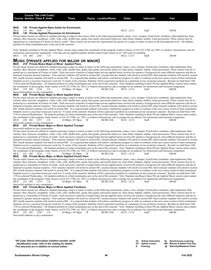|                                                      |                    | Course Title (+IAI Code) <sup>1</sup>                                                                              |                                                                                                                  |                                                                                                                     |        |                                                                                                                                        |                                    |                                                                                                                                                                                                                                                                                                                                                                                                                                                                                                                                                                                                                                                                                                                                                          |                                                                                                                                                                                                                                                                                                                                                                                                                                                                                                                                                                                                                                                                                                                                                                                                                                                                                                                                                                                                                                                                                                                                                                                                                                                                                                                                                                                                                                                                                                                                                                                                                                                                                                                                                                                                                                                                                                                                                                                                                                                                                                                                                                                                                                                                                                                                                                                  |
|------------------------------------------------------|--------------------|--------------------------------------------------------------------------------------------------------------------|------------------------------------------------------------------------------------------------------------------|---------------------------------------------------------------------------------------------------------------------|--------|----------------------------------------------------------------------------------------------------------------------------------------|------------------------------------|----------------------------------------------------------------------------------------------------------------------------------------------------------------------------------------------------------------------------------------------------------------------------------------------------------------------------------------------------------------------------------------------------------------------------------------------------------------------------------------------------------------------------------------------------------------------------------------------------------------------------------------------------------------------------------------------------------------------------------------------------------|----------------------------------------------------------------------------------------------------------------------------------------------------------------------------------------------------------------------------------------------------------------------------------------------------------------------------------------------------------------------------------------------------------------------------------------------------------------------------------------------------------------------------------------------------------------------------------------------------------------------------------------------------------------------------------------------------------------------------------------------------------------------------------------------------------------------------------------------------------------------------------------------------------------------------------------------------------------------------------------------------------------------------------------------------------------------------------------------------------------------------------------------------------------------------------------------------------------------------------------------------------------------------------------------------------------------------------------------------------------------------------------------------------------------------------------------------------------------------------------------------------------------------------------------------------------------------------------------------------------------------------------------------------------------------------------------------------------------------------------------------------------------------------------------------------------------------------------------------------------------------------------------------------------------------------------------------------------------------------------------------------------------------------------------------------------------------------------------------------------------------------------------------------------------------------------------------------------------------------------------------------------------------------------------------------------------------------------------------------------------------------|
|                                                      |                    | <b>Course Section Class # Units</b>                                                                                |                                                                                                                  | <b>Times</b>                                                                                                        |        | Day(s) Location/Room                                                                                                                   | Dates                              | <b>Instructor</b>                                                                                                                                                                                                                                                                                                                                                                                                                                                                                                                                                                                                                                                                                                                                        | $\mathsf{Fe}^2$                                                                                                                                                                                                                                                                                                                                                                                                                                                                                                                                                                                                                                                                                                                                                                                                                                                                                                                                                                                                                                                                                                                                                                                                                                                                                                                                                                                                                                                                                                                                                                                                                                                                                                                                                                                                                                                                                                                                                                                                                                                                                                                                                                                                                                                                                                                                                                  |
|                                                      |                    |                                                                                                                    |                                                                                                                  |                                                                                                                     |        |                                                                                                                                        |                                    |                                                                                                                                                                                                                                                                                                                                                                                                                                                                                                                                                                                                                                                                                                                                                          |                                                                                                                                                                                                                                                                                                                                                                                                                                                                                                                                                                                                                                                                                                                                                                                                                                                                                                                                                                                                                                                                                                                                                                                                                                                                                                                                                                                                                                                                                                                                                                                                                                                                                                                                                                                                                                                                                                                                                                                                                                                                                                                                                                                                                                                                                                                                                                                  |
| MUS                                                  | 135                |                                                                                                                    | <b>Private Applied Bass Guitar for Enrichment</b>                                                                |                                                                                                                     |        |                                                                                                                                        |                                    |                                                                                                                                                                                                                                                                                                                                                                                                                                                                                                                                                                                                                                                                                                                                                          |                                                                                                                                                                                                                                                                                                                                                                                                                                                                                                                                                                                                                                                                                                                                                                                                                                                                                                                                                                                                                                                                                                                                                                                                                                                                                                                                                                                                                                                                                                                                                                                                                                                                                                                                                                                                                                                                                                                                                                                                                                                                                                                                                                                                                                                                                                                                                                                  |
| <b>MUS</b>                                           | 135<br>001         | 2439<br>1.0                                                                                                        |                                                                                                                  |                                                                                                                     |        |                                                                                                                                        | $08/22 - 12/15$                    | Staff                                                                                                                                                                                                                                                                                                                                                                                                                                                                                                                                                                                                                                                                                                                                                    | 300.00                                                                                                                                                                                                                                                                                                                                                                                                                                                                                                                                                                                                                                                                                                                                                                                                                                                                                                                                                                                                                                                                                                                                                                                                                                                                                                                                                                                                                                                                                                                                                                                                                                                                                                                                                                                                                                                                                                                                                                                                                                                                                                                                                                                                                                                                                                                                                                           |
| <b>MUS</b>                                           |                    |                                                                                                                    | 136 Private Applied Percussion for Enrichment<br>perform in a final examination jury at the end of the semester. |                                                                                                                     |        |                                                                                                                                        |                                    | clarinet, oboe, bassoon, saxophone, violin, viola, cello, double bass, guitar, bass guitar, percussion (drum set, snare drum, timpani, mallets, Latin percussion). These courses may be<br>repeated up to a maximum of 4 hours of elective credit. These courses do not meet the requirements for pursuit of a major or minor in music at the baccalaureate level. All students                                                                                                                                                                                                                                                                                                                                                                          | Private music lessons are offered to students desiring to improve their music skills in the following instruments: piano, voice, trumpet, French horn, trombone, tuba/euphonium, flute,                                                                                                                                                                                                                                                                                                                                                                                                                                                                                                                                                                                                                                                                                                                                                                                                                                                                                                                                                                                                                                                                                                                                                                                                                                                                                                                                                                                                                                                                                                                                                                                                                                                                                                                                                                                                                                                                                                                                                                                                                                                                                                                                                                                          |
|                                                      |                    |                                                                                                                    |                                                                                                                  |                                                                                                                     |        |                                                                                                                                        |                                    |                                                                                                                                                                                                                                                                                                                                                                                                                                                                                                                                                                                                                                                                                                                                                          | Note: Students enrolling in Private Applied Music courses must contact the coordinator of the program, Andrew Jensen, at 618-235-2700, ext. 5032, or Andrew. Jensen@swic.edu for                                                                                                                                                                                                                                                                                                                                                                                                                                                                                                                                                                                                                                                                                                                                                                                                                                                                                                                                                                                                                                                                                                                                                                                                                                                                                                                                                                                                                                                                                                                                                                                                                                                                                                                                                                                                                                                                                                                                                                                                                                                                                                                                                                                                 |
|                                                      |                    |                                                                                                                    |                                                                                                                  |                                                                                                                     |        | instructions and instructor assignment. First-time private applied students should contact Andy Jensen at ext. 5032 prior to enrolling |                                    |                                                                                                                                                                                                                                                                                                                                                                                                                                                                                                                                                                                                                                                                                                                                                          |                                                                                                                                                                                                                                                                                                                                                                                                                                                                                                                                                                                                                                                                                                                                                                                                                                                                                                                                                                                                                                                                                                                                                                                                                                                                                                                                                                                                                                                                                                                                                                                                                                                                                                                                                                                                                                                                                                                                                                                                                                                                                                                                                                                                                                                                                                                                                                                  |
| MUS                                                  | 136 001 2203       | 1.0                                                                                                                |                                                                                                                  |                                                                                                                     |        |                                                                                                                                        | $08/22 - 12/15$                    | Staff                                                                                                                                                                                                                                                                                                                                                                                                                                                                                                                                                                                                                                                                                                                                                    | 300.00                                                                                                                                                                                                                                                                                                                                                                                                                                                                                                                                                                                                                                                                                                                                                                                                                                                                                                                                                                                                                                                                                                                                                                                                                                                                                                                                                                                                                                                                                                                                                                                                                                                                                                                                                                                                                                                                                                                                                                                                                                                                                                                                                                                                                                                                                                                                                                           |
| <b>MUS</b><br><b>MUS</b><br><b>MUS</b><br><b>MUS</b> | 219 001<br>220 001 | 2216<br>2.0<br>Successful audition or jury examination.<br>2217<br>2.0<br>Successful audition or jury examination. | 219 Private Music Major or Minor Applied Piano<br>220 Private Music Major or Minor Applied Voice                 | <b>MUSIC (PRIVATE APPLIED FOR MAJOR OR MINOR)</b><br>$03:00$ pm - $05:50$ pm<br>$03:00 \text{pm} - 05:50 \text{pm}$ | W<br>W | <b>BCMC2346</b><br><b>BCMC2346</b>                                                                                                     | $08/22 - 12/14$<br>$08/22 - 12/14$ | Private music lessons are offered to students pursuing a major or minor in music in the following instruments: piano, voice, trumpet, French horn, trombone, tuba/euphonium, flute,<br>the coordinator of the program, Andy Jensen, at 618-235-2700, ext. 5032, or Andrew.Jensen@swic.edu to arrange for an audition, for instructions and instructor assignment.<br>Staff<br>Private music lessons are offered to students pursuing a major or minor in music in the following instruments: piano, voice, trumpet, French horn, trombone, tuba/euphonium, flute,<br>the coordinator of the program, Andy Jensen, at 618-235-2700, ext. 5032, or Andrew.Jensen@swic.edu to arrange for an audition, for instructions and instructor assignment.<br>Staff | clarinet, oboe, bassoon, saxophone, violin, viola, cello, double bass, guitar, bass guitar, percussion (drum set, snare drum, timpani, mallets, Latin percussion). These courses may be re-<br>peated up to a maximum of 8 hours of credit. Each successive semester of major/minor private applied music involves the mastery of progressively more difficult repertoire and the at-<br>tainment of greater musical expertise. First semester students will enroll in section 001; second semester students will enroll in section 002; third semester students will enroll in section<br>003; fourth semester students will enroll in section 004. It is expected that students will achieve satisfactory progress in order to continue to the next course section of their instrument.<br>Students receive a one-hour lesson per week for 15 weeks of the semester. Students will be expected to perform in a minimum of one recital per semester. Recitals are held from 3:00-<br>3:50 on selected Wednesdays. All students perform in a final examination jury at the end of the semester. Note: Students enrolling in these Private Applied Music courses must contact<br>600.00<br>clarinet, oboe, bassoon, saxophone, violin, viola, cello, double bass, guitar, bass guitar, percussion (drum set, snare drum, timpani, mallets, Latin percussion). These courses may be re-<br>peated up to a maximum of 8 hours of credit. Each successive semester of major/minor private applied music involves the mastery of progressively more difficult repertoire and the at-<br>tainment of greater musical expertise. First semester students will enroll in section 001; second semester students will enroll in section 002; third semester students will enroll in section<br>003; fourth semester students will enroll in section 004. It is expected that students will achieve satisfactory progress in order to continue to the next course section of their instrument.<br>Students receive a one-hour lesson per week for 15 weeks of the semester. Students will be expected to perform in a minimum of one recital per semester. Recitals are held from 3:00-<br>3:50 on selected Wednesdays. All students perform in a final examination jury at the end of the semester. Note: Students enrolling in these Private Applied Music courses must contact<br>600.00 |
| <b>MUS</b>                                           |                    |                                                                                                                    | 221 Private Music Major or Minor Applied Trumpet                                                                 |                                                                                                                     |        |                                                                                                                                        |                                    |                                                                                                                                                                                                                                                                                                                                                                                                                                                                                                                                                                                                                                                                                                                                                          |                                                                                                                                                                                                                                                                                                                                                                                                                                                                                                                                                                                                                                                                                                                                                                                                                                                                                                                                                                                                                                                                                                                                                                                                                                                                                                                                                                                                                                                                                                                                                                                                                                                                                                                                                                                                                                                                                                                                                                                                                                                                                                                                                                                                                                                                                                                                                                                  |
|                                                      |                    | Successful audition or jury examination.                                                                           |                                                                                                                  |                                                                                                                     |        |                                                                                                                                        |                                    |                                                                                                                                                                                                                                                                                                                                                                                                                                                                                                                                                                                                                                                                                                                                                          |                                                                                                                                                                                                                                                                                                                                                                                                                                                                                                                                                                                                                                                                                                                                                                                                                                                                                                                                                                                                                                                                                                                                                                                                                                                                                                                                                                                                                                                                                                                                                                                                                                                                                                                                                                                                                                                                                                                                                                                                                                                                                                                                                                                                                                                                                                                                                                                  |
| <b>MUS</b><br>MUS                                    | 221 001            | 2.0<br>2218                                                                                                        |                                                                                                                  | $03:00 \text{pm} - 05:50 \text{pm}$<br>222 Private Music Major or Minor Applied French Horn                         | W      | <b>BCMC2346</b>                                                                                                                        | $08/22 - 12/14$                    | Private music lessons are offered to students pursuing a major or minor in music in the following instruments: piano, voice, trumpet, French horn, trombone, tuba/euphonium, flute,<br>the coordinator of the program, Andy Jensen, at 618-235-2700, ext. 5032, or Andrew Jensen@swic.edu to arrange for an audition, for instructions and instructor assignment.<br>Staff                                                                                                                                                                                                                                                                                                                                                                               | clarinet, oboe, bassoon, saxophone, violin, viola, cello, double bass, guitar, bass guitar, percussion (drum set, snare drum, timpani, mallets, Latin percussion). These courses may be re-<br>peated up to a maximum of 8 hours of credit. Each successive semester of major/minor private applied music involves the mastery of progressively more difficult repertoire and the at-<br>tainment of greater musical expertise. First semester students will enroll in section 001; second semester students will enroll in section 002; third semester students will enroll in section<br>003; fourth semester students will enroll in section 004. It is expected that students will achieve satisfactory progress in order to continue to the next course section of their instrument.<br>Students receive a one-hour lesson per week for 15 weeks of the semester. Students will be expected to perform in a minimum of one recital per semester. Recitals are held from 3:00-<br>3:50 on selected Wednesdays. All students perform in a final examination jury at the end of the semester. Note: Students enrolling in these Private Applied Music courses must contact<br>600.00                                                                                                                                                                                                                                                                                                                                                                                                                                                                                                                                                                                                                                                                                                                                                                                                                                                                                                                                                                                                                                                                                                                                                                                           |
|                                                      |                    |                                                                                                                    |                                                                                                                  |                                                                                                                     |        |                                                                                                                                        |                                    | Private music lessons are offered to students pursuing a major or minor in music in the following instruments: piano, voice, trumpet, French horn, trombone, tuba/euphonium, flute,                                                                                                                                                                                                                                                                                                                                                                                                                                                                                                                                                                      |                                                                                                                                                                                                                                                                                                                                                                                                                                                                                                                                                                                                                                                                                                                                                                                                                                                                                                                                                                                                                                                                                                                                                                                                                                                                                                                                                                                                                                                                                                                                                                                                                                                                                                                                                                                                                                                                                                                                                                                                                                                                                                                                                                                                                                                                                                                                                                                  |
| MUS<br>MUS                                           | 222 001            | 2219<br>2.0<br>Successful audition or jury examination.                                                            |                                                                                                                  | $03:00 \text{pm} - 05:50 \text{pm}$<br>223 Private Music Major or Minor Applied Trombone                            | W      | <b>BCMC2346</b>                                                                                                                        | $08/22 - 12/14$                    | the coordinator of the program, Andy Jensen, at 618-235-2700, ext. 5032, or Andrew.Jensen@swic.edu to arrange for an audition, for instructions and instructor assignment.<br>Staff                                                                                                                                                                                                                                                                                                                                                                                                                                                                                                                                                                      | clarinet, oboe, bassoon, saxophone, violin, viola, cello, double bass, guitar, bass guitar, percussion (drum set, snare drum, timpani, mallets, Latin percussion). These courses may be re-<br>peated up to a maximum of 8 hours of credit. Each successive semester of major/minor private applied music involves the mastery of progressively more difficult repertoire and the at-<br>tainment of greater musical expertise. First semester students will enroll in section 001; second semester students will enroll in section 002; third semester students will enroll in section<br>003; fourth semester students will enroll in section 004. It is expected that students will achieve satisfactory progress in order to continue to the next course section of their instrument.<br>Students receive a one-hour lesson per week for 15 weeks of the semester. Students will be expected to perform in a minimum of one recital per semester. Recitals are held from 3:00-<br>3:50 on selected Wednesdays. All students perform in a final examination jury at the end of the semester. Note: Students enrolling in these Private Applied Music courses must contact<br>600.00                                                                                                                                                                                                                                                                                                                                                                                                                                                                                                                                                                                                                                                                                                                                                                                                                                                                                                                                                                                                                                                                                                                                                                                           |
|                                                      |                    |                                                                                                                    |                                                                                                                  |                                                                                                                     |        |                                                                                                                                        |                                    | Private music lessons are offered to students pursuing a major or minor in music in the following instruments: piano, voice, trumpet, French horn, trombone, tuba/euphonium, flute,                                                                                                                                                                                                                                                                                                                                                                                                                                                                                                                                                                      |                                                                                                                                                                                                                                                                                                                                                                                                                                                                                                                                                                                                                                                                                                                                                                                                                                                                                                                                                                                                                                                                                                                                                                                                                                                                                                                                                                                                                                                                                                                                                                                                                                                                                                                                                                                                                                                                                                                                                                                                                                                                                                                                                                                                                                                                                                                                                                                  |
|                                                      |                    |                                                                                                                    |                                                                                                                  |                                                                                                                     |        |                                                                                                                                        |                                    |                                                                                                                                                                                                                                                                                                                                                                                                                                                                                                                                                                                                                                                                                                                                                          | clarinet, oboe, bassoon, saxophone, violin, viola, cello, double bass, guitar, bass guitar, percussion (drum set, snare drum, timpani, mallets, Latin percussion). These courses may be re-<br>peated up to a maximum of 8 hours of credit. Each successive semester of major/minor private applied music involves the mastery of progressively more difficult repertoire and the at-<br>tainment of greater musical expertise. First semester students will enroll in section 001: second semester students will enroll in section 002; third semester students will enroll in section                                                                                                                                                                                                                                                                                                                                                                                                                                                                                                                                                                                                                                                                                                                                                                                                                                                                                                                                                                                                                                                                                                                                                                                                                                                                                                                                                                                                                                                                                                                                                                                                                                                                                                                                                                                          |

tainment of greater musical expertise. First semester students will enroll in section 001; second semester students will enroll in section 002; third semester students will enroll in section<br>003; fourth semester students w Students receive a one-hour lesson per week for 15 weeks of the semester. Students will be expected to perform in a minimum of one recital per semester. Recitals are held from 3:00- 3:50 on selected Wednesdays. All students perform in a final examination jury at the end of the semester. Note: Students enrolling in these Private Applied Music courses must contact the coordinator of the program, Andy Jensen, at 618-235-2700, ext. 5032, or Andrew.Jensen@swic.edu to arrange for an audition, for instructions and instructor assignment.<br>MUS 223 001 2220 2.0 03:00pm - 05:50pm W BCMC2346 0

**1 IAI Code: Illinois Articulation Initiative transfer credit identification code, refer to the catalog for details. 2 Fee amounts are in addition to normal tuition.**

| <b>Online Instruction</b> | SL Synchronous Learning            |
|---------------------------|------------------------------------|
| HY Hybrid course          | <b>BN</b> Barnes & Noble First Day |
| Evenina                   | @ Saturday/Weekend Class           |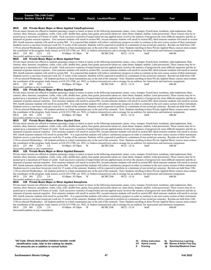|--|

#### **MUS 224 Private Music Major or Minor Applied Tuba/Euphonium**

Private music lessons are offered to students pursuing a major or minor in music in the following instruments: piano, voice, trumpet, French horn, trombone, tuba/euphonium, flute, clarinet, oboe, bassoon, saxophone, violin, viola, cello, double bass, guitar, bass guitar, percussion (drum set, snare drum, timpani, mallets, Latin percussion). These courses may be repeated up to a maximum of 8 hours of credit. Each successive semester of major/minor private applied music involves the mastery of progressively more difficult repertoire and the attainment of greater musical expertise. First semester students will enroll in section 001; second semester students will enroll in section 002; third semester students will enroll in section 003; fourth semester students will enroll in section 004. It is expected that students will achieve satisfactory progress in order to continue to the next course section of their instrument. Students receive a one-hour lesson per week for 15 weeks of the semester. Students will be expected to perform in a minimum of one recital per semester. Recitals are held from 3:00-3:50 on selected Wednesdays. All students perform in a final examination jury at the end of the semester. Note: Students enrolling in these Private Applied Music courses must contact the coordinator of the program, Andy Jensen, at 618-235-2700, ext. 5032, or Andrew.Jensen@swic.edu to arrange for an audition, for instructions and instructor assignment.<br>MUS 224 001 2221 2.0 03:00pm - 05:50pm W BCMC2346 0 MUS 224 001 2221 2.0 03:00pm- 05:50pm W BCMC2346 08/22 -12/14 Staff 600.00

#### Successful audition or jury examination.<br>MUS 225 Private Music Maior **MUS 225 Private Music Major or Minor Applied Flute**

Private music lessons are offered to students pursuing a major or minor in music in the following instruments: piano, voice, trumpet, French horn, trombone, tuba/euphonium, flute, clarinet, oboe, bassoon, saxophone, violin, viola, cello, double bass, guitar, bass guitar, percussion (drum set, snare drum, timpani, mallets, Latin percussion). These courses may be repeated up to a maximum of 8 hours of credit. Each successive semester of major/minor private applied music involves the mastery of progressively more difficult repertoire and the attainment of greater musical expertise. First semester students will enroll in section 001; second semester students will enroll in section 002; third semester students will enroll in section 003; fourth semester students will enroll in section 004. It is expected that students will achieve satisfactory progress in order to continue to the next course section of their instrument. Students receive a one-hour lesson per week for 15 weeks of the semester. Students will be expected to perform in a minimum of one recital per semester. Recitals are held from 3:00- 3:50 on selected Wednesdays. All students perform in a final examination jury at the end of the semester. Note: Students enrolling in these Private Applied Music courses must contact the coordinator of the program, Andy Jensen, at 618-235-2700, ext. 5032, or Andrew Jensen@swic.edu to arrange for an audition, for instructions and instructor assignment.<br>MUS 225 001 2222 2.0 03:00pm - 05:50pm W BCMC2346 0

#### Successful audition or jury examination.<br>MIJS 226 Private Music Major **MUS 226 Private Music Major or Minor Applied Clarinet**

Private music lessons are offered to students pursuing a major or minor in music in the following instruments: piano, voice, trumpet, French horn, trombone, tuba/euphonium, flute, clarinet, oboe, bassoon, saxophone, violin, viola, cello, double bass, guitar, bass guitar, percussion (drum set, snare drum, timpani, mallets, Latin percussion). These courses may be repeated up to a maximum of 8 hours of credit. Each successive semester of major/minor private applied music involves the mastery of progressively more difficult repertoire and the attainment of greater musical expertise. First semester students will enroll in section 001; second semester students will enroll in section 002; third semester students will enroll in section and the semester students will enroll in section 004. It is expected that students will achieve satisfactory progress in order to continue to the next course section of their instrument. Students receive a one-hour lesson per week for 15 weeks of the semester. Students will be expected to perform in a minimum of one recital per semester. Recitals are held from 3:00- 3:50 on selected Wednesdays. All students perform in a final examination jury at the end of the semester. Note: Students enrolling in these Private Applied Music courses must contact the coordinator of the program, Andy Jensen, at 618-235-2700, ext. 5032, or Andrew.Jensen@swic.edu to arrange for an audition, for instructions and instructor assignment.<br>MUS 226 001 2223 2.0 03:00pm - 05:50pm W BCMC2346 0  $03:00 \text{pm} - 05:50 \text{pm}$ 

#### Successful audition or jury examination.<br>**MUS** 227 Private Music Maior **MUS 227 Private Music Major or Minor Applied Oboe**

Private music lessons are offered to students pursuing a major or minor in music in the following instruments: piano, voice, trumpet, French horn, trombone, tuba/euphonium, flute, clarinet, oboe, bassoon, saxophone, violin, viola, cello, double bass, guitar, bass guitar, percussion (drum set, snare drum, timpani, mallets, Latin percussion). These courses may be repeated up to a maximum of 8 hours of credit. Each successive semester of major/minor private applied music involves the mastery of progressively more difficult repertoire and the attainment of greater musical expertise. First semester students will enroll in section 001; second semester students will enroll in section 002; third semester students will enroll in section to section of greater musical e 003; fourth semester students will enroll in section 004. It is expected that students will achieve satisfactory progress in order to continue to the next course section of their instrument. Students receive a one-hour lesson per week for 15 weeks of the semester. Students will be expected to perform in a minimum of one recital per semester. Recitals are held from 3:00-3:50 on selected Wednesdays. All students perform in a final examination jury at the end of the semester. Note: Students enrolling in these Private Applied Music courses must contact the coordinator of the program, Andy Jensen, at 618-235-2700, ext. 5032, or Andrew.Jensen@swic.edu to arrange for an audition, for instructions and instructor assignment.<br>MUS 227 001 2224 2.0 03:00pm - 05:50pm W BCMC2346 0  $03:00 \text{pm} - 05:50 \text{pm}$ 

#### Successful audition or jury examination.<br>MUS 228 Private Music Major **MUS 228 Private Music Major or Minor Applied Bassoon**

Private music lessons are offered to students pursuing a major or minor in music in the following instruments: piano, voice, trumpet, French horn, trombone, tuba/euphonium, flute, clarinet, oboe, bassoon, saxophone, violin, viola, cello, double bass, guitar, bass guitar, percussion (drum set, snare drum, timpani, mallets, Latin percussion). These courses may be repeated up to a maximum of 8 hours of credit. Each successive semester of major/minor private applied music involves the mastery of progressively more difficult repertoire and the attainment of greater musical expertise. First semester students will enroll in section 001; second semester students will enroll in section 002; third semester students will enroll in section 003; fourth semester students will enroll in section 004. It is expected that students will achieve satisfactory progress in order to continue to the next course section of their instrument. Students receive a one-hour lesson per week for 15 weeks of the semester. Students will be expected to perform in a minimum of one recital per semester. Recitals are held from 3:00- 3:50 on selected Wednesdays. All students perform in a final examination jury at the end of the semester. Note: Students enrolling in these Private Applied Music courses must contact the coordinator of the program, Andy Jensen, at 618-235-2700, ext. 5032, or Andrew.Jensen@swic.edu to arrange for an audition, for instructions and instructor assignment.<br>MUS 228 001 2225 2.0 03:00pm - 05:50pm W BCMC2346 0  $228001$   $2225$ Successful audition or jury examination.

#### **MUS 229 Private Music Major or Minor Applied Saxophone**

Private music lessons are offered to students pursuing a major or minor in music in the following instruments: piano, voice, trumpet, French horn, trombone, tuba/euphonium, flute, clarinet, oboe, bassoon, saxophone, violin, viola, cello, double bass, guitar, bass guitar, percussion (drum set, snare drum, timpani, mallets, Latin percussion). These courses may be repeated up to a maximum of 8 hours of credit. Each successive semester of major/minor private applied music involves the mastery of progressively more difficult repertoire and the attainment of greater musical expertise. First semester students will enroll in section 001; second semester students will enroll in section 002; third semester students will enroll in section 003; fourth semester students will enroll in section 004. It is expected that students will achieve satisfactory progress in order to continue to the next course section of their instrument. Students receive a one-hour lesson per week for 15 weeks of the semester. Students will be expected to perform in a minimum of one recital per semester. Recitals are held from 3:00-3:50 on selected Wednesdays. All students perform in a final examination jury at the end of the semester. Note: Students enrolling in these Private Applied Music courses must contact the coordinator of the program, Andy Jensen, at 618-235-2700, ext. 5032, or Andrew.Jensen@swic.edu to arrange for an audition, for instructions and instructor assignment.<br>MUS 229 001 2226 2.0 03:00pm - 05:50pm W BCMC2346 0 MUS 229 001 2226 2.0 03:00pm- 05:50pm W BCMC2346 08/22 - 12/14 Staff Successful audition or jury examination.

**1 IAI Code: Illinois Articulation Initiative transfer credit identification code, refer to the catalog for details. 2 Fee amounts are in addition to normal tuition.**

| <b>Online Instruction</b> | SL Synchronous Learning            |
|---------------------------|------------------------------------|
| <b>HY</b> Hybrid course   | <b>BN</b> Barnes & Noble First Day |
| Evenina                   | @ Saturday/Weekend Class           |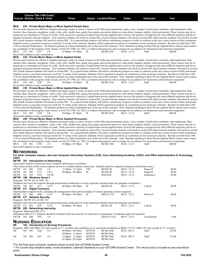| Course Title (+IAI Code) <sup>1</sup><br><b>Course Section Class # Units</b> | <b>Times</b> | Day(s) Location/Room | Dates | Instructor | Fe <sup>2</sup> |  |
|------------------------------------------------------------------------------|--------------|----------------------|-------|------------|-----------------|--|
|                                                                              |              |                      |       |            |                 |  |

#### **MUS 233 Private Music Major or Minor Applied Double Bass**

Private music lessons are offered to students pursuing a major or minor in music in the following instruments: piano, voice, trumpet, French horn, trombone, tuba/euphonium, flute, clarinet, oboe, bassoon, saxophone, violin, viola, cello, double bass, guitar, bass guitar, percussion (drum set, snare drum, timpani, mallets, Latin percussion). These courses may be repeated up to a maximum of 8 hours of credit. Each successive semester of major/minor private applied music involves the mastery of progressively more difficult repertoire and the attainment of greater musical expertise. First semester students will enroll in section 001; second semester students will enroll in section 002; third semester students will enroll in section 003; fourth semester students will enroll in section 004. It is expected that students will achieve satisfactory progress in order to continue to the next course section of their instrument. Students receive a one-hour lesson per week for 15 weeks of the semester. Students will be expected to perform in a minimum of one recital per semester. Recitals are held from 3:00-3:50 on selected Wednesdays. All students perform in a final examination jury at the end of the semester. Note: Students enrolling in these Private Applied Music courses must contact the coordinator of the program, Andy Jensen, at 618-235-2700, ext. 5032, or Andrew.Jensen@swic.edu to arrange for an audition, for instructions and instructor assignment.<br>MUS 233 001 2227 2.0 03:00pm - 05:50pm W BCMC2346 0 MUS 233 001 2227 2.0 03:00pm- 05:50pm W BCMC2346 08/22 -12/14 Staff 600.00 Successful audition or jury examination.

#### **MUS 234 Private Music Major or Minor Applied Guitar**

Private music lessons are offered to students pursuing a major or minor in music in the following instruments: piano, voice, trumpet, French horn, trombone, tuba/euphonium, flute, clarinet, oboe, bassoon, saxophone, violin, viola, cello, double bass, guitar, bass guitar, percussion (drum set, snare drum, timpani, mallets, Latin percussion). These courses may be repeated up to a maximum of 8 hours of credit. Each successive semester of major/minor private applied music involves the mastery of progressively more difficult repertoire and the attainment of greater musical expertise. First semester students will enroll in section 001; second semester students will enroll in section 002; third semester students will enroll in section 003; fourth semester students will enroll in section 004. It is expected that students will achieve satisfactory progress in order to continue to the next course section of their instrument. Students receive a one-hour lesson per week for 15 weeks of the semester. Students will be expected to perform in a minimum of one recital per semester. Recitals are held from 3:00- 3:50 on selected Wednesdays. All students perform in a final examination jury at the end of the semester. Note: Students enrolling in these Private Applied Music courses must contact the coordinator of the program, Andy Jensen, at 618-235-2700, ext. 5032, or Andrew.Jensen@swic.edu to arrange for an audition, for instructions and instructor assignment.<br>MUS 234 001 2228 2.0 03:00pm - 05:50pm W BCMC2346 0 03:00pm - 05:50pm W BCMC2346 08/22 - 12/14 Staff 600.00 Successful audition or jury examination.

#### **MUS 235 Private Music Major or Minor Applied Bass Guitar**

Private music lessons are offered to students pursuing a major or minor in music in the following instruments: piano, voice, trumpet, French horn, trombone, tuba/euphonium, flute, clarinet, oboe, bassoon, saxophone, violin, viola, cello, double bass, guitar, bass guitar, percussion (drum set, snare drum, timpani, mallets, Latin percussion). These courses may be repeated up to a maximum of 8 hours of credit. Each successive semester of major/minor private applied music involves the mastery of progressively more difficult repertoire and the attainment of greater musical expertise. First semester students will enroll in section 001; second semester students will enroll in section 002; third semester students will enroll in section 003; fourth semester students will enroll in section 004. It is expected that students will achieve satisfactory progress in order to continue to the next course section of their instrument. Students receive a one-hour lesson per week for 15 weeks of the semester. Students will be expected to perform in a minimum of one recital per semester. Recitals are held from 3:00- 3:50 on selected Wednesdays. All students perform in a final examination jury at the end of the semester. Note: Students enrolling in these Private Applied Music courses must contact the coordinator of the program, Andy Jensen, at 618-235-2700, ext. 5032, or Andrew.Jensen@swic.edu to arrange for an audition, for instructions and instructor assignment.<br>MUS 235 001 2229 2.0 03:00pm - 05:50pm W BCMC2346 0 MUS 235 001 2229 2.0 03:00pm- 05:50pm W BCMC2346 08/22 -12/14 Staff 600.00

#### Successful audition or jury examination.<br>**MUS** 236 Private Music Maior **MUS 236 Private Music Major or Minor Applied Percussion**

Private music lessons are offered to students pursuing a major or minor in music in the following instruments: piano, voice, trumpet, French horn, trombone, tuba/euphonium, flute, clarinet, oboe, bassoon, saxophone, violin, viola, cello, double bass, guitar, bass guitar, percussion (drum set, snare drum, timpani, mallets, Latin percussion). These courses may be repeated up to a maximum of 8 hours of credit. Each successive semester of major/minor private applied music involves the mastery of progressively more difficult repertoire and the attainment of greater musical expertise. First semester students will enroll in section 001; second semester students will enroll in section 002; third semester students will enroll in section 003; fourth semester students will enroll in section 004. It is expected that students will achieve satisfactory progress in order to continue to the next course section of their instrument. Students receive a one-hour lesson per week for 15 weeks of the semester. Students will be expected to perform in a minimum of one recital per semester. Recitals are held from 3:00- 3:50 on selected Wednesdays. All students perform in a final examination jury at the end of the semester. Note: Students enrolling in these Private Applied Music courses must contact the coordinator of the program, Andy Jensen, at 618-235-2700, ext. 5032, or Andrew.Jensen@swic.edu to arrange for an audition, for instructions and instructor assignment.<br>MUS 236 001 2230 2.0 03:00pm- 05:50pm W BCMC2346 08 03:00pm- 05:50pm Successful audition or jury examination.

#### **Networking**

#### **For other computer classes, also see Computer Information Systems (CIS), Cisco Networking Academy (CISC), and Office Administration & Technology (OAT).**

#### **101 Introduction to Networking**

(Successful students will possess basic computer skills prior to enrolling.)

|             |         |     |                                 |                                        | (The online section of this course requires access to a reliable Internet connection. Students must be competent computer and Internet users.) |              |                 |                 |                                                                                                                                                             |        |
|-------------|---------|-----|---------------------------------|----------------------------------------|------------------------------------------------------------------------------------------------------------------------------------------------|--------------|-----------------|-----------------|-------------------------------------------------------------------------------------------------------------------------------------------------------------|--------|
| <b>NETW</b> | 101     | 001 | 1570                            | 3.0                                    | $11:00$ am - $12:15$ pm                                                                                                                        | TTh          | <b>BCIS2140</b> | $08/23 - 12/15$ | Ragen, D                                                                                                                                                    | 40.00  |
| <b>NETW</b> | 101     | 002 | 1571                            | 3.0 E                                  | $06:00 \text{pm} - 08:50 \text{pm}$                                                                                                            | M            | <b>BCIS2140</b> | $08/22 - 12/12$ | Ragen, D                                                                                                                                                    | 40.00  |
| <b>NETW</b> | 101     | IN1 | 1593                            | 3.0 OI                                 |                                                                                                                                                |              | <b>INETN/R</b>  | $08/22 - 12/15$ | Bushong, S                                                                                                                                                  | 65.00  |
| <b>NETW</b> | 188     |     | <b>Windows Server I</b>         |                                        |                                                                                                                                                |              |                 |                 |                                                                                                                                                             |        |
|             |         |     | Requisite: NETW 101 or CISC 161 |                                        |                                                                                                                                                |              |                 |                 |                                                                                                                                                             |        |
|             |         |     |                                 |                                        | (Students who meet the requisite through professional certification or work experience should contact the program coordinator.)                |              |                 |                 |                                                                                                                                                             |        |
| <b>NETW</b> | 188     | 001 | 1517                            | 3.0 E                                  | $06:00 \text{pm} - 08:50 \text{pm}$                                                                                                            | W            | <b>BCIS2140</b> | $08/24 - 12/14$ | Link, B                                                                                                                                                     | 40.00  |
| <b>NETW</b> | 211     |     | <b>Digital Forensics</b>        |                                        |                                                                                                                                                |              |                 |                 |                                                                                                                                                             |        |
|             |         |     |                                 |                                        | (Intermediate computer skills, including file management skills and knowledge of various operating systems required.)                          |              |                 |                 |                                                                                                                                                             |        |
| <b>NETW</b> | 211     | 060 | 1604                            | 3.0 E                                  | $06:00 \text{pm} - 08:50 \text{pm}$                                                                                                            | M            | SWGCC323        | $08/22 - 12/12$ | Brewer, C                                                                                                                                                   | 40.00  |
| <b>NETW</b> |         |     | 271 Network Security            |                                        |                                                                                                                                                |              |                 |                 |                                                                                                                                                             |        |
|             |         |     | Requisite: NETW 101 or CISC 161 |                                        |                                                                                                                                                |              |                 |                 |                                                                                                                                                             |        |
|             |         |     |                                 |                                        | (Students who meet the requisite through professional certification or work experience should contact the program coordinator.)                |              |                 |                 |                                                                                                                                                             |        |
| <b>NETW</b> | 271     | 001 | 1625                            | 3.0 E                                  | $06:00 \text{pm} - 08:50 \text{pm}$                                                                                                            | T            | <b>BCIS2140</b> | $08/23 - 12/13$ | Link, B                                                                                                                                                     | 40.00  |
| NETW        |         |     |                                 | 295 Networking Internship              |                                                                                                                                                |              |                 |                 |                                                                                                                                                             |        |
|             |         |     | Requisite: Minimum GPA of 2.5   |                                        |                                                                                                                                                |              |                 |                 |                                                                                                                                                             |        |
|             |         |     |                                 |                                        | (Minimum GPA of 2.5. Students should be enrolled in the last semester of study prior to graduation. Coordinator approval required.)            |              |                 |                 |                                                                                                                                                             |        |
| NETW        | 295 060 |     | 1561                            | 3.0                                    |                                                                                                                                                |              | SWGCC333A       | $08/22 - 12/15$ | Swinford,M                                                                                                                                                  | 0.00   |
|             |         |     |                                 |                                        |                                                                                                                                                |              |                 |                 |                                                                                                                                                             |        |
|             |         |     | <b>NURSING EDUCATION</b>        |                                        |                                                                                                                                                |              |                 |                 |                                                                                                                                                             |        |
| NE.         |         |     |                                 | 102 Introduction to Nursing Procedures |                                                                                                                                                |              |                 |                 |                                                                                                                                                             |        |
|             |         |     |                                 |                                        |                                                                                                                                                |              |                 |                 | Requisite: HRO 100, HRO 120 with a grade of "C" or better and completion of or concurrent enrollment in BIOL 155/157, HRO 150 with a grade of "C" or better |        |
| <b>NE</b>   | 102     | 001 | 1266                            | 2.0                                    | $08:00am - 08:50am$                                                                                                                            | MTWTh        | <b>BCMC2444</b> | $08/22 - 09/15$ | Staff                                                                                                                                                       | 125.00 |
|             |         |     |                                 |                                        | 09:00am - 11:50am                                                                                                                              | <b>MTWTh</b> | <b>BCMC2444</b> |                 |                                                                                                                                                             |        |

NE 102 002 1267 2.0 12:00pm- 12:50pm MTWTh BCMC2444 08/22 -09/15 Staff 125.00<br>01:00pm- 03:50pm MTWTh BCMC2444

\*For the final exam schedule, students should consult their eSTORM Student Center.

 $01:00$ pm -  $03:50$ pm

\*\* For current drop deadline dates, review Academic Calendar Deadlines on your eSTORM Student Center. The refund policy is located at swic.edu/refundpolicy.

#### **Southwestern Illinois College 48 Fall 2022**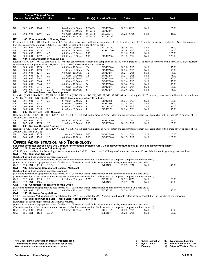|                            |                    |            | Course Title (+IAI Code) <sup>1</sup><br><b>Course Section Class # Units</b> |                                                              | <b>Times</b>                                                                                                                                                                                                                        |                | Day(s) Location/Room               | <b>Dates</b>                       | <b>Instructor</b> | $\mathsf{Fe}^{2}$                                                                                                                                                                 |
|----------------------------|--------------------|------------|------------------------------------------------------------------------------|--------------------------------------------------------------|-------------------------------------------------------------------------------------------------------------------------------------------------------------------------------------------------------------------------------------|----------------|------------------------------------|------------------------------------|-------------------|-----------------------------------------------------------------------------------------------------------------------------------------------------------------------------------|
|                            |                    |            |                                                                              |                                                              |                                                                                                                                                                                                                                     |                |                                    |                                    |                   |                                                                                                                                                                                   |
|                            |                    |            |                                                                              |                                                              |                                                                                                                                                                                                                                     |                |                                    |                                    |                   |                                                                                                                                                                                   |
| NE                         | 102                | 003        | 1268                                                                         | 2.0                                                          | $04:00 \text{pm} - 04:50 \text{pm}$<br>05:00pm - 07:50pm                                                                                                                                                                            | MTWTh<br>MTWTh | <b>BCMC2444</b><br><b>BCMC2444</b> | 08/22 - 09/15                      | Staff             | 125.00                                                                                                                                                                            |
| NΕ                         | 102                | 004        | 1395                                                                         | 2.0                                                          | 08:00am - 08:50am<br>09:00am - 11:50am                                                                                                                                                                                              | MTWTh<br>MTWTh | <b>BCLA1339</b><br><b>BCLA1339</b> | 08/22 - 09/15                      | Staff             | 125.00                                                                                                                                                                            |
| NΕ                         |                    |            |                                                                              | 103 Fundamentals of Nursing Care                             |                                                                                                                                                                                                                                     |                |                                    |                                    |                   |                                                                                                                                                                                   |
|                            |                    |            |                                                                              |                                                              |                                                                                                                                                                                                                                     |                |                                    |                                    |                   | Requisite: HRO 100, HRO 120 with a grade of "C" or better, concurrent enrollment or completion of NE 102 with a grade of "C" or better or escrowed credits for CNA/LPN, comple-   |
| NE                         | 103 001            |            | 1269                                                                         | 4.5                                                          | tion of or concurrent enrollment BIOL 155/157, HRO 150 each with a grade of "C" or better<br>08:00am-09:50am                                                                                                                        | MF             | <b>BCLA1200</b>                    | 09/19 - 12/12                      | Staff             | 225.00                                                                                                                                                                            |
| NE                         | 103                | 002        | 1270                                                                         | 4.5                                                          | 08:00am - 09:50am                                                                                                                                                                                                                   | MF             | <b>BCMC1040</b>                    | 09/19 - 12/12                      | Staff             | 225.00                                                                                                                                                                            |
| NΕ                         | 103                | 003        | 1271                                                                         | 4.5                                                          | 08:00am - 09:50am                                                                                                                                                                                                                   | MF             |                                    | 09/19 - 12/12                      | Staff             | 225.00                                                                                                                                                                            |
| NΕ                         | 103                | 004        | 1272                                                                         | 4.5                                                          | 08:00am - 09:50am                                                                                                                                                                                                                   | MF             | <b>BCMC2364</b>                    | $09/19 - 12/12$                    | Staff             | 225.00                                                                                                                                                                            |
| NΕ                         |                    |            |                                                                              | 104 Fundamentals of Nursing Lab                              |                                                                                                                                                                                                                                     |                |                                    |                                    |                   | Requisite: HRO 100, HRO 120 each with a "C" or better, concurrent enrollment in or completion of NE 102 with a grade of "C" or better or escrowed credits for CNA/LPN, concurrent |
|                            |                    |            |                                                                              |                                                              | enrollment in or completion of NE 103, BIOL 155/157, HRO 150 each with a "C" or better                                                                                                                                              |                |                                    |                                    |                   |                                                                                                                                                                                   |
| NΕ                         | 104                | 001        | 1273                                                                         | 2.0                                                          | 08:00am - 10:30am                                                                                                                                                                                                                   | Th             | <b>BCMC2444</b>                    | $08/25 - 12/15$                    | Staff             | 55.00                                                                                                                                                                             |
| NΕ                         | 104                | 002        | 1274                                                                         | 2.0                                                          | 11:00am - 01:30pm                                                                                                                                                                                                                   | Th             | <b>BCMC2444</b>                    | $08/25 - 12/15$                    | Staff             | 55.00                                                                                                                                                                             |
| NE<br>NE                   | 104<br>104         | 003<br>004 | 1275<br>1276                                                                 | 2.0<br>2.0                                                   | 08:00am - 10:30am<br>11:00am - 01:30pm                                                                                                                                                                                              | Th<br>Th       | <b>BCMC2444</b><br><b>BCMC2444</b> | $08/25 - 12/15$<br>$08/25 - 12/15$ | Staff<br>Staff    | 55.00<br>55.00                                                                                                                                                                    |
| NE                         | 104                | 005        | 3142                                                                         | 2.0                                                          | 08:00am - 10:30am                                                                                                                                                                                                                   | T              | <b>BCMC2444</b>                    | $08/23 - 12/13$                    | Staff             | 55.00                                                                                                                                                                             |
| NE                         | 104                | 006        | 3143                                                                         | 2.0                                                          | $11:00am - 01:30pm$                                                                                                                                                                                                                 | T              | <b>BCMC2444</b>                    | $08/23 - 12/13$                    | Staff             | 55.00                                                                                                                                                                             |
| NE                         | 104                | 007        | 3144                                                                         | 2.0                                                          | 08:00am - 10:30am                                                                                                                                                                                                                   | W              | <b>BCMC2444</b>                    | $08/24 - 12/14$                    | Staff             | 55.00                                                                                                                                                                             |
| NΕ                         | 104                | 008        | 3145                                                                         | 2.0                                                          | $11:00am - 01:30pm$                                                                                                                                                                                                                 | W              | <b>BCMC2444</b>                    | 08/24 - 12/14                      | Staff             | 55.00                                                                                                                                                                             |
| NE<br>NΕ                   | 104 009            |            | 3146                                                                         | $2.0 \; \textcircled{a}$<br>105 Human Growth and Development | 08:00am - 10:30am                                                                                                                                                                                                                   | S              | <b>BCMC2444</b>                    | $08/20 - 12/10$                    | Staff             | 55.00                                                                                                                                                                             |
|                            |                    |            |                                                                              |                                                              |                                                                                                                                                                                                                                     |                |                                    |                                    |                   | Requisite: (BIOL 155 or BIOL 157), HRO 120, HRO 150, (HRO 100 or HRO 160), NE 102, NE 103, NE 104 each with a grade of "C" or better; concurrent enrollment in or completion      |
|                            |                    |            |                                                                              |                                                              | of NE 106, NE 108, ENG 101, (BIOL 156 or BIOL 158) each with a grade of "C" or better                                                                                                                                               |                |                                    |                                    |                   |                                                                                                                                                                                   |
| NE                         | 105 001            |            | 3147                                                                         | 2.0                                                          | $01:00$ pm - $02:50$ pm                                                                                                                                                                                                             | F              | <b>BCMC2364</b>                    | $08/26 - 12/09$                    | Staff             | 55.00                                                                                                                                                                             |
| NE                         | 105 002            |            | 3148                                                                         | 2.0                                                          | $01:00$ pm - $02:50$ pm                                                                                                                                                                                                             | F              | <b>BCMC2363</b>                    | $08/26 - 12/09$                    | Staff             | 55.00                                                                                                                                                                             |
| NE<br>NE                   | 105<br>105 004     | 003        | 3149<br>3150                                                                 | 2.0<br>2.0                                                   | $01:00$ pm - $02:50$ pm<br>$01:00$ pm - $02:50$ pm                                                                                                                                                                                  | F<br>$\rm F$   | <b>BCLA1200</b><br><b>BCMC1511</b> | 08/26 - 12/09<br>$08/26 - 12/09$   | Staff<br>Staff    | 55.00<br>55.00                                                                                                                                                                    |
| NΕ                         |                    |            |                                                                              | 207 Behavioral Health Nursing                                |                                                                                                                                                                                                                                     |                |                                    |                                    |                   |                                                                                                                                                                                   |
|                            |                    |            |                                                                              |                                                              |                                                                                                                                                                                                                                     |                |                                    |                                    |                   | Requisite: BIOL 158, ENG 101, HRO 120, NE 105, NE 106, NE 108 each with a grade of "C" or better, and concurrent enrollment in or completion with a grade of "C" or better of NE  |
| 209, ENG 102, and PSYC 151 |                    |            |                                                                              |                                                              |                                                                                                                                                                                                                                     |                |                                    |                                    |                   |                                                                                                                                                                                   |
| NE<br>NE                   | 207 001<br>207 002 |            | 1277<br>1278                                                                 | 5.5<br>5.5                                                   | 08:00am - 11:20am<br>$12:00 \text{pm} - 03:20 \text{pm}$                                                                                                                                                                            | MF<br>MF       | <b>BCMC2460</b><br><b>BCMC2460</b> | $08/22 - 10/14$<br>$10/17 - 12/12$ | Staff<br>Staff    | 125.00<br>125.00                                                                                                                                                                  |
| NΕ                         |                    |            |                                                                              | 209 Medical-Surgical Nursing I                               |                                                                                                                                                                                                                                     |                |                                    |                                    |                   |                                                                                                                                                                                   |
|                            |                    |            |                                                                              |                                                              |                                                                                                                                                                                                                                     |                |                                    |                                    |                   | Requisite: BIOL 158, ENG 101, HRO 120, NE 105, NE 106, NE 108 each with a grade of "C" or better, and concurrent enrollment in or completion with a grade of "C" or better of NE  |
| 207, ENG 102, and PSYC 151 |                    |            |                                                                              |                                                              |                                                                                                                                                                                                                                     |                |                                    |                                    |                   |                                                                                                                                                                                   |
| NE<br>NE                   | 209 001<br>209 002 |            | 1279<br>1280                                                                 | 5.5<br>5.5                                                   | $12:00 \text{pm} - 03:20 \text{pm}$<br>08:00am - 11:20am                                                                                                                                                                            | MF<br>MF       | <b>BCMC2460</b><br><b>BCMC2460</b> | $08/22 - 10/14$<br>$10/17 - 12/12$ | Staff<br>Staff    | 225.00<br>225.00                                                                                                                                                                  |
|                            |                    |            |                                                                              |                                                              |                                                                                                                                                                                                                                     |                |                                    |                                    |                   |                                                                                                                                                                                   |
|                            |                    |            |                                                                              |                                                              | <b>OFFICE ADMINISTRATION AND TECHNOLOGY</b>                                                                                                                                                                                         |                |                                    |                                    |                   |                                                                                                                                                                                   |
|                            |                    |            |                                                                              |                                                              | For other computer classes, also see Computer Information Systems (CIS), Cisco Networking Academy (CISC), and Networking (NETW).                                                                                                    |                |                                    |                                    |                   |                                                                                                                                                                                   |
| ОАТ                        |                    |            |                                                                              | 121 Introduction to Office Support                           |                                                                                                                                                                                                                                     |                |                                    |                                    |                   | (CIS 185, Intro to Information Technology, may be substituted for OAT 121. Contact the OAT Program Coordinator to obtain a Course Substitution for your degree or certificate.)   |
| ОАТ                        |                    |            | 128 Microsoft Outlook                                                        |                                                              |                                                                                                                                                                                                                                     |                |                                    |                                    |                   |                                                                                                                                                                                   |
|                            |                    |            |                                                                              | (Keyboarding skill and Windows knowledge required.)          |                                                                                                                                                                                                                                     |                |                                    |                                    |                   |                                                                                                                                                                                   |
|                            |                    |            |                                                                              |                                                              | (The online section of this course requires access to a reliable Internet connection. Students must be competent computer and Internet users.)                                                                                      |                |                                    |                                    |                   |                                                                                                                                                                                   |
|                            | 128 IN1            |            | 1519                                                                         | $1.0$ OI                                                     | (A desktop computer or laptop must be used for this class. Chromebooks and Tablets cannot be used as they do not contain a hard drive.)                                                                                             |                | <b>INETN/R</b>                     | $09/27 - 10/31$                    |                   | 45.00                                                                                                                                                                             |
| OAT<br>ОАТ                 |                    |            |                                                                              |                                                              | 132 Electronic Spreadsheet Basics - MS Excel                                                                                                                                                                                        |                |                                    |                                    | Staff             |                                                                                                                                                                                   |
|                            |                    |            |                                                                              | (Keyboarding skill and Windows knowledge required.)          |                                                                                                                                                                                                                                     |                |                                    |                                    |                   |                                                                                                                                                                                   |
|                            |                    |            |                                                                              |                                                              | (A desktop computer or laptop must be used for this class. Chromebooks and Tablets cannot be used as they do not contain a hard drive.)                                                                                             |                |                                    |                                    |                   |                                                                                                                                                                                   |
|                            |                    |            |                                                                              |                                                              | (The online section of this course requires access to a reliable Internet connection. Students must be competent computer and Internet users.)                                                                                      |                |                                    |                                    |                   |                                                                                                                                                                                   |
| OAT<br>OAT                 | 132 001<br>132 IN1 |            | 1520<br>1586                                                                 | 1.0<br>1.0 OI                                                | $02:30$ pm - $03:45$ pm                                                                                                                                                                                                             | MW             | <b>BCIS2151</b><br><b>INETN/R</b>  | $08/22 - 09/26$<br>$09/27 - 10/31$ | Staff<br>Staff    | 20.00<br>45.00                                                                                                                                                                    |
| ОАТ                        |                    |            |                                                                              | 146 Computer Applications for the Office                     |                                                                                                                                                                                                                                     |                |                                    |                                    |                   |                                                                                                                                                                                   |
|                            |                    |            |                                                                              |                                                              | (A desktop computer or laptop must be used for this class. Chromebooks and Tablets cannot be used as they do not contain a hard drive.)                                                                                             |                |                                    |                                    |                   |                                                                                                                                                                                   |
| OAT                        | 146 001            |            | 1521                                                                         | 3.0                                                          | 09:30am - 10:45am                                                                                                                                                                                                                   | TTh            | <b>BCIS2152</b>                    | $08/23 - 12/15$                    | Staff             | 40.00                                                                                                                                                                             |
| ОАТ                        |                    |            |                                                                              | <b>155 Software Computations</b>                             |                                                                                                                                                                                                                                     |                |                                    |                                    |                   |                                                                                                                                                                                   |
| ОАТ                        |                    |            |                                                                              |                                                              | MGMT 102, Business Mathematics, may be substituted for OAT 155. Contact the OAT Program Coordinator to obtain a Course Substitution for your degree or certificate.)<br>156 Microsoft Office Suite I - Word Excel Access PowerPoint |                |                                    |                                    |                   |                                                                                                                                                                                   |
|                            |                    |            |                                                                              | (Knowledge of document processing and Windows required.)     |                                                                                                                                                                                                                                     |                |                                    |                                    |                   |                                                                                                                                                                                   |
|                            |                    |            |                                                                              |                                                              | (A desktop computer or laptop must be used for this class. Chromebooks and Tablets cannot be used as they do not contain a hard drive.)                                                                                             |                |                                    |                                    |                   |                                                                                                                                                                                   |
|                            |                    |            |                                                                              |                                                              | (The online section of this course requires access to a reliable Internet connection. Students must be competent computer and Internet users.)                                                                                      |                |                                    |                                    |                   |                                                                                                                                                                                   |
| OAT                        | 156 001<br>156 IN1 |            | 1523                                                                         | 3.0                                                          | 09:30am - 10:45am                                                                                                                                                                                                                   | MW             | <b>BCIS2152</b>                    | $08/22 - 12/14$                    | Staff             | 40.00                                                                                                                                                                             |
| OAT                        |                    |            | 1524                                                                         | 3.0 OI                                                       |                                                                                                                                                                                                                                     |                | <b>INETN/R</b>                     | $08/22 - 12/15$                    | Staff             | 65.00                                                                                                                                                                             |
|                            |                    |            |                                                                              |                                                              |                                                                                                                                                                                                                                     |                |                                    |                                    |                   |                                                                                                                                                                                   |

**1 IAI Code: Illinois Articulation Initiative transfer credit identification code, refer to the catalog for details. 2 Fee amounts are in addition to normal tuition. OI Online Instruction SL Synchronous Learning HY Hybrid course BN Barnes & Noble First Day E Evening @ Saturday/Weekend Class**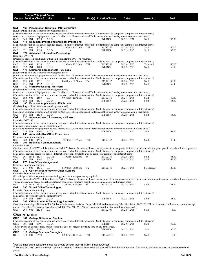|                                      |         |              | Course Title (+IAI Code) <sup>1</sup> |                                                                                               |                                                                                                                                                                                                                                                                                           |     |                      |                 |             |                                                                                                                                                                                       |
|--------------------------------------|---------|--------------|---------------------------------------|-----------------------------------------------------------------------------------------------|-------------------------------------------------------------------------------------------------------------------------------------------------------------------------------------------------------------------------------------------------------------------------------------------|-----|----------------------|-----------------|-------------|---------------------------------------------------------------------------------------------------------------------------------------------------------------------------------------|
| <b>Course Section Class # Units</b>  |         |              |                                       |                                                                                               | <b>Times</b>                                                                                                                                                                                                                                                                              |     | Day(s) Location/Room | Dates           | Instructor  | Fee <sup>2</sup>                                                                                                                                                                      |
|                                      |         |              |                                       |                                                                                               |                                                                                                                                                                                                                                                                                           |     |                      |                 |             |                                                                                                                                                                                       |
| ОАТ                                  |         |              |                                       | 165 Presentation Graphics - MS PowerPoint                                                     |                                                                                                                                                                                                                                                                                           |     |                      |                 |             |                                                                                                                                                                                       |
|                                      |         |              |                                       | (Keyboarding skill and Windows knowledge required.)                                           |                                                                                                                                                                                                                                                                                           |     |                      |                 |             |                                                                                                                                                                                       |
|                                      |         |              |                                       |                                                                                               | (The online section of this course requires access to a reliable Internet connection. Students must be competent computer and Internet users.)<br>(A desktop computer or laptop must be used for this class. Chromebooks and Tablets cannot be used as they do not contain a hard drive.) |     |                      |                 |             |                                                                                                                                                                                       |
| OAT                                  | 165 IN1 |              | 1525                                  | 2.0 OI                                                                                        |                                                                                                                                                                                                                                                                                           |     | <b>INETN/R</b>       | $08/22 - 10/31$ | Staff       | 55.00                                                                                                                                                                                 |
| ОАТ                                  |         |              |                                       |                                                                                               | 171 Document Processing and Input Processing                                                                                                                                                                                                                                              |     |                      |                 |             |                                                                                                                                                                                       |
|                                      | 171 001 |              | 1529                                  | 3.0                                                                                           | (The online section of this course requires access to a reliable Internet connection. Students must be competent computer and Internet users.)                                                                                                                                            | TTh | <b>BCIS2150</b>      | $08/23 - 12/15$ | Staff       | 40.00                                                                                                                                                                                 |
| OAT<br>OAT                           | 171 IN1 |              | 1596                                  | 3.0 OI                                                                                        | $11:00$ am - $12:15$ pm                                                                                                                                                                                                                                                                   |     | <b>INETN/R</b>       | $08/22 - 12/15$ | Staff       | 65.00                                                                                                                                                                                 |
| ОАТ                                  |         |              |                                       | 172 Advanced Information Processing                                                           |                                                                                                                                                                                                                                                                                           |     |                      |                 |             |                                                                                                                                                                                       |
| Requisite: OAT 171                   |         |              |                                       |                                                                                               |                                                                                                                                                                                                                                                                                           |     |                      |                 |             |                                                                                                                                                                                       |
|                                      |         |              |                                       |                                                                                               | (Document processing and keyboarding skill equivalent to OAT 171 required.)<br>(The online section of this course requires access to a reliable Internet connection. Students must be competent computer and Internet users.)                                                             |     |                      |                 |             |                                                                                                                                                                                       |
| OAT                                  | 172 001 |              | 1530                                  | 3.0                                                                                           | $11:00$ am - $12:15$ pm                                                                                                                                                                                                                                                                   | TTh | <b>BCIS2150</b>      | $08/23 - 12/15$ | Thomae, J   | 40.00                                                                                                                                                                                 |
| OAT                                  | 172 IN1 |              | 1608                                  | 3.0 OI                                                                                        |                                                                                                                                                                                                                                                                                           |     | <b>INETN/R</b>       | $08/22 - 12/15$ | Staff       | 65.00                                                                                                                                                                                 |
| ОАТ                                  |         |              |                                       | 175 Electronic Spreadsheets - MS Excel<br>(Keyboarding skill and Windows knowledge required.) |                                                                                                                                                                                                                                                                                           |     |                      |                 |             |                                                                                                                                                                                       |
|                                      |         |              |                                       |                                                                                               | (A desktop computer or laptop must be used for this class. Chromebooks and Tablets cannot be used as they do not contain a hard drive.)                                                                                                                                                   |     |                      |                 |             |                                                                                                                                                                                       |
|                                      |         |              |                                       |                                                                                               | (The online section of this course requires access to a reliable Internet connection. Students must be competent computer and Internet users.)                                                                                                                                            |     |                      |                 |             |                                                                                                                                                                                       |
| OAT                                  | 175 001 |              | 1531                                  | 3.0                                                                                           | $06:00$ pm - $08:50$ pm                                                                                                                                                                                                                                                                   | Th  | <b>BCIS2152</b>      | $08/25 - 12/15$ | Staff       | 40.00                                                                                                                                                                                 |
| OAT<br>ОАТ                           | 175 IN1 |              | 1532                                  | 3.0 OI<br>180 Word Processing - MS Word                                                       |                                                                                                                                                                                                                                                                                           |     | <b>INETN/R</b>       | $08/22 - 12/15$ | Staff       | 65.00                                                                                                                                                                                 |
|                                      |         |              |                                       | (Keyboarding skill and Windows knowledge required.)                                           |                                                                                                                                                                                                                                                                                           |     |                      |                 |             |                                                                                                                                                                                       |
|                                      |         |              |                                       |                                                                                               | (A desktop computer or laptop must be used for this class. Chromebooks and Tablets cannot be used as they do not contain a hard drive.)                                                                                                                                                   |     |                      |                 |             |                                                                                                                                                                                       |
| OAT                                  | 180 001 |              | 1587                                  | 3.0                                                                                           | (The online section of this course requires access to a reliable Internet connection. Students must be competent computer and Internet users.)<br>09:30am - 10:45am                                                                                                                       | TTh | <b>BCIS2151</b>      | $08/23 - 12/15$ | Staff       | 40.00                                                                                                                                                                                 |
| OAT                                  | 180 IN1 |              | 1533                                  | 3.0 OI                                                                                        |                                                                                                                                                                                                                                                                                           |     | <b>INETN/R</b>       | $08/22 - 12/15$ | Staff       | 65.00                                                                                                                                                                                 |
| ОАТ                                  |         |              |                                       | 185 Database Applications - MS Access                                                         |                                                                                                                                                                                                                                                                                           |     |                      |                 |             |                                                                                                                                                                                       |
|                                      |         |              |                                       | (Keyboarding skill and Windows knowledge required.)                                           |                                                                                                                                                                                                                                                                                           |     |                      |                 |             |                                                                                                                                                                                       |
|                                      |         |              |                                       |                                                                                               | (The online section of this course requires access to a reliable Internet connection. Students must be competent computer and Internet users.)<br>(A desktop computer or laptop must be used for this class. Chromebooks and Tablets cannot be used as they do not contain a hard drive.) |     |                      |                 |             |                                                                                                                                                                                       |
| OAT                                  | 185 IN1 |              | 1534                                  | 3.0 OI                                                                                        |                                                                                                                                                                                                                                                                                           |     | <b>INETN/R</b>       | $08/22 - 12/15$ | Staff       | 65.00                                                                                                                                                                                 |
| ОАТ                                  |         |              |                                       | 225 Advanced Word Processing - MS Word                                                        |                                                                                                                                                                                                                                                                                           |     |                      |                 |             |                                                                                                                                                                                       |
| Requisite: OAT 180                   |         |              |                                       |                                                                                               | (The online section of this course requires access to a reliable Internet connection. Students must be competent computer and Internet users.)                                                                                                                                            |     |                      |                 |             |                                                                                                                                                                                       |
|                                      |         |              |                                       | (This course is offered in the Fall semester only.)                                           |                                                                                                                                                                                                                                                                                           |     |                      |                 |             |                                                                                                                                                                                       |
|                                      |         |              |                                       |                                                                                               | (A desktop computer or laptop must be used for this class. Chromebooks and Tablets cannot be used as they do not contain a hard drive.)                                                                                                                                                   |     |                      |                 |             |                                                                                                                                                                                       |
| OAT                                  | 225 IN1 |              | 1597                                  | 3.0 OI                                                                                        |                                                                                                                                                                                                                                                                                           |     | <b>INETN/R</b>       | $08/22 - 12/15$ | Staff       | 65.00                                                                                                                                                                                 |
| ОАТ<br>Requisite: Sophomore standing |         |              |                                       | 260 Administrative Office Procedures                                                          |                                                                                                                                                                                                                                                                                           |     |                      |                 |             |                                                                                                                                                                                       |
| OAT                                  | 260 001 |              | 1576                                  | 3.0                                                                                           | $12:30$ pm - 01:45pm                                                                                                                                                                                                                                                                      | TTh | <b>BCIS2152</b>      | $08/23 - 12/15$ | Staff       | 40.00                                                                                                                                                                                 |
| ОАТ                                  |         |              |                                       | 261 Business Communications                                                                   |                                                                                                                                                                                                                                                                                           |     |                      |                 |             |                                                                                                                                                                                       |
| Requisite: ENG 101                   |         |              |                                       |                                                                                               |                                                                                                                                                                                                                                                                                           |     |                      |                 |             | (Sections denoted as "HY" will be offered as "hybrid" classes. Students will meet one day a week on campus as indicated by the schedule and participate in weekly online assignments. |
|                                      |         |              |                                       |                                                                                               | (The online section of this course requires access to a reliable Internet connection. Students must be competent computer and Internet users.)                                                                                                                                            |     |                      |                 |             |                                                                                                                                                                                       |
|                                      |         |              |                                       |                                                                                               | (This course requires access to a reliable Internet connection. Students must be competent computer and Internet users.)                                                                                                                                                                  |     |                      |                 |             |                                                                                                                                                                                       |
| OAT                                  |         | 261 HY1 1535 |                                       | 3.0 HY                                                                                        | 11:00am - 12:15pm                                                                                                                                                                                                                                                                         | M   | <b>BCIS2141</b>      | $08/22 - 12/14$ | Staff       | 45.00                                                                                                                                                                                 |
| OAT<br>ОАТ                           | 261 IN1 |              | 1647                                  | 3.0 OI<br>275 Law Office Management                                                           |                                                                                                                                                                                                                                                                                           |     | <b>INETN/R</b>       | $08/22 - 12/15$ | Staff       | 65.00                                                                                                                                                                                 |
| Requisite: Sophomore standing        |         |              |                                       |                                                                                               |                                                                                                                                                                                                                                                                                           |     |                      |                 |             |                                                                                                                                                                                       |
| OAT                                  | 275 001 |              | 1536                                  | 3.0                                                                                           | 06:00pm - 08:50pm                                                                                                                                                                                                                                                                         | Th  | <b>BCIS2141</b>      | $08/25 - 12/15$ | Stephens, C | 20.00                                                                                                                                                                                 |
| ОАТ<br>Requisite: Sophomore standing |         |              |                                       | 276 Current Technology for Office Support                                                     |                                                                                                                                                                                                                                                                                           |     |                      |                 |             |                                                                                                                                                                                       |
|                                      |         |              |                                       |                                                                                               | (Knowledge of Windows, computer terminology, and document processing required.)                                                                                                                                                                                                           |     |                      |                 |             |                                                                                                                                                                                       |
|                                      |         |              |                                       |                                                                                               |                                                                                                                                                                                                                                                                                           |     |                      |                 |             | (Sections denoted as "HY" will be offered as "hybrid" classes. Students will meet one day a week on campus as indicated by the schedule and participate in weekly online assignments. |
|                                      |         |              |                                       |                                                                                               | This course requires access to a reliable Internet connection. Students must be competent computer and Internet users.)                                                                                                                                                                   | W   |                      |                 |             | 65.00                                                                                                                                                                                 |
| OAT<br>ОАТ                           |         | 276 HY1 1537 |                                       | 3.0 HY<br>280 Virtual Office Technologies                                                     | $11:00am - 12:15pm$                                                                                                                                                                                                                                                                       |     | <b>BCIS2150</b>      | $08/24 - 12/14$ | Staff       |                                                                                                                                                                                       |
| Requisite: Sophomore standing        |         |              |                                       |                                                                                               |                                                                                                                                                                                                                                                                                           |     |                      |                 |             |                                                                                                                                                                                       |
|                                      |         |              |                                       |                                                                                               | (The online section of this course requires access to a reliable Internet connection. Students must be competent computer and Internet users.)                                                                                                                                            |     |                      |                 |             |                                                                                                                                                                                       |
| OAT                                  | 280 IN1 |              | 1607                                  | (This course is offered in the Fall semester only.)<br>3.0 OI                                 |                                                                                                                                                                                                                                                                                           |     | <b>INETN/R</b>       | $08/22 - 12/15$ | Staff       | 65.00                                                                                                                                                                                 |
| ОАТ                                  |         |              |                                       | 293 Office Admin. & Technology Internship                                                     |                                                                                                                                                                                                                                                                                           |     |                      |                 |             |                                                                                                                                                                                       |
|                                      |         |              |                                       |                                                                                               |                                                                                                                                                                                                                                                                                           |     |                      |                 |             | (Sophomore standing; Minimum GPA 2.0; For Administrative Assistant, Legal, Medical, and Accounting Office Specialist - OAT 260, 261 or concurrent enrollment or coordinator ap-       |
|                                      |         |              |                                       |                                                                                               | proval. For Office Technology Specialist - OAT 180, 256, 260, 261, 276 or concurrent enrollment or coordinator approval.)                                                                                                                                                                 |     |                      |                 |             |                                                                                                                                                                                       |
| OAT                                  | 293 001 |              | 1538                                  | 3.0                                                                                           |                                                                                                                                                                                                                                                                                           |     | <b>BCIS2105</b>      | $08/22 - 12/15$ | Staff       | 5.00                                                                                                                                                                                  |
| <b>ORIENTATION</b>                   |         |              |                                       |                                                                                               |                                                                                                                                                                                                                                                                                           |     |                      |                 |             |                                                                                                                                                                                       |
| ORIE                                 |         |              |                                       | 101 College Orientation Seminar                                                               |                                                                                                                                                                                                                                                                                           |     |                      |                 |             |                                                                                                                                                                                       |
| ORIE                                 | 101 IN1 |              | 3191                                  | 1.0 OI                                                                                        | (The online section of this course requires access to a reliable Internet connection. Students must be competent computer and Internet users.)                                                                                                                                            |     | <b>INETN/R</b>       | $08/20 - 12/15$ | Staff       | 30.00                                                                                                                                                                                 |
|                                      |         |              |                                       |                                                                                               | This course is an asynchronous, online course that does not meet at a specific time or day of the week.                                                                                                                                                                                   |     |                      |                 |             |                                                                                                                                                                                       |
| ORIE                                 | 101 IN2 |              | 3192                                  | $1.0$ OI                                                                                      |                                                                                                                                                                                                                                                                                           |     | <b>INETN/R</b>       | $09/17 - 12/16$ | Staff       | 30.00                                                                                                                                                                                 |
| ORIE<br>ORIE                         | 110 001 |              | 2574                                  | 110 College Success Strategies<br>3.0                                                         | 09:00am - 10:15am                                                                                                                                                                                                                                                                         | TTh | <b>BCLA1216</b>      | $08/23 - 12/15$ | Staff       | 5.00                                                                                                                                                                                  |
|                                      |         |              |                                       |                                                                                               |                                                                                                                                                                                                                                                                                           |     |                      |                 |             |                                                                                                                                                                                       |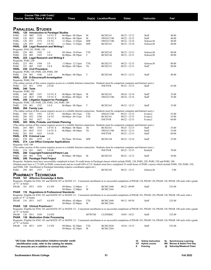|                              |                    |           | Course Title (+IAI Code) <sup>1</sup><br><b>Course Section Class # Units</b> |                                                                                                                       | <b>Times</b>                                                                                                                                                                                                                                                  |               | Day(s) Location/Room               | <b>Dates</b>                       | Instructor                                   | Fee <sup>2</sup> |                                                              |
|------------------------------|--------------------|-----------|------------------------------------------------------------------------------|-----------------------------------------------------------------------------------------------------------------------|---------------------------------------------------------------------------------------------------------------------------------------------------------------------------------------------------------------------------------------------------------------|---------------|------------------------------------|------------------------------------|----------------------------------------------|------------------|--------------------------------------------------------------|
|                              |                    |           |                                                                              |                                                                                                                       |                                                                                                                                                                                                                                                               |               |                                    |                                    |                                              |                  |                                                              |
|                              |                    |           |                                                                              |                                                                                                                       |                                                                                                                                                                                                                                                               |               |                                    |                                    |                                              |                  |                                                              |
|                              |                    |           | <b>PARALEGAL STUDIES</b>                                                     |                                                                                                                       |                                                                                                                                                                                                                                                               |               |                                    |                                    |                                              |                  |                                                              |
| PARL<br>PARL                 | 120                | $0B$ T    | 1539                                                                         | 120 Introduction to Paralegal Studies<br>3.0 VC E                                                                     | $06:00$ pm - $08:50$ pm                                                                                                                                                                                                                                       | М             | <b>BCIS2161</b>                    | $08/22 - 12/12$                    | Staff                                        | 40.00            |                                                              |
| PARL                         | 120                | 0GT       | 1540                                                                         | 3.0 VC E                                                                                                              | 06:00pm - 08:50pm                                                                                                                                                                                                                                             | M             | SWGCC540                           | $08/22 - 12/12$                    | Staff                                        | 40.00            |                                                              |
| PARL                         | 120                | 0T1       | 1572                                                                         | 3.0 VC                                                                                                                | 11:30am - 12:45pm                                                                                                                                                                                                                                             | <b>MW</b>     | SWGCC540                           | $08/22 - 12/14$                    | Schroer, M                                   | 40.00            |                                                              |
| PARL<br>PARL                 | 120                | 0T2       | 1541                                                                         | 3.0 VC<br>220 Legal Research and Writing I                                                                            | $11:30$ am - $12:45$ pm                                                                                                                                                                                                                                       | <b>MW</b>     | <b>BCIS2161</b>                    | $08/22 - 12/14$                    | Schroer,M                                    | 40.00            |                                                              |
| Requisite: ENG 101, PARL 120 |                    |           |                                                                              |                                                                                                                       |                                                                                                                                                                                                                                                               |               |                                    |                                    |                                              |                  |                                                              |
| PARL                         | 220 001            |           | 1542                                                                         | 3.0                                                                                                                   | 09:30am - 10:45am                                                                                                                                                                                                                                             | TTh           | <b>BCIS2163</b>                    | $08/23 - 12/15$                    | Schroer, M                                   | 80.00            |                                                              |
| PARL<br>PARL                 | 220 002            |           | 1543                                                                         | 3.0 <sub>E</sub><br>225 Legal Research and Writing II                                                                 | 06:00pm - 08:50pm                                                                                                                                                                                                                                             | T             | <b>BCIS2144</b>                    | $08/23 - 12/13$                    | Schroer, M                                   | 80.00            |                                                              |
| Requisite: PARL 220          |                    |           |                                                                              |                                                                                                                       |                                                                                                                                                                                                                                                               |               |                                    |                                    |                                              |                  |                                                              |
| PARL                         | 225 001            |           | 1544                                                                         | 3.0                                                                                                                   | $11:00$ am - $12:15$ pm                                                                                                                                                                                                                                       | TTh           | <b>BCIS2151</b>                    | $08/23 - 12/15$                    | Schroer, M                                   | 80.00            |                                                              |
| PARL<br>PARL                 | 225                | 002       | 1545<br>230 Civil Procedure                                                  | 3.0 <sub>E</sub>                                                                                                      | 06:00pm - 08:50pm                                                                                                                                                                                                                                             | Th            | <b>BCIS2151</b>                    | $08/25 - 12/15$                    | Staff                                        | 80.00            |                                                              |
|                              |                    |           |                                                                              | Requisite: PARL 120, PARL 220, PARL 240                                                                               |                                                                                                                                                                                                                                                               |               |                                    |                                    |                                              |                  |                                                              |
| PARL                         | 230 001            |           | 1546                                                                         | 3.0 E                                                                                                                 | $06:00$ pm - $08:50$ pm                                                                                                                                                                                                                                       | T             | <b>BCIS2160</b>                    | $08/23 - 12/13$                    | Staff                                        | 40.00            |                                                              |
| PARL                         |                    |           |                                                                              | 235 E-Discovery/E-Investigation                                                                                       |                                                                                                                                                                                                                                                               |               |                                    |                                    |                                              |                  |                                                              |
| Requisite: PARL 230          |                    |           |                                                                              |                                                                                                                       | (The online section of this course requires access to a reliable Internet connection. Students must be competent computer and Internet users.)                                                                                                                |               |                                    |                                    |                                              |                  |                                                              |
| PARL                         | 235 IN1            |           | 1594                                                                         | 2.0 OI                                                                                                                |                                                                                                                                                                                                                                                               |               | <b>INETN/R</b>                     | $08/22 - 12/15$                    | Staff                                        | 65.00            |                                                              |
| PARL                         |                    | 240 Torts |                                                                              |                                                                                                                       |                                                                                                                                                                                                                                                               |               |                                    |                                    |                                              |                  |                                                              |
| Requisite: PARL 120<br>PARL  | 240 OBT            |           | 1547                                                                         | 3.0 VC E                                                                                                              | $06:00$ pm - $08:50$ pm                                                                                                                                                                                                                                       | W             | <b>BCIS2161</b>                    | $08/24 - 12/14$                    | Staff                                        | 35.00            |                                                              |
| PARL                         | 240 OGT            |           | 1548                                                                         | 3.0 VC E                                                                                                              | $06:00$ pm - $08:50$ pm                                                                                                                                                                                                                                       | W             | SWGCC540                           | $08/24 - 12/14$                    | Staff                                        | 35.00            |                                                              |
| PARL                         |                    |           |                                                                              | 250 Litigation Support for Paralegals                                                                                 |                                                                                                                                                                                                                                                               |               |                                    |                                    |                                              |                  |                                                              |
| PARL                         | 250 001            |           | 1552                                                                         | Requisite: PARL 120, PARL 220, PARL 230, PARL 240<br>3.0 E                                                            | $06:00$ pm - $08:50$ pm                                                                                                                                                                                                                                       | T             | <b>BCIS2163</b>                    | $08/23 - 12/13$                    | Staff                                        | 35.00            |                                                              |
| PARL                         |                    |           | 260 Family Law                                                               |                                                                                                                       |                                                                                                                                                                                                                                                               |               |                                    |                                    |                                              |                  |                                                              |
|                              |                    |           |                                                                              |                                                                                                                       | (The online section of this course requires access to a reliable Internet connection. Students must be competent computer and Internet users.)                                                                                                                |               |                                    |                                    |                                              |                  |                                                              |
| PARL                         | 260 OT1            |           | 1591                                                                         | 3.0 VC                                                                                                                | 08:00am - 09:15am                                                                                                                                                                                                                                             | TTh           | SWGCC540                           | $08/23 - 12/15$                    | Evans, C                                     | 35.00            |                                                              |
| PARL<br>PARL                 | 260 OT2<br>260 IN1 |           | 1590<br>1627                                                                 | 3.0 VC<br>3.0                                                                                                         | 08:00am - 09:15am                                                                                                                                                                                                                                             | TTh           | <b>BCIS2161</b><br><b>INETN/R</b>  | $08/23 - 12/15$<br>$08/22 - 12/15$ | Evans, C<br>Evans, C                         | 35.00<br>60.00   |                                                              |
| PARL                         |                    |           |                                                                              | 265 Wills, Probate, and Estate Planning                                                                               |                                                                                                                                                                                                                                                               |               |                                    |                                    |                                              |                  |                                                              |
|                              |                    |           |                                                                              |                                                                                                                       | (The online section of this course requires access to a reliable Internet connection. Students must be competent computer and Internet users.)                                                                                                                |               |                                    |                                    |                                              |                  |                                                              |
| PARL<br>PARL                 | 265<br>265 0GT     | 0BT       | 1554<br>1553                                                                 | 3.0 VC E<br>3.0 VC E                                                                                                  | $06:00$ pm - $08:50$ pm<br>$06:00 \text{pm} - 08:50 \text{pm}$                                                                                                                                                                                                | Th<br>Th      | <b>BCIS2161</b><br>SWGCC540        | $08/25 - 12/15$<br>$08/25 - 12/15$ | Staff<br>Staff                               | 35.00<br>35.00   |                                                              |
| PARL                         | 265 IN1            |           | 1623                                                                         | 3.0 OI                                                                                                                |                                                                                                                                                                                                                                                               |               | <b>INETN/R</b>                     | $08/22 - 12/15$                    | Staff                                        | 60.00            |                                                              |
| PARL                         |                    |           | 270 Criminal Law                                                             |                                                                                                                       |                                                                                                                                                                                                                                                               |               |                                    |                                    |                                              |                  |                                                              |
| PARL                         | 270                | 001       | 1555                                                                         | 3.0                                                                                                                   | 08:30am - 09:45am                                                                                                                                                                                                                                             | MW            | <b>BCIS2144</b>                    | $08/22 - 12/14$                    | Staff                                        | 35.00            |                                                              |
| PARL<br>Requisite: OAT 180   |                    |           |                                                                              | 274 Law Office Computer Applications                                                                                  |                                                                                                                                                                                                                                                               |               |                                    |                                    |                                              |                  |                                                              |
|                              |                    |           |                                                                              |                                                                                                                       | (The online section of this course requires access to a reliable Internet connection. Students must be competent computer and Internet users.)                                                                                                                |               |                                    |                                    |                                              |                  |                                                              |
| PARL                         | 274 IN1            |           | 1603                                                                         | 3.0 OI                                                                                                                |                                                                                                                                                                                                                                                               |               | <b>INETN/R</b>                     | $08/22 - 12/15$                    | Kindt, K                                     | 70.00            |                                                              |
| PARL<br>PARL                 | 280                | 001       | 1556                                                                         | 280 Copyright/Trademark/Patent Law<br>3.0 E                                                                           | $06:00$ pm - $08:50$ pm                                                                                                                                                                                                                                       | M             | <b>BCIS2163</b>                    | $08/22 - 12/12$                    | Staff                                        | 30.00            |                                                              |
| PARL                         |                    |           | 290 Paralegal Field Project                                                  |                                                                                                                       |                                                                                                                                                                                                                                                               |               |                                    |                                    |                                              |                  |                                                              |
|                              |                    |           |                                                                              |                                                                                                                       | Requisite: Students must have successfully completed at least 18 credit hours in Paralegal classes which include PARL 120, PARL 220, PARL 230 and PARL 240.                                                                                                   |               |                                    |                                    |                                              |                  |                                                              |
|                              |                    |           |                                                                              |                                                                                                                       | (Student must have a 2.75 GPA in PARL coursework and an overall GPA of 2.0. Student must have completed 18 credit hours of PARL courses which include PARL 220, PARL 230,<br>and PARL 240. Enrollment in Paralegal internship requires coordinator approval.) |               |                                    |                                    |                                              |                  |                                                              |
| PARL                         | 290 001            |           | 1557                                                                         | 3.0                                                                                                                   |                                                                                                                                                                                                                                                               |               | <b>BCIS2102</b>                    | $08/22 - 12/15$                    | Schroer,M                                    | 5.00             |                                                              |
|                              |                    |           |                                                                              |                                                                                                                       |                                                                                                                                                                                                                                                               |               |                                    |                                    |                                              |                  |                                                              |
| Pharmacy                     |                    |           | <b>TECHNICIAN</b>                                                            | PHAR 101 Affective Knowledge & Skills                                                                                 |                                                                                                                                                                                                                                                               |               |                                    |                                    |                                              |                  |                                                              |
|                              |                    |           |                                                                              |                                                                                                                       | Requisite: Eligible for ENG 101 and MATH 107 or MATH 111. Concurrent enrollment in or successful completion of PHAR 110, PHAR 120, PHAR 130, PHAR 140 each with a grade                                                                                       |               |                                    |                                    |                                              |                  |                                                              |
| of "C" or better.            |                    |           |                                                                              |                                                                                                                       |                                                                                                                                                                                                                                                               |               |                                    |                                    |                                              |                  |                                                              |
| PHAR 101 HY1 1456            |                    |           |                                                                              | 4.5 HY                                                                                                                | 09:00am-12:00pm                                                                                                                                                                                                                                               | T             | <b>BCMC1040</b>                    | 08/22 - 09/09                      | Staff                                        | 325.00           |                                                              |
|                              |                    |           |                                                                              | PHAR 110 Regulations & Professional Standards                                                                         | 09:00am - 12:00pm                                                                                                                                                                                                                                             | W             | <b>BCMC2364</b>                    |                                    |                                              |                  |                                                              |
|                              |                    |           |                                                                              |                                                                                                                       | Requisite: Eligible for ENG 101 and MATH 107 or MATH 111. Concurrent enrollment in or successful completion of PHAR 101, PHAR 120, PHAR 130, PHAR 140 each with a                                                                                             |               |                                    |                                    |                                              |                  |                                                              |
| grade of "C" or better.      |                    |           |                                                                              |                                                                                                                       |                                                                                                                                                                                                                                                               |               |                                    |                                    |                                              |                  |                                                              |
| PHAR 110 HY1 1457            |                    |           |                                                                              | 4.0 HY                                                                                                                | 09:00am - 02:00pm<br>09:00am - 02:00pm                                                                                                                                                                                                                        | TTh<br>W      | <b>BCMC1040</b><br><b>BCMC2364</b> | $09/12 - 09/30$                    | Staff                                        | 325.00           |                                                              |
|                              |                    |           | PHAR 120 Clinical Practicum I                                                |                                                                                                                       |                                                                                                                                                                                                                                                               |               |                                    |                                    |                                              |                  |                                                              |
|                              |                    |           |                                                                              |                                                                                                                       | Requisite: Eligible for ENG 101 and MATH 107 or MATH 111. Concurrent enrollment in or successful completion of PHAR 101, PHAR 110, PHAR 130, PHAR 140 each with a grade                                                                                       |               |                                    |                                    |                                              |                  |                                                              |
| of "C" or better.            |                    |           |                                                                              |                                                                                                                       |                                                                                                                                                                                                                                                               |               |                                    |                                    |                                              |                  |                                                              |
| PHAR 120 HY1 1458            |                    |           |                                                                              | 2.0 HY<br>PHAR 130 Medication Order Processing                                                                        |                                                                                                                                                                                                                                                               | <b>MTWThF</b> | <b>CLINMISC</b>                    | $10/03 - 10/21$                    | Staff                                        | 325.00           |                                                              |
|                              |                    |           |                                                                              |                                                                                                                       | Requisite: Eligible for ENG 101 and MATH 107 or MATH 111. Concurrent enrollment in or successful completion of PHAR 101, PHAR 110, PHAR 120, PHAR 140 each with a grade                                                                                       |               |                                    |                                    |                                              |                  |                                                              |
| of "C" or better.            |                    |           |                                                                              |                                                                                                                       |                                                                                                                                                                                                                                                               |               |                                    |                                    |                                              |                  |                                                              |
| PHAR 130 HY1 1459            |                    |           |                                                                              | 3.5 HY                                                                                                                | 09:00am - 02:30pm                                                                                                                                                                                                                                             | TTh           | <b>BCMC2020</b>                    | $10/24 - 12/15$                    | Staff                                        | 325.00           |                                                              |
|                              |                    |           |                                                                              |                                                                                                                       | 09:00am - 02:30pm                                                                                                                                                                                                                                             | W             | <b>BCMC2364</b>                    |                                    |                                              |                  |                                                              |
|                              |                    |           |                                                                              |                                                                                                                       |                                                                                                                                                                                                                                                               |               |                                    |                                    |                                              |                  |                                                              |
|                              |                    |           |                                                                              |                                                                                                                       |                                                                                                                                                                                                                                                               |               |                                    |                                    |                                              |                  |                                                              |
|                              |                    |           |                                                                              | <sup>1</sup> IAI Code: Illinois Articulation Initiative transfer credit                                               |                                                                                                                                                                                                                                                               |               |                                    |                                    | ΟI<br><b>Online Instruction</b>              |                  | SL Synchronous Learning                                      |
|                              |                    |           |                                                                              | identification code, refer to the catalog for details.<br><sup>2</sup> Fee amounts are in addition to normal tuition. |                                                                                                                                                                                                                                                               |               |                                    |                                    | <b>Hybrid course</b><br>HY.<br>Evening<br>Е. | @                | <b>BN</b> Barnes & Noble First Day<br>Saturday/Weekend Class |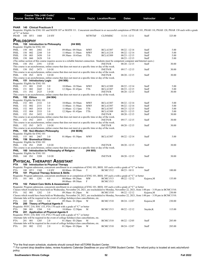|                                         |            |              | Course Title (+IAI Code) <sup>1</sup> |                                                                                                   |                         |                                        |                   |                                                                                                                                                                  |                                    |                                                                                                                                                                   |                                                                                                                                                                         |  |
|-----------------------------------------|------------|--------------|---------------------------------------|---------------------------------------------------------------------------------------------------|-------------------------|----------------------------------------|-------------------|------------------------------------------------------------------------------------------------------------------------------------------------------------------|------------------------------------|-------------------------------------------------------------------------------------------------------------------------------------------------------------------|-------------------------------------------------------------------------------------------------------------------------------------------------------------------------|--|
|                                         |            |              | <b>Course Section Class # Units</b>   |                                                                                                   | <b>Times</b>            |                                        |                   | Day(s) Location/Room                                                                                                                                             | <b>Dates</b>                       | Instructor                                                                                                                                                        | Fee <sup>2</sup>                                                                                                                                                        |  |
|                                         |            |              |                                       |                                                                                                   |                         |                                        |                   |                                                                                                                                                                  |                                    |                                                                                                                                                                   |                                                                                                                                                                         |  |
| PHAR 140 Clinical Practicum II          |            |              |                                       |                                                                                                   |                         |                                        |                   |                                                                                                                                                                  |                                    |                                                                                                                                                                   |                                                                                                                                                                         |  |
|                                         |            |              |                                       |                                                                                                   |                         |                                        |                   |                                                                                                                                                                  |                                    |                                                                                                                                                                   | Requisite: Eligible for ENG 101 and MATH 107 or MATH 111. Concurrent enrollment in or successful completion of PHAR 101, PHAR 110, PHAR 120, PHAR 130 each with a grade |  |
| of "C" or better.<br>PHAR 140 HY1 1460  |            |              |                                       |                                                                                                   |                         |                                        | <b>MTWThF</b>     | <b>CLINMISC</b>                                                                                                                                                  |                                    |                                                                                                                                                                   |                                                                                                                                                                         |  |
|                                         |            |              |                                       | 2.0 HY                                                                                            |                         |                                        |                   |                                                                                                                                                                  | $11/14 - 12/11$                    | Staff                                                                                                                                                             | 325.00                                                                                                                                                                  |  |
| <b>PHILOSOPHY</b>                       |            |              |                                       |                                                                                                   |                         |                                        |                   |                                                                                                                                                                  |                                    |                                                                                                                                                                   |                                                                                                                                                                         |  |
| PHIL                                    |            |              |                                       | 150 Introduction to Philosophy                                                                    |                         | (H4 900)                               |                   |                                                                                                                                                                  |                                    |                                                                                                                                                                   |                                                                                                                                                                         |  |
| Requisite: Eligible for ENG 101<br>PHIL | 150 001    |              | 2482                                  | 3.0                                                                                               | 09:00am - 09:50am       |                                        | <b>MWF</b>        | <b>BCLA3307</b>                                                                                                                                                  | $08/22 - 12/14$                    | Staff                                                                                                                                                             | 5.00                                                                                                                                                                    |  |
| PHIL                                    | 150        | 002          | 2244                                  | 3.0                                                                                               | $11:00$ am - $11:50$ am |                                        | <b>MWF</b>        | <b>BCLA1218</b>                                                                                                                                                  | $08/22 - 12/14$                    | Staff                                                                                                                                                             | 5.00                                                                                                                                                                    |  |
| PHIL                                    | 150 003    |              | 2450                                  | 3.0                                                                                               |                         | 09:30am - 10:45am                      | TTh               | <b>BCLA3309</b>                                                                                                                                                  | $08/23 - 12/15$                    | Staff                                                                                                                                                             | 5.00                                                                                                                                                                    |  |
| PHIL                                    | 150        | 060          | 2628                                  | 3.0                                                                                               |                         |                                        |                   |                                                                                                                                                                  | $08/23 - 12/15$                    | Staff                                                                                                                                                             | 5.00                                                                                                                                                                    |  |
| PHIL                                    | 150 IN1    |              | 2391                                  | 3.0 OI                                                                                            |                         |                                        |                   | (The online section of this course requires access to a reliable Internet connection. Students must be competent computer and Internet users.)<br><b>INETN/R</b> | $08/20 - 12/15$                    | Staff                                                                                                                                                             | 30.00                                                                                                                                                                   |  |
|                                         |            |              |                                       |                                                                                                   |                         |                                        |                   | This course is an asynchronous, online course that does not meet at a specific time or day of the week.                                                          |                                    |                                                                                                                                                                   |                                                                                                                                                                         |  |
| PHIL                                    | 150 IN2    |              | 2473                                  | 3.0 OI                                                                                            |                         |                                        |                   | <b>INETN/R</b>                                                                                                                                                   | $09/17 - 12/15$                    | Staff                                                                                                                                                             | 30.00                                                                                                                                                                   |  |
|                                         |            |              |                                       |                                                                                                   |                         |                                        |                   | This course is an asynchronous, online course that does not meet at a specific time or day of the week.                                                          |                                    |                                                                                                                                                                   |                                                                                                                                                                         |  |
| PHIL                                    | 150 IN3    |              | 2674                                  | 3.0 OI                                                                                            |                         |                                        |                   | <b>INETN/R</b>                                                                                                                                                   | $08/20 - 12/15$                    | Staff                                                                                                                                                             | 30.00                                                                                                                                                                   |  |
| PHIL                                    |            |              | 151 Introductory Logic                |                                                                                                   | (H4 906)                |                                        |                   | This course is an asynchronous, online course that does not meet at a specific time or day of the week.                                                          |                                    |                                                                                                                                                                   |                                                                                                                                                                         |  |
| Requisite: Eligible for ENG 101         |            |              |                                       |                                                                                                   |                         |                                        |                   |                                                                                                                                                                  |                                    |                                                                                                                                                                   |                                                                                                                                                                         |  |
| PHIL                                    | 151 001    |              | 2245                                  | 3.0                                                                                               |                         | 10:00am - 10:50am                      | MWF               | <b>BCLA3309</b>                                                                                                                                                  | $08/22 - 12/14$                    | Staff                                                                                                                                                             | 5.00                                                                                                                                                                    |  |
| PHIL                                    | 151 002    |              | 2445<br>2525                          | 3.0                                                                                               |                         | 12:30pm - 01:45pm                      | TTh               | <b>BCLA3307</b>                                                                                                                                                  | $08/23 - 12/15$<br>$08/20 - 12/15$ | Staff                                                                                                                                                             | 5.00                                                                                                                                                                    |  |
| PHIL                                    | 151 IN1    |              |                                       | 3.0 OI                                                                                            |                         |                                        |                   | <b>INETN/R</b><br>This course is an asynchronous, online course that does not meet at a specific time or day of the week.                                        |                                    | Staff                                                                                                                                                             | 30.00                                                                                                                                                                   |  |
| <b>PHIL</b>                             |            | 152 Ethics   |                                       | (H4 904)                                                                                          |                         |                                        |                   |                                                                                                                                                                  |                                    |                                                                                                                                                                   |                                                                                                                                                                         |  |
| Requisite: Eligible for ENG 101         |            |              |                                       |                                                                                                   |                         |                                        |                   |                                                                                                                                                                  |                                    |                                                                                                                                                                   |                                                                                                                                                                         |  |
| PHIL                                    | 152 001    |              | 2332                                  | 3.0                                                                                               |                         | 10:00am - 10:50am                      | <b>MWF</b>        | <b>BCLA3307</b>                                                                                                                                                  | $08/22 - 12/14$                    | Staff                                                                                                                                                             | 5.00                                                                                                                                                                    |  |
| PHIL<br>PHIL                            | 152<br>152 | 002<br>003   | 2331<br>2418                          | 3.0<br>3.0                                                                                        |                         | 11:00am - 11:50am<br>11:00am - 12:15pm | <b>MWF</b><br>TTh | <b>BCLA3307</b><br><b>BCLA3307</b>                                                                                                                               | $08/22 - 12/14$<br>$08/23 - 12/15$ | Staff<br>Staff                                                                                                                                                    | 5.00<br>5.00                                                                                                                                                            |  |
| PHIL                                    | 152        | 004          | 2333                                  | 3.0                                                                                               | $12:30$ pm - 01:45pm    |                                        | TTh               | <b>BCLA3309</b>                                                                                                                                                  | $08/23 - 12/15$                    | Staff                                                                                                                                                             | 5.00                                                                                                                                                                    |  |
| PHIL                                    | 152 IN1    |              | 2452                                  | 3.0 OI                                                                                            |                         |                                        |                   | <b>INETN/R</b>                                                                                                                                                   | $08/20 - 12/15$                    | Staff                                                                                                                                                             | 30.00                                                                                                                                                                   |  |
|                                         |            |              |                                       |                                                                                                   |                         |                                        |                   | This course is an asynchronous, online course that does not meet at a specific time or day of the week.                                                          |                                    |                                                                                                                                                                   |                                                                                                                                                                         |  |
| PHIL                                    | 152 IN2    |              | 2455                                  | 3.0 OI                                                                                            |                         |                                        |                   | <b>INETN/R</b><br>This course is an asynchronous, online course that does not meet at a specific time or day of the week.                                        | $09/17 - 12/15$                    | Staff                                                                                                                                                             | 30.00                                                                                                                                                                   |  |
| PHIL                                    | 152 IN3    |              | 2675                                  | 3.0 OI                                                                                            |                         |                                        |                   | <b>INETN/R</b>                                                                                                                                                   | $08/20 - 12/15$                    | Staff                                                                                                                                                             | 30.00                                                                                                                                                                   |  |
|                                         |            |              |                                       |                                                                                                   |                         |                                        |                   | This course is an asynchronous, online course that does not meet at a specific time or day of the week.                                                          |                                    |                                                                                                                                                                   |                                                                                                                                                                         |  |
| PHIL                                    |            |              |                                       | 155 Non-Western Philosophy                                                                        |                         | (H4 903N)                              |                   |                                                                                                                                                                  |                                    |                                                                                                                                                                   |                                                                                                                                                                         |  |
| Requisite: Eligible for ENG 101<br>PHIL | 155 001    |              | 2467                                  | 3.0                                                                                               | $01:00$ pm - $01:50$ pm |                                        | MWF               | <b>BCLA3307</b>                                                                                                                                                  | $08/22 - 12/14$                    | Staff                                                                                                                                                             | 5.00                                                                                                                                                                    |  |
| PHIL                                    |            |              | 156 Biomedical Ethics                 |                                                                                                   |                         |                                        |                   |                                                                                                                                                                  |                                    |                                                                                                                                                                   |                                                                                                                                                                         |  |
| Requisite: Eligible for ENG 101         |            |              |                                       |                                                                                                   |                         |                                        |                   |                                                                                                                                                                  |                                    |                                                                                                                                                                   |                                                                                                                                                                         |  |
| PHIL                                    | 156 IN1    |              | 2549                                  | 3.0 OI                                                                                            |                         |                                        |                   | <b>INETN/R</b>                                                                                                                                                   | $08/20 - 12/15$                    | Staff                                                                                                                                                             | 30.00                                                                                                                                                                   |  |
| PHIL                                    |            |              |                                       | 160 Introduction to Philosophy of Religion                                                        |                         |                                        | (H4 905)          | This course is an asynchronous, online course that does not meet at a specific time or day of the week.                                                          |                                    |                                                                                                                                                                   |                                                                                                                                                                         |  |
| Requisite: Eligible for ENG 101         |            |              |                                       |                                                                                                   |                         |                                        |                   |                                                                                                                                                                  |                                    |                                                                                                                                                                   |                                                                                                                                                                         |  |
| PHIL                                    | 160 IN1    |              | 3208                                  | 3.0 OI                                                                                            |                         |                                        |                   | <b>INETN/R</b>                                                                                                                                                   | $08/20 - 12/15$                    | Staff                                                                                                                                                             | 30.00                                                                                                                                                                   |  |
|                                         |            |              |                                       | <b>PHYSICAL THERAPIST ASSISTANT</b>                                                               |                         |                                        |                   |                                                                                                                                                                  |                                    |                                                                                                                                                                   |                                                                                                                                                                         |  |
| PTA                                     |            |              |                                       | 100 Introduction to Physical Therapy                                                              |                         |                                        |                   |                                                                                                                                                                  |                                    |                                                                                                                                                                   |                                                                                                                                                                         |  |
|                                         |            |              |                                       |                                                                                                   |                         |                                        |                   | Requisite: Program admission, concurrent enrollment in or completion of ENG 101, BIOL 105 each a with a grade of "C" or better                                   |                                    |                                                                                                                                                                   |                                                                                                                                                                         |  |
| <b>PTA</b>                              |            | 100 HY1 1360 |                                       | $1.0$ HY                                                                                          |                         | 08:00am - 09:50am                      | T                 | <b>BCMC1512</b>                                                                                                                                                  | $08/23 - 10/11$                    | Staff                                                                                                                                                             | 100.00                                                                                                                                                                  |  |
| PTA                                     |            |              |                                       | 101 Physical Therapy Science & Skills                                                             |                         |                                        |                   |                                                                                                                                                                  |                                    |                                                                                                                                                                   |                                                                                                                                                                         |  |
|                                         |            |              |                                       |                                                                                                   |                         |                                        |                   | Requisite: Program admission, concurrent enrollment in or completion of ENG 101, BIOL 105 each a with a grade of "C" or better                                   |                                    |                                                                                                                                                                   |                                                                                                                                                                         |  |
| PTA                                     | 101 001    |              | 1281                                  | 4.0                                                                                               |                         | 08:00am - 09:20am<br>08:00am - 09:50am | <b>MW</b><br>F    | BCMC1513<br><b>BCMC1513</b>                                                                                                                                      | $08/22 - 12/12$                    | Kujawa,M                                                                                                                                                          | 135.00                                                                                                                                                                  |  |
| PTA                                     |            |              |                                       | 102 Patient Care Skills & Assessment                                                              |                         |                                        |                   |                                                                                                                                                                  |                                    |                                                                                                                                                                   |                                                                                                                                                                         |  |
|                                         |            |              |                                       |                                                                                                   |                         |                                        |                   | Requisite: Program admission, concurrent enrollment in or completion of ENG 101, BIOL 105 each a with a grade of "C" or better                                   |                                    |                                                                                                                                                                   |                                                                                                                                                                         |  |
|                                         | 102 001    |              |                                       |                                                                                                   |                         | 09:30am - 01:20pm                      |                   | <b>BCMC1510</b>                                                                                                                                                  | $08/22 - 12/12$                    | Classes which would have been held on Wednesday, November 24, 2021, are rescheduled to Monday, November 22, 2021, from 1:00 pm - 3:50 pm in BCMC1510.             |                                                                                                                                                                         |  |
| <b>PTA</b>                              |            |              | 1282                                  | 3.0                                                                                               |                         |                                        | M                 |                                                                                                                                                                  |                                    | Kujawa,M<br>Classes which would have been held on Wednesday, November 24, 2021, are rescheduled to Monday, November 22, 2021, from 1:00 pm - 3:50 pm in BCMC1510. | 230.00                                                                                                                                                                  |  |
|                                         |            |              |                                       | Alternate labs will be required in the event of college holidays/class cancellations, etc.        |                         |                                        |                   |                                                                                                                                                                  |                                    |                                                                                                                                                                   |                                                                                                                                                                         |  |
| <b>PTA</b>                              | 102 002    |              | 1283                                  | 3.0                                                                                               |                         | 09:30am - 01:20pm                      | W                 | <b>BCMC1510</b>                                                                                                                                                  | $08/24 - 12/07$                    | Kujawa,M                                                                                                                                                          | 230.00                                                                                                                                                                  |  |
| <b>PTA</b>                              |            |              |                                       | 200 Theory of Physical Agents II                                                                  |                         |                                        |                   |                                                                                                                                                                  |                                    |                                                                                                                                                                   |                                                                                                                                                                         |  |
| PTA                                     | 200 001    |              | 1284                                  | Requisite: PSYC 210, SOC 153, PTA 170 each with a grade of "C" or better<br>3.0                   |                         | 10:00am - 12:50pm                      | M                 | <b>BCMC1513</b>                                                                                                                                                  | $08/22 - 12/12$                    | Snyder, K                                                                                                                                                         | 115.00                                                                                                                                                                  |  |
| PTA                                     |            |              |                                       | 201 Application of Physical Agents II                                                             |                         |                                        |                   |                                                                                                                                                                  |                                    |                                                                                                                                                                   |                                                                                                                                                                         |  |
|                                         |            |              |                                       | Requisite: PSYC 210, SOC 153, PTA 170 each with a grade of "C" or better                          |                         |                                        |                   |                                                                                                                                                                  |                                    |                                                                                                                                                                   |                                                                                                                                                                         |  |
|                                         |            | 001          | 1285                                  | Alternate labs will be required in the event of college holidays/class cancellations, etc.<br>2.0 |                         | $01:30$ pm - $03:20$ pm                |                   | <b>BCMC1510</b>                                                                                                                                                  | $08/22 - 12/05$                    |                                                                                                                                                                   |                                                                                                                                                                         |  |
| PTA                                     | 201        |              |                                       | Alternate labs will be required in the event of college holidays/class cancellations, etc.        |                         |                                        | M                 |                                                                                                                                                                  |                                    | Staff                                                                                                                                                             | 285.00                                                                                                                                                                  |  |
| <b>PTA</b>                              | 201 002    |              | 1332                                  | 2.0                                                                                               | $01:30$ pm - $03:20$ pm |                                        | W                 | <b>BCMC1510</b>                                                                                                                                                  | $08/24 - 12/07$                    | Staff                                                                                                                                                             | 285.00                                                                                                                                                                  |  |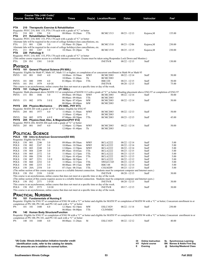| <b>Course Section Class # Units</b>     |                    |            |                       | Course Title (+IAI Code) <sup>1</sup>     | <b>Times</b>                                                                                                                                             |                 | Day(s) Location/Room               | <b>Dates</b>                       | <b>Instructor</b> | Fee <sup>2</sup>                                                                                                                                                                |
|-----------------------------------------|--------------------|------------|-----------------------|-------------------------------------------|----------------------------------------------------------------------------------------------------------------------------------------------------------|-----------------|------------------------------------|------------------------------------|-------------------|---------------------------------------------------------------------------------------------------------------------------------------------------------------------------------|
| ΡΤΑ                                     |                    |            |                       | 210 Therapeutic Exercise & Rehabilitation |                                                                                                                                                          |                 |                                    |                                    |                   |                                                                                                                                                                                 |
|                                         |                    |            |                       |                                           | Requisite: PSYC 210, SOC 153, PTA 170 each with a grade of "C" or better                                                                                 |                 |                                    |                                    |                   |                                                                                                                                                                                 |
| PTA                                     | 210 001            |            | 1286                  | 5.0                                       | 08:00am - 10:20am                                                                                                                                        | TTh             | <b>BCMC1513</b>                    | $08/23 - 12/13$                    | Kujawa,M          | 155.00                                                                                                                                                                          |
| PTA                                     |                    |            |                       | 211 Rehabilitation Techniques             |                                                                                                                                                          |                 |                                    |                                    |                   |                                                                                                                                                                                 |
|                                         |                    |            |                       |                                           | Requisite: PSYC 210, SOC 153, PTA 170 each with a grade of "C" or better                                                                                 |                 |                                    |                                    |                   |                                                                                                                                                                                 |
| PTA                                     | 211 001            |            | 1288                  | 3.0                                       | Alternate labs will be required in the event of college holidays/class cancellations, etc.<br>10:30am - 01:20pm                                          | T               | <b>BCMC1510</b>                    | $08/23 - 12/06$                    |                   | 230.00                                                                                                                                                                          |
|                                         |                    |            |                       |                                           | Alternate labs will be required in the event of college holidays/class cancellations, etc.                                                               |                 |                                    |                                    | Kujawa,M          |                                                                                                                                                                                 |
| PTA                                     | 211 002            |            | 1287                  | 3.0                                       | 10:30am - $01:20$ pm                                                                                                                                     | Th              | <b>BCMC1510</b>                    | $08/25 - 12/15$                    | Kujawa,M          | 230.00                                                                                                                                                                          |
| ΡΤΑ                                     |                    |            | 220 Pathology II      |                                           |                                                                                                                                                          |                 |                                    |                                    |                   |                                                                                                                                                                                 |
|                                         |                    |            |                       |                                           | Requisite: PSYC 210, SOC 153, PTA 170 each with a grade of "C" or better                                                                                 |                 |                                    |                                    |                   |                                                                                                                                                                                 |
|                                         |                    |            |                       |                                           | (This online course requires access to a reliable internet connection. Exams must be taken using Respondus Lock Down and Monitor.)                       |                 |                                    |                                    |                   |                                                                                                                                                                                 |
| <b>PTA</b>                              | 220 IN1            |            | 1381                  | 3.0 OI                                    |                                                                                                                                                          |                 | <b>INETN/R</b>                     | $08/22 - 12/15$                    | Staff             | 130.00                                                                                                                                                                          |
| <b>PHYSICS</b>                          |                    |            |                       |                                           |                                                                                                                                                          |                 |                                    |                                    |                   |                                                                                                                                                                                 |
| PHYS                                    |                    |            |                       | 101 General Physical Science (P9 900L)    |                                                                                                                                                          |                 |                                    |                                    |                   |                                                                                                                                                                                 |
|                                         |                    |            |                       |                                           | Requisite: Eligible for Math 97, Math 107, Math 111 or higher; or completion of or concurrent enrollment in Math 94 or Math 95                           |                 |                                    |                                    |                   |                                                                                                                                                                                 |
| PHYS                                    | 101 001            |            | 1845                  | 4.0                                       | 10:00am - 10:50am                                                                                                                                        | <b>MWF</b>      | <b>BCMC2083</b>                    | $08/22 - 12/14$                    | Staff             | 50.00                                                                                                                                                                           |
|                                         |                    |            | 1999                  |                                           | 10:00am - 11:40am                                                                                                                                        | Th              | <b>BCMC2083</b>                    |                                    |                   |                                                                                                                                                                                 |
| PHYS<br>PHYS                            | 101 080<br>101 IN1 |            | 1979                  | 4.0<br>4.0 OI                             | $01:00$ pm - $03:20$ pm                                                                                                                                  | TTh             | <b>RBC220</b><br><b>INETN/R</b>    | $08/23 - 12/15$<br>$08/20 - 12/15$ | Staff<br>Staff    | 50.00<br>75.00                                                                                                                                                                  |
|                                         |                    |            |                       |                                           | This course is an asynchronous, online course that does not meet at a specific time or day of the week.                                                  |                 |                                    |                                    |                   |                                                                                                                                                                                 |
| <b>PHYS</b>                             |                    |            | 151 College Physics I |                                           | (P1 900L)                                                                                                                                                |                 |                                    |                                    |                   |                                                                                                                                                                                 |
|                                         |                    |            |                       |                                           | Requisite: Math placement above MATH 112 or completion of MATH 112 with a grade of "C" or better; Reading placement above ENG 97 or completion of ENG 97 |                 |                                    |                                    |                   |                                                                                                                                                                                 |
| PHYS                                    | 151 001            |            | 1846                  | 5.0                                       | 09:00am - 09:50am                                                                                                                                        | MWF             | <b>BCMC2083</b>                    | $08/22 - 12/14$                    | Staff             | 50.00                                                                                                                                                                           |
|                                         |                    |            |                       |                                           | 08:00am-09:40am                                                                                                                                          | TTh             | <b>BCMC2083</b>                    |                                    |                   |                                                                                                                                                                                 |
| PHYS                                    | 151                | 002        | 1976                  | 5.0 E                                     | 06:30pm - 07:45pm                                                                                                                                        | <b>MW</b><br>MW | <b>BCMC2083</b><br><b>BCMC2083</b> | $08/22 - 12/14$                    | Staff             | 50.00                                                                                                                                                                           |
| PHYS                                    |                    |            | 204 Physics-Mechanics |                                           | $08:00$ pm - $09:40$ pm<br>(P2 900L, PHY 911)                                                                                                            |                 |                                    |                                    |                   |                                                                                                                                                                                 |
|                                         |                    |            |                       |                                           | Requisite: MATH 203 with a grade of "C" or better; Eligible for ENG 97                                                                                   |                 |                                    |                                    |                   |                                                                                                                                                                                 |
| PHYS                                    | 204 001            |            | 1977                  | 4.0                                       | 11:00am - 11:50am                                                                                                                                        | MWF             | <b>BCMC2083</b>                    | $08/22 - 12/13$                    | Staff             | 50.00                                                                                                                                                                           |
|                                         |                    |            |                       |                                           | 11:00am - 12:40pm                                                                                                                                        | T               | <b>BCMC2083</b>                    |                                    |                   |                                                                                                                                                                                 |
| PHYS                                    | 204                | 002        | 1978                  | 4.0 E                                     | 07:00pm - 09:20pm                                                                                                                                        | TTh             | <b>BCMC2083</b>                    | $08/23 - 12/15$                    | Staff             | 45.00                                                                                                                                                                           |
| PHYS                                    |                    |            |                       |                                           | 205 Physics-Heat, Elec, & Magnetism (PHY 912)                                                                                                            |                 |                                    |                                    |                   |                                                                                                                                                                                 |
| PHYS                                    | 205 001            |            | 1847                  | 4.0                                       | Requisite: PHYS 204, MATH 204 each with a grade of "C" or better<br>$12:00$ pm - $12:50$ pm                                                              | <b>MWF</b>      | <b>BCMC2083</b>                    | $08/22 - 12/14$                    | Staff             | 50.00                                                                                                                                                                           |
|                                         |                    |            |                       |                                           | $12:00 \text{pm} - 01:40 \text{pm}$                                                                                                                      | Th              | <b>BCMC2083</b>                    |                                    |                   |                                                                                                                                                                                 |
|                                         |                    |            |                       |                                           |                                                                                                                                                          |                 |                                    |                                    |                   |                                                                                                                                                                                 |
| <b>POLITICAL SCIENCE</b>                |                    |            |                       |                                           |                                                                                                                                                          |                 |                                    |                                    |                   |                                                                                                                                                                                 |
| POLS                                    |                    |            |                       | 150 Intro to American Government (S5 900) |                                                                                                                                                          |                 |                                    |                                    |                   |                                                                                                                                                                                 |
| Requisite: Eligible for ENG 101<br>POLS | 150 001            |            | 2246                  | 3.0                                       | 09:00am - 09:50am                                                                                                                                        | <b>MWF</b>      | <b>BCLA2222</b>                    | $08/22 - 12/14$                    | Staff             | 5.00                                                                                                                                                                            |
| POLS                                    | 150                | 002        | 2247                  | 3.0                                       | 10:00am - 10:50am                                                                                                                                        | <b>MWF</b>      | <b>BCLA2222</b>                    | $08/22 - 12/14$                    | Staff             | 5.00                                                                                                                                                                            |
| POLS                                    | 150                | 003        | 2248                  | 3.0                                       | $12:00$ pm - $12:50$ pm                                                                                                                                  | <b>MWF</b>      | <b>BCLA2222</b>                    | $08/22 - 12/14$                    | Staff             | 5.00                                                                                                                                                                            |
| POLS                                    | 150                | 004        | 2249                  | 3.0                                       | 09:30am - 10:45am                                                                                                                                        | TTh             | <b>BCLA2222</b>                    | $08/23 - 12/15$                    | Staff             | 5.00                                                                                                                                                                            |
| POLS                                    | 150                | 005        | 2372                  | 3.0                                       | $11:00$ am - $12:15$ pm                                                                                                                                  | TTh             | <b>BCLA2222</b>                    | $08/23 - 12/15$                    | Staff             | 5.00                                                                                                                                                                            |
| POLS                                    | 150                | 006        | 2250                  | 3.0                                       | $12:30$ pm - 01:45pm                                                                                                                                     | TTh             | <b>BCLA2222</b>                    | $08/23 - 12/15$                    | Staff             | 5.00                                                                                                                                                                            |
| POLS<br>POLS                            | 150<br>150         | 007<br>060 | 2251<br>2252          | 3.0 E<br>3.0                              | $06:00 \text{pm} - 08:50 \text{pm}$<br>$11:00$ am - $12:15$ pm                                                                                           | T<br>TTh        | <b>BCLA2222</b><br>SWGCC345        | $08/22 - 12/12$<br>$08/23 - 12/15$ | Staff<br>Staff    | 5.00<br>5.00                                                                                                                                                                    |
| POLS                                    | 150                | 080        | 2253                  | 3.0                                       | 08:00am - 09:15am                                                                                                                                        | MW              | RBC148                             | $08/22 - 12/14$                    | Staff             | 5.00                                                                                                                                                                            |
| POLS                                    | 150 20A            |            | 2354                  | 3.0                                       | 07:15am - 08:35am                                                                                                                                        | TTh             | COLM209                            | $08/23 - 12/15$                    | Staff             | 5.00                                                                                                                                                                            |
|                                         |                    |            |                       |                                           | (The online section of this course requires access to a reliable Internet connection. Students must be competent computer and Internet users.)           |                 |                                    |                                    |                   |                                                                                                                                                                                 |
| POLS                                    | 150 IN1            |            | 2358                  | 3.0 OI                                    |                                                                                                                                                          |                 | <b>INETN/R</b>                     | $08/20 - 12/15$                    | Staff             | 30.00                                                                                                                                                                           |
|                                         |                    |            |                       |                                           | This course is an asynchronous, online course that does not meet at a specific time or day of the week.                                                  |                 |                                    |                                    |                   |                                                                                                                                                                                 |
|                                         |                    |            |                       |                                           | (The online section of this course requires access to a reliable Internet connection. Students must be competent computer and Internet users.)           |                 |                                    |                                    |                   |                                                                                                                                                                                 |
| POLS                                    |                    | 150 IN2    | 2371                  | 3.0 OI                                    | This course is an asynchronous, online course that does not meet at a specific time or day of the week.                                                  |                 | <b>INETN/R</b>                     | $08/20 - 12/15$                    | Staff             | 30.00                                                                                                                                                                           |
| POLS                                    | 150 IN3            |            | 2573                  | 3.0 OI                                    |                                                                                                                                                          |                 | <b>INETN/R</b>                     | $09/17 - 12/15$                    | Staff             | 30.00                                                                                                                                                                           |
|                                         |                    |            |                       |                                           | This course is an asynchronous, online course that does not meet at a specific time or day of the week.                                                  |                 |                                    |                                    |                   |                                                                                                                                                                                 |
|                                         |                    |            |                       |                                           |                                                                                                                                                          |                 |                                    |                                    |                   |                                                                                                                                                                                 |
| <b>PRACTICAL NURSING</b>                |                    |            |                       |                                           |                                                                                                                                                          |                 |                                    |                                    |                   |                                                                                                                                                                                 |
| PN                                      |                    |            |                       | 101 Fundamentals of Nursing II            |                                                                                                                                                          |                 |                                    |                                    |                   | Requisite: Eligible for ENG 97 or completion of ENG 94 with a "C" or better and eligible for MATH 97 or completion of MATH 94 with a "C" or better; Concurrent enrollment in or |
|                                         |                    |            |                       |                                           | completion of PN 100, PN 140, and PN 142 each with a "C" or better                                                                                       |                 |                                    |                                    |                   |                                                                                                                                                                                 |
| PN                                      |                    | 101 101    | 1440                  | 6.0                                       | $12:30$ pm - $02:10$ pm                                                                                                                                  | MW              | <b>ESLC1029</b>                    | $08/22 - 11/14$                    | Staff             | 250.00                                                                                                                                                                          |
|                                         |                    |            |                       |                                           | 06:00am - 06:00pm                                                                                                                                        | TTh             | <b>CLINMISC</b>                    |                                    |                   |                                                                                                                                                                                 |
| ΡN                                      |                    |            |                       | 140 Human Body Structure/Function         |                                                                                                                                                          |                 |                                    |                                    |                   |                                                                                                                                                                                 |
|                                         |                    |            |                       |                                           |                                                                                                                                                          |                 |                                    |                                    |                   | Requisite: Eligible for ENG 97 or completion of ENG 94 with a "C" or better and eligible for MATH 97 or completion of MATH 94 with a "C" or better; Concurrent enrollment in or |
|                                         |                    |            |                       |                                           | completion of PN 100, PN 101, and PN 142 each with a "C" or better                                                                                       |                 |                                    |                                    |                   |                                                                                                                                                                                 |
| PN                                      | 140 101            |            | 1448                  | 4.0                                       | 08:00am - 11:20am                                                                                                                                        | М               | <b>ESLC1029</b>                    | $08/22 - 12/12$                    | Staff             | 40.00                                                                                                                                                                           |
|                                         |                    |            |                       |                                           |                                                                                                                                                          |                 |                                    |                                    |                   |                                                                                                                                                                                 |
|                                         |                    |            |                       |                                           |                                                                                                                                                          |                 |                                    |                                    |                   |                                                                                                                                                                                 |
|                                         |                    |            |                       |                                           |                                                                                                                                                          |                 |                                    |                                    |                   |                                                                                                                                                                                 |
|                                         |                    |            |                       |                                           |                                                                                                                                                          |                 |                                    |                                    |                   |                                                                                                                                                                                 |
|                                         |                    |            |                       |                                           |                                                                                                                                                          |                 |                                    |                                    |                   |                                                                                                                                                                                 |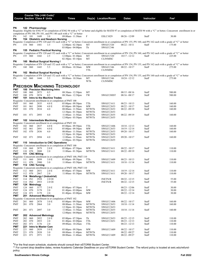|            |                |            | Course Title (+IAI Code) <sup>1</sup> |                                                                                                 |                                                                                                              |                |                                  |                                    |                   |                                                                                                                                                                                 |
|------------|----------------|------------|---------------------------------------|-------------------------------------------------------------------------------------------------|--------------------------------------------------------------------------------------------------------------|----------------|----------------------------------|------------------------------------|-------------------|---------------------------------------------------------------------------------------------------------------------------------------------------------------------------------|
|            |                |            | <b>Course Section Class # Units</b>   |                                                                                                 | <b>Times</b>                                                                                                 |                | Day(s) Location/Room             | Dates                              | <b>Instructor</b> | Fee <sup>2</sup>                                                                                                                                                                |
|            |                |            |                                       |                                                                                                 |                                                                                                              |                |                                  |                                    |                   |                                                                                                                                                                                 |
| ΡN         |                |            | 142 Pharmacology                      |                                                                                                 |                                                                                                              |                |                                  |                                    |                   |                                                                                                                                                                                 |
|            |                |            |                                       |                                                                                                 |                                                                                                              |                |                                  |                                    |                   | Requisite: Eligible for ENG 97 or completion of ENG 94 with a "C" or better and eligible for MATH 97 or completion of MATH 94 with a "C" or better; Concurrent enrollment in or |
| PN         | 142 101        |            | 1449                                  | 3.0                                                                                             | completion of PN 100, PN 101, and PN 140 each with a "C" or better<br>09:00am - 11:30am                      | F              | <b>ESLC1029</b>                  | $08/26 - 12/09$                    | Staff             | 30.00                                                                                                                                                                           |
| PN         |                |            |                                       | 154 Obstetric and Newborn Nursing                                                               |                                                                                                              |                |                                  |                                    |                   |                                                                                                                                                                                 |
|            |                |            |                                       |                                                                                                 |                                                                                                              |                |                                  |                                    |                   | Requisite: Completion of PN 120 and 152 each with a "C" or better; Concurrent enrollment in or completion of PN 155, PN 160, and PN 162 each with a grade of "C" or better      |
| PN         |                | 154 060    | 1441                                  | 3.5                                                                                             | $12:00 \text{pm} - 02:30 \text{pm}$                                                                          | MT             | SWGCC520                         | $08/22 - 10/11$                    | Staff             | 175.00                                                                                                                                                                          |
| PN         |                |            |                                       | 155 Pediatric Practical Nursing                                                                 | 03:00pm - 04:00pm                                                                                            | Th             | SWGCC346                         |                                    |                   |                                                                                                                                                                                 |
|            |                |            |                                       |                                                                                                 |                                                                                                              |                |                                  |                                    |                   | Requisite: Completion of PN 120 and 152 each with a "C" or better; Concurrent enrollment in or completion of PN 154, PN 160, and PN 162 each with a grade of "C" or better      |
| PN         | 155 060        |            | 1442                                  | 2.5                                                                                             | $12:00 \text{pm} - 01:40 \text{pm}$                                                                          | MT             | SWGCC520                         | $10/17 - 12/12$                    | Staff             | 225.00                                                                                                                                                                          |
| PN         |                |            |                                       | 160 Medical Surgical Nursing I                                                                  | $02:30$ pm - $03:10$ pm                                                                                      | MT             | <b>CLINMISC</b>                  |                                    |                   |                                                                                                                                                                                 |
|            |                |            |                                       |                                                                                                 |                                                                                                              |                |                                  |                                    |                   | Requisite: Completion of PN 120 and 152 each with a "C" or better; Concurrent enrollment in or completion of PN 154, PN 155, and PN 162 each with a grade of "C" or better      |
| PN         |                | 160 060    | 1443                                  | 5.5                                                                                             | 08:00am - 10:30am                                                                                            | MW             | SWGCC346                         | $08/22 - 10/17$                    | Staff             | 275.00                                                                                                                                                                          |
|            |                |            |                                       |                                                                                                 |                                                                                                              | TTh            | <b>CLINMISC</b>                  |                                    |                   |                                                                                                                                                                                 |
| ΡN         |                |            |                                       | 162 Medical Surgical Nursing II                                                                 |                                                                                                              |                |                                  |                                    |                   | Requisite: Completion of PN 120 and 152 each with a "C" or better; Concurrent enrollment in or completion of PN 154, PN 155, and PN 160 each with a grade of "C" or better      |
| PN         | 162 060        |            | 1444                                  | 5.5                                                                                             | 08:00am - 10:30am                                                                                            | МT             | SWGCC346                         | $10/24 - 12/12$                    | Staff             | 275.00                                                                                                                                                                          |
|            |                |            |                                       |                                                                                                 |                                                                                                              | WTh            | <b>CLINMISC</b>                  |                                    |                   |                                                                                                                                                                                 |
|            |                |            |                                       |                                                                                                 | <b>PRECISION MACHINING TECHNOLOGY</b>                                                                        |                |                                  |                                    |                   |                                                                                                                                                                                 |
| PMT        |                |            |                                       | 100 Precision Machining Intro                                                                   |                                                                                                              |                |                                  |                                    |                   |                                                                                                                                                                                 |
| PMT        | 100            | 060        | 2873                                  | 0.5                                                                                             | 08:30am - 12:50pm                                                                                            | MT             |                                  | $08/15 - 08/16$                    | Staff             | 500.00                                                                                                                                                                          |
| PMT        | 100            | 070        | 2874                                  | 0.5                                                                                             | 08:30am - 12:50pm                                                                                            | TW             | SWGCCHIST                        | $08/16 - 08/17$                    | Staff             | 500.00                                                                                                                                                                          |
| PMT        |                |            |                                       | 101 Intro to the Machine Trades<br>Requisite: Concurrent enrollment in or completion of PMT 100 |                                                                                                              |                |                                  |                                    |                   |                                                                                                                                                                                 |
| PMT        | 101            | 060        | 2835                                  | 4.0 E                                                                                           | $05:00$ pm - $09:50$ pm                                                                                      | TTh            | SWGCC1611                        | $08/23 - 10/13$                    | Staff             | 160.00                                                                                                                                                                          |
| PMT        | 101            | 061        | 2890                                  | $4.0 E$                                                                                         | 05:00pm - 09:50pm                                                                                            | MW             | SWGCC2653                        | $08/22 - 10/17$                    | Staff             | 160.00                                                                                                                                                                          |
| PMT        | 101            | 070        | 2834                                  | 4.0                                                                                             | 08:00am - 11:50am                                                                                            | MTWTh          | SWGCC2653                        | $08/22 - 09/19$                    | Staff             | 160.00                                                                                                                                                                          |
|            |                |            |                                       | 4.0                                                                                             | 12:30pm - 01:30pm<br>11:00am - 11:50am                                                                       | MTWTh          | SWGCC2653                        |                                    |                   |                                                                                                                                                                                 |
| PMT        | 101 071        |            | 2893                                  |                                                                                                 | $12:00 \text{pm} - 03:50 \text{pm}$                                                                          | MTWTh<br>MTWTh | SWGCC2655<br>SWGCC2655           | $08/22 - 09/19$                    | Staff             | 160.00                                                                                                                                                                          |
| PMT        |                |            |                                       | 102 Intermediate Machining                                                                      |                                                                                                              |                |                                  |                                    |                   |                                                                                                                                                                                 |
|            |                |            |                                       | Requisite: Concurrent enrollment in or completion of PMT 101                                    |                                                                                                              |                |                                  |                                    |                   |                                                                                                                                                                                 |
| PMT<br>PMT | 102<br>102     | 060<br>061 | 2837<br>2891                          | 4.0 E<br>4.0 E                                                                                  | 05:00pm - 09:50pm                                                                                            | TTh<br>MW      | SWGCC1606                        | $10/18 - 12/13$                    | Staff<br>Staff    | 160.00<br>160.00                                                                                                                                                                |
| PMT        | 102 070        |            | 2836                                  | 4.0                                                                                             | 05:00pm - 09:50pm<br>08:00am - 11:50am                                                                       | MTWTh          | SWGCC2653<br>SWGCC2653           | $10/19 - 12/14$<br>$09/20 - 10/17$ | Staff             | 160.00                                                                                                                                                                          |
|            |                |            |                                       |                                                                                                 | 12:30pm - 01:30pm                                                                                            | MTWTh          | SWGCC2653                        |                                    |                   |                                                                                                                                                                                 |
| PMT        | 102 071        |            | 2894                                  | 4.0                                                                                             | 11:00am - 11:50am                                                                                            | MTWTh          | SWGCC2655                        | $09/20 - 10/17$                    | Staff             | 160.00                                                                                                                                                                          |
| PMT        |                |            |                                       | 110 Introduction to CNC Operations                                                              | 12:00pm - 03:50pm                                                                                            | MTWTh          | SWGCC2655                        |                                    |                   |                                                                                                                                                                                 |
|            |                |            |                                       | Requisite: Concurrent enrollment in or completion of PMT 100                                    |                                                                                                              |                |                                  |                                    |                   |                                                                                                                                                                                 |
| PMT        | 110 060        |            | 2879                                  | 2.0 E                                                                                           | 05:00pm - 07:50pm                                                                                            | MW             | SWGCC1611                        | $08/22 - 10/17$                    | Staff             | 110.00                                                                                                                                                                          |
| PMT        | 110 070        |            | 2880                                  | 2.0                                                                                             | $11:00am - 01:50pm$                                                                                          | MTWTh          | SWGCC1611                        | $08/22 - 09/19$                    | Staff             | 110.00                                                                                                                                                                          |
| PMT        |                |            | 111 CNC Milling                       |                                                                                                 | Requisite: Concurrent enrollment in or completion of PMT 100, PMT 110                                        |                |                                  |                                    |                   |                                                                                                                                                                                 |
| PMT        | 111            | 060        | 2899                                  | 3.0 E                                                                                           | 05:00pm - 09:50pm                                                                                            | TTh            | SWGCC1609                        | $08/23 - 10/13$                    | Staff             | 110.00                                                                                                                                                                          |
| PMT        | 111 070        |            | 2900                                  | 3.0                                                                                             | 11:00am - 03:50pm                                                                                            | MTWTh          | SWGCC1611                        | $10/18 - 11/14$                    | Staff             | 110.00                                                                                                                                                                          |
| PMT        |                |            | 112 CNC Turning                       |                                                                                                 |                                                                                                              |                |                                  |                                    |                   |                                                                                                                                                                                 |
| PMT        | 112 060        |            | 2851                                  | 2.0 E                                                                                           | Requisite: Concurrent enrollment in or completion of PMT 100, PMT 110<br>$05:00 \text{pm} - 07:50 \text{pm}$ | MW             | SWGCC1611                        | $10/19 - 12/14$                    | Staff             | 110.00                                                                                                                                                                          |
| PMT        |                | 112 070    | 2867                                  | 2.0                                                                                             | $11:00am - 01:50pm$                                                                                          | MTWTh          | SWGCC1611                        | $09/20 - 10/17$                    | Staff             | 110.00                                                                                                                                                                          |
| PMT        |                |            |                                       | 114 Metallurgy I (Industrial)                                                                   |                                                                                                              |                |                                  |                                    |                   |                                                                                                                                                                                 |
| PMT<br>PMT | 114 IN1<br>114 | IN2        | 2928<br>2953                          | 2.0 OI<br>2.0 OI                                                                                |                                                                                                              |                | <b>INETN/R</b><br><b>INETN/R</b> | $08/22 - 12/15$<br>$08/22 - 12/15$ | Staff<br>Staff    | 55.00<br>55.00                                                                                                                                                                  |
| PMT        | 124            | Metrology  |                                       |                                                                                                 |                                                                                                              |                |                                  |                                    |                   |                                                                                                                                                                                 |
| PMT        | 124            | 060        | 3177                                  | 2.0 E                                                                                           | $05:00 \text{pm} - 07:50 \text{pm}$                                                                          | T              |                                  | $08/23 - 12/06$                    | Staff             | 30.00                                                                                                                                                                           |
| PMT        | 124            | 070        | 3178                                  | 2.0                                                                                             | $01:40$ pm - $03:00$ pm                                                                                      | MW             |                                  | $08/22 - 12/14$                    | Staff             | 30.00                                                                                                                                                                           |
| PMT<br>PMT | 124            | 071        | 3179<br>201 Advanced Machining        | 2.0                                                                                             | $01:40$ pm - $03:00$ pm                                                                                      | MW             |                                  | $08/22 - 12/14$                    | Staff             | 30.00                                                                                                                                                                           |
|            |                |            |                                       | Requisite: Concurrent enrollment in or completion of PMT 102                                    |                                                                                                              |                |                                  |                                    |                   |                                                                                                                                                                                 |
| PMT        | 201            | 060        | 2878                                  | 3.0 E                                                                                           | 05:00pm - 09:50pm                                                                                            | MW             | SWGCC1606                        | $08/22 - 10/17$                    | Staff             | 160.00                                                                                                                                                                          |
| PMT        | 201            | 070        | 2864                                  | 3.0                                                                                             | 08:00am - 11:50am                                                                                            | MTWTh          | SWGCC2653                        | $10/18 - 11/14$                    | Staff             | 160.00                                                                                                                                                                          |
| PMT        | 201            | 071        | 2897                                  | 3.0                                                                                             | 12:30pm - 01:30pm<br>11:00am - 11:50am                                                                       | MTWTh<br>MTWTh | SWGCC2653<br>SWGCC2655           | $10/18 - 11/14$                    | Staff             | 160.00                                                                                                                                                                          |
|            |                |            |                                       |                                                                                                 | $12:00$ pm - 04:00pm                                                                                         | <b>MTWTh</b>   | SWGCC2655                        |                                    |                   |                                                                                                                                                                                 |
| PMT        |                |            | 202 Advanced Metrology                |                                                                                                 |                                                                                                              |                |                                  |                                    |                   |                                                                                                                                                                                 |
| PMT        | 202            | 060        | 2852                                  | 2.0 E                                                                                           | 05:00pm - 07:50pm                                                                                            | Th             | SWGCC2653                        | $08/25 - 12/15$                    | Staff             | 110.00                                                                                                                                                                          |
| PMT<br>PMT | 202<br>202     | 070<br>071 | 2853<br>3176                          | 2.0<br>2.0                                                                                      | $01:40$ pm - $03:00$ pm<br>09:00am - 10:20am                                                                 | TTh<br>TTh     | SWGCC2651                        | $08/23 - 12/13$<br>$08/23 - 12/13$ | Staff<br>Staff    | 110.00<br>110.00                                                                                                                                                                |
| PMT        | 221            |            | <b>Intro to Master Cam</b>            |                                                                                                 |                                                                                                              |                |                                  |                                    |                   |                                                                                                                                                                                 |
| PMT        | 221            | 060        | 2839                                  | 3.0 E                                                                                           | 05:00pm - 09:50pm                                                                                            | MW             | SWGCC1609                        | $08/22 - 10/17$                    | Staff             | 110.00                                                                                                                                                                          |
| PMT        | 221            | 070        | 2838                                  | 3.0                                                                                             | 08:00am - 11:40pm                                                                                            | MTWTh          |                                  | 08/22 - 09/27                      | Staff             | 110.00                                                                                                                                                                          |
| PMT        | 221            | 071        | 2971                                  | 3.0                                                                                             | 08:00am - 11:40am                                                                                            | MTWTh          | SWGCC1609                        | 08/22 - 09/27                      | Staff             | 110.00                                                                                                                                                                          |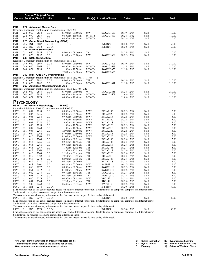|                            |                |            | Course Title (+IAI Code) <sup>1</sup> |                                                           |                                                                                                                                                                                                                      |                              |                                    |                                    |                |                  |
|----------------------------|----------------|------------|---------------------------------------|-----------------------------------------------------------|----------------------------------------------------------------------------------------------------------------------------------------------------------------------------------------------------------------------|------------------------------|------------------------------------|------------------------------------|----------------|------------------|
|                            |                |            | <b>Course Section Class # Units</b>   |                                                           | Times                                                                                                                                                                                                                |                              | Day(s) Location/Room               | Dates                              | Instructor     | Fee <sup>2</sup> |
|                            |                |            |                                       |                                                           |                                                                                                                                                                                                                      |                              |                                    |                                    |                |                  |
| <b>PMT</b>                 |                |            | 222 Advanced Master Cam               |                                                           |                                                                                                                                                                                                                      |                              |                                    |                                    |                |                  |
|                            |                |            |                                       |                                                           | Requisite: Concurrent enrollment in or completion of PMT 221                                                                                                                                                         |                              |                                    |                                    |                |                  |
| PMT                        | 222            | 060        | 2854                                  | 3.0 E                                                     | $05:00$ pm - $09:50$ pm                                                                                                                                                                                              | MW                           | SWGCC1609                          | $10/19 - 12/14$                    | Staff          | 110.00           |
| <b>PMT</b><br>PMT          | 222<br>222     | 070<br>071 | 2855<br>2972                          | 3.0<br>3.0                                                | 08:00am - 11:40am<br>08:00am - 11:40am                                                                                                                                                                               | <b>MTWTh</b><br><b>MTWTh</b> | SWGCC1609                          | $09/28 - 11/02$<br>$09/28 - 11/02$ | Staff<br>Staff | 110.00<br>110.00 |
| PMT                        | 226            |            |                                       | Geom Dim & Tolerancing (GD&T)                             |                                                                                                                                                                                                                      |                              |                                    |                                    |                |                  |
| PMT                        | 226            | IN1        | 2887                                  | 2.0 OI                                                    |                                                                                                                                                                                                                      |                              | <b>INETN/R</b>                     | $08/20 - 12/15$                    | Staff          | 60.00            |
| PMT                        | 226            | IN2        | 2958                                  | $2.0$ OI                                                  |                                                                                                                                                                                                                      |                              | <b>INETN/R</b>                     | $08/20 - 12/15$                    | Staff          | 60.00            |
| PMT<br>PMT                 | 231<br>231     | 060        | <b>Intro to Solid Works</b><br>2856   | 3.0 E                                                     | $05:00$ pm - $09:50$ pm                                                                                                                                                                                              | Th                           |                                    | $08/25 - 12/15$                    | Staff          | 110.00           |
| PMT                        | 231            | 070        | 2857                                  | 3.0                                                       | $01:00$ pm - $03:20$ pm                                                                                                                                                                                              | MW                           | SWGCC1609                          | $08/22 - 12/14$                    | Staff          | 110.00           |
| PMT                        |                |            | 240 NIMS Certification                |                                                           |                                                                                                                                                                                                                      |                              |                                    |                                    |                |                  |
|                            |                |            |                                       |                                                           | Requisite: Concurrent enrollment in or completion of PMT 201                                                                                                                                                         |                              |                                    |                                    |                |                  |
| PMT<br>PMT                 | 240<br>240     | 060<br>070 | 2865<br>2866                          | 3.0 E<br>3.0                                              | $05:00$ pm - $09:50$ pm<br>08:00am - 11:50am                                                                                                                                                                         | MW<br><b>MTWTh</b>           | SWGCC1606<br>SWGCC2653             | $10/19 - 12/14$<br>$11/15 - 12/15$ | Staff<br>Staff | 310.00<br>310.00 |
| PMT                        | 240            | 071        | 2898                                  | 3.0                                                       | 11:00am - 11:50am                                                                                                                                                                                                    | <b>MTWTh</b>                 | SWGCC2655                          | $11/15 - 12/15$                    | Staff          | 310.00           |
|                            |                |            |                                       |                                                           | $12:00 \text{pm} - 04:00 \text{pm}$                                                                                                                                                                                  | <b>MTWTh</b>                 | SWGCC2655                          |                                    |                |                  |
| <b>PMT</b>                 |                |            |                                       | 250 Multi-Axis CNC Programming                            |                                                                                                                                                                                                                      |                              |                                    |                                    |                |                  |
| PMT                        | 250            | 060        | 2881                                  | 3.0 E                                                     | Requisite: Concurrent enrollment in or completion of PMT 110, PMT 111, PMT 112<br>05:00pm - 09:50pm                                                                                                                  | TTh                          |                                    | $10/18 - 12/15$                    | Staff          | 210.00           |
| PMT                        | 250            | 070        | 2882                                  | 3.0                                                       | $11:00am - 03:50pm$                                                                                                                                                                                                  | <b>MTWTh</b>                 | SWGCC1611                          | $11/15 - 12/15$                    | Staff          | 210.00           |
| PMT                        |                |            |                                       | 262 Advanced Mastercam/Multi-Axis                         |                                                                                                                                                                                                                      |                              |                                    |                                    |                |                  |
|                            |                |            |                                       |                                                           | Requisite: Concurrent enrollment in or completion of PMT 221, PMT 222                                                                                                                                                |                              |                                    |                                    |                |                  |
| PMT                        | 262            | 060        | 2883                                  | 3.0 E                                                     | 05:00pm - 09:50pm                                                                                                                                                                                                    | W                            | SWGCC2655                          | $08/24 - 12/14$                    | Staff          | 210.00           |
| PMT<br>PMT                 | 262<br>262 071 | 070        | 2886<br>2973                          | 3.0<br>3.0                                                | 08:00am - 11:40am<br>08:00am - 11:40am                                                                                                                                                                               | MTWTh<br><b>MTWTh</b>        | SWGCC1609                          | $11/03 - 12/15$<br>$11/03 - 12/15$ | Staff<br>Staff | 210.00<br>210.00 |
|                            |                |            |                                       |                                                           |                                                                                                                                                                                                                      |                              |                                    |                                    |                |                  |
| <b>PSYCHOLOGY</b>          |                |            |                                       |                                                           |                                                                                                                                                                                                                      |                              |                                    |                                    |                |                  |
| <b>PSYC</b>                |                |            | 151 General Psychology                | Requisite: Eligible for ENG 101 or concurrent with ENG 97 | (S6 900)                                                                                                                                                                                                             |                              |                                    |                                    |                |                  |
| <b>PSYC</b>                | 151            | 001        | 2254                                  | 3.0                                                       | 08:00am - 08:50am                                                                                                                                                                                                    | <b>MWF</b>                   | <b>BCLA2106</b>                    | $08/22 - 12/14$                    | Staff          | 5.00             |
| PSYC                       | 151            | 002        | 2255                                  | 3.0                                                       | 09:00am - 09:50am                                                                                                                                                                                                    | <b>MWF</b>                   | <b>BCLA1220</b>                    | $08/22 - 12/14$                    | Staff          | 5.00             |
| <b>PSYC</b>                | 151            | 003        | 2256                                  | 3.0                                                       | 09:00am - 09:50am                                                                                                                                                                                                    | <b>MWF</b>                   | <b>BCLA2218</b>                    | $08/22 - 12/14$                    | Staff          | 5.00             |
| PSYC                       | 151            | 004        | 2257                                  | 3.0                                                       | 10:00am - 10:50am                                                                                                                                                                                                    | <b>MWF</b>                   | <b>BCLA1220</b>                    | $08/22 - 12/14$                    | Staff          | 5.00             |
| <b>PSYC</b><br><b>PSYC</b> | 151<br>151     | 005<br>006 | 2258<br>2259                          | 3.0<br>3.0                                                | 10:00am - 10:50am<br>11:00am - 11:50am                                                                                                                                                                               | <b>MWF</b><br><b>MWF</b>     | <b>BCLA2218</b><br><b>BCLA1220</b> | $08/22 - 12/14$<br>$08/22 - 12/14$ | Staff<br>Staff | 5.00<br>5.00     |
| <b>PSYC</b>                | 151            | 007        | 2260                                  | 3.0                                                       | $11:00am - 11:50am$                                                                                                                                                                                                  | <b>MWF</b>                   | <b>BCLA2218</b>                    | $08/22 - 12/14$                    | Staff          | 5.00             |
| <b>PSYC</b>                | 151            | 008        | 2261                                  | 3.0                                                       | $12:00$ pm - $12:50$ pm                                                                                                                                                                                              | <b>MWF</b>                   | <b>BCLA2220</b>                    | $08/22 - 12/14$                    | Staff          | 5.00             |
| <b>PSYC</b>                | 151            | 009        | 2262                                  | 3.0                                                       | $01:00$ pm - $01:50$ pm                                                                                                                                                                                              | <b>MWF</b>                   | <b>BCLA2218</b>                    | $08/22 - 12/14$                    | Staff          | 5.00             |
| <b>PSYC</b>                | 151            | 010        | 2263                                  | 3.0                                                       | $02:00$ pm - $02:50$ pm                                                                                                                                                                                              | <b>MWF</b>                   | <b>BCLA2220</b>                    | $08/22 - 12/14$                    | Staff          | 5.00             |
| PSYC<br>PSYC               | 151<br>151     | 011<br>012 | 2264<br>2265                          | 3.0<br>3.0                                                | 08:00am - 09:15am<br>09:30am - 10:45am                                                                                                                                                                               | TTh<br>TTh                   | <b>BCLA2106</b><br><b>BCLA2106</b> | $08/23 - 12/15$<br>$08/23 - 12/15$ | Staff<br>Staff | 5.00<br>5.00     |
| PSYC                       | 151            | 013        | 2266                                  | 3.0                                                       | 09:30am - 10:45am                                                                                                                                                                                                    | TTh                          | <b>BCLA2218</b>                    | $08/23 - 12/15$                    | Staff          | 5.00             |
| <b>PSYC</b>                | 151            | 014        | 2267                                  | 3.0                                                       | $11:00$ am - $12:15$ pm                                                                                                                                                                                              | TTh                          | <b>BCLA2106</b>                    | $08/23 - 12/15$                    | Staff          | 5.00             |
| PSYC                       | 151            | 015        | 2268                                  | 3.0                                                       | $11:00am - 12:15pm$                                                                                                                                                                                                  | TTh                          | <b>BCLA2218</b>                    | $08/23 - 12/15$                    | Staff          | 5.00             |
| PSYC                       | 151            | 016        | 2269                                  | 3.0                                                       | $12:30$ pm - 01:45pm                                                                                                                                                                                                 | TTh                          | <b>BCLA2220</b>                    | $08/23 - 12/15$                    | Staff          | 5.00             |
| <b>PSYC</b><br><b>PSYC</b> | 151<br>151     | 017<br>018 | 2329<br>2270                          | 3.0<br>3.0                                                | $12:30$ pm - 01:45pm<br>$02:00$ pm - $03:15$ pm                                                                                                                                                                      | TTh<br>TTh                   | <b>BCLA2218</b><br><b>BCLA2106</b> | $08/23 - 12/15$<br>$08/23 - 12/15$ | Staff<br>Staff | 5.00<br>5.00     |
| PSYC                       | 151            | 019        | 2271                                  | 3.0 E                                                     | $06:30$ pm - $09:20$ pm                                                                                                                                                                                              | T                            | <b>BCLA2218</b>                    | $08/23 - 12/13$                    | Staff          | 5.00             |
| <b>PSYC</b>                | 151            | 01S        | 2401                                  | 3.0                                                       | 04:30pm - $07:20$ pm                                                                                                                                                                                                 | MW                           | SAFB <sub>68</sub>                 | $10/17 - 12/14$                    | Staff          | 5.00             |
| PSYC                       | 151            | 060        | 2272                                  | 3.0                                                       | 08:00am - 08:50am                                                                                                                                                                                                    | MWF                          | SWGCC510                           | $08/22 - 12/14$                    | Staff          | 5.00             |
| PSYC                       | 151            | 061        | 2412                                  | 3.0                                                       | $01:00$ pm - $01:50$ pm                                                                                                                                                                                              | <b>MWF</b>                   | SWGCC510                           | $08/22 - 12/14$                    | Staff          | 5.00             |
| PSYC<br>PSYC               | 151<br>151     | 062<br>063 | 2273<br>2274                          | 3.0<br>3.0 E                                              | 09:30am - 10:45am<br>$06:30$ pm - $09:20$ pm                                                                                                                                                                         | TTh<br>Th                    | SWGCC510<br>SWGCC510               | $08/23 - 12/15$<br>$08/22 - 12/15$ | Staff<br>Staff | 5.00<br>5.00     |
| PSYC                       | 151            | 080        | 2275                                  | 3.0                                                       | 08:00am - 09:15am                                                                                                                                                                                                    | MW                           | <b>RBC149</b>                      | $08/22 - 12/14$                    | Staff          | 5.00             |
| <b>PSYC</b>                | 151            | 081        | 2344                                  | 3.0                                                       | $12:30$ pm - 01:45pm                                                                                                                                                                                                 | TTh                          | RBC149                             | $08/23 - 12/15$                    | Staff          | 5.00             |
| <b>PSYC</b>                | 151            | 20Z        | 2469                                  | 3.0                                                       | 06:45am - 07:35am                                                                                                                                                                                                    | MWF                          | WATR215                            | $08/22 - 12/14$                    | Staff          | 5.00             |
| <b>PSYC</b>                | 151 IN1        |            | 2276                                  | 3.0 OI                                                    |                                                                                                                                                                                                                      |                              | <b>INETN/R</b>                     | $08/20 - 12/15$                    | Staff          | 30.00            |
|                            |                |            |                                       |                                                           | (The online section of this course requires access to a reliable Internet connection. Students must be competent computer and Internet users.)<br>Students will be required to come to campus for at least one exam. |                              |                                    |                                    |                |                  |
|                            |                |            |                                       |                                                           | This course is an asynchronous, online course that does not meet at a specific time or day of the week.                                                                                                              |                              |                                    |                                    |                |                  |
| <b>PSYC</b>                | 151 IN2        |            | 2277                                  | 3.0 OI                                                    |                                                                                                                                                                                                                      |                              | <b>INETN/R</b>                     | $08/20 - 12/15$                    | Staff          | 30.00            |
|                            |                |            |                                       |                                                           | (The online section of this course requires access to a reliable Internet connection. Students must be competent computer and Internet users.)                                                                       |                              |                                    |                                    |                |                  |
|                            |                |            |                                       |                                                           | Students will be required to come to campus for at least one exam.<br>This course is an asynchronous, online course that does not meet at a specific time or day of the week.                                        |                              |                                    |                                    |                |                  |
| <b>PSYC</b>                | 151 IN3        |            | 2278                                  | 3.0 OI                                                    |                                                                                                                                                                                                                      |                              | <b>INETN/R</b>                     | $08/20 - 12/15$                    | Staff          | 30.00            |
|                            |                |            |                                       |                                                           | (The online section of this course requires access to a reliable Internet connection. Students must be competent computer and Internet users.)                                                                       |                              |                                    |                                    |                |                  |
|                            |                |            |                                       |                                                           | Students will be required to come to campus for at least one exam.                                                                                                                                                   |                              |                                    |                                    |                |                  |
|                            |                |            |                                       |                                                           | This course is an asynchronous, online course that does not meet at a specific time or day of the week.                                                                                                              |                              |                                    |                                    |                |                  |

**1 IAI Code: Illinois Articulation Initiative transfer credit**

 **identification code, refer to the catalog for details. 2 Fee amounts are in addition to normal tuition.**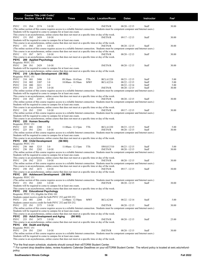|                                    |         |         | Course Title (+IAI Code) <sup>1</sup><br><b>Course Section Class # Units</b> |                                           | Times                                                                                                                                                                                                                                                     |            | Day(s) Location/Room | <b>Dates</b>    | Instructor | $\mathsf{Fe}^2$ |
|------------------------------------|---------|---------|------------------------------------------------------------------------------|-------------------------------------------|-----------------------------------------------------------------------------------------------------------------------------------------------------------------------------------------------------------------------------------------------------------|------------|----------------------|-----------------|------------|-----------------|
| <b>PSYC</b>                        | 151 IN4 |         | 2374                                                                         | 3.0 OI                                    | (The online section of this course requires access to a reliable Internet connection. Students must be competent computer and Internet users.)                                                                                                            |            | <b>INETN/R</b>       | $08/20 - 12/15$ | Staff      | 30.00           |
|                                    |         |         |                                                                              |                                           | Students will be required to come to campus for at least one exam.                                                                                                                                                                                        |            |                      |                 |            |                 |
| PSYC                               | 151 IN5 |         | 2459                                                                         | 3.0 OI                                    | This course is an asynchronous, online course that does not meet at a specific time or day of the week.                                                                                                                                                   |            | INETN/R              | $09/17 - 12/15$ | Staff      | 30.00           |
|                                    |         |         |                                                                              |                                           | Students will be required to come to campus for at least one exam.<br>This course is an asynchronous, online course that does not meet at a specific time or day of the week.                                                                             |            | <b>INETN/R</b>       | $08/20 - 12/15$ |            | 30.00           |
| PSYC                               | 151 IN6 |         | 2474                                                                         | 3.0 OI                                    | (The online section of this course requires access to a reliable Internet connection. Students must be competent computer and Internet users.)<br>This course is an asynchronous, online course that does not meet at a specific time or day of the week. |            |                      |                 | Staff      |                 |
| <b>PSYC</b>                        | 151 IN7 |         | 2671                                                                         | 3.0 OI                                    | This course is an asynchronous, online course that does not meet at a specific time or day of the week.                                                                                                                                                   |            | <b>INETN/R</b>       | $08/20 - 12/15$ | Staff      | 30.00           |
| <b>PSYC</b><br>Requisite: PSYC 151 |         |         | 200 Applied Psychology                                                       |                                           |                                                                                                                                                                                                                                                           |            |                      |                 |            |                 |
| PSYC                               | 200 IN1 |         | 2429                                                                         | 3.0 OI                                    | Students will be required to come to campus for at least one exam.                                                                                                                                                                                        |            | <b>INETN/R</b>       | $08/20 - 12/15$ | Staff      | 30.00           |
| <b>PSYC</b>                        |         |         |                                                                              | 210 Life-Span Development (S6 902)        | This course is an asynchronous, online course that does not meet at a specific time or day of the week.                                                                                                                                                   |            |                      |                 |            |                 |
| Requisite: PSYC 151                | 210     | 001     | 2406                                                                         | 3.0                                       | 09:30am - 10:45am                                                                                                                                                                                                                                         | TTh        | <b>BCLA1220</b>      | $08/23 - 12/15$ | Staff      | 5.00            |
| PSYC<br>PSYC                       | 210     | 002     | 3207                                                                         | 3.0                                       | 10:00am - 10:50am                                                                                                                                                                                                                                         | <b>MWF</b> | <b>BCLA2216</b>      | $08/22 - 12/15$ | Staff      | 5.00            |
| <b>PSYC</b>                        | 210     | 080     | 2411                                                                         | 3.0                                       |                                                                                                                                                                                                                                                           |            |                      | $08/22 - 12/14$ | Staff      | 5.00            |
| <b>PSYC</b>                        | 210 IN1 |         | 2279                                                                         | 3.0 OI                                    |                                                                                                                                                                                                                                                           |            | <b>INETN/R</b>       | $08/20 - 12/15$ | Staff      | 30.00           |
|                                    |         |         |                                                                              |                                           | (The online section of this course requires access to a reliable Internet connection. Students must be competent computer and Internet users.)                                                                                                            |            |                      |                 |            |                 |
|                                    |         |         |                                                                              |                                           | Students will be required to come to campus for at least one exam.<br>This course is an asynchronous, online course that does not meet at a specific time or day of the week.                                                                             |            |                      |                 |            |                 |
| <b>PSYC</b>                        | 210 IN2 |         | 2357                                                                         | 3.0 OI                                    |                                                                                                                                                                                                                                                           |            | <b>INETN/R</b>       | $08/20 - 12/15$ | Staff      | 30.00           |
|                                    |         |         |                                                                              |                                           | (The online section of this course requires access to a reliable Internet connection. Students must be competent computer and Internet users.)                                                                                                            |            |                      |                 |            |                 |
|                                    |         |         |                                                                              |                                           | Students will be required to come to campus for at least one exam.<br>This course is an asynchronous, online course that does not meet at a specific time or day of the week.                                                                             |            |                      |                 |            |                 |
| PSYC                               | 210 IN3 |         | 2395                                                                         | 3.0 OI                                    |                                                                                                                                                                                                                                                           |            | <b>INETN/R</b>       | $09/17 - 12/15$ | Staff      | 30.00           |
|                                    |         |         |                                                                              |                                           | (The online section of this course requires access to a reliable Internet connection. Students must be competent computer and Internet users.)                                                                                                            |            |                      |                 |            |                 |
|                                    |         |         |                                                                              |                                           | Students will be required to come to campus for at least one exam.                                                                                                                                                                                        |            |                      |                 |            |                 |
| PSYC 225 Human Sexuality           |         |         |                                                                              |                                           | This course is an asynchronous, online course that does not meet at a specific time or day of the week.                                                                                                                                                   |            |                      |                 |            |                 |
| Requisite: PSYC 151                |         |         |                                                                              |                                           |                                                                                                                                                                                                                                                           |            |                      |                 |            |                 |
| PSYC                               | 225 001 |         | 2280                                                                         | 3.0                                       | $11:00$ am - $12:15$ pm                                                                                                                                                                                                                                   | TTh        | <b>BCLA1220</b>      | $08/23 - 12/15$ | Staff      | 5.00            |
| <b>PSYC</b>                        | 225 IN1 |         | 2281                                                                         | 3.0 OI                                    | (The online section of this course requires access to a reliable Internet connection. Students must be competent computer and Internet users.)                                                                                                            |            | <b>INETN/R</b>       | $08/20 - 12/15$ | Staff      | 30.00           |
|                                    |         |         |                                                                              |                                           | Students will be required to come to campus for at least one exam.                                                                                                                                                                                        |            |                      |                 |            |                 |
|                                    |         |         |                                                                              |                                           | This course is an asynchronous, online course that does not meet at a specific time or day of the week.                                                                                                                                                   |            |                      |                 |            |                 |
| PSYC 250 Child Development         |         |         |                                                                              |                                           | (S6 903)                                                                                                                                                                                                                                                  |            |                      |                 |            |                 |
| Requisite: PSYC 151<br><b>PSYC</b> | 250 060 |         | 3215                                                                         | 3.0                                       | $11:00$ am - $12:15$ pm                                                                                                                                                                                                                                   | TTh        | SWGCC510             | $08/23 - 12/15$ | Staff      | 5.00            |
| <b>PSYC</b>                        | 250 IN1 |         | 2282                                                                         | 3.0 OI                                    |                                                                                                                                                                                                                                                           |            | <b>INETN/R</b>       | $08/20 - 12/15$ | Staff      | 30.00           |
|                                    |         |         |                                                                              |                                           | (The online section of this course requires access to a reliable Internet connection. Students must be competent computer and Internet users.)                                                                                                            |            |                      |                 |            |                 |
|                                    |         |         |                                                                              |                                           | Students will be required to come to campus for at least one exam.                                                                                                                                                                                        |            |                      |                 |            |                 |
| <b>PSYC</b>                        |         | 250 IN2 | 2533                                                                         | 3.0 OI                                    | This course is an asynchronous, online course that does not meet at a specific time or day of the week.                                                                                                                                                   |            | <b>INETN/R</b>       | $08/20 - 12/15$ | Staff      | 30.00           |
|                                    |         |         |                                                                              |                                           | (The online section of this course requires access to a reliable Internet connection. Students must be competent computer and Internet users.)                                                                                                            |            |                      |                 |            |                 |
|                                    |         |         |                                                                              |                                           | This course is an asynchronous, online course that does not meet at a specific time or day of the week.                                                                                                                                                   |            |                      |                 |            |                 |
| PSYC                               | 250 IN3 |         | 2672                                                                         | 3.0 OI                                    | This course is an asynchronous, online course that does not meet at a specific time or day of the week.                                                                                                                                                   |            | <b>INETN/R</b>       | $09/17 - 12/15$ | Staff      | 30.00           |
|                                    |         |         |                                                                              | PSYC 251 Adolescent Development (S6 904)  |                                                                                                                                                                                                                                                           |            |                      |                 |            |                 |
| Requisite: PSYC 151                |         |         |                                                                              |                                           |                                                                                                                                                                                                                                                           |            |                      |                 |            |                 |
|                                    |         |         |                                                                              |                                           | (The online section of this course requires access to a reliable Internet connection. Students must be competent computer and Internet users.)                                                                                                            |            |                      |                 |            |                 |
| PSYC                               | 251 IN1 |         | 2283                                                                         | 3.0 OI                                    | Students will be required to come to campus for at least one exam.                                                                                                                                                                                        |            | <b>INETN/R</b>       | $08/20 - 12/15$ | Staff      | 30.00           |
|                                    |         |         |                                                                              |                                           | This course is an asynchronous, online course that does not meet at a specific time or day of the week.                                                                                                                                                   |            |                      |                 |            |                 |
|                                    |         |         |                                                                              | PSYC 252 Educational Psychology           |                                                                                                                                                                                                                                                           |            |                      |                 |            |                 |
|                                    |         |         |                                                                              | Requisite: PSYC 151; Eligible for ENG 101 | Students cannot receive credit for both PSYC 252 and ED 252.                                                                                                                                                                                              |            |                      |                 |            |                 |
| PSYC                               | 252 001 |         | 2284                                                                         | 3.0                                       | $12:00$ pm - $12:50$ pm                                                                                                                                                                                                                                   | <b>MWF</b> | <b>BCLA2106</b>      | $08/22 - 12/14$ | Staff      | 5.00            |
|                                    |         |         |                                                                              |                                           | Students cannot receive credit for both PSYC 252 and ED 252.                                                                                                                                                                                              |            |                      |                 |            |                 |
| PSYC                               | 252 IN1 |         | 2375                                                                         | 3.0 OI                                    |                                                                                                                                                                                                                                                           |            | <b>INETN/R</b>       | $08/20 - 12/15$ | Staff      | 30.00           |
|                                    |         |         |                                                                              |                                           | (The online section of this course requires access to a reliable Internet connection. Students must be competent computer and Internet users.)<br>Students will be required to come to campus for at least one exam.                                      |            |                      |                 |            |                 |
|                                    |         |         |                                                                              |                                           | This course is an asynchronous, online course that does not meet at a specific time or day of the week.                                                                                                                                                   |            |                      |                 |            |                 |
| PSYC                               |         |         |                                                                              | 253 Adult Development and Aging           | (S6 905)                                                                                                                                                                                                                                                  |            |                      |                 |            |                 |
| <b>PSYC</b>                        | 253 IN1 |         | 2475                                                                         | 3.0 OI                                    |                                                                                                                                                                                                                                                           |            | <b>INETN/R</b>       | $08/20 - 12/15$ | Staff      | 25.00           |
| <b>PSYC</b>                        |         |         | 254 Death and Dying                                                          |                                           | This course is an asynchronous, online course that does not meet at a specific time or day of the week.                                                                                                                                                   |            |                      |                 |            |                 |
| Requisite: PSYC 151                |         |         |                                                                              |                                           |                                                                                                                                                                                                                                                           |            |                      |                 |            |                 |
| PSYC                               | 254 IN1 |         | 2285                                                                         | 3.0 OI                                    |                                                                                                                                                                                                                                                           |            | <b>INETN/R</b>       | $08/20 - 12/15$ | Staff      | 30.00           |
|                                    |         |         |                                                                              |                                           | (The online section of this course requires access to a reliable Internet connection. Students must be competent computer and Internet users.)<br>Students will be required to come to campus for at least one exam.                                      |            |                      |                 |            |                 |
|                                    |         |         |                                                                              |                                           | This course is an asynchronous, online course that does not meet at a specific time or day of the week.                                                                                                                                                   |            |                      |                 |            |                 |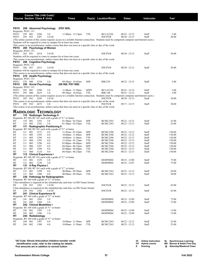|                             |            |            | Course Title (+IAI Code) <sup>1</sup><br><b>Course Section Class # Units</b> |                                                                                    | Times                                                                                                                                                                         |                 | Day(s) Location/Room               | <b>Dates</b>                     | Instructor     | Fee <sup>2</sup> |
|-----------------------------|------------|------------|------------------------------------------------------------------------------|------------------------------------------------------------------------------------|-------------------------------------------------------------------------------------------------------------------------------------------------------------------------------|-----------------|------------------------------------|----------------------------------|----------------|------------------|
| PSYC                        |            |            | 259 Abnormal Psychology                                                      |                                                                                    | (PSY 905)                                                                                                                                                                     |                 |                                    |                                  |                |                  |
| Requisite: PSYC 151<br>PSYC | 259        | 001        | 2286                                                                         | 3.0                                                                                | $11:00$ am - $12:15$ pm                                                                                                                                                       | TTh             | <b>BCLA2220</b>                    | 08/23 - 12/15                    | Staff          | 5.00             |
| PSYC                        | 259        | IN1        | 2287                                                                         | 3.0 OI                                                                             | (The online section of this course requires access to a reliable Internet connection. Students must be competent computer and Internet users.)                                |                 | <b>INETN/R</b>                     | $08/20 - 12/15$                  | Staff          | 30.00            |
|                             |            |            |                                                                              |                                                                                    | Students will be required to come to campus for at least one exam.                                                                                                            |                 |                                    |                                  |                |                  |
|                             |            |            |                                                                              |                                                                                    | This course is an asynchronous, online course that does not meet at a specific time or day of the week.                                                                       |                 |                                    |                                  |                |                  |
| PSYC<br>Requisite: PSYC 151 |            |            | 265 Psychology of Women                                                      |                                                                                    |                                                                                                                                                                               |                 |                                    |                                  |                |                  |
| PSYC                        | 265 IN1    |            | 2414                                                                         | 3.0 OI                                                                             |                                                                                                                                                                               |                 | <b>INETN/R</b>                     | $08/20 - 12/15$                  | Staff          | 30.00            |
|                             |            |            |                                                                              |                                                                                    | Students will be required to come to campus for at least one exam.                                                                                                            |                 |                                    |                                  |                |                  |
| PSYC                        |            |            | 266 Cognitive Psychology                                                     |                                                                                    | This course is an asynchronous, online course that does not meet at a specific time or day of the week.                                                                       |                 |                                    |                                  |                |                  |
| Requisite: PSYC 151         |            |            |                                                                              |                                                                                    |                                                                                                                                                                               |                 |                                    |                                  |                |                  |
| PSYC                        | 266 IN1    |            | 2415                                                                         | 3.0 OI                                                                             |                                                                                                                                                                               |                 | <b>INETN/R</b>                     | $08/20 - 12/15$                  | Staff          | 30.00            |
|                             |            |            |                                                                              |                                                                                    | Students will be required to come to campus for at least one exam.<br>This course is an asynchronous, online course that does not meet at a specific time or day of the week. |                 |                                    |                                  |                |                  |
| PSYC                        |            |            | 270 Health Psychology                                                        |                                                                                    |                                                                                                                                                                               |                 |                                    |                                  |                |                  |
| Requisite: PSYC 151         |            |            |                                                                              |                                                                                    |                                                                                                                                                                               |                 |                                    |                                  |                |                  |
| PSYC<br>PSYC                | 270        | 080        | 3210                                                                         | 3.0                                                                                | 09:30am - 10:45am                                                                                                                                                             | <b>MW</b>       | <b>RBC229</b>                      | $08/22 - 12/15$                  | Staff          | 5.00             |
| Requisite: PSYC 151         |            |            | 295 Social Psychology                                                        |                                                                                    | (S8 900, PSY 908)                                                                                                                                                             |                 |                                    |                                  |                |                  |
| PSYC                        | 295        | 001        | 2288                                                                         | 3.0                                                                                | 11:00am - 11:50am                                                                                                                                                             | <b>MWF</b>      | <b>BCLA2220</b>                    | $08/22 - 12/14$                  | Staff          | 5.00             |
| PSYC                        | 295        | 080        | 2619                                                                         | 3.0                                                                                | 09:30am - 10:45am                                                                                                                                                             | TTh             | <b>RBC148</b>                      | $08/23 - 12/15$                  | Staff          | 5.00             |
| PSYC                        | 295 IN1    |            | 2289                                                                         | 3.0 OI                                                                             | (The online section of this course requires access to a reliable Internet connection. Students must be competent computer and Internet users.)                                |                 | <b>INETN/R</b>                     | $08/20 - 12/15$                  | Staff          | 30.00            |
|                             |            |            |                                                                              |                                                                                    | This course is an asynchronous, online course that does not meet at a specific time or day of the week.                                                                       |                 |                                    |                                  |                |                  |
| PSYC                        | 295 IN2    |            | 2673                                                                         | 3.0                                                                                |                                                                                                                                                                               |                 | <b>INETN/R</b>                     | 09/17 - 12/15                    | Staff          | 30.00            |
|                             |            |            |                                                                              |                                                                                    | This course is an asynchronous, online course that does not meet at a specific time or day of the week.                                                                       |                 |                                    |                                  |                |                  |
|                             |            |            |                                                                              | <b>RADIOLOGIC TECHNOLOGY</b>                                                       |                                                                                                                                                                               |                 |                                    |                                  |                |                  |
| RT                          |            |            |                                                                              | 110 Radiologic Technology II                                                       |                                                                                                                                                                               |                 |                                    |                                  |                |                  |
| RT                          | 110        | 001        | 1291                                                                         | 3.0                                                                                | Requisite: RT 100, RT 101 each with a grade of "C" or better<br>$01:30$ pm - $02:55$ pm                                                                                       | <b>MW</b>       | <b>BCMC2363</b>                    | $08/22 - 12/12$                  | Staff          | 25.00            |
| RT                          | 110        | 002        | 1292                                                                         | 3.0                                                                                | $01:30$ pm - $02:55$ pm                                                                                                                                                       | TTh             | <b>BCMC2363</b>                    | 08/23 - 12/13                    | Staff          | 25.00            |
| RT                          | 111        |            |                                                                              | <b>Radiographic Positioning II</b>                                                 |                                                                                                                                                                               |                 |                                    |                                  |                |                  |
|                             |            |            |                                                                              |                                                                                    | Requisite: RT 100, RT 101 each with a grade of "C" or better                                                                                                                  |                 |                                    |                                  |                |                  |
| RT<br>RT                    | 111<br>111 | 001<br>002 | 3151<br>1293                                                                 | 4.0<br>4.0                                                                         | $11:45$ am - 01:25pm<br>10:00am - 11:40am                                                                                                                                     | MW<br>MW        | <b>BCMC2386</b><br><b>BCMC2386</b> | $08/22 - 12/12$<br>08/22 - 12/12 | Staff<br>Staff | 150.00<br>150.00 |
| RT                          | 111        | 003        | 1294                                                                         | 4.0                                                                                | 10:00am - 11:40am                                                                                                                                                             | TTh             | <b>BCMC2386</b>                    | $08/23 - 12/13$                  | Staff          | 150.00           |
| RT                          | 111        | 004        | 1295                                                                         | 4.0                                                                                | $11:45$ am - 01:25pm                                                                                                                                                          | TTh             | <b>BCMC2386</b>                    | 08/23 - 12/13                    | Staff          | 150.00           |
| RT<br>RT                    | 111<br>111 | 005<br>006 | 1296<br>1297                                                                 | 4.0<br>4.0                                                                         | 03:00pm - 04:40pm<br>$04:45$ pm - $06:25$ pm                                                                                                                                  | MW<br><b>MW</b> | <b>BCMC2386</b><br><b>BCMC2386</b> | 08/22 - 12/12<br>$08/22 - 12/12$ | Staff<br>Staff | 150.00<br>150.00 |
| RT                          | 111        | 007        | 1298                                                                         | 4.0                                                                                | $03:00 \text{pm} - 04:40 \text{pm}$                                                                                                                                           | TTh             | BCMC2386                           | 08/23 - 12/13                    | Staff          | 150.00           |
| RT                          | 111        | 008        | 3124                                                                         | 4.0                                                                                | 04:45pm - 06:25pm                                                                                                                                                             | TTh             | <b>BCMC2386</b>                    | 08/23 - 12/13                    | Staff          | 150.00           |
| RT                          | 112        |            | <b>Clinical Experience I</b>                                                 |                                                                                    | Requisite: RT 100, RT 101 each with a grade of "C" or better                                                                                                                  |                 |                                    |                                  |                |                  |
| RT                          | 112        | 001        | 1329                                                                         | 3.0                                                                                |                                                                                                                                                                               |                 | HOSPMISC                           | $08/23 - 12/08$                  | Staff          | 75.00            |
| RT                          | 112        | 002        | 1330                                                                         | 3.0                                                                                |                                                                                                                                                                               |                 | <b>HOSPMISC</b>                    | 08/22 - 12/07                    | Staff          | 75.00            |
| RT                          |            |            | 131 X-Ray Physics I                                                          |                                                                                    | Requisite: RT 100, RT 101 each with a grade of "C" or better                                                                                                                  |                 |                                    |                                  |                |                  |
| RT                          | 131        | 001        | 1299                                                                         | 4.0                                                                                | 08:00am - 09:50am                                                                                                                                                             | MW              | <b>BCMC2363</b>                    | 08/22 - 12/12                    | Staff          | 20.00            |
| RT                          | 131        | 002        | 1300                                                                         | 4.0                                                                                | 08:00am - 09:50am                                                                                                                                                             | TTh             | <b>BCMC2363</b>                    | 08/23 - 12/13                    | Staff          | 20.00            |
| RT                          |            |            |                                                                              | 230 Pathology for Radiographers<br>Requisite: RT 160 with a grade of "C" or better |                                                                                                                                                                               |                 |                                    |                                  |                |                  |
|                             |            |            |                                                                              |                                                                                    | Class attendance is required on the scheduled day and time via MS Teams format.                                                                                               |                 |                                    |                                  |                |                  |
| RT                          | 230 IN1    |            | 1301                                                                         | 1.0 OI                                                                             |                                                                                                                                                                               |                 | <b>INETN/R</b>                     | $08/22 - 12/12$                  | Staff          | 45.00            |
|                             |            |            |                                                                              |                                                                                    | Class attendance is required on the scheduled day and time via MS Teams format.                                                                                               |                 |                                    |                                  |                |                  |
| RT<br>RT                    | 230 IN2    |            | 1302<br>241 Clinical Experience IV                                           | 1.0 OI                                                                             |                                                                                                                                                                               |                 | <b>INETN/R</b>                     | $08/22 - 12/13$                  | Staff          | 45.00            |
|                             |            |            |                                                                              | Requisite: RT 160 with a grade of "C" or better                                    |                                                                                                                                                                               |                 |                                    |                                  |                |                  |
| RT                          | 241        | 001        | 1303                                                                         | 3.0                                                                                |                                                                                                                                                                               |                 | <b>HOSPMISC</b>                    | 08/23 - 12/09                    | Staff          | 75.00            |
| RT<br>RT                    | 241        | 002        | 1304<br>242 Clinical Modalities I                                            | 3.0                                                                                |                                                                                                                                                                               |                 | <b>HOSPMISC</b>                    | $08/22 - 12/09$                  | Staff          | 75.00            |
|                             |            |            |                                                                              | Requisite: RT 160 with a grade of "C" or better                                    |                                                                                                                                                                               |                 |                                    |                                  |                |                  |
| RT                          | 242        | 001        | 1305                                                                         | 1.0                                                                                |                                                                                                                                                                               |                 | <b>HOSPMISC</b>                    | $08/23 - 12/09$                  | Staff          | 15.00            |
| RT<br>RT                    | 242        | 002        | 1306<br>244 Radiobiology                                                     | 1.0                                                                                |                                                                                                                                                                               |                 | <b>HOSPMISC</b>                    | 08/22 - 12/09                    | Staff          | 15.00            |
|                             |            |            |                                                                              | Requisite: RT 160 with a grade of "C" or better                                    |                                                                                                                                                                               |                 |                                    |                                  |                |                  |
| RT                          | 244        | 001        | 1307                                                                         | 4.0                                                                                | 10:00am - 11:50am                                                                                                                                                             | MW              | <b>BCMC2363</b>                    | $08/22 - 12/12$                  | Staff          | 25.00            |
| <b>RT</b>                   | 244 002    |            | 1308                                                                         | 4.0                                                                                | 10:00am - 11:50am                                                                                                                                                             | TTh             | <b>BCMC2363</b>                    | $08/23 - 12/13$                  | Staff          | 25.00            |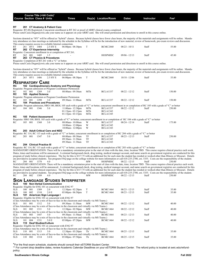|                                                                                                                                                                                                                                                                                                                                                                                                                                                                                                                                                                                                                                                                                                                                                                                                                                                                                                                                                                                                                                                                                                                                                                                                                                                                                                                                                                                                                                                                                                                                                                                                                                                                                                                                                                                                                                                                   |  |                    |                             | Course Title (+IAI Code) <sup>1</sup><br><b>Course Section Class # Units</b>                               | <b>Times</b>                                                                                                                                                                                                      |                   | Day(s) Location/Room                                  | <b>Dates</b>                       | <b>Instructor</b>                                                                                                                                                                 | Fee <sup>2</sup>                                                                                                                                                                  |  |
|-------------------------------------------------------------------------------------------------------------------------------------------------------------------------------------------------------------------------------------------------------------------------------------------------------------------------------------------------------------------------------------------------------------------------------------------------------------------------------------------------------------------------------------------------------------------------------------------------------------------------------------------------------------------------------------------------------------------------------------------------------------------------------------------------------------------------------------------------------------------------------------------------------------------------------------------------------------------------------------------------------------------------------------------------------------------------------------------------------------------------------------------------------------------------------------------------------------------------------------------------------------------------------------------------------------------------------------------------------------------------------------------------------------------------------------------------------------------------------------------------------------------------------------------------------------------------------------------------------------------------------------------------------------------------------------------------------------------------------------------------------------------------------------------------------------------------------------------------------------------|--|--------------------|-----------------------------|------------------------------------------------------------------------------------------------------------|-------------------------------------------------------------------------------------------------------------------------------------------------------------------------------------------------------------------|-------------------|-------------------------------------------------------|------------------------------------|-----------------------------------------------------------------------------------------------------------------------------------------------------------------------------------|-----------------------------------------------------------------------------------------------------------------------------------------------------------------------------------|--|
| RT                                                                                                                                                                                                                                                                                                                                                                                                                                                                                                                                                                                                                                                                                                                                                                                                                                                                                                                                                                                                                                                                                                                                                                                                                                                                                                                                                                                                                                                                                                                                                                                                                                                                                                                                                                                                                                                                |  |                    |                             | 261 CT Anatomy & Patient Care                                                                              | Requisite: RT (R) Registered, Concurrent enrollment in RT 262 or proof of ARRT clinical exams completed.                                                                                                          |                   |                                                       |                                    | Please send Casie.Dugan@swic.edu your name as it appears on your ARRT card. She will email permission and directions to enroll in this course online.                             |                                                                                                                                                                                   |  |
|                                                                                                                                                                                                                                                                                                                                                                                                                                                                                                                                                                                                                                                                                                                                                                                                                                                                                                                                                                                                                                                                                                                                                                                                                                                                                                                                                                                                                                                                                                                                                                                                                                                                                                                                                                                                                                                                   |  |                    |                             |                                                                                                            |                                                                                                                                                                                                                   |                   |                                                       |                                    | tory attendance at class meetings as indicated by the schedule in the Syllabus will be for the introduction of new material, review of homework, pre-exam reviews and discussion. | Sections denoted as "HY" will be offered as "hybrid" classes. Because hybrid classes have fewer class hours, the majority of the materials and assignments will be online. Manda- |  |
| RT<br>RT                                                                                                                                                                                                                                                                                                                                                                                                                                                                                                                                                                                                                                                                                                                                                                                                                                                                                                                                                                                                                                                                                                                                                                                                                                                                                                                                                                                                                                                                                                                                                                                                                                                                                                                                                                                                                                                          |  |                    | 261 HY1 1404                | This course requires access to a reliable Internet connection.<br>2.5 HY E<br>262 CT Experience Internship | $06:00$ pm - $08:30$ pm                                                                                                                                                                                           | T                 | <b>BCMC2460</b>                                       | $08/23 - 10/11$                    | Staff                                                                                                                                                                             | 55.00                                                                                                                                                                             |  |
| RT<br>RT                                                                                                                                                                                                                                                                                                                                                                                                                                                                                                                                                                                                                                                                                                                                                                                                                                                                                                                                                                                                                                                                                                                                                                                                                                                                                                                                                                                                                                                                                                                                                                                                                                                                                                                                                                                                                                                          |  | 262 001            | 1405                        | Requisite: Concurrent enrollment in or completion of RT 261.<br>1.5<br>263 CT Physics & Procedures         |                                                                                                                                                                                                                   |                   | <b>HOSPMISC</b>                                       | 09/06 - 12/13                      | Staff                                                                                                                                                                             | 45.00                                                                                                                                                                             |  |
| Requisite: Completion of RT 261 with a "C" or better.<br>Please send Casie.Dugan@swic.edu your name as it appears on your ARRT card. She will email permission and directions to enroll in this course online.                                                                                                                                                                                                                                                                                                                                                                                                                                                                                                                                                                                                                                                                                                                                                                                                                                                                                                                                                                                                                                                                                                                                                                                                                                                                                                                                                                                                                                                                                                                                                                                                                                                    |  |                    |                             |                                                                                                            |                                                                                                                                                                                                                   |                   |                                                       |                                    |                                                                                                                                                                                   |                                                                                                                                                                                   |  |
|                                                                                                                                                                                                                                                                                                                                                                                                                                                                                                                                                                                                                                                                                                                                                                                                                                                                                                                                                                                                                                                                                                                                                                                                                                                                                                                                                                                                                                                                                                                                                                                                                                                                                                                                                                                                                                                                   |  |                    |                             | This course requires access to a reliable Internet connection.                                             |                                                                                                                                                                                                                   |                   |                                                       |                                    | tory attendance at class meetings as indicated by the schedule in the Syllabus will be for the introduction of new material, review of homework, pre-exam reviews and discussion. | Sections denoted as "HY" will be offered as "hybrid" classes. Because hybrid classes have fewer class hours, the majority of the materials and assignments will be online. Manda- |  |
| RT                                                                                                                                                                                                                                                                                                                                                                                                                                                                                                                                                                                                                                                                                                                                                                                                                                                                                                                                                                                                                                                                                                                                                                                                                                                                                                                                                                                                                                                                                                                                                                                                                                                                                                                                                                                                                                                                |  |                    | 263 HY1 1406                | 2.5 HY E                                                                                                   | 06:00pm - 08:30pm                                                                                                                                                                                                 | T                 | <b>BCMC2460</b>                                       | $10/18 - 12/06$                    | Staff                                                                                                                                                                             | 55.00                                                                                                                                                                             |  |
| <b>RESPIRATORY CARE</b><br>RC                                                                                                                                                                                                                                                                                                                                                                                                                                                                                                                                                                                                                                                                                                                                                                                                                                                                                                                                                                                                                                                                                                                                                                                                                                                                                                                                                                                                                                                                                                                                                                                                                                                                                                                                                                                                                                     |  |                    |                             |                                                                                                            | 102 Cardiopulmonary Anatomy and Physiology<br>Requisite: Program admission or Program Coordinator Permission                                                                                                      |                   |                                                       |                                    |                                                                                                                                                                                   |                                                                                                                                                                                   |  |
| RC<br>RC                                                                                                                                                                                                                                                                                                                                                                                                                                                                                                                                                                                                                                                                                                                                                                                                                                                                                                                                                                                                                                                                                                                                                                                                                                                                                                                                                                                                                                                                                                                                                                                                                                                                                                                                                                                                                                                          |  | 102 001            | 1289<br>103 Applied Science | 3.0                                                                                                        | 08:00am - 09:30am                                                                                                                                                                                                 | MTh               | <b>BCLA1337</b>                                       | 08/22 - 12/12                      | Staff                                                                                                                                                                             | 150.00                                                                                                                                                                            |  |
| RC<br>RC                                                                                                                                                                                                                                                                                                                                                                                                                                                                                                                                                                                                                                                                                                                                                                                                                                                                                                                                                                                                                                                                                                                                                                                                                                                                                                                                                                                                                                                                                                                                                                                                                                                                                                                                                                                                                                                          |  | 103 001            | 1290                        | 3.0<br>104 Practices and Procedures                                                                        | Requisite: Program admission or Program Coordinator Permission<br>09:30am - 11:00am                                                                                                                               | MTh               | <b>BCLA1337</b>                                       | 08/22 - 12/12                      | Staff                                                                                                                                                                             | 150.00                                                                                                                                                                            |  |
| RC                                                                                                                                                                                                                                                                                                                                                                                                                                                                                                                                                                                                                                                                                                                                                                                                                                                                                                                                                                                                                                                                                                                                                                                                                                                                                                                                                                                                                                                                                                                                                                                                                                                                                                                                                                                                                                                                |  | 104 001            | 1346                        | 5.0                                                                                                        | $11:00$ am - $12:30$ pm<br>$01:15$ pm - $03:15$ pm<br>$01:15$ pm - $03:15$ pm                                                                                                                                     | MTh<br>MTh<br>MTh | <b>BCLA1337</b><br><b>BCLA1343</b><br><b>BCLA1345</b> | 08/22 - 12/12                      | Requisite: Program admission, HRO 100, BIOL 105 each with a grade of "C" or better, concurrent enrollment in or completion of RC 105 with a grade of "C" or better<br>Staff       | 250.00                                                                                                                                                                            |  |
| RC                                                                                                                                                                                                                                                                                                                                                                                                                                                                                                                                                                                                                                                                                                                                                                                                                                                                                                                                                                                                                                                                                                                                                                                                                                                                                                                                                                                                                                                                                                                                                                                                                                                                                                                                                                                                                                                                |  |                    |                             | 105 Patient Assessment                                                                                     |                                                                                                                                                                                                                   |                   |                                                       |                                    |                                                                                                                                                                                   |                                                                                                                                                                                   |  |
| RC                                                                                                                                                                                                                                                                                                                                                                                                                                                                                                                                                                                                                                                                                                                                                                                                                                                                                                                                                                                                                                                                                                                                                                                                                                                                                                                                                                                                                                                                                                                                                                                                                                                                                                                                                                                                                                                                |  | 105 001            | 1368                        | 3.0                                                                                                        | Requisite: HRO 100, BIOL 105 each with a grade of "C" or better, concurrent enrollment in or completion of RC 104 with a grade of "C" or better<br>08:00am - 10:00am<br>10:00am - 12:00pm<br>10:00am - 12:00pm    | W<br>W<br>W       | <b>BCLA1337</b><br><b>BCLA1345</b><br><b>BCLA1343</b> | $08/24 - 12/14$                    | Staff                                                                                                                                                                             | 175.00                                                                                                                                                                            |  |
| RC                                                                                                                                                                                                                                                                                                                                                                                                                                                                                                                                                                                                                                                                                                                                                                                                                                                                                                                                                                                                                                                                                                                                                                                                                                                                                                                                                                                                                                                                                                                                                                                                                                                                                                                                                                                                                                                                |  |                    |                             | 203 Adult Critical Care and NEO                                                                            | Requisite: RC 114, RC 115 each with a grade of "C" or better, concurrent enrollment in or completion of RC 204 with a grade of "C" or better                                                                      |                   |                                                       |                                    |                                                                                                                                                                                   |                                                                                                                                                                                   |  |
| RC                                                                                                                                                                                                                                                                                                                                                                                                                                                                                                                                                                                                                                                                                                                                                                                                                                                                                                                                                                                                                                                                                                                                                                                                                                                                                                                                                                                                                                                                                                                                                                                                                                                                                                                                                                                                                                                                |  | 203 001            | 1347                        | 5.0                                                                                                        | 08:00am - 09:30am<br>09:30am - 11:30am<br>09:30am - 11:30am                                                                                                                                                       | TF<br>TF<br>TF    | <b>BCLA1337</b><br><b>BCLA1345</b><br><b>BCLA1343</b> | 08/23 - 12/13                      | Staff                                                                                                                                                                             | 250.00                                                                                                                                                                            |  |
| RC<br>204 Clinical Practice III<br>Requisite: RC 114, RC 115 each with a grade of "C" or better, concurrent enrollment in or completion of RC 203 with a grade of "C" or better<br>MANDATORY ORIENTATION: There will be a mandatory orientation prior to the start of class with the date, time, location TBD. This course requires clinical practice each week.<br>Dates, times and locations will be announced. A criminal background check, drug testing, medical manager account, and name search on government registries are conducted for this<br>program of study before clinical experience. The fee for this is \$117.75 with an additional fee for each state the student has resided or worked other than Illinois or Missouri. Details<br>are provided to accepted students. See program FAQ page on the college website for more information or call 618-235-2700, ext. 5355. Costs are the responsibility of the student.<br>204 001<br>RC<br>1378<br>4.0<br><b>HOSPMISC</b><br>250.00<br>MW<br>08/22 - 12/15<br>Staff<br>MANDATORY ORIENTATION: There will be a mandatory orientation prior to the start of class with the date, time, location TBD. This course requires clinical practice each week.<br>Dates, times and locations will be announced. A criminal background check, drug testing, medical manager account, and name search on government registries are conducted for this<br>program of study before clinical experience. The fee for this is \$117.75 with an additional fee for each state the student has resided or worked other than Illinois or Missouri. Details<br>are provided to accepted students. See program FAQ page on the college website for more information or call 618-235-2700, ext. 5355. Costs are the responsibility of the student.<br>- MW HOSPMISC 08/22 - 12/15 Staff 250.00<br>RC 204 002 1389 4.0 |  |                    |                             |                                                                                                            |                                                                                                                                                                                                                   |                   |                                                       |                                    |                                                                                                                                                                                   |                                                                                                                                                                                   |  |
|                                                                                                                                                                                                                                                                                                                                                                                                                                                                                                                                                                                                                                                                                                                                                                                                                                                                                                                                                                                                                                                                                                                                                                                                                                                                                                                                                                                                                                                                                                                                                                                                                                                                                                                                                                                                                                                                   |  |                    |                             |                                                                                                            | <b>SIGN LANGUAGE STUDIES INTERPRETER</b>                                                                                                                                                                          |                   |                                                       |                                    |                                                                                                                                                                                   |                                                                                                                                                                                   |  |
| SLS                                                                                                                                                                                                                                                                                                                                                                                                                                                                                                                                                                                                                                                                                                                                                                                                                                                                                                                                                                                                                                                                                                                                                                                                                                                                                                                                                                                                                                                                                                                                                                                                                                                                                                                                                                                                                                                               |  |                    |                             | 100 Non-Verbal Communication<br>Requisite: Eligible for ENG 101 or concurrent with ENG 97                  |                                                                                                                                                                                                                   |                   |                                                       |                                    |                                                                                                                                                                                   |                                                                                                                                                                                   |  |
| SLS<br><b>SLS</b>                                                                                                                                                                                                                                                                                                                                                                                                                                                                                                                                                                                                                                                                                                                                                                                                                                                                                                                                                                                                                                                                                                                                                                                                                                                                                                                                                                                                                                                                                                                                                                                                                                                                                                                                                                                                                                                 |  | 100 001<br>100 002 | 1309<br>1310                | 2.0<br>2.0 E                                                                                               | 12:30pm - 02:20pm<br>$05:00$ pm - $06:50$ pm                                                                                                                                                                      | T<br>T            | <b>BCMC1464</b><br><b>BCMC1464</b>                    | $08/23 - 12/13$<br>$08/23 - 12/13$ | Staff<br>Staff                                                                                                                                                                    | 35.00<br>35.00                                                                                                                                                                    |  |
| <b>SLS</b>                                                                                                                                                                                                                                                                                                                                                                                                                                                                                                                                                                                                                                                                                                                                                                                                                                                                                                                                                                                                                                                                                                                                                                                                                                                                                                                                                                                                                                                                                                                                                                                                                                                                                                                                                                                                                                                        |  |                    |                             | 101 American Sign Language I<br>Requisite: Eligible for ENG 101 or concurrent with ENG 97                  |                                                                                                                                                                                                                   |                   |                                                       |                                    |                                                                                                                                                                                   |                                                                                                                                                                                   |  |
| SLS                                                                                                                                                                                                                                                                                                                                                                                                                                                                                                                                                                                                                                                                                                                                                                                                                                                                                                                                                                                                                                                                                                                                                                                                                                                                                                                                                                                                                                                                                                                                                                                                                                                                                                                                                                                                                                                               |  | 101 001            | 1312                        | 5.0                                                                                                        | (Class Attendance may be a mix of face-to-face in the classroom and virtually via MS Teams.)<br>09:30am - 11:50am                                                                                                 | MW                | <b>BCMC1464</b>                                       | $08/22 - 12/12$                    | Staff                                                                                                                                                                             | 40.00                                                                                                                                                                             |  |
| SLS                                                                                                                                                                                                                                                                                                                                                                                                                                                                                                                                                                                                                                                                                                                                                                                                                                                                                                                                                                                                                                                                                                                                                                                                                                                                                                                                                                                                                                                                                                                                                                                                                                                                                                                                                                                                                                                               |  | 101 002            | 1311                        | 5.0                                                                                                        | (Class Attendance may be a mix of face-to-face in the classroom and virtually via MS Teams.)<br>$12:30$ pm - $02:50$ pm                                                                                           | MW                | <b>BCMC1464</b>                                       | $08/22 - 12/12$                    | Staff                                                                                                                                                                             | 40.00                                                                                                                                                                             |  |
| SLS.                                                                                                                                                                                                                                                                                                                                                                                                                                                                                                                                                                                                                                                                                                                                                                                                                                                                                                                                                                                                                                                                                                                                                                                                                                                                                                                                                                                                                                                                                                                                                                                                                                                                                                                                                                                                                                                              |  | 101 003            | 1447                        | 5.0                                                                                                        | (Class Attendance may be a mix of face-to-face in the classroom and virtually via MS Teams.)<br>09:30am - 11:50am<br>(Class Attendance may be a mix of face-to-face in the classroom and virtually via MS Teams.) | TTh               | <b>BCMC1464</b>                                       | $08/23 - 12/13$                    | Staff                                                                                                                                                                             | 40.00                                                                                                                                                                             |  |
| SLS<br>SLS                                                                                                                                                                                                                                                                                                                                                                                                                                                                                                                                                                                                                                                                                                                                                                                                                                                                                                                                                                                                                                                                                                                                                                                                                                                                                                                                                                                                                                                                                                                                                                                                                                                                                                                                                                                                                                                        |  | 101 004            | 1331                        | 5.0 E<br>110 Deaf Studies/Culture                                                                          | $05:00$ pm - $07:20$ pm                                                                                                                                                                                           | МW                | <b>BCMC1464</b>                                       | $08/22 - 12/12$                    | Staff                                                                                                                                                                             | 40.00                                                                                                                                                                             |  |
| <b>SLS</b>                                                                                                                                                                                                                                                                                                                                                                                                                                                                                                                                                                                                                                                                                                                                                                                                                                                                                                                                                                                                                                                                                                                                                                                                                                                                                                                                                                                                                                                                                                                                                                                                                                                                                                                                                                                                                                                        |  |                    | 110 001 1313                | Requisite: Eligible for ENG 101 or concurrent with ENG 97<br>3.0                                           | (Class Attendance may be a mix of face-to-face in the classroom and virtually via MS Teams.)<br>$12:30$ pm - $03:20$ pm                                                                                           | Th                | <b>BCMC1464</b>                                       | $08/25 - 12/15$                    | Staff                                                                                                                                                                             | 35.00                                                                                                                                                                             |  |
| SLS                                                                                                                                                                                                                                                                                                                                                                                                                                                                                                                                                                                                                                                                                                                                                                                                                                                                                                                                                                                                                                                                                                                                                                                                                                                                                                                                                                                                                                                                                                                                                                                                                                                                                                                                                                                                                                                               |  | 110 002            | 1314                        | 3.0 E                                                                                                      | (Class Attendance may be a mix of face-to-face in the classroom and virtually via MS Teams.)<br>$05:00 \text{pm} - 07:50 \text{pm}$                                                                               | Th                | <b>BCMC1464</b>                                       | $08/25 - 12/15$                    | Staff                                                                                                                                                                             | 35.00                                                                                                                                                                             |  |
|                                                                                                                                                                                                                                                                                                                                                                                                                                                                                                                                                                                                                                                                                                                                                                                                                                                                                                                                                                                                                                                                                                                                                                                                                                                                                                                                                                                                                                                                                                                                                                                                                                                                                                                                                                                                                                                                   |  |                    |                             |                                                                                                            | *For the final exam schedule, students should consult their eSTORM Student Center.                                                                                                                                |                   |                                                       |                                    | ** For current drop deadline dates review Academic Calendar Deadlines on your eSTORM Student Center. The refund policy is located at swic edu/refund-                             |                                                                                                                                                                                   |  |

\*\* For current drop deadline dates, review Academic Calendar Deadlines on your eSTORM Student Center. The refund policy is located at swic.edu/refundpolicy.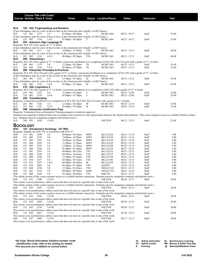|            |                    |            | Course Title (+IAI Code) <sup>1</sup> |                                                                                                  |                                                                                                                         |            |                                                                                                                   |                                                                                                                                                 |                |                                                                                                                                                                                            |  |
|------------|--------------------|------------|---------------------------------------|--------------------------------------------------------------------------------------------------|-------------------------------------------------------------------------------------------------------------------------|------------|-------------------------------------------------------------------------------------------------------------------|-------------------------------------------------------------------------------------------------------------------------------------------------|----------------|--------------------------------------------------------------------------------------------------------------------------------------------------------------------------------------------|--|
|            |                    |            | <b>Course Section Class # Units</b>   |                                                                                                  | <b>Times</b>                                                                                                            |            | Day(s) Location/Room                                                                                              | Dates                                                                                                                                           | Instructor     | Fee <sup>2</sup>                                                                                                                                                                           |  |
|            |                    |            |                                       |                                                                                                  |                                                                                                                         |            |                                                                                                                   |                                                                                                                                                 |                |                                                                                                                                                                                            |  |
| SLS        |                    |            |                                       | 125 ASL Fingerspelling and Numbers                                                               |                                                                                                                         |            |                                                                                                                   |                                                                                                                                                 |                |                                                                                                                                                                                            |  |
| SLS        | 125 001            |            | 1315                                  | 1.0                                                                                              | (Class Attendance may be a mix of face-to-face in the classroom and virtually via MS Teams.)<br>$02:30$ pm - $04:20$ pm | T          | <b>BCMC1464</b>                                                                                                   | $08/22 - 10/17$                                                                                                                                 | Staff          | 25.00                                                                                                                                                                                      |  |
|            |                    |            |                                       |                                                                                                  | (Class Attendance may be a mix of face-to-face in the classroom and virtually via MS Teams.)                            |            |                                                                                                                   |                                                                                                                                                 |                |                                                                                                                                                                                            |  |
| SLS        | 125 002            |            | 1316                                  | 1.0 E                                                                                            | $07:00$ pm - $08:50$ pm                                                                                                 | T          | <b>BCMC1464</b>                                                                                                   | $08/22 - 10/17$                                                                                                                                 | Staff          | 25.00                                                                                                                                                                                      |  |
| SLS        |                    |            |                                       | 203 American Sign Language III<br>Requisite: SLS 102 with a grade of "C" or better               |                                                                                                                         |            |                                                                                                                   |                                                                                                                                                 |                |                                                                                                                                                                                            |  |
|            |                    |            |                                       |                                                                                                  | (Class Attendance may be a mix of face-to-face in the classroom and virtually via MS Teams.)                            |            |                                                                                                                   |                                                                                                                                                 |                |                                                                                                                                                                                            |  |
| SLS        | 203 001            |            | 1317                                  | 4.0                                                                                              | 10:00am - 11:50am                                                                                                       | TTh        | <b>BCMC1463</b>                                                                                                   | 08/23 - 12/13                                                                                                                                   | Staff          | 40.00                                                                                                                                                                                      |  |
| SLS        | 203 002            |            | 1318                                  | 4.0 E                                                                                            | (Class Attendance may be a mix of face-to-face in the classroom and virtually via MS Teams.)<br>$08:00$ pm - $09:50$ pm | TTh        | <b>BCMC1463</b>                                                                                                   | $08/23 - 12/13$                                                                                                                                 | Staff          | 40.00                                                                                                                                                                                      |  |
| SLS        |                    |            | 205 Interpreting I                    |                                                                                                  |                                                                                                                         |            |                                                                                                                   |                                                                                                                                                 |                |                                                                                                                                                                                            |  |
|            |                    |            |                                       |                                                                                                  |                                                                                                                         |            |                                                                                                                   | Requisite: SLS 105 with a grade of "C" or better; concurrent enrollment in or completion of SLS 203, SLS 210 each with a grade of "C" or better |                |                                                                                                                                                                                            |  |
| SLS<br>SLS | 205 001<br>205 002 |            | 1319<br>1320                          | 3.0<br>3.0 E                                                                                     | $12:30$ pm - 03:20pm<br>$05:00$ pm - $07:50$ pm                                                                         | Th<br>Th   | <b>BCMC1463</b><br><b>BCMC1463</b>                                                                                | $08/25 - 12/15$<br>$08/25 - 12/15$                                                                                                              | Staff<br>Staff | 35.00<br>35.00                                                                                                                                                                             |  |
| SLS        |                    |            |                                       | 206 Interpreter Principles & Practices                                                           |                                                                                                                         |            |                                                                                                                   |                                                                                                                                                 |                |                                                                                                                                                                                            |  |
|            |                    |            |                                       |                                                                                                  |                                                                                                                         |            |                                                                                                                   | Requisite: SLS 105, SLS 120 each with a grade of "C" or better; concurrent enrollment in or completion of SLS 203 with a grade of "C" or better |                |                                                                                                                                                                                            |  |
| SLS        | 206 001            |            | 1321                                  | 3.0                                                                                              | (Class Attendance may be a mix of face-to-face in the classroom and virtually via MS Teams.)<br>12:30pm - 03:20pm       | M          | <b>BCMC1463</b>                                                                                                   | $08/22 - 12/12$                                                                                                                                 | Staff          | 45.00                                                                                                                                                                                      |  |
|            |                    |            |                                       |                                                                                                  | (Class Attendance may be a mix of face-to-face in the classroom and virtually via MS Teams.)                            |            |                                                                                                                   |                                                                                                                                                 |                |                                                                                                                                                                                            |  |
| SLS        | 206 002            |            | 1322                                  | 3.0 E                                                                                            | 05:00pm - 07:50pm                                                                                                       | М          | <b>BCMC1463</b>                                                                                                   | $08/22 - 12/12$                                                                                                                                 | Staff          | 45.00                                                                                                                                                                                      |  |
| SLS        |                    |            | 210 ASL Linguistics II                |                                                                                                  |                                                                                                                         |            |                                                                                                                   | Requisite: SLS 120 with a grade of "C" or better, concurrent enrollment in or completion of SLS 203 with a grade of "C" or better               |                |                                                                                                                                                                                            |  |
| SLS        | 210 001            |            | 1323                                  | 3.0                                                                                              | 12:30pm - 03:20pm                                                                                                       | T          | <b>BCMC1463</b>                                                                                                   | $08/23 - 12/06$                                                                                                                                 | Staff          | 25.00                                                                                                                                                                                      |  |
| SLS        | 210 002            |            | 1324                                  | 3.0 E                                                                                            | $05:00$ pm - $07:50$ pm                                                                                                 | T          | <b>BCMC1463</b>                                                                                                   | 08/23 - 12/06                                                                                                                                   | Staff          | 25.00                                                                                                                                                                                      |  |
| SLS        |                    |            | 255 Transliterating                   |                                                                                                  |                                                                                                                         |            | Requisite: Concurrent enrollment in or completion of SLS 203, SLS 205, SLS 210 each with a grade of "C" or better |                                                                                                                                                 |                |                                                                                                                                                                                            |  |
| SLS        | 255 001            |            | 1326                                  | 3.0                                                                                              | $12:30$ pm - $03:20$ pm                                                                                                 | W          | <b>BCMC1463</b>                                                                                                   | 08/24 - 12/14                                                                                                                                   | Staff          | 35.00                                                                                                                                                                                      |  |
| SLS        | 255 002            |            | 1325                                  | 3.0 <sub>E</sub>                                                                                 | $05:00$ pm - $07:50$ pm                                                                                                 | W          | <b>BCMC1463</b>                                                                                                   | 08/24 - 12/14                                                                                                                                   | Staff          | 35.00                                                                                                                                                                                      |  |
| SLS        |                    |            |                                       | 290 Interpreter Certification Prep                                                               | Requisite: Graduation from an Interpreter Training program or instructor approval.                                      |            |                                                                                                                   |                                                                                                                                                 |                |                                                                                                                                                                                            |  |
|            |                    |            |                                       |                                                                                                  |                                                                                                                         |            |                                                                                                                   |                                                                                                                                                 |                | (Students are required to attend at least one on-campus class session at a time agreed upon between the student and instructor. This course requires access to a reliable Internet connec- |  |
|            |                    |            |                                       |                                                                                                  | tion. Students must be competent computer and Internet users.)                                                          |            |                                                                                                                   | $08/22 - 12/15$                                                                                                                                 | Staff          |                                                                                                                                                                                            |  |
| SLS        | 290 IN1            |            | 1450                                  | 1.0 OI                                                                                           |                                                                                                                         |            | <b>INETN/R</b>                                                                                                    |                                                                                                                                                 |                | 25.00                                                                                                                                                                                      |  |
| Sociology  |                    |            |                                       |                                                                                                  |                                                                                                                         |            |                                                                                                                   |                                                                                                                                                 |                |                                                                                                                                                                                            |  |
| soc        |                    |            |                                       | 153 Introductory Sociology (S7 900)<br>Requisite: Eligible for ENG 101 or concurrent with ENG 97 |                                                                                                                         |            |                                                                                                                   |                                                                                                                                                 |                |                                                                                                                                                                                            |  |
| SOC        | 153 001            |            | 2290                                  | 3.0                                                                                              | 09:00am - 09:50am                                                                                                       | MWF        | <b>BCLA2120</b>                                                                                                   | $08/22 - 12/14$                                                                                                                                 | Staff          | 5.00                                                                                                                                                                                       |  |
| SOC        | 153                | 002        | 2328                                  | 3.0                                                                                              | 10:00am - 10:50am                                                                                                       | MWF        | <b>BCLA2120</b>                                                                                                   | $08/22 - 12/14$                                                                                                                                 | Staff          | 5.00                                                                                                                                                                                       |  |
| SOC<br>SOC | 153<br>153         | 003<br>004 | 2291<br>2292                          | 3.0<br>3.0                                                                                       | 10:00am - 10:50am<br>11:00am - 11:50am                                                                                  | MWF<br>MWF | <b>BCLA2224</b><br><b>BCLA2120</b>                                                                                | $08/22 - 12/14$<br>$08/22 - 12/14$                                                                                                              | Staff<br>Staff | 5.00<br>5.00                                                                                                                                                                               |  |
| SOC        | 153                | 005        | 2293                                  | 3.0                                                                                              | 12:00pm - 12:50pm                                                                                                       | MWF        | <b>BCLA2120</b>                                                                                                   | $08/22 - 12/14$                                                                                                                                 | Staff          | 5.00                                                                                                                                                                                       |  |
| SOC        | 153                | 006        | 2294                                  | 3.0                                                                                              | $01:00$ pm - $01:50$ pm                                                                                                 | MWF        | <b>BCLA2120</b>                                                                                                   | $08/22 - 12/14$                                                                                                                                 | Staff          | 5.00                                                                                                                                                                                       |  |
| SOC        | 153                | 007        | 2295                                  | 3.0                                                                                              | 08:00am - 09:15am                                                                                                       | TTh        | <b>BCLA2216</b>                                                                                                   | $08/23 - 12/15$                                                                                                                                 | Staff          | 5.00                                                                                                                                                                                       |  |
| SOC<br>SOC | 153<br>153         | 008<br>009 | 2384<br>2296                          | 3.0<br>3.0                                                                                       | 09:30am - 10:45am<br>12:30pm - 01:45pm                                                                                  | TTh<br>TTh | <b>BCLA2118</b><br><b>BCLA2120</b>                                                                                | $08/23 - 12/15$<br>$08/23 - 12/15$                                                                                                              | Staff<br>Staff | 5.00<br>5.00                                                                                                                                                                               |  |
| SOC        | 153                | 010        | 2377                                  | 3.0                                                                                              | $02:00$ pm - $03:15$ pm                                                                                                 | TTh        | <b>BCLA1106</b>                                                                                                   | $08/23 - 12/15$                                                                                                                                 | Staff          | 5.00                                                                                                                                                                                       |  |
| SOC        | 153                | 011        | 2297                                  | 3.0 E                                                                                            | 06:00pm - 08:50pm                                                                                                       | М          | <b>BCLA2120</b>                                                                                                   | $08/22 - 12/12$                                                                                                                                 | Staff          | 5.00                                                                                                                                                                                       |  |
| SOC<br>SOC | 153<br>153         | 01S<br>060 | 2402<br>2298                          | 3.0<br>3.0                                                                                       | 04:30pm - 07:20pm<br>12:30pm - 01:45pm                                                                                  | TTh<br>TTh | SAFB75<br>SWGCC322                                                                                                | $10/18 - 12/15$<br>$08/23 - 12/15$                                                                                                              | Staff<br>Staff | 5.00<br>5.00                                                                                                                                                                               |  |
| SOC        | 153                | 061        | 2552                                  | 3.0                                                                                              | 09:00am - 09:50am                                                                                                       | MWF        | SWGCC322                                                                                                          | $08/22 - 12/14$                                                                                                                                 | Staff          | 5.00                                                                                                                                                                                       |  |
| SOC        | 153 080            |            | 2299                                  | 3.0                                                                                              | $03:30$ pm - $04:45$ pm                                                                                                 | TTh        | <b>RBC229</b>                                                                                                     | $08/23 - 12/15$                                                                                                                                 | Staff          | 5.00                                                                                                                                                                                       |  |
|            |                    |            |                                       |                                                                                                  |                                                                                                                         |            |                                                                                                                   | (The online section of this course requires access to a reliable Internet connection. Students must be competent computer and Internet users.)  |                |                                                                                                                                                                                            |  |
| SOC        | 153 IN1            |            | 2300                                  | 3.0 OI                                                                                           | This course is an asynchronous, online course that does not meet at a specific time or day of the week.                 |            | <b>INETN/R</b>                                                                                                    | $08/20 - 12/15$                                                                                                                                 | Staff          | 30.00                                                                                                                                                                                      |  |
|            |                    |            |                                       |                                                                                                  |                                                                                                                         |            |                                                                                                                   | (The online section of this course requires access to a reliable Internet connection. Students must be competent computer and Internet users.)  |                |                                                                                                                                                                                            |  |
| SOC        | 153 IN2            |            | 2365                                  | 3.0 OI                                                                                           |                                                                                                                         |            | <b>INETN/R</b>                                                                                                    | $08/20 - 12/15$                                                                                                                                 | Staff          | 30.00                                                                                                                                                                                      |  |
|            |                    |            |                                       |                                                                                                  | This course is an asynchronous, online course that does not meet at a specific time or day of the week.                 |            |                                                                                                                   | (The online section of this course requires access to a reliable Internet connection. Students must be competent computer and Internet users.)  |                |                                                                                                                                                                                            |  |
| SOC        | 153 IN3            |            | 2366                                  | 3.0 OI                                                                                           |                                                                                                                         |            | <b>INETN/R</b>                                                                                                    | $08/20 - 12/15$                                                                                                                                 | Staff          | 30.00                                                                                                                                                                                      |  |
|            |                    |            |                                       |                                                                                                  | This course is an asynchronous, online course that does not meet at a specific time or day of the week.                 |            |                                                                                                                   |                                                                                                                                                 |                |                                                                                                                                                                                            |  |
| SOC        | 153 IN4            |            | 2494                                  | 3.0 OI                                                                                           | This course is an asynchronous, online course that does not meet at a specific time or day of the week.                 |            | <b>INETN/R</b>                                                                                                    | $08/20 - 12/15$                                                                                                                                 | Staff          | 30.00                                                                                                                                                                                      |  |
| SOC        | 153 IN5            |            | 2526                                  | 3.0 OI                                                                                           |                                                                                                                         |            | <b>INETN/R</b>                                                                                                    | $08/20 - 12/15$                                                                                                                                 | Staff          | 30.00                                                                                                                                                                                      |  |
|            |                    |            |                                       |                                                                                                  | This course is an asynchronous, online course that does not meet at a specific time or day of the week.                 |            |                                                                                                                   |                                                                                                                                                 |                |                                                                                                                                                                                            |  |
| SOC        | 153 IN6            |            | 2667                                  | 3.0 OI                                                                                           |                                                                                                                         |            | <b>INETN/R</b>                                                                                                    | $08/20 - 12/15$                                                                                                                                 | Staff          | 30.00                                                                                                                                                                                      |  |
| SOC        | 153 IN7            |            | 2668                                  | 3.0 OI                                                                                           | This course is an asynchronous, online course that does not meet at a specific time or day of the week.                 |            | <b>INETN/R</b>                                                                                                    | $09/17 - 12/15$                                                                                                                                 | Staff          | 30.00                                                                                                                                                                                      |  |
|            |                    |            |                                       |                                                                                                  | This course is an asynchronous, online course that does not meet at a specific time or day of the week.                 |            |                                                                                                                   |                                                                                                                                                 |                |                                                                                                                                                                                            |  |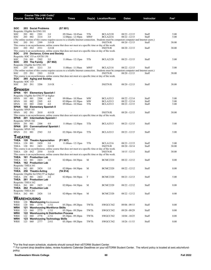|                                          |         |                | Course Title (+IAI Code) <sup>1</sup><br><b>Course Section Class # Units</b> |                                           | Times                                                                                                                                                               |            | Day(s) Location/Room | Dates           | Instructor | Fe <sup>2</sup> |
|------------------------------------------|---------|----------------|------------------------------------------------------------------------------|-------------------------------------------|---------------------------------------------------------------------------------------------------------------------------------------------------------------------|------------|----------------------|-----------------|------------|-----------------|
|                                          |         |                |                                                                              |                                           |                                                                                                                                                                     |            |                      |                 |            |                 |
| soc<br>Requisite: Eligible for ENG 101   |         |                | 203 Social Problems                                                          |                                           | (S7901)                                                                                                                                                             |            |                      |                 |            |                 |
| SOC                                      | 203 001 |                | 2301                                                                         | 3.0                                       | 09:30am - 10:45am                                                                                                                                                   | TTh        | <b>BCLA2120</b>      | 08/23 - 12/15   | Staff      | 5.00            |
| SOC                                      | 203     | 002            | 3214                                                                         | 3.0                                       | $12:00 \text{pm} - 12:50 \text{pm}$                                                                                                                                 | MWF        | <b>BCLA2216</b>      | $08/22 - 12/15$ | Staff      | 5.00            |
|                                          |         |                |                                                                              |                                           | (The online section of this course requires access to a reliable Internet connection. Students must be competent computer and Internet users.)                      |            |                      |                 |            |                 |
| SOC                                      | 203 IN1 |                | 2399                                                                         | 3.0 OI                                    |                                                                                                                                                                     |            | <b>INETN/R</b>       | $08/20 - 12/15$ | Staff      | 30.00           |
| SOC                                      | 203 IN2 |                | 2531                                                                         |                                           | This course is an asynchronous, online course that does not meet at a specific time or day of the week.                                                             |            |                      |                 |            | 30.00           |
|                                          |         |                |                                                                              | 3.0 OI                                    | This course is an asynchronous, online course that does not meet at a specific time or day of the week.                                                             |            | <b>INETN/R</b>       | $08/20 - 12/15$ | Staff      |                 |
| soc<br>Requisite: SOC 153 or ANTH 150    |         |                |                                                                              | 210 Deviance, Crime and Society           |                                                                                                                                                                     |            |                      |                 |            |                 |
| SOC                                      | 210 001 |                | 2302                                                                         | 3.0                                       | $11:00$ am - $12:15$ pm                                                                                                                                             | TTh        | <b>BCLA2120</b>      | $08/23 - 12/15$ | Staff      | 5.00            |
| soc                                      |         | 255 The Family |                                                                              | (S7 902)                                  |                                                                                                                                                                     |            |                      |                 |            |                 |
| Requisite: Eligible for ENG 101          |         |                |                                                                              |                                           |                                                                                                                                                                     | <b>MWF</b> |                      |                 |            |                 |
| SOC                                      | 255 001 |                | 3213                                                                         | 3.0                                       | 11:00am - 11:50am<br>(The online section of this course requires access to a reliable Internet connection. Students must be competent computer and Internet users.) |            | <b>BCLA2118</b>      | 08/22 - 12/15   | Staff      | 5.00            |
| SOC                                      | 255 IN1 |                | 2303                                                                         | 3.0 OI                                    |                                                                                                                                                                     |            | <b>INETN/R</b>       | $08/20 - 12/15$ | Staff      | 30.00           |
|                                          |         |                |                                                                              |                                           | This course is an asynchronous, online course that does not meet at a specific time or day of the week.                                                             |            |                      |                 |            |                 |
| soc                                      |         |                | 265 Aging and Society                                                        |                                           |                                                                                                                                                                     |            |                      |                 |            |                 |
| Requisite: SOC 153                       |         |                |                                                                              |                                           |                                                                                                                                                                     |            |                      |                 |            |                 |
| SOC                                      | 265 IN1 |                | 3206                                                                         | 3.0 OI                                    |                                                                                                                                                                     |            | <b>INETN/R</b>       | $08/20 - 12/15$ | Staff      | 30.00           |
| Spanish                                  |         |                |                                                                              |                                           |                                                                                                                                                                     |            |                      |                 |            |                 |
| SPAN                                     |         |                | 101 Elementary Spanish I                                                     |                                           |                                                                                                                                                                     |            |                      |                 |            |                 |
| Requisite: Eligible for ENG 97 or higher |         |                |                                                                              |                                           |                                                                                                                                                                     |            |                      |                 |            |                 |
| SPAN                                     | 101     | 001            | 2304                                                                         | 4.0                                       | 09:00am - 10:50am                                                                                                                                                   | MW         | <b>BCLA3313</b>      | $08/22 - 12/14$ | Staff      | 5.00            |
| SPAN                                     | 101     | 002            | 2305                                                                         | 4.0                                       | $02:00 \text{pm} - 03:50 \text{pm}$                                                                                                                                 | MW         | <b>BCLA3313</b>      | $08/22 - 12/14$ | Staff      | 5.00            |
| SPAN                                     | 101     | 003            | 2360                                                                         | 4.0                                       | 09:00am - 10:50am                                                                                                                                                   | TTh        | <b>BCLA3313</b>      | $08/23 - 12/15$ | Staff      | 5.00            |
| <b>SPAN</b><br>Requisite: SPAN 101       |         |                |                                                                              | 102 Elementary Spanish II                 |                                                                                                                                                                     |            |                      |                 |            |                 |
| <b>SPAN</b>                              | 102 IN1 |                | 2610                                                                         | 4.0 OI                                    |                                                                                                                                                                     |            | <b>INETN/R</b>       | 08/20 - 12/15   | Staff      | 30.00           |
|                                          |         |                |                                                                              |                                           | This course is an asynchronous, online course that does not meet at a specific time or day of the week.                                                             |            |                      |                 |            |                 |
| SPAN                                     |         |                |                                                                              | 201 Intermediate Spanish I                |                                                                                                                                                                     |            |                      |                 |            |                 |
| Requisite: SPAN 102                      |         |                |                                                                              |                                           |                                                                                                                                                                     |            |                      |                 |            |                 |
| SPAN                                     | 201 001 |                | 2306                                                                         | 4.0                                       | $11:00$ am - $12:50$ pm                                                                                                                                             | TTh        | <b>BCLA3313</b>      | 08/23 - 12/15   | Staff      | 5.00            |
| SPAN<br>Requisite: SPAN 102              |         |                |                                                                              | 211 Conversational Spanish I              |                                                                                                                                                                     |            |                      |                 |            |                 |
| <b>SPAN</b>                              | 211 001 |                | 2543                                                                         | 3.0                                       | $03:30$ pm - $04:45$ pm                                                                                                                                             | TTh        | <b>BCLA3313</b>      | $08/23 - 12/15$ | Staff      | 5.00            |
|                                          |         |                |                                                                              |                                           |                                                                                                                                                                     |            |                      |                 |            |                 |
| <b>I HEATRE</b>                          |         |                |                                                                              |                                           |                                                                                                                                                                     |            |                      |                 |            |                 |
| THEA                                     |         |                | 120 Theatre Appreciation                                                     |                                           | (F1 907)                                                                                                                                                            |            |                      |                 |            |                 |
| THEA                                     | 120     | 001            | 2420                                                                         | 3.0                                       | $11:00$ am - $12:15$ pm                                                                                                                                             | TTh        | <b>BCLA1216</b>      | 08/23 - 12/15   | Staff      | 5.00            |
| THEA                                     | 120 IN1 |                | 2421                                                                         | 3.0 OI                                    | This course is an asynchronous, online course that does not meet at a specific time or day of the week.                                                             |            | <b>INETN/R</b>       | $08/20 - 10/14$ | Staff      | 30.00           |
| THEA                                     | 120 IN2 |                | 2550                                                                         | 3.0 OI                                    |                                                                                                                                                                     |            | <b>INETN/R</b>       | $10/15 - 12/15$ | Staff      | 30.00           |
|                                          |         |                |                                                                              |                                           | This course is an asynchronous, online course that does not meet at a specific time or day of the week.                                                             |            |                      |                 |            |                 |
| THEA                                     |         |                | 161 Production Lab                                                           |                                           |                                                                                                                                                                     |            |                      |                 |            |                 |
| THEA                                     | 161     | 001            | 2423                                                                         | 1.0                                       | $02:00 \text{pm} - 04:50 \text{pm}$                                                                                                                                 | М          | <b>BCMC2320</b>      | $08/22 - 12/12$ | Staff      | 0.00            |
| THEA                                     |         |                | 162 Production Lab                                                           |                                           |                                                                                                                                                                     |            |                      |                 |            |                 |
| Requisite: THEA 161<br>THEA              | 162 001 |                | 2424                                                                         | 1.0                                       | $02:00$ pm - $04:50$ pm                                                                                                                                             | М          | <b>BCMC2320</b>      | 08/22 - 12/12   | Staff      | 0.00            |
| THEA                                     |         |                | 256 Theatre Acting                                                           |                                           | (TA 914)                                                                                                                                                            |            |                      |                 |            |                 |
| Requisite: Eligible for ENG 97 or higher |         |                |                                                                              |                                           |                                                                                                                                                                     |            |                      |                 |            |                 |
| THEA                                     | 256 001 |                | 2422                                                                         | 3.0                                       | $02:00 \text{pm} - 04:50 \text{pm}$                                                                                                                                 | T          | <b>BCMC2320</b>      | 08/23 - 12/13   | Staff      | 5.00            |
| THEA 261 Production Lab                  |         |                |                                                                              |                                           |                                                                                                                                                                     |            |                      |                 |            |                 |
| Requisite: THEA 162                      |         |                |                                                                              |                                           |                                                                                                                                                                     |            |                      |                 |            | 0.00            |
| THEA<br>THEA                             | 261     | 001            | 2425<br>262 Production Lab                                                   | 1.0                                       | $02:00$ pm - $04:50$ pm                                                                                                                                             | М          | <b>BCMC2320</b>      | 08/22 - 12/12   | Staff      |                 |
| Requisite: THEA 261                      |         |                |                                                                              |                                           |                                                                                                                                                                     |            |                      |                 |            |                 |
| THEA                                     | 262 001 |                | 2426                                                                         | 1.0                                       | $02:00$ pm - $04:50$ pm                                                                                                                                             | M          | <b>BCMC2320</b>      | 08/22 - 12/12   | Staff      | 0.00            |
|                                          |         |                |                                                                              |                                           |                                                                                                                                                                     |            |                      |                 |            |                 |
| <b>WAREHOUSING</b>                       |         |                |                                                                              |                                           |                                                                                                                                                                     |            |                      |                 |            |                 |
| <b>WRH</b>                               |         |                |                                                                              | 120 Warehousing Environment               | 05:30pm - 09:20pm                                                                                                                                                   | TWTh       |                      |                 | Staff      | 0.00            |
| WRH<br>WRH                               | 120     | 060            | 2774                                                                         | 1.5 E<br>121 Warehousing Workforce Skills |                                                                                                                                                                     |            | SWGCC542             | 09/06 - 09/15   |            |                 |
| WRH                                      | 121     | 060            | 2775                                                                         | 1.5 E                                     | 05:30pm - 09:20pm                                                                                                                                                   | TWTh       | SWGCC542             | $09/20 - 09/29$ | Staff      | 0.00            |
| WRH                                      |         |                |                                                                              | 122 Warehousing & Distribution Process    |                                                                                                                                                                     |            |                      |                 |            |                 |
| WRH                                      | 122     | 060            | 2776                                                                         | 2.5 E                                     | 05:30pm - 09:20pm                                                                                                                                                   | TWTh       | SWGCC542             | $10/04 - 10/25$ | Staff      | 0.00            |
| WRH                                      |         |                |                                                                              | 123 Warehousing Technology Skills         |                                                                                                                                                                     |            |                      |                 |            |                 |
| WRH                                      | 123     | 060            | 2777                                                                         | 2.0 E                                     | 05:30pm - 09:20pm                                                                                                                                                   | TWTh       | SWGCC542             | $10/26 - 11/15$ | Staff      | 0.00            |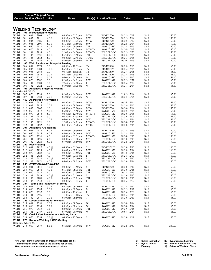|                                     |            |            |                                     | Course Title (+IAI Code) <sup>1</sup>     |                                                                      |                  |                                    |                                    |                   |                  |
|-------------------------------------|------------|------------|-------------------------------------|-------------------------------------------|----------------------------------------------------------------------|------------------|------------------------------------|------------------------------------|-------------------|------------------|
|                                     |            |            | <b>Course Section Class # Units</b> |                                           | <b>Times</b>                                                         |                  | Day(s) Location/Room               | <b>Dates</b>                       | <b>Instructor</b> | Fee <sup>2</sup> |
|                                     |            |            |                                     |                                           |                                                                      |                  |                                    |                                    |                   |                  |
|                                     |            |            |                                     | <b>WELDING TECHNOLOGY</b>                 |                                                                      |                  |                                    |                                    |                   |                  |
| <b>WLDT</b>                         |            |            |                                     | 101 Introduction to Welding               |                                                                      |                  |                                    |                                    |                   |                  |
| WLDT                                | 101        | 001        | 2809                                | 6.0                                       | 08:00am - 01:25pm                                                    | <b>MTW</b>       | <b>BCMC1520</b>                    | $08/22 - 10/19$                    | Staff             | 150.00           |
| WLDT                                | 101        | 002        | 2811                                | 6.0 E                                     | 05:30pm - 09:50pm                                                    | MW               | <b>BCMC1520</b>                    | $08/22 - 12/14$                    | Staff             | 150.00           |
| <b>WLDT</b><br><b>WLDT</b>          | 101<br>101 | 003<br>004 | 2985<br>2895                        | 6.0<br>6.0 E                              | 08:00am - 01:25pm<br>05:30pm - 09:50pm                               | <b>MTW</b><br>MW | <b>BCMC1520</b><br><b>BCMC1520</b> | $08/22 - 10/19$<br>$08/22 - 12/14$ | Staff<br>Staff    | 150.00<br>150.00 |
| <b>WLDT</b>                         | 101        | 060        | 2812                                | 6.0 E                                     | 05:30pm - 09:50pm                                                    | TTh              | SWGCC1612                          | $08/23 - 12/15$                    | Staff             | 150.00           |
| <b>WLDT</b>                         | 101        | 070        | 2813                                | 6.0                                       | 08:30am - 01:20pm                                                    | MTWTh            | SWGCC1612                          | $08/24 - 10/13$                    | Staff             | 150.00           |
| <b>WLDT</b>                         | 101        | 101        | 2814                                | 6.0                                       | 12:00pm - 04:00pm                                                    | <b>MTWTh</b>     | ESLCBLDGC                          | $08/22 - 10/20$                    | Staff             | 150.00           |
| <b>WLDT</b>                         | 101        | 102        | 2921                                | 6.0 E                                     | 05:30pm - 09:50pm                                                    | TTh              | ESLCBLDGC                          | 08/23 - 12/15                      | Staff             | 150.00           |
| <b>WLDT</b>                         | 101        | 103<br>104 | 2862<br>2850                        | 6.0                                       | 08:00am - 02:45pm                                                    | TWTh             | ESLCBLDGC                          | $10/26 - 12/15$                    | Staff             | 150.00           |
| WLDT<br>WLDT                        | 101<br>106 |            |                                     | 6.0 E                                     | $04:00$ pm - $09:50$ pm<br><b>Weld Fabrication Blueprint Reading</b> | MTTh             | <b>ESLCBLDGC</b>                   | $10/20 - 12/15$                    | Staff             | 150.00           |
| WLDT                                | 106        | 001        | 2779                                | 3.0                                       | 08:30am - 11:35am                                                    | Th               | <b>BCMC1410</b>                    | $08/25 - 12/15$                    | Staff             | 65.00            |
| <b>WLDT</b>                         | 106        | 002        | 2780                                | 3.0 E                                     | 06:30pm - 09:35pm                                                    | Th               | <b>BCMC1519</b>                    | $08/25 - 12/15$                    | Staff             | 65.00            |
| <b>WLDT</b>                         | 106        | 003        | 2984                                | 3.0                                       | 08:30am - 11:35am                                                    | Th               | <b>BCMC1519</b>                    | $08/25 - 12/15$                    | Staff             | 65.00            |
| <b>WLDT</b>                         | 106        | 004        | 2986                                | 3.0 E                                     | 06:30pm - 09:35pm                                                    | Th               | <b>BCMC1520</b>                    | $08/25 - 12/15$                    | Staff             | 65.00            |
| <b>WLDT</b>                         | 106        | 060        | 2781                                | 3.0 E                                     | $06:00$ pm - $08:50$ pm                                              | М                | SWGCC1612                          | $08/22 - 12/12$                    | Staff             | 65.00            |
| WLDT<br><b>WLDT</b>                 | 106<br>106 | 070<br>101 | 2782<br>2783                        | 3.0<br>3.0                                | $02:00$ pm - $04:15$ pm                                              | <b>MW</b><br>F   | SWGCC1612                          | $08/22 - 10/31$                    | Staff             | 65.00            |
| WLDT                                | 106        | 102        | 2922                                | 3.0 <sub>E</sub>                          | 12:45pm - 04:00pm<br>$06:00 \text{pm} - 09:05 \text{pm}$             | W                | ESLCBLDGC<br>ESLCBLDGC             | 08/26 - 12/09<br>$08/31 - 12/14$   | Staff<br>Staff    | 65.00<br>65.00   |
| WLDT                                | 107        |            |                                     | <b>Advanced Blueprint Reading</b>         |                                                                      |                  |                                    |                                    |                   |                  |
| Requisite: WLDT 106                 |            |            |                                     |                                           |                                                                      |                  |                                    |                                    |                   |                  |
| WLDT                                | 107 070    |            | 2790                                | 2.0                                       | $02:00$ pm - $04:30$ pm                                              | MW               | SWGCC1612                          | $11/02 - 12/14$                    | Staff             | 65.00            |
| <b>WLDT</b>                         | 107        | 101        | 2923                                | 2.0 E                                     | 05:00pm - 09:25pm                                                    | W                | <b>ESLCBLDGC</b>                   | $08/24 - 10/05$                    | Staff             | 65.00            |
| WLDT<br>WLDT                        | 152        | 001        | 2815                                | 152 All Position Arc Welding<br>5.0       | 08:00am - 02:00pm                                                    | MTW              | <b>BCMC1520</b>                    | $10/26 - 12/14$                    | Staff             | 155.00           |
| <b>WLDT</b>                         | 152        | 002        | 2816                                | 5.0 E                                     | 05:30pm - 09:30pm                                                    | TTh              | <b>BCMC1520</b>                    | $08/23 - 12/15$                    | Staff             | 155.00           |
| <b>WLDT</b>                         | 152        | 003        | 3007                                | 5.0                                       | 08:00am - 02:00pm                                                    | <b>MTW</b>       | <b>BCMC1520</b>                    | $10/26 - 12/14$                    | Staff             | 155.00           |
| WLDT                                | 152        | 060        | 2817                                | 5.0 E                                     | $06:00$ pm - $09:50$ pm                                              | MW               | SWGCC1620                          | 08/22 - 12/14                      | Staff             | 155.00           |
| <b>WLDT</b>                         | 152        | 070        | 2818                                | 5.0                                       | 08:30am-12:40pm                                                      | MTWTh            | SWGCC1612                          | $10/20 - 12/15$                    | Staff             | 155.00           |
| WLDT                                | 152        | 101        | 2819                                | 5.0                                       | 08:30am - 12:55pm                                                    | МT               | ESLCBLDGC                          | $08/30 - 12/06$                    | Staff             | 155.00           |
| <b>WLDT</b>                         | 152<br>152 | 102<br>103 | 2820                                | 5.0 E                                     | $06:00$ pm - $09:50$ pm                                              | MW               | <b>ESLCBLDGC</b>                   | $08/22 - 12/14$                    | Staff             | 155.00           |
| WLDT<br><b>WLDT</b>                 | 152        | 104        | 2821<br>2822                        | 5.0<br>5.0                                | $12:00$ pm - 04:05pm<br>$04:10$ pm - $09:20$ pm                      | MTWTh<br>MTTh    | ESLCBLDGC<br><b>ESLCBLDGC</b>      | $10/24 - 12/15$<br>$10/20 - 12/15$ | Staff<br>Staff    | 155.00<br>155.00 |
| WLDT                                |            |            |                                     | 201 Advanced Arc Welding                  |                                                                      |                  |                                    |                                    |                   |                  |
| WLDT                                | 201        | 001        | 2823                                | 6.0 E                                     | $05:00$ pm - $09:50$ pm                                              | TTh              | <b>BCMC1520</b>                    | $08/23 - 12/15$                    | Staff             | 150.00           |
| <b>WLDT</b>                         | 201        | 060        | 2824                                | 6.0 E                                     | $05:00$ pm - $09:50$ pm                                              | MW               | SWGCC1620                          | $08/22 - 12/14$                    | Staff             | 150.00           |
| <b>WLDT</b>                         | 201        | 070        | 2936                                | 6.0                                       | 08:30am - 01:55pm                                                    | MTWTh            | SWGCC1620                          | $08/24 - 10/13$                    | Staff             | 150.00           |
| <b>WLDT</b>                         | 201        | 101<br>102 | 2825<br>2826                        | 6.0                                       | $08:00am - 01:10pm$                                                  | MT               | ESLCBLDGC                          | $08/30 - 12/13$                    | Staff             | 150.00           |
| WLDT<br>WLDT                        | 201<br>252 |            | <b>Pipe Welding</b>                 | 6.0 E                                     | $05:00$ pm - $09:50$ pm                                              | MW               | ESLCBLDGC                          | $08/22 - 12/14$                    | Staff             | 150.00           |
| WLDT                                | 252        | 001        | 2827                                | $4.0 \; \omega$                           | 08:00am - 01:50pm                                                    | S                | BCMC1517C                          | $08/20 - 12/10$                    | Staff             | 160.00           |
| WLDT                                | 252        | 060        | 2828                                | 4.0 E                                     | 06:00pm-09:05pm                                                      | MW               | SWGCC1620                          | $08/29 - 12/14$                    | Staff             | 160.00           |
| WLDT                                | 252        | 070        | 2829                                | 4.0                                       | 08:00am - 01:50pm                                                    | TTh              | SWGCC1620                          | $10/18 - 12/15$                    | Staff             | 160.00           |
| <b>WLDT</b>                         | 252        | 101        | 2924                                | 4.0                                       | 09:00am - 03:15pm                                                    | F                | <b>ESLCBLDGC</b>                   | $08/26 - 12/09$                    | Staff             | 160.00           |
| WLDT                                | 252        | 102        | 2830                                | $4.0 \; \omega$                           | 08:00am - 01:50pm                                                    | S                | <b>ESLCBLDGC</b>                   | $08/20 - 12/10$                    | Staff             | 160.00           |
| <b>WLDT</b><br>WLDT                 | 252<br>253 | 103        | 2871                                | 4.0 E<br>GTAW/GMAW/FCAW/PAC               | $06:00$ pm - $09:05$ pm                                              | MW               | ESLCBLDGC                          | 08/29 - 12/14                      | Staff             | 160.00           |
| WLDT                                | 253        | 001        | 2831                                | $4.0 \; \omega$                           | 08:00am - 01:50pm                                                    | S                | <b>BCMC1520</b>                    | $08/20 - 12/10$                    | Staff             | 160.00           |
| WLDT                                | 253        | 060        | 2870                                | 4.0 E                                     | $05:30$ pm - $08:35$ pm                                              | TTh              | SWGCC1620                          | 08/30 - 12/15                      | Staff             | 160.00           |
| WLDT                                | 253        | 070        | 2832                                | 4.0                                       | $08:00am - 01:50pm$                                                  | TTh              | SWGCC1620                          | $10/18 - 12/15$                    | Staff             | 160.00           |
| WLDT 253                            |            | 101        | 2833                                | $4.0 \; \omega$                           | 08:00am - 01:50pm                                                    | S                | ESLCBLDGC                          | 08/20 - 12/10                      | Staff             | 160.00           |
| WLDT                                | 253        | 102        | 2885                                | 4.0 E                                     | 06:00pm-09:05pm                                                      | TTh              | <b>ESLCBLDGC</b>                   | $08/30 - 12/15$                    | Staff             | 160.00           |
| <b>WLDT</b><br>WLDT                 | 253<br>254 | 103        | 2948                                | 4.0                                       | 09:00am - 03:15pm<br><b>Testing and Inspection of Welds</b>          | F                | <b>ESLCBLDGC</b>                   | $08/26 - 12/09$                    | Staff             | 160.00           |
| WLDT                                | 254        | 001        | 2784                                | 3.0 E                                     | 06:30pm - 09:20pm                                                    | М                | <b>BCMC1410</b>                    | $08/22 - 12/12$                    | Staff             | 65.00            |
| WLDT                                | 254        | 060        | 2785                                | 3.0 E                                     | 06:30pm - 09:20pm                                                    | М                | SWGCC1612                          | $08/22 - 12/12$                    | Staff             | 65.00            |
| WLDT                                | 254        | 070        | 2937                                | 3.0                                       | 08:30am - 11:45am                                                    | F                | SWGCC1612                          | 08/26 - 12/09                      | Staff             | 65.00            |
| <b>WLDT</b>                         | 254        | 101        | 2925                                | 3.0                                       | $11:30$ am - 03:00pm                                                 | Th               | <b>ESLCBLDGC</b>                   | $08/25 - 12/15$                    | Staff             | 65.00            |
| WLDT                                | 254        | 102        | 2911                                | 3.0 E                                     | $06:00$ pm - $08:50$ pm                                              | T                | ESLCBLDGC                          | 08/30 - 12/13                      | Staff             | 65.00            |
| WLDT<br>WLDT                        | 255        | 001        | 2786                                | 255 Layout and Fitup for Welders<br>3.0 E | 05:30pm - 08:20pm                                                    | W                | SWGCC1612                          | 08/24 - 12/14                      | Staff             | 65.00            |
| WLDT                                | 255        | 060        | 2938                                | 3.0 E                                     | 05:30pm - 08:45pm                                                    | W                | SWGCC1612                          | 08/24 - 12/14                      | Staff             | 65.00            |
| <b>WLDT</b>                         | 255        | 070        | 2939                                | 3.0                                       | $02:00 \text{pm} - 04:10 \text{pm}$                                  | TTh              | SWGCC1612                          | $09/29 - 12/15$                    | Staff             | 65.00            |
| WLDT                                | 255        | 101        | 2787                                | 3.0 E                                     | 05:00pm - 09:40pm                                                    | W                | <b>ESLCBLDGC</b>                   | $10/05 - 12/14$                    | Staff             | 65.00            |
| WLDT                                | 256        |            |                                     |                                           | Qual & Cert Procedures - Welding Insps                               |                  |                                    |                                    |                   |                  |
| WLDT                                | 256        | 070        | 2788                                | $3.0 \, \omega$                           | 09:00am - 12:20pm                                                    | S                | SWGCC1612                          | $08/20 - 11/19$                    | Staff             | 65.00            |
| WLDT                                | 270        |            |                                     |                                           | <b>Robotic Welding &amp; CNC Cutting</b>                             |                  |                                    |                                    |                   |                  |
| Requisite: WLDT 253<br>WLDT 270 060 |            |            | 2979                                | 5.0 E                                     | $05:20$ pm - $09:10$ pm                                              | MW               | SWGCC1612                          | 08/22 - 11/30                      | Staff             | 200.00           |
|                                     |            |            |                                     |                                           |                                                                      |                  |                                    |                                    |                   |                  |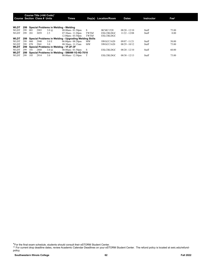|             |     |     | Course Title (+IAI Code) <sup>1</sup><br><b>Course Section Class # Units</b> |                 | Times                                                  |           | Day(s) Location/Room | <b>Dates</b>    | Instructor | Fee <sup>2</sup> |
|-------------|-----|-----|------------------------------------------------------------------------------|-----------------|--------------------------------------------------------|-----------|----------------------|-----------------|------------|------------------|
| <b>WLDT</b> | 299 |     |                                                                              |                 | Special Problems in Welding - Welding                  |           |                      |                 |            |                  |
| <b>WLDT</b> | 299 | 001 | 2983                                                                         | $3.0 \, \omega$ | $08:00am - 01:50dm$                                    | S         | <b>BCMC1520</b>      | $08/20 - 12/10$ | Staff      | 75.00            |
| <b>WLDT</b> | 299 | 201 | 3059                                                                         | 2.5             | $07:30$ am - 11:20pm                                   | TWThF     | <b>ESLCBLDGC</b>     | $11/22 - 12/08$ | Staff      | 0.00             |
|             |     |     |                                                                              |                 | $12:00$ pm - 03:50pm                                   | TWThF     | <b>ESLCBLDGC</b>     |                 |            |                  |
| <b>WLDT</b> | 299 |     |                                                                              |                 | Special Problems in Welding - Upgrading Welding Skills |           |                      |                 |            |                  |
| <b>WLDT</b> | 299 | 060 | 2940                                                                         | 3.0 E           | $06:00 \text{pm} - 08:20 \text{pm}$                    | MW        | SWGCC1620            | $09/07 - 11/21$ | Staff      | 50.00            |
| <b>WLDT</b> | 299 | 070 | 2941                                                                         | 3.0             | $08:30$ am - 11:15am                                   | <b>MW</b> | SWGCC1620            | $08/29 - 10/12$ | Staff      | 75.00            |
| <b>WLDT</b> | 299 |     |                                                                              |                 | Special Problems in Welding - 1F-2F-3F                 |           |                      |                 |            |                  |
| <b>WLDT</b> | 299 | 101 | 2868                                                                         | $3.0 \, \omega$ | $08:00am - 01:50pm$                                    | -S        | <b>ESLCBLDGC</b>     | $08/20 - 12/10$ | Staff      | 60.00            |
| <b>WLDT</b> | 299 |     |                                                                              |                 | Special Problems in Welding - SMAW-1G-4G-7018          |           |                      |                 |            |                  |
| WLDT        | 299 | 105 | 2914                                                                         | 3.0             | 08:00am - 12:50pm                                      |           | <b>ESLCBLDGC</b>     | $08/30 - 12/13$ | Staff      | 75.00            |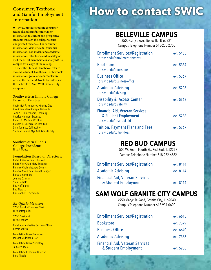### Consumer, Textbook and Gainful Employment Information

■ SWIC provides specific consumer, textbook and gainful employment information to current and prospective students through the college website and printed materials. For consumer information, visit swic.edu/consumerinformation. For student and academic information, refer to swic.edu/catalog or visit the Enrollment Services at any SWIC campus for a copy of the catalog. To view the Student Handbook, refer to swic.edu/student-handbook. For textbook information, go to swic.edu/bookstore or visit the Barnes & Noble bookstores at the Belleville or Sam Wolf Granite City campuses.

#### Southwestern Illinois College Board of Trustees:

Chair Nick Raftopoulos, Granite City Vice Chair Steve Campo, Belleville John S. Blomenkamp, Freeburg Charles Hannon, Swansea Robert G. Morton, O'Fallon Richard E. Roehrkasse, Red Bud Sara Soehlke, Collinsville Student Trustee Mya Gill, Granite City

Southwestern Illinois College President: Nick J. Mance

Foundation Board of Directors: Board Chair Norma L. Bellcoff Board Vice Chair Mary Buettner Finance Chair Matthew Gomric Finance Vice Chair Samuel Hanger Barbara Cempura Jeanne Dalman Stan Hatfield Sue Hoffmann Bob Novack Christopher C. Schroeder

#### *Ex-Officio Members:*

**SWIC Board of Trustees Chair** Nick Raftopoulos

SWIC President Nick J. Mance

Chief Administrative Services Officer Bernie Ysursa

Foundation Board Treasurer Margot Middleton-Holt

Foundation Board Secretary Jamie Wheeler

Foundation Executive Director Rena Thoele

# **How to contact SWIC**

### **BELLEVILLE CAMPUS**

2500 Carlyle Ave., Belleville, IL 62221 Campus Telephone Number 618-235-2700

| <b>Enrollment Services/Registration</b><br>or swic.edu/enrollment-services                  | ext. 5455 |
|---------------------------------------------------------------------------------------------|-----------|
| <b>Bookstore</b><br>or swic.edu/bookstore                                                   | ext. 5334 |
| <b>Business Office</b><br>or swic.edu/business-office                                       | ext. 5367 |
| <b>Academic Advising</b><br>or swic.edu/advising                                            | ext. 5206 |
| <b>Disability &amp; Access Center</b><br>or swic.edu/disability                             | ext. 5368 |
| <b>Financial Aid, Veteran Services</b><br>& Student Employment<br>or swic.edu/financial-aid | ext. 5288 |
| <b>Tuition, Payment Plans and Fees</b><br>or swic.edu/tuition-fees                          | ext. 5367 |

### **RED BUD CAMPUS**

500 W. South Fourth St., Red Bud, IL 62278 Campus Telephone Number 618-282-6682

| <b>Enrollment Services/Registration</b> | ext. 8114 |
|-----------------------------------------|-----------|
| <b>Academic Advising</b>                | ext. 8114 |
| <b>Financial Aid, Veteran Services</b>  |           |
| & Student Employment                    | ext. 8114 |

### **SAM WOLF GRANITE CITY CAMPUS**

4950 Maryville Road, Granite City, IL 62040 Campus Telephone Number 618-931-0600

| <b>Enrollment Services/Registration</b> | ext. 6615 |
|-----------------------------------------|-----------|
| <b>Bookstore</b>                        | ext. 7379 |
| <b>Business Office</b>                  | ext. 6640 |
| <b>Academic Advising</b>                | ext. 7333 |
| <b>Financial Aid, Veteran Services</b>  |           |
| & Student Employment                    | ext. 5288 |